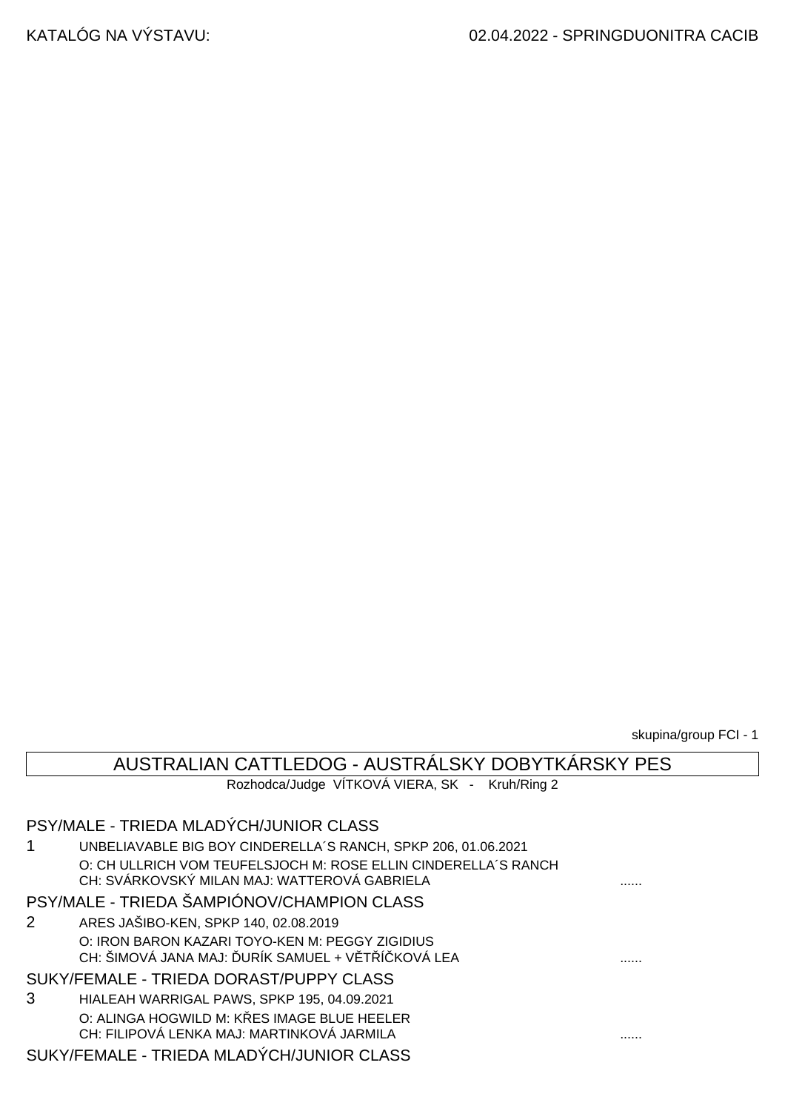skupina/group FCI - 1

## AUSTRALIAN CATTLEDOG - AUSTRÁLSKY DOBYTKÁRSKY PES

Rozhodca/Judge VÍTKOVÁ VIERA, SK - Kruh/Ring 2

|             | PSY/MALE - TRIEDA MLADYCH/JUNIOR CLASS                                                                         |   |
|-------------|----------------------------------------------------------------------------------------------------------------|---|
| 1           | UNBELIAVABLE BIG BOY CINDERELLA'S RANCH, SPKP 206, 01.06.2021                                                  |   |
|             | O: CH ULLRICH VOM TEUFELSJOCH M: ROSE ELLIN CINDERELLA'S RANCH<br>CH: SVÁRKOVSKÝ MILAN MAJ: WATTEROVÁ GABRIELA |   |
|             | PSY/MALE - TRIEDA ŠAMPIÓNOV/CHAMPION CLASS                                                                     |   |
| $2^{\circ}$ | ARES JAŠIBO-KEN, SPKP 140, 02.08.2019                                                                          |   |
|             | O: IRON BARON KAZARI TOYO-KEN M: PEGGY ZIGIDIUS<br>CH: ŠIMOVÁ JANA MAJ: URÍK SAMUEL + V T Í KOVÁ LEA           | . |
|             | SUKY/FEMALE - TRIEDA DORAST/PUPPY CLASS                                                                        |   |
| 3           | HIALEAH WARRIGAL PAWS, SPKP 195, 04.09.2021                                                                    |   |
|             | O: ALINGA HOGWILD M: K ES IMAGE BLUE HEELER<br>CH: FILIPOVÁ LENKA MAJ: MARTINKOVÁ JARMILA                      |   |
|             | SUKY/FEMALE - TRIEDA MLADÝCH/JUNIOR CLASS                                                                      |   |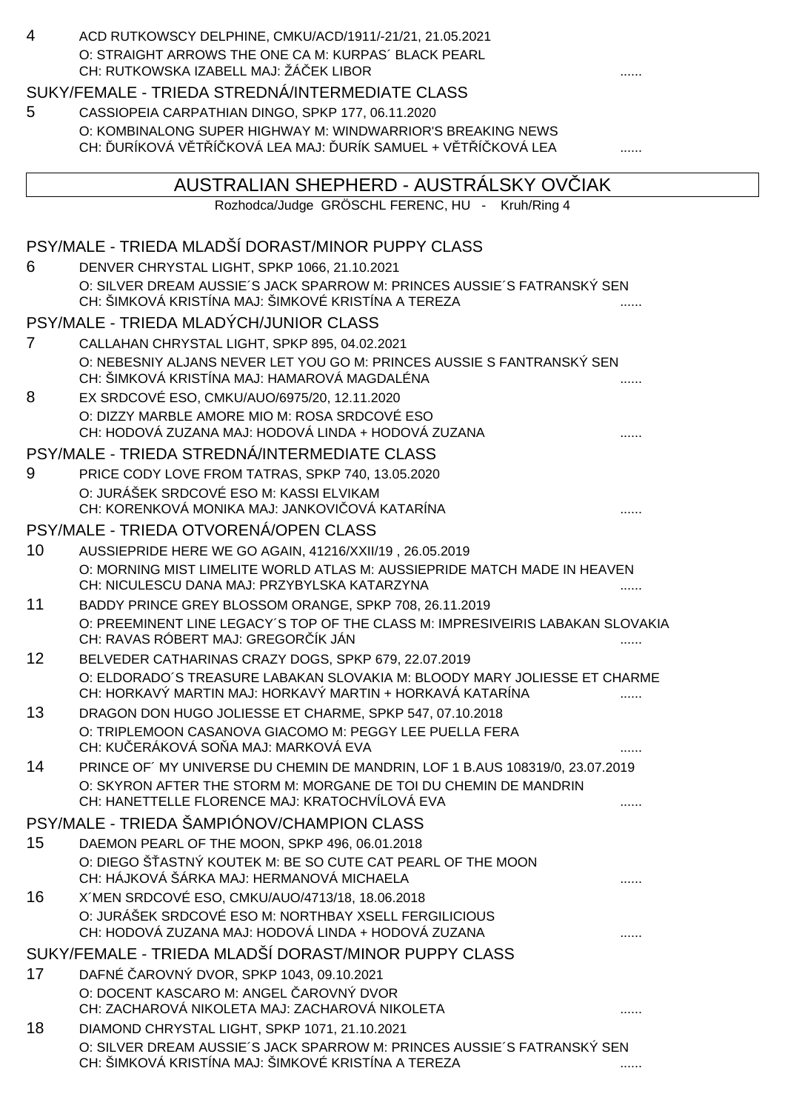| 4  | ACD RUTKOWSCY DELPHINE, CMKU/ACD/1911/-21/21, 21.05.2021                                                                                 |   |
|----|------------------------------------------------------------------------------------------------------------------------------------------|---|
|    | O: STRAIGHT ARROWS THE ONE CA M: KURPAS' BLACK PEARL                                                                                     |   |
|    | CH: RUTKOWSKA IZABELL MAJ: ŽÁ EK LIBOR                                                                                                   |   |
|    | SUKY/FEMALE - TRIEDA STREDNÁ/INTERMEDIATE CLASS                                                                                          |   |
| 5  | CASSIOPEIA CARPATHIAN DINGO, SPKP 177, 06.11.2020                                                                                        |   |
|    | O: KOMBINALONG SUPER HIGHWAY M: WINDWARRIOR'S BREAKING NEWS<br>CH: URÍKOVÁ V T Í KOVÁ LEA MAJ: URÍK SAMUEL + V T Í KOVÁ LEA              |   |
|    |                                                                                                                                          |   |
|    | AUSTRALIAN SHEPHERD - AUSTRALSKY OV IAK                                                                                                  |   |
|    | Rozhodca/Judge GRÖSCHL FERENC, HU - Kruh/Ring 4                                                                                          |   |
|    |                                                                                                                                          |   |
|    | PSY/MALE - TRIEDA MLADŠÍ DORAST/MINOR PUPPY CLASS                                                                                        |   |
| 6  | DENVER CHRYSTAL LIGHT, SPKP 1066, 21.10.2021                                                                                             |   |
|    | O: SILVER DREAM AUSSIE'S JACK SPARROW M: PRINCES AUSSIE'S FATRANSKÝ SEN<br>CH: ŠIMKOVÁ KRISTÍNA MAJ: ŠIMKOVÉ KRISTÍNA A TEREZA           |   |
|    | PSY/MALE - TRIEDA MLADÝCH/JUNIOR CLASS                                                                                                   |   |
| 7  | CALLAHAN CHRYSTAL LIGHT, SPKP 895, 04.02.2021                                                                                            |   |
|    | O: NEBESNIY ALJANS NEVER LET YOU GO M: PRINCES AUSSIE S FANTRANSKÝ SEN                                                                   |   |
|    | CH: ŠIMKOVÁ KRISTÍNA MAJ: HAMAROVÁ MAGDALÉNA                                                                                             |   |
| 8  | EX SRDCOVÉ ESO, CMKU/AUO/6975/20, 12.11.2020                                                                                             |   |
|    | O: DIZZY MARBLE AMORE MIO M: ROSA SRDCOVÉ ESO<br>CH: HODOVÁ ZUZANA MAJ: HODOVÁ LINDA + HODOVÁ ZUZANA                                     |   |
|    | PSY/MALE - TRIEDA STREDNÁ/INTERMEDIATE CLASS                                                                                             |   |
| 9  | PRICE CODY LOVE FROM TATRAS, SPKP 740, 13.05.2020                                                                                        |   |
|    | O: JURÁŠEK SRDCOVÉ ESO M: KASSI ELVIKAM                                                                                                  |   |
|    | CH: KORENKOVÁ MONIKA MAJ: JANKOVI OVÁ KATARÍNA                                                                                           |   |
|    | PSY/MALE - TRIEDA OTVORENÁ/OPEN CLASS                                                                                                    |   |
| 10 | AUSSIEPRIDE HERE WE GO AGAIN, 41216/XXII/19, 26.05.2019                                                                                  |   |
|    | O: MORNING MIST LIMELITE WORLD ATLAS M: AUSSIEPRIDE MATCH MADE IN HEAVEN                                                                 |   |
|    | CH: NICULESCU DANA MAJ: PRZYBYLSKA KATARZYNA                                                                                             |   |
| 11 | BADDY PRINCE GREY BLOSSOM ORANGE, SPKP 708, 26.11.2019<br>O: PREEMINENT LINE LEGACY'S TOP OF THE CLASS M: IMPRESIVEIRIS LABAKAN SLOVAKIA |   |
|    | CH: RAVAS RÓBERT MAJ: GREGOR ÍK JÁN                                                                                                      |   |
| 12 | BELVEDER CATHARINAS CRAZY DOGS, SPKP 679, 22.07.2019                                                                                     |   |
|    | O: ELDORADO'S TREASURE LABAKAN SLOVAKIA M: BLOODY MARY JOLIESSE ET CHARME                                                                |   |
| 13 | CH: HORKAVÝ MARTIN MAJ: HORKAVÝ MARTIN + HORKAVÁ KATARÍNA                                                                                |   |
|    | DRAGON DON HUGO JOLIESSE ET CHARME, SPKP 547, 07.10.2018<br>O: TRIPLEMOON CASANOVA GIACOMO M: PEGGY LEE PUELLA FERA                      |   |
|    | CH: KU ERÁKOVÁ SO A MAJ: MARKOVÁ EVA                                                                                                     |   |
| 14 | PRINCE OF' MY UNIVERSE DU CHEMIN DE MANDRIN, LOF 1 B.AUS 108319/0, 23.07.2019                                                            |   |
|    | O: SKYRON AFTER THE STORM M: MORGANE DE TOI DU CHEMIN DE MANDRIN                                                                         |   |
|    | CH: HANETTELLE FLORENCE MAJ: KRATOCHVÍLOVÁ EVA                                                                                           |   |
|    | PSY/MALE - TRIEDA ŠAMPIÓNOV/CHAMPION CLASS                                                                                               |   |
| 15 | DAEMON PEARL OF THE MOON, SPKP 496, 06.01.2018<br>O: DIEGO ŠASTNÝ KOUTEK M: BE SO CUTE CAT PEARL OF THE MOON                             |   |
|    | CH: HÁJKOVÁ ŠÁRKA MAJ: HERMANOVÁ MICHAELA                                                                                                |   |
| 16 | X'MEN SRDCOVÉ ESO, CMKU/AUO/4713/18, 18.06.2018                                                                                          |   |
|    | O: JURÁŠEK SRDCOVÉ ESO M: NORTHBAY XSELL FERGILICIOUS                                                                                    |   |
|    | CH: HODOVÁ ZUZANA MAJ: HODOVÁ LINDA + HODOVÁ ZUZANA                                                                                      |   |
|    | SUKY/FEMALE - TRIEDA MLADŠÍ DORAST/MINOR PUPPY CLASS                                                                                     |   |
| 17 | DAFNÉ AROVNÝ DVOR, SPKP 1043, 09.10.2021                                                                                                 |   |
|    | O: DOCENT KASCARO M: ANGEL AROVNÝ DVOR<br>CH: ZACHAROVÁ NIKOLETA MAJ: ZACHAROVÁ NIKOLETA                                                 | . |
| 18 | DIAMOND CHRYSTAL LIGHT, SPKP 1071, 21.10.2021                                                                                            |   |
|    | O: SILVER DREAM AUSSIE'S JACK SPARROW M: PRINCES AUSSIE'S FATRANSKY SEN                                                                  |   |
|    | CH: ŠIMKOVÁ KRISTÍNA MAJ: ŠIMKOVÉ KRISTÍNA A TEREZA                                                                                      |   |
|    |                                                                                                                                          |   |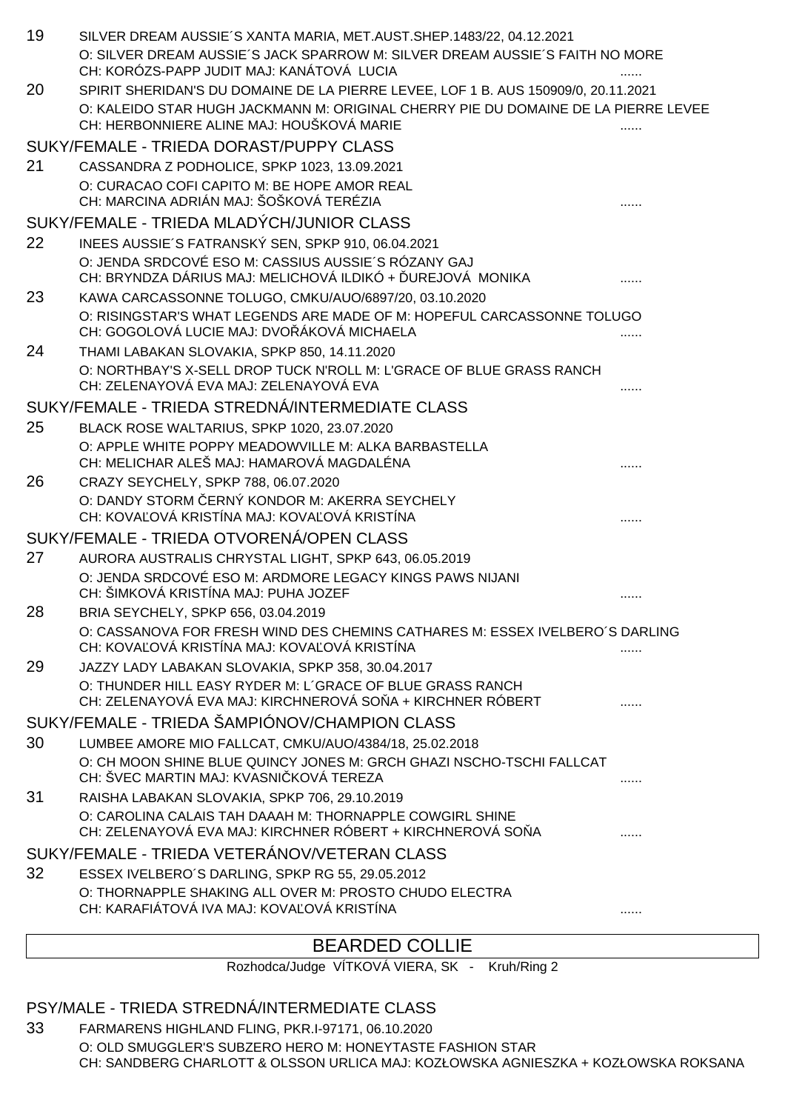| 19 | SILVER DREAM AUSSIE'S XANTA MARIA, MET.AUST.SHEP.1483/22, 04.12.2021                                                            |   |
|----|---------------------------------------------------------------------------------------------------------------------------------|---|
|    | O: SILVER DREAM AUSSIE'S JACK SPARROW M: SILVER DREAM AUSSIE'S FAITH NO MORE<br>CH: KORÓZS-PAPP JUDIT MAJ: KANÁTOVÁ LUCIA       |   |
| 20 | SPIRIT SHERIDAN'S DU DOMAINE DE LA PIERRE LEVEE, LOF 1 B. AUS 150909/0, 20.11.2021                                              |   |
|    | O: KALEIDO STAR HUGH JACKMANN M: ORIGINAL CHERRY PIE DU DOMAINE DE LA PIERRE LEVEE<br>CH: HERBONNIERE ALINE MAJ: HOUŠKOVÁ MARIE |   |
|    | SUKY/FEMALE - TRIEDA DORAST/PUPPY CLASS                                                                                         |   |
| 21 | CASSANDRA Z PODHOLICE, SPKP 1023, 13.09.2021                                                                                    |   |
|    | O: CURACAO COFI CAPITO M: BE HOPE AMOR REAL<br>CH: MARCINA ADRIÁN MAJ: ŠOŠKOVÁ TERÉZIA                                          |   |
|    | SUKY/FEMALE - TRIEDA MLADÝCH/JUNIOR CLASS                                                                                       |   |
| 22 | INEES AUSSIE'S FATRANSKÝ SEN, SPKP 910, 06.04.2021                                                                              |   |
|    | O: JENDA SRDCOVÉ ESO M: CASSIUS AUSSIE'S RÓZANY GAJ<br>CH: BRYNDZA DÁRIUS MAJ: MELICHOVÁ ILDIKÓ + UREJOVÁ MONIKA                |   |
| 23 | KAWA CARCASSONNE TOLUGO, CMKU/AUO/6897/20, 03.10.2020                                                                           |   |
|    | O: RISINGSTAR'S WHAT LEGENDS ARE MADE OF M: HOPEFUL CARCASSONNE TOLUGO<br>CH: GOGOLOVÁ LUCIE MAJ: DVO ÁKOVÁ MICHAELA            |   |
| 24 | THAMI LABAKAN SLOVAKIA, SPKP 850, 14.11.2020                                                                                    |   |
|    | O: NORTHBAY'S X-SELL DROP TUCK N'ROLL M: L'GRACE OF BLUE GRASS RANCH<br>CH: ZELENAYOVÁ EVA MAJ: ZELENAYOVÁ EVA                  |   |
|    | SUKY/FEMALE - TRIEDA STREDNÁ/INTERMEDIATE CLASS                                                                                 |   |
| 25 | BLACK ROSE WALTARIUS, SPKP 1020, 23.07.2020                                                                                     |   |
|    | O: APPLE WHITE POPPY MEADOWVILLE M: ALKA BARBASTELLA<br>CH: MELICHAR ALEŠ MAJ: HAMAROVÁ MAGDALÉNA                               |   |
| 26 | CRAZY SEYCHELY, SPKP 788, 06.07.2020                                                                                            |   |
|    | O: DANDY STORM ERNÝ KONDOR M: AKERRA SEYCHELY<br>CH: KOVA OVÁ KRISTÍNA MAJ: KOVA OVÁ KRISTÍNA                                   |   |
|    | SUKY/FEMALE - TRIEDA OTVORENÁ/OPEN CLASS                                                                                        |   |
| 27 | AURORA AUSTRALIS CHRYSTAL LIGHT, SPKP 643, 06.05.2019                                                                           |   |
|    | O: JENDA SRDCOVÉ ESO M: ARDMORE LEGACY KINGS PAWS NIJANI<br>CH: ŠIMKOVÁ KRISTÍNA MAJ: PUHA JOZEF                                |   |
| 28 | BRIA SEYCHELY, SPKP 656, 03.04.2019                                                                                             |   |
|    | O: CASSANOVA FOR FRESH WIND DES CHEMINS CATHARES M: ESSEX IVELBERO'S DARLING<br>CH: KOVA OVÁ KRISTÍNA MAJ: KOVA OVÁ KRISTÍNA    |   |
| 29 | JAZZY LADY LABAKAN SLOVAKIA, SPKP 358, 30.04.2017                                                                               |   |
|    | O: THUNDER HILL EASY RYDER M: L'GRACE OF BLUE GRASS RANCH<br>CH: ZELENAYOVÁ EVA MAJ: KIRCHNEROVÁ SO A + KIRCHNER RÓBERT         |   |
|    | SUKY/FEMALE - TRIEDA ŠAMPIÓNOV/CHAMPION CLASS                                                                                   |   |
| 30 | LUMBEE AMORE MIO FALLCAT, CMKU/AUO/4384/18, 25.02.2018                                                                          |   |
|    | O: CH MOON SHINE BLUE QUINCY JONES M: GRCH GHAZI NSCHO-TSCHI FALLCAT<br>CH: ŠVEC MARTIN MAJ: KVASNI KOVÁ TEREZA                 | . |
| 31 | RAISHA LABAKAN SLOVAKIA, SPKP 706, 29.10.2019                                                                                   |   |
|    | O: CAROLINA CALAIS TAH DAAAH M: THORNAPPLE COWGIRL SHINE<br>CH: ZELENAYOVÁ EVA MAJ: KIRCHNER RÓBERT + KIRCHNEROVÁ SO A          |   |
|    | SUKY/FEMALE - TRIEDA VETERÁNOV/VETERAN CLASS                                                                                    |   |
| 32 | ESSEX IVELBERO'S DARLING, SPKP RG 55, 29.05.2012                                                                                |   |
|    | O: THORNAPPLE SHAKING ALL OVER M: PROSTO CHUDO ELECTRA<br>CH: KARAFIÁTOVÁ IVA MAJ: KOVA OVÁ KRISTÍNA                            | . |
|    |                                                                                                                                 |   |

# BEARDED COLLIE

Rozhodca/Judge VÍTKOVÁ VIERA, SK - Kruh/Ring 2

# PSY/MALE - TRIEDA STREDNÁ/INTERMEDIATE CLASS

33 FARMARENS HIGHLAND FLING, PKR.I-97171, 06.10.2020 O: OLD SMUGGLER'S SUBZERO HERO M: HONEYTASTE FASHION STAR CH: SANDBERG CHARLOTT & OLSSON URLICA MAJ: KOZŁOWSKA AGNIESZKA + KOZŁOWSKA ROKSANA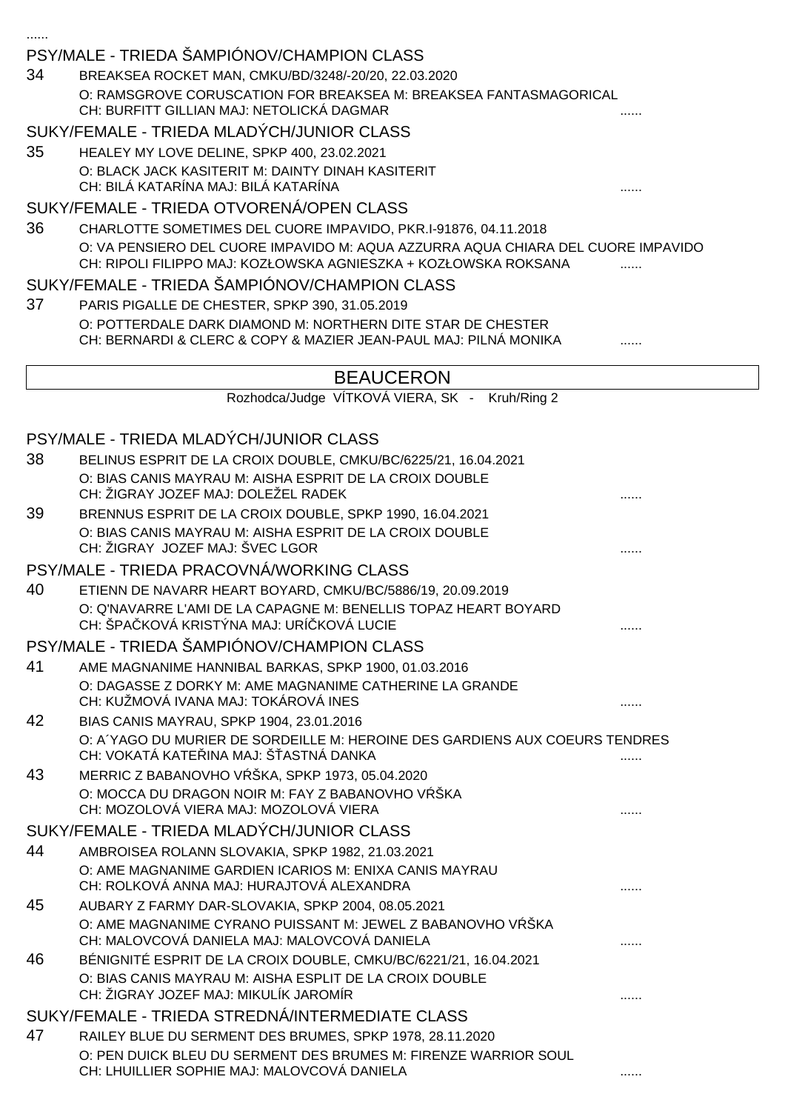|    | PSY/MALE - TRIEDA SAMPIONOV/CHAMPION CLASS                                                                                                          |   |
|----|-----------------------------------------------------------------------------------------------------------------------------------------------------|---|
| 34 | BREAKSEA ROCKET MAN, CMKU/BD/3248/-20/20, 22.03.2020                                                                                                |   |
|    | O: RAMSGROVE CORUSCATION FOR BREAKSEA M: BREAKSEA FANTASMAGORICAL<br>CH: BURFITT GILLIAN MAJ: NETOLICKÁ DAGMAR                                      |   |
|    | SUKY/FEMALE - TRIEDA MLADÝCH/JUNIOR CLASS                                                                                                           |   |
| 35 | HEALEY MY LOVE DELINE, SPKP 400, 23.02.2021                                                                                                         |   |
|    | O: BLACK JACK KASITERIT M: DAINTY DINAH KASITERIT<br>CH: BILÁ KATARÍNA MAJ: BILÁ KATARÍNA                                                           |   |
|    | SUKY/FEMALE - TRIEDA OTVORENÁ/OPEN CLASS                                                                                                            |   |
| 36 | CHARLOTTE SOMETIMES DEL CUORE IMPAVIDO, PKR.I-91876, 04.11.2018                                                                                     |   |
|    | O: VA PENSIERO DEL CUORE IMPAVIDO M: AQUA AZZURRA AQUA CHIARA DEL CUORE IMPAVIDO<br>CH: RIPOLI FILIPPO MAJ: KOZŁOWSKA AGNIESZKA + KOZŁOWSKA ROKSANA |   |
|    | SUKY/FEMALE - TRIEDA ŠAMPIÓNOV/CHAMPION CLASS                                                                                                       |   |
| 37 | PARIS PIGALLE DE CHESTER, SPKP 390, 31.05.2019                                                                                                      |   |
|    | O: POTTERDALE DARK DIAMOND M: NORTHERN DITE STAR DE CHESTER<br>CH: BERNARDI & CLERC & COPY & MAZIER JEAN-PAUL MAJ: PILNÁ MONIKA                     |   |
|    | <b>BEAUCERON</b>                                                                                                                                    |   |
|    | Rozhodca/Judge VÍTKOVÁ VIERA, SK - Kruh/Ring 2                                                                                                      |   |
|    |                                                                                                                                                     |   |
|    | PSY/MALE - TRIEDA MLADÝCH/JUNIOR CLASS                                                                                                              |   |
| 38 | BELINUS ESPRIT DE LA CROIX DOUBLE, CMKU/BC/6225/21, 16.04.2021                                                                                      |   |
|    | O: BIAS CANIS MAYRAU M: AISHA ESPRIT DE LA CROIX DOUBLE<br>CH: ŽIGRAY JOZEF MAJ: DOLEŽEL RADEK                                                      |   |
| 39 | BRENNUS ESPRIT DE LA CROIX DOUBLE, SPKP 1990, 16.04.2021                                                                                            |   |
|    | O: BIAS CANIS MAYRAU M: AISHA ESPRIT DE LA CROIX DOUBLE                                                                                             |   |
|    | CH: ŽIGRAY JOZEF MAJ: ŠVEC LGOR                                                                                                                     |   |
|    | PSY/MALE - TRIEDA PRACOVNÁ/WORKING CLASS                                                                                                            |   |
| 40 | ETIENN DE NAVARR HEART BOYARD, CMKU/BC/5886/19, 20.09.2019                                                                                          |   |
|    | O: Q'NAVARRE L'AMI DE LA CAPAGNE M: BENELLIS TOPAZ HEART BOYARD<br>CH: ŠPA KOVÁ KRISTÝNA MAJ: URÍ KOVÁ LUCIE                                        |   |
|    | PSY/MALE - TRIEDA ŠAMPIÓNOV/CHAMPION CLASS                                                                                                          |   |
| 41 | AME MAGNANIME HANNIBAL BARKAS, SPKP 1900, 01.03.2016                                                                                                |   |
|    | O: DAGASSE Z DORKY M: AME MAGNANIME CATHERINE LA GRANDE<br>CH: KUŽMOVÁ IVANA MAJ: TOKÁROVÁ INES                                                     |   |
| 42 | BIAS CANIS MAYRAU, SPKP 1904, 23.01.2016                                                                                                            |   |
|    | O: A YAGO DU MURIER DE SORDEILLE M: HEROINE DES GARDIENS AUX COEURS TENDRES<br>CH: VOKATÁ KATE INA MAJ: Š ASTNÁ DANKA                               | . |
| 43 | MERRIC Z BABANOVHO V ŠKA, SPKP 1973, 05.04.2020                                                                                                     |   |
|    | O: MOCCA DU DRAGON NOIR M: FAY Z BABANOVHO V ŠKA<br>CH: MOZOLOVÁ VIERA MAJ: MOZOLOVÁ VIERA                                                          |   |
|    | SUKY/FEMALE - TRIEDA MLADÝCH/JUNIOR CLASS                                                                                                           |   |
| 44 | AMBROISEA ROLANN SLOVAKIA, SPKP 1982, 21.03.2021                                                                                                    |   |
|    | O: AME MAGNANIME GARDIEN ICARIOS M: ENIXA CANIS MAYRAU                                                                                              |   |
|    | CH: ROLKOVÁ ANNA MAJ: HURAJTOVÁ ALEXANDRA                                                                                                           |   |
| 45 | AUBARY Z FARMY DAR-SLOVAKIA, SPKP 2004, 08.05.2021                                                                                                  |   |
|    | O: AME MAGNANIME CYRANO PUISSANT M: JEWEL Z BABANOVHO V ŠKA<br>CH: MALOVCOVÁ DANIELA MAJ: MALOVCOVÁ DANIELA                                         |   |
| 46 | BÉNIGNITÉ ESPRIT DE LA CROIX DOUBLE, CMKU/BC/6221/21, 16.04.2021                                                                                    |   |
|    | O: BIAS CANIS MAYRAU M: AISHA ESPLIT DE LA CROIX DOUBLE<br>CH: ŽIGRAY JOZEF MAJ: MIKULÍK JAROMÍR                                                    |   |
|    | SUKY/FEMALE - TRIEDA STREDNÁ/INTERMEDIATE CLASS                                                                                                     |   |
| 47 | RAILEY BLUE DU SERMENT DES BRUMES, SPKP 1978, 28.11.2020                                                                                            |   |
|    | O: PEN DUICK BLEU DU SERMENT DES BRUMES M: FIRENZE WARRIOR SOUL<br>CH: LHUILLIER SOPHIE MAJ: MALOVCOVÁ DANIELA                                      |   |
|    |                                                                                                                                                     |   |

......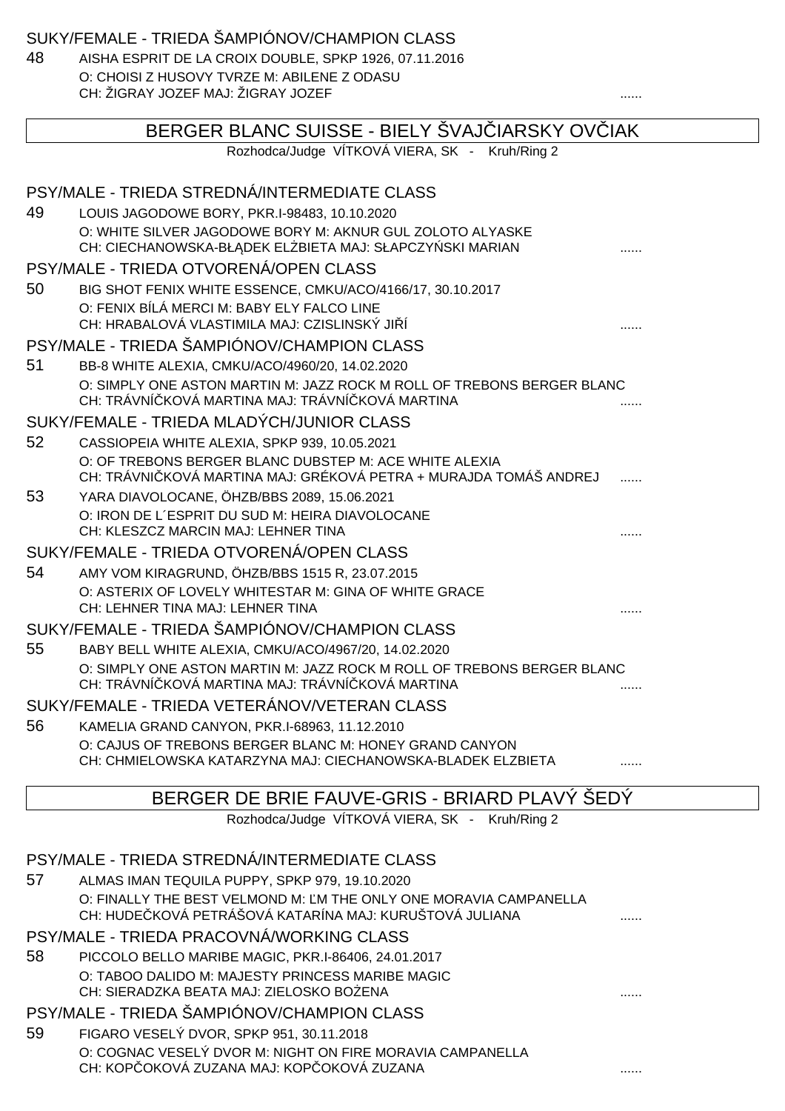SUKY/FEMALE - TRIEDA ŠAMPIÓNOV/CHAMPION CLASS

48 AISHA ESPRIT DE LA CROIX DOUBLE, SPKP 1926, 07.11.2016 O: CHOISI Z HUSOVY TVRZE M: ABILENE Z ODASU CH: ŽIGRAY JOZEF MAJ: ŽIGRAY JOZEF ......

|    | BERGER BLANC SUISSE - BIELY ŠVAJ IARSKY OV IAK                                                                              |   |  |
|----|-----------------------------------------------------------------------------------------------------------------------------|---|--|
|    | Rozhodca/Judge VÍTKOVÁ VIERA, SK - Kruh/Ring 2                                                                              |   |  |
|    |                                                                                                                             |   |  |
|    | PSY/MALE - TRIEDA STREDNÁ/INTERMEDIATE CLASS                                                                                |   |  |
| 49 | LOUIS JAGODOWE BORY, PKR.I-98483, 10.10.2020                                                                                |   |  |
|    | O: WHITE SILVER JAGODOWE BORY M: AKNUR GUL ZOLOTO ALYASKE<br>CH: CIECHANOWSKA-BŁ DEK EL BIETA MAJ: SŁAPCZY SKI MARIAN       |   |  |
|    | PSY/MALE - TRIEDA OTVORENÁ/OPEN CLASS                                                                                       |   |  |
| 50 | BIG SHOT FENIX WHITE ESSENCE, CMKU/ACO/4166/17, 30.10.2017                                                                  |   |  |
|    | O: FENIX BÍLÁ MERCI M: BABY ELY FALCO LINE                                                                                  |   |  |
|    | CH: HRABALOVÁ VLASTIMILA MAJ: CZISLINSKÝ JI Í                                                                               |   |  |
|    | PSY/MALE - TRIEDA ŠAMPIÓNOV/CHAMPION CLASS                                                                                  |   |  |
| 51 | BB-8 WHITE ALEXIA, CMKU/ACO/4960/20, 14.02.2020                                                                             |   |  |
|    | O: SIMPLY ONE ASTON MARTIN M: JAZZ ROCK M ROLL OF TREBONS BERGER BLANC<br>CH: TRÁVNÍ KOVÁ MARTINA MAJ: TRÁVNÍ KOVÁ MARTINA  |   |  |
|    | SUKY/FEMALE - TRIEDA MLADÝCH/JUNIOR CLASS                                                                                   |   |  |
| 52 | CASSIOPEIA WHITE ALEXIA, SPKP 939, 10.05.2021                                                                               |   |  |
|    | O: OF TREBONS BERGER BLANC DUBSTEP M: ACE WHITE ALEXIA                                                                      |   |  |
|    | CH: TRÁVNI KOVÁ MARTINA MAJ: GRÉKOVÁ PETRA + MURAJDA TOMÁŠ ANDREJ                                                           |   |  |
| 53 | YARA DIAVOLOCANE, ÖHZB/BBS 2089, 15.06.2021                                                                                 |   |  |
|    | O: IRON DE L'ESPRIT DU SUD M: HEIRA DIAVOLOCANE<br>CH: KLESZCZ MARCIN MAJ: LEHNER TINA                                      |   |  |
|    | SUKY/FEMALE - TRIEDA OTVORENÁ/OPEN CLASS                                                                                    |   |  |
| 54 | AMY VOM KIRAGRUND, ÖHZB/BBS 1515 R, 23.07.2015                                                                              |   |  |
|    | O: ASTERIX OF LOVELY WHITESTAR M: GINA OF WHITE GRACE                                                                       |   |  |
|    | CH: LEHNER TINA MAJ: LEHNER TINA                                                                                            |   |  |
|    | SUKY/FEMALE - TRIEDA ŠAMPIÓNOV/CHAMPION CLASS                                                                               |   |  |
| 55 | BABY BELL WHITE ALEXIA, CMKU/ACO/4967/20, 14.02.2020                                                                        |   |  |
|    | O: SIMPLY ONE ASTON MARTIN M: JAZZ ROCK M ROLL OF TREBONS BERGER BLANC                                                      |   |  |
|    | CH: TRÁVNÍ KOVÁ MARTINA MAJ: TRÁVNÍ KOVÁ MARTINA                                                                            | . |  |
|    | SUKY/FEMALE - TRIEDA VETERÁNOV/VETERAN CLASS                                                                                |   |  |
| 56 | KAMELIA GRAND CANYON, PKR.I-68963, 11.12.2010                                                                               |   |  |
|    | O: CAJUS OF TREBONS BERGER BLANC M: HONEY GRAND CANYON                                                                      |   |  |
|    | CH: CHMIELOWSKA KATARZYNA MAJ: CIECHANOWSKA-BLADEK ELZBIETA                                                                 |   |  |
|    | BERGER DE BRIE FAUVE-GRIS - BRIARD PLAVÝ ŠEDÝ                                                                               |   |  |
|    | Rozhodca/Judge VÍTKOVÁ VIERA, SK - Kruh/Ring 2                                                                              |   |  |
|    |                                                                                                                             |   |  |
|    | PSY/MALE - TRIEDA STREDNÁ/INTERMEDIATE CLASS                                                                                |   |  |
| 57 | ALMAS IMAN TEQUILA PUPPY, SPKP 979, 19.10.2020                                                                              |   |  |
|    | O: FINALLY THE BEST VELMOND M: M THE ONLY ONE MORAVIA CAMPANELLA<br>CH: HUDE KOVÁ PETRÁŠOVÁ KATARÍNA MAJ: KURUŠTOVÁ JULIANA |   |  |
|    | PSY/MALE - TRIEDA PRACOVNÁ/WORKING CLASS                                                                                    |   |  |
| 58 | PICCOLO BELLO MARIBE MAGIC, PKR.I-86406, 24.01.2017                                                                         |   |  |
|    | O: TABOO DALIDO M: MAJESTY PRINCESS MARIBE MAGIC                                                                            |   |  |
|    | CH: SIERADZKA BEATA MAJ: ZIELOSKO BO ENA                                                                                    |   |  |
|    | PSY/MALE - TRIEDA ŠAMPIÓNOV/CHAMPION CLASS                                                                                  |   |  |
| 59 | FIGARO VESELÝ DVOR, SPKP 951, 30.11.2018                                                                                    |   |  |
|    | O: COGNAC VESELY DVOR M: NIGHT ON FIRE MORAVIA CAMPANELLA                                                                   |   |  |
|    | CH: KOP OKOVÁ ZUZANA MAJ: KOP OKOVÁ ZUZANA                                                                                  |   |  |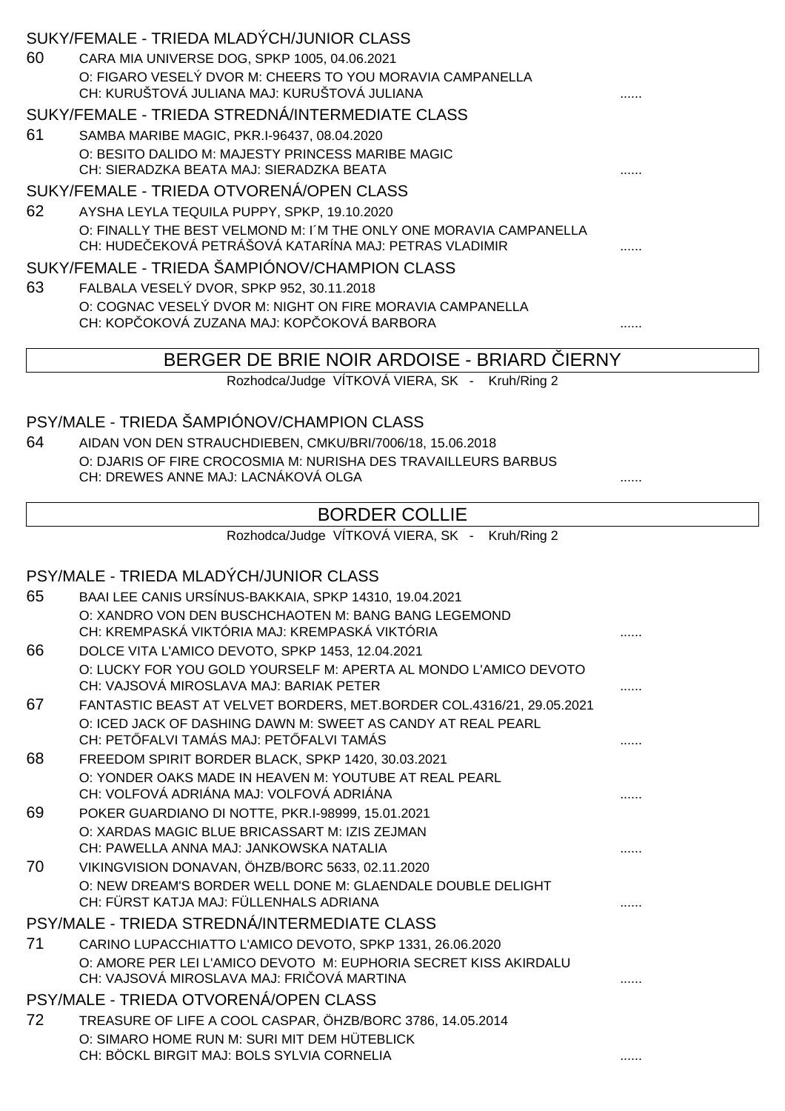| SUKY/FEMALE - TRIEDA STREDNÁ/INTERMEDIATE CLASS<br>61<br>SAMBA MARIBE MAGIC, PKR.I-96437, 08.04.2020<br>O: BESITO DALIDO M: MAJESTY PRINCESS MARIBE MAGIC<br>CH: SIERADZKA BEATA MAJ: SIERADZKA BEATA<br>SUKY/FEMALE - TRIEDA OTVORENÁ/OPEN CLASS<br>62<br>AYSHA LEYLA TEQUILA PUPPY, SPKP, 19.10.2020<br>O: FINALLY THE BEST VELMOND M: I'M THE ONLY ONE MORAVIA CAMPANELLA<br>CH: HUDE EKOVÁ PETRÁŠOVÁ KATARÍNA MAJ: PETRAS VLADIMIR<br>SUKY/FEMALE - TRIEDA ŠAMPIÓNOV/CHAMPION CLASS<br>63<br>FALBALA VESELÝ DVOR, SPKP 952, 30.11.2018<br>O: COGNAC VESELY DVOR M: NIGHT ON FIRE MORAVIA CAMPANELLA<br>CH: KOP OKOVÁ ZUZANA MAJ: KOP OKOVÁ BARBORA<br>BERGER DE BRIE NOIR ARDOISE - BRIARD<br><b>IERNY</b><br>Rozhodca/Judge VÍTKOVÁ VIERA, SK - Kruh/Ring 2<br>PSY/MALE - TRIEDA ŠAMPIÓNOV/CHAMPION CLASS<br>64<br>AIDAN VON DEN STRAUCHDIEBEN, CMKU/BRI/7006/18, 15.06.2018<br>O: DJARIS OF FIRE CROCOSMIA M: NURISHA DES TRAVAILLEURS BARBUS<br>CH: DREWES ANNE MAJ: LACNÁKOVÁ OLGA<br><b>BORDER COLLIE</b><br>Rozhodca/Judge VÍTKOVÁ VIERA, SK - Kruh/Ring 2<br>PSY/MALE - TRIEDA MLADÝCH/JUNIOR CLASS<br>65<br>BAAI LEE CANIS URSÍNUS-BAKKAIA, SPKP 14310, 19.04.2021<br>O: XANDRO VON DEN BUSCHCHAOTEN M: BANG BANG LEGEMOND<br>CH: KREMPASKÁ VIKTÓRIA MAJ: KREMPASKÁ VIKTÓRIA<br>66<br>DOLCE VITA L'AMICO DEVOTO, SPKP 1453, 12.04.2021<br>O: LUCKY FOR YOU GOLD YOURSELF M: APERTA AL MONDO L'AMICO DEVOTO<br>CH: VAJSOVÁ MIROSLAVA MAJ: BARIAK PETER<br>.<br>67<br>FANTASTIC BEAST AT VELVET BORDERS, MET.BORDER COL.4316/21, 29.05.2021<br>O: ICED JACK OF DASHING DAWN M: SWEET AS CANDY AT REAL PEARL<br>CH: PET FALVI TAMÁS MAJ: PET FALVI TAMÁS<br>68<br>FREEDOM SPIRIT BORDER BLACK, SPKP 1420, 30.03.2021<br>O: YONDER OAKS MADE IN HEAVEN M: YOUTUBE AT REAL PEARL<br>CH: VOLFOVÁ ADRIÁNA MAJ: VOLFOVÁ ADRIÁNA<br>.<br>69<br>POKER GUARDIANO DI NOTTE, PKR.I-98999, 15.01.2021<br>O: XARDAS MAGIC BLUE BRICASSART M: IZIS ZEJMAN<br>CH: PAWELLA ANNA MAJ: JANKOWSKA NATALIA<br>70<br>VIKINGVISION DONAVAN, ÖHZB/BORC 5633, 02.11.2020<br>O: NEW DREAM'S BORDER WELL DONE M: GLAENDALE DOUBLE DELIGHT<br>CH: FÜRST KATJA MAJ: FÜLLENHALS ADRIANA<br>PSY/MALE - TRIEDA STREDNÁ/INTERMEDIATE CLASS<br>71<br>CARINO LUPACCHIATTO L'AMICO DEVOTO, SPKP 1331, 26.06.2020<br>O: AMORE PER LEI L'AMICO DEVOTO M: EUPHORIA SECRET KISS AKIRDALU<br>CH: VAJSOVÁ MIROSLAVA MAJ: FRI OVÁ MARTINA<br>PSY/MALE - TRIEDA OTVORENÁ/OPEN CLASS<br>TREASURE OF LIFE A COOL CASPAR, ÖHZB/BORC 3786, 14.05.2014<br>72<br>O: SIMARO HOME RUN M: SURI MIT DEM HÜTEBLICK<br>CH: BÖCKL BIRGIT MAJ: BOLS SYLVIA CORNELIA<br>. | 60 | SUKY/FEMALE - TRIEDA MLADÝCH/JUNIOR CLASS<br>CARA MIA UNIVERSE DOG, SPKP 1005, 04.06.2021<br>O: FIGARO VESELÝ DVOR M: CHEERS TO YOU MORAVIA CAMPANELLA<br>CH: KURUŠTOVÁ JULIANA MAJ: KURUŠTOVÁ JULIANA |  |
|---------------------------------------------------------------------------------------------------------------------------------------------------------------------------------------------------------------------------------------------------------------------------------------------------------------------------------------------------------------------------------------------------------------------------------------------------------------------------------------------------------------------------------------------------------------------------------------------------------------------------------------------------------------------------------------------------------------------------------------------------------------------------------------------------------------------------------------------------------------------------------------------------------------------------------------------------------------------------------------------------------------------------------------------------------------------------------------------------------------------------------------------------------------------------------------------------------------------------------------------------------------------------------------------------------------------------------------------------------------------------------------------------------------------------------------------------------------------------------------------------------------------------------------------------------------------------------------------------------------------------------------------------------------------------------------------------------------------------------------------------------------------------------------------------------------------------------------------------------------------------------------------------------------------------------------------------------------------------------------------------------------------------------------------------------------------------------------------------------------------------------------------------------------------------------------------------------------------------------------------------------------------------------------------------------------------------------------------------------------------------------------------------------------------------------------------------------------------------------------------------------------------------------------------------------------------------------------------------------------------------|----|--------------------------------------------------------------------------------------------------------------------------------------------------------------------------------------------------------|--|
|                                                                                                                                                                                                                                                                                                                                                                                                                                                                                                                                                                                                                                                                                                                                                                                                                                                                                                                                                                                                                                                                                                                                                                                                                                                                                                                                                                                                                                                                                                                                                                                                                                                                                                                                                                                                                                                                                                                                                                                                                                                                                                                                                                                                                                                                                                                                                                                                                                                                                                                                                                                                                           |    |                                                                                                                                                                                                        |  |
|                                                                                                                                                                                                                                                                                                                                                                                                                                                                                                                                                                                                                                                                                                                                                                                                                                                                                                                                                                                                                                                                                                                                                                                                                                                                                                                                                                                                                                                                                                                                                                                                                                                                                                                                                                                                                                                                                                                                                                                                                                                                                                                                                                                                                                                                                                                                                                                                                                                                                                                                                                                                                           |    |                                                                                                                                                                                                        |  |
|                                                                                                                                                                                                                                                                                                                                                                                                                                                                                                                                                                                                                                                                                                                                                                                                                                                                                                                                                                                                                                                                                                                                                                                                                                                                                                                                                                                                                                                                                                                                                                                                                                                                                                                                                                                                                                                                                                                                                                                                                                                                                                                                                                                                                                                                                                                                                                                                                                                                                                                                                                                                                           |    |                                                                                                                                                                                                        |  |
|                                                                                                                                                                                                                                                                                                                                                                                                                                                                                                                                                                                                                                                                                                                                                                                                                                                                                                                                                                                                                                                                                                                                                                                                                                                                                                                                                                                                                                                                                                                                                                                                                                                                                                                                                                                                                                                                                                                                                                                                                                                                                                                                                                                                                                                                                                                                                                                                                                                                                                                                                                                                                           |    |                                                                                                                                                                                                        |  |
|                                                                                                                                                                                                                                                                                                                                                                                                                                                                                                                                                                                                                                                                                                                                                                                                                                                                                                                                                                                                                                                                                                                                                                                                                                                                                                                                                                                                                                                                                                                                                                                                                                                                                                                                                                                                                                                                                                                                                                                                                                                                                                                                                                                                                                                                                                                                                                                                                                                                                                                                                                                                                           |    |                                                                                                                                                                                                        |  |
|                                                                                                                                                                                                                                                                                                                                                                                                                                                                                                                                                                                                                                                                                                                                                                                                                                                                                                                                                                                                                                                                                                                                                                                                                                                                                                                                                                                                                                                                                                                                                                                                                                                                                                                                                                                                                                                                                                                                                                                                                                                                                                                                                                                                                                                                                                                                                                                                                                                                                                                                                                                                                           |    |                                                                                                                                                                                                        |  |
|                                                                                                                                                                                                                                                                                                                                                                                                                                                                                                                                                                                                                                                                                                                                                                                                                                                                                                                                                                                                                                                                                                                                                                                                                                                                                                                                                                                                                                                                                                                                                                                                                                                                                                                                                                                                                                                                                                                                                                                                                                                                                                                                                                                                                                                                                                                                                                                                                                                                                                                                                                                                                           |    |                                                                                                                                                                                                        |  |
|                                                                                                                                                                                                                                                                                                                                                                                                                                                                                                                                                                                                                                                                                                                                                                                                                                                                                                                                                                                                                                                                                                                                                                                                                                                                                                                                                                                                                                                                                                                                                                                                                                                                                                                                                                                                                                                                                                                                                                                                                                                                                                                                                                                                                                                                                                                                                                                                                                                                                                                                                                                                                           |    |                                                                                                                                                                                                        |  |
|                                                                                                                                                                                                                                                                                                                                                                                                                                                                                                                                                                                                                                                                                                                                                                                                                                                                                                                                                                                                                                                                                                                                                                                                                                                                                                                                                                                                                                                                                                                                                                                                                                                                                                                                                                                                                                                                                                                                                                                                                                                                                                                                                                                                                                                                                                                                                                                                                                                                                                                                                                                                                           |    |                                                                                                                                                                                                        |  |
|                                                                                                                                                                                                                                                                                                                                                                                                                                                                                                                                                                                                                                                                                                                                                                                                                                                                                                                                                                                                                                                                                                                                                                                                                                                                                                                                                                                                                                                                                                                                                                                                                                                                                                                                                                                                                                                                                                                                                                                                                                                                                                                                                                                                                                                                                                                                                                                                                                                                                                                                                                                                                           |    |                                                                                                                                                                                                        |  |
|                                                                                                                                                                                                                                                                                                                                                                                                                                                                                                                                                                                                                                                                                                                                                                                                                                                                                                                                                                                                                                                                                                                                                                                                                                                                                                                                                                                                                                                                                                                                                                                                                                                                                                                                                                                                                                                                                                                                                                                                                                                                                                                                                                                                                                                                                                                                                                                                                                                                                                                                                                                                                           |    |                                                                                                                                                                                                        |  |
|                                                                                                                                                                                                                                                                                                                                                                                                                                                                                                                                                                                                                                                                                                                                                                                                                                                                                                                                                                                                                                                                                                                                                                                                                                                                                                                                                                                                                                                                                                                                                                                                                                                                                                                                                                                                                                                                                                                                                                                                                                                                                                                                                                                                                                                                                                                                                                                                                                                                                                                                                                                                                           |    |                                                                                                                                                                                                        |  |
|                                                                                                                                                                                                                                                                                                                                                                                                                                                                                                                                                                                                                                                                                                                                                                                                                                                                                                                                                                                                                                                                                                                                                                                                                                                                                                                                                                                                                                                                                                                                                                                                                                                                                                                                                                                                                                                                                                                                                                                                                                                                                                                                                                                                                                                                                                                                                                                                                                                                                                                                                                                                                           |    |                                                                                                                                                                                                        |  |
|                                                                                                                                                                                                                                                                                                                                                                                                                                                                                                                                                                                                                                                                                                                                                                                                                                                                                                                                                                                                                                                                                                                                                                                                                                                                                                                                                                                                                                                                                                                                                                                                                                                                                                                                                                                                                                                                                                                                                                                                                                                                                                                                                                                                                                                                                                                                                                                                                                                                                                                                                                                                                           |    |                                                                                                                                                                                                        |  |
|                                                                                                                                                                                                                                                                                                                                                                                                                                                                                                                                                                                                                                                                                                                                                                                                                                                                                                                                                                                                                                                                                                                                                                                                                                                                                                                                                                                                                                                                                                                                                                                                                                                                                                                                                                                                                                                                                                                                                                                                                                                                                                                                                                                                                                                                                                                                                                                                                                                                                                                                                                                                                           |    |                                                                                                                                                                                                        |  |
|                                                                                                                                                                                                                                                                                                                                                                                                                                                                                                                                                                                                                                                                                                                                                                                                                                                                                                                                                                                                                                                                                                                                                                                                                                                                                                                                                                                                                                                                                                                                                                                                                                                                                                                                                                                                                                                                                                                                                                                                                                                                                                                                                                                                                                                                                                                                                                                                                                                                                                                                                                                                                           |    |                                                                                                                                                                                                        |  |
|                                                                                                                                                                                                                                                                                                                                                                                                                                                                                                                                                                                                                                                                                                                                                                                                                                                                                                                                                                                                                                                                                                                                                                                                                                                                                                                                                                                                                                                                                                                                                                                                                                                                                                                                                                                                                                                                                                                                                                                                                                                                                                                                                                                                                                                                                                                                                                                                                                                                                                                                                                                                                           |    |                                                                                                                                                                                                        |  |
|                                                                                                                                                                                                                                                                                                                                                                                                                                                                                                                                                                                                                                                                                                                                                                                                                                                                                                                                                                                                                                                                                                                                                                                                                                                                                                                                                                                                                                                                                                                                                                                                                                                                                                                                                                                                                                                                                                                                                                                                                                                                                                                                                                                                                                                                                                                                                                                                                                                                                                                                                                                                                           |    |                                                                                                                                                                                                        |  |
|                                                                                                                                                                                                                                                                                                                                                                                                                                                                                                                                                                                                                                                                                                                                                                                                                                                                                                                                                                                                                                                                                                                                                                                                                                                                                                                                                                                                                                                                                                                                                                                                                                                                                                                                                                                                                                                                                                                                                                                                                                                                                                                                                                                                                                                                                                                                                                                                                                                                                                                                                                                                                           |    |                                                                                                                                                                                                        |  |
|                                                                                                                                                                                                                                                                                                                                                                                                                                                                                                                                                                                                                                                                                                                                                                                                                                                                                                                                                                                                                                                                                                                                                                                                                                                                                                                                                                                                                                                                                                                                                                                                                                                                                                                                                                                                                                                                                                                                                                                                                                                                                                                                                                                                                                                                                                                                                                                                                                                                                                                                                                                                                           |    |                                                                                                                                                                                                        |  |
|                                                                                                                                                                                                                                                                                                                                                                                                                                                                                                                                                                                                                                                                                                                                                                                                                                                                                                                                                                                                                                                                                                                                                                                                                                                                                                                                                                                                                                                                                                                                                                                                                                                                                                                                                                                                                                                                                                                                                                                                                                                                                                                                                                                                                                                                                                                                                                                                                                                                                                                                                                                                                           |    |                                                                                                                                                                                                        |  |
|                                                                                                                                                                                                                                                                                                                                                                                                                                                                                                                                                                                                                                                                                                                                                                                                                                                                                                                                                                                                                                                                                                                                                                                                                                                                                                                                                                                                                                                                                                                                                                                                                                                                                                                                                                                                                                                                                                                                                                                                                                                                                                                                                                                                                                                                                                                                                                                                                                                                                                                                                                                                                           |    |                                                                                                                                                                                                        |  |
|                                                                                                                                                                                                                                                                                                                                                                                                                                                                                                                                                                                                                                                                                                                                                                                                                                                                                                                                                                                                                                                                                                                                                                                                                                                                                                                                                                                                                                                                                                                                                                                                                                                                                                                                                                                                                                                                                                                                                                                                                                                                                                                                                                                                                                                                                                                                                                                                                                                                                                                                                                                                                           |    |                                                                                                                                                                                                        |  |
|                                                                                                                                                                                                                                                                                                                                                                                                                                                                                                                                                                                                                                                                                                                                                                                                                                                                                                                                                                                                                                                                                                                                                                                                                                                                                                                                                                                                                                                                                                                                                                                                                                                                                                                                                                                                                                                                                                                                                                                                                                                                                                                                                                                                                                                                                                                                                                                                                                                                                                                                                                                                                           |    |                                                                                                                                                                                                        |  |
|                                                                                                                                                                                                                                                                                                                                                                                                                                                                                                                                                                                                                                                                                                                                                                                                                                                                                                                                                                                                                                                                                                                                                                                                                                                                                                                                                                                                                                                                                                                                                                                                                                                                                                                                                                                                                                                                                                                                                                                                                                                                                                                                                                                                                                                                                                                                                                                                                                                                                                                                                                                                                           |    |                                                                                                                                                                                                        |  |
|                                                                                                                                                                                                                                                                                                                                                                                                                                                                                                                                                                                                                                                                                                                                                                                                                                                                                                                                                                                                                                                                                                                                                                                                                                                                                                                                                                                                                                                                                                                                                                                                                                                                                                                                                                                                                                                                                                                                                                                                                                                                                                                                                                                                                                                                                                                                                                                                                                                                                                                                                                                                                           |    |                                                                                                                                                                                                        |  |
|                                                                                                                                                                                                                                                                                                                                                                                                                                                                                                                                                                                                                                                                                                                                                                                                                                                                                                                                                                                                                                                                                                                                                                                                                                                                                                                                                                                                                                                                                                                                                                                                                                                                                                                                                                                                                                                                                                                                                                                                                                                                                                                                                                                                                                                                                                                                                                                                                                                                                                                                                                                                                           |    |                                                                                                                                                                                                        |  |
|                                                                                                                                                                                                                                                                                                                                                                                                                                                                                                                                                                                                                                                                                                                                                                                                                                                                                                                                                                                                                                                                                                                                                                                                                                                                                                                                                                                                                                                                                                                                                                                                                                                                                                                                                                                                                                                                                                                                                                                                                                                                                                                                                                                                                                                                                                                                                                                                                                                                                                                                                                                                                           |    |                                                                                                                                                                                                        |  |
|                                                                                                                                                                                                                                                                                                                                                                                                                                                                                                                                                                                                                                                                                                                                                                                                                                                                                                                                                                                                                                                                                                                                                                                                                                                                                                                                                                                                                                                                                                                                                                                                                                                                                                                                                                                                                                                                                                                                                                                                                                                                                                                                                                                                                                                                                                                                                                                                                                                                                                                                                                                                                           |    |                                                                                                                                                                                                        |  |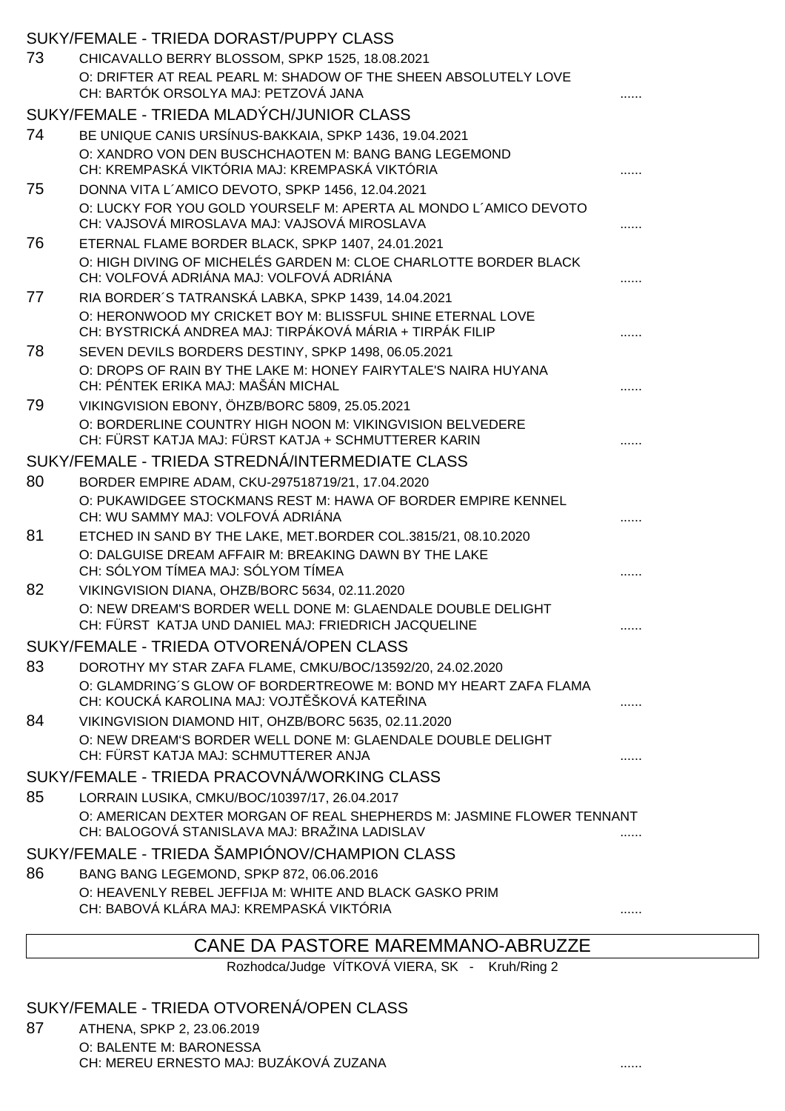|    | SUKY/FEMALE - TRIEDA DORAST/PUPPY CLASS                                                                                |   |
|----|------------------------------------------------------------------------------------------------------------------------|---|
| 73 | CHICAVALLO BERRY BLOSSOM, SPKP 1525, 18.08.2021                                                                        |   |
|    | O: DRIFTER AT REAL PEARL M: SHADOW OF THE SHEEN ABSOLUTELY LOVE                                                        |   |
|    | CH: BARTÓK ORSOLYA MAJ: PETZOVÁ JANA                                                                                   |   |
| 74 | SUKY/FEMALE - TRIEDA MLADÝCH/JUNIOR CLASS                                                                              |   |
|    | BE UNIQUE CANIS URSÍNUS-BAKKAIA, SPKP 1436, 19.04.2021<br>O: XANDRO VON DEN BUSCHCHAOTEN M: BANG BANG LEGEMOND         |   |
|    | CH: KREMPASKÁ VIKTÓRIA MAJ: KREMPASKÁ VIKTÓRIA                                                                         |   |
| 75 | DONNA VITA L'AMICO DEVOTO, SPKP 1456, 12.04.2021                                                                       |   |
|    | O: LUCKY FOR YOU GOLD YOURSELF M: APERTA AL MONDO L'AMICO DEVOTO<br>CH: VAJSOVÁ MIROSLAVA MAJ: VAJSOVÁ MIROSLAVA       |   |
| 76 | ETERNAL FLAME BORDER BLACK, SPKP 1407, 24.01.2021                                                                      |   |
|    | O: HIGH DIVING OF MICHELÉS GARDEN M: CLOE CHARLOTTE BORDER BLACK<br>CH: VOLFOVÁ ADRIÁNA MAJ: VOLFOVÁ ADRIÁNA           |   |
| 77 | RIA BORDER'S TATRANSKÁ LABKA, SPKP 1439, 14.04.2021                                                                    |   |
|    | O: HERONWOOD MY CRICKET BOY M: BLISSFUL SHINE ETERNAL LOVE<br>CH: BYSTRICKÁ ANDREA MAJ: TIRPÁKOVÁ MÁRIA + TIRPÁK FILIP |   |
| 78 | SEVEN DEVILS BORDERS DESTINY, SPKP 1498, 06.05.2021                                                                    |   |
|    | O: DROPS OF RAIN BY THE LAKE M: HONEY FAIRYTALE'S NAIRA HUYANA                                                         |   |
| 79 | CH: PÉNTEK ERIKA MAJ: MAŠÁN MICHAL<br>VIKINGVISION EBONY, ÖHZB/BORC 5809, 25.05.2021                                   |   |
|    | O: BORDERLINE COUNTRY HIGH NOON M: VIKINGVISION BELVEDERE                                                              |   |
|    | CH: FÜRST KATJA MAJ: FÜRST KATJA + SCHMUTTERER KARIN                                                                   |   |
|    | SUKY/FEMALE - TRIEDA STREDNÁ/INTERMEDIATE CLASS                                                                        |   |
| 80 | BORDER EMPIRE ADAM, CKU-297518719/21, 17.04.2020                                                                       |   |
|    | O: PUKAWIDGEE STOCKMANS REST M: HAWA OF BORDER EMPIRE KENNEL<br>CH: WU SAMMY MAJ: VOLFOVÁ ADRIÁNA                      |   |
| 81 | ETCHED IN SAND BY THE LAKE, MET.BORDER COL.3815/21, 08.10.2020                                                         |   |
|    | O: DALGUISE DREAM AFFAIR M: BREAKING DAWN BY THE LAKE<br>CH: SÓLYOM TÍMEA MAJ: SÓLYOM TÍMEA                            |   |
| 82 | VIKINGVISION DIANA, OHZB/BORC 5634, 02.11.2020                                                                         |   |
|    | O: NEW DREAM'S BORDER WELL DONE M: GLAENDALE DOUBLE DELIGHT<br>CH: FÜRST KATJA UND DANIEL MAJ: FRIEDRICH JACQUELINE    | . |
|    | SUKY/FEMALE - TRIEDA OTVORENÁ/OPEN CLASS                                                                               |   |
| 83 | DOROTHY MY STAR ZAFA FLAME, CMKU/BOC/13592/20, 24.02.2020                                                              |   |
|    | O: GLAMDRING'S GLOW OF BORDERTREOWE M: BOND MY HEART ZAFA FLAMA<br>CH: KOUCKÁ KAROLINA MAJ: VOJT ŠKOVÁ KATE INA        |   |
| 84 | VIKINGVISION DIAMOND HIT, OHZB/BORC 5635, 02.11.2020                                                                   |   |
|    | O: NEW DREAM'S BORDER WELL DONE M: GLAENDALE DOUBLE DELIGHT<br>CH: FÜRST KATJA MAJ: SCHMUTTERER ANJA                   |   |
|    | SUKY/FEMALE - TRIEDA PRACOVNÁ/WORKING CLASS                                                                            |   |
| 85 | LORRAIN LUSIKA, CMKU/BOC/10397/17, 26.04.2017                                                                          |   |
|    | O: AMERICAN DEXTER MORGAN OF REAL SHEPHERDS M: JASMINE FLOWER TENNANT<br>CH: BALOGOVÁ STANISLAVA MAJ: BRAŽINA LADISLAV |   |
|    | SUKY/FEMALE - TRIEDA ŠAMPIÓNOV/CHAMPION CLASS                                                                          |   |
| 86 | BANG BANG LEGEMOND, SPKP 872, 06.06.2016                                                                               |   |
|    | O: HEAVENLY REBEL JEFFIJA M: WHITE AND BLACK GASKO PRIM                                                                |   |
|    | CH: BABOVÁ KLÁRA MAJ: KREMPASKÁ VIKTÓRIA                                                                               |   |

## CANE DA PASTORE MAREMMANO-ABRUZZE

Rozhodca/Judge VÍTKOVÁ VIERA, SK - Kruh/Ring 2

SUKY/FEMALE - TRIEDA OTVORENÁ/OPEN CLASS

87 ATHENA, SPKP 2, 23.06.2019 O: BALENTE M: BARONESSA CH: MEREU ERNESTO MAJ: BUZÁKOVÁ ZUZANA ......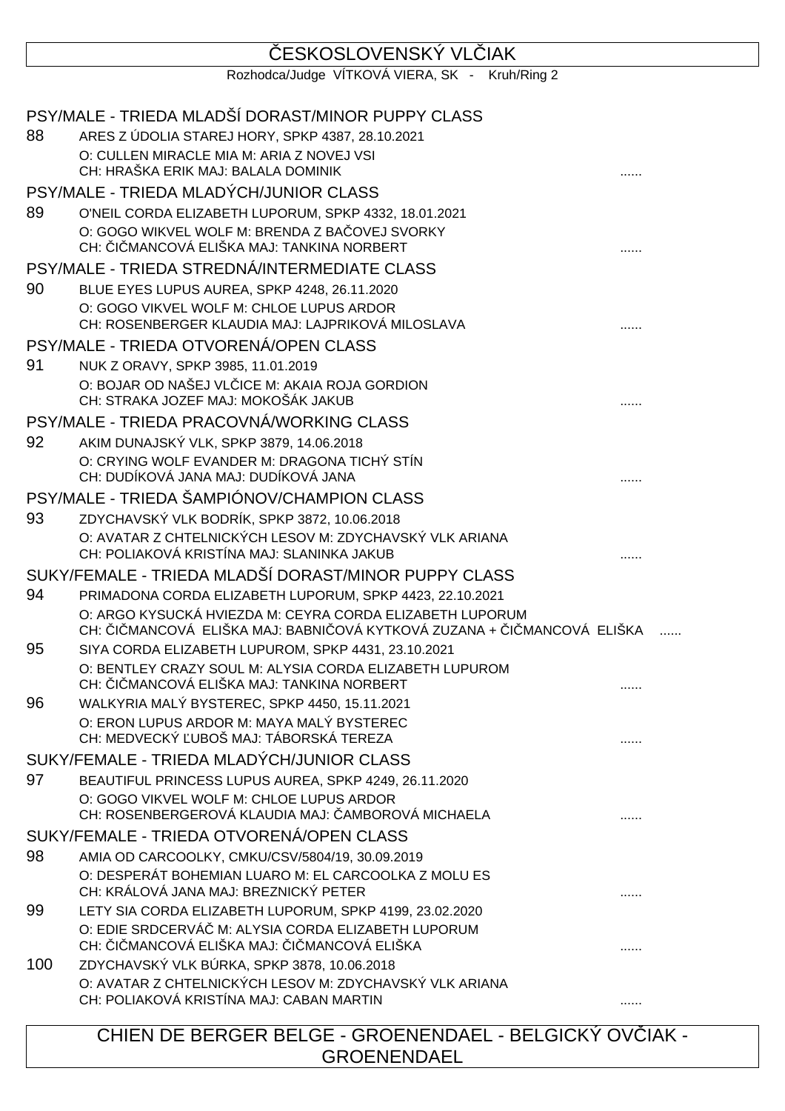# ESKOSLOVENSKÝ VL IAK

Rozhodca/Judge VÍTKOVÁ VIERA, SK - Kruh/Ring 2

|     | PSY/MALE - TRIEDA MLADŠÍ DORAST/MINOR PUPPY CLASS                                                                                 |  |
|-----|-----------------------------------------------------------------------------------------------------------------------------------|--|
| 88  | ARES Z ÚDOLIA STAREJ HORY, SPKP 4387, 28.10.2021                                                                                  |  |
|     | O: CULLEN MIRACLE MIA M: ARIA Z NOVEJ VSI<br>CH: HRAŠKA ERIK MAJ: BALALA DOMINIK                                                  |  |
|     | PSY/MALE - TRIEDA MLADÝCH/JUNIOR CLASS                                                                                            |  |
| 89  | O'NEIL CORDA ELIZABETH LUPORUM, SPKP 4332, 18.01.2021                                                                             |  |
|     | O: GOGO WIKVEL WOLF M: BRENDA Z BA OVEJ SVORKY                                                                                    |  |
|     | CH: I MANCOVÁ ELIŠKA MAJ: TANKINA NORBERT                                                                                         |  |
|     | PSY/MALE - TRIEDA STREDNÁ/INTERMEDIATE CLASS                                                                                      |  |
| 90  | BLUE EYES LUPUS AUREA, SPKP 4248, 26.11.2020                                                                                      |  |
|     | O: GOGO VIKVEL WOLF M: CHLOE LUPUS ARDOR<br>CH: ROSENBERGER KLAUDIA MAJ: LAJPRIKOVÁ MILOSLAVA                                     |  |
|     | PSY/MALE - TRIEDA OTVORENÁ/OPEN CLASS                                                                                             |  |
| 91  | NUK Z ORAVY, SPKP 3985, 11.01.2019                                                                                                |  |
|     | O: BOJAR OD NAŠEJ VL ICE M: AKAIA ROJA GORDION<br>CH: STRAKA JOZEF MAJ: MOKOŠÁK JAKUB                                             |  |
|     | PSY/MALE - TRIEDA PRACOVNÁ/WORKING CLASS                                                                                          |  |
| 92  | AKIM DUNAJSKÝ VLK, SPKP 3879, 14.06.2018                                                                                          |  |
|     | O: CRYING WOLF EVANDER M: DRAGONA TICHÝ STÍN                                                                                      |  |
|     | CH: DUDÍKOVÁ JANA MAJ: DUDÍKOVÁ JANA                                                                                              |  |
|     | PSY/MALE - TRIEDA ŠAMPIÓNOV/CHAMPION CLASS                                                                                        |  |
| 93  | ZDYCHAVSKÝ VLK BODRÍK, SPKP 3872, 10.06.2018<br>O: AVATAR Z CHTELNICKÝCH LESOV M: ZDYCHAVSKÝ VLK ARIANA                           |  |
|     | CH: POLIAKOVÁ KRISTÍNA MAJ: SLANINKA JAKUB                                                                                        |  |
|     | SUKY/FEMALE - TRIEDA MLADŠÍ DORAST/MINOR PUPPY CLASS                                                                              |  |
| 94  | PRIMADONA CORDA ELIZABETH LUPORUM, SPKP 4423, 22.10.2021                                                                          |  |
|     | O: ARGO KYSUCKÁ HVIEZDA M: CEYRA CORDA ELIZABETH LUPORUM<br>CH: I MANCOVÁ ELIŠKA MAJ: BABNI OVÁ KYTKOVÁ ZUZANA + I MANCOVÁ ELIŠKA |  |
| 95  | SIYA CORDA ELIZABETH LUPUROM, SPKP 4431, 23.10.2021                                                                               |  |
|     | O: BENTLEY CRAZY SOUL M: ALYSIA CORDA ELIZABETH LUPUROM<br>CH: I MANCOVÁ ELIŠKA MAJ: TANKINA NORBERT                              |  |
| 96  | WALKYRIA MALÝ BYSTEREC, SPKP 4450, 15.11.2021                                                                                     |  |
|     | O: ERON LUPUS ARDOR M: MAYA MALÝ BYSTEREC<br>CH: MEDVECKÝ UBOŠ MAJ: TÁBORSKÁ TEREZA                                               |  |
|     | SUKY/FEMALE - TRIEDA MLADÝCH/JUNIOR CLASS                                                                                         |  |
| 97  | BEAUTIFUL PRINCESS LUPUS AUREA, SPKP 4249, 26.11.2020                                                                             |  |
|     | O: GOGO VIKVEL WOLF M: CHLOE LUPUS ARDOR<br>CH: ROSENBERGEROVÁ KLAUDIA MAJ: AMBOROVÁ MICHAELA                                     |  |
|     | SUKY/FEMALE - TRIEDA OTVORENÁ/OPEN CLASS                                                                                          |  |
| 98  | AMIA OD CARCOOLKY, CMKU/CSV/5804/19, 30.09.2019                                                                                   |  |
|     | O: DESPERÁT BOHEMIAN LUARO M: EL CARCOOLKA Z MOLU ES<br>CH: KRÁLOVÁ JANA MAJ: BREZNICKÝ PETER                                     |  |
| 99  | LETY SIA CORDA ELIZABETH LUPORUM, SPKP 4199, 23.02.2020                                                                           |  |
|     | O: EDIE SRDCERVÁ M: ALYSIA CORDA ELIZABETH LUPORUM<br>CH: I MANCOVÁ ELIŠKA MAJ: I MANCOVÁ ELIŠKA                                  |  |
| 100 | ZDYCHAVSKÝ VLK BÚRKA, SPKP 3878, 10.06.2018                                                                                       |  |
|     | O: AVATAR Z CHTELNICKÝCH LESOV M: ZDYCHAVSKÝ VLK ARIANA<br>CH: POLIAKOVÁ KRISTÍNA MAJ: CABAN MARTIN                               |  |
|     | CHIEN DE BERGER BELGE - GROENENDAEL - BELGICKÝ OV IAK -                                                                           |  |

GROENENDAEL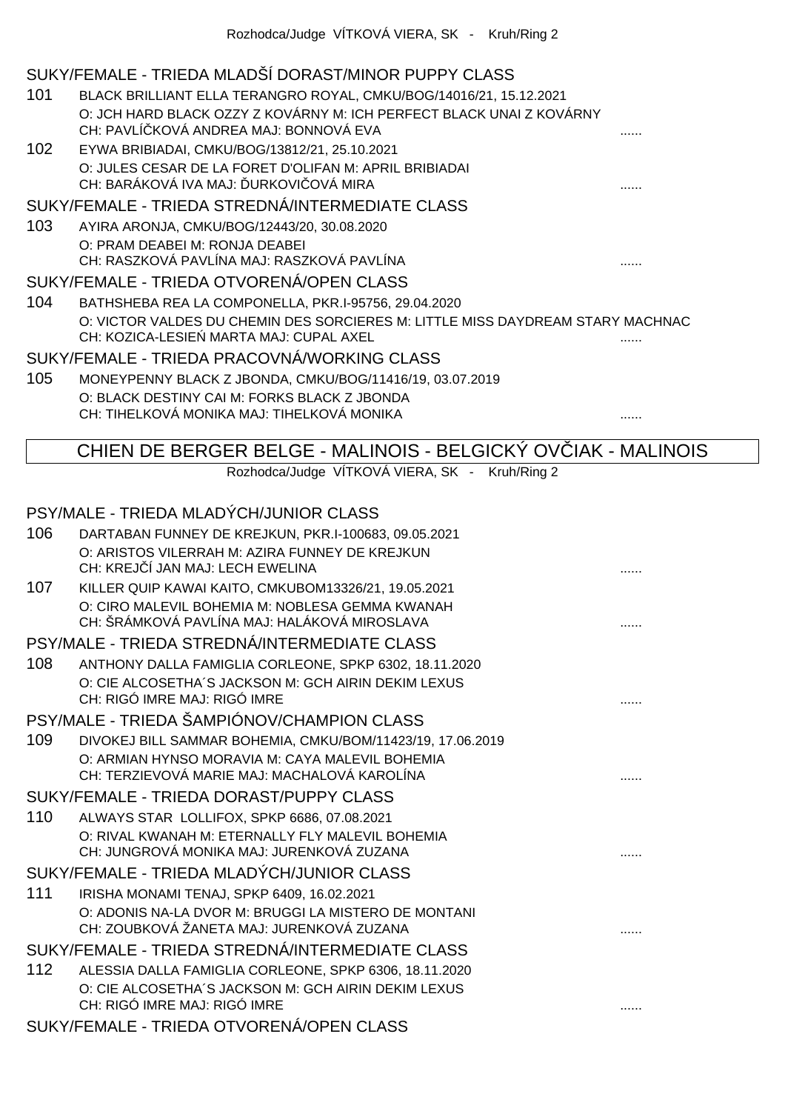## SUKY/FEMALE - TRIEDA MLADŠÍ DORAST/MINOR PUPPY CLASS

- 101 BLACK BRILLIANT ELLA TERANGRO ROYAL, CMKU/BOG/14016/21, 15.12.2021 O: JCH HARD BLACK OZZY Z KOVÁRNY M: ICH PERFECT BLACK UNAI Z KOVÁRNY CH: PAVLÍČKOVÁ ANDREA MAJ: BONNOVÁ EVA ......
- 102 EYWA BRIBIADAI, CMKU/BOG/13812/21, 25.10.2021 O: JULES CESAR DE LA FORET D'OLIFAN M: APRIL BRIBIADAI CH: BARÁKOVÁ IVA MAJ: ĎURKOVIČOVÁ MIRA ......

#### SUKY/FEMALE - TRIEDA STREDNÁ/INTERMEDIATE CLASS

103 AYIRA ARONJA, CMKU/BOG/12443/20, 30.08.2020 O: PRAM DEABEI M: RONJA DEABEI CH: RASZKOVÁ PAVLÍNA MAJ: RASZKOVÁ PAVLÍNA ......

#### SUKY/FEMALE - TRIEDA OTVORENÁ/OPEN CLASS

104 BATHSHEBA REA LA COMPONELLA, PKR.I-95756, 29.04.2020 O: VICTOR VALDES DU CHEMIN DES SORCIERES M: LITTLE MISS DAYDREAM STARY MACHNAC CH: KOZICA-LESIE MARTA MAJ: CUPAL AXEL

#### SUKY/FEMALE - TRIEDA PRACOVNÁ/WORKING CLASS

105 MONEYPENNY BLACK Z JBONDA, CMKU/BOG/11416/19, 03.07.2019 O: BLACK DESTINY CAI M: FORKS BLACK Z JBONDA CH: TIHELKOVÁ MONIKA MAJ: TIHELKOVÁ MONIKA ......

CHIEN DE BERGER BELGE - MALINOIS - BELGICKÝ OVČIAK - MALINOIS

Rozhodca/Judge VÍTKOVÁ VIERA, SK - Kruh/Ring 2

## PSY/MALE - TRIEDA MLADÝCH/JUNIOR CLASS 106 DARTABAN FUNNEY DE KREJKUN, PKR.I-100683, 09.05.2021 O: ARISTOS VILERRAH M: AZIRA FUNNEY DE KREJKUN CH: KREJČÍ JAN MAJ: LECH EWELINA ...... 107 KILLER QUIP KAWAI KAITO, CMKUBOM13326/21, 19.05.2021 O: CIRO MALEVIL BOHEMIA M: NOBLESA GEMMA KWANAH CH: ŠRÁMKOVÁ PAVLÍNA MAJ: HALÁKOVÁ MIROSLAVA ...... PSY/MALE - TRIEDA STREDNÁ/INTERMEDIATE CLASS 108 ANTHONY DALLA FAMIGLIA CORLEONE, SPKP 6302, 18.11.2020 O: CIE ALCOSETHA´S JACKSON M: GCH AIRIN DEKIM LEXUS CH: RIGÓ IMRE MAJ: RIGÓ IMRE ...... PSY/MALE - TRIEDA ŠAMPIÓNOV/CHAMPION CLASS 109 DIVOKEJ BILL SAMMAR BOHEMIA, CMKU/BOM/11423/19, 17.06.2019 O: ARMIAN HYNSO MORAVIA M: CAYA MALEVIL BOHEMIA CH: TERZIEVOVÁ MARIE MAJ: MACHALOVÁ KAROLÍNA ...... SUKY/FEMALE - TRIEDA DORAST/PUPPY CLASS 110 ALWAYS STAR LOLLIFOX, SPKP 6686, 07.08.2021 O: RIVAL KWANAH M: ETERNALLY FLY MALEVIL BOHEMIA CH: JUNGROVÁ MONIKA MAJ: JURENKOVÁ ZUZANA ...... SUKY/FEMALE - TRIEDA MLADÝCH/JUNIOR CLASS 111 IRISHA MONAMI TENAJ, SPKP 6409, 16.02.2021 O: ADONIS NA-LA DVOR M: BRUGGI LA MISTERO DE MONTANI CH: ZOUBKOVÁ ŽANETA MAJ: JURENKOVÁ ZUZANA ...... SUKY/FEMALE - TRIEDA STREDNÁ/INTERMEDIATE CLASS 112 ALESSIA DALLA FAMIGLIA CORLEONE, SPKP 6306, 18.11.2020 O: CIE ALCOSETHA´S JACKSON M: GCH AIRIN DEKIM LEXUS CH: RIGÓ IMRE MAJ: RIGÓ IMRE ...... SUKY/FEMALE - TRIEDA OTVORENÁ/OPEN CLASS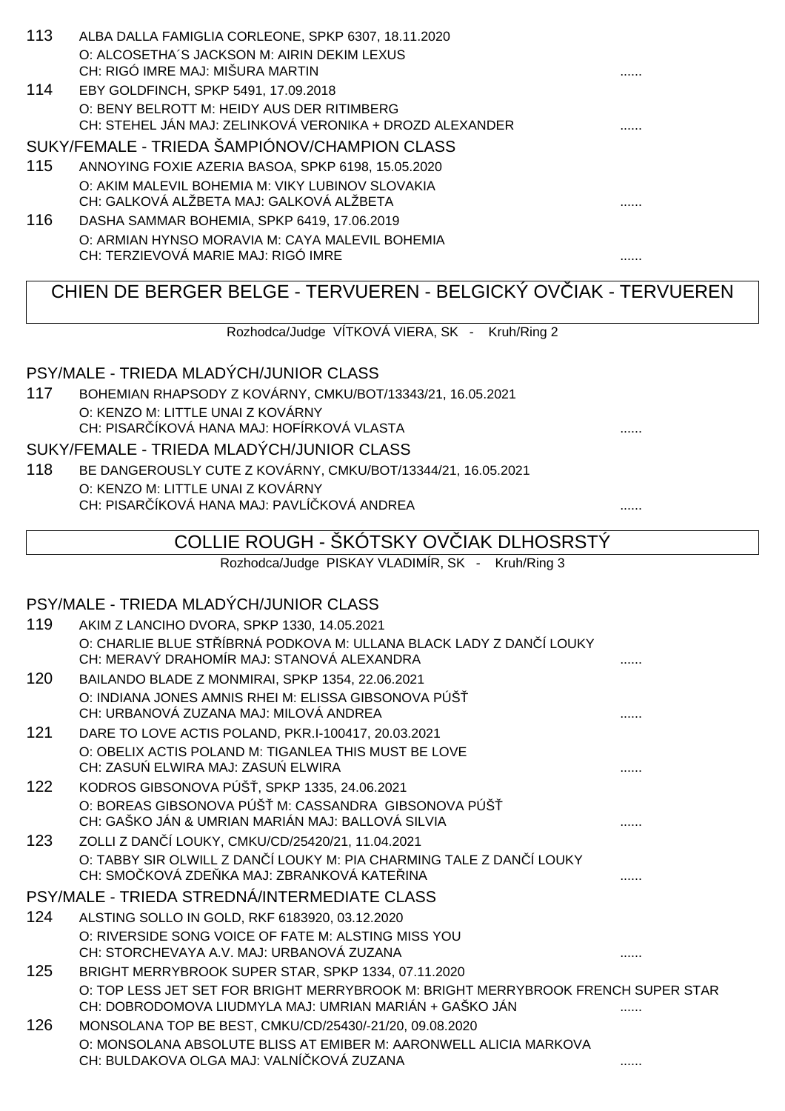| O: ALCOSETHA'S JACKSON M: AIRIN DEKIM LEXUS<br>CH: RIGÓ IMRE MAJ: MIŠURA MARTIN<br>.<br>114<br>EBY GOLDFINCH, SPKP 5491, 17.09.2018<br>O: BENY BELROTT M: HEIDY AUS DER RITIMBERG<br>CH: STEHEL JÁN MAJ: ZELINKOVÁ VERONIKA + DROZD ALEXANDER<br>SUKY/FEMALE - TRIEDA ŠAMPIÓNOV/CHAMPION CLASS<br>115<br>ANNOYING FOXIE AZERIA BASOA, SPKP 6198, 15.05.2020<br>O: AKIM MALEVIL BOHEMIA M: VIKY LUBINOV SLOVAKIA<br>CH: GALKOVÁ ALŽBETA MAJ: GALKOVÁ ALŽBETA<br>116<br>DASHA SAMMAR BOHEMIA, SPKP 6419, 17.06.2019<br>O: ARMIAN HYNSO MORAVIA M: CAYA MALEVIL BOHEMIA<br>CH: TERZIEVOVÁ MARIE MAJ: RIGÓ IMRE<br>.<br>CHIEN DE BERGER BELGE - TERVUEREN - BELGICKÝ OV IAK - TERVUEREN | 113 | ALBA DALLA FAMIGLIA CORLEONE, SPKP 6307, 18.11.2020 |  |
|-------------------------------------------------------------------------------------------------------------------------------------------------------------------------------------------------------------------------------------------------------------------------------------------------------------------------------------------------------------------------------------------------------------------------------------------------------------------------------------------------------------------------------------------------------------------------------------------------------------------------------------------------------------------------------------|-----|-----------------------------------------------------|--|
|                                                                                                                                                                                                                                                                                                                                                                                                                                                                                                                                                                                                                                                                                     |     |                                                     |  |
|                                                                                                                                                                                                                                                                                                                                                                                                                                                                                                                                                                                                                                                                                     |     |                                                     |  |
|                                                                                                                                                                                                                                                                                                                                                                                                                                                                                                                                                                                                                                                                                     |     |                                                     |  |
|                                                                                                                                                                                                                                                                                                                                                                                                                                                                                                                                                                                                                                                                                     |     |                                                     |  |
|                                                                                                                                                                                                                                                                                                                                                                                                                                                                                                                                                                                                                                                                                     |     |                                                     |  |
|                                                                                                                                                                                                                                                                                                                                                                                                                                                                                                                                                                                                                                                                                     |     |                                                     |  |
|                                                                                                                                                                                                                                                                                                                                                                                                                                                                                                                                                                                                                                                                                     |     |                                                     |  |
|                                                                                                                                                                                                                                                                                                                                                                                                                                                                                                                                                                                                                                                                                     |     |                                                     |  |
|                                                                                                                                                                                                                                                                                                                                                                                                                                                                                                                                                                                                                                                                                     |     |                                                     |  |
|                                                                                                                                                                                                                                                                                                                                                                                                                                                                                                                                                                                                                                                                                     |     |                                                     |  |
|                                                                                                                                                                                                                                                                                                                                                                                                                                                                                                                                                                                                                                                                                     |     |                                                     |  |
|                                                                                                                                                                                                                                                                                                                                                                                                                                                                                                                                                                                                                                                                                     |     |                                                     |  |
|                                                                                                                                                                                                                                                                                                                                                                                                                                                                                                                                                                                                                                                                                     |     |                                                     |  |
|                                                                                                                                                                                                                                                                                                                                                                                                                                                                                                                                                                                                                                                                                     |     |                                                     |  |
|                                                                                                                                                                                                                                                                                                                                                                                                                                                                                                                                                                                                                                                                                     |     |                                                     |  |
|                                                                                                                                                                                                                                                                                                                                                                                                                                                                                                                                                                                                                                                                                     |     | Rozhodca/Judge VÍTKOVÁ VIERA, SK - Kruh/Ring 2      |  |

## PSY/MALE - TRIEDA MLADÝCH/JUNIOR CLASS

117 BOHEMIAN RHAPSODY Z KOVÁRNY, CMKU/BOT/13343/21, 16.05.2021 O: KENZO M: LITTLE UNAI Z KOVÁRNY CH: PISAR ÍKOVÁ HANA MAJ: HOFÍRKOVÁ VLASTA **Extra administrativa algumentos de la con** 

### SUKY/FEMALE - TRIEDA MLADÝCH/JUNIOR CLASS

118 BE DANGEROUSLY CUTE Z KOVÁRNY, CMKU/BOT/13344/21, 16.05.2021 O: KENZO M: LITTLE UNAI Z KOVÁRNY CH: PISAR ÍKOVÁ HANA MAJ: PAVLÍ KOVÁ ANDREA **Externa a 1999 a 1999.** ......

# COLLIE ROUGH - ŠKÓTSKY OV IAK DLHOSRSTÝ

## Rozhodca/Judge PISKAY VLADIMÍR, SK - Kruh/Ring 3

## PSY/MALE - TRIEDA MLADÝCH/JUNIOR CLASS

| 119 | AKIM Z LANCIHO DVORA, SPKP 1330, 14.05.2021                                      |  |
|-----|----------------------------------------------------------------------------------|--|
|     | O: CHARLIE BLUE ST ÍBRNÁ PODKOVA M: ULLANA BLACK LADY Z DAN Í LOUKY              |  |
|     | CH: MERAVÝ DRAHOMÍR MAJ: STANOVÁ ALEXANDRA                                       |  |
| 120 | BAILANDO BLADE Z MONMIRAI, SPKP 1354, 22.06.2021                                 |  |
|     | O: INDIANA JONES AMNIS RHEI M: ELISSA GIBSONOVA PÚŠ                              |  |
|     | CH: URBANOVÁ ZUZANA MAJ: MILOVÁ ANDREA                                           |  |
| 121 | DARE TO LOVE ACTIS POLAND, PKR.I-100417, 20.03.2021                              |  |
|     | O: OBELIX ACTIS POLAND M: TIGANLEA THIS MUST BE LOVE                             |  |
|     | CH: ZASU ELWIRA MAJ: ZASU ELWIRA                                                 |  |
| 122 | KODROS GIBSONOVA PÚŠ, SPKP 1335, 24.06.2021                                      |  |
|     | O: BOREAS GIBSONOVA PÚŠ M: CASSANDRA GIBSONOVA PÚŠ                               |  |
|     | CH: GAŠKO JÁN & UMRIAN MARIÁN MAJ: BALLOVÁ SILVIA                                |  |
| 123 | ZOLLI Z DAN 1 LOUKY, CMKU/CD/25420/21, 11.04.2021                                |  |
|     | O: TABBY SIR OLWILL Z DAN Í LOUKY M: PIA CHARMING TALE Z DAN Í LOUKY             |  |
|     | CH: SMO KOVÁ ZDE KA MAJ: ZBRANKOVÁ KATE INA                                      |  |
|     | PSY/MALE - TRIEDA STREDNÁ/INTERMEDIATE CLASS                                     |  |
| 124 | ALSTING SOLLO IN GOLD, RKF 6183920, 03.12.2020                                   |  |
|     | O: RIVERSIDE SONG VOICE OF FATE M: ALSTING MISS YOU                              |  |
|     | CH: STORCHEVAYA A.V. MAJ: URBANOVÁ ZUZANA                                        |  |
| 125 | BRIGHT MERRYBROOK SUPER STAR, SPKP 1334, 07.11.2020                              |  |
|     | O: TOP LESS JET SET FOR BRIGHT MERRYBROOK M: BRIGHT MERRYBROOK FRENCH SUPER STAR |  |
|     | CH: DOBRODOMOVA LIUDMYLA MAJ: UMRIAN MARIÁN + GAŠKO JÁN                          |  |
| 126 | MONSOLANA TOP BE BEST, CMKU/CD/25430/-21/20, 09.08.2020                          |  |
|     | O: MONSOLANA ABSOLUTE BLISS AT EMIBER M: AARONWELL ALICIA MARKOVA                |  |
|     | CH: BULDAKOVA OLGA MAJ: VALNÍ KOVÁ ZUZANA                                        |  |
|     |                                                                                  |  |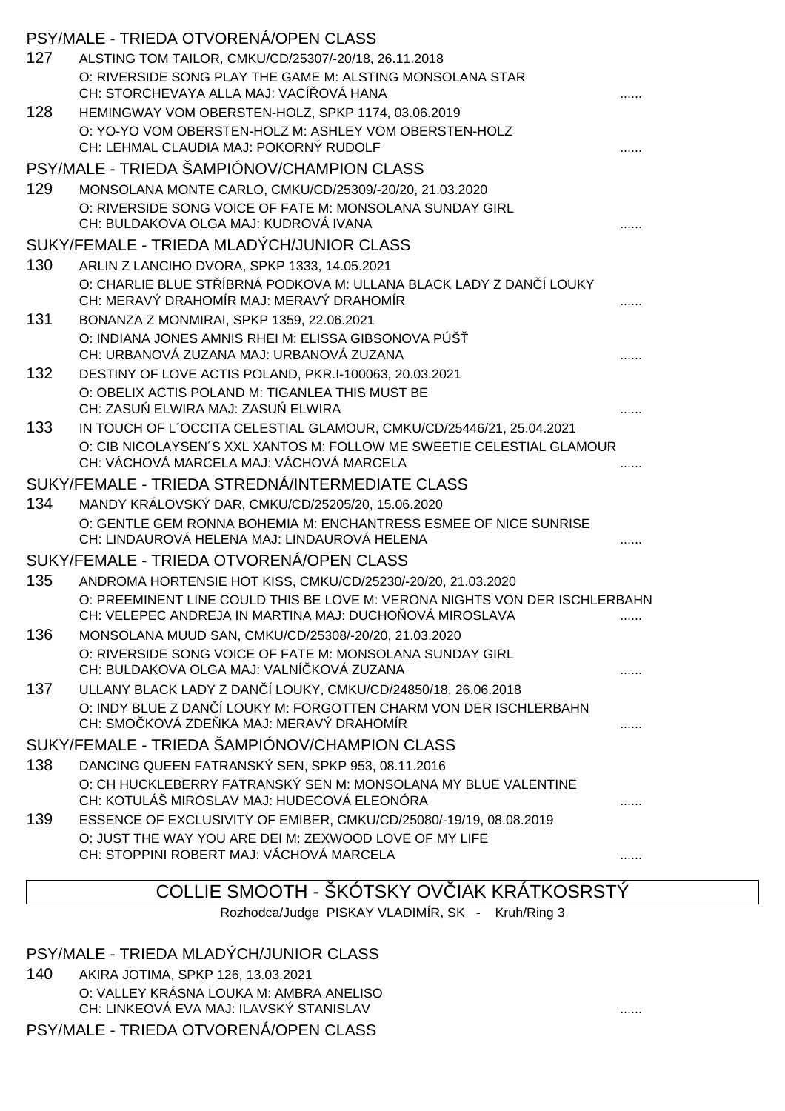|     | PSY/MALE - TRIEDA OTVORENÁ/OPEN CLASS                                                                            |  |
|-----|------------------------------------------------------------------------------------------------------------------|--|
| 127 | ALSTING TOM TAILOR, CMKU/CD/25307/-20/18, 26.11.2018                                                             |  |
|     | O: RIVERSIDE SONG PLAY THE GAME M: ALSTING MONSOLANA STAR<br>CH: STORCHEVAYA ALLA MAJ: VACÍ OVÁ HANA             |  |
| 128 | HEMINGWAY VOM OBERSTEN-HOLZ, SPKP 1174, 03.06.2019                                                               |  |
|     | O: YO-YO VOM OBERSTEN-HOLZ M: ASHLEY VOM OBERSTEN-HOLZ<br>CH: LEHMAL CLAUDIA MAJ: POKORNÝ RUDOLF                 |  |
|     | PSY/MALE - TRIEDA ŠAMPIÓNOV/CHAMPION CLASS                                                                       |  |
| 129 | MONSOLANA MONTE CARLO, CMKU/CD/25309/-20/20, 21.03.2020                                                          |  |
|     | O: RIVERSIDE SONG VOICE OF FATE M: MONSOLANA SUNDAY GIRL<br>CH: BULDAKOVA OLGA MAJ: KUDROVÁ IVANA                |  |
|     | SUKY/FEMALE - TRIEDA MLADÝCH/JUNIOR CLASS                                                                        |  |
| 130 | ARLIN Z LANCIHO DVORA, SPKP 1333, 14.05.2021                                                                     |  |
|     | O: CHARLIE BLUE ST ÍBRNÁ PODKOVA M: ULLANA BLACK LADY Z DAN Í LOUKY<br>CH: MERAVÝ DRAHOMÍR MAJ: MERAVÝ DRAHOMÍR  |  |
| 131 | BONANZA Z MONMIRAI, SPKP 1359, 22.06.2021                                                                        |  |
|     | O: INDIANA JONES AMNIS RHEI M: ELISSA GIBSONOVA PÚŠ<br>CH: URBANOVÁ ZUZANA MAJ: URBANOVÁ ZUZANA                  |  |
| 132 | DESTINY OF LOVE ACTIS POLAND, PKR.I-100063, 20.03.2021                                                           |  |
|     | O: OBELIX ACTIS POLAND M: TIGANLEA THIS MUST BE                                                                  |  |
|     | CH: ZASU ELWIRA MAJ: ZASU ELWIRA                                                                                 |  |
| 133 | IN TOUCH OF L'OCCITA CELESTIAL GLAMOUR, CMKU/CD/25446/21, 25.04.2021                                             |  |
|     | O: CIB NICOLAYSEN'S XXL XANTOS M: FOLLOW ME SWEETIE CELESTIAL GLAMOUR                                            |  |
|     | CH: VÁCHOVÁ MARCELA MAJ: VÁCHOVÁ MARCELA<br>SUKY/FEMALE - TRIEDA STREDNÁ/INTERMEDIATE CLASS                      |  |
| 134 | MANDY KRÁLOVSKÝ DAR, CMKU/CD/25205/20, 15.06.2020                                                                |  |
|     | O: GENTLE GEM RONNA BOHEMIA M: ENCHANTRESS ESMEE OF NICE SUNRISE                                                 |  |
|     | CH: LINDAUROVÁ HELENA MAJ: LINDAUROVÁ HELENA                                                                     |  |
|     | SUKY/FEMALE - TRIEDA OTVORENÁ/OPEN CLASS                                                                         |  |
| 135 | ANDROMA HORTENSIE HOT KISS, CMKU/CD/25230/-20/20, 21.03.2020                                                     |  |
|     | O: PREEMINENT LINE COULD THIS BE LOVE M: VERONA NIGHTS VON DER ISCHLERBAHN                                       |  |
|     | CH: VELEPEC ANDREJA IN MARTINA MAJ: DUCHO OVÁ MIROSLAVA                                                          |  |
| 136 | MONSOLANA MUUD SAN, CMKU/CD/25308/-20/20, 21.03.2020<br>O: RIVERSIDE SONG VOICE OF FATE M: MONSOLANA SUNDAY GIRL |  |
|     | CH: BULDAKOVA OLGA MAJ: VALNÍ KOVÁ ZUZANA                                                                        |  |
| 137 | ULLANY BLACK LADY Z DAN Í LOUKY, CMKU/CD/24850/18, 26.06.2018                                                    |  |
|     | O: INDY BLUE Z DAN I LOUKY M: FORGOTTEN CHARM VON DER ISCHLERBAHN<br>CH: SMO KOVÁ ZDE KA MAJ: MERAVÝ DRAHOMÍR    |  |
|     | SUKY/FEMALE - TRIEDA ŠAMPIÓNOV/CHAMPION CLASS                                                                    |  |
| 138 | DANCING QUEEN FATRANSKÝ SEN, SPKP 953, 08.11.2016                                                                |  |
|     | O: CH HUCKLEBERRY FATRANSKÝ SEN M: MONSOLANA MY BLUE VALENTINE                                                   |  |
|     | CH: KOTULÁŠ MIROSLAV MAJ: HUDECOVÁ ELEONÓRA                                                                      |  |
| 139 | ESSENCE OF EXCLUSIVITY OF EMIBER, CMKU/CD/25080/-19/19, 08.08.2019                                               |  |
|     | O: JUST THE WAY YOU ARE DEI M: ZEXWOOD LOVE OF MY LIFE<br>CH: STOPPINI ROBERT MAJ: VÁCHOVÁ MARCELA               |  |
|     |                                                                                                                  |  |

# COLLIE SMOOTH - ŠKÓTSKY OV IAK KRÁTKOSRSTÝ

Rozhodca/Judge PISKAY VLADIMÍR, SK - Kruh/Ring 3

PSY/MALE - TRIEDA MLADÝCH/JUNIOR CLASS

140 AKIRA JOTIMA, SPKP 126, 13.03.2021 O: VALLEY KRÁSNA LOUKA M: AMBRA ANELISO CH: LINKEOVÁ EVA MAJ: ILAVSKÝ STANISLAV ...... PSY/MALE - TRIEDA OTVORENÁ/OPEN CLASS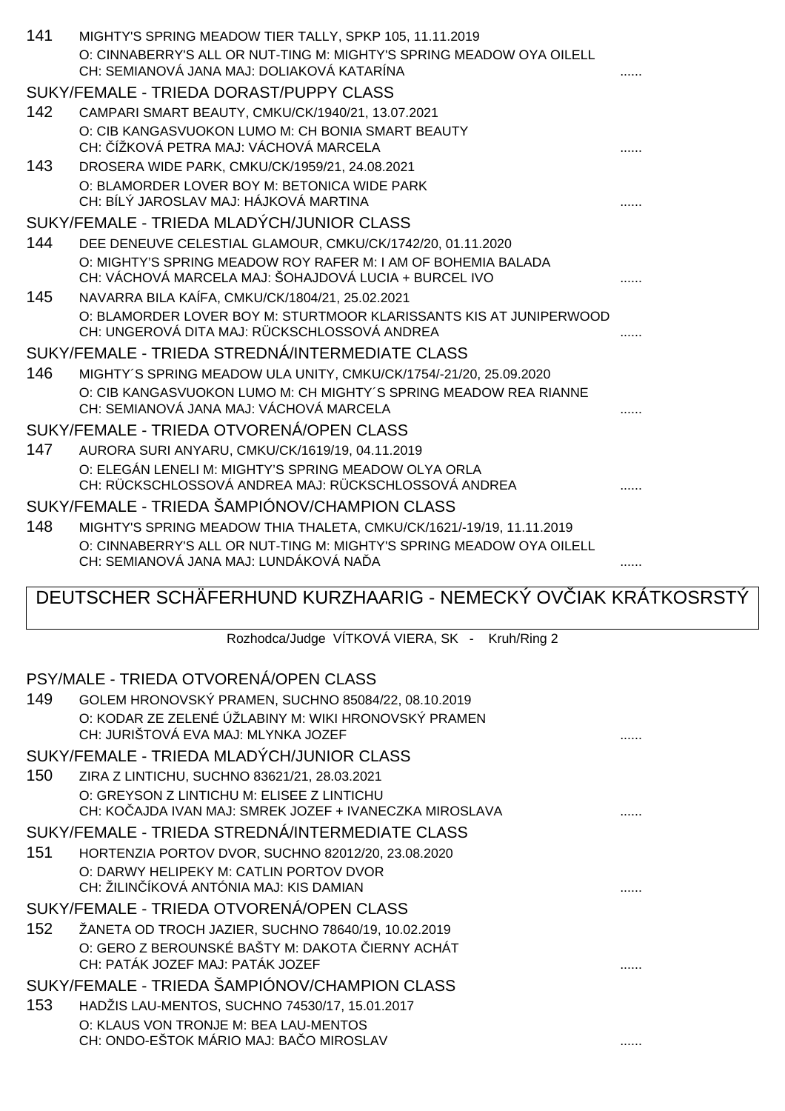| 141 | MIGHTY'S SPRING MEADOW TIER TALLY, SPKP 105, 11.11.2019              |  |
|-----|----------------------------------------------------------------------|--|
|     | O: CINNABERRY'S ALL OR NUT-TING M: MIGHTY'S SPRING MEADOW OYA OILELL |  |
|     | CH: SEMIANOVÁ JANA MAJ: DOLIAKOVÁ KATARÍNA                           |  |
|     | SUKY/FEMALE - TRIEDA DORAST/PUPPY CLASS                              |  |
| 142 | CAMPARI SMART BEAUTY, CMKU/CK/1940/21, 13.07.2021                    |  |
|     | O: CIB KANGASVUOKON LUMO M: CH BONIA SMART BEAUTY                    |  |
|     | CH: ÍŽKOVÁ PETRA MAJ: VÁCHOVÁ MARCELA                                |  |
| 143 | DROSERA WIDE PARK, CMKU/CK/1959/21, 24.08.2021                       |  |
|     | O: BLAMORDER LOVER BOY M: BETONICA WIDE PARK                         |  |
|     | CH: BÍLÝ JAROSLAV MAJ: HÁJKOVÁ MARTINA                               |  |
|     | SUKY/FEMALE - TRIEDA MLADÝCH/JUNIOR CLASS                            |  |
| 144 | DEE DENEUVE CELESTIAL GLAMOUR, CMKU/CK/1742/20, 01.11.2020           |  |
|     | O: MIGHTY'S SPRING MEADOW ROY RAFER M: I AM OF BOHEMIA BALADA        |  |
|     | CH: VÁCHOVÁ MARCELA MAJ: ŠOHAJDOVÁ LUCIA + BURCEL IVO                |  |
| 145 | NAVARRA BILA KAÍFA, CMKU/CK/1804/21, 25.02.2021                      |  |
|     | O: BLAMORDER LOVER BOY M: STURTMOOR KLARISSANTS KIS AT JUNIPERWOOD   |  |
|     | CH: UNGEROVÁ DITA MAJ: RÜCKSCHLOSSOVÁ ANDREA                         |  |
|     | SUKY/FEMALE - TRIEDA STREDNÁ/INTERMEDIATE CLASS                      |  |
| 146 | MIGHTY'S SPRING MEADOW ULA UNITY, CMKU/CK/1754/-21/20, 25.09.2020    |  |
|     | O: CIB KANGASVUOKON LUMO M: CH MIGHTY'S SPRING MEADOW REA RIANNE     |  |
|     | CH: SEMIANOVÁ JANA MAJ: VÁCHOVÁ MARCELA                              |  |
|     | SUKY/FEMALE - TRIEDA OTVORENÁ/OPEN CLASS                             |  |
| 147 | AURORA SURI ANYARU, CMKU/CK/1619/19, 04.11.2019                      |  |
|     | O: ELEGÁN LENELI M: MIGHTY'S SPRING MEADOW OLYA ORLA                 |  |
|     | CH: RÜCKSCHLOSSOVÁ ANDREA MAJ: RÜCKSCHLOSSOVÁ ANDREA                 |  |
|     | SUKY/FEMALE - TRIEDA ŠAMPIÓNOV/CHAMPION CLASS                        |  |
| 148 | MIGHTY'S SPRING MEADOW THIA THALETA, CMKU/CK/1621/-19/19, 11.11.2019 |  |
|     | O: CINNABERRY'S ALL OR NUT-TING M: MIGHTY'S SPRING MEADOW OYA OILELL |  |
|     | CH: SEMIANOVÁ JANA MAJ: LUNDÁKOVÁ NA A                               |  |
|     |                                                                      |  |

# DEUTSCHER SCHÄFERHUND KURZHAARIG - NEMECKÝ OV IAK KRÁTKOSRSTÝ

Rozhodca/Judge VÍTKOVÁ VIERA, SK - Kruh/Ring 2

# PSY/MALE - TRIEDA OTVORENÁ/OPEN CLASS

| 149 | GOLEM HRONOVSKÝ PRAMEN, SUCHNO 85084/22, 08.10.2019                                                   |  |
|-----|-------------------------------------------------------------------------------------------------------|--|
|     | O: KODAR ZE ZELENÉ ÚŽLABINY M: WIKI HRONOVSKÝ PRAMEN<br>CH: JURIŠTOVÁ EVA MAJ: MLYNKA JOZEF           |  |
|     | SUKY/FEMALE - TRIEDA MLADÝCH/JUNIOR CLASS                                                             |  |
| 150 | ZIRA Z LINTICHU, SUCHNO 83621/21, 28.03.2021                                                          |  |
|     | O: GREYSON Z LINTICHU M: ELISEE Z LINTICHU<br>CH: KO AJDA IVAN MAJ: SMREK JOZEF + IVANECZKA MIROSLAVA |  |
|     | SUKY/FEMALE - TRIEDA STREDNÁ/INTERMEDIATE CLASS                                                       |  |
| 151 | HORTENZIA PORTOV DVOR, SUCHNO 82012/20, 23.08.2020                                                    |  |
|     | O: DARWY HELIPEKY M: CATLIN PORTOV DVOR<br>CH: ŽILIN ÍKOVÁ ANTÓNIA MAJ: KIS DAMIAN                    |  |
|     | SUKY/FEMALE - TRIEDA OTVORENÁ/OPEN CLASS                                                              |  |
| 152 | ŽANETA OD TROCH JAZIER, SUCHNO 78640/19, 10.02.2019                                                   |  |
|     | O: GERO Z BEROUNSKÉ BAŠTY M: DAKOTA IERNY ACHÁT<br>CH: PATÁK JOZEF MAJ: PATÁK JOZEF                   |  |
|     | SUKY/FEMALE - TRIEDA ŠAMPIÓNOV/CHAMPION CLASS                                                         |  |
| 153 | HADŽIS LAU-MENTOS, SUCHNO 74530/17, 15.01.2017                                                        |  |
|     | O: KLAUS VON TRONJE M: BEA LAU-MENTOS                                                                 |  |
|     | CH: ONDO-EŠTOK MÁRIO MAJ: BA O MIROSLAV                                                               |  |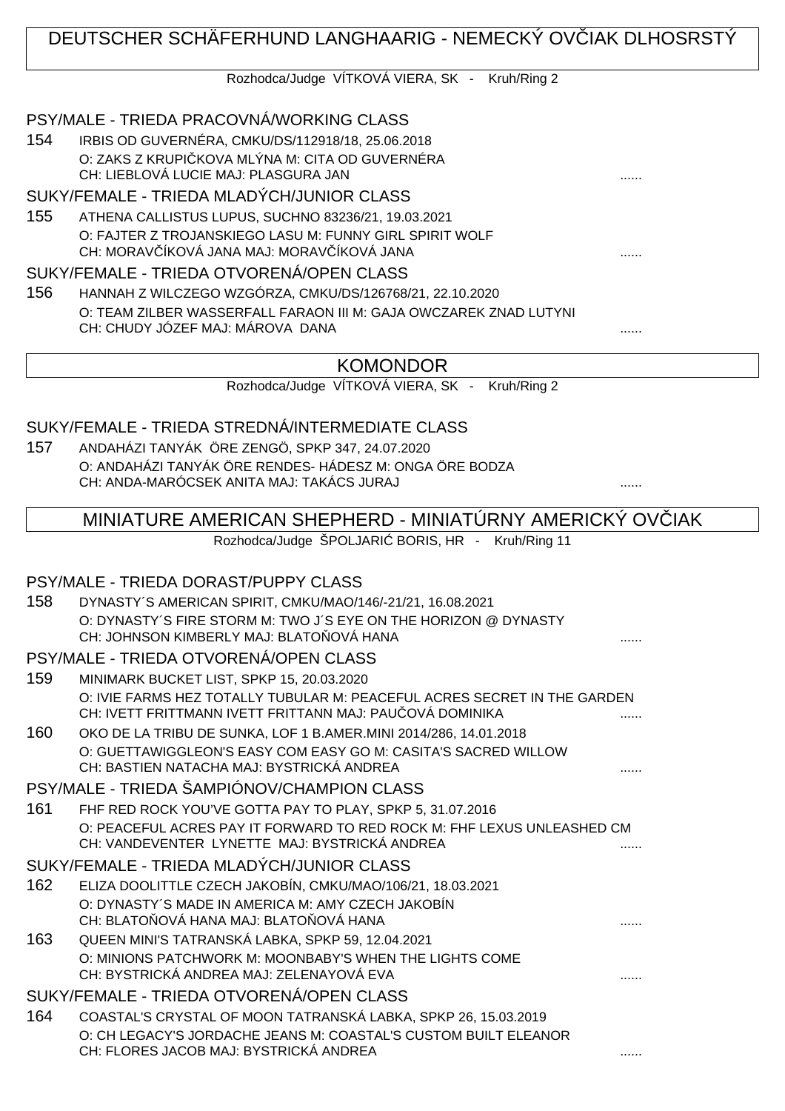# DEUTSCHER SCHÄFERHUND LANGHAARIG - NEMECKÝ OVČIAK DLHOSRSTÝ

Rozhodca/Judge VÍTKOVÁ VIERA, SK - Kruh/Ring 2

### PSY/MALE - TRIEDA PRACOVNÁ/WORKING CLASS

154 IRBIS OD GUVERNÉRA, CMKU/DS/112918/18, 25.06.2018 O: ZAKS Z KRUPI KOVA MLÝNA M: CITA OD GUVERNÉRA CH: LIEBLOVÁ LUCIE MAJ: PLASGURA JAN ......

## SUKY/FEMALE - TRIEDA MLADÝCH/JUNIOR CLASS

155 ATHENA CALLISTUS LUPUS, SUCHNO 83236/21, 19.03.2021 O: FAJTER Z TROJANSKIEGO LASU M: FUNNY GIRL SPIRIT WOLF CH: MORAV ÍKOVÁ JANA MAJ: MORAV ÍKOVÁ JANA  $\ldots$ 

#### SUKY/FEMALE - TRIEDA OTVORENÁ/OPEN CLASS

156 HANNAH Z WILCZEGO WZGÓRZA, CMKU/DS/126768/21, 22.10.2020 O: TEAM ZILBER WASSERFALL FARAON III M: GAJA OWCZAREK ZNAD LUTYNI CH: CHUDY JÓZEF MAJ: MÁROVA DANA ......

## KOMONDOR

Rozhodca/Judge VÍTKOVÁ VIERA, SK - Kruh/Ring 2

### SUKY/FEMALE - TRIEDA STREDNÁ/INTERMEDIATE CLASS

157 ANDAHÁZI TANYÁK ÖRE ZENGÖ, SPKP 347, 24.07.2020 O: ANDAHÁZI TANYÁK ÖRE RENDES- HÁDESZ M: ONGA ÖRE BODZA CH: ANDA-MARÓCSEK ANITA MAJ: TAKÁCS JURAJ ......

# MINIATURE AMERICAN SHEPHERD - MINIATÚRNY AMERICKÝ OVČIAK

Rozhodca/Judge ŠPOLJARI BORIS, HR - Kruh/Ring 11

#### PSY/MALE - TRIEDA DORAST/PUPPY CLASS

158 DYNASTY´S AMERICAN SPIRIT, CMKU/MAO/146/-21/21, 16.08.2021 O: DYNASTY´S FIRE STORM M: TWO J´S EYE ON THE HORIZON @ DYNASTY CH: JOHNSON KIMBERLY MAJ: BLATO OVÁ HANA

## PSY/MALE - TRIEDA OTVORENÁ/OPEN CLASS

- 159 MINIMARK BUCKET LIST, SPKP 15, 20.03.2020 O: IVIE FARMS HEZ TOTALLY TUBULAR M: PEACEFUL ACRES SECRET IN THE GARDEN CH: IVETT FRITTMANN IVETT FRITTANN MAJ: PAU OVÁ DOMINIKA
- 160 OKO DE LA TRIBU DE SUNKA, LOF 1 B.AMER.MINI 2014/286, 14.01.2018 O: GUETTAWIGGLEON'S EASY COM EASY GO M: CASITA'S SACRED WILLOW CH: BASTIEN NATACHA MAJ: BYSTRICKÁ ANDREA

#### PSY/MALE - TRIEDA ŠAMPIÓNOV/CHAMPION CLASS

161 FHF RED ROCK YOU'VE GOTTA PAY TO PLAY, SPKP 5, 31.07.2016 O: PEACEFUL ACRES PAY IT FORWARD TO RED ROCK M: FHF LEXUS UNLEASHED CM CH: VANDEVENTER LYNETTE MAJ: BYSTRICKÁ ANDREA ......

## SUKY/FEMALE - TRIEDA MLADÝCH/JUNIOR CLASS

- 162 ELIZA DOOLITTLE CZECH JAKOBÍN, CMKU/MAO/106/21, 18.03.2021 O: DYNASTY´S MADE IN AMERICA M: AMY CZECH JAKOBÍN CH: BLATOŇOVÁ HANA MAJ: BLATOŇOVÁ HANA ......
- 163 QUEEN MINI'S TATRANSKÁ LABKA, SPKP 59, 12.04.2021 O: MINIONS PATCHWORK M: MOONBABY'S WHEN THE LIGHTS COME CH: BYSTRICKÁ ANDREA MAJ: ZELENAYOVÁ EVA

#### SUKY/FEMALE - TRIEDA OTVORENÁ/OPEN CLASS

164 COASTAL'S CRYSTAL OF MOON TATRANSKÁ LABKA, SPKP 26, 15.03.2019 O: CH LEGACY'S JORDACHE JEANS M: COASTAL'S CUSTOM BUILT ELEANOR CH: FLORES JACOB MAJ: BYSTRICKÁ ANDREA ......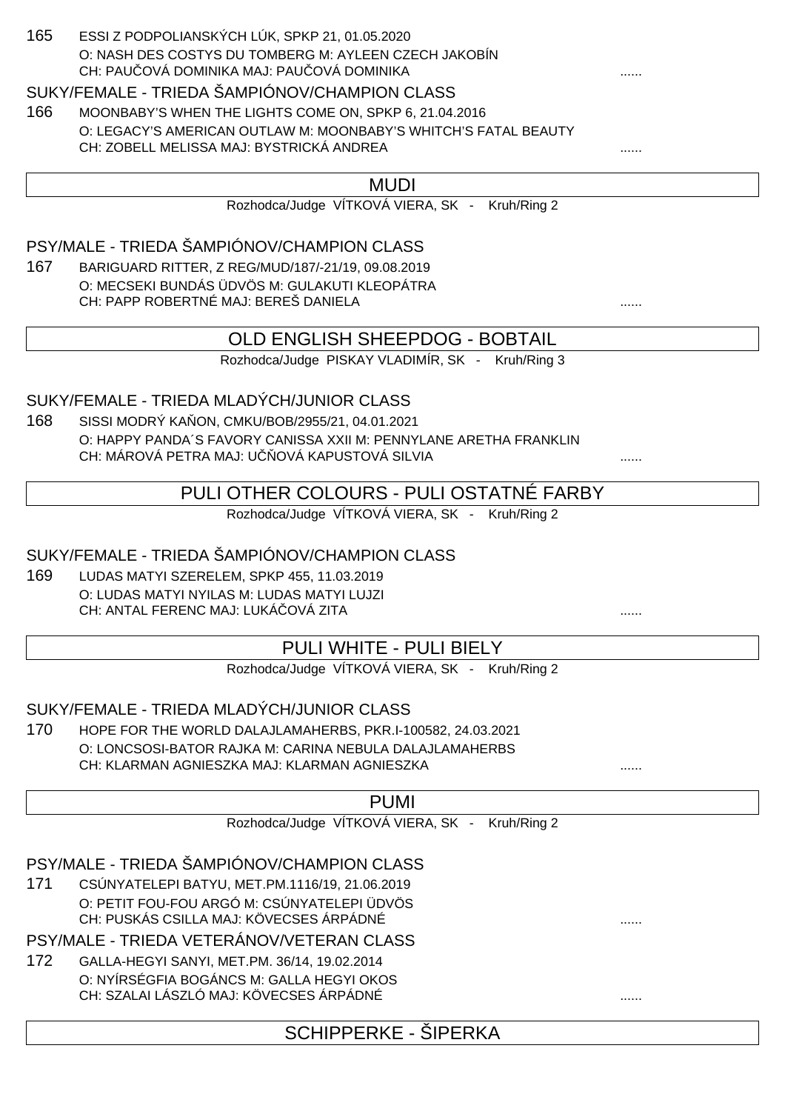#### 165 ESSI Z PODPOLIANSKÝCH LÚK, SPKP 21, 01.05.2020 O: NASH DES COSTYS DU TOMBERG M: AYLEEN CZECH JAKOBÍN CH: PAU QVÁ DOMINIKA MAJ: PAU QVÁ DOMINIKA

#### SUKY/FEMALE - TRIEDA ŠAMPIÓNOV/CHAMPION CLASS

166 MOONBABY'S WHEN THE LIGHTS COME ON, SPKP 6, 21.04.2016 O: LEGACY'S AMERICAN OUTLAW M: MOONBABY'S WHITCH'S FATAL BEAUTY CH: ZOBELL MELISSA MAJ: BYSTRICKÁ ANDREA ......

#### MUDI

Rozhodca/Judge VÍTKOVÁ VIERA, SK - Kruh/Ring 2

## PSY/MALE - TRIEDA ŠAMPIÓNOV/CHAMPION CLASS

167 BARIGUARD RITTER, Z REG/MUD/187/-21/19, 09.08.2019 O: MECSEKI BUNDÁS ÜDVÖS M: GULAKUTI KLEOPÁTRA CH: PAPP ROBERTNÉ MAJ: BEREŠ DANIELA ......

## OLD ENGLISH SHEEPDOG - BOBTAIL

Rozhodca/Judge PISKAY VLADIMÍR, SK - Kruh/Ring 3

### SUKY/FEMALE - TRIEDA MLADÝCH/JUNIOR CLASS

168 SISSI MODRÝ KA ON, CMKU/BOB/2955/21, 04.01.2021 O: HAPPY PANDA´S FAVORY CANISSA XXII M: PENNYLANE ARETHA FRANKLIN CH: MÁROVÁ PETRA MAJ: U OVÁ KAPUSTOVÁ SILVIA

## PULI OTHER COLOURS - PULI OSTATNÉ FARBY

Rozhodca/Judge VÍTKOVÁ VIERA, SK - Kruh/Ring 2

## SUKY/FEMALE - TRIEDA ŠAMPIÓNOV/CHAMPION CLASS

169 LUDAS MATYI SZERELEM, SPKP 455, 11.03.2019 O: LUDAS MATYI NYILAS M: LUDAS MATYI LUJZI CH: ANTAL FERENC MAJ: LUKÁ OVÁ ZITA

## PULI WHITE - PULI BIELY

Rozhodca/Judge VÍTKOVÁ VIERA, SK - Kruh/Ring 2

#### SUKY/FEMALE - TRIEDA MLADÝCH/JUNIOR CLASS

170 HOPE FOR THE WORLD DALAJLAMAHERBS, PKR.I-100582, 24.03.2021 O: LONCSOSI-BATOR RAJKA M: CARINA NEBULA DALAJLAMAHERBS CH: KLARMAN AGNIESZKA MAJ: KLARMAN AGNIESZKA

## PUMI

Rozhodca/Judge VÍTKOVÁ VIERA, SK - Kruh/Ring 2

#### PSY/MALE - TRIEDA ŠAMPIÓNOV/CHAMPION CLASS

171 CSÚNYATELEPI BATYU, MET.PM.1116/19, 21.06.2019 O: PETIT FOU-FOU ARGÓ M: CSÚNYATELEPI ÜDVÖS CH: PUSKÁS CSILLA MAJ: KÖVECSES ÁRPÁDNÉ

PSY/MALE - TRIEDA VETERÁNOV/VETERAN CLASS

172 GALLA-HEGYI SANYI, MET.PM. 36/14, 19.02.2014 O: NYÍRSÉGFIA BOGÁNCS M: GALLA HEGYI OKOS CH: SZALAI LÁSZLÓ MAJ: KÖVECSES ÁRPÁDNÉ ......

SCHIPPERKE - ŠIPERKA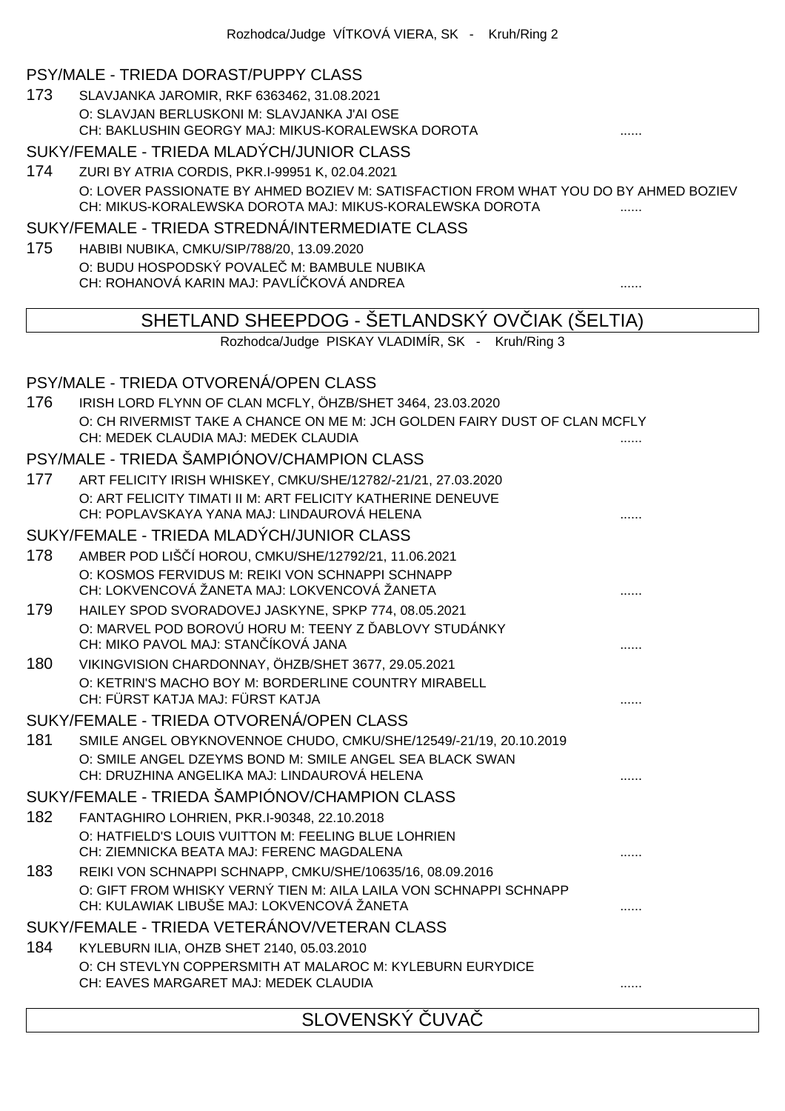#### PSY/MALE - TRIEDA DORAST/PUPPY CLASS

173 SLAVJANKA JAROMIR, RKF 6363462, 31.08.2021 O: SLAVJAN BERLUSKONI M: SLAVJANKA J'AI OSE CH: BAKLUSHIN GEORGY MAJ: MIKUS-KORALEWSKA DOROTA ......

#### SUKY/FEMALE - TRIEDA MLADÝCH/JUNIOR CLASS

174 ZURI BY ATRIA CORDIS, PKR.I-99951 K, 02.04.2021 O: LOVER PASSIONATE BY AHMED BOZIEV M: SATISFACTION FROM WHAT YOU DO BY AHMED BOZIEV CH: MIKUS-KORALEWSKA DOROTA MAJ: MIKUS-KORALEWSKA DOROTA ......

#### SUKY/FEMALE - TRIEDA STREDNÁ/INTERMEDIATE CLASS

175 HABIBI NUBIKA, CMKU/SIP/788/20, 13.09.2020 O: BUDU HOSPODSKÝ POVALE M: BAMBULE NUBIKA CH: ROHANOVÁ KARIN MAJ: PAVLÍČKOVÁ ANDREA ......

## SHETLAND SHEEPDOG - ŠETLANDSKÝ OV IAK (ŠELTIA)

Rozhodca/Judge PISKAY VLADIMÍR, SK - Kruh/Ring 3

#### PSY/MALE - TRIEDA OTVORENÁ/OPEN CLASS

| 176 | IRISH LORD FLYNN OF CLAN MCFLY, ÖHZB/SHET 3464, 23.03.2020<br>O: CH RIVERMIST TAKE A CHANCE ON ME M: JCH GOLDEN FAIRY DUST OF CLAN MCFLY<br>CH: MEDEK CLAUDIA MAJ: MEDEK CLAUDIA |  |
|-----|----------------------------------------------------------------------------------------------------------------------------------------------------------------------------------|--|
|     | PSY/MALE - TRIEDA ŠAMPIÓNOV/CHAMPION CLASS                                                                                                                                       |  |
| 177 | ART FELICITY IRISH WHISKEY, CMKU/SHE/12782/-21/21, 27.03.2020                                                                                                                    |  |
|     | O: ART FELICITY TIMATI II M: ART FELICITY KATHERINE DENEUVE<br>CH: POPLAVSKAYA YANA MAJ: LINDAUROVÁ HELENA                                                                       |  |
|     | SUKY/FEMALE - TRIEDA MLADÝCH/JUNIOR CLASS                                                                                                                                        |  |
| 178 | AMBER POD LIŠ 1 HOROU, CMKU/SHE/12792/21, 11.06.2021                                                                                                                             |  |
|     | O: KOSMOS FERVIDUS M: REIKI VON SCHNAPPI SCHNAPP<br>CH: LOKVENCOVÁ ŽANETA MAJ: LOKVENCOVÁ ŽANETA                                                                                 |  |
| 179 | HAILEY SPOD SVORADOVEJ JASKYNE, SPKP 774, 08.05.2021                                                                                                                             |  |
|     | O: MARVEL POD BOROVÚ HORU M: TEENY Z ABLOVY STUDÁNKY<br>CH: MIKO PAVOL MAJ: STAN ÍKOVÁ JANA                                                                                      |  |
| 180 | VIKINGVISION CHARDONNAY, ÖHZB/SHET 3677, 29.05.2021<br>O: KETRIN'S MACHO BOY M: BORDERLINE COUNTRY MIRABELL<br>CH: FÜRST KATJA MAJ: FÜRST KATJA                                  |  |
|     | SUKY/FEMALE - TRIEDA OTVORENÁ/OPEN CLASS                                                                                                                                         |  |
| 181 | SMILE ANGEL OBYKNOVENNOE CHUDO, CMKU/SHE/12549/-21/19, 20.10.2019                                                                                                                |  |
|     | O: SMILE ANGEL DZEYMS BOND M: SMILE ANGEL SEA BLACK SWAN<br>CH: DRUZHINA ANGELIKA MAJ: LINDAUROVÁ HELENA                                                                         |  |
|     | SUKY/FEMALE - TRIEDA ŠAMPIÓNOV/CHAMPION CLASS                                                                                                                                    |  |
| 182 | FANTAGHIRO LOHRIEN, PKR.I-90348, 22.10.2018                                                                                                                                      |  |
|     | O: HATFIELD'S LOUIS VUITTON M: FEELING BLUE LOHRIEN<br>CH: ZIEMNICKA BEATA MAJ: FERENC MAGDALENA                                                                                 |  |
| 183 | REIKI VON SCHNAPPI SCHNAPP, CMKU/SHE/10635/16, 08.09.2016<br>O: GIFT FROM WHISKY VERNÝ TIEN M: AILA LAILA VON SCHNAPPI SCHNAPP                                                   |  |
|     | CH: KULAWIAK LIBUŠE MAJ: LOKVENCOVÁ ŽANETA                                                                                                                                       |  |
|     | SUKY/FEMALE - TRIEDA VETERÁNOV/VETERAN CLASS                                                                                                                                     |  |
| 184 | KYLEBURN ILIA, OHZB SHET 2140, 05.03.2010                                                                                                                                        |  |
|     | O: CH STEVLYN COPPERSMITH AT MALAROC M: KYLEBURN EURYDICE<br>CH: EAVES MARGARET MAJ: MEDEK CLAUDIA                                                                               |  |
|     |                                                                                                                                                                                  |  |

SLOVENSKÝ UVA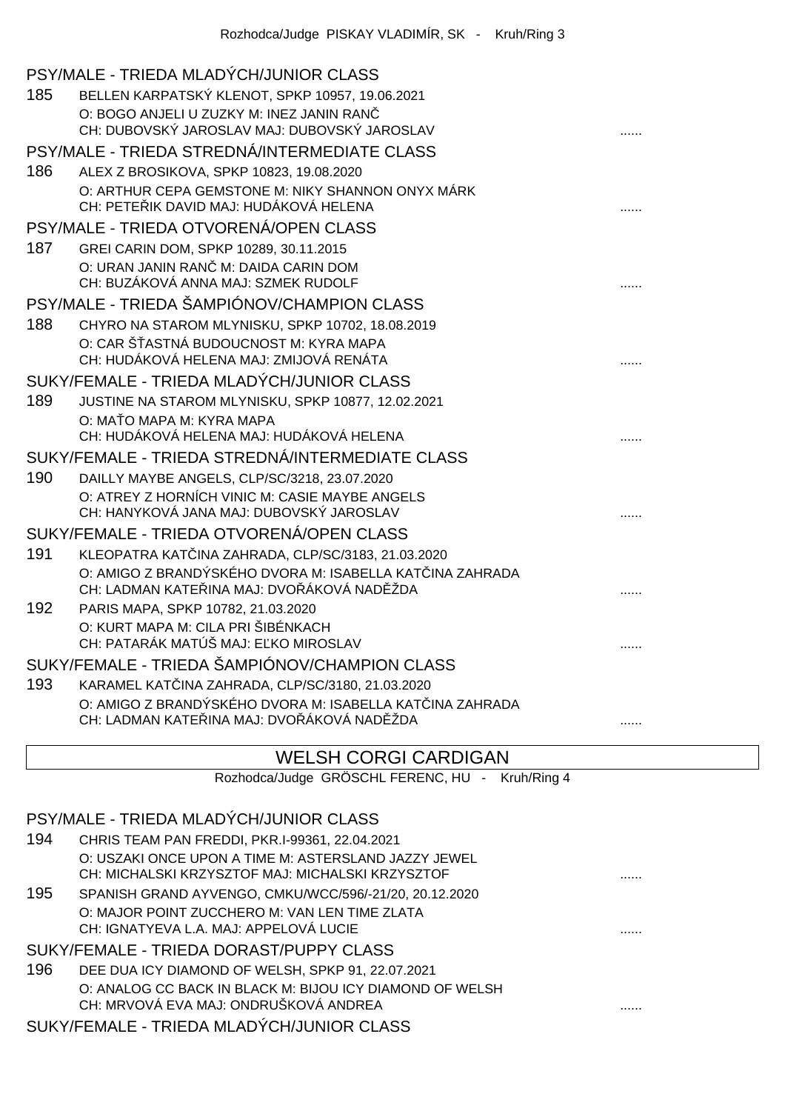|     | PSY/MALE - TRIEDA MLADÝCH/JUNIOR CLASS                                                      |  |
|-----|---------------------------------------------------------------------------------------------|--|
| 185 | BELLEN KARPATSKÝ KLENOT, SPKP 10957, 19.06.2021                                             |  |
|     | O: BOGO ANJELI U ZUZKY M: INEZ JANIN RAN                                                    |  |
|     | CH: DUBOVSKÝ JAROSLAV MAJ: DUBOVSKÝ JAROSLAV                                                |  |
|     | PSY/MALE - TRIEDA STREDNÁ/INTERMEDIATE CLASS                                                |  |
| 186 | ALEX Z BROSIKOVA, SPKP 10823, 19.08.2020                                                    |  |
|     | O: ARTHUR CEPA GEMSTONE M: NIKY SHANNON ONYX MÁRK<br>CH: PETE IK DAVID MAJ: HUDÁKOVÁ HELENA |  |
|     | PSY/MALE - TRIEDA OTVORENÁ/OPEN CLASS                                                       |  |
| 187 | GREI CARIN DOM, SPKP 10289, 30.11.2015                                                      |  |
|     | O: URAN JANIN RAN M: DAIDA CARIN DOM<br>CH: BUZÁKOVÁ ANNA MAJ: SZMEK RUDOLF                 |  |
|     | PSY/MALE - TRIEDA ŠAMPIÓNOV/CHAMPION CLASS                                                  |  |
| 188 | CHYRO NA STAROM MLYNISKU, SPKP 10702, 18.08.2019                                            |  |
|     | O: CAR Š ASTNÁ BUDOUCNOST M: KYRA MAPA                                                      |  |
|     | CH: HUDÁKOVÁ HELENA MAJ: ZMIJOVÁ RENÁTA                                                     |  |
|     | SUKY/FEMALE - TRIEDA MLADÝCH/JUNIOR CLASS                                                   |  |
| 189 | JUSTINE NA STAROM MLYNISKU, SPKP 10877, 12.02.2021                                          |  |
|     | O: MA O MAPA M: KYRA MAPA<br>CH: HUDÁKOVÁ HELENA MAJ: HUDÁKOVÁ HELENA                       |  |
|     | SUKY/FEMALE - TRIEDA STREDNÁ/INTERMEDIATE CLASS                                             |  |
| 190 | DAILLY MAYBE ANGELS, CLP/SC/3218, 23.07.2020                                                |  |
|     | O: ATREY Z HORNÍCH VINIC M: CASIE MAYBE ANGELS                                              |  |
|     | CH: HANYKOVÁ JANA MAJ: DUBOVSKÝ JAROSLAV                                                    |  |
|     | SUKY/FEMALE - TRIEDA OTVORENÁ/OPEN CLASS                                                    |  |
| 191 | KLEOPATRA KAT INA ZAHRADA, CLP/SC/3183, 21.03.2020                                          |  |
|     | O: AMIGO Z BRANDÝSKÉHO DVORA M: ISABELLA KAT INA ZAHRADA                                    |  |
|     | CH: LADMAN KATE INA MAJ: DVO ÁKOVÁ NAD ŽDA                                                  |  |
| 192 | PARIS MAPA, SPKP 10782, 21.03.2020                                                          |  |
|     | O: KURT MAPA M: CILA PRI ŠIBÉNKACH<br>CH: PATARÁK MATÚŠ MAJ: E KO MIROSLAV                  |  |
|     | SUKY/FEMALE - TRIEDA ŠAMPIÓNOV/CHAMPION CLASS                                               |  |
| 193 | KARAMEL KAT INA ZAHRADA, CLP/SC/3180, 21.03.2020                                            |  |
|     | O: AMIGO Z BRANDÝSKÉHO DVORA M: ISABELLA KAT INA ZAHRADA                                    |  |
|     | CH: LADMAN KATE INA MAJ: DVO ÁKOVÁ NAD ŽDA                                                  |  |

## WELSH CORGI CARDIGAN

Rozhodca/Judge GRÖSCHL FERENC, HU - Kruh/Ring 4

### PSY/MALE - TRIEDA MLADÝCH/JUNIOR CLASS

- 194 CHRIS TEAM PAN FREDDI, PKR.I-99361, 22.04.2021 O: USZAKI ONCE UPON A TIME M: ASTERSLAND JAZZY JEWEL CH: MICHALSKI KRZYSZTOF MAJ: MICHALSKI KRZYSZTOF ......
- 195 SPANISH GRAND AYVENGO, CMKU/WCC/596/-21/20, 20.12.2020 O: MAJOR POINT ZUCCHERO M: VAN LEN TIME ZLATA CH: IGNATYEVA L.A. MAJ: APPELOVÁ LUCIE ......

#### SUKY/FEMALE - TRIEDA DORAST/PUPPY CLASS

196 DEE DUA ICY DIAMOND OF WELSH, SPKP 91, 22.07.2021 O: ANALOG CC BACK IN BLACK M: BIJOU ICY DIAMOND OF WELSH CH: MRVOVÁ EVA MAJ: ONDRUŠKOVÁ ANDREA ......

#### SUKY/FEMALE - TRIEDA MLADÝCH/JUNIOR CLASS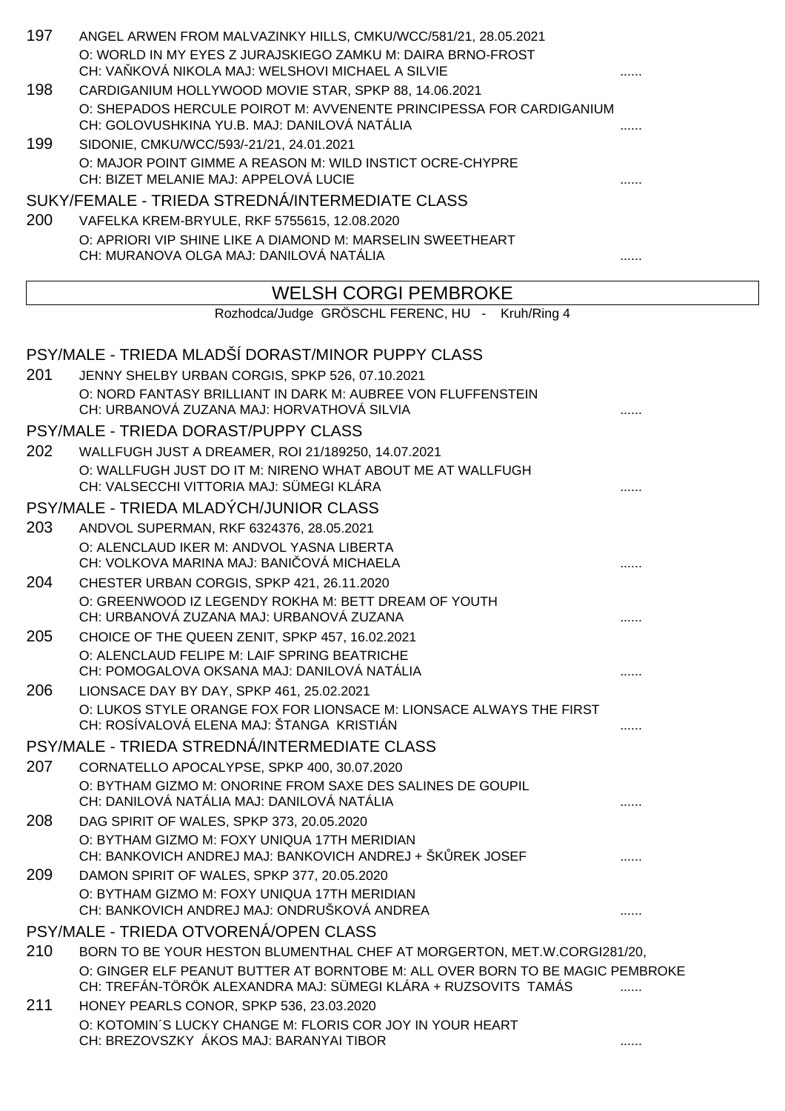| 197 | ANGEL ARWEN FROM MALVAZINKY HILLS, CMKU/WCC/581/21, 28.05.2021                                                                                          |   |
|-----|---------------------------------------------------------------------------------------------------------------------------------------------------------|---|
|     | O: WORLD IN MY EYES Z JURAJSKIEGO ZAMKU M: DAIRA BRNO-FROST<br>CH: VA KOVÁ NIKOLA MAJ: WELSHOVI MICHAEL A SILVIE                                        |   |
| 198 | CARDIGANIUM HOLLYWOOD MOVIE STAR, SPKP 88, 14.06.2021                                                                                                   |   |
|     | O: SHEPADOS HERCULE POIROT M: AVVENENTE PRINCIPESSA FOR CARDIGANIUM<br>CH: GOLOVUSHKINA YU.B. MAJ: DANILOVÁ NATÁLIA                                     |   |
| 199 | SIDONIE, CMKU/WCC/593/-21/21, 24.01.2021                                                                                                                |   |
|     | O: MAJOR POINT GIMME A REASON M: WILD INSTICT OCRE-CHYPRE<br>CH: BIZET MELANIE MAJ: APPELOVÁ LUCIE                                                      |   |
|     | SUKY/FEMALE - TRIEDA STREDNÁ/INTERMEDIATE CLASS                                                                                                         |   |
| 200 | VAFELKA KREM-BRYULE, RKF 5755615, 12.08.2020                                                                                                            |   |
|     | O: APRIORI VIP SHINE LIKE A DIAMOND M: MARSELIN SWEETHEART<br>CH: MURANOVA OLGA MAJ: DANILOVÁ NATÁLIA                                                   |   |
|     | <b>WELSH CORGI PEMBROKE</b>                                                                                                                             |   |
|     | Rozhodca/Judge GRÖSCHL FERENC, HU - Kruh/Ring 4                                                                                                         |   |
|     | PSY/MALE - TRIEDA MLADŠÍ DORAST/MINOR PUPPY CLASS                                                                                                       |   |
| 201 | JENNY SHELBY URBAN CORGIS, SPKP 526, 07.10.2021                                                                                                         |   |
|     | O: NORD FANTASY BRILLIANT IN DARK M: AUBREE VON FLUFFENSTEIN<br>CH: URBANOVÁ ZUZANA MAJ: HORVATHOVÁ SILVIA                                              |   |
|     | PSY/MALE - TRIEDA DORAST/PUPPY CLASS                                                                                                                    |   |
| 202 | WALLFUGH JUST A DREAMER, ROI 21/189250, 14.07.2021                                                                                                      |   |
|     | O: WALLFUGH JUST DO IT M: NIRENO WHAT ABOUT ME AT WALLFUGH<br>CH: VALSECCHI VITTORIA MAJ: SÜMEGI KLÁRA                                                  |   |
|     | PSY/MALE - TRIEDA MLADÝCH/JUNIOR CLASS                                                                                                                  |   |
| 203 | ANDVOL SUPERMAN, RKF 6324376, 28.05.2021                                                                                                                |   |
|     | O: ALENCLAUD IKER M: ANDVOL YASNA LIBERTA<br>CH: VOLKOVA MARINA MAJ: BANI OVÁ MICHAELA                                                                  |   |
| 204 | CHESTER URBAN CORGIS, SPKP 421, 26.11.2020                                                                                                              |   |
|     | O: GREENWOOD IZ LEGENDY ROKHA M: BETT DREAM OF YOUTH<br>CH: URBANOVÁ ZUZANA MAJ: URBANOVÁ ZUZANA                                                        |   |
| 205 | CHOICE OF THE QUEEN ZENIT, SPKP 457, 16.02.2021                                                                                                         |   |
|     | O: ALENCLAUD FELIPE M: LAIF SPRING BEATRICHE<br>CH: POMOGALOVA OKSANA MAJ: DANILOVÁ NATÁLIA                                                             | . |
| 206 | LIONSACE DAY BY DAY, SPKP 461, 25.02.2021                                                                                                               |   |
|     | O: LUKOS STYLE ORANGE FOX FOR LIONSACE M: LIONSACE ALWAYS THE FIRST<br>CH: ROSÍVALOVÁ ELENA MAJ: ŠTANGA KRISTIÁN                                        | . |
|     | PSY/MALE - TRIEDA STREDNÁ/INTERMEDIATE CLASS                                                                                                            |   |
| 207 | CORNATELLO APOCALYPSE, SPKP 400, 30.07.2020<br>O: BYTHAM GIZMO M: ONORINE FROM SAXE DES SALINES DE GOUPIL<br>CH: DANILOVÁ NATÁLIA MAJ: DANILOVÁ NATÁLIA |   |
| 208 | DAG SPIRIT OF WALES, SPKP 373, 20.05.2020                                                                                                               |   |
|     | O: BYTHAM GIZMO M: FOXY UNIQUA 17TH MERIDIAN                                                                                                            |   |
| 209 | CH: BANKOVICH ANDREJ MAJ: BANKOVICH ANDREJ + ŠK REK JOSEF<br>DAMON SPIRIT OF WALES, SPKP 377, 20.05.2020                                                |   |
|     | O: BYTHAM GIZMO M: FOXY UNIQUA 17TH MERIDIAN<br>CH: BANKOVICH ANDREJ MAJ: ONDRUŠKOVÁ ANDREA                                                             |   |
|     | PSY/MALE - TRIEDA OTVORENÁ/OPEN CLASS                                                                                                                   |   |
| 210 | BORN TO BE YOUR HESTON BLUMENTHAL CHEF AT MORGERTON, MET.W.CORGI281/20,                                                                                 |   |
|     | O: GINGER ELF PEANUT BUTTER AT BORNTOBE M: ALL OVER BORN TO BE MAGIC PEMBROKE<br>CH: TREFÁN-TÖRÖK ALEXANDRA MAJ: SÜMEGI KLÁRA + RUZSOVITS TAMÁS         |   |
| 211 | HONEY PEARLS CONOR, SPKP 536, 23.03.2020<br>O: KOTOMIN'S LUCKY CHANGE M: FLORIS COR JOY IN YOUR HEART                                                   |   |
|     | CH: BREZOVSZKY ÁKOS MAJ: BARANYAI TIBOR                                                                                                                 |   |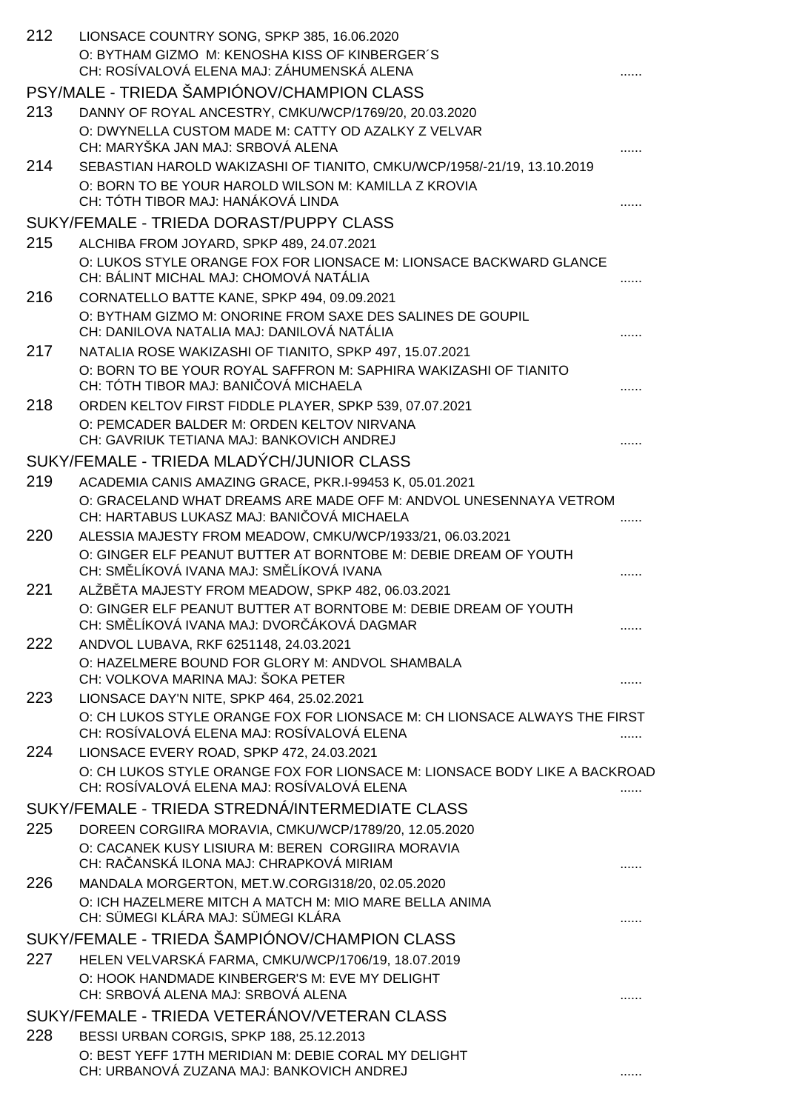| 212 | LIONSACE COUNTRY SONG, SPKP 385, 16.06.2020<br>O: BYTHAM GIZMO M: KENOSHA KISS OF KINBERGER'S<br>CH: ROSÍVALOVÁ ELENA MAJ: ZÁHUMENSKÁ ALENA                                |   |
|-----|----------------------------------------------------------------------------------------------------------------------------------------------------------------------------|---|
|     | PSY/MALE - TRIEDA ŠAMPIÓNOV/CHAMPION CLASS                                                                                                                                 |   |
| 213 | DANNY OF ROYAL ANCESTRY, CMKU/WCP/1769/20, 20.03.2020                                                                                                                      |   |
|     | O: DWYNELLA CUSTOM MADE M: CATTY OD AZALKY Z VELVAR<br>CH: MARYŠKA JAN MAJ: SRBOVÁ ALENA                                                                                   |   |
| 214 | SEBASTIAN HAROLD WAKIZASHI OF TIANITO, CMKU/WCP/1958/-21/19, 13.10.2019<br>O: BORN TO BE YOUR HAROLD WILSON M: KAMILLA Z KROVIA                                            |   |
|     | CH: TÓTH TIBOR MAJ: HANÁKOVÁ LINDA                                                                                                                                         |   |
|     | SUKY/FEMALE - TRIEDA DORAST/PUPPY CLASS                                                                                                                                    |   |
| 215 | ALCHIBA FROM JOYARD, SPKP 489, 24.07.2021                                                                                                                                  |   |
|     | O: LUKOS STYLE ORANGE FOX FOR LIONSACE M: LIONSACE BACKWARD GLANCE<br>CH: BÁLINT MICHAL MAJ: CHOMOVÁ NATÁLIA                                                               |   |
| 216 | CORNATELLO BATTE KANE, SPKP 494, 09.09.2021                                                                                                                                |   |
|     | O: BYTHAM GIZMO M: ONORINE FROM SAXE DES SALINES DE GOUPIL<br>CH: DANILOVA NATALIA MAJ: DANILOVÁ NATÁLIA                                                                   |   |
| 217 | NATALIA ROSE WAKIZASHI OF TIANITO, SPKP 497, 15.07.2021                                                                                                                    |   |
|     | O: BORN TO BE YOUR ROYAL SAFFRON M: SAPHIRA WAKIZASHI OF TIANITO<br>CH: TÓTH TIBOR MAJ: BANI OVÁ MICHAELA                                                                  |   |
| 218 | ORDEN KELTOV FIRST FIDDLE PLAYER, SPKP 539, 07.07.2021                                                                                                                     |   |
|     | O: PEMCADER BALDER M: ORDEN KELTOV NIRVANA<br>CH: GAVRIUK TETIANA MAJ: BANKOVICH ANDREJ                                                                                    |   |
|     | SUKY/FEMALE - TRIEDA MLADÝCH/JUNIOR CLASS                                                                                                                                  |   |
| 219 | ACADEMIA CANIS AMAZING GRACE, PKR.I-99453 K, 05.01.2021<br>O: GRACELAND WHAT DREAMS ARE MADE OFF M: ANDVOL UNESENNAYA VETROM<br>CH: HARTABUS LUKASZ MAJ: BANI OVÁ MICHAELA |   |
| 220 | ALESSIA MAJESTY FROM MEADOW, CMKU/WCP/1933/21, 06.03.2021                                                                                                                  |   |
|     | O: GINGER ELF PEANUT BUTTER AT BORNTOBE M: DEBIE DREAM OF YOUTH<br>CH: SM LÍKOVÁ IVANA MAJ: SM LÍKOVÁ IVANA                                                                |   |
| 221 | ALŽB TA MAJESTY FROM MEADOW, SPKP 482, 06.03.2021                                                                                                                          |   |
|     | O: GINGER ELF PEANUT BUTTER AT BORNTOBE M: DEBIE DREAM OF YOUTH<br>CH: SM LÍKOVÁ IVANA MAJ: DVOR ÁKOVÁ DAGMAR                                                              | . |
| 222 | ANDVOL LUBAVA, RKF 6251148, 24.03.2021                                                                                                                                     |   |
|     | O: HAZELMERE BOUND FOR GLORY M: ANDVOL SHAMBALA<br>CH: VOLKOVA MARINA MAJ: ŠOKA PETER                                                                                      |   |
| 223 | LIONSACE DAY'N NITE, SPKP 464, 25.02.2021                                                                                                                                  |   |
|     | O: CH LUKOS STYLE ORANGE FOX FOR LIONSACE M: CH LIONSACE ALWAYS THE FIRST<br>CH: ROSÍVALOVÁ ELENA MAJ: ROSÍVALOVÁ ELENA                                                    |   |
| 224 | LIONSACE EVERY ROAD, SPKP 472, 24.03.2021                                                                                                                                  |   |
|     | O: CH LUKOS STYLE ORANGE FOX FOR LIONSACE M: LIONSACE BODY LIKE A BACKROAD<br>CH: ROSÍVALOVÁ ELENA MAJ: ROSÍVALOVÁ ELENA                                                   | . |
|     | SUKY/FEMALE - TRIEDA STREDNÁ/INTERMEDIATE CLASS                                                                                                                            |   |
| 225 | DOREEN CORGIIRA MORAVIA, CMKU/WCP/1789/20, 12.05.2020<br>O: CACANEK KUSY LISIURA M: BEREN CORGIIRA MORAVIA                                                                 |   |
|     | CH: RA ANSKÁ ILONA MAJ: CHRAPKOVÁ MIRIAM                                                                                                                                   |   |
| 226 | MANDALA MORGERTON, MET.W.CORGI318/20, 02.05.2020                                                                                                                           |   |
|     | O: ICH HAZELMERE MITCH A MATCH M: MIO MARE BELLA ANIMA<br>CH: SÜMEGI KLÁRA MAJ: SÜMEGI KLÁRA                                                                               | . |
|     | SUKY/FEMALE - TRIEDA ŠAMPIÓNOV/CHAMPION CLASS                                                                                                                              |   |
| 227 | HELEN VELVARSKÁ FARMA, CMKU/WCP/1706/19, 18.07.2019                                                                                                                        |   |
|     | O: HOOK HANDMADE KINBERGER'S M: EVE MY DELIGHT<br>CH: SRBOVÁ ALENA MAJ: SRBOVÁ ALENA                                                                                       |   |
|     | SUKY/FEMALE - TRIEDA VETERÁNOV/VETERAN CLASS                                                                                                                               |   |
| 228 | BESSI URBAN CORGIS, SPKP 188, 25.12.2013                                                                                                                                   |   |
|     | O: BEST YEFF 17TH MERIDIAN M: DEBIE CORAL MY DELIGHT<br>CH: URBANOVÁ ZUZANA MAJ: BANKOVICH ANDREJ                                                                          |   |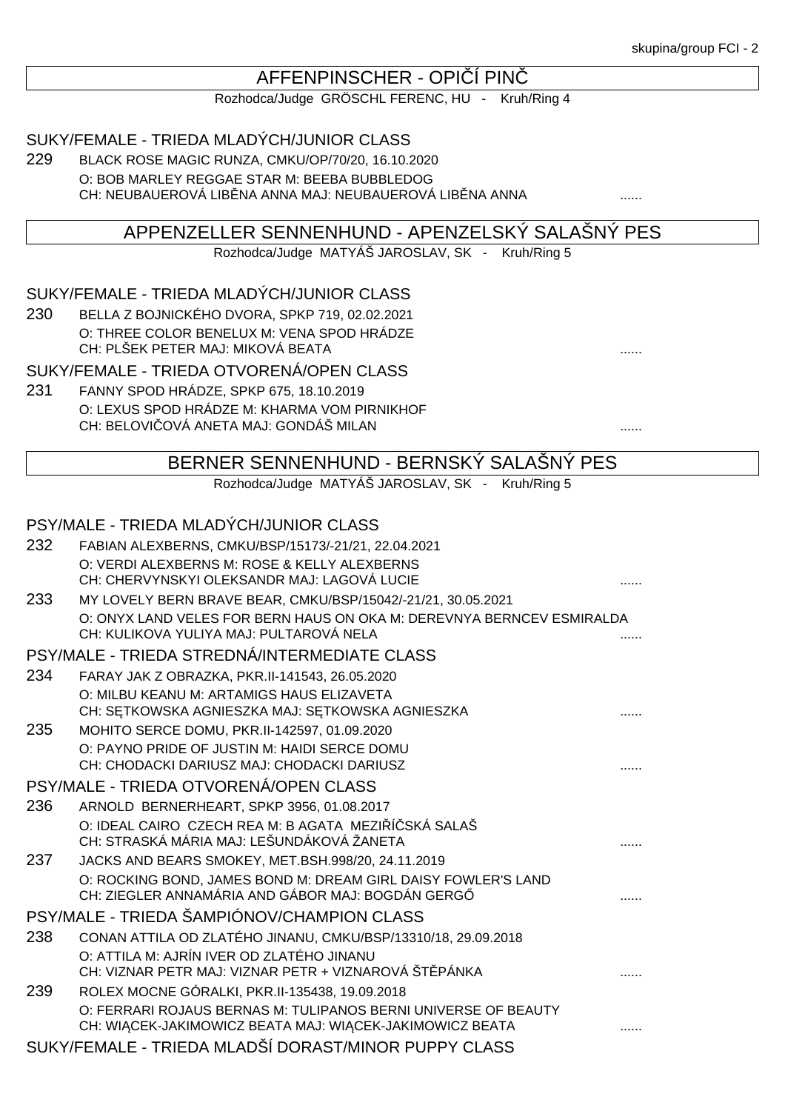## AFFENPINSCHER - OPI Í PIN

Rozhodca/Judge GRÖSCHL FERENC, HU - Kruh/Ring 4

SUKY/FEMALE - TRIEDA MLADÝCH/JUNIOR CLASS

229 BLACK ROSE MAGIC RUNZA, CMKU/OP/70/20, 16.10.2020 O: BOB MARLEY REGGAE STAR M: BEEBA BUBBLEDOG CH: NEUBAUEROVÁ LIB NA ANNA MAJ: NEUBAUEROVÁ LIB NA ANNA  $\ldots$ 

# APPENZELLER SENNENHUND - APENZELSKÝ SALAŠNÝ PES

Rozhodca/Judge MATYÁŠ JAROSLAV, SK - Kruh/Ring 5

SUKY/FEMALE - TRIEDA MLADÝCH/JUNIOR CLASS

230 BELLA Z BOJNICKÉHO DVORA, SPKP 719, 02.02.2021 O: THREE COLOR BENELUX M: VENA SPOD HRÁDZE CH: PLŠEK PETER MAJ: MIKOVÁ BEATA ......

SUKY/FEMALE - TRIEDA OTVORENÁ/OPEN CLASS

231 FANNY SPOD HRÁDZE, SPKP 675, 18.10.2019 O: LEXUS SPOD HRÁDZE M: KHARMA VOM PIRNIKHOF CH: BELOVIČOVÁ ANETA MAJ: GONDÁŠ MILAN ......

BERNER SENNENHUND - BERNSKÝ SALAŠNÝ PES

Rozhodca/Judge MATYÁŠ JAROSLAV, SK - Kruh/Ring 5

## PSY/MALE - TRIEDA MLADÝCH/JUNIOR CLASS

| 232 | FABIAN ALEXBERNS, CMKU/BSP/15173/-21/21, 22.04.2021                   |  |
|-----|-----------------------------------------------------------------------|--|
|     | O: VERDI ALEXBERNS M: ROSE & KELLY ALEXBERNS                          |  |
|     | CH: CHERVYNSKYI OLEKSANDR MAJ: LAGOVÁ LUCIE                           |  |
| 233 | MY LOVELY BERN BRAVE BEAR, CMKU/BSP/15042/-21/21, 30.05.2021          |  |
|     | O: ONYX LAND VELES FOR BERN HAUS ON OKA M: DEREVNYA BERNCEV ESMIRALDA |  |
|     | CH: KULIKOVA YULIYA MAJ: PULTAROVÁ NELA                               |  |
|     | PSY/MALE - TRIEDA STREDNÁ/INTERMEDIATE CLASS                          |  |
| 234 | FARAY JAK Z OBRAZKA, PKR.II-141543, 26.05.2020                        |  |
|     | O: MILBU KEANU M: ARTAMIGS HAUS ELIZAVETA                             |  |
|     | CH: S TKOWSKA AGNIESZKA MAJ: S TKOWSKA AGNIESZKA                      |  |
| 235 | MOHITO SERCE DOMU, PKR.II-142597, 01.09.2020                          |  |
|     | O: PAYNO PRIDE OF JUSTIN M: HAIDI SERCE DOMU                          |  |
|     | CH: CHODACKI DARIUSZ MAJ: CHODACKI DARIUSZ                            |  |
|     | PSY/MALE - TRIEDA OTVORENÁ/OPEN CLASS                                 |  |
| 236 | ARNOLD BERNERHEART, SPKP 3956, 01.08.2017                             |  |
|     | O: IDEAL CAIRO CZECH REA M: B AGATA MEZI Í SKÁ SALAŠ                  |  |
|     | CH: STRASKÁ MÁRIA MAJ: LEŠUNDÁKOVÁ ŽANETA                             |  |
| 237 | JACKS AND BEARS SMOKEY, MET.BSH.998/20, 24.11.2019                    |  |
|     | O: ROCKING BOND, JAMES BOND M: DREAM GIRL DAISY FOWLER'S LAND         |  |
|     | CH: ZIEGLER ANNAMÁRIA AND GÁBOR MAJ: BOGDÁN GERG                      |  |
|     | PSY/MALE - TRIEDA ŠAMPIÓNOV/CHAMPION CLASS                            |  |
| 238 | CONAN ATTILA OD ZLATÉHO JINANU, CMKU/BSP/13310/18, 29.09.2018         |  |
|     | O: ATTILA M: AJRÍN IVER OD ZLATÉHO JINANU                             |  |
|     | CH: VIZNAR PETR MAJ: VIZNAR PETR + VIZNAROVÁ ŠT. PÁNKA                |  |
| 239 | ROLEX MOCNE GÓRALKI, PKR.II-135438, 19.09.2018                        |  |
|     | O: FERRARI ROJAUS BERNAS M: TULIPANOS BERNI UNIVERSE OF BEAUTY        |  |
|     | CH: WI CEK-JAKIMOWICZ BEATA MAJ: WI CEK-JAKIMOWICZ BEATA              |  |
|     | SUKY/FEMALE - TRIEDA MLADŠÍ DORAST/MINOR PUPPY CLASS                  |  |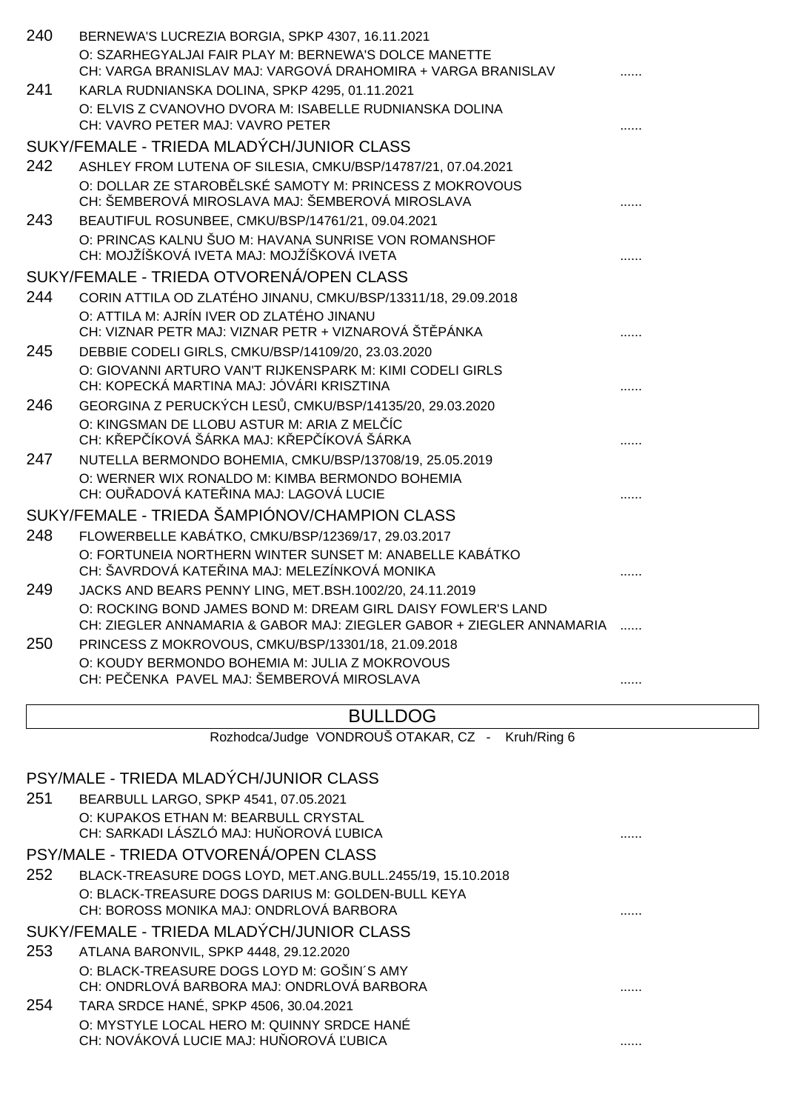| 240 | BERNEWA'S LUCREZIA BORGIA, SPKP 4307, 16.11.2021                                                                                     |  |
|-----|--------------------------------------------------------------------------------------------------------------------------------------|--|
|     | O: SZARHEGYALJAI FAIR PLAY M: BERNEWA'S DOLCE MANETTE                                                                                |  |
|     | CH: VARGA BRANISLAV MAJ: VARGOVÁ DRAHOMIRA + VARGA BRANISLAV                                                                         |  |
| 241 | KARLA RUDNIANSKA DOLINA, SPKP 4295, 01.11.2021                                                                                       |  |
|     | O: ELVIS Z CVANOVHO DVORA M: ISABELLE RUDNIANSKA DOLINA<br>CH: VAVRO PETER MAJ: VAVRO PETER                                          |  |
|     | SUKY/FEMALE - TRIEDA MLADÝCH/JUNIOR CLASS                                                                                            |  |
| 242 |                                                                                                                                      |  |
|     | ASHLEY FROM LUTENA OF SILESIA, CMKU/BSP/14787/21, 07.04.2021<br>O: DOLLAR ZE STAROB LSKÉ SAMOTY M: PRINCESS Z MOKROVOUS              |  |
|     | CH: ŠEMBEROVÁ MIROSLAVA MAJ: ŠEMBEROVÁ MIROSLAVA                                                                                     |  |
| 243 | BEAUTIFUL ROSUNBEE, CMKU/BSP/14761/21, 09.04.2021                                                                                    |  |
|     | O: PRINCAS KALNU ŠUO M: HAVANA SUNRISE VON ROMANSHOF                                                                                 |  |
|     | CH: MOJŽÍŠKOVÁ IVETA MAJ: MOJŽÍŠKOVÁ IVETA                                                                                           |  |
|     | SUKY/FEMALE - TRIEDA OTVORENÁ/OPEN CLASS                                                                                             |  |
| 244 | CORIN ATTILA OD ZLATÉHO JINANU, CMKU/BSP/13311/18, 29.09.2018                                                                        |  |
|     | O: ATTILA M: AJRÍN IVER OD ZLATÉHO JINANU<br>CH: VIZNAR PETR MAJ: VIZNAR PETR + VIZNAROVÁ ŠT PÁNKA                                   |  |
| 245 | DEBBIE CODELI GIRLS, CMKU/BSP/14109/20, 23.03.2020                                                                                   |  |
|     | O: GIOVANNI ARTURO VAN'T RIJKENSPARK M: KIMI CODELI GIRLS<br>CH: KOPECKÁ MARTINA MAJ: JÓVÁRI KRISZTINA                               |  |
| 246 | GEORGINA Z PERUCKÝCH LES , CMKU/BSP/14135/20, 29.03.2020                                                                             |  |
|     | O: KINGSMAN DE LLOBU ASTUR M: ARIA Z MEL ÍC<br>CH: K EP ÍKOVÁ ŠÁRKA MAJ: K EP ÍKOVÁ ŠÁRKA                                            |  |
| 247 | NUTELLA BERMONDO BOHEMIA, CMKU/BSP/13708/19, 25.05.2019                                                                              |  |
|     | O: WERNER WIX RONALDO M: KIMBA BERMONDO BOHEMIA<br>CH: OU ADOVÁ KATE INA MAJ: LAGOVÁ LUCIE                                           |  |
|     | SUKY/FEMALE - TRIEDA ŠAMPIÓNOV/CHAMPION CLASS                                                                                        |  |
| 248 | FLOWERBELLE KABÁTKO, CMKU/BSP/12369/17, 29.03.2017                                                                                   |  |
|     | O: FORTUNEIA NORTHERN WINTER SUNSET M: ANABELLE KABÁTKO                                                                              |  |
|     | CH: ŠAVRDOVÁ KATE INA MAJ: MELEZÍNKOVÁ MONIKA                                                                                        |  |
| 249 | JACKS AND BEARS PENNY LING, MET.BSH.1002/20, 24.11.2019                                                                              |  |
|     | O: ROCKING BOND JAMES BOND M: DREAM GIRL DAISY FOWLER'S LAND<br>CH: ZIEGLER ANNAMARIA & GABOR MAJ: ZIEGLER GABOR + ZIEGLER ANNAMARIA |  |
| 250 | PRINCESS Z MOKROVOUS, CMKU/BSP/13301/18, 21.09.2018                                                                                  |  |
|     | O: KOUDY BERMONDO BOHEMIA M: JULIA Z MOKROVOUS                                                                                       |  |
|     | CH: PE ENKA PAVEL MAJ: ŠEMBEROVÁ MIROSLAVA                                                                                           |  |
|     | <b>BULLDOG</b>                                                                                                                       |  |
|     | Rozhodca/Judge VONDROUŠ OTAKAR, CZ -<br>Kruh/Ring 6                                                                                  |  |
|     |                                                                                                                                      |  |

## PSY/MALE - TRIEDA MLADÝCH/JUNIOR CLASS 251 BEARBULL LARGO, SPKP 4541, 07.05.2021 O: KUPAKOS ETHAN M: BEARBULL CRYSTAL CH: SARKADI LÁSZLÓ MAJ: HUŇOROVÁ ĽUBICA ...... PSY/MALE - TRIEDA OTVORENÁ/OPEN CLASS 252 BLACK-TREASURE DOGS LOYD, MET.ANG.BULL.2455/19, 15.10.2018 O: BLACK-TREASURE DOGS DARIUS M: GOLDEN-BULL KEYA CH: BOROSS MONIKA MAJ: ONDRLOVÁ BARBORA ...... SUKY/FEMALE - TRIEDA MLADÝCH/JUNIOR CLASS 253 ATLANA BARONVIL, SPKP 4448, 29.12.2020 O: BLACK-TREASURE DOGS LOYD M: GOŠIN´S AMY CH: ONDRLOVÁ BARBORA MAJ: ONDRLOVÁ BARBORA ...... 254 TARA SRDCE HANÉ, SPKP 4506, 30.04.2021 O: MYSTYLE LOCAL HERO M: QUINNY SRDCE HANÉ CH: NOVÁKOVÁ LUCIE MAJ: HU OROVÁ UBICA **Externa ve algumento de la construcción de la construcción de la constru**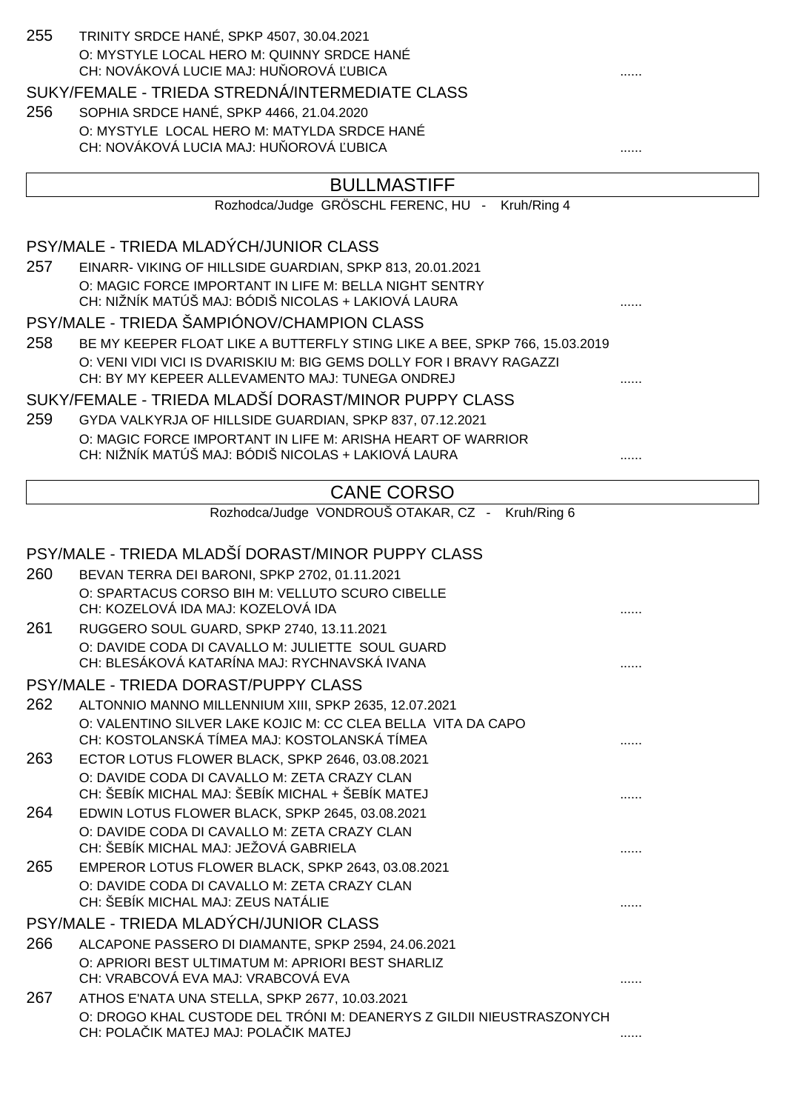| 255 | TRINITY SRDCE HANÉ, SPKP 4507, 30.04.2021<br>O: MYSTYLE LOCAL HERO M: QUINNY SRDCE HANÉ<br>CH: NOVÁKOVÁ LUCIE MAJ: HU OROVÁ UBICA |   |
|-----|-----------------------------------------------------------------------------------------------------------------------------------|---|
|     | SUKY/FEMALE - TRIEDA STREDNÁ/INTERMEDIATE CLASS                                                                                   |   |
| 256 | SOPHIA SRDCE HANÉ, SPKP 4466, 21.04.2020                                                                                          |   |
|     | O: MYSTYLE LOCAL HERO M: MATYLDA SRDCE HANÉ<br>CH: NOVÁKOVÁ LUCIA MAJ: HU OROVÁ UBICA                                             |   |
|     |                                                                                                                                   |   |
|     | <b>BULLMASTIFF</b>                                                                                                                |   |
|     | Rozhodca/Judge GRÖSCHL FERENC, HU -<br>Kruh/Ring 4                                                                                |   |
|     |                                                                                                                                   |   |
|     | PSY/MALE - TRIEDA MLADÝCH/JUNIOR CLASS                                                                                            |   |
| 257 | EINARR- VIKING OF HILLSIDE GUARDIAN, SPKP 813, 20.01.2021<br>O: MAGIC FORCE IMPORTANT IN LIFE M: BELLA NIGHT SENTRY               |   |
|     | CH: NIŽNÍK MATÚŠ MAJ: BÓDIŠ NICOLAS + LAKIOVÁ LAURA                                                                               |   |
|     | PSY/MALE - TRIEDA ŠAMPIÓNOV/CHAMPION CLASS                                                                                        |   |
| 258 | BE MY KEEPER FLOAT LIKE A BUTTERFLY STING LIKE A BEE, SPKP 766, 15.03.2019                                                        |   |
|     | O: VENI VIDI VICI IS DVARISKIU M: BIG GEMS DOLLY FOR I BRAVY RAGAZZI                                                              |   |
|     | CH: BY MY KEPEER ALLEVAMENTO MAJ: TUNEGA ONDREJ                                                                                   |   |
|     | SUKY/FEMALE - TRIEDA MLADŠÍ DORAST/MINOR PUPPY CLASS                                                                              |   |
| 259 | GYDA VALKYRJA OF HILLSIDE GUARDIAN, SPKP 837, 07.12.2021                                                                          |   |
|     | O: MAGIC FORCE IMPORTANT IN LIFE M: ARISHA HEART OF WARRIOR<br>CH: NIŽNÍK MATÚŠ MAJ: BÓDIŠ NICOLAS + LAKIOVÁ LAURA                |   |
|     |                                                                                                                                   |   |
|     | <b>CANE CORSO</b>                                                                                                                 |   |
|     | Rozhodca/Judge VONDROUŠ OTAKAR, CZ - Kruh/Ring 6                                                                                  |   |
|     |                                                                                                                                   |   |
|     | PSY/MALE - TRIEDA MLADŠÍ DORAST/MINOR PUPPY CLASS                                                                                 |   |
| 260 | BEVAN TERRA DEI BARONI, SPKP 2702, 01.11.2021                                                                                     |   |
|     | O: SPARTACUS CORSO BIH M: VELLUTO SCURO CIBELLE                                                                                   |   |
|     | CH: KOZELOVÁ IDA MAJ: KOZELOVÁ IDA                                                                                                |   |
| 261 | RUGGERO SOUL GUARD, SPKP 2740, 13.11.2021<br>O: DAVIDE CODA DI CAVALLO M: JULIETTE SOUL GUARD                                     |   |
|     | CH: BLESÁKOVÁ KATARÍNA MAJ: RYCHNAVSKÁ IVANA                                                                                      | . |
|     | PSY/MALE - TRIEDA DORAST/PUPPY CLASS                                                                                              |   |
| 262 | ALTONNIO MANNO MILLENNIUM XIII, SPKP 2635, 12.07.2021                                                                             |   |
|     | O: VALENTINO SILVER LAKE KOJIC M: CC CLEA BELLA VITA DA CAPO                                                                      |   |
|     | CH: KOSTOLANSKÁ TÍMEA MAJ: KOSTOLANSKÁ TÍMEA                                                                                      |   |
| 263 | ECTOR LOTUS FLOWER BLACK, SPKP 2646, 03.08.2021                                                                                   |   |
|     | O: DAVIDE CODA DI CAVALLO M: ZETA CRAZY CLAN                                                                                      |   |
| 264 | CH: ŠEBÍK MICHAL MAJ: ŠEBÍK MICHAL + ŠEBÍK MATEJ<br>EDWIN LOTUS FLOWER BLACK, SPKP 2645, 03.08.2021                               |   |
|     | O: DAVIDE CODA DI CAVALLO M: ZETA CRAZY CLAN                                                                                      |   |
|     | CH: ŠEBÍK MICHAL MAJ: JEŽOVÁ GABRIELA                                                                                             |   |
| 265 | EMPEROR LOTUS FLOWER BLACK, SPKP 2643, 03.08.2021                                                                                 |   |
|     | O: DAVIDE CODA DI CAVALLO M: ZETA CRAZY CLAN                                                                                      |   |
|     | CH: ŠEBÍK MICHAL MAJ: ZEUS NATÁLIE                                                                                                | . |
|     | PSY/MALE - TRIEDA MLADÝCH/JUNIOR CLASS                                                                                            |   |
| 266 | ALCAPONE PASSERO DI DIAMANTE, SPKP 2594, 24.06.2021                                                                               |   |
|     | O: APRIORI BEST ULTIMATUM M: APRIORI BEST SHARLIZ<br>CH: VRABCOVÁ EVA MAJ: VRABCOVÁ EVA                                           |   |
| 267 | ATHOS E'NATA UNA STELLA, SPKP 2677, 10.03.2021                                                                                    | . |
|     | O: DROGO KHAL CUSTODE DEL TRÓNI M: DEANERYS Z GILDII NIEUSTRASZONYCH                                                              |   |
|     | CH: POLA IK MATEJ MAJ: POLA IK MATEJ                                                                                              |   |
|     |                                                                                                                                   |   |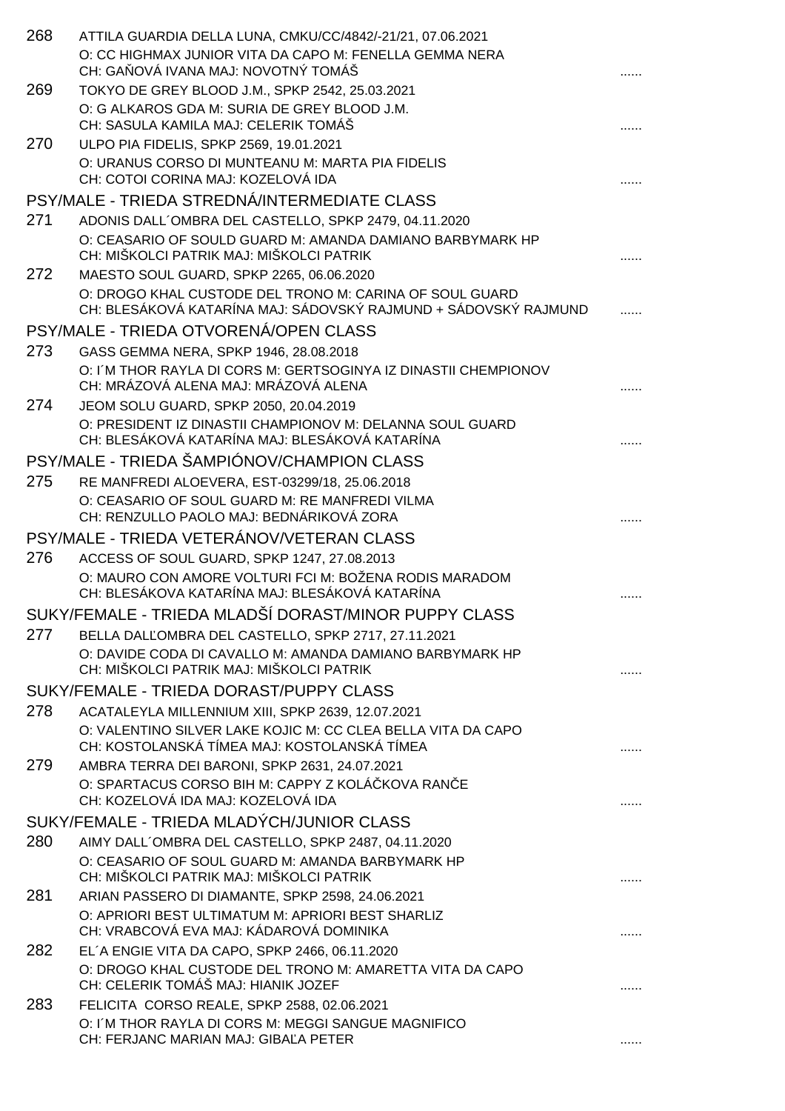| 268 | ATTILA GUARDIA DELLA LUNA, CMKU/CC/4842/-21/21, 07.06.2021                                                                 |  |
|-----|----------------------------------------------------------------------------------------------------------------------------|--|
|     | O: CC HIGHMAX JUNIOR VITA DA CAPO M: FENELLA GEMMA NERA<br>CH: GA OVÁ IVANA MAJ: NOVOTNÝ TOMÁŠ                             |  |
| 269 | TOKYO DE GREY BLOOD J.M., SPKP 2542, 25.03.2021                                                                            |  |
|     | O: G ALKAROS GDA M: SURIA DE GREY BLOOD J.M.<br>CH: SASULA KAMILA MAJ: CELERIK TOMÁŠ                                       |  |
| 270 | ULPO PIA FIDELIS, SPKP 2569, 19.01.2021                                                                                    |  |
|     | O: URANUS CORSO DI MUNTEANU M: MARTA PIA FIDELIS<br>CH: COTOI CORINA MAJ: KOZELOVÁ IDA                                     |  |
|     | PSY/MALE - TRIEDA STREDNÁ/INTERMEDIATE CLASS                                                                               |  |
| 271 | ADONIS DALL'OMBRA DEL CASTELLO, SPKP 2479, 04.11.2020                                                                      |  |
|     | O: CEASARIO OF SOULD GUARD M: AMANDA DAMIANO BARBYMARK HP<br>CH: MIŠKOLCI PATRIK MAJ: MIŠKOLCI PATRIK                      |  |
| 272 | MAESTO SOUL GUARD, SPKP 2265, 06.06.2020                                                                                   |  |
|     | O: DROGO KHAL CUSTODE DEL TRONO M: CARINA OF SOUL GUARD<br>CH: BLESÁKOVÁ KATARÍNA MAJ: SÁDOVSKÝ RAJMUND + SÁDOVSKÝ RAJMUND |  |
|     | PSY/MALE - TRIEDA OTVORENÁ/OPEN CLASS                                                                                      |  |
| 273 | GASS GEMMA NERA, SPKP 1946, 28.08.2018                                                                                     |  |
|     | O: I'M THOR RAYLA DI CORS M: GERTSOGINYA IZ DINASTII CHEMPIONOV<br>CH: MRÁZOVÁ ALENA MAJ: MRÁZOVÁ ALENA                    |  |
| 274 | JEOM SOLU GUARD, SPKP 2050, 20.04.2019                                                                                     |  |
|     | O: PRESIDENT IZ DINASTII CHAMPIONOV M: DELANNA SOUL GUARD<br>CH: BLESÁKOVÁ KATARÍNA MAJ: BLESÁKOVÁ KATARÍNA                |  |
|     | PSY/MALE - TRIEDA ŠAMPIÓNOV/CHAMPION CLASS                                                                                 |  |
| 275 | RE MANFREDI ALOEVERA, EST-03299/18, 25.06.2018                                                                             |  |
|     | O: CEASARIO OF SOUL GUARD M: RE MANFREDI VILMA<br>CH: RENZULLO PAOLO MAJ: BEDNÁRIKOVÁ ZORA                                 |  |
|     | PSY/MALE - TRIEDA VETERÁNOV/VETERAN CLASS                                                                                  |  |
| 276 | ACCESS OF SOUL GUARD, SPKP 1247, 27.08.2013                                                                                |  |
|     | O: MAURO CON AMORE VOLTURI FCI M: BOŽENA RODIS MARADOM<br>CH: BLESÁKOVA KATARÍNA MAJ: BLESÁKOVÁ KATARÍNA                   |  |
|     | SUKY/FEMALE - TRIEDA MLADŠÍ DORAST/MINOR PUPPY CLASS                                                                       |  |
| 277 | BELLA DAL OMBRA DEL CASTELLO, SPKP 2717, 27.11.2021                                                                        |  |
|     | O: DAVIDE CODA DI CAVALLO M: AMANDA DAMIANO BARBYMARK HP<br>CH: MIŠKOLCI PATRIK MAJ: MIŠKOLCI PATRIK                       |  |
|     | SUKY/FEMALE - TRIEDA DORAST/PUPPY CLASS                                                                                    |  |
| 278 | ACATALEYLA MILLENNIUM XIII, SPKP 2639, 12.07.2021                                                                          |  |
|     | O: VALENTINO SILVER LAKE KOJIC M: CC CLEA BELLA VITA DA CAPO<br>CH: KOSTOLANSKÁ TÍMEA MAJ: KOSTOLANSKÁ TÍMEA               |  |
| 279 | AMBRA TERRA DEI BARONI, SPKP 2631, 24.07.2021                                                                              |  |
|     | O: SPARTACUS CORSO BIH M: CAPPY Z KOLÁ KOVA RAN E<br>CH: KOZELOVÁ IDA MAJ: KOZELOVÁ IDA                                    |  |
|     | SUKY/FEMALE - TRIEDA MLADÝCH/JUNIOR CLASS                                                                                  |  |
| 280 | AIMY DALL'OMBRA DEL CASTELLO, SPKP 2487, 04.11.2020                                                                        |  |
|     | O: CEASARIO OF SOUL GUARD M: AMANDA BARBYMARK HP<br>CH: MIŠKOLCI PATRIK MAJ: MIŠKOLCI PATRIK                               |  |
| 281 | ARIAN PASSERO DI DIAMANTE, SPKP 2598, 24.06.2021                                                                           |  |
|     | O: APRIORI BEST ULTIMATUM M: APRIORI BEST SHARLIZ<br>CH: VRABCOVÁ EVA MAJ: KÁDAROVÁ DOMINIKA                               |  |
| 282 | EL'A ENGIE VITA DA CAPO, SPKP 2466, 06.11.2020                                                                             |  |
|     | O: DROGO KHAL CUSTODE DEL TRONO M: AMARETTA VITA DA CAPO<br>CH: CELERIK TOMÁŠ MAJ: HIANIK JOZEF                            |  |
| 283 | FELICITA CORSO REALE, SPKP 2588, 02.06.2021                                                                                |  |
|     | O: I'M THOR RAYLA DI CORS M: MEGGI SANGUE MAGNIFICO<br>CH: FERJANC MARIAN MAJ: GIBA A PETER                                |  |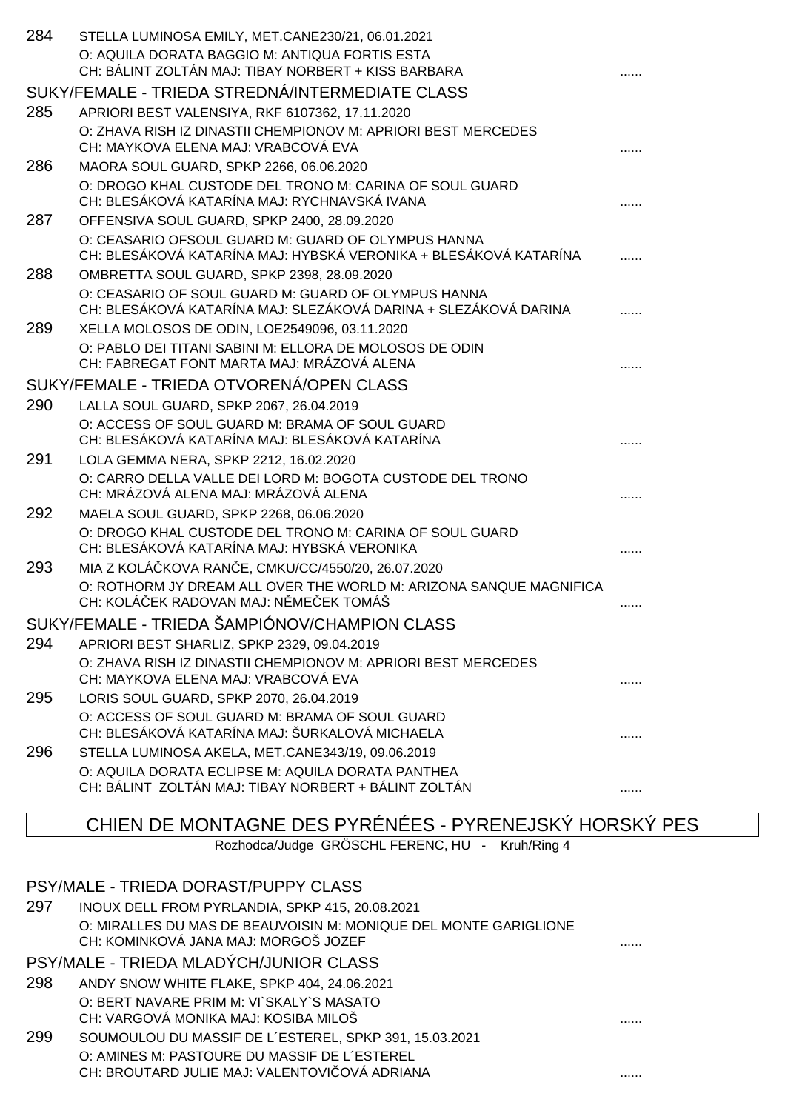| 284 | STELLA LUMINOSA EMILY, MET.CANE230/21, 06.01.2021                                                                      |  |
|-----|------------------------------------------------------------------------------------------------------------------------|--|
|     | O: AQUILA DORATA BAGGIO M: ANTIQUA FORTIS ESTA                                                                         |  |
|     | CH: BÁLINT ZOLTÁN MAJ: TIBAY NORBERT + KISS BARBARA                                                                    |  |
|     | SUKY/FEMALE - TRIEDA STREDNÁ/INTERMEDIATE CLASS                                                                        |  |
| 285 | APRIORI BEST VALENSIYA, RKF 6107362, 17.11.2020                                                                        |  |
|     | O: ZHAVA RISH IZ DINASTII CHEMPIONOV M: APRIORI BEST MERCEDES                                                          |  |
|     | CH: MAYKOVA ELENA MAJ: VRABCOVÁ EVA                                                                                    |  |
| 286 | MAORA SOUL GUARD, SPKP 2266, 06.06.2020                                                                                |  |
|     | O: DROGO KHAL CUSTODE DEL TRONO M: CARINA OF SOUL GUARD                                                                |  |
|     | CH: BLESÁKOVÁ KATARÍNA MAJ: RYCHNAVSKÁ IVANA                                                                           |  |
| 287 | OFFENSIVA SOUL GUARD, SPKP 2400, 28.09.2020                                                                            |  |
|     | O: CEASARIO OFSOUL GUARD M: GUARD OF OLYMPUS HANNA<br>CH: BLESÁKOVÁ KATARÍNA MAJ: HYBSKÁ VERONIKA + BLESÁKOVÁ KATARÍNA |  |
| 288 | OMBRETTA SOUL GUARD, SPKP 2398, 28.09.2020                                                                             |  |
|     | O: CEASARIO OF SOUL GUARD M: GUARD OF OLYMPUS HANNA                                                                    |  |
|     | CH: BLESÁKOVÁ KATARÍNA MAJ: SLEZÁKOVÁ DARINA + SLEZÁKOVÁ DARINA                                                        |  |
| 289 | XELLA MOLOSOS DE ODIN, LOE2549096, 03.11.2020                                                                          |  |
|     | O: PABLO DEI TITANI SABINI M: ELLORA DE MOLOSOS DE ODIN                                                                |  |
|     | CH: FABREGAT FONT MARTA MAJ: MRÁZOVÁ ALENA                                                                             |  |
|     | SUKY/FEMALE - TRIEDA OTVORENÁ/OPEN CLASS                                                                               |  |
| 290 | LALLA SOUL GUARD, SPKP 2067, 26.04.2019                                                                                |  |
|     | O: ACCESS OF SOUL GUARD M: BRAMA OF SOUL GUARD<br>CH: BLESÁKOVÁ KATARÍNA MAJ: BLESÁKOVÁ KATARÍNA                       |  |
| 291 |                                                                                                                        |  |
|     | LOLA GEMMA NERA, SPKP 2212, 16.02.2020<br>O: CARRO DELLA VALLE DEI LORD M: BOGOTA CUSTODE DEL TRONO                    |  |
|     | CH: MRÁZOVÁ ALENA MAJ: MRÁZOVÁ ALENA                                                                                   |  |
| 292 | MAELA SOUL GUARD, SPKP 2268, 06.06.2020                                                                                |  |
|     | O: DROGO KHAL CUSTODE DEL TRONO M: CARINA OF SOUL GUARD                                                                |  |
|     | CH: BLESÁKOVÁ KATARÍNA MAJ: HYBSKÁ VERONIKA                                                                            |  |
| 293 | MIA Z KOLÁ KOVA RAN E, CMKU/CC/4550/20, 26.07.2020                                                                     |  |
|     | O: ROTHORM JY DREAM ALL OVER THE WORLD M: ARIZONA SANQUE MAGNIFICA                                                     |  |
|     | CH: KOLÁ EK RADOVAN MAJ: N ME EK TOMÁŠ                                                                                 |  |
|     | SUKY/FEMALE - TRIEDA ŠAMPIÓNOV/CHAMPION CLASS                                                                          |  |
| 294 | APRIORI BEST SHARLIZ, SPKP 2329, 09.04.2019                                                                            |  |
|     | O: ZHAVA RISH IZ DINASTII CHEMPIONOV M: APRIORI BEST MERCEDES                                                          |  |
|     | CH: MAYKOVA ELENA MAJ: VRABCOVÁ EVA                                                                                    |  |
| 295 | LORIS SOUL GUARD, SPKP 2070, 26.04.2019                                                                                |  |
|     | O: ACCESS OF SOUL GUARD M: BRAMA OF SOUL GUARD                                                                         |  |
|     | CH: BLESÁKOVÁ KATARÍNA MAJ: ŠURKALOVÁ MICHAELA                                                                         |  |
| 296 | STELLA LUMINOSA AKELA, MET.CANE343/19, 09.06.2019                                                                      |  |
|     | O: AQUILA DORATA ECLIPSE M: AQUILA DORATA PANTHEA                                                                      |  |
|     | CH: BÁLINT ZOLTÁN MAJ: TIBAY NORBERT + BÁLINT ZOLTÁN                                                                   |  |

# CHIEN DE MONTAGNE DES PYRÉNÉES - PYRENEJSKÝ HORSKÝ PES

Rozhodca/Judge GRÖSCHL FERENC, HU - Kruh/Ring 4

|     | PSY/MALE - TRIEDA DORAST/PUPPY CLASS                                                                     |  |
|-----|----------------------------------------------------------------------------------------------------------|--|
| 297 | INOUX DELL FROM PYRLANDIA, SPKP 415, 20.08.2021                                                          |  |
|     | O: MIRALLES DU MAS DE BEAUVOISIN M: MONIQUE DEL MONTE GARIGLIONE<br>CH: KOMINKOVÁ JANA MAJ: MORGOŠ JOZEF |  |
|     | PSY/MALE - TRIEDA MLADÝCH/JUNIOR CLASS                                                                   |  |
| 298 | ANDY SNOW WHITE FLAKE, SPKP 404, 24.06.2021                                                              |  |
|     | O: BERT NAVARE PRIM M: VI`SKALY`S MASATO                                                                 |  |
|     | CH: VARGOVÁ MONIKA MAJ: KOSIBA MILOŠ                                                                     |  |
| 299 | SOUMOULOU DU MASSIF DE L'ESTEREL, SPKP 391, 15.03.2021                                                   |  |
|     | O: AMINES M: PASTOURE DU MASSIF DE L'ESTEREL<br>CH: BROUTARD JULIE MAJ: VALENTOVI OVÁ ADRIANA            |  |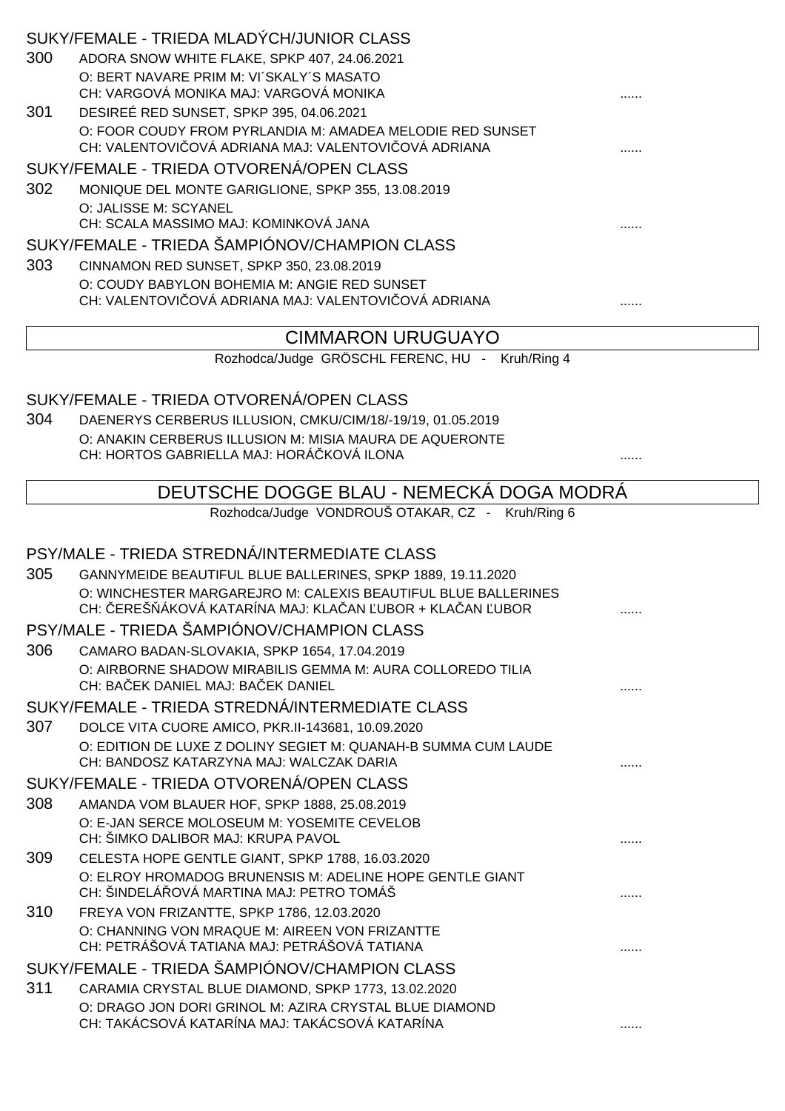|     | SUKY/FEMALE - TRIEDA MLADÝCH/JUNIOR CLASS                                                                               |   |
|-----|-------------------------------------------------------------------------------------------------------------------------|---|
| 300 | ADORA SNOW WHITE FLAKE, SPKP 407, 24.06.2021                                                                            |   |
|     | O: BERT NAVARE PRIM M: VI'SKALY'S MASATO<br>CH: VARGOVÁ MONIKA MAJ: VARGOVÁ MONIKA                                      |   |
| 301 | DESIREÉ RED SUNSET, SPKP 395, 04.06.2021                                                                                |   |
|     | O: FOOR COUDY FROM PYRLANDIA M: AMADEA MELODIE RED SUNSET                                                               |   |
|     | CH: VALENTOVI OVÁ ADRIANA MAJ: VALENTOVI OVÁ ADRIANA                                                                    |   |
|     | SUKY/FEMALE - TRIEDA OTVORENÁ/OPEN CLASS                                                                                |   |
| 302 | MONIQUE DEL MONTE GARIGLIONE, SPKP 355, 13.08.2019                                                                      |   |
|     | O: JALISSE M: SCYANEL<br>CH: SCALA MASSIMO MAJ: KOMINKOVÁ JANA                                                          |   |
|     | SUKY/FEMALE - TRIEDA ŠAMPIÓNOV/CHAMPION CLASS                                                                           |   |
| 303 | CINNAMON RED SUNSET, SPKP 350, 23.08.2019                                                                               |   |
|     | O: COUDY BABYLON BOHEMIA M: ANGIE RED SUNSET                                                                            |   |
|     | CH: VALENTOVI OVÁ ADRIANA MAJ: VALENTOVI OVÁ ADRIANA                                                                    |   |
|     | <b>CIMMARON URUGUAYO</b>                                                                                                |   |
|     | Rozhodca/Judge GRÖSCHL FERENC, HU - Kruh/Ring 4                                                                         |   |
|     |                                                                                                                         |   |
|     | SUKY/FEMALE - TRIEDA OTVORENÁ/OPEN CLASS                                                                                |   |
| 304 | DAENERYS CERBERUS ILLUSION, CMKU/CIM/18/-19/19, 01.05.2019                                                              |   |
|     | O: ANAKIN CERBERUS ILLUSION M: MISIA MAURA DE AQUERONTE<br>CH: HORTOS GABRIELLA MAJ: HORÁ KOVÁ ILONA                    |   |
|     |                                                                                                                         |   |
|     | DEUTSCHE DOGGE BLAU - NEMECKÁ DOGA MODRÁ                                                                                |   |
|     | Rozhodca/Judge VONDROUŠ OTAKAR, CZ - Kruh/Ring 6                                                                        |   |
|     |                                                                                                                         |   |
|     | PSY/MALE - TRIEDA STREDNÁ/INTERMEDIATE CLASS                                                                            |   |
| 305 | GANNYMEIDE BEAUTIFUL BLUE BALLERINES, SPKP 1889, 19.11.2020                                                             |   |
|     | O: WINCHESTER MARGAREJRO M: CALEXIS BEAUTIFUL BLUE BALLERINES<br>CH: EREŠ ÁKOVÁ KATARÍNA MAJ: KLA AN UBOR + KLA AN UBOR |   |
|     | PSY/MALE - TRIEDA ŠAMPIÓNOV/CHAMPION CLASS                                                                              |   |
| 306 | CAMARO BADAN-SLOVAKIA, SPKP 1654, 17.04.2019                                                                            |   |
|     | O: AIRBORNE SHADOW MIRABILIS GEMMA M: AURA COLLOREDO TILIA<br>CH: BA EK DANIEL MAJ: BA EK DANIEL                        |   |
|     | SUKY/FEMALE - TRIEDA STREDNÁ/INTERMEDIATE CLASS                                                                         | . |
| 307 | DOLCE VITA CUORE AMICO, PKR.II-143681, 10.09.2020                                                                       |   |
|     | O: EDITION DE LUXE Z DOLINY SEGIET M: QUANAH-B SUMMA CUM LAUDE                                                          |   |
|     | CH: BANDOSZ KATARZYNA MAJ: WALCZAK DARIA                                                                                |   |
|     | SUKY/FEMALE - TRIEDA OTVORENÁ/OPEN CLASS                                                                                |   |
| 308 | AMANDA VOM BLAUER HOF, SPKP 1888, 25.08.2019                                                                            |   |
|     | O: E-JAN SERCE MOLOSEUM M: YOSEMITE CEVELOB                                                                             |   |
|     | CH: ŠIMKO DALIBOR MAJ: KRUPA PAVOL                                                                                      |   |
| 309 | CELESTA HOPE GENTLE GIANT, SPKP 1788, 16.03.2020<br>O: ELROY HROMADOG BRUNENSIS M: ADELINE HOPE GENTLE GIANT            |   |
|     | CH: ŠINDELÁ OVÁ MARTINA MAJ: PETRO TOMÁŠ                                                                                | . |
| 310 | FREYA VON FRIZANTTE, SPKP 1786, 12.03.2020                                                                              |   |
|     | O: CHANNING VON MRAQUE M: AIREEN VON FRIZANTTE<br>CH: PETRÁŠOVÁ TATIANA MAJ: PETRÁŠOVÁ TATIANA                          | . |
|     | SUKY/FEMALE - TRIEDA ŠAMPIÓNOV/CHAMPION CLASS                                                                           |   |
| 311 | CARAMIA CRYSTAL BLUE DIAMOND, SPKP 1773, 13.02.2020                                                                     |   |
|     | O: DRAGO JON DORI GRINOL M: AZIRA CRYSTAL BLUE DIAMOND                                                                  |   |
|     | CH: TAKÁCSOVÁ KATARÍNA MAJ: TAKÁCSOVÁ KATARÍNA                                                                          | . |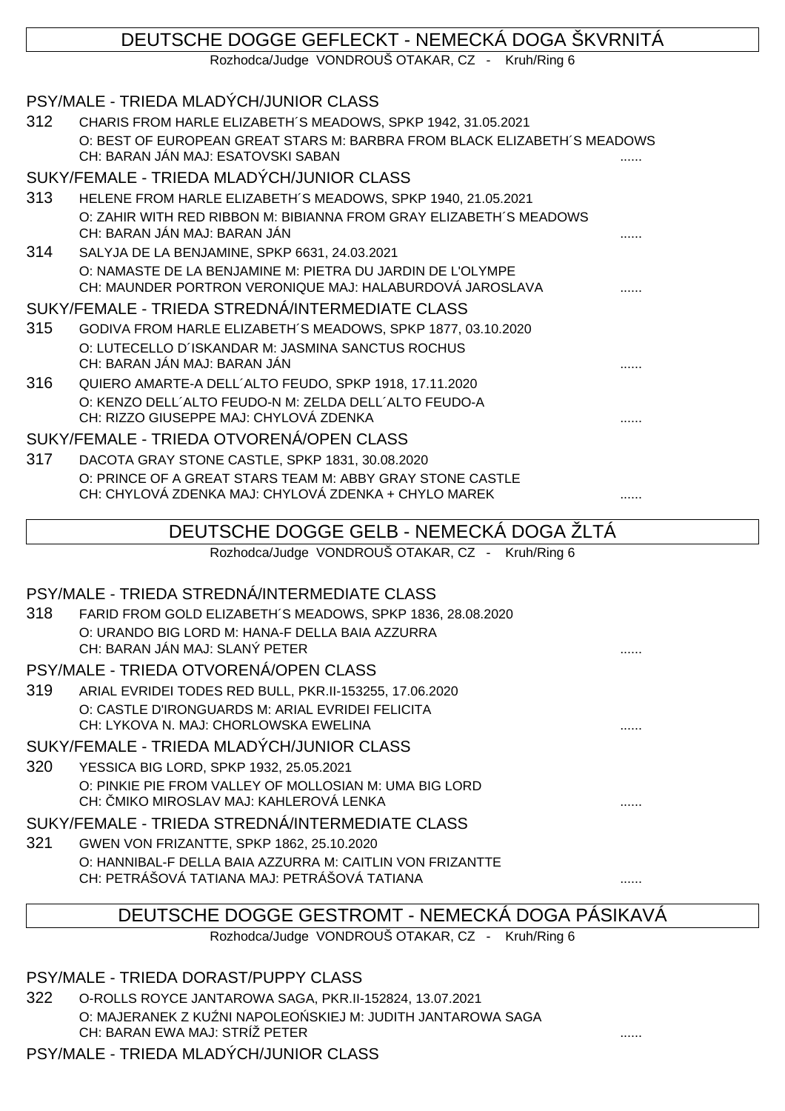## DEUTSCHE DOGGE GEFLECKT - NEMECKÁ DOGA ŠKVRNITÁ Rozhodca/Judge VONDROUŠ OTAKAR, CZ - Kruh/Ring 6 PSY/MALE - TRIEDA MLADÝCH/JUNIOR CLASS 312 CHARIS FROM HARLE ELIZABETH´S MEADOWS, SPKP 1942, 31.05.2021 O: BEST OF EUROPEAN GREAT STARS M: BARBRA FROM BLACK ELIZABETH´S MEADOWS CH: BARAN JÁN MAJ: ESATOVSKI SABAN SUKY/FEMALE - TRIEDA MLADÝCH/JUNIOR CLASS 313 HELENE FROM HARLE ELIZABETH´S MEADOWS, SPKP 1940, 21.05.2021 O: ZAHIR WITH RED RIBBON M: BIBIANNA FROM GRAY ELIZABETH´S MEADOWS CH: BARAN JÁN MAJ: BARAN JÁN 314 SALYJA DE LA BENJAMINE, SPKP 6631, 24.03.2021 O: NAMASTE DE LA BENJAMINE M: PIETRA DU JARDIN DE L'OLYMPE CH: MAUNDER PORTRON VERONIQUE MAJ: HALABURDOVÁ JAROSLAVA ...... SUKY/FEMALE - TRIEDA STREDNÁ/INTERMEDIATE CLASS 315 GODIVA FROM HARLE ELIZABETH´S MEADOWS, SPKP 1877, 03.10.2020 O: LUTECELLO D´ISKANDAR M: JASMINA SANCTUS ROCHUS CH: BARAN JÁN MAJ: BARAN JÁN 316 QUIERO AMARTE-A DELL´ALTO FEUDO, SPKP 1918, 17.11.2020 O: KENZO DELL´ALTO FEUDO-N M: ZELDA DELL´ALTO FEUDO-A CH: RIZZO GIUSEPPE MAJ: CHYLOVÁ ZDENKA ...... SUKY/FEMALE - TRIEDA OTVORENÁ/OPEN CLASS 317 DACOTA GRAY STONE CASTLE, SPKP 1831, 30.08.2020 O: PRINCE OF A GREAT STARS TEAM M: ABBY GRAY STONE CASTLE CH: CHYLOVÁ ZDENKA MAJ: CHYLOVÁ ZDENKA + CHYLO MAREK ...... DEUTSCHE DOGGE GELB - NEMECKÁ DOGA ŽLTÁ Rozhodca/Judge VONDROUŠ OTAKAR, CZ - Kruh/Ring 6 PSY/MALE - TRIEDA STREDNÁ/INTERMEDIATE CLASS 318 FARID FROM GOLD ELIZABETH´S MEADOWS, SPKP 1836, 28.08.2020 O: URANDO BIG LORD M: HANA-F DELLA BAIA AZZURRA CH: BARAN JÁN MAJ: SLANÝ PETER PSY/MALE - TRIEDA OTVORENÁ/OPEN CLASS 319 ARIAL EVRIDEI TODES RED BULL, PKR.II-153255, 17.06.2020

O: CASTLE D'IRONGUARDS M: ARIAL EVRIDEI FELICITA CH: LYKOVA N. MAJ: CHORLOWSKA EWELINA ......

# SUKY/FEMALE - TRIEDA MLADÝCH/JUNIOR CLASS

320 YESSICA BIG LORD, SPKP 1932, 25.05.2021 O: PINKIE PIE FROM VALLEY OF MOLLOSIAN M: UMA BIG LORD CH: MIKO MIROSLAV MAJ: KAHLEROVÁ LENKA

## SUKY/FEMALE - TRIEDA STREDNÁ/INTERMEDIATE CLASS

321 GWEN VON FRIZANTTE, SPKP 1862, 25.10.2020 O: HANNIBAL-F DELLA BAIA AZZURRA M: CAITLIN VON FRIZANTTE CH: PETRÁŠOVÁ TATIANA MAJ: PETRÁŠOVÁ TATIANA

# DEUTSCHE DOGGE GESTROMT - NEMECKÁ DOGA PÁSIKAVÁ

Rozhodca/Judge VONDROUŠ OTAKAR, CZ - Kruh/Ring 6

- PSY/MALE TRIEDA DORAST/PUPPY CLASS
- 322 O-ROLLS ROYCE JANTAROWA SAGA, PKR.II-152824, 13.07.2021 O: MAJERANEK Z KU NI NAPOLEO SKIEJ M: JUDITH JANTAROWA SAGA CH: BARAN EWA MAJ: STRÍŽ PETER PSY/MALE - TRIEDA MLADÝCH/JUNIOR CLASS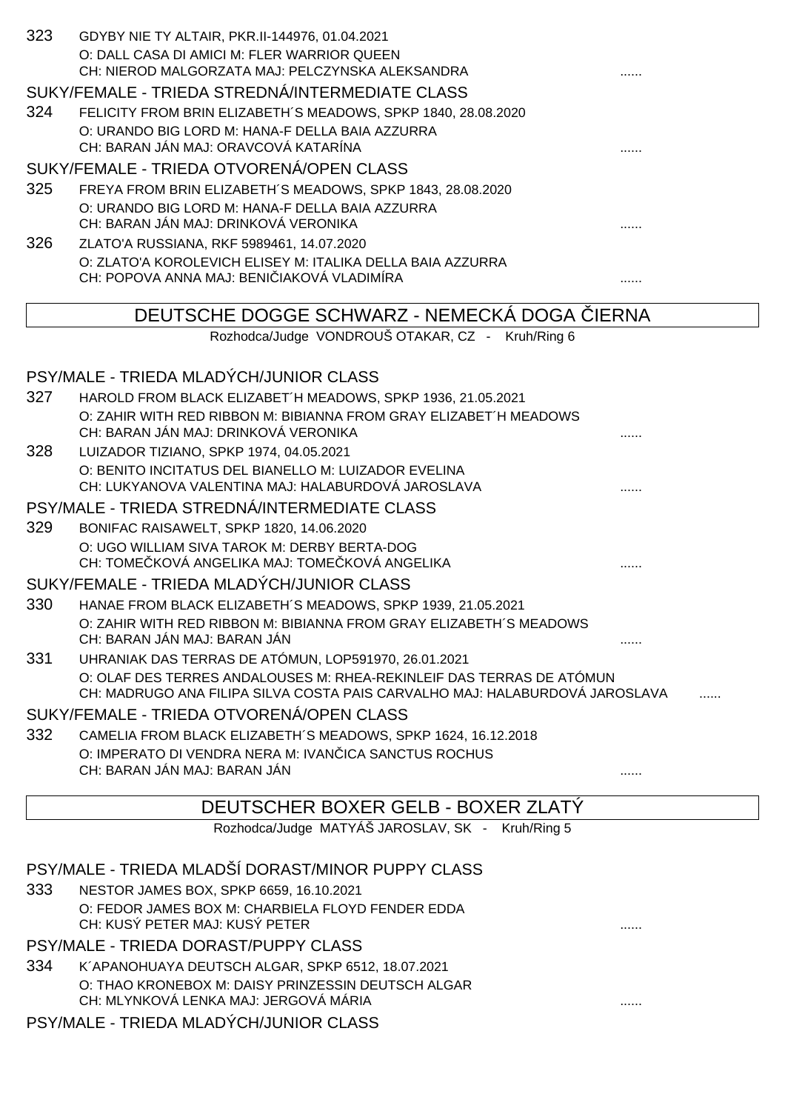| 323 | GDYBY NIE TY ALTAIR, PKR.II-144976, 01.04.2021<br>O: DALL CASA DI AMICI M: FLER WARRIOR QUEEN<br>CH: NIEROD MALGORZATA MAJ: PELCZYNSKA ALEKSANDRA   |              |
|-----|-----------------------------------------------------------------------------------------------------------------------------------------------------|--------------|
|     | SUKY/FEMALE - TRIEDA STREDNÁ/INTERMEDIATE CLASS                                                                                                     |              |
| 324 | FELICITY FROM BRIN ELIZABETH'S MEADOWS, SPKP 1840, 28.08.2020                                                                                       |              |
|     | O: URANDO BIG LORD M: HANA-F DELLA BAIA AZZURRA<br>CH: BARAN JÁN MAJ: ORAVCOVÁ KATARÍNA                                                             |              |
|     | SUKY/FEMALE - TRIEDA OTVORENÁ/OPEN CLASS                                                                                                            |              |
| 325 | FREYA FROM BRIN ELIZABETH'S MEADOWS, SPKP 1843, 28.08.2020                                                                                          |              |
|     | O: URANDO BIG LORD M: HANA-F DELLA BAIA AZZURRA<br>CH: BARAN JÁN MAJ: DRINKOVÁ VERONIKA                                                             |              |
| 326 | ZLATO'A RUSSIANA, RKF 5989461, 14.07.2020                                                                                                           |              |
|     | O: ZLATO'A KOROLEVICH ELISEY M: ITALIKA DELLA BAIA AZZURRA<br>CH: POPOVA ANNA MAJ: BENI IAKOVÁ VLADIMÍRA                                            |              |
|     | DEUTSCHE DOGGE SCHWARZ - NEMECKA DOGA                                                                                                               | <b>IERNA</b> |
|     | Rozhodca/Judge VONDROUŠ OTAKAR, CZ - Kruh/Ring 6                                                                                                    |              |
|     |                                                                                                                                                     |              |
|     | PSY/MALE - TRIEDA MLADÝCH/JUNIOR CLASS                                                                                                              |              |
| 327 | HAROLD FROM BLACK ELIZABET H MEADOWS, SPKP 1936, 21.05.2021                                                                                         |              |
|     | O: ZAHIR WITH RED RIBBON M: BIBIANNA FROM GRAY ELIZABET'H MEADOWS                                                                                   |              |
| 328 | CH: BARAN JÁN MAJ: DRINKOVÁ VERONIKA<br>LUIZADOR TIZIANO, SPKP 1974, 04.05.2021                                                                     |              |
|     | O: BENITO INCITATUS DEL BIANELLO M: LUIZADOR EVELINA                                                                                                |              |
|     | CH: LUKYANOVA VALENTINA MAJ: HALABURDOVÁ JAROSLAVA                                                                                                  |              |
|     | PSY/MALE - TRIEDA STREDNÁ/INTERMEDIATE CLASS                                                                                                        |              |
| 329 | BONIFAC RAISAWELT, SPKP 1820, 14.06.2020                                                                                                            |              |
|     | O: UGO WILLIAM SIVA TAROK M: DERBY BERTA-DOG<br>CH: TOME KOVÁ ANGELIKA MAJ: TOME KOVÁ ANGELIKA                                                      |              |
|     | SUKY/FEMALE - TRIEDA MLADÝCH/JUNIOR CLASS                                                                                                           |              |
| 330 | HANAE FROM BLACK ELIZABETH'S MEADOWS, SPKP 1939, 21.05.2021                                                                                         |              |
|     | O: ZAHIR WITH RED RIBBON M: BIBIANNA FROM GRAY ELIZABETH'S MEADOWS<br>CH: BARAN JÁN MAJ: BARAN JÁN                                                  |              |
| 331 | UHRANIAK DAS TERRAS DE ATÓMUN, LOP591970, 26.01.2021                                                                                                |              |
|     | O: OLAF DES TERRES ANDALOUSES M: RHEA-REKINLEIF DAS TERRAS DE ATÓMUN<br>CH: MADRUGO ANA FILIPA SILVA COSTA PAIS CARVALHO MAJ: HALABURDOVÁ JAROSLAVA |              |
|     | SUKY/FEMALE - TRIEDA OTVORENÁ/OPEN CLASS                                                                                                            |              |
| 332 | CAMELIA FROM BLACK ELIZABETH'S MEADOWS, SPKP 1624, 16.12.2018                                                                                       |              |
|     | O: IMPERATO DI VENDRA NERA M: IVAN ICA SANCTUS ROCHUS<br>CH: BARAN JÁN MAJ: BARAN JÁN                                                               |              |
|     |                                                                                                                                                     |              |
|     | DEUTSCHER BOXER GELB - BOXER ZLATY                                                                                                                  |              |
|     | Rozhodca/Judge MATYÁŠ JAROSLAV, SK - Kruh/Ring 5                                                                                                    |              |
|     |                                                                                                                                                     |              |
| 333 | PSY/MALE - TRIEDA MLADŠÍ DORAST/MINOR PUPPY CLASS<br>NESTOR JAMES BOX, SPKP 6659, 16.10.2021                                                        |              |
|     | O: FEDOR JAMES BOX M: CHARBIELA FLOYD FENDER EDDA                                                                                                   |              |
|     | CH: KUSÝ PETER MAJ: KUSÝ PETER                                                                                                                      |              |
|     | PSY/MALE - TRIEDA DORAST/PUPPY CLASS                                                                                                                |              |
| 334 | K'APANOHUAYA DEUTSCH ALGAR, SPKP 6512, 18.07.2021                                                                                                   |              |
|     | O: THAO KRONEBOX M: DAISY PRINZESSIN DEUTSCH ALGAR<br>CH: MLYNKOVÁ LENKA MAJ: JERGOVÁ MÁRIA                                                         |              |
|     | PSY/MALE - TRIEDA MLADÝCH/JUNIOR CLASS                                                                                                              |              |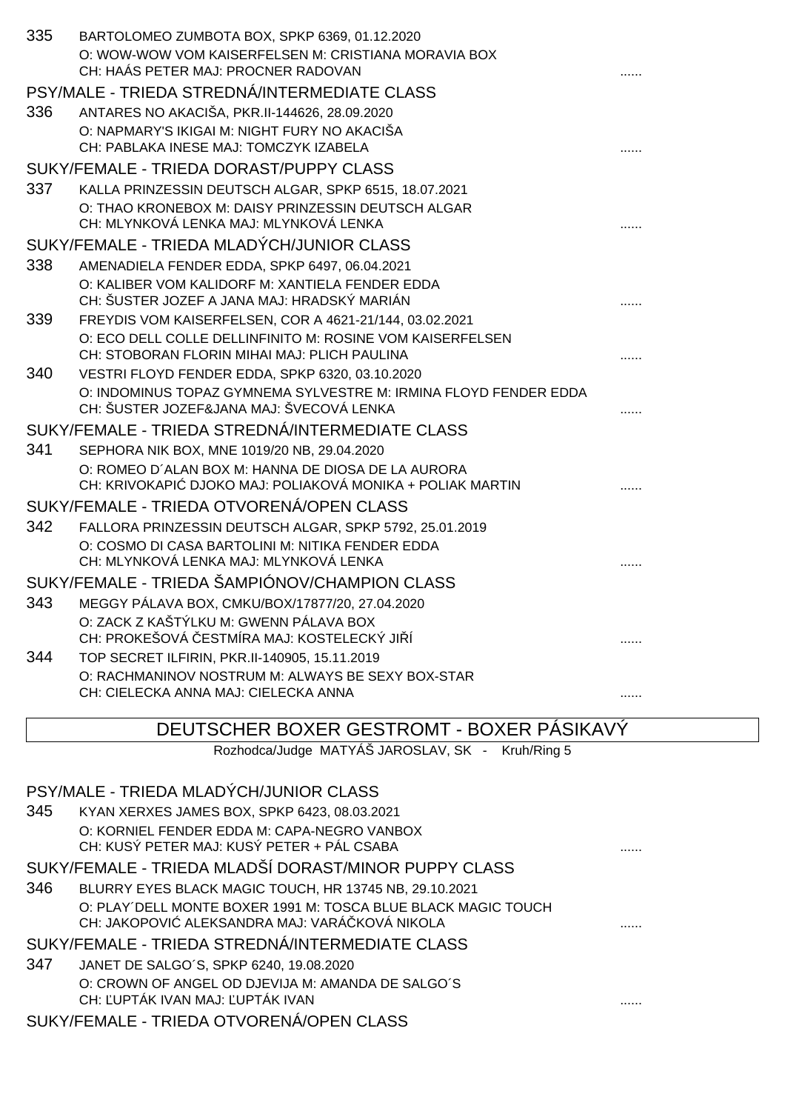| 335 | BARTOLOMEO ZUMBOTA BOX, SPKP 6369, 01.12.2020                                                  |   |
|-----|------------------------------------------------------------------------------------------------|---|
|     | O: WOW-WOW VOM KAISERFELSEN M: CRISTIANA MORAVIA BOX                                           |   |
|     | CH: HAÁS PETER MAJ: PROCNER RADOVAN                                                            |   |
|     | PSY/MALE - TRIEDA STREDNÁ/INTERMEDIATE CLASS                                                   |   |
| 336 | ANTARES NO AKACIŠA, PKR.II-144626, 28.09.2020                                                  |   |
|     | O: NAPMARY'S IKIGAI M: NIGHT FURY NO AKACIŠA                                                   |   |
|     | CH: PABLAKA INESE MAJ: TOMCZYK IZABELA                                                         |   |
|     | SUKY/FEMALE - TRIEDA DORAST/PUPPY CLASS                                                        |   |
| 337 | KALLA PRINZESSIN DEUTSCH ALGAR, SPKP 6515, 18.07.2021                                          |   |
|     | O: THAO KRONEBOX M: DAISY PRINZESSIN DEUTSCH ALGAR                                             |   |
|     | CH: MLYNKOVÁ LENKA MAJ: MLYNKOVÁ LENKA                                                         |   |
|     | SUKY/FEMALE - TRIEDA MLADÝCH/JUNIOR CLASS                                                      |   |
| 338 | AMENADIELA FENDER EDDA, SPKP 6497, 06.04.2021                                                  |   |
|     | O: KALIBER VOM KALIDORF M: XANTIELA FENDER EDDA<br>CH: ŠUSTER JOZEF A JANA MAJ: HRADSKÝ MARIÁN |   |
| 339 | FREYDIS VOM KAISERFELSEN, COR A 4621-21/144, 03.02.2021                                        |   |
|     | O: ECO DELL COLLE DELLINFINITO M: ROSINE VOM KAISERFELSEN                                      |   |
|     | CH: STOBORAN FLORIN MIHAI MAJ: PLICH PAULINA                                                   |   |
| 340 | VESTRI FLOYD FENDER EDDA, SPKP 6320, 03.10.2020                                                |   |
|     | O: INDOMINUS TOPAZ GYMNEMA SYLVESTRE M: IRMINA FLOYD FENDER EDDA                               |   |
|     | CH: ŠUSTER JOZEF&JANA MAJ: ŠVECOVÁ LENKA                                                       |   |
|     | SUKY/FEMALE - TRIEDA STREDNÁ/INTERMEDIATE CLASS                                                |   |
| 341 | SEPHORA NIK BOX, MNE 1019/20 NB, 29.04.2020                                                    |   |
|     | O: ROMEO D'ALAN BOX M: HANNA DE DIOSA DE LA AURORA                                             |   |
|     | CH: KRIVOKAPI DJOKO MAJ: POLIAKOVÁ MONIKA + POLIAK MARTIN                                      |   |
|     | SUKY/FEMALE - TRIEDA OTVORENÁ/OPEN CLASS                                                       |   |
| 342 | FALLORA PRINZESSIN DEUTSCH ALGAR, SPKP 5792, 25.01.2019                                        |   |
|     | O: COSMO DI CASA BARTOLINI M: NITIKA FENDER EDDA                                               |   |
|     | CH: MLYNKOVÁ LENKA MAJ: MLYNKOVÁ LENKA                                                         |   |
|     | SUKY/FEMALE - TRIEDA ŠAMPIÓNOV/CHAMPION CLASS                                                  |   |
| 343 | MEGGY PÁLAVA BOX, CMKU/BOX/17877/20, 27.04.2020                                                |   |
|     | O: ZACK Z KAŠTÝLKU M: GWENN PÁLAVA BOX<br>CH: PROKEŠOVÁ ESTMÍRA MAJ: KOSTELECKÝ JI Í           |   |
| 344 | TOP SECRET ILFIRIN, PKR.II-140905, 15.11.2019                                                  |   |
|     | O: RACHMANINOV NOSTRUM M: ALWAYS BE SEXY BOX-STAR                                              |   |
|     | CH: CIELECKA ANNA MAJ: CIELECKA ANNA                                                           | . |

DEUTSCHER BOXER GESTROMT - BOXER PÁSIKAVÝ

Rozhodca/Judge MATYÁŠ JAROSLAV, SK - Kruh/Ring 5

| PSY/MALE - TRIEDA MLADÝCH/JUNIOR CLASS                                                                         |  |  |
|----------------------------------------------------------------------------------------------------------------|--|--|
| 345<br>KYAN XERXES JAMES BOX, SPKP 6423, 08.03.2021                                                            |  |  |
| O: KORNIEL FENDER EDDA M: CAPA-NEGRO VANBOX<br>CH: KUSÝ PETER MAJ: KUSÝ PETER + PÁL CSABA                      |  |  |
| SUKY/FEMALE - TRIEDA MLADŠÍ DORAST/MINOR PUPPY CLASS                                                           |  |  |
| 346<br>BLURRY EYES BLACK MAGIC TOUCH, HR 13745 NB, 29.10.2021                                                  |  |  |
| O: PLAY'DELL MONTE BOXER 1991 M: TOSCA BLUE BLACK MAGIC TOUCH<br>CH: JAKOPOVI ALEKSANDRA MAJ: VARÁ KOVÁ NIKOLA |  |  |
| SUKY/FEMALE - TRIEDA STREDNÁ/INTERMEDIATE CLASS                                                                |  |  |
| 347<br>JANET DE SALGO'S, SPKP 6240, 19.08.2020                                                                 |  |  |
| O: CROWN OF ANGEL OD DJEVIJA M: AMANDA DE SALGO'S<br>CH: UPTÁK IVAN MAJ: UPTÁK IVAN                            |  |  |
| SUKY/FEMALE - TRIEDA OTVORENÁ/OPEN CLASS                                                                       |  |  |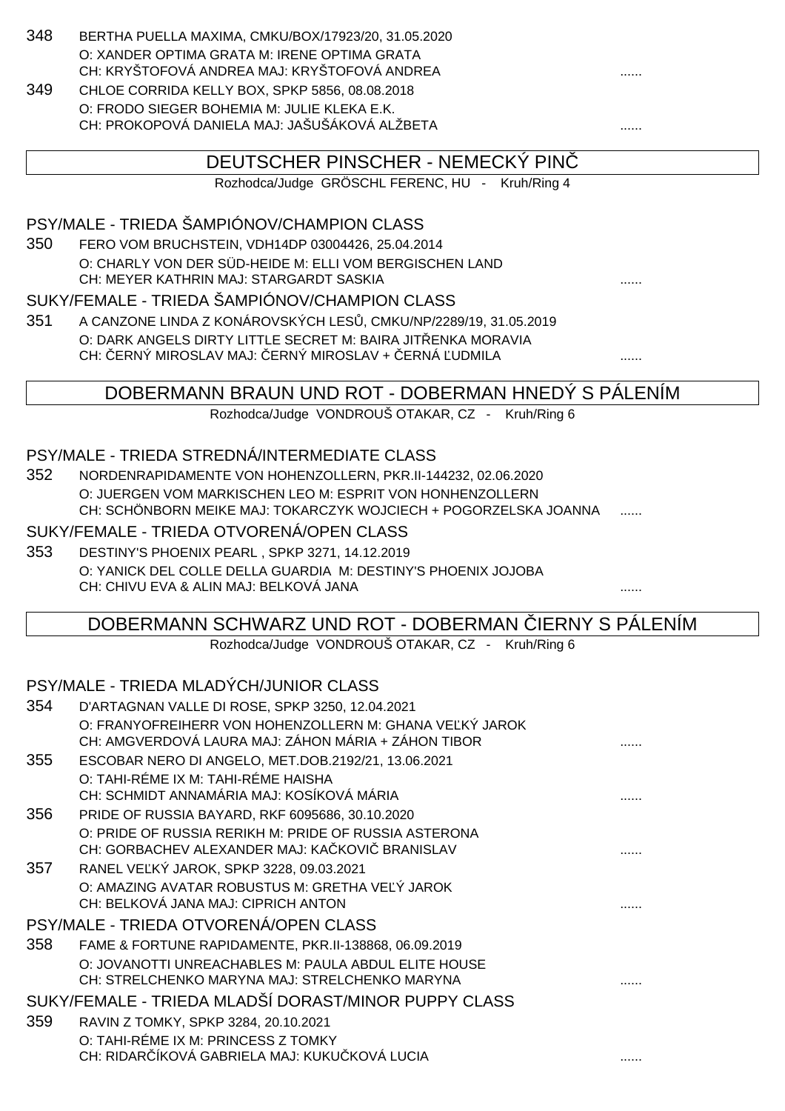- 348 BERTHA PUELLA MAXIMA, CMKU/BOX/17923/20, 31.05.2020 O: XANDER OPTIMA GRATA M: IRENE OPTIMA GRATA CH: KRYŠTOFOVÁ ANDREA MAJ: KRYŠTOFOVÁ ANDREA
- 349 CHLOE CORRIDA KELLY BOX, SPKP 5856, 08.08.2018 O: FRODO SIEGER BOHEMIA M: JULIE KLEKA E.K. CH: PROKOPOVÁ DANIELA MAJ: JAŠUŠÁKOVÁ ALŽBETA ......

# DEUTSCHER PINSCHER - NEMECKÝ PINČ

Rozhodca/Judge GRÖSCHL FERENC, HU - Kruh/Ring 4

#### PSY/MALE - TRIEDA ŠAMPIÓNOV/CHAMPION CLASS

350 FERO VOM BRUCHSTEIN, VDH14DP 03004426, 25.04.2014 O: CHARLY VON DER SÜD-HEIDE M: ELLI VOM BERGISCHEN LAND CH: MEYER KATHRIN MAJ: STARGARDT SASKIA ......

#### SUKY/FEMALE - TRIEDA ŠAMPIÓNOV/CHAMPION CLASS

351 A CANZONE LINDA Z KONÁROVSKÝCH LES, CMKU/NP/2289/19, 31.05.2019 O: DARK ANGELS DIRTY LITTLE SECRET M: BAIRA JIT ENKA MORAVIA CH: ERNÝ MIROSLAV MAJ: ERNÝ MIROSLAV + ERNÁ UDMILA ..............................

## DOBERMANN BRAUN UND ROT - DOBERMAN HNEDÝ S PÁLENÍM

Rozhodca/Judge VONDROUŠ OTAKAR, CZ - Kruh/Ring 6

#### PSY/MALE - TRIEDA STREDNÁ/INTERMEDIATE CLASS

352 NORDENRAPIDAMENTE VON HOHENZOLLERN, PKR.II-144232, 02.06.2020 O: JUERGEN VOM MARKISCHEN LEO M: ESPRIT VON HONHENZOLLERN CH: SCHÖNBORN MEIKE MAJ: TOKARCZYK WOJCIECH + POGORZELSKA JOANNA

#### SUKY/FEMALE - TRIEDA OTVORENÁ/OPEN CLASS

353 DESTINY'S PHOENIX PEARL , SPKP 3271, 14.12.2019 O: YANICK DEL COLLE DELLA GUARDIA M: DESTINY'S PHOENIX JOJOBA CH: CHIVU EVA & ALIN MAJ: BELKOVÁ JANA ......

## DOBERMANN SCHWARZ UND ROT - DOBERMAN IERNY S PÁLENÍM

Rozhodca/Judge VONDROUŠ OTAKAR, CZ - Kruh/Ring 6

#### PSY/MALE - TRIEDA MLADÝCH/JUNIOR CLASS

| 354 | D'ARTAGNAN VALLE DI ROSE, SPKP 3250, 12.04.2021                                                                |  |
|-----|----------------------------------------------------------------------------------------------------------------|--|
|     | O: FRANYOFREIHERR VON HOHENZOLLERN M: GHANA VE KÝ JAROK<br>CH: AMGVERDOVÁ LAURA MAJ: ZÁHON MÁRIA + ZÁHON TIBOR |  |
| 355 | ESCOBAR NERO DI ANGELO, MET.DOB.2192/21, 13.06.2021                                                            |  |
|     | O: TAHI-RÉME IX M: TAHI-RÉME HAISHA<br>CH: SCHMIDT ANNAMÁRIA MAJ: KOSÍKOVÁ MÁRIA                               |  |
| 356 | PRIDE OF RUSSIA BAYARD, RKF 6095686, 30.10.2020                                                                |  |
|     | O: PRIDE OF RUSSIA RERIKH M: PRIDE OF RUSSIA ASTERONA<br>CH: GORBACHEV ALEXANDER MAJ: KA KOVI BRANISLAV        |  |
| 357 | RANEL VE KÝ JAROK, SPKP 3228, 09.03.2021                                                                       |  |
|     | O: AMAZING AVATAR ROBUSTUS M: GRETHA VE Ý JAROK<br>CH: BELKOVÁ JANA MAJ: CIPRICH ANTON                         |  |
|     | PSY/MALE - TRIEDA OTVORENÁ/OPEN CLASS                                                                          |  |
| 358 | FAME & FORTUNE RAPIDAMENTE, PKR.II-138868, 06.09.2019                                                          |  |
|     | O: JOVANOTTI UNREACHABLES M: PAULA ABDUL ELITE HOUSE<br>CH: STRELCHENKO MARYNA MAJ: STRELCHENKO MARYNA         |  |
|     | SUKY/FEMALE - TRIEDA MLADŠÍ DORAST/MINOR PUPPY CLASS                                                           |  |
| 359 | RAVIN Z TOMKY, SPKP 3284, 20.10.2021                                                                           |  |
|     | O: TAHI-RÉME IX M: PRINCESS Z TOMKY                                                                            |  |
|     | CH: RIDAR ÍKOVÁ GABRIELA MAJ: KUKU KOVÁ LUCIA                                                                  |  |
|     |                                                                                                                |  |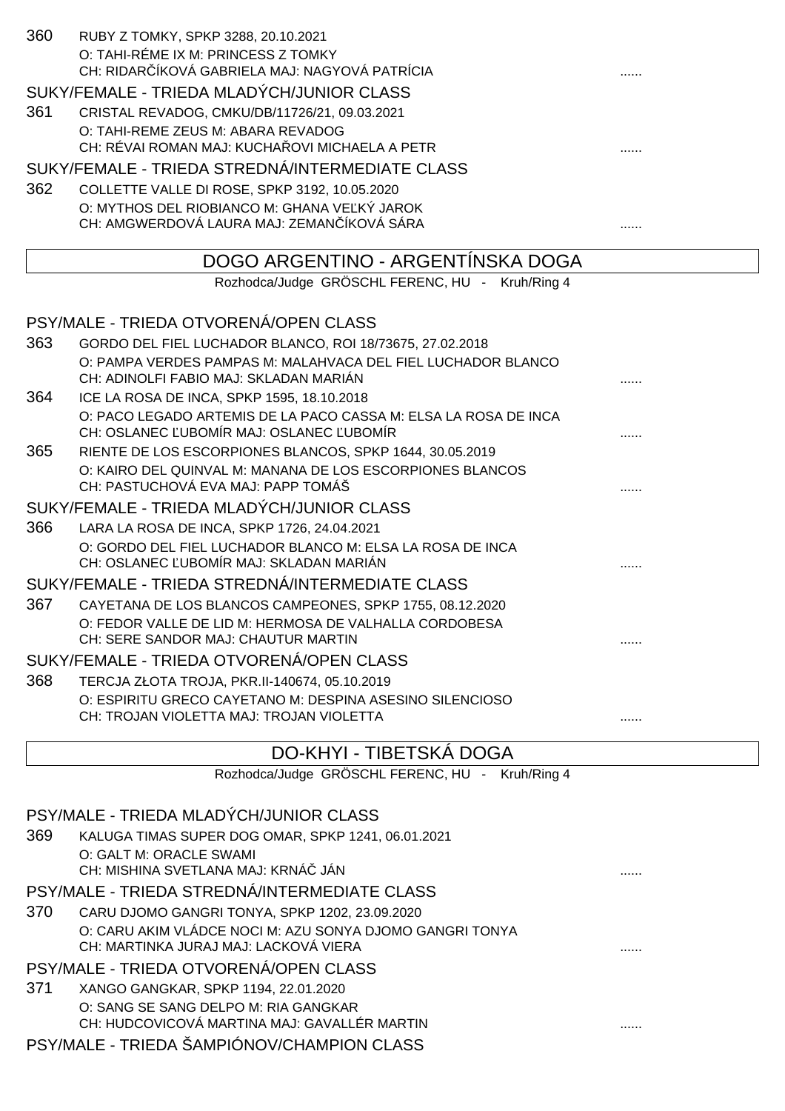| 360                                       | RUBY Z TOMKY, SPKP 3288, 20.10.2021<br>O: TAHI-RÉME IX M: PRINCESS Z TOMKY                                |   |
|-------------------------------------------|-----------------------------------------------------------------------------------------------------------|---|
|                                           | CH: RIDAR ÍKOVÁ GABRIELA MAJ: NAGYOVÁ PATRÍCIA                                                            |   |
|                                           | SUKY/FEMALE - TRIEDA MLADÝCH/JUNIOR CLASS                                                                 |   |
| 361                                       | CRISTAL REVADOG, CMKU/DB/11726/21, 09.03.2021                                                             |   |
|                                           | O: TAHI-REME ZEUS M: ABARA REVADOG<br>CH: RÉVAI ROMAN MAJ: KUCHA OVI MICHAELA A PETR                      |   |
|                                           | SUKY/FEMALE - TRIEDA STREDNÁ/INTERMEDIATE CLASS                                                           |   |
| 362                                       | COLLETTE VALLE DI ROSE, SPKP 3192, 10.05.2020                                                             |   |
|                                           | O: MYTHOS DEL RIOBIANCO M: GHANA VE KÝ JAROK                                                              |   |
|                                           | CH: AMGWERDOVÁ LAURA MAJ: ZEMAN ÍKOVÁ SÁRA                                                                |   |
|                                           | DOGO ARGENTINO - ARGENTÍNSKA DOGA                                                                         |   |
|                                           | Rozhodca/Judge GRÖSCHL FERENC, HU - Kruh/Ring 4                                                           |   |
|                                           | PSY/MALE - TRIEDA OTVORENÁ/OPEN CLASS                                                                     |   |
| 363                                       | GORDO DEL FIEL LUCHADOR BLANCO, ROI 18/73675, 27.02.2018                                                  |   |
|                                           | O: PAMPA VERDES PAMPAS M: MALAHVACA DEL FIEL LUCHADOR BLANCO                                              |   |
|                                           | CH: ADINOLFI FABIO MAJ: SKLADAN MARIÁN                                                                    |   |
| 364                                       | ICE LA ROSA DE INCA, SPKP 1595, 18.10.2018                                                                |   |
|                                           | O: PACO LEGADO ARTEMIS DE LA PACO CASSA M: ELSA LA ROSA DE INCA<br>CH: OSLANEC UBOMÍR MAJ: OSLANEC UBOMÍR |   |
| 365                                       | RIENTE DE LOS ESCORPIONES BLANCOS, SPKP 1644, 30.05.2019                                                  |   |
|                                           | O: KAIRO DEL QUINVAL M: MANANA DE LOS ESCORPIONES BLANCOS<br>CH: PASTUCHOVÁ EVA MAJ: PAPP TOMÁŠ           |   |
| SUKY/FEMALE - TRIEDA MLADÝCH/JUNIOR CLASS |                                                                                                           |   |
| 366                                       | LARA LA ROSA DE INCA, SPKP 1726, 24.04.2021                                                               |   |
|                                           | O: GORDO DEL FIEL LUCHADOR BLANCO M: ELSA LA ROSA DE INCA<br>CH: OSLANEC UBOMÍR MAJ: SKLADAN MARIÁN       | . |
|                                           | SUKY/FEMALE - TRIEDA STREDNÁ/INTERMEDIATE CLASS                                                           |   |
| 367                                       | CAYETANA DE LOS BLANCOS CAMPEONES, SPKP 1755, 08.12.2020                                                  |   |
|                                           | O: FEDOR VALLE DE LID M: HERMOSA DE VALHALLA CORDOBESA<br>CH: SERE SANDOR MAJ: CHAUTUR MARTIN             |   |
|                                           | SUKY/FEMALE - TRIEDA OTVORENÁ/OPEN CLASS                                                                  |   |
| 368                                       | TERCJA ZŁOTA TROJA, PKR.II-140674, 05.10.2019                                                             |   |
|                                           | O: ESPIRITU GRECO CAYETANO M: DESPINA ASESINO SILENCIOSO                                                  |   |
|                                           | CH: TROJAN VIOLETTA MAJ: TROJAN VIOLETTA                                                                  |   |
|                                           | DO-KHYI - TIBETSKÁ DOGA                                                                                   |   |
|                                           | Rozhodca/Judge GRÖSCHL FERENC, HU - Kruh/Ring 4                                                           |   |
|                                           | PSY/MALE - TRIEDA MLADÝCH/JUNIOR CLASS                                                                    |   |
| 369                                       | KALUGA TIMAS SUPER DOG OMAR, SPKP 1241, 06.01.2021                                                        |   |
|                                           | O: GALT M: ORACLE SWAMI<br>CH: MISHINA SVETLANA MAJ: KRNÁ JÁN                                             |   |
|                                           | PSY/MALE - TRIEDA STREDNÁ/INTERMEDIATE CLASS                                                              |   |
| 370                                       | CARU DJOMO GANGRI TONYA, SPKP 1202, 23.09.2020                                                            |   |
|                                           | O: CARU AKIM VLÁDCE NOCI M: AZU SONYA DJOMO GANGRI TONYA                                                  |   |
|                                           | CH: MARTINKA JURAJ MAJ: LACKOVÁ VIERA                                                                     |   |
|                                           | PSY/MALE - TRIEDA OTVORENÁ/OPEN CLASS                                                                     |   |
| 371                                       | XANGO GANGKAR, SPKP 1194, 22.01.2020                                                                      |   |
|                                           | O: SANG SE SANG DELPO M: RIA GANGKAR                                                                      |   |

CH: HUDCOVICOVÁ MARTINA MAJ: GAVALLÉR MARTIN **Information and the contract of the contract of the contract of the contract of the contract of the contract of the contract of the contract of the contract of the contract of** 

PSY/MALE - TRIEDA ŠAMPIÓNOV/CHAMPION CLASS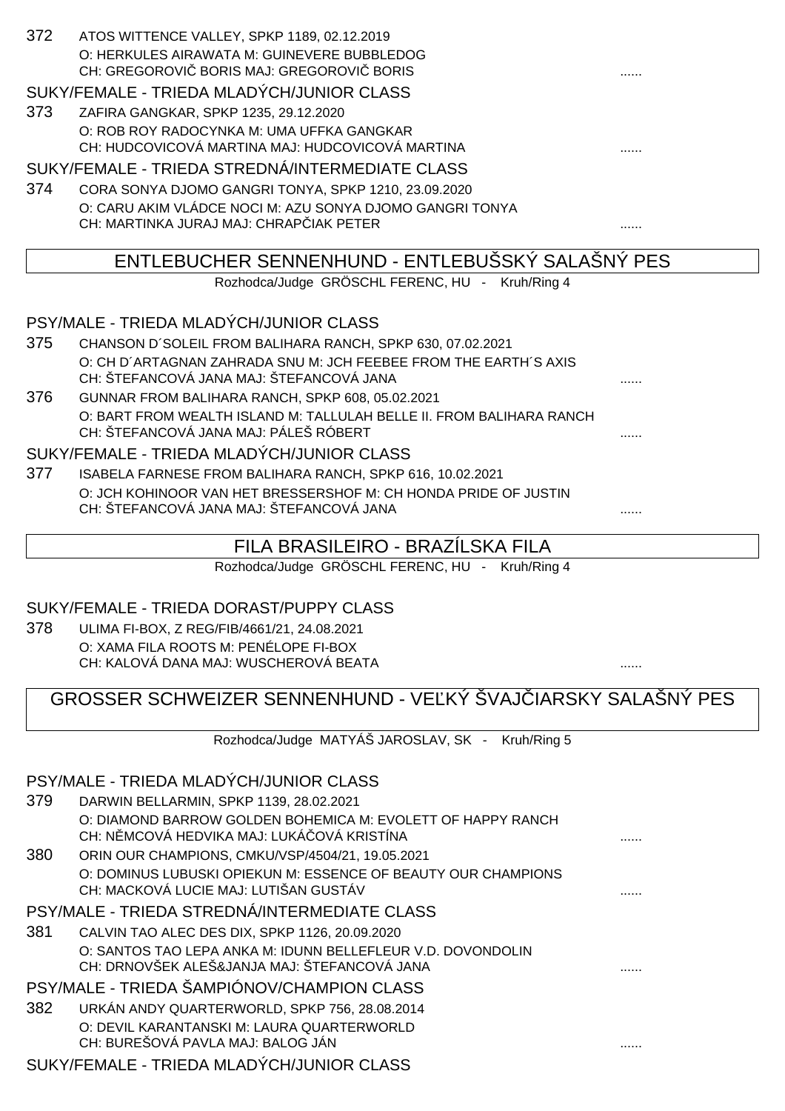| -372 | ATOS WITTENCE VALLEY, SPKP 1189, 02.12.2019 |   |
|------|---------------------------------------------|---|
|      | O: HERKULES AIRAWATA M: GUINEVERE BUBBLEDOG |   |
|      | CH: GREGOROVI BORIS MAJ: GREGOROVI BORIS    | . |
|      | SUKY/FEMALE - TRIEDA MLADÝCH/JUNIOR CLASS   |   |
| ר פ  | <b>ZAFIDA OANOKAD ODKD 4005, 00.40.0000</b> |   |

373 ZAFIRA GANGKAR, SPKP 1235, 29.12.2020 O: ROB ROY RADOCYNKA M: UMA UFFKA GANGKAR CH: HUDCOVICOVÁ MARTINA MAJ: HUDCOVICOVÁ MARTINA ......

SUKY/FEMALE - TRIEDA STREDNÁ/INTERMEDIATE CLASS

374 CORA SONYA DJOMO GANGRI TONYA, SPKP 1210, 23.09.2020 O: CARU AKIM VLÁDCE NOCI M: AZU SONYA DJOMO GANGRI TONYA CH: MARTINKA JURAJ MAJ: CHRAPČIAK PETER ......

# ENTLEBUCHER SENNENHUND - ENTLEBUŠSKÝ SALAŠNÝ PES

Rozhodca/Judge GRÖSCHL FERENC, HU - Kruh/Ring 4

PSY/MALE - TRIEDA MLADÝCH/JUNIOR CLASS

- 375 CHANSON D´SOLEIL FROM BALIHARA RANCH, SPKP 630, 07.02.2021 O: CH D´ARTAGNAN ZAHRADA SNU M: JCH FEEBEE FROM THE EARTH´S AXIS CH: ŠTEFANCOVÁ JANA MAJ: ŠTEFANCOVÁ JANA ......
- 376 GUNNAR FROM BALIHARA RANCH, SPKP 608, 05.02.2021 O: BART FROM WEALTH ISLAND M: TALLULAH BELLE II. FROM BALIHARA RANCH CH: ŠTEFANCOVÁ JANA MAJ: PÁLEŠ RÓBERT ......

SUKY/FEMALE - TRIEDA MLADÝCH/JUNIOR CLASS

377 ISABELA FARNESE FROM BALIHARA RANCH, SPKP 616, 10.02.2021 O: JCH KOHINOOR VAN HET BRESSERSHOF M: CH HONDA PRIDE OF JUSTIN CH: ŠTEFANCOVÁ JANA MAJ: ŠTEFANCOVÁ JANA ......

# FILA BRASILEIRO - BRAZÍLSKA FILA

Rozhodca/Judge GRÖSCHL FERENC, HU - Kruh/Ring 4

## SUKY/FEMALE - TRIEDA DORAST/PUPPY CLASS

378 ULIMA FI-BOX, Z REG/FIB/4661/21, 24.08.2021 O: XAMA FILA ROOTS M: PENÉLOPE FI-BOX CH: KALOVÁ DANA MAJ: WUSCHEROVÁ BEATA

# GROSSER SCHWEIZER SENNENHUND - VEĽKÝ ŠVAJ JARSKY SALAŠNÝ PES

Rozhodca/Judge MATYÁŠ JAROSLAV, SK - Kruh/Ring 5

## PSY/MALE - TRIEDA MLADÝCH/JUNIOR CLASS

| 379 | DARWIN BELLARMIN, SPKP 1139, 28.02.2021                                                                     |  |
|-----|-------------------------------------------------------------------------------------------------------------|--|
|     | O: DIAMOND BARROW GOLDEN BOHEMICA M: EVOLETT OF HAPPY RANCH<br>CH: N MCOVÁ HEDVIKA MAJ: LUKÁ OVÁ KRISTÍNA   |  |
| 380 | ORIN OUR CHAMPIONS, CMKU/VSP/4504/21, 19.05.2021                                                            |  |
|     | O: DOMINUS LUBUSKI OPIEKUN M: ESSENCE OF BEAUTY OUR CHAMPIONS<br>CH: MACKOVÁ LUCIE MAJ: LUTIŠAN GUSTÁV      |  |
|     | PSY/MALE - TRIEDA STREDNÁ/INTERMEDIATE CLASS                                                                |  |
| 381 | CALVIN TAO ALEC DES DIX, SPKP 1126, 20.09.2020                                                              |  |
|     | O: SANTOS TAO LEPA ANKA M: IDUNN BELLEFLEUR V.D. DOVONDOLIN<br>CH: DRNOVŠEK ALEŠ&JANJA MAJ: ŠTEFANCOVÁ JANA |  |
|     | PSY/MALE - TRIEDA ŠAMPIÓNOV/CHAMPION CLASS                                                                  |  |
| 382 | URKÁN ANDY QUARTERWORLD, SPKP 756, 28.08.2014                                                               |  |
|     | O: DEVIL KARANTANSKI M: LAURA QUARTERWORLD<br>CH: BUREŠOVÁ PAVLA MAJ: BALOG JÁN                             |  |
|     | SUKY/FEMALE - TRIEDA MLADÝCH/JUNIOR CLASS                                                                   |  |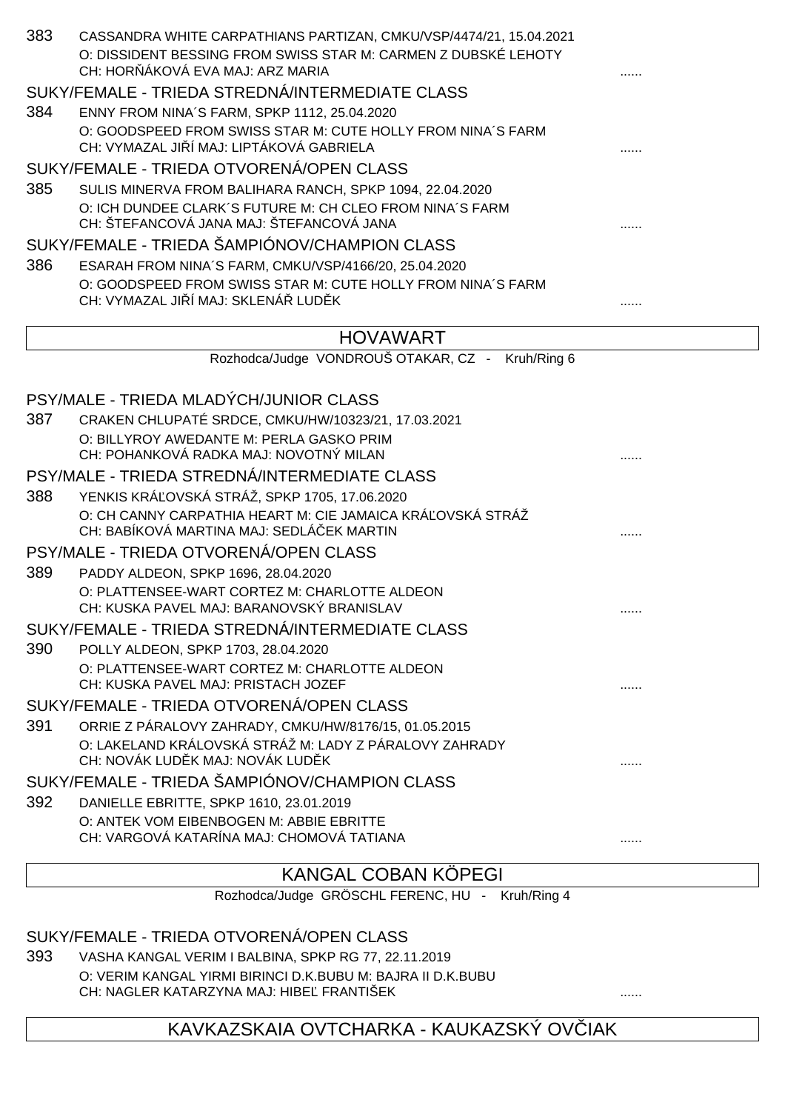| 383 | CASSANDRA WHITE CARPATHIANS PARTIZAN, CMKU/VSP/4474/21, 15.04.2021<br>O: DISSIDENT BESSING FROM SWISS STAR M: CARMEN Z DUBSKÉ LEHOTY<br>CH: HOR ÁKOVÁ EVA MAJ: ARZ MARIA |   |
|-----|--------------------------------------------------------------------------------------------------------------------------------------------------------------------------|---|
|     | SUKY/FEMALE - TRIEDA STREDNÁ/INTERMEDIATE CLASS                                                                                                                          |   |
| 384 | ENNY FROM NINA'S FARM, SPKP 1112, 25.04.2020                                                                                                                             |   |
|     | O: GOODSPEED FROM SWISS STAR M: CUTE HOLLY FROM NINA'S FARM<br>CH: VYMAZAL JI Í MAJ: LIPTÁKOVÁ GABRIELA                                                                  |   |
|     | SUKY/FEMALE - TRIEDA OTVORENÁ/OPEN CLASS                                                                                                                                 |   |
| 385 | SULIS MINERVA FROM BALIHARA RANCH, SPKP 1094, 22.04.2020                                                                                                                 |   |
|     | O: ICH DUNDEE CLARK'S FUTURE M: CH CLEO FROM NINA'S FARM<br>CH: ŠTEFANCOVÁ JANA MAJ: ŠTEFANCOVÁ JANA                                                                     |   |
|     | SUKY/FEMALE - TRIEDA ŠAMPIÓNOV/CHAMPION CLASS                                                                                                                            |   |
| 386 | ESARAH FROM NINA'S FARM, CMKU/VSP/4166/20, 25.04.2020                                                                                                                    |   |
|     | O: GOODSPEED FROM SWISS STAR M: CUTE HOLLY FROM NINA'S FARM<br>CH: VYMAZAL JI Í MAJ: SKLENÁ LUD K                                                                        |   |
|     | <b>HOVAWART</b>                                                                                                                                                          |   |
|     | Rozhodca/Judge VONDROUŠ OTAKAR, CZ - Kruh/Ring 6                                                                                                                         |   |
|     |                                                                                                                                                                          |   |
|     | PSY/MALE - TRIEDA MLADÝCH/JUNIOR CLASS                                                                                                                                   |   |
| 387 | CRAKEN CHLUPATÉ SRDCE, CMKU/HW/10323/21, 17.03.2021                                                                                                                      |   |
|     | O: BILLYROY AWEDANTE M: PERLA GASKO PRIM                                                                                                                                 |   |
|     | CH: POHANKOVÁ RADKA MAJ: NOVOTNÝ MILAN                                                                                                                                   |   |
|     | PSY/MALE - TRIEDA STREDNÁ/INTERMEDIATE CLASS                                                                                                                             |   |
| 388 | YENKIS KRÁ OVSKÁ STRÁŽ, SPKP 1705, 17.06.2020                                                                                                                            |   |
|     | O: CH CANNY CARPATHIA HEART M: CIE JAMAICA KRÁ OVSKÁ STRÁŽ<br>CH: BABÍKOVÁ MARTINA MAJ: SEDLÁ EK MARTIN                                                                  |   |
|     | PSY/MALE - TRIEDA OTVORENÁ/OPEN CLASS                                                                                                                                    |   |
| 389 | PADDY ALDEON, SPKP 1696, 28.04.2020                                                                                                                                      |   |
|     | O: PLATTENSEE-WART CORTEZ M: CHARLOTTE ALDEON<br>CH: KUSKA PAVEL MAJ: BARANOVSKÝ BRANISLAV                                                                               |   |
|     | SUKY/FEMALE - TRIEDA STREDNÁ/INTERMEDIATE CLASS                                                                                                                          |   |
| 390 | POLLY ALDEON, SPKP 1703, 28.04.2020                                                                                                                                      |   |
|     | O: PLATTENSEE-WART CORTEZ M: CHARLOTTE ALDEON<br>CH: KUSKA PAVEL MAJ: PRISTACH JOZEF                                                                                     |   |
|     | SUKY/FEMALE - TRIEDA OTVORENÁ/OPEN CLASS                                                                                                                                 |   |
| 391 | ORRIE Z PÁRALOVY ZAHRADY, CMKU/HW/8176/15, 01.05.2015                                                                                                                    |   |
|     | O: LAKELAND KRÁLOVSKÁ STRÁŽ M: LADY Z PÁRALOVY ZAHRADY<br>CH: NOVÁK LUD K MAJ: NOVÁK LUD K                                                                               |   |
|     | SUKY/FEMALE - TRIEDA ŠAMPIÓNOV/CHAMPION CLASS                                                                                                                            |   |
| 392 | DANIELLE EBRITTE, SPKP 1610, 23.01.2019                                                                                                                                  |   |
|     | O: ANTEK VOM EIBENBOGEN M: ABBIE EBRITTE                                                                                                                                 |   |
|     | CH: VARGOVÁ KATARÍNA MAJ: CHOMOVÁ TATIANA                                                                                                                                | . |
|     | KANGAL CORAN KÖPEGI                                                                                                                                                      |   |

#### KANGAL COBAN KÖPEGI

Rozhodca/Judge GRÖSCHL FERENC, HU - Kruh/Ring 4

## SUKY/FEMALE - TRIEDA OTVORENÁ/OPEN CLASS

393 VASHA KANGAL VERIM I BALBINA, SPKP RG 77, 22.11.2019 O: VERIM KANGAL YIRMI BIRINCI D.K.BUBU M: BAJRA II D.K.BUBU CH: NAGLER KATARZYNA MAJ: HIBE FRANTIŠEK

# KAVKAZSKAIA OVTCHARKA - KAUKAZSKÝ OV IAK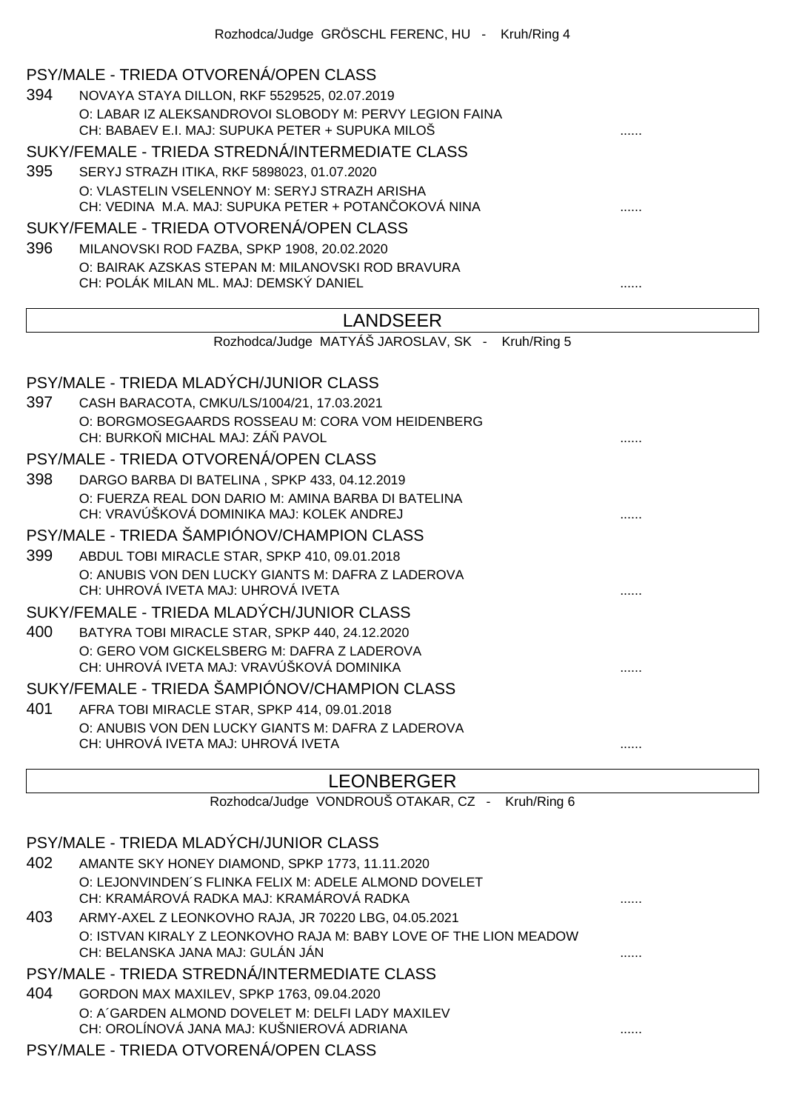#### PSY/MALE - TRIEDA OTVORENÁ/OPEN CLASS

394 NOVAYA STAYA DILLON, RKF 5529525, 02.07.2019 O: LABAR IZ ALEKSANDROVOI SLOBODY M: PERVY LEGION FAINA CH: BABAEV E.I. MAJ: SUPUKA PETER + SUPUKA MILOŠ

# SUKY/FEMALE - TRIEDA STREDNÁ/INTERMEDIATE CLASS

395 SERYJ STRAZH ITIKA, RKF 5898023, 01.07.2020 O: VLASTELIN VSELENNOY M: SERYJ STRAZH ARISHA CH: VEDINA M.A. MAJ: SUPUKA PETER + POTAN OKOVÁ NINA ............................

## SUKY/FEMALE - TRIEDA OTVORENÁ/OPEN CLASS

396 MILANOVSKI ROD FAZBA, SPKP 1908, 20.02.2020 O: BAIRAK AZSKAS STEPAN M: MILANOVSKI ROD BRAVURA CH: POLÁK MILAN ML. MAJ: DEMSKÝ DANIEL ......

## LANDSEER

Rozhodca/Judge MATYÁŠ JAROSLAV, SK - Kruh/Ring 5

# PSY/MALE - TRIEDA MLADÝCH/JUNIOR CLASS

397 CASH BARACOTA, CMKU/LS/1004/21, 17.03.2021 O: BORGMOSEGAARDS ROSSEAU M: CORA VOM HEIDENBERG CH: BURKO MICHAL MAJ: ZÁ PAVOL

# PSY/MALE - TRIEDA OTVORENÁ/OPEN CLASS

398 DARGO BARBA DI BATELINA , SPKP 433, 04.12.2019 O: FUERZA REAL DON DARIO M: AMINA BARBA DI BATELINA CH: VRAVÚŠKOVÁ DOMINIKA MAJ: KOLEK ANDREJ ......

#### PSY/MALE - TRIEDA ŠAMPIÓNOV/CHAMPION CLASS

399 ABDUL TOBI MIRACLE STAR, SPKP 410, 09.01.2018 O: ANUBIS VON DEN LUCKY GIANTS M: DAFRA Z LADEROVA CH: UHROVÁ IVETA MAJ: UHROVÁ IVETA ...... SUKY/FEMALE - TRIEDA MLADÝCH/JUNIOR CLASS

## 400 BATYRA TOBI MIRACLE STAR, SPKP 440, 24.12.2020 O: GERO VOM GICKELSBERG M: DAFRA Z LADEROVA CH: UHROVÁ IVETA MAJ: VRAVÚŠKOVÁ DOMINIKA ......

#### SUKY/FEMALE - TRIEDA ŠAMPIÓNOV/CHAMPION CLASS

401 AFRA TOBI MIRACLE STAR, SPKP 414, 09.01.2018 O: ANUBIS VON DEN LUCKY GIANTS M: DAFRA Z LADEROVA CH: UHROVÁ IVETA MAJ: UHROVÁ IVETA ......

## LEONBERGER

Rozhodca/Judge VONDROUŠ OTAKAR, CZ - Kruh/Ring 6 PSY/MALE - TRIEDA MLADÝCH/JUNIOR CLASS 402 AMANTE SKY HONEY DIAMOND, SPKP 1773, 11.11.2020 O: LEJONVINDEN´S FLINKA FELIX M: ADELE ALMOND DOVELET CH: KRAMÁROVÁ RADKA MAJ: KRAMÁROVÁ RADKA ...... 403 ARMY-AXEL Z LEONKOVHO RAJA, JR 70220 LBG, 04.05.2021 O: ISTVAN KIRALY Z LEONKOVHO RAJA M: BABY LOVE OF THE LION MEADOW CH: BELANSKA JANA MAJ: GULÁN JÁN ...... PSY/MALE - TRIEDA STREDNÁ/INTERMEDIATE CLASS 404 GORDON MAX MAXILEV, SPKP 1763, 09.04.2020 O: A´GARDEN ALMOND DOVELET M: DELFI LADY MAXILEV CH: OROLÍNOVÁ JANA MAJ: KUŠNIEROVÁ ADRIANA ......

#### PSY/MALE - TRIEDA OTVORENÁ/OPEN CLASS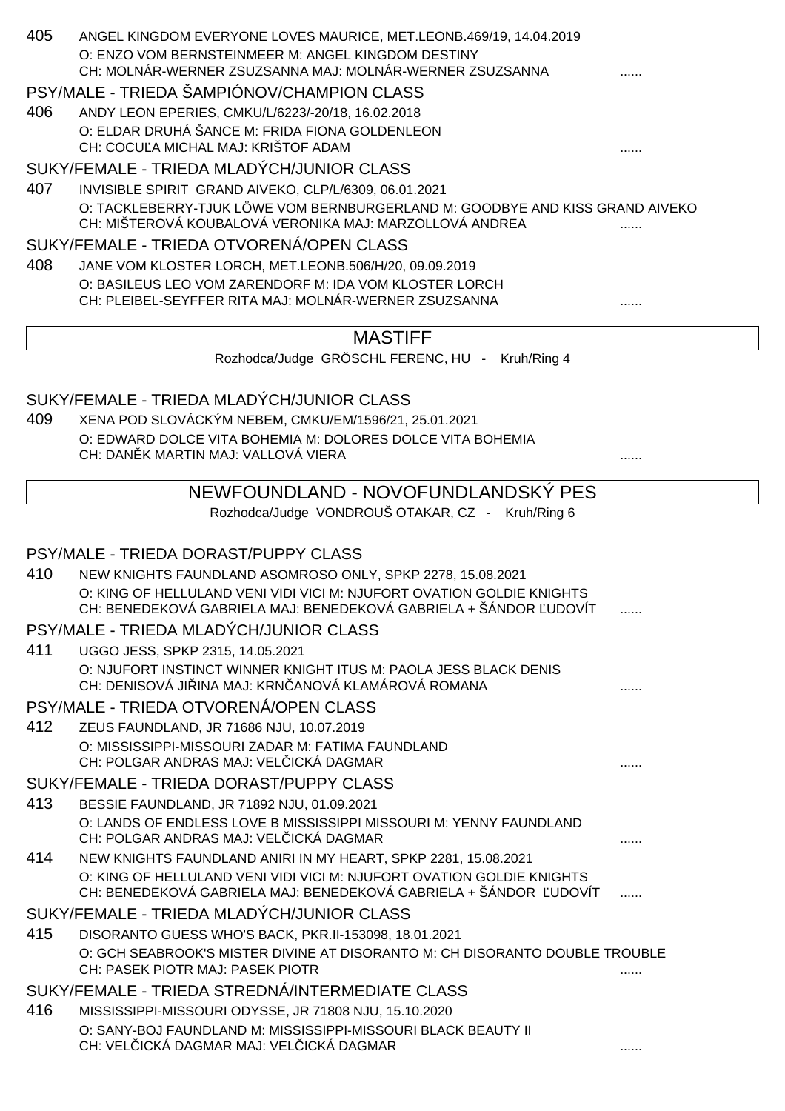| 405 | ANGEL KINGDOM EVERYONE LOVES MAURICE, MET.LEONB.469/19, 14.04.2019<br>O: ENZO VOM BERNSTEINMEER M: ANGEL KINGDOM DESTINY<br>CH: MOLNÁR-WERNER ZSUZSANNA MAJ: MOLNÁR-WERNER ZSUZSANNA |   |
|-----|--------------------------------------------------------------------------------------------------------------------------------------------------------------------------------------|---|
|     | PSY/MALE - TRIEDA ŠAMPIÓNOV/CHAMPION CLASS                                                                                                                                           |   |
| 406 | ANDY LEON EPERIES, CMKU/L/6223/-20/18, 16.02.2018                                                                                                                                    |   |
|     | O: ELDAR DRUHÁ ŠANCE M: FRIDA FIONA GOLDENLEON                                                                                                                                       |   |
|     | CH: COCU A MICHAL MAJ: KRIŠTOF ADAM                                                                                                                                                  |   |
|     | SUKY/FEMALE - TRIEDA MLADÝCH/JUNIOR CLASS                                                                                                                                            |   |
| 407 | INVISIBLE SPIRIT GRAND AIVEKO, CLP/L/6309, 06.01.2021<br>O: TACKLEBERRY-TJUK LÖWE VOM BERNBURGERLAND M: GOODBYE AND KISS GRAND AIVEKO                                                |   |
|     | CH: MIŠTEROVÁ KOUBALOVÁ VERONIKA MAJ: MARZOLLOVÁ ANDREA                                                                                                                              |   |
|     | SUKY/FEMALE - TRIEDA OTVORENÁ/OPEN CLASS                                                                                                                                             |   |
| 408 | JANE VOM KLOSTER LORCH, MET.LEONB.506/H/20, 09.09.2019                                                                                                                               |   |
|     | O: BASILEUS LEO VOM ZARENDORF M: IDA VOM KLOSTER LORCH                                                                                                                               |   |
|     | CH: PLEIBEL-SEYFFER RITA MAJ: MOLNÁR-WERNER ZSUZSANNA                                                                                                                                |   |
|     | <b>MASTIFF</b>                                                                                                                                                                       |   |
|     | Rozhodca/Judge GRÖSCHL FERENC, HU - Kruh/Ring 4                                                                                                                                      |   |
|     |                                                                                                                                                                                      |   |
|     | SUKY/FEMALE - TRIEDA MLADÝCH/JUNIOR CLASS                                                                                                                                            |   |
| 409 | XENA POD SLOVÁCKÝM NEBEM, CMKU/EM/1596/21, 25.01.2021                                                                                                                                |   |
|     | O: EDWARD DOLCE VITA BOHEMIA M: DOLORES DOLCE VITA BOHEMIA<br>CH: DAN K MARTIN MAJ: VALLOVÁ VIERA                                                                                    |   |
|     |                                                                                                                                                                                      |   |
|     | NEWFOUNDLAND - NOVOFUNDLANDSKÝ PES                                                                                                                                                   |   |
|     | Rozhodca/Judge VONDROUŠ OTAKAR, CZ - Kruh/Ring 6                                                                                                                                     |   |
|     |                                                                                                                                                                                      |   |
|     | PSY/MALE - TRIEDA DORAST/PUPPY CLASS                                                                                                                                                 |   |
| 410 | NEW KNIGHTS FAUNDLAND ASOMROSO ONLY, SPKP 2278, 15.08.2021<br>O: KING OF HELLULAND VENI VIDI VICI M: NJUFORT OVATION GOLDIE KNIGHTS                                                  |   |
|     | CH: BENEDEKOVÁ GABRIELA MAJ: BENEDEKOVÁ GABRIELA + ŠÁNDOR UDOVÍT                                                                                                                     | . |
|     | PSY/MALE - TRIEDA MLADÝCH/JUNIOR CLASS                                                                                                                                               |   |
| 411 | UGGO JESS, SPKP 2315, 14.05.2021                                                                                                                                                     |   |
|     | O: NJUFORT INSTINCT WINNER KNIGHT ITUS M: PAOLA JESS BLACK DENIS                                                                                                                     |   |
|     | CH: DENISOVÁ JI INA MAJ: KRN ANOVÁ KLAMÁROVÁ ROMANA                                                                                                                                  | . |
|     | PSY/MALE - TRIEDA OTVORENÁ/OPEN CLASS                                                                                                                                                |   |
| 412 | ZEUS FAUNDLAND, JR 71686 NJU, 10.07.2019                                                                                                                                             |   |
|     | O: MISSISSIPPI-MISSOURI ZADAR M: FATIMA FAUNDLAND<br>CH: POLGAR ANDRAS MAJ: VEL ICKÁ DAGMAR                                                                                          |   |
|     | SUKY/FEMALE - TRIEDA DORAST/PUPPY CLASS                                                                                                                                              |   |
| 413 | BESSIE FAUNDLAND, JR 71892 NJU, 01.09.2021                                                                                                                                           |   |
|     | O: LANDS OF ENDLESS LOVE B MISSISSIPPI MISSOURI M: YENNY FAUNDLAND                                                                                                                   |   |
|     | CH: POLGAR ANDRAS MAJ: VEL ICKÁ DAGMAR                                                                                                                                               |   |
| 414 | NEW KNIGHTS FAUNDLAND ANIRI IN MY HEART, SPKP 2281, 15.08.2021                                                                                                                       |   |
|     | O: KING OF HELLULAND VENI VIDI VICI M: NJUFORT OVATION GOLDIE KNIGHTS<br>CH: BENEDEKOVÁ GABRIELA MAJ: BENEDEKOVÁ GABRIELA + ŠÁNDOR UDOVÍT                                            | . |
|     | SUKY/FEMALE - TRIEDA MLADÝCH/JUNIOR CLASS                                                                                                                                            |   |
| 415 | DISORANTO GUESS WHO'S BACK, PKR.II-153098, 18.01.2021                                                                                                                                |   |
|     | O: GCH SEABROOK'S MISTER DIVINE AT DISORANTO M: CH DISORANTO DOUBLE TROUBLE                                                                                                          |   |
|     | CH: PASEK PIOTR MAJ: PASEK PIOTR                                                                                                                                                     |   |
|     | SUKY/FEMALE - TRIEDA STREDNÁ/INTERMEDIATE CLASS                                                                                                                                      |   |
| 416 | MISSISSIPPI-MISSOURI ODYSSE, JR 71808 NJU, 15.10.2020<br>O: SANY-BOJ FAUNDLAND M: MISSISSIPPI-MISSOURI BLACK BEAUTY II                                                               |   |
|     | CH: VEL ICKÁ DAGMAR MAJ: VEL ICKÁ DAGMAR                                                                                                                                             |   |
|     |                                                                                                                                                                                      |   |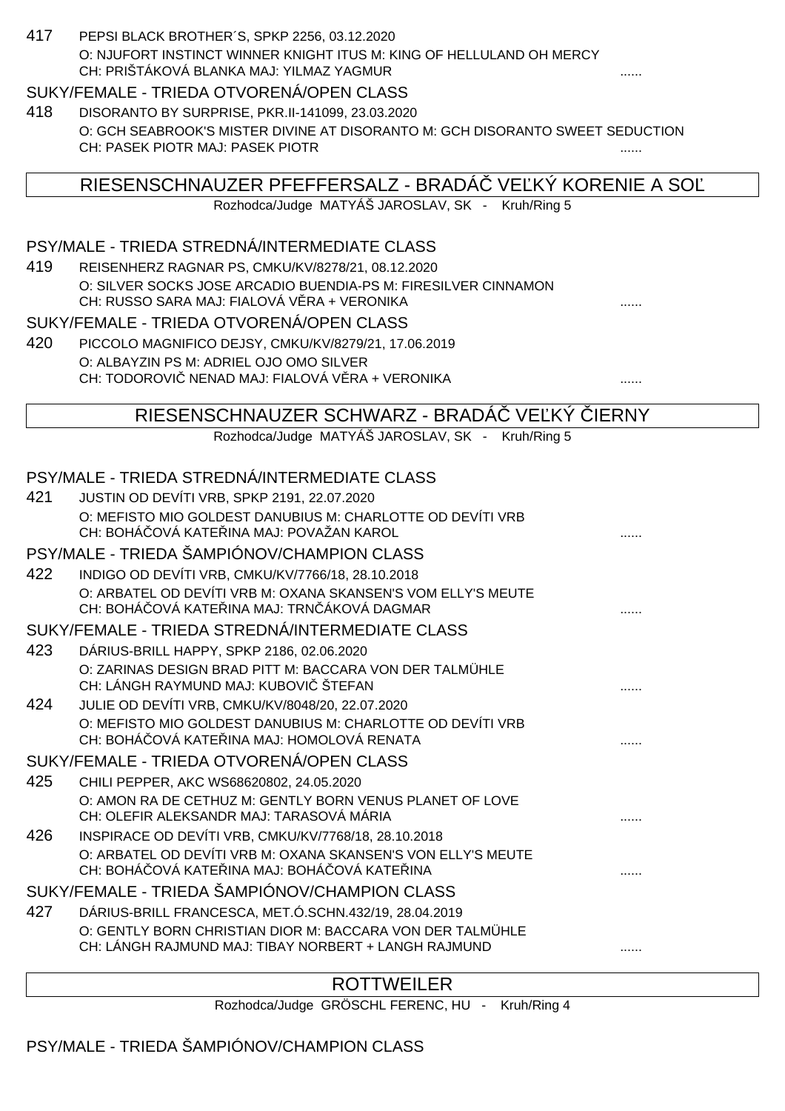| 417 | PEPSI BLACK BROTHER'S, SPKP 2256, 03.12.2020                                                                      |              |
|-----|-------------------------------------------------------------------------------------------------------------------|--------------|
|     | O: NJUFORT INSTINCT WINNER KNIGHT ITUS M: KING OF HELLULAND OH MERCY<br>CH: PRIŠTÁKOVÁ BLANKA MAJ: YILMAZ YAGMUR  |              |
|     | SUKY/FEMALE - TRIEDA OTVORENÁ/OPEN CLASS                                                                          |              |
| 418 | DISORANTO BY SURPRISE, PKR.II-141099, 23.03.2020                                                                  |              |
|     | O: GCH SEABROOK'S MISTER DIVINE AT DISORANTO M: GCH DISORANTO SWEET SEDUCTION                                     |              |
|     | CH: PASEK PIOTR MAJ: PASEK PIOTR                                                                                  |              |
|     |                                                                                                                   |              |
|     | RIESENSCHNAUZER PFEFFERSALZ - BRADA VE KY KORENIE A SO<br>Rozhodca/Judge MATYÁŠ JAROSLAV, SK - Kruh/Ring 5        |              |
|     |                                                                                                                   |              |
|     | PSY/MALE - TRIEDA STREDNÁ/INTERMEDIATE CLASS                                                                      |              |
| 419 | REISENHERZ RAGNAR PS, CMKU/KV/8278/21, 08.12.2020                                                                 |              |
|     | O: SILVER SOCKS JOSE ARCADIO BUENDIA-PS M: FIRESILVER CINNAMON                                                    |              |
|     | CH: RUSSO SARA MAJ: FIALOVÁ V RA + VERONIKA                                                                       |              |
|     | SUKY/FEMALE - TRIEDA OTVORENÁ/OPEN CLASS                                                                          |              |
| 420 | PICCOLO MAGNIFICO DEJSY, CMKU/KV/8279/21, 17.06.2019                                                              |              |
|     | O: ALBAYZIN PS M: ADRIEL OJO OMO SILVER<br>CH: TODOROVI NENAD MAJ: FIALOVÁ V RA + VERONIKA                        |              |
|     |                                                                                                                   |              |
|     | RIESENSCHNAUZER SCHWARZ - BRADA VE KY                                                                             | <b>IERNY</b> |
|     | Rozhodca/Judge MATYÁŠ JAROSLAV, SK - Kruh/Ring 5                                                                  |              |
|     |                                                                                                                   |              |
|     | PSY/MALE - TRIEDA STREDNÁ/INTERMEDIATE CLASS                                                                      |              |
| 421 | JUSTIN OD DEVÍTI VRB, SPKP 2191, 22.07.2020                                                                       |              |
|     | O: MEFISTO MIO GOLDEST DANUBIUS M: CHARLOTTE OD DEVÍTI VRB<br>CH: BOHÁ OVÁ KATE INA MAJ: POVAŽAN KAROL            |              |
|     | PSY/MALE - TRIEDA ŠAMPIÓNOV/CHAMPION CLASS                                                                        |              |
| 422 | INDIGO OD DEVÍTI VRB, CMKU/KV/7766/18, 28.10.2018                                                                 |              |
|     | O: ARBATEL OD DEVÍTI VRB M: OXANA SKANSEN'S VOM ELLY'S MEUTE<br>CH: BOHÁ OVÁ KATE INA MAJ: TRN ÁKOVÁ DAGMAR       | .            |
|     | SUKY/FEMALE - TRIEDA STREDNÁ/INTERMEDIATE CLASS                                                                   |              |
| 423 | DÁRIUS-BRILL HAPPY, SPKP 2186, 02.06.2020                                                                         |              |
|     | O: ZARINAS DESIGN BRAD PITT M: BACCARA VON DER TALMÜHLE<br>CH: LÁNGH RAYMUND MAJ: KUBOVI ŠTEFAN                   |              |
| 424 | JULIE OD DEVÍTI VRB, CMKU/KV/8048/20, 22.07.2020                                                                  |              |
|     | O: MEFISTO MIO GOLDEST DANUBIUS M: CHARLOTTE OD DEVÍTI VRB                                                        |              |
|     | CH: BOHÁ OVÁ KATE INA MAJ: HOMOLOVÁ RENATA                                                                        | .            |
|     | SUKY/FEMALE - TRIEDA OTVORENÁ/OPEN CLASS                                                                          |              |
| 425 | CHILI PEPPER, AKC WS68620802, 24.05.2020                                                                          |              |
|     | O: AMON RA DE CETHUZ M: GENTLY BORN VENUS PLANET OF LOVE<br>CH: OLEFIR ALEKSANDR MAJ: TARASOVÁ MÁRIA              |              |
| 426 | INSPIRACE OD DEVÍTI VRB, CMKU/KV/7768/18, 28.10.2018                                                              |              |
|     | O: ARBATEL OD DEVÍTI VRB M: OXANA SKANSEN'S VON ELLY'S MEUTE                                                      |              |
|     | CH: BOHÁ OVÁ KATE INA MAJ: BOHÁ OVÁ KATE INA                                                                      | .            |
|     | SUKY/FEMALE - TRIEDA ŠAMPIÓNOV/CHAMPION CLASS                                                                     |              |
| 427 | DÁRIUS-BRILL FRANCESCA, MET.Ó.SCHN.432/19, 28.04.2019                                                             |              |
|     | O: GENTLY BORN CHRISTIAN DIOR M: BACCARA VON DER TALMÜHLE<br>CH: LÁNGH RAJMUND MAJ: TIBAY NORBERT + LANGH RAJMUND |              |
|     |                                                                                                                   |              |

# **ROTTWEILER**

Rozhodca/Judge GRÖSCHL FERENC, HU - Kruh/Ring 4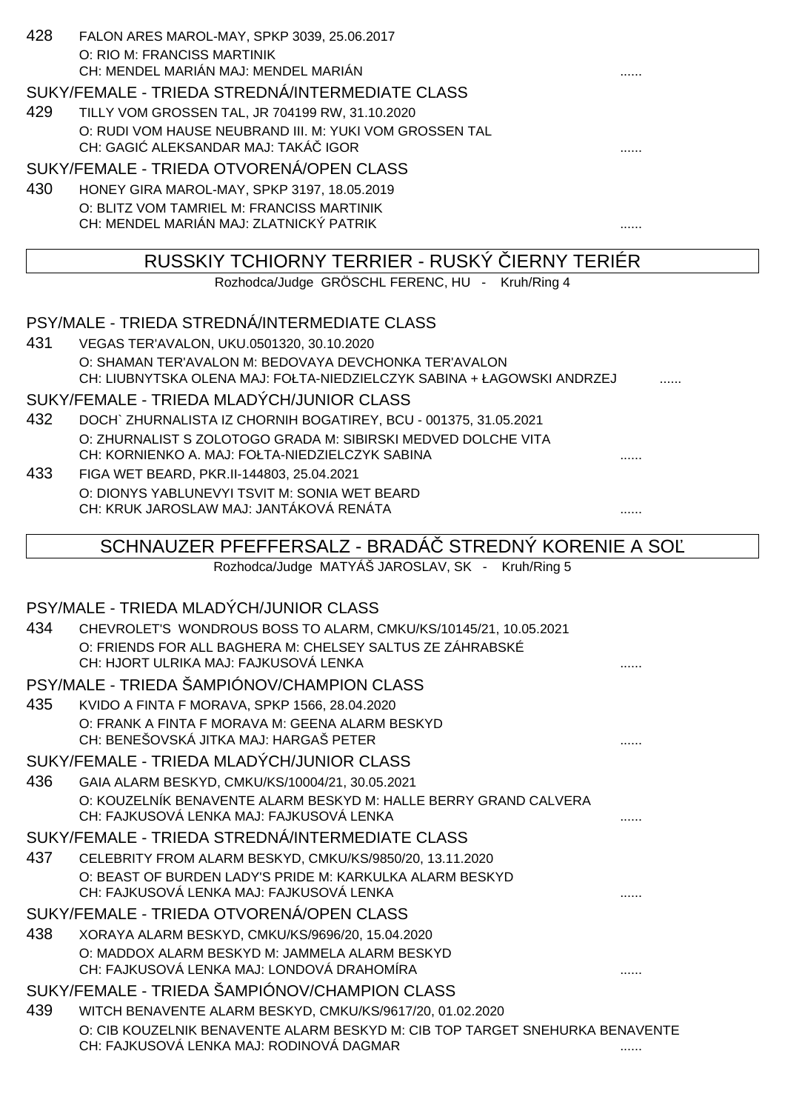| 428 | FALON ARES MAROL-MAY, SPKP 3039, 25.06.2017                                              |  |
|-----|------------------------------------------------------------------------------------------|--|
|     | O: RIO M: FRANCISS MARTINIK                                                              |  |
|     | CH: MENDEL MARIÁN MAJ: MENDEL MARIÁN                                                     |  |
|     | SUKY/FEMALE - TRIEDA STREDNÁ/INTERMEDIATE CLASS                                          |  |
| 429 | TILLY VOM GROSSEN TAL, JR 704199 RW, 31.10.2020                                          |  |
|     | O: RUDI VOM HAUSE NEUBRAND III. M: YUKI VOM GROSSEN TAL                                  |  |
|     | CH: GAGI ALEKSANDAR MAJ: TAKÁ IGOR                                                       |  |
|     | SUKY/FEMALE - TRIEDA OTVORENÁ/OPEN CLASS                                                 |  |
| 430 | HONEY GIRA MAROL-MAY, SPKP 3197, 18.05.2019                                              |  |
|     | O: BLITZ VOM TAMRIEL M: FRANCISS MARTINIK                                                |  |
|     | CH: MENDEL MARIÁN MAJ: ZLATNICKÝ PATRIK                                                  |  |
|     | RUSSKIY TCHIORNY TERRIER - RUSKY IERNY TERIÉR                                            |  |
|     | Rozhodca/Judge GRÖSCHL FERENC, HU - Kruh/Ring 4                                          |  |
|     |                                                                                          |  |
|     | PSY/MALE - TRIEDA STREDNÁ/INTERMEDIATE CLASS                                             |  |
| 431 | VEGAS TER'AVALON, UKU.0501320, 30.10.2020                                                |  |
|     | O: SHAMAN TER'AVALON M: BEDOVAYA DEVCHONKA TER'AVALON                                    |  |
|     | CH: LIUBNYTSKA OLENA MAJ: FOŁTA-NIEDZIELCZYK SABINA + ŁAGOWSKI ANDRZEJ                   |  |
|     | SUKY/FEMALE - TRIEDA MLADÝCH/JUNIOR CLASS                                                |  |
| 432 | DOCH` ZHURNALISTA IZ CHORNIH BOGATIREY, BCU - 001375, 31.05.2021                         |  |
|     | O: ZHURNALIST S ZOLOTOGO GRADA M: SIBIRSKI MEDVED DOLCHE VITA                            |  |
|     | CH: KORNIENKO A. MAJ: FOŁTA-NIEDZIELCZYK SABINA                                          |  |
| 433 | FIGA WET BEARD, PKR.II-144803, 25.04.2021                                                |  |
|     | O: DIONYS YABLUNEVYI TSVIT M: SONIA WET BEARD<br>CH: KRUK JAROSLAW MAJ: JANTÁKOVÁ RENÁTA |  |
|     |                                                                                          |  |
|     | SCHNAUZER PFEFFERSALZ - BRADA STREDNY KORENIE A SO                                       |  |
|     | Rozhodca/Judge MATYÁŠ JAROSLAV, SK - Kruh/Ring 5                                         |  |
|     |                                                                                          |  |
|     | PSY/MALE - TRIEDA MLADÝCH/JUNIOR CLASS                                                   |  |
| 434 | CHEVROLET'S WONDROUS BOSS TO ALARM, CMKU/KS/10145/21, 10.05.2021                         |  |
|     | O: FRIENDS FOR ALL BAGHERA M: CHELSEY SALTUS ZE ZÁHRABSKÉ                                |  |
|     | CH: HJORT ULRIKA MAJ: FAJKUSOVÁ LENKA                                                    |  |

- PSY/MALE TRIEDA ŠAMPIÓNOV/CHAMPION CLASS
- 435 KVIDO A FINTA F MORAVA, SPKP 1566, 28.04.2020 O: FRANK A FINTA F MORAVA M: GEENA ALARM BESKYD CH: BENEŠOVSKÁ JITKA MAJ: HARGAŠ PETER ......

#### SUKY/FEMALE - TRIEDA MLADÝCH/JUNIOR CLASS

436 GAIA ALARM BESKYD, CMKU/KS/10004/21, 30.05.2021 O: KOUZELNÍK BENAVENTE ALARM BESKYD M: HALLE BERRY GRAND CALVERA CH: FAJKUSOVÁ LENKA MAJ: FAJKUSOVÁ LENKA ......

### SUKY/FEMALE - TRIEDA STREDNÁ/INTERMEDIATE CLASS

437 CELEBRITY FROM ALARM BESKYD, CMKU/KS/9850/20, 13.11.2020 O: BEAST OF BURDEN LADY'S PRIDE M: KARKULKA ALARM BESKYD CH: FAJKUSOVÁ LENKA MAJ: FAJKUSOVÁ LENKA

#### SUKY/FEMALE - TRIEDA OTVORENÁ/OPEN CLASS

438 XORAYA ALARM BESKYD, CMKU/KS/9696/20, 15.04.2020 O: MADDOX ALARM BESKYD M: JAMMELA ALARM BESKYD CH: FAJKUSOVÁ LENKA MAJ: LONDOVÁ DRAHOMÍRA ......

# SUKY/FEMALE - TRIEDA ŠAMPIÓNOV/CHAMPION CLASS

439 WITCH BENAVENTE ALARM BESKYD, CMKU/KS/9617/20, 01.02.2020 O: CIB KOUZELNIK BENAVENTE ALARM BESKYD M: CIB TOP TARGET SNEHURKA BENAVENTE CH: FAJKUSOVÁ LENKA MAJ: RODINOVÁ DAGMAR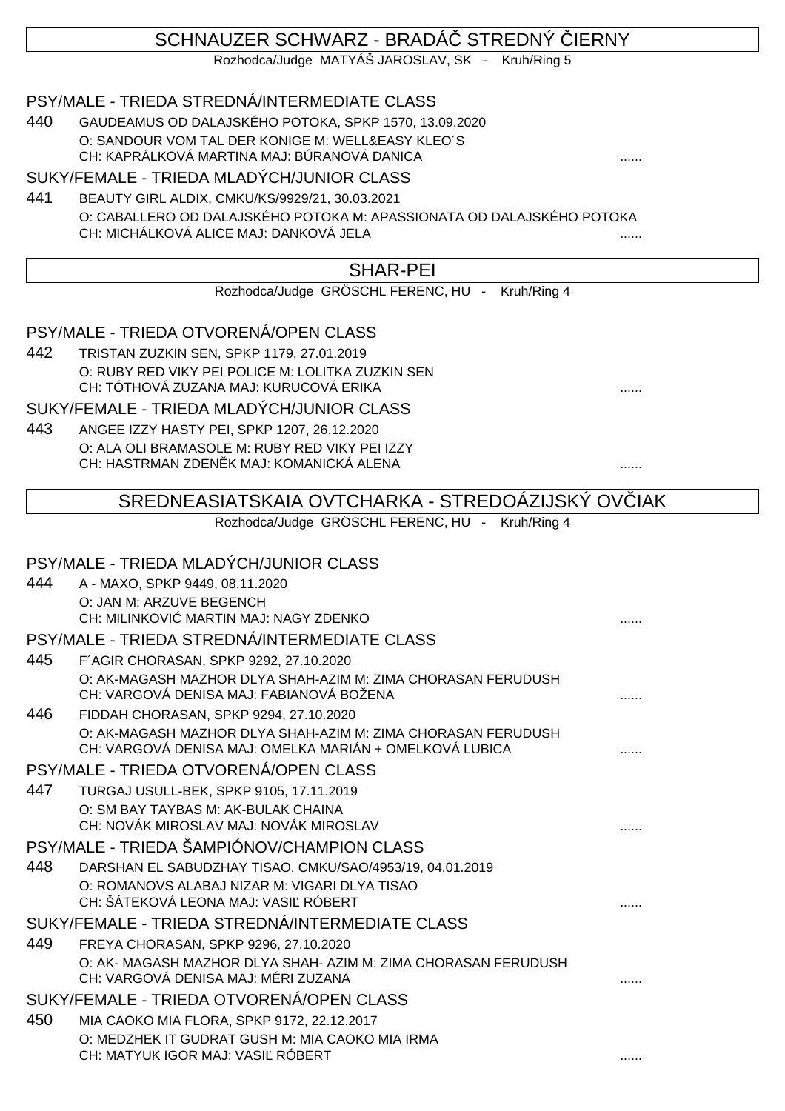# SCHNAUZER SCHWARZ - BRADÁ STREDNÝ JERNY

Rozhodca/Judge MATYÁŠ JAROSLAV, SK - Kruh/Ring 5

## PSY/MALE - TRIEDA STREDNÁ/INTERMEDIATE CLASS

440 GAUDEAMUS OD DALAJSKÉHO POTOKA, SPKP 1570, 13.09.2020 O: SANDOUR VOM TAL DER KONIGE M: WELL&EASY KLEO´S CH: KAPRÁLKOVÁ MARTINA MAJ: BÚRANOVÁ DANICA

#### SUKY/FEMALE - TRIEDA MLADÝCH/JUNIOR CLASS

441 BEAUTY GIRL ALDIX, CMKU/KS/9929/21, 30.03.2021 O: CABALLERO OD DALAJSKÉHO POTOKA M: APASSIONATA OD DALAJSKÉHO POTOKA CH: MICHÁLKOVÁ ALICE MAJ: DANKOVÁ JELA

## SHAR-PEI

Rozhodca/Judge GRÖSCHL FERENC, HU - Kruh/Ring 4

## PSY/MALE - TRIEDA OTVORENÁ/OPEN CLASS

442 TRISTAN ZUZKIN SEN, SPKP 1179, 27.01.2019 O: RUBY RED VIKY PEI POLICE M: LOLITKA ZUZKIN SEN CH: TÓTHOVÁ ZUZANA MAJ: KURUCOVÁ ERIKA ......

SUKY/FEMALE - TRIEDA MLADÝCH/JUNIOR CLASS

443 ANGEE IZZY HASTY PEI, SPKP 1207, 26.12.2020 O: ALA OLI BRAMASOLE M: RUBY RED VIKY PEI IZZY CH: HASTRMAN ZDENĚK MAJ: KOMANICKÁ ALENA ......

# SREDNEASIATSKAIA OVTCHARKA - STREDOÁZIJSKÝ OVÍJAK

Rozhodca/Judge GRÖSCHL FERENC, HU - Kruh/Ring 4

## PSY/MALE - TRIEDA MLADÝCH/JUNIOR CLASS

| 444 | A - MAXO, SPKP 9449, 08.11.2020                                                                                         |  |
|-----|-------------------------------------------------------------------------------------------------------------------------|--|
|     | O: JAN M: ARZUVE BEGENCH                                                                                                |  |
|     | CH: MILINKOVI MARTIN MAJ: NAGY ZDENKO                                                                                   |  |
|     | PSY/MALE - TRIEDA STREDNÁ/INTERMEDIATE CLASS                                                                            |  |
| 445 | F'AGIR CHORASAN, SPKP 9292, 27.10.2020                                                                                  |  |
|     | O: AK-MAGASH MAZHOR DLYA SHAH-AZIM M: ZIMA CHORASAN FERUDUSH<br>CH: VARGOVÁ DENISA MAJ: FABIANOVÁ BOŽENA                |  |
| 446 | FIDDAH CHORASAN, SPKP 9294, 27.10.2020                                                                                  |  |
|     | O: AK-MAGASH MAZHOR DLYA SHAH-AZIM M: ZIMA CHORASAN FERUDUSH<br>CH: VARGOVÁ DENISA MAJ: OMELKA MARIÁN + OMELKOVÁ LUBICA |  |
|     | PSY/MALE - TRIEDA OTVORENÁ/OPEN CLASS                                                                                   |  |
| 447 | TURGAJ USULL-BEK, SPKP 9105, 17.11.2019                                                                                 |  |
|     | O: SM BAY TAYBAS M: AK-BULAK CHAINA                                                                                     |  |
|     | CH: NOVÁK MIROSLAV MAJ: NOVÁK MIROSLAV                                                                                  |  |
|     | PSY/MALE - TRIEDA ŠAMPIÓNOV/CHAMPION CLASS                                                                              |  |
| 448 | DARSHAN EL SABUDZHAY TISAO, CMKU/SAO/4953/19, 04.01.2019                                                                |  |
|     | O: ROMANOVS ALABAJ NIZAR M: VIGARI DLYA TISAO                                                                           |  |
|     | CH: ŠÁTEKOVÁ LEONA MAJ: VASI RÓBERT                                                                                     |  |
|     | SUKY/FEMALE - TRIEDA STREDNÁ/INTERMEDIATE CLASS                                                                         |  |
| 449 | FREYA CHORASAN, SPKP 9296, 27.10.2020                                                                                   |  |
|     | O: AK- MAGASH MAZHOR DLYA SHAH- AZIM M: ZIMA CHORASAN FERUDUSH                                                          |  |
|     | CH: VARGOVÁ DENISA MAJ: MÉRI ZUZANA                                                                                     |  |
|     | SUKY/FEMALE - TRIEDA OTVORENÁ/OPEN CLASS                                                                                |  |
| 450 | MIA CAOKO MIA FLORA, SPKP 9172, 22.12.2017                                                                              |  |
|     | O: MEDZHEK IT GUDRAT GUSH M: MIA CAOKO MIA IRMA                                                                         |  |
|     | CH: MATYUK IGOR MAJ: VASI RÓBERT                                                                                        |  |
|     |                                                                                                                         |  |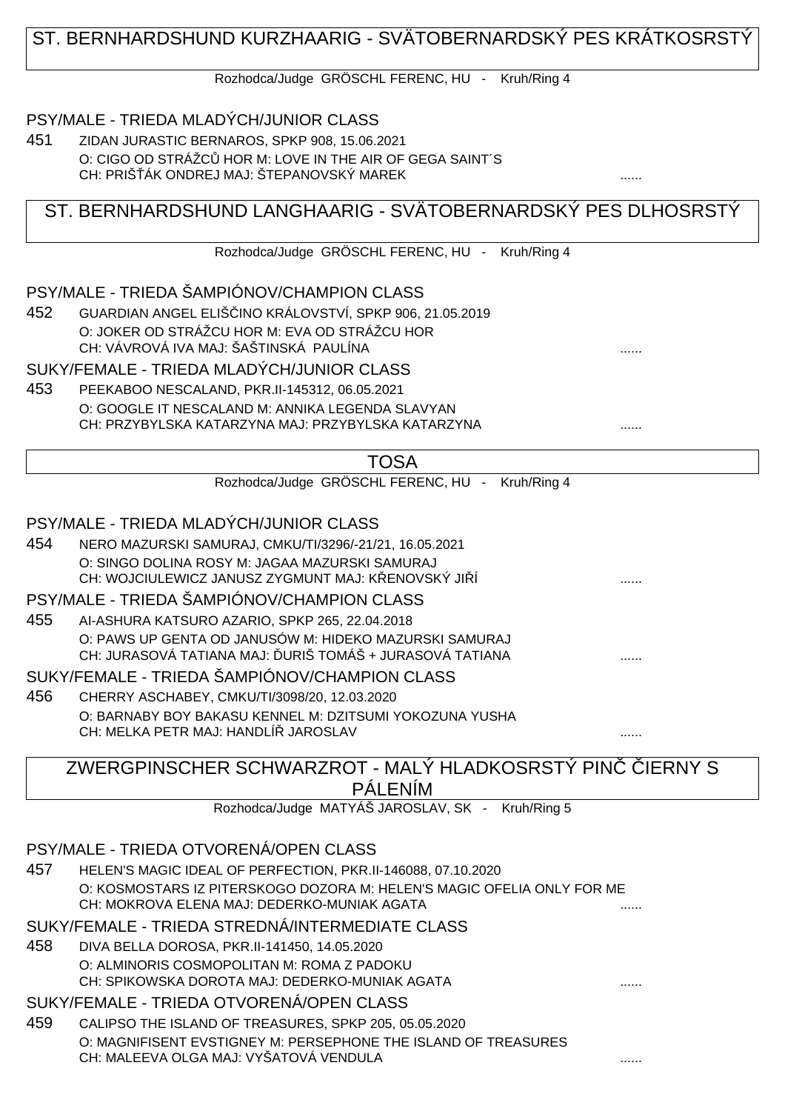## ST. BERNHARDSHUND KURZHAARIG - SVÄTOBERNARDSKÝ PES KRÁTKOSRSTÝ

Rozhodca/Judge GRÖSCHL FERENC, HU - Kruh/Ring 4

#### PSY/MALE - TRIEDA MLADÝCH/JUNIOR CLASS

451 ZIDAN JURASTIC BERNAROS, SPKP 908, 15.06.2021 O: CIGO OD STRÁŽC HOR M: LOVE IN THE AIR OF GEGA SAINT´S CH: PRIŠ ÁK ONDREJ MAJ: ŠTEPANOVSKÝ MAREK

## ST. BERNHARDSHUND LANGHAARIG - SVÄTOBERNARDSKÝ PES DLHOSRSTÝ

Rozhodca/Judge GRÖSCHL FERENC, HU - Kruh/Ring 4

#### PSY/MALE - TRIEDA ŠAMPIÓNOV/CHAMPION CLASS

452 GUARDIAN ANGEL ELIŠČINO KRÁLOVSTVÍ, SPKP 906, 21.05.2019 O: JOKER OD STRÁŽCU HOR M: EVA OD STRÁŽCU HOR CH: VÁVROVÁ IVA MAJ: ŠAŠTINSKÁ PAULÍNA ......

#### SUKY/FEMALE - TRIEDA MLADÝCH/JUNIOR CLASS

453 PEEKABOO NESCALAND, PKR.II-145312, 06.05.2021 O: GOOGLE IT NESCALAND M: ANNIKA LEGENDA SLAVYAN CH: PRZYBYLSKA KATARZYNA MAJ: PRZYBYLSKA KATARZYNA ......

| ۰.<br>۰, |  |
|----------|--|
|----------|--|

Rozhodca/Judge GRÖSCHL FERENC, HU - Kruh/Ring 4

#### PSY/MALE - TRIEDA MLADÝCH/JUNIOR CLASS

454 NERO MAZURSKI SAMURAJ, CMKU/TI/3296/-21/21, 16.05.2021 O: SINGO DOLINA ROSY M: JAGAA MAZURSKI SAMURAJ CH: WOJCIULEWICZ JANUSZ ZYGMUNT MAJ: K ENOVSKÝ JI Í

## PSY/MALE - TRIEDA ŠAMPIÓNOV/CHAMPION CLASS

455 AI-ASHURA KATSURO AZARIO, SPKP 265, 22.04.2018 O: PAWS UP GENTA OD JANUSÓW M: HIDEKO MAZURSKI SAMURAJ CH: JURASOVÁ TATIANA MAJ: URIŠ TOMÁŠ + JURASOVÁ TATIANA  $\ldots$ 

#### SUKY/FEMALE - TRIEDA ŠAMPIÓNOV/CHAMPION CLASS

456 CHERRY ASCHABEY, CMKU/TI/3098/20, 12.03.2020 O: BARNABY BOY BAKASU KENNEL M: DZITSUMI YOKOZUNA YUSHA CH: MELKA PETR MAJ: HANDLÍŘ JAROSLAV ......

# ZWERGPINSCHER SCHWARZROT - MALÝ HLADKOSRSTÝ PINVERNY S PÁLENÍM

Rozhodca/Judge MATYÁŠ JAROSLAV, SK - Kruh/Ring 5

## PSY/MALE - TRIEDA OTVORENÁ/OPEN CLASS

457 HELEN'S MAGIC IDEAL OF PERFECTION, PKR.II-146088, 07.10.2020 O: KOSMOSTARS IZ PITERSKOGO DOZORA M: HELEN'S MAGIC OFELIA ONLY FOR ME CH: MOKROVA ELENA MAJ: DEDERKO-MUNIAK AGATA ......

## SUKY/FEMALE - TRIEDA STREDNÁ/INTERMEDIATE CLASS

458 DIVA BELLA DOROSA, PKR.II-141450, 14.05.2020 O: ALMINORIS COSMOPOLITAN M: ROMA Z PADOKU CH: SPIKOWSKA DOROTA MAJ: DEDERKO-MUNIAK AGATA

## SUKY/FEMALE - TRIEDA OTVORENÁ/OPEN CLASS

459 CALIPSO THE ISLAND OF TREASURES, SPKP 205, 05.05.2020 O: MAGNIFISENT EVSTIGNEY M: PERSEPHONE THE ISLAND OF TREASURES CH: MALEEVA OLGA MAJ: VYŠATOVÁ VENDULA ......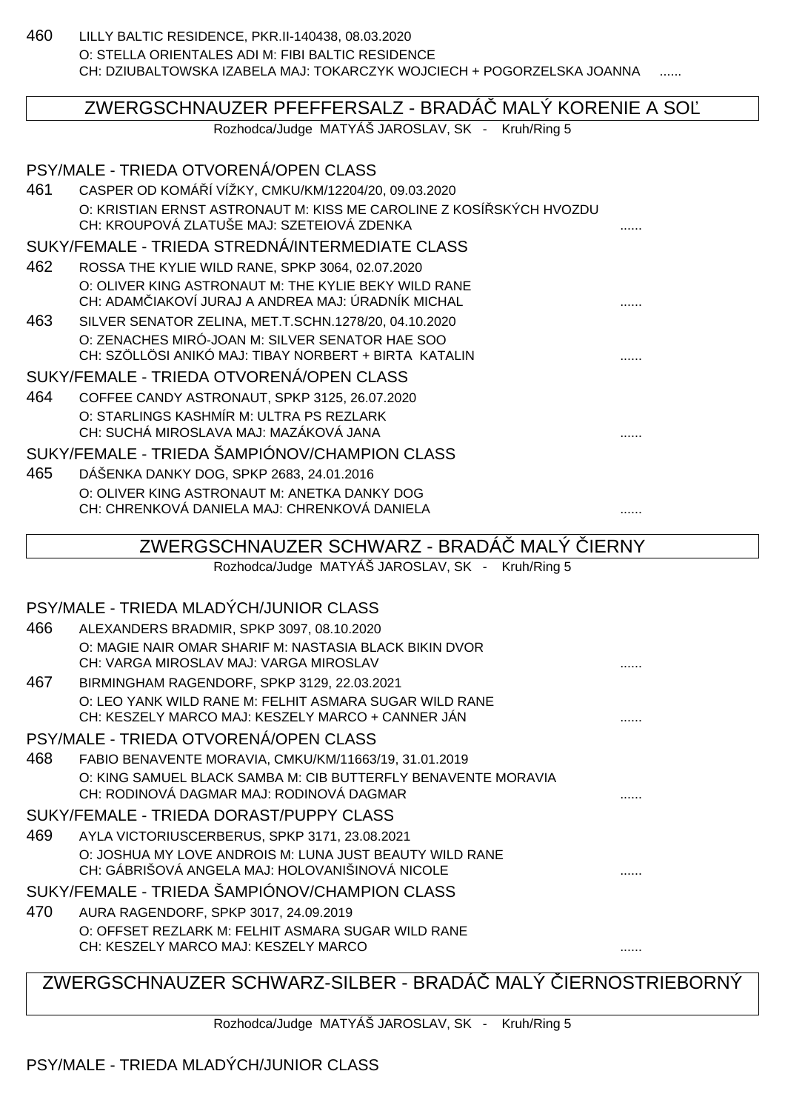460 LILLY BALTIC RESIDENCE, PKR.II-140438, 08.03.2020 O: STELLA ORIENTALES ADI M: FIBI BALTIC RESIDENCE CH: DZIUBALTOWSKA IZABELA MAJ: TOKARCZYK WOJCIECH + POGORZELSKA JOANNA

## ZWERGSCHNAUZER PFEFFERSALZ - BRADÁ MALÝ KORENIE A SO

Rozhodca/Judge MATYÁŠ JAROSLAV, SK - Kruh/Ring 5

## PSY/MALE - TRIEDA OTVORENÁ/OPEN CLASS 461 CASPER OD KOMÁŘÍ VÍŽKY, CMKU/KM/12204/20, 09.03.2020 O: KRISTIAN ERNST ASTRONAUT M: KISS ME CAROLINE Z KOSÍ SKÝCH HVOZDU CH: KROUPOVÁ ZLATUŠE MAJ: SZETEIOVÁ ZDENKA ...... SUKY/FEMALE - TRIEDA STREDNÁ/INTERMEDIATE CLASS 462 ROSSA THE KYLIE WILD RANE, SPKP 3064, 02.07.2020 O: OLIVER KING ASTRONAUT M: THE KYLIE BEKY WILD RANE CH: ADAMČIAKOVÍ JURAJ A ANDREA MAJ: ÚRADNÍK MICHAL ...... 463 SILVER SENATOR ZELINA, MET.T.SCHN.1278/20, 04.10.2020 O: ZENACHES MIRÓ-JOAN M: SILVER SENATOR HAE SOO CH: SZÖLLÖSI ANIKÓ MAJ: TIBAY NORBERT + BIRTA KATALIN ...... SUKY/FEMALE - TRIEDA OTVORENÁ/OPEN CLASS 464 COFFEE CANDY ASTRONAUT, SPKP 3125, 26.07.2020 O: STARLINGS KASHMÍR M: ULTRA PS REZLARK CH: SUCHÁ MIROSLAVA MAJ: MAZÁKOVÁ JANA ...... SUKY/FEMALE - TRIEDA ŠAMPIÓNOV/CHAMPION CLASS 465 DÁŠENKA DANKY DOG, SPKP 2683, 24.01.2016 O: OLIVER KING ASTRONAUT M: ANETKA DANKY DOG CH: CHRENKOVÁ DANIELA MAJ: CHRENKOVÁ DANIELA ...... ZWERGSCHNAUZER SCHWARZ - BRADÁ MALÝ JERNY Rozhodca/Judge MATYÁŠ JAROSLAV, SK - Kruh/Ring 5 PSY/MALE - TRIEDA MLADÝCH/JUNIOR CLASS 466 ALEXANDERS BRADMIR, SPKP 3097, 08.10.2020 O: MAGIE NAIR OMAR SHARIF M: NASTASIA BLACK BIKIN DVOR CH: VARGA MIROSLAV MAJ: VARGA MIROSLAV 467 BIRMINGHAM RAGENDORF, SPKP 3129, 22.03.2021 O: LEO YANK WILD RANE M: FELHIT ASMARA SUGAR WILD RANE

PSY/MALE - TRIEDA OTVORENÁ/OPEN CLASS

468 FABIO BENAVENTE MORAVIA, CMKU/KM/11663/19, 31.01.2019 O: KING SAMUEL BLACK SAMBA M: CIB BUTTERFLY BENAVENTE MORAVIA CH: RODINOVÁ DAGMAR MAJ: RODINOVÁ DAGMAR

CH: KESZELY MARCO MAJ: KESZELY MARCO + CANNER JÁN .......

#### SUKY/FEMALE - TRIEDA DORAST/PUPPY CLASS

469 AYLA VICTORIUSCERBERUS, SPKP 3171, 23.08.2021 O: JOSHUA MY LOVE ANDROIS M: LUNA JUST BEAUTY WILD RANE CH: GÁBRIŠOVÁ ANGELA MAJ: HOLOVANIŠINOVÁ NICOLE

#### SUKY/FEMALE - TRIEDA ŠAMPIÓNOV/CHAMPION CLASS

470 AURA RAGENDORF, SPKP 3017, 24.09.2019 O: OFFSET REZLARK M: FELHIT ASMARA SUGAR WILD RANE CH: KESZELY MARCO MAJ: KESZELY MARCO ......

## ZWERGSCHNAUZER SCHWARZ-SILBER - BRADÁ MALÝ JERNOSTRIEBORNÝ

Rozhodca/Judge MATYÁŠ JAROSLAV, SK - Kruh/Ring 5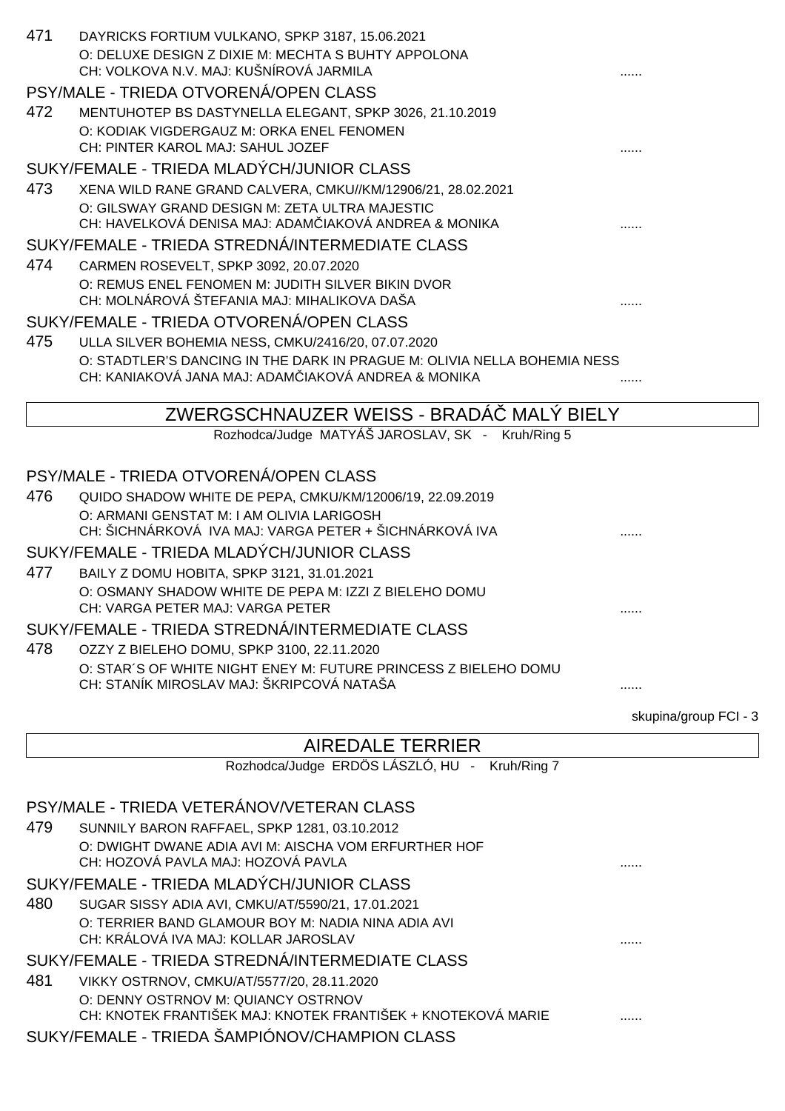| 471 | DAYRICKS FORTIUM VULKANO, SPKP 3187, 15.06.2021<br>O: DELUXE DESIGN Z DIXIE M: MECHTA S BUHTY APPOLONA       |                       |
|-----|--------------------------------------------------------------------------------------------------------------|-----------------------|
|     | CH: VOLKOVA N.V. MAJ: KUŠNÍROVÁ JARMILA                                                                      |                       |
|     | PSY/MALE - TRIEDA OTVORENÁ/OPEN CLASS                                                                        |                       |
| 472 | MENTUHOTEP BS DASTYNELLA ELEGANT, SPKP 3026, 21.10.2019                                                      |                       |
|     | O: KODIAK VIGDERGAUZ M: ORKA ENEL FENOMEN<br>CH: PINTER KAROL MAJ: SAHUL JOZEF                               |                       |
|     | SUKY/FEMALE - TRIEDA MLADÝCH/JUNIOR CLASS                                                                    |                       |
| 473 | XENA WILD RANE GRAND CALVERA, CMKU//KM/12906/21, 28.02.2021                                                  |                       |
|     | O: GILSWAY GRAND DESIGN M: ZETA ULTRA MAJESTIC                                                               |                       |
|     | CH: HAVELKOVÁ DENISA MAJ: ADAM IAKOVÁ ANDREA & MONIKA                                                        |                       |
|     | SUKY/FEMALE - TRIEDA STREDNÁ/INTERMEDIATE CLASS                                                              |                       |
| 474 | CARMEN ROSEVELT, SPKP 3092, 20.07.2020                                                                       |                       |
|     | O: REMUS ENEL FENOMEN M: JUDITH SILVER BIKIN DVOR<br>CH: MOLNÁROVÁ ŠTEFANIA MAJ: MIHALIKOVA DAŠA             |                       |
|     | SUKY/FEMALE - TRIEDA OTVORENÁ/OPEN CLASS                                                                     |                       |
| 475 | ULLA SILVER BOHEMIA NESS, CMKU/2416/20, 07.07.2020                                                           |                       |
|     | O: STADTLER'S DANCING IN THE DARK IN PRAGUE M: OLIVIA NELLA BOHEMIA NESS                                     |                       |
|     | CH: KANIAKOVÁ JANA MAJ: ADAM IAKOVÁ ANDREA & MONIKA                                                          |                       |
|     |                                                                                                              |                       |
|     | ZWERGSCHNAUZER WEISS - BRADA<br><b>MALY BIELY</b>                                                            |                       |
|     | Rozhodca/Judge MATYÁŠ JAROSLAV, SK - Kruh/Ring 5                                                             |                       |
|     | PSY/MALE - TRIEDA OTVORENÁ/OPEN CLASS                                                                        |                       |
| 476 | QUIDO SHADOW WHITE DE PEPA, CMKU/KM/12006/19, 22.09.2019                                                     |                       |
|     | O: ARMANI GENSTAT M: I AM OLIVIA LARIGOSH                                                                    |                       |
|     | CH: ŠICHNÁRKOVÁ IVA MAJ: VARGA PETER + ŠICHNÁRKOVÁ IVA                                                       |                       |
|     | SUKY/FEMALE - TRIEDA MLADÝCH/JUNIOR CLASS                                                                    |                       |
| 477 | BAILY Z DOMU HOBITA, SPKP 3121, 31.01.2021                                                                   |                       |
|     | O: OSMANY SHADOW WHITE DE PEPA M: IZZI Z BIELEHO DOMU<br>CH: VARGA PETER MAJ: VARGA PETER                    | .                     |
|     | SUKY/FEMALE - TRIEDA STREDNÁ/INTERMEDIATE CLASS                                                              |                       |
| 478 | OZZY Z BIELEHO DOMU, SPKP 3100, 22.11.2020                                                                   |                       |
|     | O: STAR'S OF WHITE NIGHT ENEY M: FUTURE PRINCESS Z BIELEHO DOMU<br>CH: STANÍK MIROSLAV MAJ: ŠKRIPCOVÁ NATAŠA |                       |
|     |                                                                                                              | skupina/group FCI - 3 |
|     | <b>AIREDALE TERRIER</b>                                                                                      |                       |
|     | Rozhodca/Judge ERDÖS LÁSZLÓ, HU - Kruh/Ring 7                                                                |                       |
|     |                                                                                                              |                       |
|     | PSY/MALE - TRIEDA VETERÁNOV/VETERAN CLASS                                                                    |                       |
| 479 | SUNNILY BARON RAFFAEL, SPKP 1281, 03.10.2012                                                                 |                       |
|     | O: DWIGHT DWANE ADIA AVI M: AISCHA VOM ERFURTHER HOF<br>CH: HOZOVÁ PAVLA MAJ: HOZOVÁ PAVLA                   |                       |
|     | SUKY/FEMALE - TRIEDA MLADÝCH/JUNIOR CLASS                                                                    |                       |
| 480 | SUGAR SISSY ADIA AVI, CMKU/AT/5590/21, 17.01.2021                                                            |                       |
|     | O: TERRIER BAND GLAMOUR BOY M: NADIA NINA ADIA AVI                                                           |                       |
|     | CH: KRÁLOVÁ IVA MAJ: KOLLAR JAROSLAV                                                                         |                       |
|     | SUKY/FEMALE - TRIEDA STREDNÁ/INTERMEDIATE CLASS                                                              |                       |
| 481 | VIKKY OSTRNOV, CMKU/AT/5577/20, 28.11.2020                                                                   |                       |
|     | O: DENNY OSTRNOV M: QUIANCY OSTRNOV                                                                          |                       |
|     | CH: KNOTEK FRANTIŠEK MAJ: KNOTEK FRANTIŠEK + KNOTEKOVÁ MARIE                                                 |                       |
|     | SUKY/FEMALE - TRIEDA ŠAMPIÓNOV/CHAMPION CLASS                                                                |                       |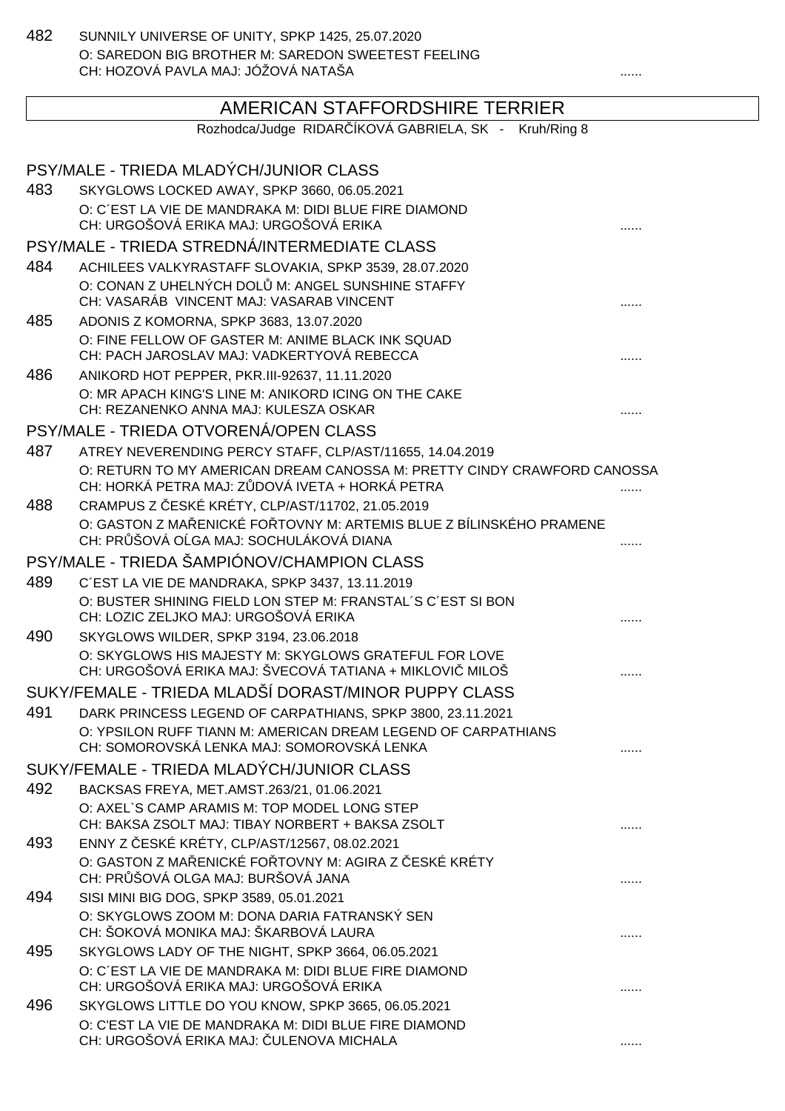482 SUNNILY UNIVERSE OF UNITY, SPKP 1425, 25.07.2020 O: SAREDON BIG BROTHER M: SAREDON SWEETEST FEELING CH: HOZOVÁ PAVLA MAJ: JÓŽOVÁ NATAŠA ......

# AMERICAN STAFFORDSHIRE TERRIER

Rozhodca/Judge RIDAR ÍKOVÁ GABRIELA, SK - Kruh/Ring 8

|     | PSY/MALE - TRIEDA MLADÝCH/JUNIOR CLASS                                                                                                                 |   |
|-----|--------------------------------------------------------------------------------------------------------------------------------------------------------|---|
| 483 | SKYGLOWS LOCKED AWAY, SPKP 3660, 06.05.2021                                                                                                            |   |
|     | O: C'EST LA VIE DE MANDRAKA M: DIDI BLUE FIRE DIAMOND                                                                                                  |   |
|     | CH: URGOŠOVÁ ERIKA MAJ: URGOŠOVÁ ERIKA                                                                                                                 |   |
|     | PSY/MALE - TRIEDA STREDNÁ/INTERMEDIATE CLASS                                                                                                           |   |
| 484 | ACHILEES VALKYRASTAFF SLOVAKIA, SPKP 3539, 28.07.2020                                                                                                  |   |
|     | O: CONAN Z UHELNÝCH DOL M: ANGEL SUNSHINE STAFFY<br>CH: VASARÁB VINCENT MAJ: VASARAB VINCENT                                                           |   |
| 485 | ADONIS Z KOMORNA, SPKP 3683, 13.07.2020                                                                                                                |   |
|     | O: FINE FELLOW OF GASTER M: ANIME BLACK INK SQUAD<br>CH: PACH JAROSLAV MAJ: VADKERTYOVÁ REBECCA                                                        |   |
| 486 | ANIKORD HOT PEPPER, PKR.III-92637, 11.11.2020                                                                                                          |   |
|     | O: MR APACH KING'S LINE M: ANIKORD ICING ON THE CAKE<br>CH: REZANENKO ANNA MAJ: KULESZA OSKAR                                                          |   |
|     | PSY/MALE - TRIEDA OTVORENÁ/OPEN CLASS                                                                                                                  |   |
| 487 | ATREY NEVERENDING PERCY STAFF, CLP/AST/11655, 14.04.2019                                                                                               |   |
|     | O: RETURN TO MY AMERICAN DREAM CANOSSA M: PRETTY CINDY CRAWFORD CANOSSA<br>CH: HORKÁ PETRA MAJ: Z DOVÁ IVETA + HORKÁ PETRA                             |   |
| 488 | CRAMPUS Z ESKÉ KRÉTY, CLP/AST/11702, 21.05.2019                                                                                                        |   |
|     | O: GASTON Z MA ENICKÉ FO TOVNY M: ARTEMIS BLUE Z BÍLINSKÉHO PRAMENE<br>CH: PR ŠOVÁ O GA MAJ: SOCHULÁKOVÁ DIANA                                         |   |
|     | PSY/MALE - TRIEDA ŠAMPIÓNOV/CHAMPION CLASS                                                                                                             |   |
| 489 | C'EST LA VIE DE MANDRAKA, SPKP 3437, 13.11.2019                                                                                                        |   |
|     | O: BUSTER SHINING FIELD LON STEP M: FRANSTAL'S C'EST SI BON<br>CH: LOZIC ZELJKO MAJ: URGOŠOVÁ ERIKA                                                    |   |
| 490 | SKYGLOWS WILDER, SPKP 3194, 23.06.2018                                                                                                                 |   |
|     | O: SKYGLOWS HIS MAJESTY M: SKYGLOWS GRATEFUL FOR LOVE<br>CH: URGOŠOVÁ ERIKA MAJ: ŠVECOVÁ TATIANA + MIKLOVI MILOŠ                                       |   |
|     | SUKY/FEMALE - TRIEDA MLADŠÍ DORAST/MINOR PUPPY CLASS                                                                                                   |   |
| 491 | DARK PRINCESS LEGEND OF CARPATHIANS, SPKP 3800, 23.11.2021                                                                                             |   |
|     | O: YPSILON RUFF TIANN M: AMERICAN DREAM LEGEND OF CARPATHIANS<br>CH: SOMOROVSKÁ LENKA MAJ: SOMOROVSKÁ LENKA                                            |   |
|     | SUKY/FEMALE - TRIEDA MLADÝCH/JUNIOR CLASS                                                                                                              |   |
| 492 | BACKSAS FREYA, MET.AMST.263/21, 01.06.2021                                                                                                             |   |
|     | O: AXEL`S CAMP ARAMIS M: TOP MODEL LONG STEP<br>CH: BAKSA ZSOLT MAJ: TIBAY NORBERT + BAKSA ZSOLT                                                       |   |
| 493 | ENNY Z ESKÉ KRÉTY, CLP/AST/12567, 08.02.2021                                                                                                           |   |
|     | O: GASTON Z MA ENICKÉ FO TOVNY M: AGIRA Z ESKÉ KRÉTY<br>CH: PR ŠOVÁ OLGA MAJ: BURŠOVÁ JANA                                                             |   |
| 494 | SISI MINI BIG DOG, SPKP 3589, 05.01.2021                                                                                                               |   |
|     | O: SKYGLOWS ZOOM M: DONA DARIA FATRANSKÝ SEN<br>CH: ŠOKOVÁ MONIKA MAJ: ŠKARBOVÁ LAURA                                                                  | . |
| 495 | SKYGLOWS LADY OF THE NIGHT, SPKP 3664, 06.05.2021                                                                                                      |   |
|     | O: C'EST LA VIE DE MANDRAKA M: DIDI BLUE FIRE DIAMOND<br>CH: URGOŠOVÁ ERIKA MAJ: URGOŠOVÁ ERIKA                                                        | . |
| 496 | SKYGLOWS LITTLE DO YOU KNOW, SPKP 3665, 06.05.2021<br>O: C'EST LA VIE DE MANDRAKA M: DIDI BLUE FIRE DIAMOND<br>CH: URGOŠOVÁ ERIKA MAJ: ULENOVA MICHALA |   |
|     |                                                                                                                                                        |   |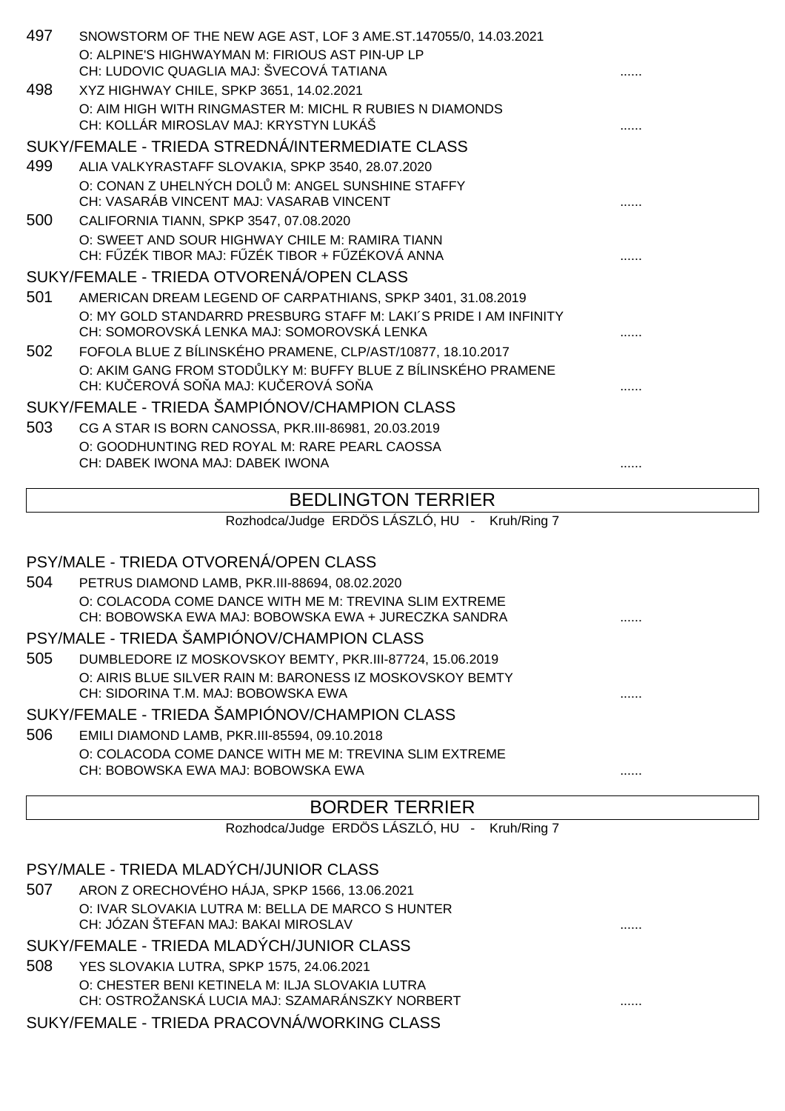| 497 | SNOWSTORM OF THE NEW AGE AST, LOF 3 AME.ST.147055/0, 14.03.2021   |  |
|-----|-------------------------------------------------------------------|--|
|     | O: ALPINE'S HIGHWAYMAN M: FIRIOUS AST PIN-UP LP                   |  |
|     | CH: LUDOVIC QUAGLIA MAJ: ŠVECOVÁ TATIANA                          |  |
| 498 | XYZ HIGHWAY CHILE, SPKP 3651, 14.02.2021                          |  |
|     | O: AIM HIGH WITH RINGMASTER M: MICHL R RUBIES N DIAMONDS          |  |
|     | CH: KOLLÁR MIROSLAV MAJ: KRYSTYN LUKÁŠ                            |  |
|     | SUKY/FEMALE - TRIEDA STREDNÁ/INTERMEDIATE CLASS                   |  |
| 499 | ALIA VALKYRASTAFF SLOVAKIA, SPKP 3540, 28.07.2020                 |  |
|     | O: CONAN Z UHELNÝCH DOL M: ANGEL SUNSHINE STAFFY                  |  |
|     | CH: VASARÁB VINCENT MAJ: VASARAB VINCENT                          |  |
| 500 | CALIFORNIA TIANN, SPKP 3547, 07.08.2020                           |  |
|     | O: SWEET AND SOUR HIGHWAY CHILE M: RAMIRA TIANN                   |  |
|     | CH: F ZÉK TIBOR MAJ: F ZÉK TIBOR + F ZÉKOVÁ ANNA                  |  |
|     | SUKY/FEMALE - TRIEDA OTVORENÁ/OPEN CLASS                          |  |
| 501 | AMERICAN DREAM LEGEND OF CARPATHIANS, SPKP 3401, 31.08.2019       |  |
|     | O: MY GOLD STANDARRD PRESBURG STAFF M: LAKI'S PRIDE I AM INFINITY |  |
|     | CH: SOMOROVSKÁ LENKA MAJ: SOMOROVSKÁ LENKA                        |  |
| 502 | FOFOLA BLUE Z BÍLINSKÉHO PRAMENE, CLP/AST/10877, 18.10.2017       |  |
|     | O: AKIM GANG FROM STOD LKY M: BUFFY BLUE Z BÍLINSKÉHO PRAMENE     |  |
|     | CH: KU EROVÁ SO A MAJ: KU EROVÁ SO A                              |  |
|     | SUKY/FEMALE - TRIEDA ŠAMPIÓNOV/CHAMPION CLASS                     |  |
| 503 | CG A STAR IS BORN CANOSSA, PKR.III-86981, 20.03.2019              |  |
|     | O: GOODHUNTING RED ROYAL M: RARE PEARL CAOSSA                     |  |
|     | CH: DABEK IWONA MAJ: DABEK IWONA                                  |  |

### BEDLINGTON TERRIER

Rozhodca/Judge ERDÖS LÁSZLÓ, HU - Kruh/Ring 7

## PSY/MALE - TRIEDA OTVORENÁ/OPEN CLASS

| 504 | PETRUS DIAMOND LAMB, PKR.III-88694, 08.02.2020         |  |
|-----|--------------------------------------------------------|--|
|     | O: COLACODA COME DANCE WITH ME M: TREVINA SLIM EXTREME |  |
|     | CH: BOBOWSKA EWA MAJ: BOBOWSKA EWA + JURECZKA SANDRA   |  |
|     | PSY/MALE - TRIEDA ŠAMPIÓNOV/CHAMPION CLASS             |  |

505 DUMBLEDORE IZ MOSKOVSKOY BEMTY, PKR.III-87724, 15.06.2019 O: AIRIS BLUE SILVER RAIN M: BARONESS IZ MOSKOVSKOY BEMTY CH: SIDORINA T.M. MAJ: BOBOWSKA EWA ......

#### SUKY/FEMALE - TRIEDA ŠAMPIÓNOV/CHAMPION CLASS

506 EMILI DIAMOND LAMB, PKR.III-85594, 09.10.2018 O: COLACODA COME DANCE WITH ME M: TREVINA SLIM EXTREME CH: BOBOWSKA EWA MAJ: BOBOWSKA EWA ......

## BORDER TERRIER

Rozhodca/Judge ERDÖS LÁSZLÓ, HU - Kruh/Ring 7

|     | PSY/MALE - TRIEDA MLADÝCH/JUNIOR CLASS                                                             |   |
|-----|----------------------------------------------------------------------------------------------------|---|
| 507 | ARON Z ORECHOVÉHO HÁJA, SPKP 1566, 13.06.2021                                                      |   |
|     | O: IVAR SLOVAKIA LUTRA M: BELLA DE MARCO S HUNTER                                                  |   |
|     | CH: JÓZAN ŠTEFAN MAJ: BAKAI MIROSLAV                                                               | . |
|     | SUKY/FEMALE - TRIEDA MLADÝCH/JUNIOR CLASS                                                          |   |
| 508 | YES SLOVAKIA LUTRA, SPKP 1575, 24.06.2021                                                          |   |
|     | O: CHESTER BENI KETINELA M: ILJA SLOVAKIA LUTRA<br>CH: OSTROŽANSKÁ LUCIA MAJ: SZAMARÁNSZKY NORBERT |   |
|     |                                                                                                    | . |
|     | SUKY/FEMALE - TRIEDA PRACOVNÁ/WORKING CLASS                                                        |   |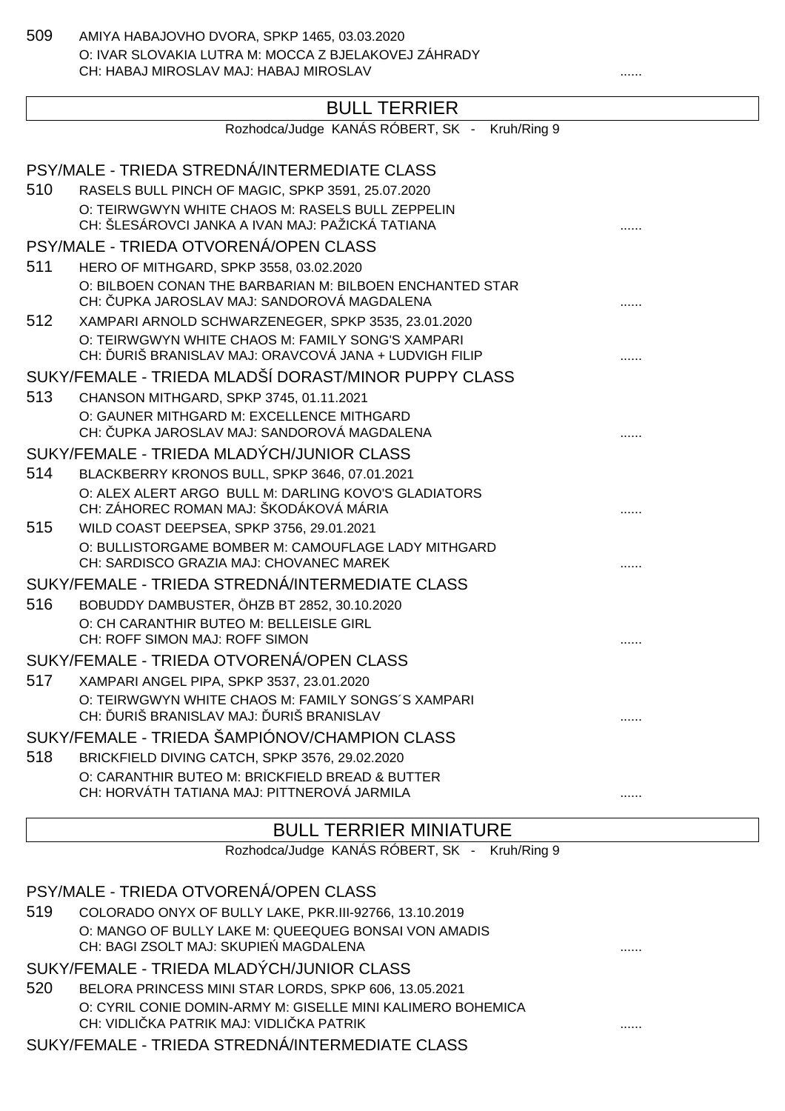509 AMIYA HABAJOVHO DVORA, SPKP 1465, 03.03.2020 O: IVAR SLOVAKIA LUTRA M: MOCCA Z BJELAKOVEJ ZÁHRADY CH: HABAJ MIROSLAV MAJ: HABAJ MIROSLAV ......

## BULL TERRIER

|     | PULL ILINNLIN                                                                                              |  |
|-----|------------------------------------------------------------------------------------------------------------|--|
|     | Rozhodca/Judge KANÁS RÓBERT, SK - Kruh/Ring 9                                                              |  |
|     | PSY/MALE - TRIEDA STREDNÁ/INTERMEDIATE CLASS                                                               |  |
| 510 | RASELS BULL PINCH OF MAGIC, SPKP 3591, 25.07.2020                                                          |  |
|     | O: TEIRWGWYN WHITE CHAOS M: RASELS BULL ZEPPELIN                                                           |  |
|     | CH: ŠLESÁROVCI JANKA A IVAN MAJ: PAŽICKÁ TATIANA                                                           |  |
|     | PSY/MALE - TRIEDA OTVORENÁ/OPEN CLASS                                                                      |  |
| 511 | HERO OF MITHGARD, SPKP 3558, 03.02.2020                                                                    |  |
|     | O: BILBOEN CONAN THE BARBARIAN M: BILBOEN ENCHANTED STAR                                                   |  |
|     | CH: UPKA JAROSLAV MAJ: SANDOROVÁ MAGDALENA                                                                 |  |
| 512 | XAMPARI ARNOLD SCHWARZENEGER, SPKP 3535, 23.01.2020                                                        |  |
|     | O: TEIRWGWYN WHITE CHAOS M: FAMILY SONG'S XAMPARI<br>CH: URIŠ BRANISLAV MAJ: ORAVCOVÁ JANA + LUDVIGH FILIP |  |
|     | SUKY/FEMALE - TRIEDA MLADŠÍ DORAST/MINOR PUPPY CLASS                                                       |  |
| 513 | CHANSON MITHGARD, SPKP 3745, 01.11.2021                                                                    |  |
|     | O: GAUNER MITHGARD M: EXCELLENCE MITHGARD                                                                  |  |
|     | CH: UPKA JAROSLAV MAJ: SANDOROVÁ MAGDALENA                                                                 |  |
|     | SUKY/FEMALE - TRIEDA MLADÝCH/JUNIOR CLASS                                                                  |  |
| 514 | BLACKBERRY KRONOS BULL, SPKP 3646, 07.01.2021                                                              |  |
|     | O: ALEX ALERT ARGO BULL M: DARLING KOVO'S GLADIATORS                                                       |  |
|     | CH: ZÁHOREC ROMAN MAJ: ŠKODÁKOVÁ MÁRIA                                                                     |  |
| 515 | WILD COAST DEEPSEA, SPKP 3756, 29.01.2021<br>O: BULLISTORGAME BOMBER M: CAMOUFLAGE LADY MITHGARD           |  |
|     | CH: SARDISCO GRAZIA MAJ: CHOVANEC MAREK                                                                    |  |
|     | SUKY/FEMALE - TRIEDA STREDNÁ/INTERMEDIATE CLASS                                                            |  |
| 516 | BOBUDDY DAMBUSTER, ÖHZB BT 2852, 30.10.2020                                                                |  |
|     | O: CH CARANTHIR BUTEO M: BELLEISLE GIRL                                                                    |  |
|     | CH: ROFF SIMON MAJ: ROFF SIMON                                                                             |  |
|     | SUKY/FEMALE - TRIEDA OTVORENÁ/OPEN CLASS                                                                   |  |
| 517 | XAMPARI ANGEL PIPA, SPKP 3537, 23.01.2020                                                                  |  |
|     | O: TEIRWGWYN WHITE CHAOS M: FAMILY SONGS'S XAMPARI                                                         |  |
|     | CH: URIŠ BRANISLAV MAJ: URIŠ BRANISLAV                                                                     |  |
|     | SUKY/FEMALE - TRIEDA ŠAMPIÓNOV/CHAMPION CLASS                                                              |  |
| 518 | BRICKFIELD DIVING CATCH, SPKP 3576, 29.02.2020                                                             |  |
|     | O: CARANTHIR BUTEO M: BRICKFIELD BREAD & BUTTER<br>CH: HORVÁTH TATIANA MAJ: PITTNEROVÁ JARMILA             |  |
|     |                                                                                                            |  |

#### BULL TERRIER MINIATURE

Rozhodca/Judge KANÁS RÓBERT, SK - Kruh/Ring 9

#### PSY/MALE - TRIEDA OTVORENÁ/OPEN CLASS

519 COLORADO ONYX OF BULLY LAKE, PKR.III-92766, 13.10.2019 O: MANGO OF BULLY LAKE M: QUEEQUEG BONSAI VON AMADIS CH: BAGI ZSOLT MAJ: SKUPIEŃ MAGDALENA ......

#### SUKY/FEMALE - TRIEDA MLADÝCH/JUNIOR CLASS

520 BELORA PRINCESS MINI STAR LORDS, SPKP 606, 13.05.2021 O: CYRIL CONIE DOMIN-ARMY M: GISELLE MINI KALIMERO BOHEMICA CH: VIDLIČKA PATRIK MAJ: VIDLIČKA PATRIK ......

SUKY/FEMALE - TRIEDA STREDNÁ/INTERMEDIATE CLASS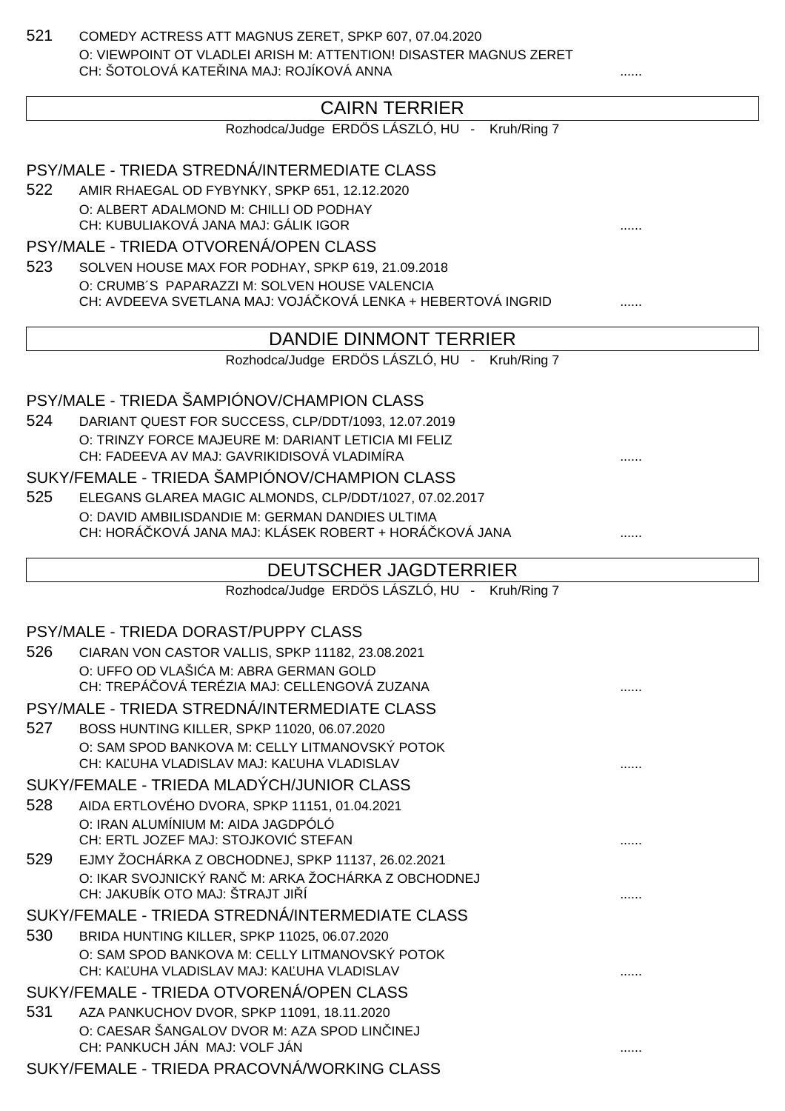521 COMEDY ACTRESS ATT MAGNUS ZERET, SPKP 607, 07.04.2020 O: VIEWPOINT OT VLADLEI ARISH M: ATTENTION! DISASTER MAGNUS ZERET CH: ŠOTOLOVÁ KATELINA MAJ: ROJÍKOVÁ ANNA

## CAIRN TERRIER

Rozhodca/Judge ERDÖS LÁSZLÓ, HU - Kruh/Ring 7

PSY/MALE - TRIEDA STREDNÁ/INTERMEDIATE CLASS

522 AMIR RHAEGAL OD FYBYNKY, SPKP 651, 12.12.2020 O: ALBERT ADALMOND M: CHILLI OD PODHAY CH: KUBULIAKOVÁ JANA MAJ: GÁLIK IGOR ......

#### PSY/MALE - TRIEDA OTVORENÁ/OPEN CLASS

523 SOLVEN HOUSE MAX FOR PODHAY, SPKP 619, 21.09.2018 O: CRUMB´S PAPARAZZI M: SOLVEN HOUSE VALENCIA CH: AVDEEVA SVETLANA MAJ: VOJÁ KOVÁ LENKA + HEBERTOVÁ INGRID .......

#### DANDIE DINMONT TERRIER

Rozhodca/Judge ERDÖS LÁSZLÓ, HU - Kruh/Ring 7

## PSY/MALE - TRIEDA ŠAMPIÓNOV/CHAMPION CLASS

524 DARIANT QUEST FOR SUCCESS, CLP/DDT/1093, 12.07.2019 O: TRINZY FORCE MAJEURE M: DARIANT LETICIA MI FELIZ CH: FADEEVA AV MAJ: GAVRIKIDISOVÁ VLADIMÍRA

#### SUKY/FEMALE - TRIEDA ŠAMPIÓNOV/CHAMPION CLASS

525 ELEGANS GLAREA MAGIC ALMONDS, CLP/DDT/1027, 07.02.2017 O: DAVID AMBILISDANDIE M: GERMAN DANDIES ULTIMA CH: HORÁ KOVÁ JANA MAJ: KLÁSEK ROBERT + HORÁ KOVÁ JANA .......

#### DEUTSCHER JAGDTERRIER

Rozhodca/Judge ERDÖS LÁSZLÓ, HU - Kruh/Ring 7

#### PSY/MALE - TRIEDA DORAST/PUPPY CLASS

| 526 | CIARAN VON CASTOR VALLIS, SPKP 11182, 23.08.2021   |  |
|-----|----------------------------------------------------|--|
|     | O: UFFO OD VLAŠI A M: ABRA GERMAN GOLD             |  |
|     | CH: TREPÁ OVÁ TERÉZIA MAJ: CELLENGOVÁ ZUZANA       |  |
|     | PSY/MALE - TRIEDA STREDNÁ/INTERMEDIATE CLASS       |  |
| 527 | BOSS HUNTING KILLER, SPKP 11020, 06.07.2020        |  |
|     | O: SAM SPOD BANKOVA M: CELLY LITMANOVSKÝ POTOK     |  |
|     | CH: KA UHA VLADISLAV MAJ: KA UHA VLADISLAV         |  |
|     | SUKY/FEMALE - TRIEDA MLADÝCH/JUNIOR CLASS          |  |
| 528 | AIDA ERTLOVÉHO DVORA, SPKP 11151, 01.04.2021       |  |
|     | O: IRAN ALUMÍNIUM M: AIDA JAGDPÓLÓ                 |  |
|     | CH: ERTL JOZEF MAJ: STOJKOVI STEFAN                |  |
| 529 | EJMY ŽOCHÁRKA Z OBCHODNEJ, SPKP 11137, 26.02.2021  |  |
|     | O: IKAR SVOJNICKÝ RAN M: ARKA ŽOCHÁRKA Z OBCHODNEJ |  |
|     | CH: JAKUBÍK OTO MAJ: ŠTRAJT JI Í                   |  |
|     | SUKY/FEMALE - TRIEDA STREDNÁ/INTERMEDIATE CLASS    |  |
| 530 | BRIDA HUNTING KILLER, SPKP 11025, 06.07.2020       |  |
|     | O: SAM SPOD BANKOVA M: CELLY LITMANOVSKÝ POTOK     |  |
|     | CH: KA UHA VLADISLAV MAJ: KA UHA VLADISLAV         |  |
|     | SUKY/FEMALE - TRIEDA OTVORENÁ/OPEN CLASS           |  |
| 531 | AZA PANKUCHOV DVOR, SPKP 11091, 18.11.2020         |  |
|     | O: CAESAR ŠANGALOV DVOR M: AZA SPOD LIN INEJ       |  |
|     | CH: PANKUCH JÁN MAJ: VOLF JÁN                      |  |
|     | CURVELMALE TRIEDA DRACOVILÁ MIODIZINO OLACO        |  |

SUKY/FEMALE - TRIEDA PRACOVNÁ/WORKING CLASS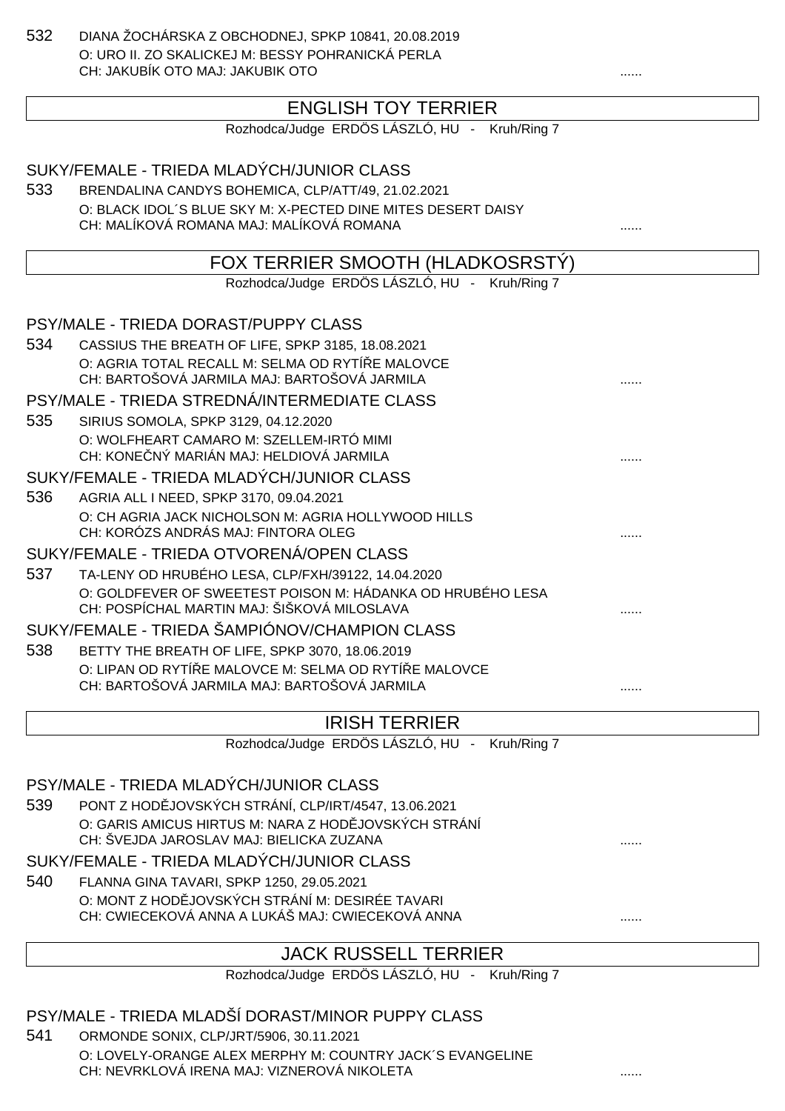532 DIANA ŽOCHÁRSKA Z OBCHODNEJ, SPKP 10841, 20.08.2019 O: URO II. ZO SKALICKEJ M: BESSY POHRANICKÁ PERLA CH: JAKUBÍK OTO MAJ: JAKUBIK OTO.

## ENGLISH TOY TERRIER

Rozhodca/Judge ERDÖS LÁSZLÓ, HU - Kruh/Ring 7

## SUKY/FEMALE - TRIEDA MLADÝCH/JUNIOR CLASS 533 BRENDALINA CANDYS BOHEMICA, CLP/ATT/49, 21.02.2021 O: BLACK IDOL´S BLUE SKY M: X-PECTED DINE MITES DESERT DAISY CH: MALÍKOVÁ ROMANA MAJ: MALÍKOVÁ ROMANA ...... FOX TERRIER SMOOTH (HLADKOSRSTÝ) Rozhodca/Judge ERDÖS LÁSZLÓ, HU - Kruh/Ring 7 PSY/MALE - TRIEDA DORAST/PUPPY CLASS 534 CASSIUS THE BREATH OF LIFE, SPKP 3185, 18.08.2021 O: AGRIA TOTAL RECALL M: SELMA OD RYTÍ E MALOVCE CH: BARTOŠOVÁ JARMILA MAJ: BARTOŠOVÁ JARMILA ...... PSY/MALE - TRIEDA STREDNÁ/INTERMEDIATE CLASS 535 SIRIUS SOMOLA, SPKP 3129, 04.12.2020 O: WOLFHEART CAMARO M: SZELLEM-IRTÓ MIMI CH: KONE NÝ MARIÁN MAJ: HELDIOVÁ JARMILA SUKY/FEMALE - TRIEDA MLADÝCH/JUNIOR CLASS 536 AGRIA ALL I NEED, SPKP 3170, 09.04.2021 O: CH AGRIA JACK NICHOLSON M: AGRIA HOLLYWOOD HILLS CH: KORÓZS ANDRÁS MAJ: FINTORA OLEG ...... SUKY/FEMALE - TRIEDA OTVORENÁ/OPEN CLASS 537 TA-LENY OD HRUBÉHO LESA, CLP/FXH/39122, 14.04.2020 O: GOLDFEVER OF SWEETEST POISON M: HÁDANKA OD HRUBÉHO LESA CH: POSPÍCHAL MARTIN MAJ: ŠIŠKOVÁ MILOSLAVA ...... SUKY/FEMALE - TRIEDA ŠAMPIÓNOV/CHAMPION CLASS 538 BETTY THE BREATH OF LIFE, SPKP 3070, 18.06.2019 O: LIPAN OD RYTÍ E MALOVCE M: SELMA OD RYTÍ E MALOVCE CH: BARTOŠOVÁ JARMILA MAJ: BARTOŠOVÁ JARMILA ...... IRISH TERRIER Rozhodca/Judge ERDÖS LÁSZLÓ, HU - Kruh/Ring 7

#### PSY/MALE - TRIEDA MLADÝCH/JUNIOR CLASS

539 PONT Z HOD JOVSKÝCH STRÁNÍ, CLP/IRT/4547, 13.06.2021 O: GARIS AMICUS HIRTUS M: NARA Z HOD JOVSKÝCH STRÁNÍ CH: ŠVEJDA JAROSLAV MAJ: BIELICKA ZUZANA ......

#### SUKY/FEMALE - TRIEDA MLADÝCH/JUNIOR CLASS

540 FLANNA GINA TAVARI, SPKP 1250, 29.05.2021 O: MONT Z HOD JOVSKÝCH STRÁNÍ M: DESIRÉE TAVARI CH: CWIECEKOVÁ ANNA A LUKÁŠ MAJ: CWIECEKOVÁ ANNA  $\ldots$ 

## JACK RUSSELL TERRIER

Rozhodca/Judge ERDÖS LÁSZLÓ, HU - Kruh/Ring 7

#### PSY/MALE - TRIEDA MLADŠÍ DORAST/MINOR PUPPY CLASS

541 ORMONDE SONIX, CLP/JRT/5906, 30.11.2021 O: LOVELY-ORANGE ALEX MERPHY M: COUNTRY JACK´S EVANGELINE CH: NEVRKLOVÁ IRENA MAJ: VIZNEROVÁ NIKOLETA ......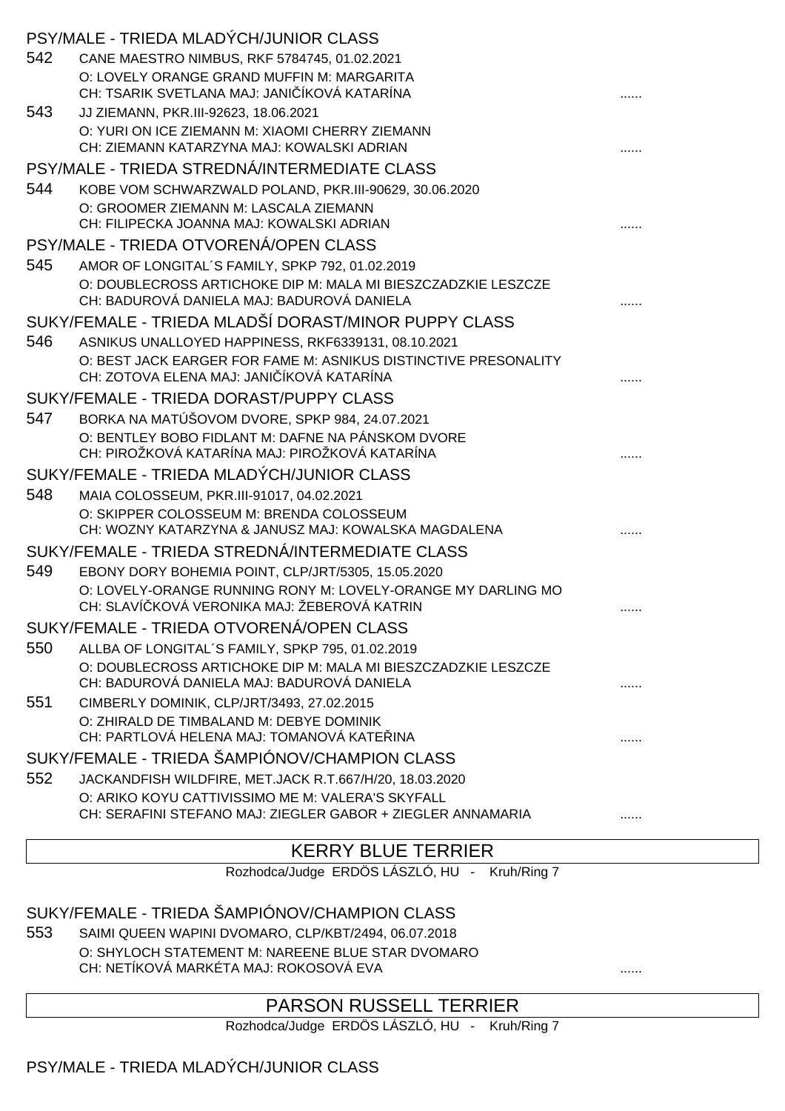|     | PSY/MALE - TRIEDA MLADÝCH/JUNIOR CLASS                                                                           |   |
|-----|------------------------------------------------------------------------------------------------------------------|---|
| 542 | CANE MAESTRO NIMBUS, RKF 5784745, 01.02.2021                                                                     |   |
|     | O: LOVELY ORANGE GRAND MUFFIN M: MARGARITA                                                                       |   |
|     | CH: TSARIK SVETLANA MAJ: JANI ÍKOVÁ KATARÍNA                                                                     |   |
| 543 | JJ ZIEMANN, PKR.III-92623, 18.06.2021                                                                            |   |
|     | O: YURI ON ICE ZIEMANN M: XIAOMI CHERRY ZIEMANN<br>CH: ZIEMANN KATARZYNA MAJ: KOWALSKI ADRIAN                    |   |
|     | PSY/MALE - TRIEDA STREDNÁ/INTERMEDIATE CLASS                                                                     |   |
| 544 | KOBE VOM SCHWARZWALD POLAND, PKR.III-90629, 30.06.2020                                                           |   |
|     | O: GROOMER ZIEMANN M: LASCALA ZIEMANN                                                                            |   |
|     | CH: FILIPECKA JOANNA MAJ: KOWALSKI ADRIAN                                                                        |   |
|     | PSY/MALE - TRIEDA OTVORENÁ/OPEN CLASS                                                                            |   |
| 545 | AMOR OF LONGITAL'S FAMILY, SPKP 792, 01.02.2019                                                                  |   |
|     | O: DOUBLECROSS ARTICHOKE DIP M: MALA MI BIESZCZADZKIE LESZCZE                                                    |   |
|     | CH: BADUROVÁ DANIELA MAJ: BADUROVÁ DANIELA                                                                       |   |
|     | SUKY/FEMALE - TRIEDA MLADŠÍ DORAST/MINOR PUPPY CLASS                                                             |   |
| 546 | ASNIKUS UNALLOYED HAPPINESS, RKF6339131, 08.10.2021                                                              |   |
|     | O: BEST JACK EARGER FOR FAME M: ASNIKUS DISTINCTIVE PRESONALITY<br>CH: ZOTOVA ELENA MAJ: JANI ÍKOVÁ KATARÍNA     |   |
|     | SUKY/FEMALE - TRIEDA DORAST/PUPPY CLASS                                                                          |   |
| 547 | BORKA NA MATÚŠOVOM DVORE, SPKP 984, 24.07.2021                                                                   |   |
|     | O: BENTLEY BOBO FIDLANT M: DAFNE NA PÁNSKOM DVORE                                                                |   |
|     | CH: PIROŽKOVÁ KATARÍNA MAJ: PIROŽKOVÁ KATARÍNA                                                                   |   |
|     | SUKY/FEMALE - TRIEDA MLADÝCH/JUNIOR CLASS                                                                        |   |
| 548 | MAIA COLOSSEUM, PKR.III-91017, 04.02.2021                                                                        |   |
|     | O: SKIPPER COLOSSEUM M: BRENDA COLOSSEUM                                                                         |   |
|     | CH: WOZNY KATARZYNA & JANUSZ MAJ: KOWALSKA MAGDALENA                                                             |   |
|     | SUKY/FEMALE - TRIEDA STREDNÁ/INTERMEDIATE CLASS                                                                  |   |
| 549 | EBONY DORY BOHEMIA POINT, CLP/JRT/5305, 15.05.2020                                                               |   |
|     | O: LOVELY-ORANGE RUNNING RONY M: LOVELY-ORANGE MY DARLING MO<br>CH: SLAVÍ KOVÁ VERONIKA MAJ: ŽEBEROVÁ KATRIN     | . |
|     | SUKY/FEMALE - TRIEDA OTVORENÁ/OPEN CLASS                                                                         |   |
| 550 | ALLBA OF LONGITAL'S FAMILY, SPKP 795, 01.02.2019                                                                 |   |
|     | O: DOUBLECROSS ARTICHOKE DIP M: MALA MI BIESZCZADZKIE LESZCZE                                                    |   |
|     | CH: BADUROVÁ DANIELA MAJ: BADUROVÁ DANIELA                                                                       | . |
| 551 | CIMBERLY DOMINIK, CLP/JRT/3493, 27.02.2015                                                                       |   |
|     | O: ZHIRALD DE TIMBALAND M: DEBYE DOMINIK                                                                         |   |
|     | CH: PARTLOVÁ HELENA MAJ: TOMANOVÁ KATE INA                                                                       | . |
|     | SUKY/FEMALE - TRIEDA ŠAMPIÓNOV/CHAMPION CLASS                                                                    |   |
| 552 | JACKANDFISH WILDFIRE, MET.JACK R.T.667/H/20, 18.03.2020                                                          |   |
|     | O: ARIKO KOYU CATTIVISSIMO ME M: VALERA'S SKYFALL<br>CH: SERAFINI STEFANO MAJ: ZIEGLER GABOR + ZIEGLER ANNAMARIA |   |
|     |                                                                                                                  | . |

## KERRY BLUE TERRIER

Rozhodca/Judge ERDÖS LÁSZLÓ, HU - Kruh/Ring 7

#### SUKY/FEMALE - TRIEDA ŠAMPIÓNOV/CHAMPION CLASS

553 SAIMI QUEEN WAPINI DVOMARO, CLP/KBT/2494, 06.07.2018 O: SHYLOCH STATEMENT M: NAREENE BLUE STAR DVOMARO CH: NETÍKOVÁ MARKÉTA MAJ: ROKOSOVÁ EVA ......

## PARSON RUSSELL TERRIER

Rozhodca/Judge ERDÖS LÁSZLÓ, HU - Kruh/Ring 7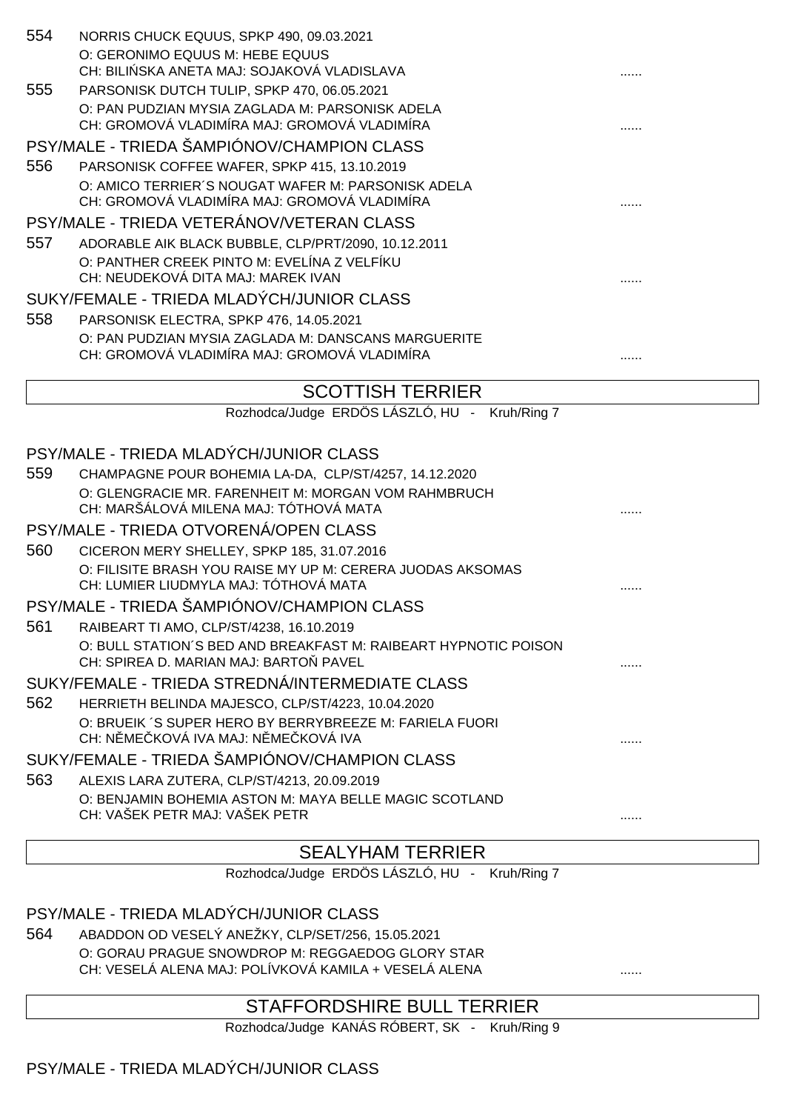| 554 | NORRIS CHUCK EQUUS, SPKP 490, 09.03.2021                        |  |  |
|-----|-----------------------------------------------------------------|--|--|
|     | O: GERONIMO EQUUS M: HEBE EQUUS                                 |  |  |
|     | CH: BILI SKA ANETA MAJ: SOJAKOVÁ VLADISLAVA                     |  |  |
| 555 | PARSONISK DUTCH TULIP, SPKP 470, 06.05.2021                     |  |  |
|     | O: PAN PUDZIAN MYSIA ZAGLADA M: PARSONISK ADELA                 |  |  |
|     | CH: GROMOVÁ VLADIMÍRA MAJ: GROMOVÁ VLADIMÍRA                    |  |  |
|     | PSY/MALE - TRIEDA ŠAMPIÓNOV/CHAMPION CLASS                      |  |  |
| 556 | PARSONISK COFFEE WAFER, SPKP 415, 13.10.2019                    |  |  |
|     | O: AMICO TERRIER'S NOUGAT WAFER M: PARSONISK ADELA              |  |  |
|     | CH: GROMOVÁ VLADIMÍRA MAJ: GROMOVÁ VLADIMÍRA                    |  |  |
|     | PSY/MALE - TRIEDA VETERÁNOV/VETERAN CLASS                       |  |  |
| 557 | ADORABLE AIK BLACK BUBBLE, CLP/PRT/2090, 10.12.2011             |  |  |
|     | O: PANTHER CREEK PINTO M: EVELÍNA Z VELFÍKU                     |  |  |
|     | CH: NEUDEKOVÁ DITA MAJ: MAREK IVAN                              |  |  |
|     | SUKY/FEMALE - TRIEDA MLADÝCH/JUNIOR CLASS                       |  |  |
| 558 | PARSONISK ELECTRA, SPKP 476, 14.05.2021                         |  |  |
|     | O: PAN PUDZIAN MYSIA ZAGLADA M: DANSCANS MARGUERITE             |  |  |
|     | CH: GROMOVÁ VLADIMÍRA MAJ: GROMOVÁ VLADIMÍRA                    |  |  |
|     | <b>SCOTTISH TERRIER</b>                                         |  |  |
|     | Rozhodca/Judge ERDÖS LÁSZLÓ, HU - Kruh/Ring 7                   |  |  |
|     |                                                                 |  |  |
|     | PSY/MALE - TRIEDA MLADÝCH/JUNIOR CLASS                          |  |  |
| 559 | CHAMPAGNE POUR BOHEMIA LA-DA, CLP/ST/4257, 14.12.2020           |  |  |
|     | O: GLENGRACIE MR. FARENHEIT M: MORGAN VOM RAHMBRUCH             |  |  |
|     | CH: MARŠÁLOVÁ MILENA MAJ: TÓTHOVÁ MATA                          |  |  |
|     | PSY/MALE - TRIEDA OTVORENÁ/OPEN CLASS                           |  |  |
| 560 | CICERON MERY SHELLEY, SPKP 185, 31.07.2016                      |  |  |
|     | O: FILISITE BRASH YOU RAISE MY UP M: CERERA JUODAS AKSOMAS      |  |  |
|     | CH: LUMIER LIUDMYLA MAJ: TÓTHOVÁ MATA                           |  |  |
|     | PSY/MALE - TRIEDA ŠAMPIÓNOV/CHAMPION CLASS                      |  |  |
| 561 | RAIBEART TI AMO, CLP/ST/4238, 16.10.2019                        |  |  |
|     | O: BULL STATION'S BED AND BREAKFAST M: RAIBEART HYPNOTIC POISON |  |  |

SUKY/FEMALE - TRIEDA STREDNÁ/INTERMEDIATE CLASS

CH: SPIREA D. MARIAN MAJ: BARTO PAVEL

562 HERRIETH BELINDA MAJESCO, CLP/ST/4223, 10.04.2020 O: BRUEIK ´S SUPER HERO BY BERRYBREEZE M: FARIELA FUORI CH: NĚMEČKOVÁ IVA MAJ: NĚMEČKOVÁ IVA ......

SUKY/FEMALE - TRIEDA ŠAMPIÓNOV/CHAMPION CLASS

563 ALEXIS LARA ZUTERA, CLP/ST/4213, 20.09.2019 O: BENJAMIN BOHEMIA ASTON M: MAYA BELLE MAGIC SCOTLAND CH: VAŠEK PETR MAJ: VAŠEK PETR

# SEALYHAM TERRIER

Rozhodca/Judge ERDÖS LÁSZLÓ, HU - Kruh/Ring 7

## PSY/MALE - TRIEDA MLADÝCH/JUNIOR CLASS

564 ABADDON OD VESELÝ ANEŽKY, CLP/SET/256, 15.05.2021 O: GORAU PRAGUE SNOWDROP M: REGGAEDOG GLORY STAR CH: VESELÁ ALENA MAJ: POLÍVKOVÁ KAMILA + VESELÁ ALENA

## STAFFORDSHIRE BULL TERRIER

Rozhodca/Judge KANÁS RÓBERT, SK - Kruh/Ring 9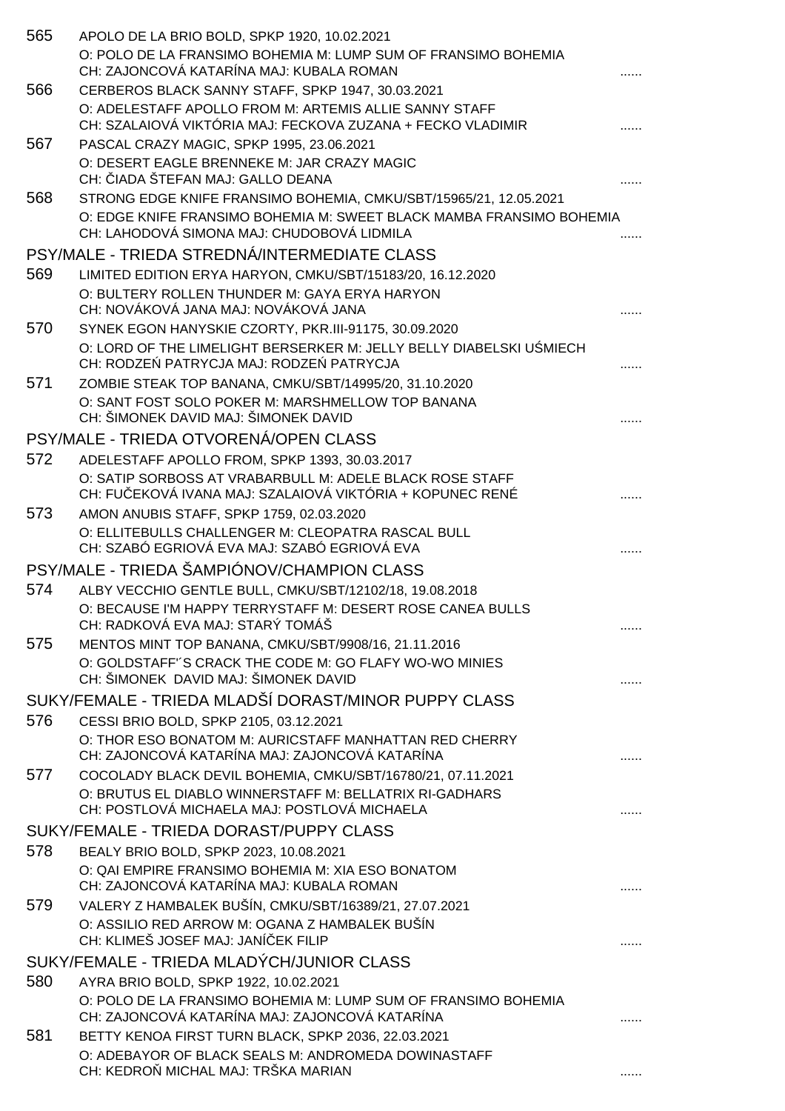| 565 | APOLO DE LA BRIO BOLD, SPKP 1920, 10.02.2021<br>O: POLO DE LA FRANSIMO BOHEMIA M: LUMP SUM OF FRANSIMO BOHEMIA<br>CH: ZAJONCOVÁ KATARÍNA MAJ: KUBALA ROMAN |   |
|-----|------------------------------------------------------------------------------------------------------------------------------------------------------------|---|
| 566 | CERBEROS BLACK SANNY STAFF, SPKP 1947, 30.03.2021                                                                                                          |   |
|     | O: ADELESTAFF APOLLO FROM M: ARTEMIS ALLIE SANNY STAFF<br>CH: SZALAIOVÁ VIKTÓRIA MAJ: FECKOVA ZUZANA + FECKO VLADIMIR                                      |   |
| 567 | PASCAL CRAZY MAGIC, SPKP 1995, 23.06.2021                                                                                                                  |   |
|     | O: DESERT EAGLE BRENNEKE M: JAR CRAZY MAGIC<br>CH: IADA ŠTEFAN MAJ: GALLO DEANA                                                                            |   |
| 568 | STRONG EDGE KNIFE FRANSIMO BOHEMIA, CMKU/SBT/15965/21, 12.05.2021                                                                                          |   |
|     | O: EDGE KNIFE FRANSIMO BOHEMIA M: SWEET BLACK MAMBA FRANSIMO BOHEMIA<br>CH: LAHODOVÁ SIMONA MAJ: CHUDOBOVÁ LIDMILA                                         |   |
|     | PSY/MALE - TRIEDA STREDNÁ/INTERMEDIATE CLASS                                                                                                               |   |
| 569 | LIMITED EDITION ERYA HARYON, CMKU/SBT/15183/20, 16.12.2020<br>O: BULTERY ROLLEN THUNDER M: GAYA ERYA HARYON<br>CH: NOVÁKOVÁ JANA MAJ: NOVÁKOVÁ JANA        |   |
| 570 | SYNEK EGON HANYSKIE CZORTY, PKR.III-91175, 30.09.2020                                                                                                      |   |
|     | O: LORD OF THE LIMELIGHT BERSERKER M: JELLY BELLY DIABELSKI U MIECH<br>CH: RODZE PATRYCJA MAJ: RODZE PATRYCJA                                              |   |
| 571 | ZOMBIE STEAK TOP BANANA, CMKU/SBT/14995/20, 31.10.2020                                                                                                     |   |
|     | O: SANT FOST SOLO POKER M: MARSHMELLOW TOP BANANA<br>CH: ŠIMONEK DAVID MAJ: ŠIMONEK DAVID                                                                  |   |
|     | PSY/MALE - TRIEDA OTVORENÁ/OPEN CLASS                                                                                                                      |   |
| 572 | ADELESTAFF APOLLO FROM, SPKP 1393, 30.03.2017                                                                                                              |   |
|     | O: SATIP SORBOSS AT VRABARBULL M: ADELE BLACK ROSE STAFF<br>CH: FU EKOVÁ IVANA MAJ: SZALAIOVÁ VIKTÓRIA + KOPUNEC RENÉ                                      |   |
| 573 | AMON ANUBIS STAFF, SPKP 1759, 02.03.2020<br>O: ELLITEBULLS CHALLENGER M: CLEOPATRA RASCAL BULL<br>CH: SZABÓ EGRIOVÁ EVA MAJ: SZABÓ EGRIOVÁ EVA             |   |
|     | PSY/MALE - TRIEDA ŠAMPIÓNOV/CHAMPION CLASS                                                                                                                 |   |
| 574 | ALBY VECCHIO GENTLE BULL, CMKU/SBT/12102/18, 19.08.2018                                                                                                    |   |
|     | O: BECAUSE I'M HAPPY TERRYSTAFF M: DESERT ROSE CANEA BULLS<br>CH: RADKOVÁ EVA MAJ: STARÝ TOMÁŠ                                                             | . |
| 575 | MENTOS MINT TOP BANANA, CMKU/SBT/9908/16, 21.11.2016                                                                                                       |   |
|     | O: GOLDSTAFF'S CRACK THE CODE M: GO FLAFY WO-WO MINIES<br>CH: ŠIMONEK DAVID MAJ: ŠIMONEK DAVID                                                             |   |
|     | SUKY/FEMALE - TRIEDA MLADŠÍ DORAST/MINOR PUPPY CLASS                                                                                                       |   |
| 576 | CESSI BRIO BOLD, SPKP 2105, 03.12.2021                                                                                                                     |   |
|     | O: THOR ESO BONATOM M: AURICSTAFF MANHATTAN RED CHERRY<br>CH: ZAJONCOVÁ KATARÍNA MAJ: ZAJONCOVÁ KATARÍNA                                                   |   |
| 577 | COCOLADY BLACK DEVIL BOHEMIA, CMKU/SBT/16780/21, 07.11.2021                                                                                                |   |
|     | O: BRUTUS EL DIABLO WINNERSTAFF M: BELLATRIX RI-GADHARS<br>CH: POSTLOVÁ MICHAELA MAJ: POSTLOVÁ MICHAELA                                                    |   |
|     | SUKY/FEMALE - TRIEDA DORAST/PUPPY CLASS                                                                                                                    |   |
| 578 | BEALY BRIO BOLD, SPKP 2023, 10.08.2021                                                                                                                     |   |
|     | O: QAI EMPIRE FRANSIMO BOHEMIA M: XIA ESO BONATOM<br>CH: ZAJONCOVÁ KATARÍNA MAJ: KUBALA ROMAN                                                              |   |
| 579 | VALERY Z HAMBALEK BUŠÍN, CMKU/SBT/16389/21, 27.07.2021                                                                                                     |   |
|     | O: ASSILIO RED ARROW M: OGANA Z HAMBALEK BUŠÍN<br>CH: KLIMEŠ JOSEF MAJ: JANÍ EK FILIP                                                                      |   |
|     | SUKY/FEMALE - TRIEDA MLADÝCH/JUNIOR CLASS                                                                                                                  |   |
| 580 | AYRA BRIO BOLD, SPKP 1922, 10.02.2021                                                                                                                      |   |
|     | O: POLO DE LA FRANSIMO BOHEMIA M: LUMP SUM OF FRANSIMO BOHEMIA<br>CH: ZAJONCOVÁ KATARÍNA MAJ: ZAJONCOVÁ KATARÍNA                                           |   |
| 581 | BETTY KENOA FIRST TURN BLACK, SPKP 2036, 22.03.2021                                                                                                        |   |
|     | O: ADEBAYOR OF BLACK SEALS M: ANDROMEDA DOWINASTAFF<br>CH: KEDRO MICHAL MAJ: TRŠKA MARIAN                                                                  |   |
|     |                                                                                                                                                            |   |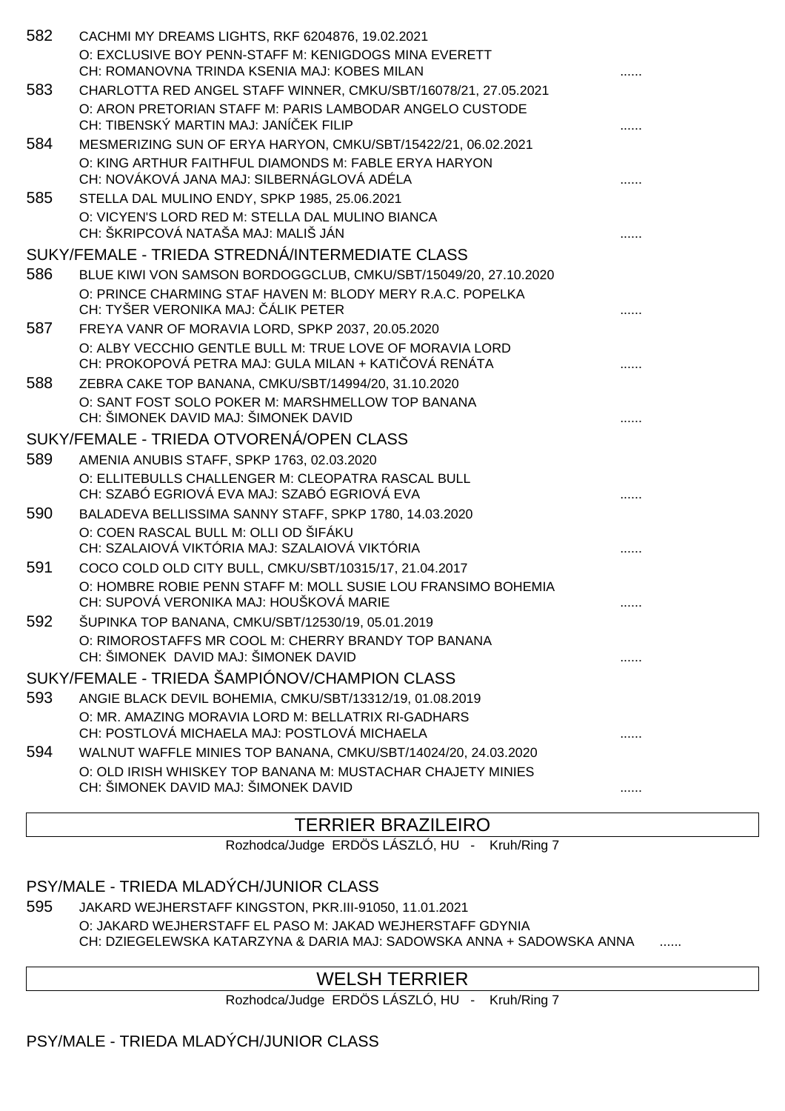| 582 | CACHMI MY DREAMS LIGHTS, RKF 6204876, 19.02.2021<br>O: EXCLUSIVE BOY PENN-STAFF M: KENIGDOGS MINA EVERETT<br>CH: ROMANOVNA TRINDA KSENIA MAJ: KOBES MILAN                                   |   |
|-----|---------------------------------------------------------------------------------------------------------------------------------------------------------------------------------------------|---|
| 583 | CHARLOTTA RED ANGEL STAFF WINNER, CMKU/SBT/16078/21, 27.05.2021<br>O: ARON PRETORIAN STAFF M: PARIS LAMBODAR ANGELO CUSTODE<br>CH: TIBENSKÝ MARTIN MAJ: JANÍ EK FILIP                       |   |
| 584 | MESMERIZING SUN OF ERYA HARYON, CMKU/SBT/15422/21, 06.02.2021<br>O: KING ARTHUR FAITHFUL DIAMONDS M: FABLE ERYA HARYON<br>CH: NOVÁKOVÁ JANA MAJ: SILBERNÁGLOVÁ ADÉLA                        |   |
| 585 | STELLA DAL MULINO ENDY, SPKP 1985, 25.06.2021<br>O: VICYEN'S LORD RED M: STELLA DAL MULINO BIANCA<br>CH: ŠKRIPCOVÁ NATAŠA MAJ: MALIŠ JÁN                                                    |   |
|     | SUKY/FEMALE - TRIEDA STREDNÁ/INTERMEDIATE CLASS                                                                                                                                             |   |
| 586 | BLUE KIWI VON SAMSON BORDOGGCLUB, CMKU/SBT/15049/20, 27.10.2020<br>O: PRINCE CHARMING STAF HAVEN M: BLODY MERY R.A.C. POPELKA<br>CH: TYŠER VERONIKA MAJ: ÁLIK PETER                         |   |
| 587 | FREYA VANR OF MORAVIA LORD, SPKP 2037, 20.05.2020<br>O: ALBY VECCHIO GENTLE BULL M: TRUE LOVE OF MORAVIA LORD<br>CH: PROKOPOVÁ PETRA MAJ: GULA MILAN + KATI OVÁ RENÁTA                      |   |
| 588 | ZEBRA CAKE TOP BANANA, CMKU/SBT/14994/20, 31.10.2020<br>O: SANT FOST SOLO POKER M: MARSHMELLOW TOP BANANA<br>CH: ŠIMONEK DAVID MAJ: ŠIMONEK DAVID                                           |   |
|     | SUKY/FEMALE - TRIEDA OTVORENÁ/OPEN CLASS                                                                                                                                                    |   |
| 589 | AMENIA ANUBIS STAFF, SPKP 1763, 02.03.2020                                                                                                                                                  |   |
|     | O: ELLITEBULLS CHALLENGER M: CLEOPATRA RASCAL BULL<br>CH: SZABÓ EGRIOVÁ EVA MAJ: SZABÓ EGRIOVÁ EVA                                                                                          |   |
| 590 | BALADEVA BELLISSIMA SANNY STAFF, SPKP 1780, 14.03.2020<br>O: COEN RASCAL BULL M: OLLI OD ŠIFÁKU<br>CH: SZALAIOVÁ VIKTÓRIA MAJ: SZALAIOVÁ VIKTÓRIA                                           |   |
| 591 | COCO COLD OLD CITY BULL, CMKU/SBT/10315/17, 21.04.2017<br>O: HOMBRE ROBIE PENN STAFF M: MOLL SUSIE LOU FRANSIMO BOHEMIA                                                                     |   |
| 592 | CH: SUPOVÁ VERONIKA MAJ: HOUŠKOVÁ MARIE<br>ŠUPINKA TOP BANANA, CMKU/SBT/12530/19, 05.01.2019<br>O: RIMOROSTAFFS MR COOL M: CHERRY BRANDY TOP BANANA<br>CH: ŠIMONEK DAVID MAJ: ŠIMONEK DAVID | . |
|     | SUKY/FEMALE - TRIEDA ŠAMPIÓNOV/CHAMPION CLASS                                                                                                                                               |   |
| 593 | ANGIE BLACK DEVIL BOHEMIA, CMKU/SBT/13312/19, 01.08.2019<br>O: MR. AMAZING MORAVIA LORD M: BELLATRIX RI-GADHARS<br>CH: POSTLOVÁ MICHAELA MAJ: POSTLOVÁ MICHAELA                             |   |
| 594 | WALNUT WAFFLE MINIES TOP BANANA, CMKU/SBT/14024/20, 24.03.2020<br>O: OLD IRISH WHISKEY TOP BANANA M: MUSTACHAR CHAJETY MINIES<br>CH: ŠIMONEK DAVID MAJ: ŠIMONEK DAVID                       |   |
|     |                                                                                                                                                                                             |   |

## TERRIER BRAZILEIRO

Rozhodca/Judge ERDÖS LÁSZLÓ, HU - Kruh/Ring 7

#### PSY/MALE - TRIEDA MLADÝCH/JUNIOR CLASS

595 JAKARD WEJHERSTAFF KINGSTON, PKR.III-91050, 11.01.2021 O: JAKARD WEJHERSTAFF EL PASO M: JAKAD WEJHERSTAFF GDYNIA CH: DZIEGELEWSKA KATARZYNA & DARIA MAJ: SADOWSKA ANNA + SADOWSKA ANNA

## WELSH TERRIER

Rozhodca/Judge ERDÖS LÁSZLÓ, HU - Kruh/Ring 7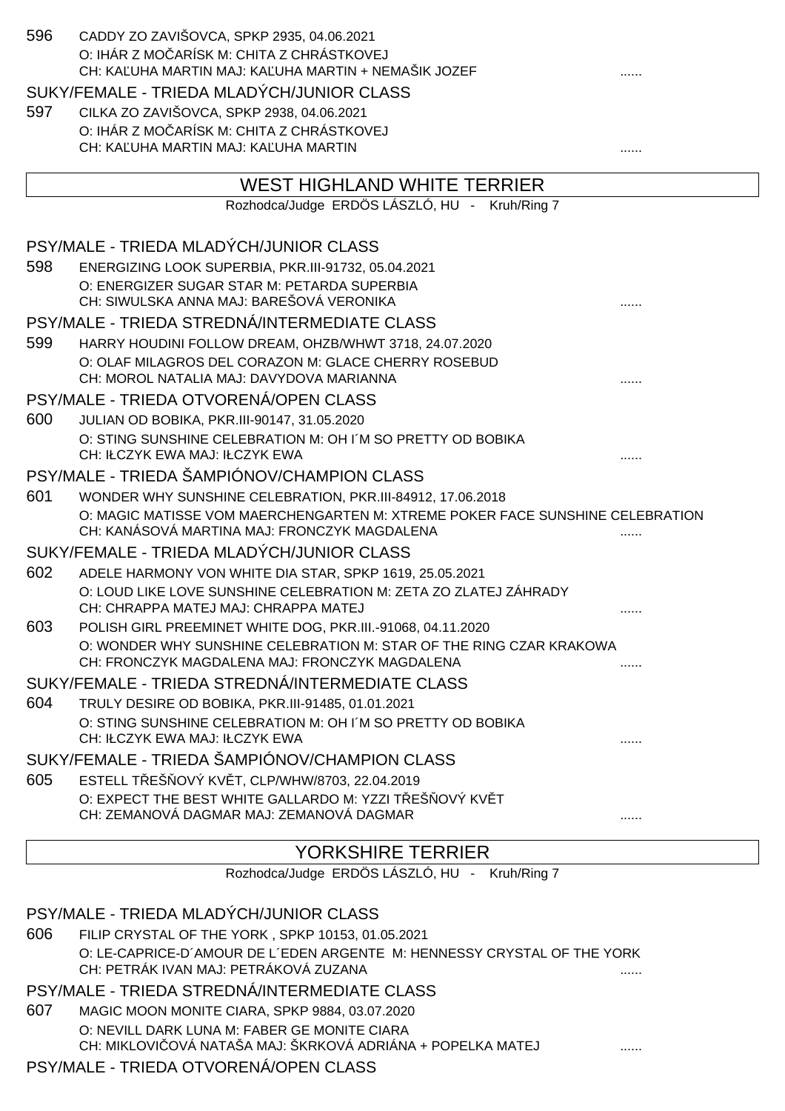| 596 | CADDY ZO ZAVIŠOVCA, SPKP 2935, 04.06.2021<br>O: IHÁR Z MO ARÍSK M: CHITA Z CHRÁSTKOVEJ                                        |   |
|-----|-------------------------------------------------------------------------------------------------------------------------------|---|
|     | CH: KA UHA MARTIN MAJ: KA UHA MARTIN + NEMAŠIK JOZEF                                                                          |   |
|     | SUKY/FEMALE - TRIEDA MLADÝCH/JUNIOR CLASS                                                                                     |   |
| 597 | CILKA ZO ZAVIŠOVCA, SPKP 2938, 04.06.2021                                                                                     |   |
|     | O: IHÁR Z MO ARÍSK M: CHITA Z CHRÁSTKOVEJ                                                                                     |   |
|     | CH: KA UHA MARTIN MAJ: KA UHA MARTIN                                                                                          |   |
|     | WEST HIGHLAND WHITE TERRIER                                                                                                   |   |
|     | Rozhodca/Judge ERDÖS LÁSZLÓ, HU - Kruh/Ring 7                                                                                 |   |
|     | PSY/MALE - TRIEDA MLADÝCH/JUNIOR CLASS                                                                                        |   |
| 598 | ENERGIZING LOOK SUPERBIA, PKR.III-91732, 05.04.2021                                                                           |   |
|     | O: ENERGIZER SUGAR STAR M: PETARDA SUPERBIA                                                                                   |   |
|     | CH: SIWULSKA ANNA MAJ: BAREŠOVÁ VERONIKA                                                                                      |   |
|     | PSY/MALE - TRIEDA STREDNÁ/INTERMEDIATE CLASS                                                                                  |   |
| 599 | HARRY HOUDINI FOLLOW DREAM, OHZB/WHWT 3718, 24.07.2020                                                                        |   |
|     | O: OLAF MILAGROS DEL CORAZON M: GLACE CHERRY ROSEBUD<br>CH: MOROL NATALIA MAJ: DAVYDOVA MARIANNA                              |   |
|     | PSY/MALE - TRIEDA OTVORENÁ/OPEN CLASS                                                                                         |   |
| 600 | JULIAN OD BOBIKA, PKR.III-90147, 31.05.2020                                                                                   |   |
|     | O: STING SUNSHINE CELEBRATION M: OH I'M SO PRETTY OD BOBIKA<br>CH: IŁCZYK EWA MAJ: IŁCZYK EWA                                 |   |
|     | PSY/MALE - TRIEDA ŠAMPIÓNOV/CHAMPION CLASS                                                                                    |   |
| 601 | WONDER WHY SUNSHINE CELEBRATION, PKR.III-84912, 17.06.2018                                                                    |   |
|     | O: MAGIC MATISSE VOM MAERCHENGARTEN M: XTREME POKER FACE SUNSHINE CELEBRATION<br>CH: KANÁSOVÁ MARTINA MAJ: FRONCZYK MAGDALENA |   |
|     | SUKY/FEMALE - TRIEDA MLADÝCH/JUNIOR CLASS                                                                                     |   |
| 602 | ADELE HARMONY VON WHITE DIA STAR, SPKP 1619, 25.05.2021                                                                       |   |
|     | O: LOUD LIKE LOVE SUNSHINE CELEBRATION M: ZETA ZO ZLATEJ ZÁHRADY<br>CH: CHRAPPA MATEJ MAJ: CHRAPPA MATEJ                      |   |
| 603 | POLISH GIRL PREEMINET WHITE DOG, PKR.III.-91068, 04.11.2020                                                                   |   |
|     | O: WONDER WHY SUNSHINE CELEBRATION M: STAR OF THE RING CZAR KRAKOWA<br>CH: FRONCZYK MAGDALENA MAJ: FRONCZYK MAGDALENA         |   |
|     | SUKY/FEMALE - TRIEDA STREDNÁ/INTERMEDIATE CLASS                                                                               |   |
| 604 | TRULY DESIRE OD BOBIKA, PKR.III-91485, 01.01.2021                                                                             |   |
|     | O: STING SUNSHINE CELEBRATION M: OH I'M SO PRETTY OD BOBIKA<br>CH: IŁCZYK EWA MAJ: IŁCZYK EWA                                 |   |
|     | SUKY/FEMALE - TRIEDA ŠAMPIÓNOV/CHAMPION CLASS                                                                                 |   |
| 605 | ESTELL T EŠ OVÝ KV T, CLP/WHW/8703, 22.04.2019                                                                                |   |
|     | O: EXPECT THE BEST WHITE GALLARDO M: YZZI T EŠ OVÝ KV T<br>CH: ZEMANOVÁ DAGMAR MAJ: ZEMANOVÁ DAGMAR                           | . |
|     | <b>YORKSHIRE TERRIER</b>                                                                                                      |   |
|     | Rozhodca/Judge ERDÖS LÁSZLÓ, HU - Kruh/Ring 7                                                                                 |   |

Rozhodca/Judge ERDÖS LÁSZLÓ, HU - Kruh/Ring 7

#### PSY/MALE - TRIEDA MLADÝCH/JUNIOR CLASS

606 FILIP CRYSTAL OF THE YORK , SPKP 10153, 01.05.2021 O: LE-CAPRICE-D´AMOUR DE L´EDEN ARGENTE M: HENNESSY CRYSTAL OF THE YORK CH: PETRÁK IVAN MAJ: PETRÁKOVÁ ZUZANA **metalagot a metala a metala a metala a metala** a metala a metal

#### PSY/MALE - TRIEDA STREDNÁ/INTERMEDIATE CLASS

607 MAGIC MOON MONITE CIARA, SPKP 9884, 03.07.2020 O: NEVILL DARK LUNA M: FABER GE MONITE CIARA CH: MIKLOVI OVÁ NATAŠA MAJ: ŠKRKOVÁ ADRIÁNA + POPELKA MATEJ .......

PSY/MALE - TRIEDA OTVORENÁ/OPEN CLASS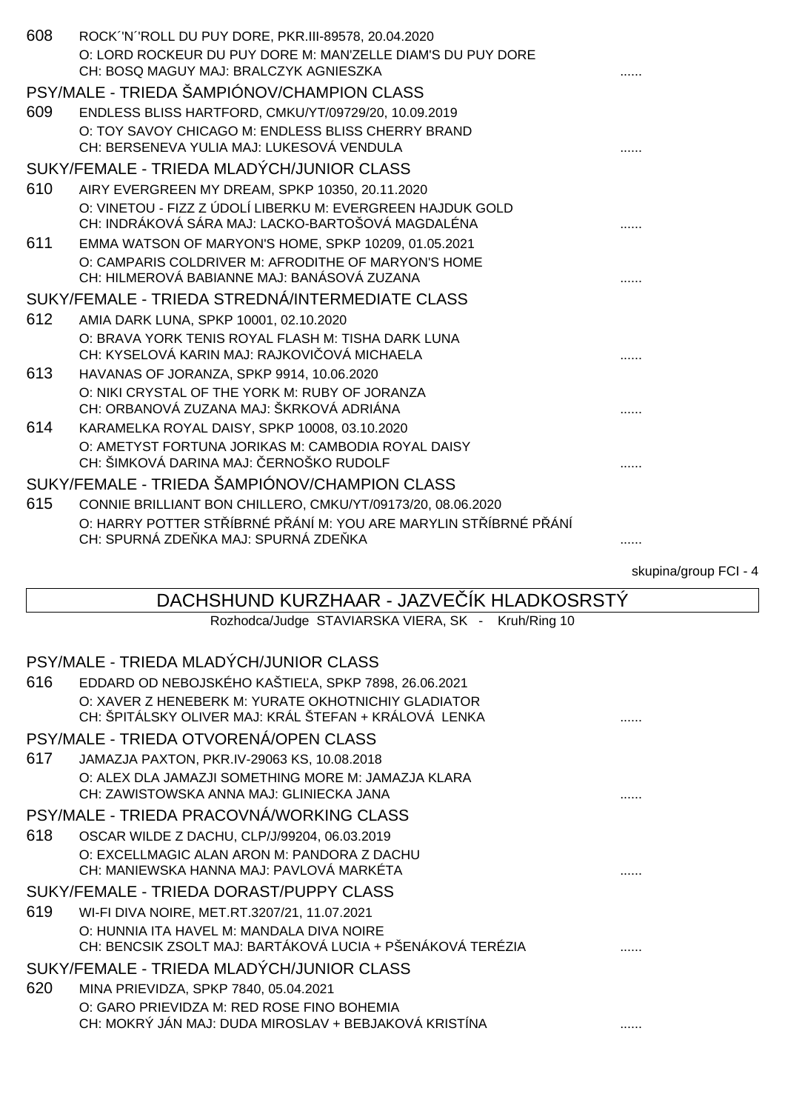| 608 | ROCK "N "ROLL DU PUY DORE, PKR.III-89578, 20.04.2020                                         |  |
|-----|----------------------------------------------------------------------------------------------|--|
|     | O: LORD ROCKEUR DU PUY DORE M: MAN'ZELLE DIAM'S DU PUY DORE                                  |  |
|     | CH: BOSQ MAGUY MAJ: BRALCZYK AGNIESZKA                                                       |  |
|     | PSY/MALE - TRIEDA ŠAMPIÓNOV/CHAMPION CLASS                                                   |  |
| 609 | ENDLESS BLISS HARTFORD, CMKU/YT/09729/20, 10.09.2019                                         |  |
|     | O: TOY SAVOY CHICAGO M: ENDLESS BLISS CHERRY BRAND                                           |  |
|     | CH: BERSENEVA YULIA MAJ: LUKESOVÁ VENDULA                                                    |  |
|     | SUKY/FEMALE - TRIEDA MLADÝCH/JUNIOR CLASS                                                    |  |
| 610 | AIRY EVERGREEN MY DREAM, SPKP 10350, 20.11.2020                                              |  |
|     | O: VINETOU - FIZZ Z ÚDOLÍ LIBERKU M: EVERGREEN HAJDUK GOLD                                   |  |
|     | CH: INDRÁKOVÁ SÁRA MAJ: LACKO-BARTOŠOVÁ MAGDALÉNA                                            |  |
| 611 | EMMA WATSON OF MARYON'S HOME, SPKP 10209, 01.05.2021                                         |  |
|     | O: CAMPARIS COLDRIVER M: AFRODITHE OF MARYON'S HOME                                          |  |
|     | CH: HILMEROVÁ BABIANNE MAJ: BANÁSOVÁ ZUZANA                                                  |  |
|     | SUKY/FEMALE - TRIEDA STREDNÁ/INTERMEDIATE CLASS                                              |  |
| 612 | AMIA DARK LUNA, SPKP 10001, 02.10.2020                                                       |  |
|     | O: BRAVA YORK TENIS ROYAL FLASH M: TISHA DARK LUNA                                           |  |
|     | CH: KYSELOVÁ KARIN MAJ: RAJKOVI OVÁ MICHAELA                                                 |  |
| 613 | HAVANAS OF JORANZA, SPKP 9914, 10.06.2020                                                    |  |
|     | O: NIKI CRYSTAL OF THE YORK M: RUBY OF JORANZA                                               |  |
|     | CH: ORBANOVÁ ZUZANA MAJ: ŠKRKOVÁ ADRIÁNA                                                     |  |
| 614 | KARAMELKA ROYAL DAISY, SPKP 10008, 03.10.2020                                                |  |
|     | O: AMETYST FORTUNA JORIKAS M: CAMBODIA ROYAL DAISY<br>CH: ŠIMKOVÁ DARINA MAJ: ERNOŠKO RUDOLF |  |
|     |                                                                                              |  |
|     | SUKY/FEMALE - TRIEDA ŠAMPIÓNOV/CHAMPION CLASS                                                |  |
| 615 | CONNIE BRILLIANT BON CHILLERO, CMKU/YT/09173/20, 08.06.2020                                  |  |
|     | O: HARRY POTTER ST ÍBRNÉ PÁNÍM: YOU ARE MARYLIN ST ÍBRNÉ PÁNÍ                                |  |
|     | CH: SPURNÁ ZDE KA MAJ: SPURNÁ ZDE KA                                                         |  |

skupina/group FCI - 4

## DACHSHUND KURZHAAR - JAZVE ÍK HLADKOSRSTÝ Rozhodca/Judge STAVIARSKA VIERA, SK - Kruh/Ring 10 PSY/MALE - TRIEDA MLADÝCH/JUNIOR CLASS 616 EDDARD OD NEBOJSKÉHO KAŠTIE A, SPKP 7898, 26.06.2021 O: XAVER Z HENEBERK M: YURATE OKHOTNICHIY GLADIATOR CH: ŠPITÁLSKY OLIVER MAJ: KRÁL ŠTEFAN + KRÁLOVÁ LENKA ...... PSY/MALE - TRIEDA OTVORENÁ/OPEN CLASS 617 JAMAZJA PAXTON, PKR.IV-29063 KS, 10.08.2018 O: ALEX DLA JAMAZJI SOMETHING MORE M: JAMAZJA KLARA CH: ZAWISTOWSKA ANNA MAJ: GLINIECKA JANA ...... PSY/MALE - TRIEDA PRACOVNÁ/WORKING CLASS 618 OSCAR WILDE Z DACHU, CLP/J/99204, 06.03.2019 O: EXCELLMAGIC ALAN ARON M: PANDORA Z DACHU CH: MANIEWSKA HANNA MAJ: PAVLOVÁ MARKÉTA ...... SUKY/FEMALE - TRIEDA DORAST/PUPPY CLASS 619 WI-FI DIVA NOIRE, MET.RT.3207/21, 11.07.2021 O: HUNNIA ITA HAVEL M: MANDALA DIVA NOIRE CH: BENCSIK ZSOLT MAJ: BARTÁKOVÁ LUCIA + PŠENÁKOVÁ TERÉZIA ...... SUKY/FEMALE - TRIEDA MLADÝCH/JUNIOR CLASS 620 MINA PRIEVIDZA, SPKP 7840, 05.04.2021 O: GARO PRIEVIDZA M: RED ROSE FINO BOHEMIA CH: MOKRÝ JÁN MAJ: DUDA MIROSLAV + BEBJAKOVÁ KRISTÍNA ......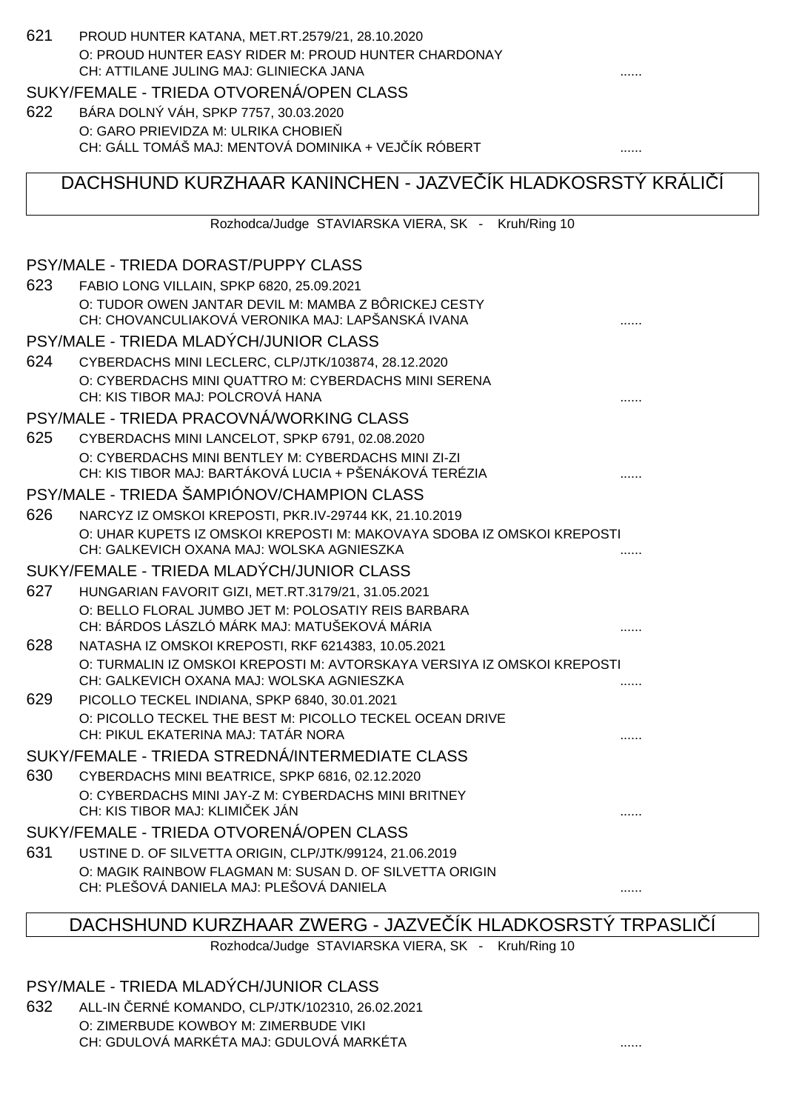## 621 PROUD HUNTER KATANA, MET.RT.2579/21, 28.10.2020 O: PROUD HUNTER EASY RIDER M: PROUD HUNTER CHARDONAY CH: ATTILANE JULING MAJ: GLINIECKA JANA SUKY/FEMALE - TRIEDA OTVORENÁ/OPEN CLASS 622 BÁRA DOLNÝ VÁH, SPKP 7757, 30.03.2020 O: GARO PRIEVIDZA M: ULRIKA CHOBIE CH: GÁLL TOMÁŠ MAJ: MENTOVÁ DOMINIKA + VEJ ÍK RÓBERT ....... DACHSHUND KURZHAAR KANINCHEN - JAZVE ÍK HLADKOSRSTÝ KRÁLICÍ Rozhodca/Judge STAVIARSKA VIERA, SK - Kruh/Ring 10 PSY/MALE - TRIEDA DORAST/PUPPY CLASS 623 FABIO LONG VILLAIN, SPKP 6820, 25.09.2021 O: TUDOR OWEN JANTAR DEVIL M: MAMBA Z BÔRICKEJ CESTY CH: CHOVANCULIAKOVÁ VERONIKA MAJ: LAPŠANSKÁ IVANA  $\ldots$ PSY/MALE - TRIEDA MLADÝCH/JUNIOR CLASS 624 CYBERDACHS MINI LECLERC, CLP/JTK/103874, 28.12.2020 O: CYBERDACHS MINI QUATTRO M: CYBERDACHS MINI SERENA CH: KIS TIBOR MAJ: POLCROVÁ HANA PSY/MALE - TRIEDA PRACOVNÁ/WORKING CLASS 625 CYBERDACHS MINI LANCELOT, SPKP 6791, 02.08.2020 O: CYBERDACHS MINI BENTLEY M: CYBERDACHS MINI ZI-ZI CH: KIS TIBOR MAJ: BARTÁKOVÁ LUCIA + PŠENÁKOVÁ TERÉZIA ...... PSY/MALE - TRIEDA ŠAMPIÓNOV/CHAMPION CLASS 626 NARCYZ IZ OMSKOI KREPOSTI, PKR.IV-29744 KK, 21.10.2019 O: UHAR KUPETS IZ OMSKOI KREPOSTI M: MAKOVAYA SDOBA IZ OMSKOI KREPOSTI CH: GALKEVICH OXANA MAJ: WOLSKA AGNIESZKA ...... SUKY/FEMALE - TRIEDA MLADÝCH/JUNIOR CLASS 627 HUNGARIAN FAVORIT GIZI, MET.RT.3179/21, 31.05.2021 O: BELLO FLORAL JUMBO JET M: POLOSATIY REIS BARBARA CH: BÁRDOS LÁSZLÓ MÁRK MAJ: MATUŠEKOVÁ MÁRIA ...... 628 NATASHA IZ OMSKOI KREPOSTI, RKF 6214383, 10.05.2021 O: TURMALIN IZ OMSKOI KREPOSTI M: AVTORSKAYA VERSIYA IZ OMSKOI KREPOSTI CH: GALKEVICH OXANA MAJ: WOLSKA AGNIESZKA ...... 629 PICOLLO TECKEL INDIANA, SPKP 6840, 30.01.2021 O: PICOLLO TECKEL THE BEST M: PICOLLO TECKEL OCEAN DRIVE CH: PIKUL EKATERINA MAJ: TATÁR NORA SUKY/FEMALE - TRIEDA STREDNÁ/INTERMEDIATE CLASS 630 CYBERDACHS MINI BEATRICE, SPKP 6816, 02.12.2020 O: CYBERDACHS MINI JAY-Z M: CYBERDACHS MINI BRITNEY CH: KIS TIBOR MAJ: KLIMIČEK JÁN ...... SUKY/FEMALE - TRIEDA OTVORENÁ/OPEN CLASS 631 USTINE D. OF SILVETTA ORIGIN, CLP/JTK/99124, 21.06.2019 O: MAGIK RAINBOW FLAGMAN M: SUSAN D. OF SILVETTA ORIGIN CH: PLEŠOVÁ DANIELA MAJ: PLEŠOVÁ DANIELA ......

## DACHSHUND KURZHAAR ZWERG - JAZVEĆÍK HLADKOSRSTÝ TRPASLICÍ

Rozhodca/Judge STAVIARSKA VIERA, SK - Kruh/Ring 10

#### PSY/MALE - TRIEDA MLADÝCH/JUNIOR CLASS

632 ALL-IN ČERNÉ KOMANDO, CLP/JTK/102310, 26.02.2021 O: ZIMERBUDE KOWBOY M: ZIMERBUDE VIKI CH: GDULOVÁ MARKÉTA MAJ: GDULOVÁ MARKÉTA ......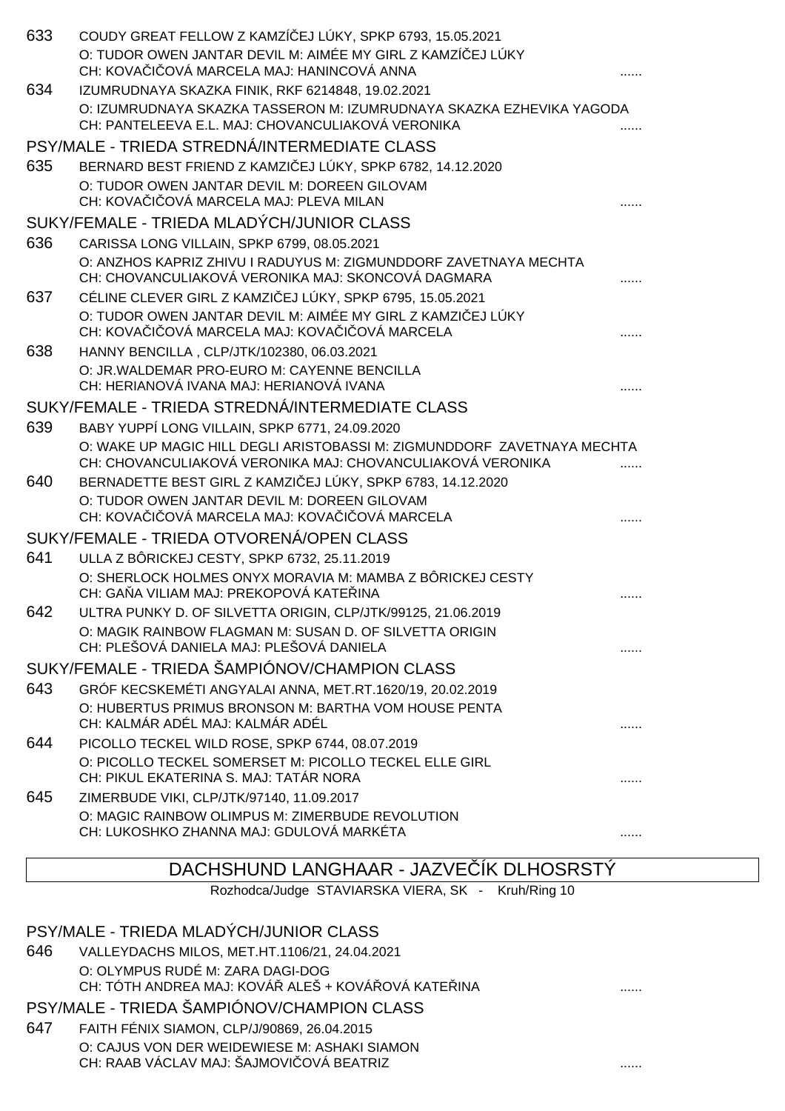| 633 | COUDY GREAT FELLOW Z KAMZÍ EJ LÚKY, SPKP 6793, 15.05.2021                                                              |  |
|-----|------------------------------------------------------------------------------------------------------------------------|--|
|     | O: TUDOR OWEN JANTAR DEVIL M: AIMÉE MY GIRL Z KAMZÍ EJ LÚKY                                                            |  |
|     | CH: KOVA I OVÁ MARCELA MAJ: HANINCOVÁ ANNA                                                                             |  |
| 634 | IZUMRUDNAYA SKAZKA FINIK, RKF 6214848, 19.02.2021                                                                      |  |
|     | O: IZUMRUDNAYA SKAZKA TASSERON M: IZUMRUDNAYA SKAZKA EZHEVIKA YAGODA                                                   |  |
|     | CH: PANTELEEVA E.L. MAJ: CHOVANCULIAKOVÁ VERONIKA                                                                      |  |
|     | PSY/MALE - TRIEDA STREDNÁ/INTERMEDIATE CLASS                                                                           |  |
| 635 | BERNARD BEST FRIEND Z KAMZI EJ LÚKY, SPKP 6782, 14.12.2020                                                             |  |
|     | O: TUDOR OWEN JANTAR DEVIL M: DOREEN GILOVAM<br>CH: KOVA I OVÁ MARCELA MAJ: PLEVA MILAN                                |  |
|     |                                                                                                                        |  |
|     | SUKY/FEMALE - TRIEDA MLADÝCH/JUNIOR CLASS                                                                              |  |
| 636 | CARISSA LONG VILLAIN, SPKP 6799, 08.05.2021                                                                            |  |
|     | O: ANZHOS KAPRIZ ZHIVU I RADUYUS M: ZIGMUNDDORF ZAVETNAYA MECHTA<br>CH: CHOVANCULIAKOVÁ VERONIKA MAJ: SKONCOVÁ DAGMARA |  |
| 637 | CÉLINE CLEVER GIRL Z KAMZI EJ LÚKY, SPKP 6795, 15.05.2021                                                              |  |
|     | O: TUDOR OWEN JANTAR DEVIL M: AIMÉE MY GIRL Z KAMZI EJ LÚKY                                                            |  |
|     | CH: KOVA I OVÁ MARCELA MAJ: KOVA I OVÁ MARCELA                                                                         |  |
| 638 | HANNY BENCILLA, CLP/JTK/102380, 06.03.2021                                                                             |  |
|     | O: JR.WALDEMAR PRO-EURO M: CAYENNE BENCILLA                                                                            |  |
|     | CH: HERIANOVÁ IVANA MAJ: HERIANOVÁ IVANA                                                                               |  |
|     | SUKY/FEMALE - TRIEDA STREDNÁ/INTERMEDIATE CLASS                                                                        |  |
| 639 | BABY YUPPI LONG VILLAIN, SPKP 6771, 24.09.2020                                                                         |  |
|     | O: WAKE UP MAGIC HILL DEGLI ARISTOBASSI M: ZIGMUNDDORF ZAVETNAYA MECHTA                                                |  |
|     | CH: CHOVANCULIAKOVÁ VERONIKA MAJ: CHOVANCULIAKOVÁ VERONIKA                                                             |  |
| 640 | BERNADETTE BEST GIRL Z KAMZI EJ LÚKY, SPKP 6783, 14.12.2020<br>O: TUDOR OWEN JANTAR DEVIL M: DOREEN GILOVAM            |  |
|     | CH: KOVA I OVÁ MARCELA MAJ: KOVA I OVÁ MARCELA                                                                         |  |
|     | SUKY/FEMALE - TRIEDA OTVORENÁ/OPEN CLASS                                                                               |  |
| 641 | ULLA Z BÔRICKEJ CESTY, SPKP 6732, 25.11.2019                                                                           |  |
|     | O: SHERLOCK HOLMES ONYX MORAVIA M: MAMBA Z BÔRICKEJ CESTY                                                              |  |
|     | CH: GA A VILIAM MAJ: PREKOPOVÁ KATE INA                                                                                |  |
| 642 | ULTRA PUNKY D. OF SILVETTA ORIGIN, CLP/JTK/99125, 21.06.2019                                                           |  |
|     | O: MAGIK RAINBOW FLAGMAN M: SUSAN D. OF SILVETTA ORIGIN                                                                |  |
|     | CH: PLEŠOVÁ DANIELA MAJ: PLEŠOVÁ DANIELA                                                                               |  |
|     | SUKY/FEMALE - TRIEDA ŠAMPIÓNOV/CHAMPION CLASS                                                                          |  |
| 643 | GRÓF KECSKEMÉTI ANGYALAI ANNA, MET.RT.1620/19, 20.02.2019                                                              |  |
|     | O: HUBERTUS PRIMUS BRONSON M: BARTHA VOM HOUSE PENTA                                                                   |  |
|     | CH: KALMÁR ADÉL MAJ: KALMÁR ADÉL                                                                                       |  |
| 644 | PICOLLO TECKEL WILD ROSE, SPKP 6744, 08.07.2019                                                                        |  |
|     | O: PICOLLO TECKEL SOMERSET M: PICOLLO TECKEL ELLE GIRL<br>CH: PIKUL EKATERINA S. MAJ: TATÁR NORA                       |  |
| 645 | ZIMERBUDE VIKI, CLP/JTK/97140, 11.09.2017                                                                              |  |
|     | O: MAGIC RAINBOW OLIMPUS M: ZIMERBUDE REVOLUTION                                                                       |  |
|     | CH: LUKOSHKO ZHANNA MAJ: GDULOVÁ MARKÉTA                                                                               |  |
|     |                                                                                                                        |  |

## DACHSHUND LANGHAAR - JAZVE ÍK DLHOSRSTÝ

Rozhodca/Judge STAVIARSKA VIERA, SK - Kruh/Ring 10

## PSY/MALE - TRIEDA MLADÝCH/JUNIOR CLASS

646 VALLEYDACHS MILOS, MET.HT.1106/21, 24.04.2021 O: OLYMPUS RUDÉ M: ZARA DAGI-DOG CH: TÓTH ANDREA MAJ: KOVÁŘ ALEŠ + KOVÁŘOVÁ KATEŘINA ......

## PSY/MALE - TRIEDA ŠAMPIÓNOV/CHAMPION CLASS

647 FAITH FÉNIX SIAMON, CLP/J/90869, 26.04.2015 O: CAJUS VON DER WEIDEWIESE M: ASHAKI SIAMON CH: RAAB VÁCLAV MAJ: ŠAJMOVICOVÁ BEATRIZ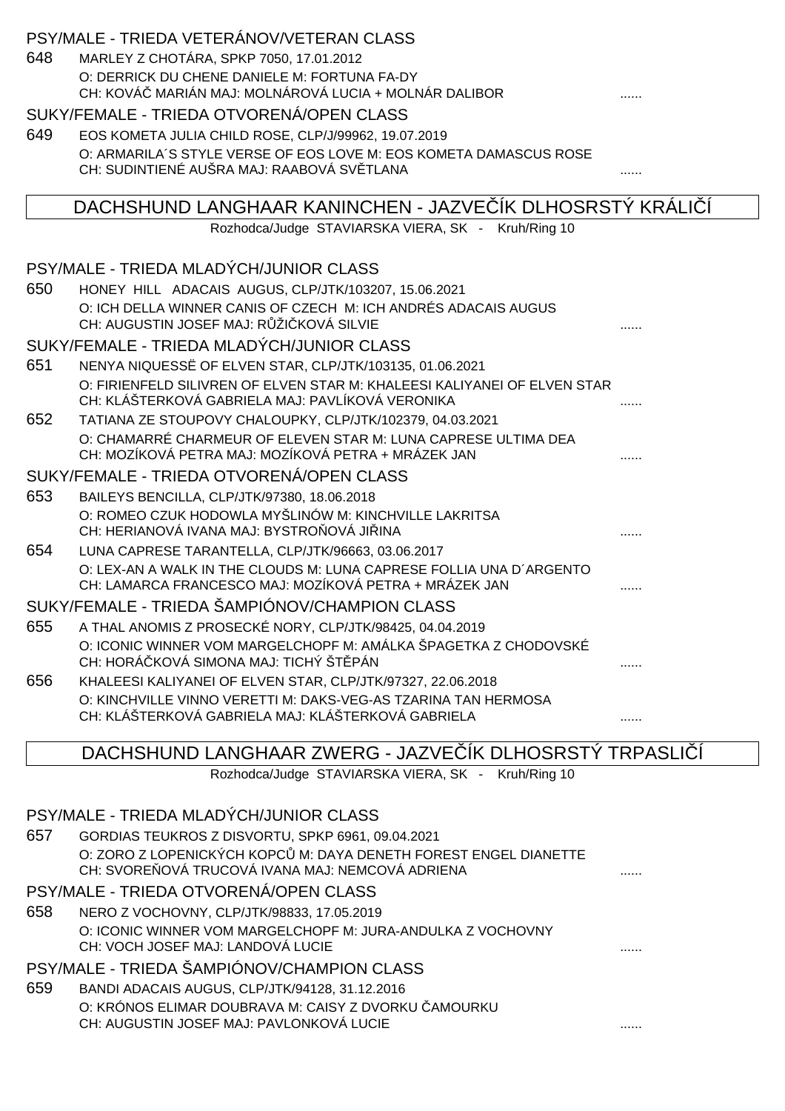| CH: KOVÁ MARIÁN MAJ: MOLNÁROVÁ LUCIA + MOLNÁR DALIBOR                                                                         |
|-------------------------------------------------------------------------------------------------------------------------------|
| SUKY/FEMALE - TRIEDA OTVORENÁ/OPEN CLASS                                                                                      |
| 649<br>EOS KOMETA JULIA CHILD ROSE, CLP/J/99962, 19.07.2019                                                                   |
| O: ARMARILA'S STYLE VERSE OF EOS LOVE M: EOS KOMETA DAMASCUS ROSE                                                             |
| CH: SUDINTIENÉ AUŠRA MAJ: RAABOVÁ SV TLANA                                                                                    |
| DACHSHUND LANGHAAR KANINCHEN - JAZVE IK DLHOSRSTÝ KRÁLI                                                                       |
| Rozhodca/Judge STAVIARSKA VIERA, SK - Kruh/Ring 10                                                                            |
|                                                                                                                               |
| PSY/MALE - TRIEDA MLADÝCH/JUNIOR CLASS                                                                                        |
| 650<br>HONEY HILL ADACAIS AUGUS, CLP/JTK/103207, 15.06.2021                                                                   |
| O: ICH DELLA WINNER CANIS OF CZECH M: ICH ANDRÉS ADACAIS AUGUS<br>CH: AUGUSTIN JOSEF MAJ: R ŽI KOVÁ SILVIE                    |
| SUKY/FEMALE - TRIEDA MLADÝCH/JUNIOR CLASS                                                                                     |
| 651<br>NENYA NIQUESSË OF ELVEN STAR, CLP/JTK/103135, 01.06.2021                                                               |
| O: FIRIENFELD SILIVREN OF ELVEN STAR M: KHALEESI KALIYANEI OF ELVEN STAR                                                      |
| CH: KLÁŠTERKOVÁ GABRIELA MAJ: PAVLÍKOVÁ VERONIKA                                                                              |
| 652<br>TATIANA ZE STOUPOVY CHALOUPKY, CLP/JTK/102379, 04.03.2021                                                              |
| O: CHAMARRÉ CHARMEUR OF ELEVEN STAR M: LUNA CAPRESE ULTIMA DEA<br>CH: MOZÍKOVÁ PETRA MAJ: MOZÍKOVÁ PETRA + MRÁZEK JAN         |
| SUKY/FEMALE - TRIEDA OTVORENÁ/OPEN CLASS                                                                                      |
| 653<br>BAILEYS BENCILLA, CLP/JTK/97380, 18.06.2018                                                                            |
| O: ROMEO CZUK HODOWLA MYŠLINÓW M: KINCHVILLE LAKRITSA                                                                         |
| CH: HERIANOVÁ IVANA MAJ: BYSTRO OVÁ JI INA                                                                                    |
| 654<br>LUNA CAPRESE TARANTELLA, CLP/JTK/96663, 03.06.2017                                                                     |
| O: LEX-AN A WALK IN THE CLOUDS M: LUNA CAPRESE FOLLIA UNA D'ARGENTO<br>CH: LAMARCA FRANCESCO MAJ: MOZÍKOVÁ PETRA + MRÁZEK JAN |
| SUKY/FEMALE - TRIEDA ŠAMPIÓNOV/CHAMPION CLASS                                                                                 |
| 655<br>A THAL ANOMIS Z PROSECKÉ NORY, CLP/JTK/98425, 04.04.2019                                                               |
| O: ICONIC WINNER VOM MARGELCHOPF M: AMÁLKA ŠPAGETKA Z CHODOVSKÉ<br>CH: HORÁ KOVÁ SIMONA MAJ: TICHÝ ŠT PÁN                     |
| 656<br>KHALEESI KALIYANEI OF ELVEN STAR, CLP/JTK/97327, 22.06.2018                                                            |
| O: KINCHVILLE VINNO VERETTI M: DAKS-VEG-AS TZARINA TAN HERMOSA                                                                |
| CH: KLÁŠTERKOVÁ GABRIELA MAJ: KLÁŠTERKOVÁ GABRIELA<br>.                                                                       |
| DACHSHUND LANGHAAR ZWERG - JAZVE IK DLHOSRSTÝ TRPASLI 1                                                                       |
| Rozhodca/Judge STAVIARSKA VIERA, SK - Kruh/Ring 10                                                                            |
|                                                                                                                               |
| PSY/MALE - TRIEDA MLADÝCH/JUNIOR CLASS                                                                                        |
| 657<br>GORDIAS TEUKROS Z DISVORTU, SPKP 6961, 09.04.2021                                                                      |
| O: ZORO Z LOPENICKÝCH KOPC M: DAYA DENETH FOREST ENGEL DIANETTE<br>CH: SVORE OVÁ TRUCOVÁ IVANA MAJ: NEMCOVÁ ADRIENA           |
| PSY/MALE - TRIEDA OTVORENÁ/OPEN CLASS                                                                                         |
| 658<br>NERO Z VOCHOVNY, CLP/JTK/98833, 17.05.2019                                                                             |
| O: ICONIC WINNER VOM MARGELCHOPF M: JURA-ANDULKA Z VOCHOVNY<br>CH: VOCH JOSEF MAJ: LANDOVÁ LUCIE                              |
| PSY/MALE - TRIEDA ŠAMPIÓNOV/CHAMPION CLASS                                                                                    |
| 659<br>BANDI ADACAIS AUGUS, CLP/JTK/94128, 31.12.2016                                                                         |

O: KRÓNOS ELIMAR DOUBRAVA M: CAISY Z DVORKU ČAMOURKU

CH: AUGUSTIN JOSEF MAJ: PAVLONKOVÁ LUCIE ......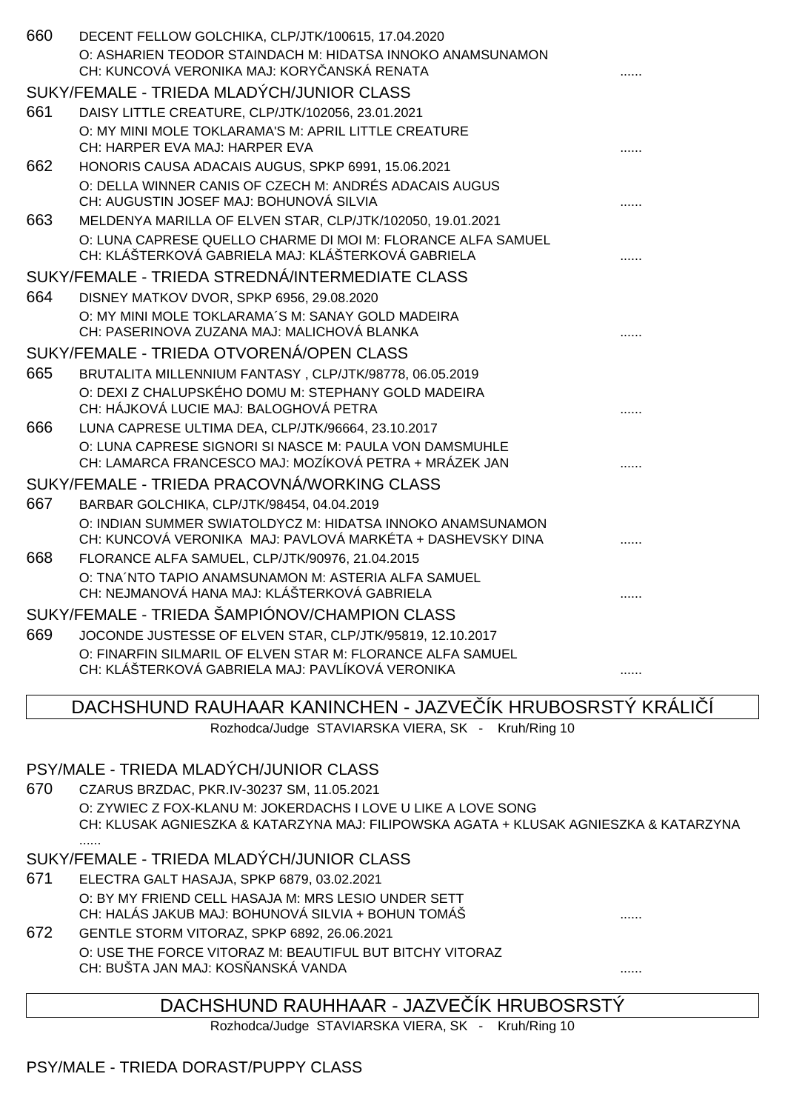| 660 | DECENT FELLOW GOLCHIKA, CLP/JTK/100615, 17.04.2020           |  |
|-----|--------------------------------------------------------------|--|
|     | O: ASHARIEN TEODOR STAINDACH M: HIDATSA INNOKO ANAMSUNAMON   |  |
|     | CH: KUNCOVÁ VERONIKA MAJ: KORY ANSKÁ RENATA                  |  |
|     | SUKY/FEMALE - TRIEDA MLADÝCH/JUNIOR CLASS                    |  |
| 661 | DAISY LITTLE CREATURE, CLP/JTK/102056, 23.01.2021            |  |
|     | O: MY MINI MOLE TOKLARAMA'S M: APRIL LITTLE CREATURE         |  |
|     | CH: HARPER EVA MAJ: HARPER EVA                               |  |
| 662 | HONORIS CAUSA ADACAIS AUGUS, SPKP 6991, 15.06.2021           |  |
|     | O: DELLA WINNER CANIS OF CZECH M: ANDRÉS ADACAIS AUGUS       |  |
|     | CH: AUGUSTIN JOSEF MAJ: BOHUNOVÁ SILVIA                      |  |
| 663 | MELDENYA MARILLA OF ELVEN STAR, CLP/JTK/102050, 19.01.2021   |  |
|     | O: LUNA CAPRESE QUELLO CHARME DI MOI M: FLORANCE ALFA SAMUEL |  |
|     | CH: KLÁŠTERKOVÁ GABRIELA MAJ: KLÁŠTERKOVÁ GABRIELA           |  |
|     | SUKY/FEMALE - TRIEDA STREDNÁ/INTERMEDIATE CLASS              |  |
| 664 | DISNEY MATKOV DVOR, SPKP 6956, 29.08.2020                    |  |
|     | O: MY MINI MOLE TOKLARAMA'S M: SANAY GOLD MADEIRA            |  |
|     | CH: PASERINOVA ZUZANA MAJ: MALICHOVÁ BLANKA                  |  |
|     | SUKY/FEMALE - TRIEDA OTVORENÁ/OPEN CLASS                     |  |
| 665 | BRUTALITA MILLENNIUM FANTASY, CLP/JTK/98778, 06.05.2019      |  |
|     | O: DEXI Z CHALUPSKÉHO DOMU M: STEPHANY GOLD MADEIRA          |  |
|     | CH: HÁJKOVÁ LUCIE MAJ: BALOGHOVÁ PETRA                       |  |
| 666 | LUNA CAPRESE ULTIMA DEA, CLP/JTK/96664, 23.10.2017           |  |
|     | O: LUNA CAPRESE SIGNORI SI NASCE M: PAULA VON DAMSMUHLE      |  |
|     | CH: LAMARCA FRANCESCO MAJ: MOZÍKOVÁ PETRA + MRÁZEK JAN       |  |
|     | SUKY/FEMALE - TRIEDA PRACOVNÁ/WORKING CLASS                  |  |
| 667 | BARBAR GOLCHIKA, CLP/JTK/98454, 04.04.2019                   |  |
|     | O: INDIAN SUMMER SWIATOLDYCZ M: HIDATSA INNOKO ANAMSUNAMON   |  |
|     | CH: KUNCOVÁ VERONIKA MAJ: PAVLOVÁ MARKÉTA + DASHEVSKY DINA   |  |
| 668 | FLORANCE ALFA SAMUEL, CLP/JTK/90976, 21.04.2015              |  |
|     | O: TNA'NTO TAPIO ANAMSUNAMON M: ASTERIA ALFA SAMUEL          |  |
|     | CH: NEJMANOVÁ HANA MAJ: KLÁŠTERKOVÁ GABRIELA                 |  |
|     | SUKY/FEMALE - TRIEDA ŠAMPIÓNOV/CHAMPION CLASS                |  |
| 669 | JOCONDE JUSTESSE OF ELVEN STAR, CLP/JTK/95819, 12.10.2017    |  |
|     | O: FINARFIN SILMARIL OF ELVEN STAR M: FLORANCE ALFA SAMUEL   |  |
|     | CH: KLÁŠTERKOVÁ GABRIELA MAJ: PAVLÍKOVÁ VERONIKA             |  |
|     |                                                              |  |

DACHSHUND RAUHAAR KANINCHEN - JAZVE ÍK HRUBOSRSTÝ KRÁLI Í

Rozhodca/Judge STAVIARSKA VIERA, SK - Kruh/Ring 10

#### PSY/MALE - TRIEDA MLADÝCH/JUNIOR CLASS

670 CZARUS BRZDAC, PKR.IV-30237 SM, 11.05.2021 O: ZYWIEC Z FOX-KLANU M: JOKERDACHS I LOVE U LIKE A LOVE SONG CH: KLUSAK AGNIESZKA & KATARZYNA MAJ: FILIPOWSKA AGATA + KLUSAK AGNIESZKA & KATARZYNA ......

#### SUKY/FEMALE - TRIEDA MLADÝCH/JUNIOR CLASS

- 671 ELECTRA GALT HASAJA, SPKP 6879, 03.02.2021 O: BY MY FRIEND CELL HASAJA M: MRS LESIO UNDER SETT CH: HALÁS JAKUB MAJ: BOHUNOVÁ SILVIA + BOHUN TOMÁŠ ......
- 672 GENTLE STORM VITORAZ, SPKP 6892, 26.06.2021 O: USE THE FORCE VITORAZ M: BEAUTIFUL BUT BITCHY VITORAZ CH: BUŠTA JAN MAJ: KOSŇANSKÁ VANDA ......

## DACHSHUND RAUHHAAR - JAZVE ÍK HRUBOSRSTÝ

Rozhodca/Judge STAVIARSKA VIERA, SK - Kruh/Ring 10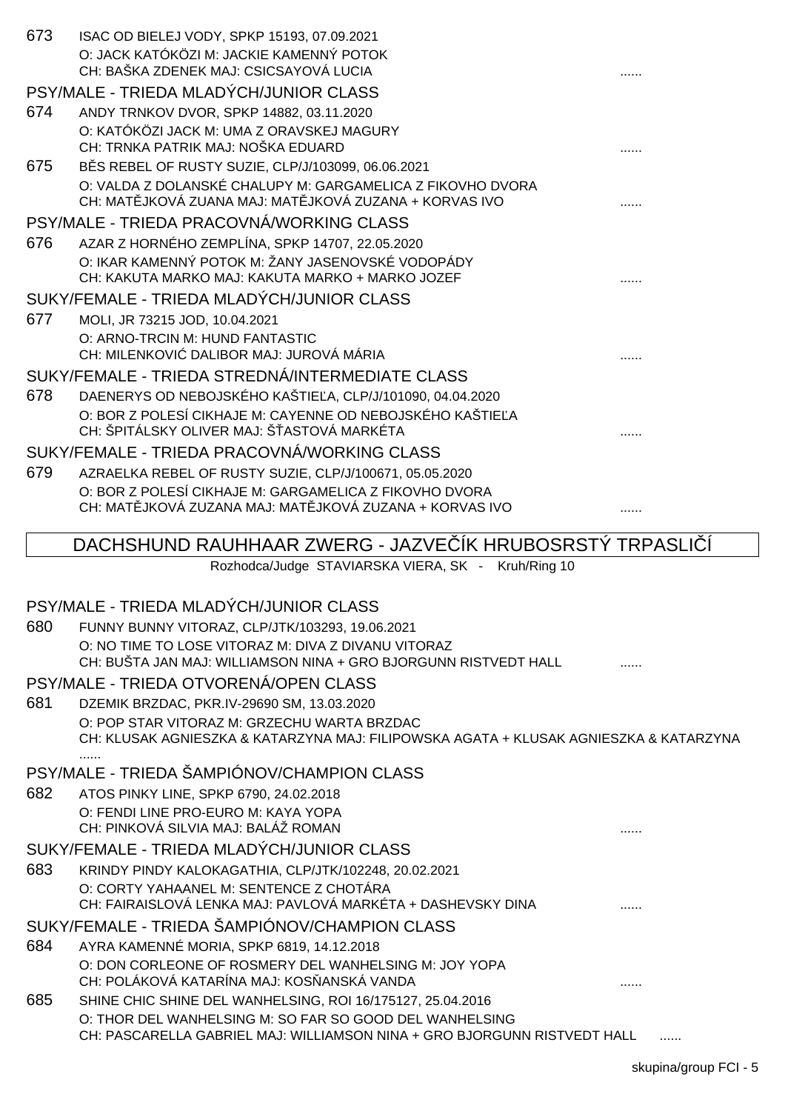| 673 | ISAC OD BIELEJ VODY, SPKP 15193, 07.09.2021<br>O: JACK KATÓKÖZI M: JACKIE KAMENNÝ POTOK<br>CH: BAŠKA ZDENEK MAJ: CSICSAYOVÁ LUCIA    |  |
|-----|--------------------------------------------------------------------------------------------------------------------------------------|--|
|     | PSY/MALE - TRIEDA MLADÝCH/JUNIOR CLASS                                                                                               |  |
| 674 | ANDY TRNKOV DVOR, SPKP 14882, 03.11.2020                                                                                             |  |
|     | O: KATÓKÖZI JACK M: UMA Z ORAVSKEJ MAGURY                                                                                            |  |
|     | CH: TRNKA PATRIK MAJ: NOŠKA EDUARD                                                                                                   |  |
| 675 | B S REBEL OF RUSTY SUZIE, CLP/J/103099, 06.06.2021<br>O: VALDA Z DOLANSKÉ CHALUPY M: GARGAMELICA Z FIKOVHO DVORA                     |  |
|     | CH: MAT JKOVÁ ZUANA MAJ: MAT JKOVÁ ZUZANA + KORVAS IVO                                                                               |  |
|     | PSY/MALE - TRIEDA PRACOVNÁ/WORKING CLASS                                                                                             |  |
| 676 | AZAR Z HORNÉHO ZEMPLÍNA, SPKP 14707, 22.05.2020                                                                                      |  |
|     | O: IKAR KAMENNÝ POTOK M: ŽANY JASENOVSKÉ VODOPÁDY<br>CH: KAKUTA MARKO MAJ: KAKUTA MARKO + MARKO JOZEF                                |  |
|     | SUKY/FEMALE - TRIEDA MLADÝCH/JUNIOR CLASS                                                                                            |  |
| 677 | MOLI, JR 73215 JOD, 10.04.2021                                                                                                       |  |
|     | O: ARNO-TRCIN M: HUND FANTASTIC<br>CH: MILENKOVI DALIBOR MAJ: JUROVÁ MÁRIA                                                           |  |
|     | SUKY/FEMALE - TRIEDA STREDNÁ/INTERMEDIATE CLASS                                                                                      |  |
| 678 | DAENERYS OD NEBOJSKÉHO KAŠTIE A, CLP/J/101090, 04.04.2020                                                                            |  |
|     | O: BOR Z POLESÍ CIKHAJE M: CAYENNE OD NEBOJSKÉHO KAŠTIE A                                                                            |  |
|     | CH: ŠPITÁLSKY OLIVER MAJ: Š ASTOVÁ MARKÉTA                                                                                           |  |
|     | SUKY/FEMALE - TRIEDA PRACOVNÁ/WORKING CLASS                                                                                          |  |
| 679 | AZRAELKA REBEL OF RUSTY SUZIE, CLP/J/100671, 05.05.2020<br>O: BOR Z POLESÍ CIKHAJE M: GARGAMELICA Z FIKOVHO DVORA                    |  |
|     | CH: MAT JKOVÁ ZUZANA MAJ: MAT JKOVÁ ZUZANA + KORVAS IVO                                                                              |  |
|     |                                                                                                                                      |  |
|     |                                                                                                                                      |  |
|     | DACHSHUND RAUHHAAR ZWERG - JAZVE IK HRUBOSRSTÝ TRPASLI                                                                               |  |
|     | Rozhodca/Judge STAVIARSKA VIERA, SK - Kruh/Ring 10                                                                                   |  |
|     |                                                                                                                                      |  |
| 680 | PSY/MALE - TRIEDA MLADÝCH/JUNIOR CLASS<br>FUNNY BUNNY VITORAZ, CLP/JTK/103293, 19.06.2021                                            |  |
|     | O: NO TIME TO LOSE VITORAZ M: DIVA Z DIVANU VITORAZ                                                                                  |  |
|     | CH: BUŠTA JAN MAJ: WILLIAMSON NINA + GRO BJORGUNN RISTVEDT HALL                                                                      |  |
|     | PSY/MALE - TRIEDA OTVORENÁ/OPEN CLASS                                                                                                |  |
| 681 | DZEMIK BRZDAC, PKR.IV-29690 SM, 13.03.2020                                                                                           |  |
|     | O: POP STAR VITORAZ M: GRZECHU WARTA BRZDAC<br>CH: KLUSAK AGNIESZKA & KATARZYNA MAJ: FILIPOWSKA AGATA + KLUSAK AGNIESZKA & KATARZYNA |  |
|     |                                                                                                                                      |  |
|     | PSY/MALE - TRIEDA ŠAMPIÓNOV/CHAMPION CLASS                                                                                           |  |
| 682 | ATOS PINKY LINE, SPKP 6790, 24.02.2018<br>O: FENDI LINE PRO-EURO M: KAYA YOPA                                                        |  |
|     | CH: PINKOVÁ SILVIA MAJ: BALÁŽ ROMAN                                                                                                  |  |
|     | SUKY/FEMALE - TRIEDA MLADÝCH/JUNIOR CLASS                                                                                            |  |
| 683 | KRINDY PINDY KALOKAGATHIA, CLP/JTK/102248, 20.02.2021                                                                                |  |
|     | O: CORTY YAHAANEL M: SENTENCE Z CHOTÁRA<br>CH: FAIRAISLOVÁ LENKA MAJ: PAVLOVÁ MARKÉTA + DASHEVSKY DINA                               |  |
|     | SUKY/FEMALE - TRIEDA ŠAMPIÓNOV/CHAMPION CLASS                                                                                        |  |
| 684 | AYRA KAMENNÉ MORIA, SPKP 6819, 14.12.2018                                                                                            |  |
|     | O: DON CORLEONE OF ROSMERY DEL WANHELSING M: JOY YOPA                                                                                |  |
|     | CH: POLÁKOVÁ KATARÍNA MAJ: KOS ANSKÁ VANDA                                                                                           |  |
| 685 | SHINE CHIC SHINE DEL WANHELSING, ROI 16/175127, 25.04.2016<br>O: THOR DEL WANHELSING M: SO FAR SO GOOD DEL WANHELSING                |  |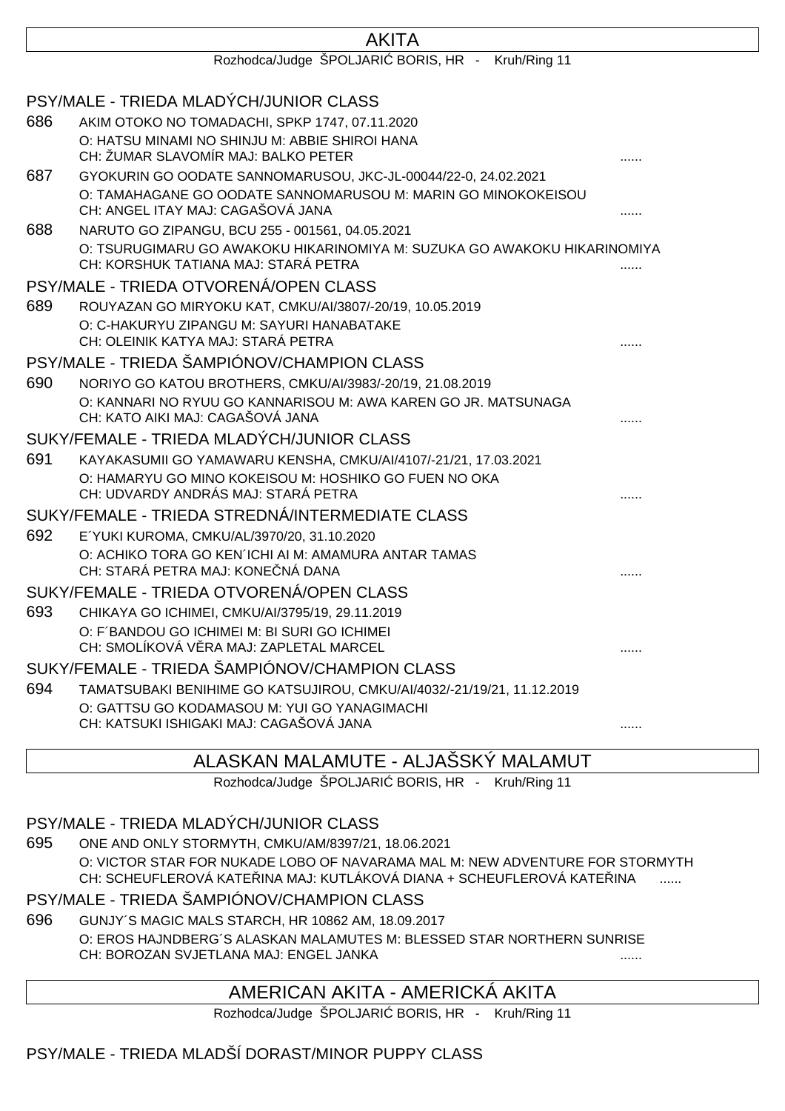|     | Rozhodca/Judge ŠPOLJARI BORIS, HR - Kruh/Ring 11                                                                 |   |
|-----|------------------------------------------------------------------------------------------------------------------|---|
|     | PSY/MALE - TRIEDA MLADÝCH/JUNIOR CLASS                                                                           |   |
| 686 | AKIM OTOKO NO TOMADACHI, SPKP 1747, 07.11.2020                                                                   |   |
|     | O: HATSU MINAMI NO SHINJU M: ABBIE SHIROI HANA<br>CH: ŽUMAR SLAVOMÍR MAJ: BALKO PETER                            |   |
| 687 | GYOKURIN GO OODATE SANNOMARUSOU, JKC-JL-00044/22-0, 24.02.2021                                                   |   |
|     | O: TAMAHAGANE GO OODATE SANNOMARUSOU M: MARIN GO MINOKOKEISOU<br>CH: ANGEL ITAY MAJ: CAGAŠOVÁ JANA               |   |
| 688 | NARUTO GO ZIPANGU, BCU 255 - 001561, 04.05.2021                                                                  |   |
|     | O: TSURUGIMARU GO AWAKOKU HIKARINOMIYA M: SUZUKA GO AWAKOKU HIKARINOMIYA<br>CH: KORSHUK TATIANA MAJ: STARÁ PETRA |   |
|     | PSY/MALE - TRIEDA OTVORENÁ/OPEN CLASS                                                                            |   |
| 689 | ROUYAZAN GO MIRYOKU KAT, CMKU/AI/3807/-20/19, 10.05.2019                                                         |   |
|     | O: C-HAKURYU ZIPANGU M: SAYURI HANABATAKE                                                                        |   |
|     | CH: OLEINIK KATYA MAJ: STARÁ PETRA                                                                               |   |
|     | PSY/MALE - TRIEDA ŠAMPIÓNOV/CHAMPION CLASS                                                                       |   |
| 690 | NORIYO GO KATOU BROTHERS, CMKU/AI/3983/-20/19, 21.08.2019                                                        |   |
|     | O: KANNARI NO RYUU GO KANNARISOU M: AWA KAREN GO JR. MATSUNAGA<br>CH: KATO AIKI MAJ: CAGAŠOVÁ JANA               |   |
|     | SUKY/FEMALE - TRIEDA MLADÝCH/JUNIOR CLASS                                                                        |   |
| 691 | KAYAKASUMII GO YAMAWARU KENSHA, CMKU/AI/4107/-21/21, 17.03.2021                                                  |   |
|     | O: HAMARYU GO MINO KOKEISOU M: HOSHIKO GO FUEN NO OKA                                                            |   |
|     | CH: UDVARDY ANDRÁS MAJ: STARÁ PETRA                                                                              |   |
|     | SUKY/FEMALE - TRIEDA STREDNÁ/INTERMEDIATE CLASS                                                                  |   |
| 692 | E'YUKI KUROMA, CMKU/AL/3970/20, 31.10.2020<br>O: ACHIKO TORA GO KEN'ICHI AI M: AMAMURA ANTAR TAMAS               |   |
|     | CH: STARÁ PETRA MAJ: KONE NÁ DANA                                                                                |   |
|     | SUKY/FEMALE - TRIEDA OTVORENÁ/OPEN CLASS                                                                         |   |
| 693 | CHIKAYA GO ICHIMEI, CMKU/AI/3795/19, 29.11.2019                                                                  |   |
|     | O: F'BANDOU GO ICHIMEI M: BI SURI GO ICHIMEI                                                                     |   |
|     | CH: SMOLÍKOVÁ V RA MAJ: ZAPLETAL MARCEL                                                                          |   |
|     | SUKY/FEMALE - TRIEDA ŠAMPIÓNOV/CHAMPION CLASS                                                                    |   |
| 694 | TAMATSUBAKI BENIHIME GO KATSUJIROU, CMKU/AI/4032/-21/19/21, 11.12.2019                                           |   |
|     | O: GATTSU GO KODAMASOU M: YUI GO YANAGIMACHI<br>CH: KATSUKI ISHIGAKI MAJ: CAGAŠOVÁ JANA                          |   |
|     |                                                                                                                  | . |

**AKITA** 

## ALASKAN MALAMUTE - ALJAŠSKÝ MALAMUT

Rozhodca/Judge ŠPOLJARI BORIS, HR - Kruh/Ring 11

#### PSY/MALE - TRIEDA MLADÝCH/JUNIOR CLASS

695 ONE AND ONLY STORMYTH, CMKU/AM/8397/21, 18.06.2021 O: VICTOR STAR FOR NUKADE LOBO OF NAVARAMA MAL M: NEW ADVENTURE FOR STORMYTH CH: SCHEUFLEROVÁ KATE INA MAJ: KUTLÁKOVÁ DIANA + SCHEUFLEROVÁ KATE INA .......

#### PSY/MALE - TRIEDA ŠAMPIÓNOV/CHAMPION CLASS

696 GUNJY´S MAGIC MALS STARCH, HR 10862 AM, 18.09.2017 O: EROS HAJNDBERG´S ALASKAN MALAMUTES M: BLESSED STAR NORTHERN SUNRISE CH: BOROZAN SVJETLANA MAJ: ENGEL JANKA ......

#### AMERICAN AKITA - AMERICKÁ AKITA

Rozhodca/Judge ŠPOLJARI BORIS, HR - Kruh/Ring 11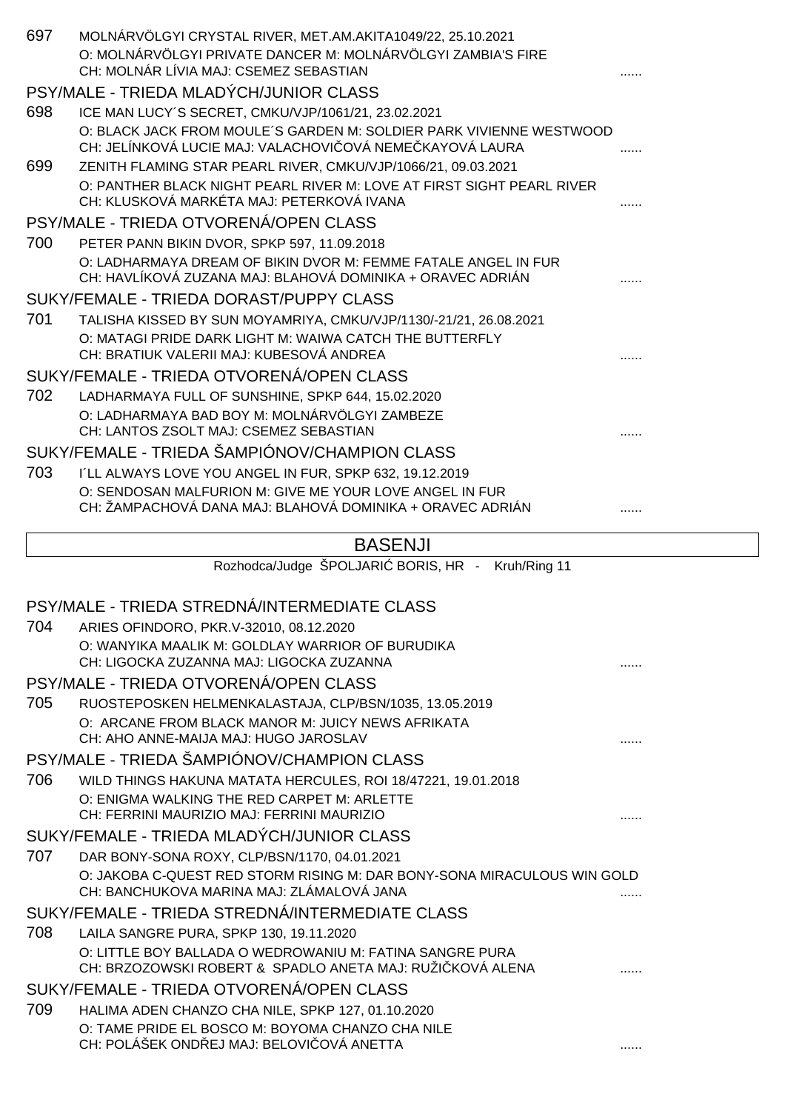| 697 | MOLNÁRVÖLGYI CRYSTAL RIVER, MET.AM.AKITA1049/22, 25.10.2021<br>O: MOLNÁRVÖLGYI PRIVATE DANCER M: MOLNÁRVÖLGYI ZAMBIA'S FIRE<br>CH: MOLNÁR LÍVIA MAJ: CSEMEZ SEBASTIAN |  |
|-----|-----------------------------------------------------------------------------------------------------------------------------------------------------------------------|--|
|     | PSY/MALE - TRIEDA MLADÝCH/JUNIOR CLASS                                                                                                                                |  |
| 698 | ICE MAN LUCY'S SECRET, CMKU/VJP/1061/21, 23.02.2021                                                                                                                   |  |
|     | O: BLACK JACK FROM MOULE'S GARDEN M: SOLDIER PARK VIVIENNE WESTWOOD<br>CH: JELÍNKOVÁ LUCIE MAJ: VALACHOVI OVÁ NEME KAYOVÁ LAURA                                       |  |
| 699 | ZENITH FLAMING STAR PEARL RIVER, CMKU/VJP/1066/21, 09.03.2021<br>O: PANTHER BLACK NIGHT PEARL RIVER M: LOVE AT FIRST SIGHT PEARL RIVER                                |  |
|     | CH: KLUSKOVÁ MARKÉTA MAJ: PETERKOVÁ IVANA                                                                                                                             |  |
|     | PSY/MALE - TRIEDA OTVORENÁ/OPEN CLASS                                                                                                                                 |  |
| 700 | PETER PANN BIKIN DVOR, SPKP 597, 11.09.2018                                                                                                                           |  |
|     | O: LADHARMAYA DREAM OF BIKIN DVOR M: FEMME FATALE ANGEL IN FUR<br>CH: HAVLÍKOVÁ ZUZANA MAJ: BLAHOVÁ DOMINIKA + ORAVEC ADRIÁN                                          |  |
|     | SUKY/FEMALE - TRIEDA DORAST/PUPPY CLASS                                                                                                                               |  |
| 701 | TALISHA KISSED BY SUN MOYAMRIYA, CMKU/VJP/1130/-21/21, 26.08.2021                                                                                                     |  |
|     | O: MATAGI PRIDE DARK LIGHT M: WAIWA CATCH THE BUTTERFLY<br>CH: BRATIUK VALERII MAJ: KUBESOVÁ ANDREA                                                                   |  |
|     | SUKY/FEMALE - TRIEDA OTVORENÁ/OPEN CLASS                                                                                                                              |  |
| 702 | LADHARMAYA FULL OF SUNSHINE, SPKP 644, 15.02.2020                                                                                                                     |  |
|     | O: LADHARMAYA BAD BOY M: MOLNÁRVÖLGYI ZAMBEZE                                                                                                                         |  |
|     | CH: LANTOS ZSOLT MAJ: CSEMEZ SEBASTIAN                                                                                                                                |  |
|     | SUKY/FEMALE - TRIEDA ŠAMPIÓNOV/CHAMPION CLASS                                                                                                                         |  |
| 703 | I'LL ALWAYS LOVE YOU ANGEL IN FUR, SPKP 632, 19.12.2019                                                                                                               |  |
|     | O: SENDOSAN MALFURION M: GIVE ME YOUR LOVE ANGEL IN FUR                                                                                                               |  |
|     | CH: ŽAMPACHOVÁ DANA MAJ: BLAHOVÁ DOMINIKA + ORAVEC ADRIÁN                                                                                                             |  |
|     | <b>BASENJI</b>                                                                                                                                                        |  |
|     |                                                                                                                                                                       |  |
|     | Rozhodca/Judge ŠPOLJARI BORIS, HR - Kruh/Ring 11                                                                                                                      |  |
|     |                                                                                                                                                                       |  |
|     | PSY/MALE - TRIEDA STREDNÁ/INTERMEDIATE CLASS                                                                                                                          |  |
| 704 | ARIES OFINDORO, PKR.V-32010, 08.12.2020                                                                                                                               |  |
|     | O: WANYIKA MAALIK M: GOLDLAY WARRIOR OF BURUDIKA                                                                                                                      |  |
|     | CH: LIGOCKA ZUZANNA MAJ: LIGOCKA ZUZANNA                                                                                                                              |  |
|     | PSY/MALE - TRIEDA OTVORENÁ/OPEN CLASS                                                                                                                                 |  |
| 705 | RUOSTEPOSKEN HELMENKALASTAJA, CLP/BSN/1035, 13.05.2019                                                                                                                |  |
|     | O: ARCANE FROM BLACK MANOR M: JUICY NEWS AFRIKATA<br>CH: AHO ANNE-MAIJA MAJ: HUGO JAROSLAV                                                                            |  |
|     | PSY/MALE - TRIEDA ŠAMPIÓNOV/CHAMPION CLASS                                                                                                                            |  |
| 706 | WILD THINGS HAKUNA MATATA HERCULES, ROI 18/47221, 19.01.2018                                                                                                          |  |
|     | O: ENIGMA WALKING THE RED CARPET M: ARLETTE<br>CH: FERRINI MAURIZIO MAJ: FERRINI MAURIZIO                                                                             |  |
|     | SUKY/FEMALE - TRIEDA MLADÝCH/JUNIOR CLASS                                                                                                                             |  |
| 707 | DAR BONY-SONA ROXY, CLP/BSN/1170, 04.01.2021                                                                                                                          |  |
|     | O: JAKOBA C-QUEST RED STORM RISING M: DAR BONY-SONA MIRACULOUS WIN GOLD<br>CH: BANCHUKOVA MARINA MAJ: ZLÁMALOVÁ JANA                                                  |  |
|     | SUKY/FEMALE - TRIEDA STREDNÁ/INTERMEDIATE CLASS                                                                                                                       |  |
| 708 | LAILA SANGRE PURA, SPKP 130, 19.11.2020                                                                                                                               |  |
|     | O: LITTLE BOY BALLADA O WEDROWANIU M: FATINA SANGRE PURA<br>CH: BRZOZOWSKI ROBERT & SPADLO ANETA MAJ: RUŽI KOVÁ ALENA                                                 |  |
|     | SUKY/FEMALE - TRIEDA OTVORENÁ/OPEN CLASS                                                                                                                              |  |
| 709 | HALIMA ADEN CHANZO CHA NILE, SPKP 127, 01.10.2020                                                                                                                     |  |
|     | O: TAME PRIDE EL BOSCO M: BOYOMA CHANZO CHA NILE<br>CH: POLÁŠEK OND EJ MAJ: BELOVI OVÁ ANETTA                                                                         |  |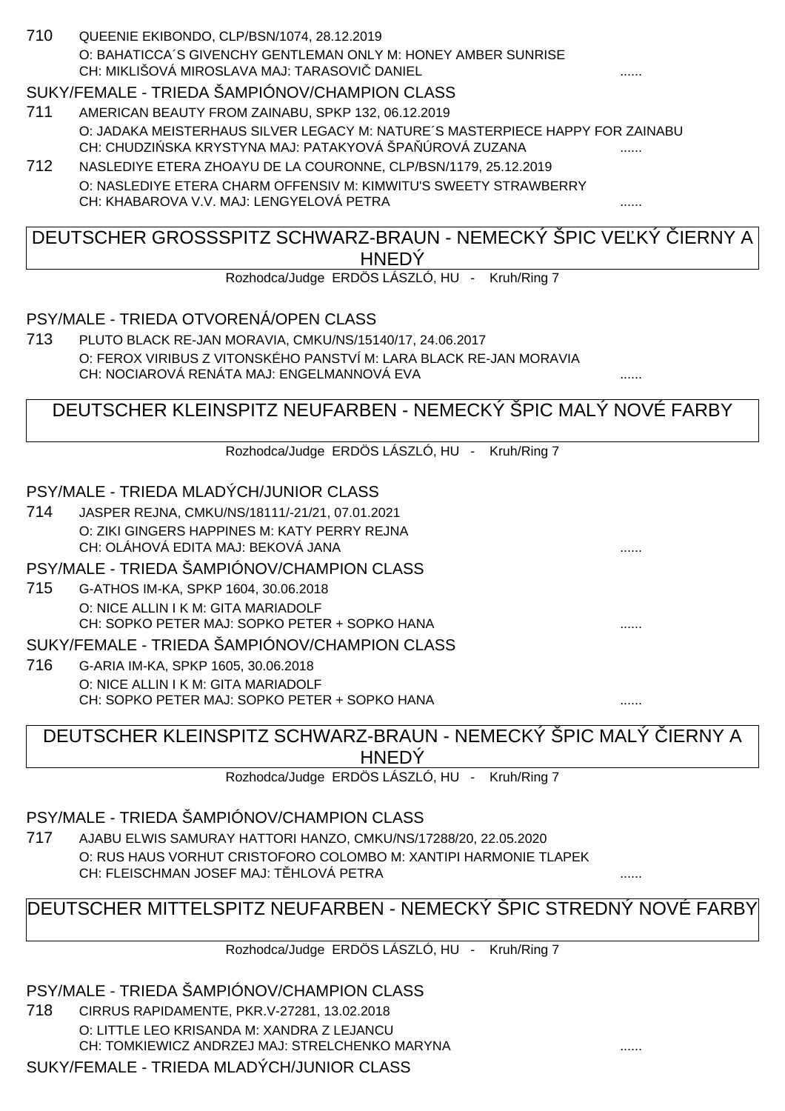710 QUEENIE EKIBONDO, CLP/BSN/1074, 28.12.2019 O: BAHATICCA´S GIVENCHY GENTLEMAN ONLY M: HONEY AMBER SUNRISE CH: MIKLIŠOVÁ MIROSLAVA MAJ: TARASOVI ... DANIEL

#### SUKY/FEMALE - TRIEDA ŠAMPIÓNOV/CHAMPION CLASS

- 711 AMERICAN BEAUTY FROM ZAINABU, SPKP 132, 06.12.2019 O: JADAKA MEISTERHAUS SILVER LEGACY M: NATURE´S MASTERPIECE HAPPY FOR ZAINABU CH: CHUDZI SKA KRYSTYNA MAJ: PATAKYOVÁ ŠPA ÚROVÁ ZUZANA .......
- 712 NASLEDIYE ETERA ZHOAYU DE LA COURONNE, CLP/BSN/1179, 25.12.2019 O: NASLEDIYE ETERA CHARM OFFENSIV M: KIMWITU'S SWEETY STRAWBERRY CH: KHABAROVA V.V. MAJ: LENGYELOVÁ PETRA

## DEUTSCHER GROSSSPITZ SCHWARZ-BRAUN - NEMECKÝ ŠPIC VEĽKÝ LIERNY A **HNEDÝ**

Rozhodca/Judge ERDÖS LÁSZLÓ, HU - Kruh/Ring 7

#### PSY/MALE - TRIEDA OTVORENÁ/OPEN CLASS

713 PLUTO BLACK RE-JAN MORAVIA, CMKU/NS/15140/17, 24.06.2017 O: FEROX VIRIBUS Z VITONSKÉHO PANSTVÍ M: LARA BLACK RE-JAN MORAVIA CH: NOCIAROVÁ RENÁTA MAJ: ENGELMANNOVÁ EVA

## DEUTSCHER KLEINSPITZ NEUFARBEN - NEMECKÝ ŠPIC MALÝ NOVÉ FARBY

Rozhodca/Judge ERDÖS LÁSZLÓ, HU - Kruh/Ring 7

#### PSY/MALE - TRIEDA MLADÝCH/JUNIOR CLASS

714 JASPER REJNA, CMKU/NS/18111/-21/21, 07.01.2021 O: ZIKI GINGERS HAPPINES M: KATY PERRY REJNA CH: OLÁHOVÁ EDITA MAJ: BEKOVÁ JANA ......

#### PSY/MALE - TRIEDA ŠAMPIÓNOV/CHAMPION CLASS

- 715 G-ATHOS IM-KA, SPKP 1604, 30.06.2018 O: NICE ALLIN I K M: GITA MARIADOLF CH: SOPKO PETER MAJ: SOPKO PETER + SOPKO HANA ......
- SUKY/FEMALE TRIEDA ŠAMPIÓNOV/CHAMPION CLASS
- 716 G-ARIA IM-KA, SPKP 1605, 30.06.2018 O: NICE ALLIN I K M: GITA MARIADOLF CH: SOPKO PETER MAJ: SOPKO PETER + SOPKO HANA

### DEUTSCHER KLEINSPITZ SCHWARZ-BRAUN - NEMECKÝ ŠPIC MALÝ ČIERNY A **HNEDY**

Rozhodca/Judge ERDÖS LÁSZLÓ, HU - Kruh/Ring 7

#### PSY/MALE - TRIEDA ŠAMPIÓNOV/CHAMPION CLASS

717 AJABU ELWIS SAMURAY HATTORI HANZO, CMKU/NS/17288/20, 22.05.2020 O: RUS HAUS VORHUT CRISTOFORO COLOMBO M: XANTIPI HARMONIE TLAPEK CH: FLEISCHMAN JOSEF MAJ: TĚHLOVÁ PETRA ......

## DEUTSCHER MITTELSPITZ NEUFARBEN - NEMECKÝ ŠPIC STREDNÝ NOVÉ FARBY

Rozhodca/Judge ERDÖS LÁSZLÓ, HU - Kruh/Ring 7

#### PSY/MALE - TRIEDA ŠAMPIÓNOV/CHAMPION CLASS

718 CIRRUS RAPIDAMENTE, PKR.V-27281, 13.02.2018 O: LITTLE LEO KRISANDA M: XANDRA Z LEJANCU CH: TOMKIEWICZ ANDRZEJ MAJ: STRELCHENKO MARYNA ......

#### SUKY/FEMALE - TRIEDA MLADÝCH/JUNIOR CLASS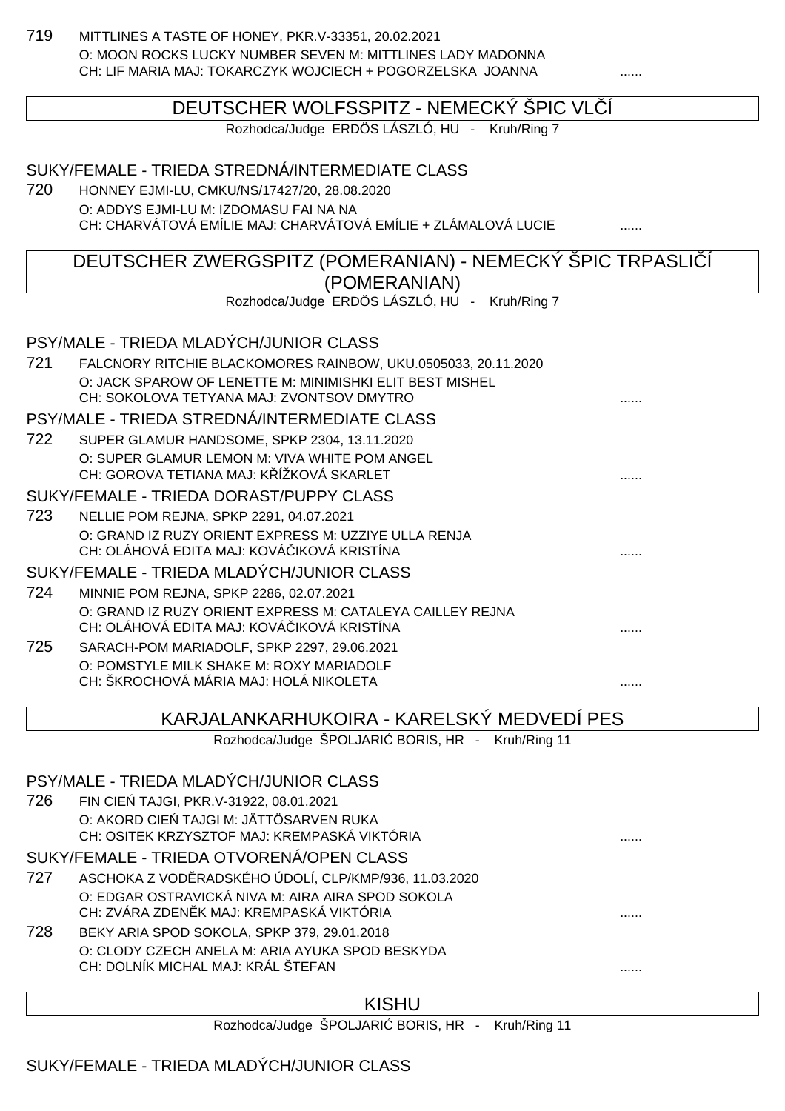719 MITTLINES A TASTE OF HONEY, PKR.V-33351, 20.02.2021 O: MOON ROCKS LUCKY NUMBER SEVEN M: MITTLINES LADY MADONNA CH: LIF MARIA MAJ: TOKARCZYK WOJCIECH + POGORZELSKA JOANNA

|     | DEUTSCHER WOLFSSPITZ - NEMECKÝ ŠPIC VL Í                                           |  |
|-----|------------------------------------------------------------------------------------|--|
|     | Rozhodca/Judge ERDÖS LÁSZLÓ, HU - Kruh/Ring 7                                      |  |
|     | SUKY/FEMALE - TRIEDA STREDNÁ/INTERMEDIATE CLASS                                    |  |
| 720 | HONNEY EJMI-LU, CMKU/NS/17427/20, 28.08.2020                                       |  |
|     | O: ADDYS EJMI-LU M: IZDOMASU FAI NA NA                                             |  |
|     | CH: CHARVÁTOVÁ EMÍLIE MAJ: CHARVÁTOVÁ EMÍLIE + ZLÁMALOVÁ LUCIE                     |  |
|     | DEUTSCHER ZWERGSPITZ (POMERANIAN) - NEMECKÝ SPIC TRPASLI Í<br>(POMERANIAN)         |  |
|     | Rozhodca/Judge ERDÖS LÁSZLÓ, HU - Kruh/Ring 7                                      |  |
|     | PSY/MALE - TRIEDA MLADÝCH/JUNIOR CLASS                                             |  |
| 721 | FALCNORY RITCHIE BLACKOMORES RAINBOW, UKU.0505033, 20.11.2020                      |  |
|     | O: JACK SPAROW OF LENETTE M: MINIMISHKI ELIT BEST MISHEL                           |  |
|     | CH: SOKOLOVA TETYANA MAJ: ZVONTSOV DMYTRO                                          |  |
|     | PSY/MALE - TRIEDA STREDNÁ/INTERMEDIATE CLASS                                       |  |
| 722 | SUPER GLAMUR HANDSOME, SPKP 2304, 13.11.2020                                       |  |
|     | O: SUPER GLAMUR LEMON M: VIVA WHITE POM ANGEL                                      |  |
|     | CH: GOROVA TETIANA MAJ: K ÍŽKOVÁ SKARLET                                           |  |
|     | SUKY/FEMALE - TRIEDA DORAST/PUPPY CLASS                                            |  |
| 723 | NELLIE POM REJNA, SPKP 2291, 04.07.2021                                            |  |
|     | O: GRAND IZ RUZY ORIENT EXPRESS M: UZZIYE ULLA RENJA                               |  |
|     | CH: OLÁHOVÁ EDITA MAJ: KOVÁ IKOVÁ KRISTÍNA                                         |  |
|     | SUKY/FEMALE - TRIEDA MLADÝCH/JUNIOR CLASS                                          |  |
| 724 | MINNIE POM REJNA, SPKP 2286, 02.07.2021                                            |  |
|     | O: GRAND IZ RUZY ORIENT EXPRESS M: CATALEYA CAILLEY REJNA                          |  |
|     | CH: OLÁHOVÁ EDITA MAJ: KOVÁ IKOVÁ KRISTÍNA                                         |  |
| 725 | SARACH-POM MARIADOLF, SPKP 2297, 29.06.2021                                        |  |
|     | O: POMSTYLE MILK SHAKE M: ROXY MARIADOLF<br>CH: ŠKROCHOVÁ MÁRIA MAJ: HOLÁ NIKOLETA |  |
|     |                                                                                    |  |
|     | KARJALANKARHUKOIRA - KARELSKÝ MEDVEDÍ PES                                          |  |
|     | $D$ ezhedec/ludge CDOLIADL DODIC HD Kruk/Ding 11                                   |  |

Rozhodca/Judge SPOLJARI BORIS, HR - Kruh/Ring 11

## PSY/MALE - TRIEDA MLADÝCH/JUNIOR CLASS

726 FIN CIEŃ TAJGI, PKR.V-31922, 08.01.2021 O: AKORD CIE TAJGI M: JÄTTÖSARVEN RUKA CH: OSITEK KRZYSZTOF MAJ: KREMPASKÁ VIKTÓRIA ......

#### SUKY/FEMALE - TRIEDA OTVORENÁ/OPEN CLASS

- 727 ASCHOKA Z VODĚRADSKÉHO ÚDOLÍ, CLP/KMP/936, 11.03.2020 O: EDGAR OSTRAVICKÁ NIVA M: AIRA AIRA SPOD SOKOLA CH: ZVÁRA ZDENĚK MAJ: KREMPASKÁ VIKTÓRIA ......
- 728 BEKY ARIA SPOD SOKOLA, SPKP 379, 29.01.2018 O: CLODY CZECH ANELA M: ARIA AYUKA SPOD BESKYDA CH: DOLNÍK MICHAL MAJ: KRÁL ŠTEFAN ......

#### **KISHU**

Rozhodca/Judge ŠPOLJARI BORIS, HR - Kruh/Ring 11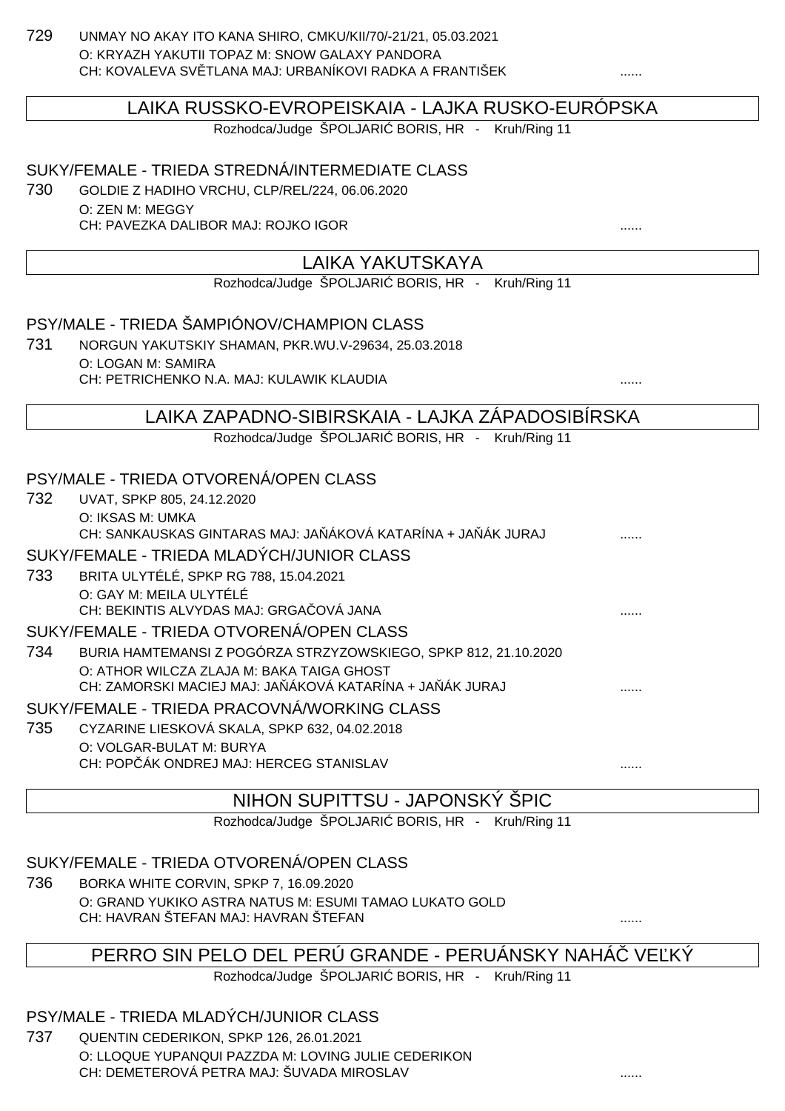729 UNMAY NO AKAY ITO KANA SHIRO, CMKU/KII/70/-21/21, 05.03.2021 O: KRYAZH YAKUTII TOPAZ M: SNOW GALAXY PANDORA CH: KOVALEVA SVĚTLANA MAJ: URBANÍKOVI RADKA A FRANTIŠEK ......

#### LAIKA RUSSKO-EVROPEISKAIA - LAJKA RUSKO-EURÓPSKA

Rozhodca/Judge ŠPOLJARI BORIS, HR - Kruh/Ring 11

#### SUKY/FEMALE - TRIEDA STREDNÁ/INTERMEDIATE CLASS

730 GOLDIE Z HADIHO VRCHU, CLP/REL/224, 06.06.2020 O: ZEN M: MEGGY CH: PAVEZKA DALIBOR MAJ: ROJKO IGOR ......

#### LAIKA YAKUTSKAYA

Rozhodca/Judge ŠPOLJARI BORIS, HR - Kruh/Ring 11

#### PSY/MALE - TRIEDA ŠAMPIÓNOV/CHAMPION CLASS 731 NORGUN YAKUTSKIY SHAMAN, PKR.WU.V-29634, 25.03.2018

O: LOGAN M: SAMIRA CH: PETRICHENKO N.A. MAJ: KULAWIK KLAUDIA

#### LAIKA ZAPADNO-SIBIRSKAIA - LAJKA ZÁPADOSIBÍRSKA

Rozhodca/Judge ŠPOLJARI BORIS, HR - Kruh/Ring 11

#### PSY/MALE - TRIEDA OTVORENÁ/OPEN CLASS

- 732 UVAT, SPKP 805, 24.12.2020 O: IKSAS M: UMKA CH: SANKAUSKAS GINTARAS MAJ: JA ÁKOVÁ KATARÍNA + JA ÁK JURAJ SUKY/FEMALE - TRIEDA MLADÝCH/JUNIOR CLASS 733 BRITA ULYTÉLÉ, SPKP RG 788, 15.04.2021
- O: GAY M: MEILA ULYTÉLÉ CH: BEKINTIS ALVYDAS MAJ: GRGAČOVÁ JANA ...... SUKY/FEMALE - TRIEDA OTVORENÁ/OPEN CLASS
- 734 BURIA HAMTEMANSI Z POGÓRZA STRZYZOWSKIEGO, SPKP 812, 21.10.2020 O: ATHOR WILCZA ZLAJA M: BAKA TAIGA GHOST CH: ZAMORSKI MACIEJ MAJ: JA ÁKOVÁ KATARÍNA + JA ÁK JURAJ  $\ldots$

#### SUKY/FEMALE - TRIEDA PRACOVNÁ/WORKING CLASS

735 CYZARINE LIESKOVÁ SKALA, SPKP 632, 04.02.2018 O: VOLGAR-BULAT M: BURYA CH: POP ÁK ONDREJ MAJ: HERCEG STANISLAV

#### NIHON SUPITTSU - JAPONSKÝ ŠPIC

Rozhodca/Judge ŠPOLJARI BORIS, HR - Kruh/Ring 11

#### SUKY/FEMALE - TRIEDA OTVORENÁ/OPEN CLASS

736 BORKA WHITE CORVIN, SPKP 7, 16.09.2020 O: GRAND YUKIKO ASTRA NATUS M: ESUMI TAMAO LUKATO GOLD CH: HAVRAN ŠTEFAN MAJ: HAVRAN ŠTEFAN ......

#### PERRO SIN PELO DEL PERÚ GRANDE - PERUÁNSKY NAHÁ $\;\;\;$ VE $\;\;$ KÝ

Rozhodca/Judge ŠPOLJARI BORIS, HR - Kruh/Ring 11

#### PSY/MALE - TRIEDA MLADÝCH/JUNIOR CLASS

737 QUENTIN CEDERIKON, SPKP 126, 26.01.2021 O: LLOQUE YUPANQUI PAZZDA M: LOVING JULIE CEDERIKON CH: DEMETEROVÁ PETRA MAJ: ŠUVADA MIROSLAV ......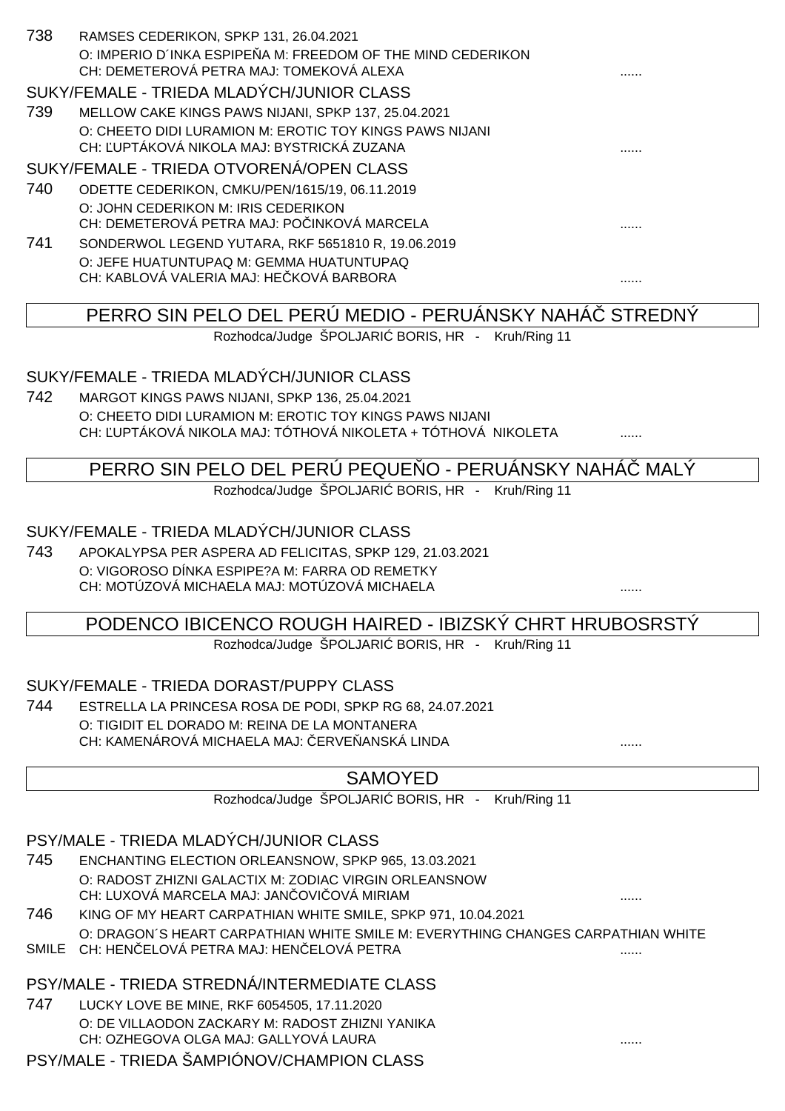| 738 | RAMSES CEDERIKON, SPKP 131, 26.04.2021                      |   |
|-----|-------------------------------------------------------------|---|
|     | O: IMPERIO D'INKA ESPIPE A M: FREEDOM OF THE MIND CEDERIKON |   |
|     | CH: DEMETEROVÁ PETRA MAJ: TOMEKOVÁ ALEXA                    | . |
|     | SUKY/FEMALE - TRIEDA MLADÝCH/JUNIOR CLASS                   |   |
| 739 | MELLOW CAKE KINGS PAWS NIJANI, SPKP 137, 25.04.2021         |   |
|     | O: CHEETO DIDI LURAMION M: EROTIC TOY KINGS PAWS NIJANI     |   |
|     | CH: UPTÁKOVÁ NIKOLA MAJ: BYSTRICKÁ ZUZANA                   | . |
|     | SUKY/FEMALE - TRIEDA OTVORENÁ/OPEN CLASS                    |   |
| 740 | ODETTE CEDERIKON, CMKU/PEN/1615/19, 06.11.2019              |   |
|     | O: JOHN CEDERIKON M: IRIS CEDERIKON                         |   |
|     | CH: DEMETEROVÁ PETRA MAJ: PO INKOVÁ MARCELA                 | . |
| 741 | SONDERWOL LEGEND YUTARA, RKF 5651810 R, 19.06.2019          |   |
|     | O: JEFE HUATUNTUPAQ M: GEMMA HUATUNTUPAQ                    |   |
|     | CH: KABLOVÁ VALERIA MAJ: HE KOVÁ BARBORA                    | . |
|     |                                                             |   |

PERRO SIN PELO DEL PERÚ MEDIO - PERUÁNSKY NAHÁ STREDNÝ

Rozhodca/Judge ŠPOLJARI BORIS, HR - Kruh/Ring 11

#### SUKY/FEMALE - TRIEDA MLADÝCH/JUNIOR CLASS

742 MARGOT KINGS PAWS NIJANI, SPKP 136, 25.04.2021 O: CHEETO DIDI LURAMION M: EROTIC TOY KINGS PAWS NIJANI CH: UPTÁKOVÁ NIKOLA MAJ: TÓTHOVÁ NIKOLETA + TÓTHOVÁ NIKOLETA  $\ldots$ 

#### PERRO SIN PELO DEL PERÚ PEQUE O - PERUÁNSKY NAHÁ MALÝ

Rozhodca/Judge ŠPOLJARI BORIS, HR - Kruh/Ring 11

#### SUKY/FEMALE - TRIEDA MLADÝCH/JUNIOR CLASS

743 APOKALYPSA PER ASPERA AD FELICITAS, SPKP 129, 21.03.2021 O: VIGOROSO DÍNKA ESPIPE?A M: FARRA OD REMETKY CH: MOTÚZOVÁ MICHAELA MAJ: MOTÚZOVÁ MICHAELA

#### PODENCO IBICENCO ROUGH HAIRED - IBIZSKÝ CHRT HRUBOSRSTÝ

Rozhodca/Judge ŠPOLJARI BORIS, HR - Kruh/Ring 11

#### SUKY/FEMALE - TRIEDA DORAST/PUPPY CLASS

744 ESTRELLA LA PRINCESA ROSA DE PODI, SPKP RG 68, 24.07.2021 O: TIGIDIT EL DORADO M: REINA DE LA MONTANERA CH: KAMENÁROVÁ MICHAELA MAJ: ČERVEŇANSKÁ LINDA ......

## SAMOYED

Rozhodca/Judge ŠPOLJARI BORIS, HR - Kruh/Ring 11

## PSY/MALE - TRIEDA MLADÝCH/JUNIOR CLASS

- 745 ENCHANTING ELECTION ORLEANSNOW, SPKP 965, 13.03.2021 O: RADOST ZHIZNI GALACTIX M: ZODIAC VIRGIN ORLEANSNOW CH: LUXOVÁ MARCELA MAJ: JANČOVIČOVÁ MIRIAM ......
- 746 KING OF MY HEART CARPATHIAN WHITE SMILE, SPKP 971, 10.04.2021 O: DRAGON´S HEART CARPATHIAN WHITE SMILE M: EVERYTHING CHANGES CARPATHIAN WHITE SMILE CH: HENČELOVÁ PETRA MAJ: HENČELOVÁ PETRA ......

## PSY/MALE - TRIEDA STREDNÁ/INTERMEDIATE CLASS

747 LUCKY LOVE BE MINE, RKF 6054505, 17.11.2020 O: DE VILLAODON ZACKARY M: RADOST ZHIZNI YANIKA CH: OZHEGOVA OLGA MAJ: GALLYOVÁ LAURA ......

#### PSY/MALE - TRIEDA ŠAMPIÓNOV/CHAMPION CLASS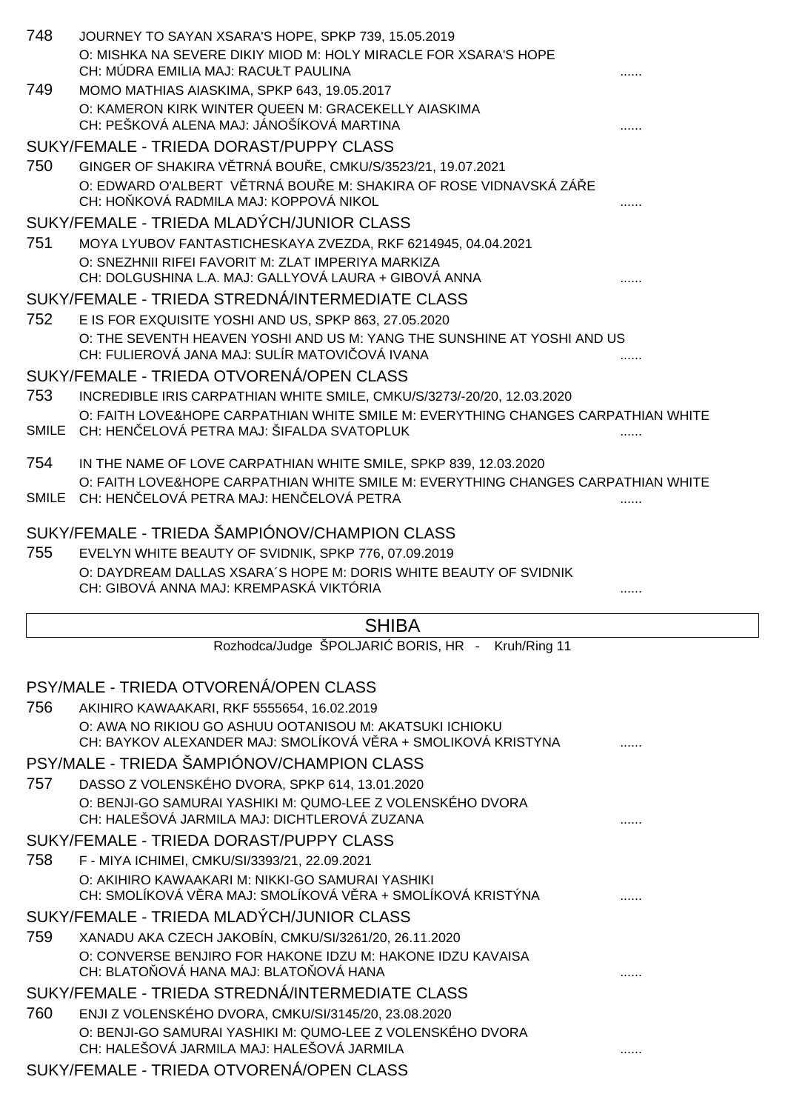|       | JOURNEY TO SAYAN XSARA'S HOPE, SPKP 739, 15.05.2019<br>O: MISHKA NA SEVERE DIKIY MIOD M: HOLY MIRACLE FOR XSARA'S HOPE<br>CH: MÚDRA EMILIA MAJ: RACUŁT PAULINA            |  |
|-------|---------------------------------------------------------------------------------------------------------------------------------------------------------------------------|--|
| 749   | MOMO MATHIAS AIASKIMA, SPKP 643, 19.05.2017<br>O: KAMERON KIRK WINTER QUEEN M: GRACEKELLY AIASKIMA<br>CH: PEŠKOVÁ ALENA MAJ: JÁNOŠÍKOVÁ MARTINA                           |  |
|       | SUKY/FEMALE - TRIEDA DORAST/PUPPY CLASS                                                                                                                                   |  |
| 750   | GINGER OF SHAKIRA V TRNÁ BOU E, CMKU/S/3523/21, 19.07.2021<br>O: EDWARD O'ALBERT V TRNÁ BOU E M: SHAKIRA OF ROSE VIDNAVSKÁ ZÁ E<br>CH: HO KOVÁ RADMILA MAJ: KOPPOVÁ NIKOL |  |
|       | SUKY/FEMALE - TRIEDA MLADÝCH/JUNIOR CLASS                                                                                                                                 |  |
| 751   | MOYA LYUBOV FANTASTICHESKAYA ZVEZDA, RKF 6214945, 04.04.2021                                                                                                              |  |
|       | O: SNEZHNII RIFEI FAVORIT M: ZLAT IMPERIYA MARKIZA<br>CH: DOLGUSHINA L.A. MAJ: GALLYOVÁ LAURA + GIBOVÁ ANNA                                                               |  |
|       | SUKY/FEMALE - TRIEDA STREDNÁ/INTERMEDIATE CLASS                                                                                                                           |  |
| 752   | E IS FOR EXQUISITE YOSHI AND US, SPKP 863, 27.05.2020                                                                                                                     |  |
|       | O: THE SEVENTH HEAVEN YOSHI AND US M: YANG THE SUNSHINE AT YOSHI AND US<br>CH: FULIEROVÁ JANA MAJ: SULÍR MATOVI OVÁ IVANA                                                 |  |
|       | SUKY/FEMALE - TRIEDA OTVORENÁ/OPEN CLASS                                                                                                                                  |  |
| 753   | INCREDIBLE IRIS CARPATHIAN WHITE SMILE, CMKU/S/3273/-20/20, 12.03.2020                                                                                                    |  |
|       | O: FAITH LOVE&HOPE CARPATHIAN WHITE SMILE M: EVERYTHING CHANGES CARPATHIAN WHITE<br>SMILE CH: HEN ELOVÁ PETRA MAJ: ŠIFALDA SVATOPLUK                                      |  |
| 754   | IN THE NAME OF LOVE CARPATHIAN WHITE SMILE, SPKP 839, 12.03.2020                                                                                                          |  |
| SMILE | O: FAITH LOVE&HOPE CARPATHIAN WHITE SMILE M: EVERYTHING CHANGES CARPATHIAN WHITE<br>CH: HEN ELOVÁ PETRA MAJ: HEN ELOVÁ PETRA                                              |  |
|       | SUKY/FEMALE - TRIEDA ŠAMPIÓNOV/CHAMPION CLASS                                                                                                                             |  |
| 755   | EVELYN WHITE BEAUTY OF SVIDNIK, SPKP 776, 07.09.2019                                                                                                                      |  |
|       | O: DAYDREAM DALLAS XSARA'S HOPE M: DORIS WHITE BEAUTY OF SVIDNIK                                                                                                          |  |
|       | CH: GIBOVÁ ANNA MAJ: KREMPASKÁ VIKTÓRIA                                                                                                                                   |  |
|       | <b>SHIBA</b>                                                                                                                                                              |  |
|       | Rozhodca/Judge ŠPOLJARI BORIS, HR - Kruh/Ring 11                                                                                                                          |  |
|       | PSY/MALE - TRIEDA OTVORENÁ/OPEN CLASS                                                                                                                                     |  |
| 756   | AKIHIRO KAWAAKARI, RKF 5555654, 16.02.2019                                                                                                                                |  |
|       | O: AWA NO RIKIOU GO ASHUU OOTANISOU M: AKATSUKI ICHIOKU<br>CH: BAYKOV ALEXANDER MAJ: SMOLÍKOVÁ V RA + SMOLIKOVÁ KRISTYNA                                                  |  |
|       | PSY/MALE - TRIEDA ŠAMPIÓNOV/CHAMPION CLASS                                                                                                                                |  |
| 757   | DASSO Z VOLENSKÉHO DVORA, SPKP 614, 13.01.2020<br>O: BENJI-GO SAMURAI YASHIKI M: QUMO-LEE Z VOLENSKÉHO DVORA                                                              |  |
|       | CH: HALEŠOVÁ JARMILA MAJ: DICHTLEROVÁ ZUZANA                                                                                                                              |  |
|       | SUKY/FEMALE - TRIEDA DORAST/PUPPY CLASS                                                                                                                                   |  |
| 758   | F - MIYA ICHIMEI, CMKU/SI/3393/21, 22.09.2021                                                                                                                             |  |
|       | O: AKIHIRO KAWAAKARI M: NIKKI-GO SAMURAI YASHIKI<br>CH: SMOLÍKOVÁ V RA MAJ: SMOLÍKOVÁ V RA + SMOLÍKOVÁ KRISTÝNA                                                           |  |
|       | SUKY/FEMALE - TRIEDA MLADÝCH/JUNIOR CLASS                                                                                                                                 |  |
| 759   | XANADU AKA CZECH JAKOBÍN, CMKU/SI/3261/20, 26.11.2020<br>O: CONVERSE BENJIRO FOR HAKONE IDZU M: HAKONE IDZU KAVAISA                                                       |  |
|       | CH: BLATO OVÁ HANA MAJ: BLATO OVÁ HANA                                                                                                                                    |  |
|       | SUKY/FEMALE - TRIEDA STREDNÁ/INTERMEDIATE CLASS                                                                                                                           |  |
| 760   | ENJI Z VOLENSKÉHO DVORA, CMKU/SI/3145/20, 23.08.2020                                                                                                                      |  |
|       | O: BENJI-GO SAMURAI YASHIKI M: QUMO-LEE Z VOLENSKÉHO DVORA<br>CH: HALEŠOVÁ JARMILA MAJ: HALEŠOVÁ JARMILA                                                                  |  |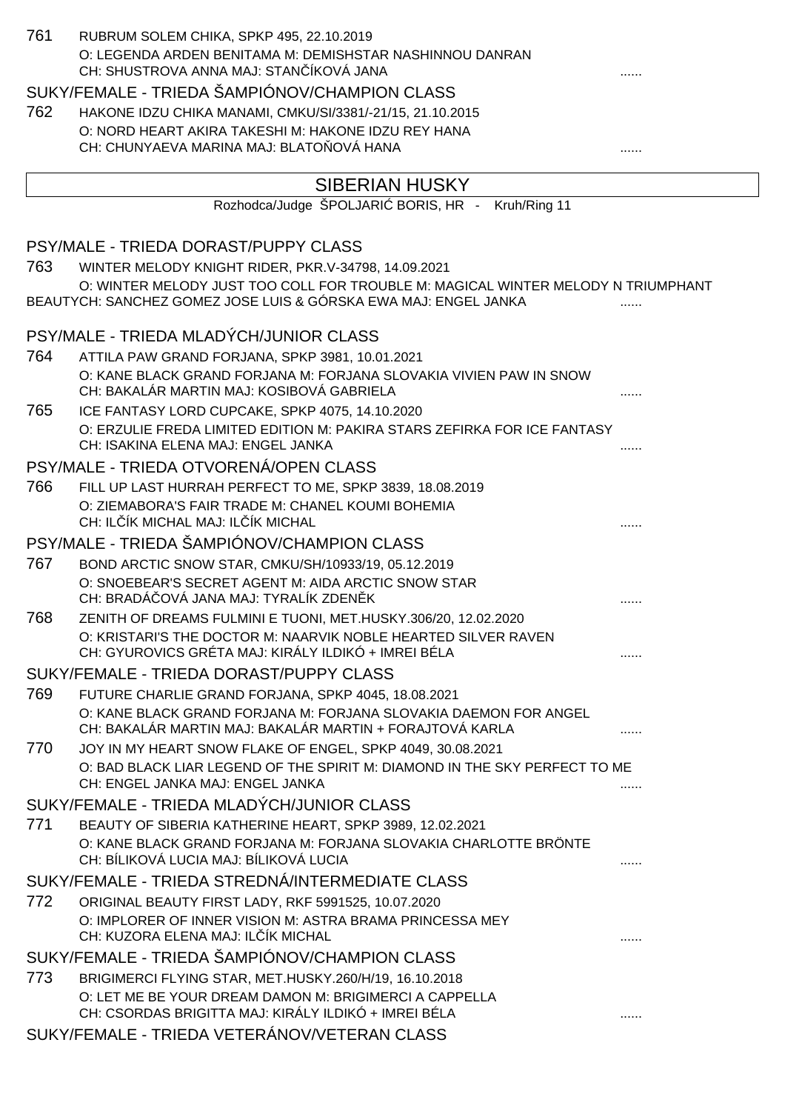| 761  | RUBRUM SOLEM CHIKA, SPKP 495, 22.10.2019                                                                                     |   |
|------|------------------------------------------------------------------------------------------------------------------------------|---|
|      | O: LEGENDA ARDEN BENITAMA M: DEMISHSTAR NASHINNOU DANRAN<br>CH: SHUSTROVA ANNA MAJ: STAN ÍKOVÁ JANA                          |   |
|      | SUKY/FEMALE - TRIEDA ŠAMPIÓNOV/CHAMPION CLASS                                                                                |   |
| 762  | HAKONE IDZU CHIKA MANAMI, CMKU/SI/3381/-21/15, 21.10.2015                                                                    |   |
|      | O: NORD HEART AKIRA TAKESHI M: HAKONE IDZU REY HANA                                                                          |   |
|      | CH: CHUNYAEVA MARINA MAJ: BLATO OVÁ HANA                                                                                     |   |
|      | <b>SIBERIAN HUSKY</b>                                                                                                        |   |
|      | Rozhodca/Judge ŠPOLJARI BORIS, HR - Kruh/Ring 11                                                                             |   |
|      | PSY/MALE - TRIEDA DORAST/PUPPY CLASS                                                                                         |   |
| 763  | WINTER MELODY KNIGHT RIDER, PKR.V-34798, 14.09.2021                                                                          |   |
|      | O: WINTER MELODY JUST TOO COLL FOR TROUBLE M: MAGICAL WINTER MELODY N TRIUMPHANT                                             |   |
|      | BEAUTYCH: SANCHEZ GOMEZ JOSE LUIS & GÓRSKA EWA MAJ: ENGEL JANKA                                                              |   |
|      | PSY/MALE - TRIEDA MLADÝCH/JUNIOR CLASS                                                                                       |   |
| 764  | ATTILA PAW GRAND FORJANA, SPKP 3981, 10.01.2021                                                                              |   |
|      | O: KANE BLACK GRAND FORJANA M: FORJANA SLOVAKIA VIVIEN PAW IN SNOW<br>CH: BAKALÁR MARTIN MAJ: KOSIBOVÁ GABRIELA              |   |
| 765  | ICE FANTASY LORD CUPCAKE, SPKP 4075, 14.10.2020                                                                              |   |
|      | O: ERZULIE FREDA LIMITED EDITION M: PAKIRA STARS ZEFIRKA FOR ICE FANTASY                                                     |   |
|      | CH: ISAKINA ELENA MAJ: ENGEL JANKA                                                                                           |   |
|      | PSY/MALE - TRIEDA OTVORENÁ/OPEN CLASS                                                                                        |   |
| 766  | FILL UP LAST HURRAH PERFECT TO ME, SPKP 3839, 18.08.2019                                                                     |   |
|      | O: ZIEMABORA'S FAIR TRADE M: CHANEL KOUMI BOHEMIA                                                                            |   |
|      | CH: IL IK MICHAL MAJ: IL IK MICHAL                                                                                           |   |
| 767  | PSY/MALE - TRIEDA ŠAMPIÓNOV/CHAMPION CLASS                                                                                   |   |
|      | BOND ARCTIC SNOW STAR, CMKU/SH/10933/19, 05.12.2019<br>O: SNOEBEAR'S SECRET AGENT M: AIDA ARCTIC SNOW STAR                   |   |
|      | CH: BRADÁ OVÁ JANA MAJ: TYRALÍK ZDEN K                                                                                       |   |
| 768  | ZENITH OF DREAMS FULMINI E TUONI, MET.HUSKY.306/20, 12.02.2020                                                               |   |
|      | O: KRISTARI'S THE DOCTOR M: NAARVIK NOBLE HEARTED SILVER RAVEN                                                               |   |
|      | CH: GYUROVICS GRÉTA MAJ: KIRÁLY ILDIKÓ + IMREI BÉLA                                                                          |   |
|      | SUKY/FEMALE - TRIEDA DORAST/PUPPY CLASS                                                                                      |   |
| 769  | FUTURE CHARLIE GRAND FORJANA, SPKP 4045, 18.08.2021<br>O: KANE BLACK GRAND FORJANA M: FORJANA SLOVAKIA DAEMON FOR ANGEL      |   |
|      | CH: BAKALÁR MARTIN MAJ: BAKALÁR MARTIN + FORAJTOVÁ KARLA                                                                     |   |
| 770  | JOY IN MY HEART SNOW FLAKE OF ENGEL, SPKP 4049, 30.08.2021                                                                   |   |
|      | O: BAD BLACK LIAR LEGEND OF THE SPIRIT M: DIAMOND IN THE SKY PERFECT TO ME                                                   |   |
|      | CH: ENGEL JANKA MAJ: ENGEL JANKA                                                                                             |   |
|      | SUKY/FEMALE - TRIEDA MLADÝCH/JUNIOR CLASS                                                                                    |   |
| 771  | BEAUTY OF SIBERIA KATHERINE HEART, SPKP 3989, 12.02.2021<br>O: KANE BLACK GRAND FORJANA M: FORJANA SLOVAKIA CHARLOTTE BRÖNTE |   |
|      | CH: BÍLIKOVÁ LUCIA MAJ: BÍLIKOVÁ LUCIA                                                                                       | . |
|      | SUKY/FEMALE - TRIEDA STREDNÁ/INTERMEDIATE CLASS                                                                              |   |
| 772. | ORIGINAL BEAUTY FIRST LADY, RKF 5991525, 10.07.2020                                                                          |   |
|      | O: IMPLORER OF INNER VISION M: ASTRA BRAMA PRINCESSA MEY                                                                     |   |
|      | CH: KUZORA ELENA MAJ: IL ÍK MICHAL                                                                                           |   |
|      | SUKY/FEMALE - TRIEDA ŠAMPIÓNOV/CHAMPION CLASS                                                                                |   |
| 773  | BRIGIMERCI FLYING STAR, MET.HUSKY.260/H/19, 16.10.2018                                                                       |   |
|      | O: LET ME BE YOUR DREAM DAMON M: BRIGIMERCI A CAPPELLA<br>CH: CSORDAS BRIGITTA MAJ: KIRÁLY ILDIKÓ + IMREI BÉLA               |   |
|      | SUKY/FEMALE - TRIEDA VETERÁNOV/VETERAN CLASS                                                                                 |   |
|      |                                                                                                                              |   |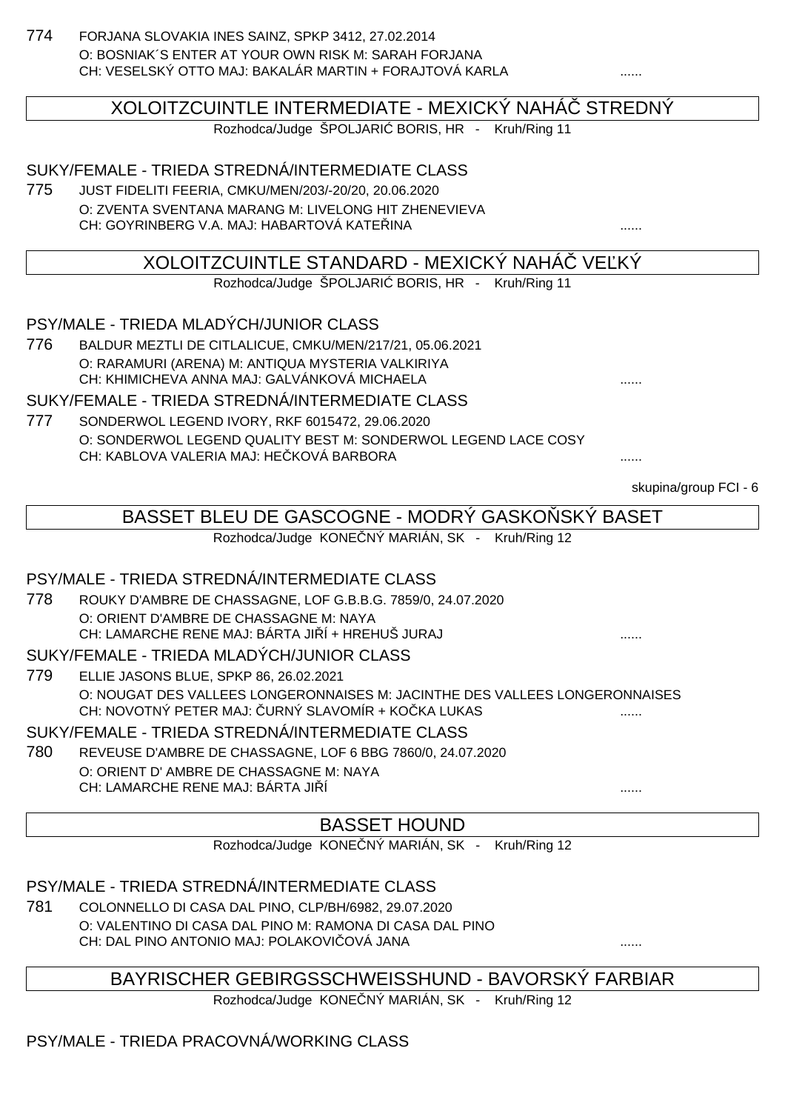774 FORJANA SLOVAKIA INES SAINZ, SPKP 3412, 27.02.2014 O: BOSNIAK´S ENTER AT YOUR OWN RISK M: SARAH FORJANA CH: VESELSKÝ OTTO MAJ: BAKALÁR MARTIN + FORAJTOVÁ KARLA ......

XOLOITZCUINTLE INTERMEDIATE - MEXICKÝ NAHÁČ STREDNÝ

Rozhodca/Judge ŠPOLJARI BORIS, HR - Kruh/Ring 11

SUKY/FEMALE - TRIEDA STREDNÁ/INTERMEDIATE CLASS

775 JUST FIDELITI FEERIA, CMKU/MEN/203/-20/20, 20.06.2020 O: ZVENTA SVENTANA MARANG M: LIVELONG HIT ZHENEVIEVA CH: GOYRINBERG V.A. MAJ: HABARTOVÁ KATEŘINA ......

## XOLOITZCUINTLE STANDARD - MEXICKÝ NAHÁ VE KÝ

Rozhodca/Judge ŠPOLJARI BORIS, HR - Kruh/Ring 11

PSY/MALE - TRIEDA MLADÝCH/JUNIOR CLASS

776 BALDUR MEZTLI DE CITLALICUE, CMKU/MEN/217/21, 05.06.2021 O: RARAMURI (ARENA) M: ANTIQUA MYSTERIA VALKIRIYA CH: KHIMICHEVA ANNA MAJ: GALVÁNKOVÁ MICHAELA ......

SUKY/FEMALE - TRIEDA STREDNÁ/INTERMEDIATE CLASS

777 SONDERWOL LEGEND IVORY, RKF 6015472, 29.06.2020 O: SONDERWOL LEGEND QUALITY BEST M: SONDERWOL LEGEND LACE COSY CH: KABLOVA VALERIA MAJ: HEČKOVÁ BARBORA ......

skupina/group FCI - 6

# BASSET BLEU DE GASCOGNE - MODRÝ GASKO SKÝ BASET

Rozhodca/Judge KONE NÝ MARIÁN, SK - Kruh/Ring 12

#### PSY/MALE - TRIEDA STREDNÁ/INTERMEDIATE CLASS

778 ROUKY D'AMBRE DE CHASSAGNE, LOF G.B.B.G. 7859/0, 24.07.2020 O: ORIENT D'AMBRE DE CHASSAGNE M: NAYA CH: LAMARCHE RENE MAJ: BÁRTA JIÍ + HREHUŠ JURAJ .......

SUKY/FEMALE - TRIEDA MLADÝCH/JUNIOR CLASS

779 ELLIE JASONS BLUE, SPKP 86, 26.02.2021 O: NOUGAT DES VALLEES LONGERONNAISES M: JACINTHE DES VALLEES LONGERONNAISES CH: NOVOTNÝ PETER MAJ: URNÝ SLAVOMÍR + KOČKA LUKAS ..............................

SUKY/FEMALE - TRIEDA STREDNÁ/INTERMEDIATE CLASS

780 REVEUSE D'AMBRE DE CHASSAGNE, LOF 6 BBG 7860/0, 24.07.2020 O: ORIENT D' AMBRE DE CHASSAGNE M: NAYA CH: LAMARCHE RENE MAJ: BÁRTA JIÍ

## BASSET HOUND

Rozhodca/Judge KONE NÝ MARIÁN, SK - Kruh/Ring 12

PSY/MALE - TRIEDA STREDNÁ/INTERMEDIATE CLASS

781 COLONNELLO DI CASA DAL PINO, CLP/BH/6982, 29.07.2020 O: VALENTINO DI CASA DAL PINO M: RAMONA DI CASA DAL PINO CH: DAL PINO ANTONIO MAJ: POLAKOVIČOVÁ JANA ......

#### BAYRISCHER GEBIRGSSCHWEISSHUND - BAVORSKÝ FARBIAR

Rozhodca/Judge KONE NÝ MARIÁN, SK - Kruh/Ring 12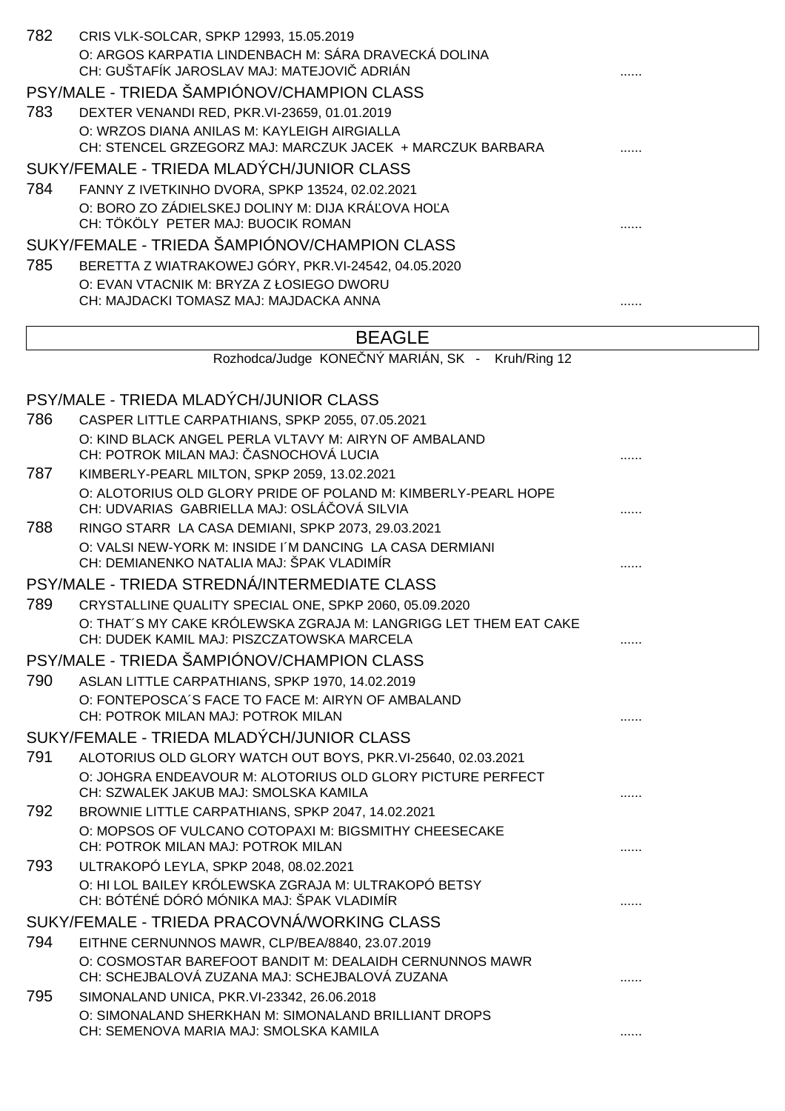| 782                                         | CRIS VLK-SOLCAR, SPKP 12993, 15.05.2019<br>O: ARGOS KARPATIA LINDENBACH M: SÁRA DRAVECKÁ DOLINA<br>CH: GUŠTAFÍK JAROSLAV MAJ: MATEJOVI ADRIÁN |   |
|---------------------------------------------|-----------------------------------------------------------------------------------------------------------------------------------------------|---|
|                                             | PSY/MALE - TRIEDA ŠAMPIÓNOV/CHAMPION CLASS                                                                                                    |   |
| 783                                         | DEXTER VENANDI RED, PKR. VI-23659, 01.01.2019                                                                                                 |   |
|                                             | O: WRZOS DIANA ANILAS M: KAYLEIGH AIRGIALLA<br>CH: STENCEL GRZEGORZ MAJ: MARCZUK JACEK + MARCZUK BARBARA                                      |   |
|                                             | SUKY/FEMALE - TRIEDA MLADÝCH/JUNIOR CLASS                                                                                                     |   |
| 784                                         | FANNY Z IVETKINHO DVORA, SPKP 13524, 02.02.2021                                                                                               |   |
|                                             | O: BORO ZO ZÁDIELSKEJ DOLINY M: DIJA KRÁ OVA HO A                                                                                             |   |
|                                             | CH: TÖKÖLY PETER MAJ: BUOCIK ROMAN                                                                                                            |   |
|                                             | SUKY/FEMALE - TRIEDA ŠAMPIÓNOV/CHAMPION CLASS                                                                                                 |   |
| 785                                         | BERETTA Z WIATRAKOWEJ GÓRY, PKR.VI-24542, 04.05.2020<br>O: EVAN VTACNIK M: BRYZA Z ŁOSIEGO DWORU                                              |   |
|                                             | CH: MAJDACKI TOMASZ MAJ: MAJDACKA ANNA                                                                                                        |   |
|                                             |                                                                                                                                               |   |
|                                             | <b>BEAGLE</b>                                                                                                                                 |   |
|                                             | Rozhodca/Judge KONE NÝ MARIÁN, SK - Kruh/Ring 12                                                                                              |   |
|                                             |                                                                                                                                               |   |
|                                             | PSY/MALE - TRIEDA MLADÝCH/JUNIOR CLASS                                                                                                        |   |
| 786                                         | CASPER LITTLE CARPATHIANS, SPKP 2055, 07.05.2021<br>O: KIND BLACK ANGEL PERLA VLTAVY M: AIRYN OF AMBALAND                                     |   |
|                                             | CH: POTROK MILAN MAJ: ASNOCHOVÁ LUCIA                                                                                                         |   |
| 787                                         | KIMBERLY-PEARL MILTON, SPKP 2059, 13.02.2021                                                                                                  |   |
|                                             | O: ALOTORIUS OLD GLORY PRIDE OF POLAND M: KIMBERLY-PEARL HOPE                                                                                 |   |
|                                             | CH: UDVARIAS GABRIELLA MAJ: OSLÁ OVÁ SILVIA                                                                                                   |   |
| 788                                         | RINGO STARR LA CASA DEMIANI, SPKP 2073, 29.03.2021                                                                                            |   |
|                                             | O: VALSI NEW-YORK M: INSIDE I'M DANCING LA CASA DERMIANI<br>CH: DEMIANENKO NATALIA MAJ: ŠPAK VLADIMÍR                                         |   |
|                                             | PSY/MALE - TRIEDA STREDNÁ/INTERMEDIATE CLASS                                                                                                  |   |
| 789                                         | CRYSTALLINE QUALITY SPECIAL ONE, SPKP 2060, 05.09.2020                                                                                        |   |
|                                             | O: THAT'S MY CAKE KRÓLEWSKA ZGRAJA M: LANGRIGG LET THEM EAT CAKE<br>CH: DUDEK KAMIL MAJ: PISZCZATOWSKA MARCELA                                | . |
|                                             | PSY/MALE - TRIEDA ŠAMPIÓNOV/CHAMPION CLASS                                                                                                    |   |
| 790                                         | ASLAN LITTLE CARPATHIANS, SPKP 1970, 14.02.2019                                                                                               |   |
|                                             | O: FONTEPOSCA'S FACE TO FACE M: AIRYN OF AMBALAND                                                                                             |   |
|                                             | CH: POTROK MILAN MAJ: POTROK MILAN                                                                                                            |   |
|                                             | SUKY/FEMALE - TRIEDA MLADÝCH/JUNIOR CLASS                                                                                                     |   |
| 791                                         | ALOTORIUS OLD GLORY WATCH OUT BOYS, PKR.VI-25640, 02.03.2021                                                                                  |   |
|                                             | O: JOHGRA ENDEAVOUR M: ALOTORIUS OLD GLORY PICTURE PERFECT<br>CH: SZWALEK JAKUB MAJ: SMOLSKA KAMILA                                           |   |
| 792                                         | BROWNIE LITTLE CARPATHIANS, SPKP 2047, 14.02.2021                                                                                             |   |
|                                             | O: MOPSOS OF VULCANO COTOPAXI M: BIGSMITHY CHEESECAKE<br>CH: POTROK MILAN MAJ: POTROK MILAN                                                   | . |
| 793                                         | ULTRAKOPÓ LEYLA, SPKP 2048, 08.02.2021                                                                                                        |   |
|                                             | O: HI LOL BAILEY KRÓLEWSKA ZGRAJA M: ULTRAKOPÓ BETSY<br>CH: BÓTÉNÉ DÓRÓ MÓNIKA MAJ: ŠPAK VLADIMÍR                                             |   |
| SUKY/FEMALE - TRIEDA PRACOVNÁ/WORKING CLASS |                                                                                                                                               |   |
| 794                                         | EITHNE CERNUNNOS MAWR, CLP/BEA/8840, 23.07.2019                                                                                               |   |
|                                             | O: COSMOSTAR BAREFOOT BANDIT M: DEALAIDH CERNUNNOS MAWR<br>CH: SCHEJBALOVÁ ZUZANA MAJ: SCHEJBALOVÁ ZUZANA                                     |   |
| 795                                         | SIMONALAND UNICA, PKR. VI-23342, 26.06.2018                                                                                                   |   |
|                                             | O: SIMONALAND SHERKHAN M: SIMONALAND BRILLIANT DROPS                                                                                          |   |
|                                             | CH: SEMENOVA MARIA MAJ: SMOLSKA KAMILA                                                                                                        |   |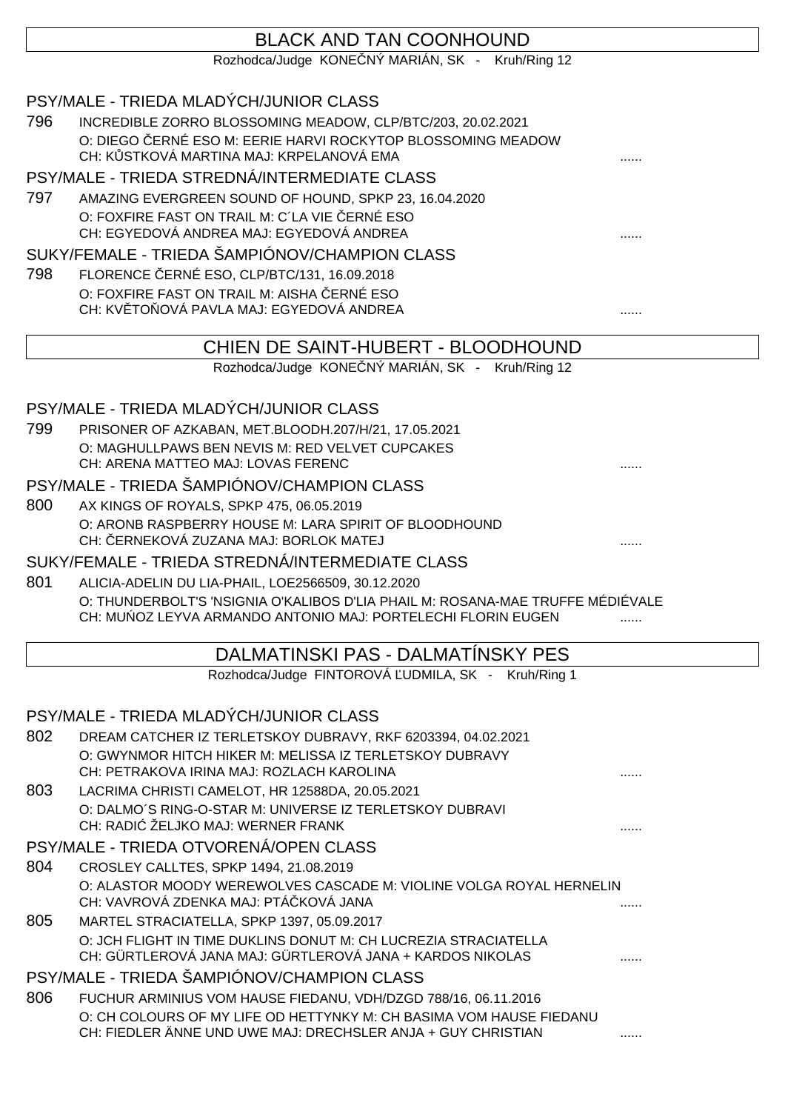## BLACK AND TAN COONHOUND

Rozhodca/Judge KONE NÝ MARIÁN, SK - Kruh/Ring 12

#### PSY/MALE - TRIEDA MLADÝCH/JUNIOR CLASS

796 INCREDIBLE ZORRO BLOSSOMING MEADOW, CLP/BTC/203, 20.02.2021 O: DIEGO ČERNÉ ESO M: EERIE HARVI ROCKYTOP BLOSSOMING MEADOW CH: K STKOVÁ MARTINA MAJ: KRPELANOVÁ EMA

#### PSY/MALE - TRIEDA STREDNÁ/INTERMEDIATE CLASS

797 AMAZING EVERGREEN SOUND OF HOUND, SPKP 23, 16.04.2020 O: FOXFIRE FAST ON TRAIL M: C'LA VIE ERNÉ ESO CH: EGYEDOVÁ ANDREA MAJ: EGYEDOVÁ ANDREA

#### SUKY/FEMALE - TRIEDA ŠAMPIÓNOV/CHAMPION CLASS

798 FLORENCE ERNÉ ESO, CLP/BTC/131, 16.09.2018 O: FOXFIRE FAST ON TRAIL M: AISHA ERNÉ ESO CH: KVĚTOŇOVÁ PAVLA MAJ: EGYEDOVÁ ANDREA ......

## CHIEN DE SAINT-HUBERT - BLOODHOUND

Rozhodca/Judge KONE NÝ MARIÁN, SK - Kruh/Ring 12

#### PSY/MALE - TRIEDA MLADÝCH/JUNIOR CLASS

799 PRISONER OF AZKABAN, MET.BLOODH.207/H/21, 17.05.2021 O: MAGHULLPAWS BEN NEVIS M: RED VELVET CUPCAKES CH: ARENA MATTEO MAJ: LOVAS FERENC

#### PSY/MALE - TRIEDA ŠAMPIÓNOV/CHAMPION CLASS

800 AX KINGS OF ROYALS, SPKP 475, 06.05.2019 O: ARONB RASPBERRY HOUSE M: LARA SPIRIT OF BLOODHOUND CH: ČERNEKOVÁ ZUZANA MAJ: BORLOK MATEJ ......

#### SUKY/FEMALE - TRIEDA STREDNÁ/INTERMEDIATE CLASS

801 ALICIA-ADELIN DU LIA-PHAIL, LOE2566509, 30.12.2020 O: THUNDERBOLT'S 'NSIGNIA O'KALIBOS D'LIA PHAIL M: ROSANA-MAE TRUFFE MÉDIÉVALE CH: MU OZ LEYVA ARMANDO ANTONIO MAJ: PORTELECHI FLORIN EUGEN

### DALMATINSKI PAS - DALMATÍNSKY PES

Rozhodca/Judge FINTOROVÁ UDMILA, SK - Kruh/Ring 1

#### PSY/MALE - TRIEDA MLADÝCH/JUNIOR CLASS

- 802 DREAM CATCHER IZ TERLETSKOY DUBRAVY, RKF 6203394, 04.02.2021 O: GWYNMOR HITCH HIKER M: MELISSA IZ TERLETSKOY DUBRAVY CH: PETRAKOVA IRINA MAJ: ROZLACH KAROLINA 803 LACRIMA CHRISTI CAMELOT, HR 12588DA, 20.05.2021 O: DALMO´S RING-O-STAR M: UNIVERSE IZ TERLETSKOY DUBRAVI CH: RADIĆ ŽELJKO MAJ: WERNER FRANK ...... PSY/MALE - TRIEDA OTVORENÁ/OPEN CLASS
- 804 CROSLEY CALLTES, SPKP 1494, 21.08.2019 O: ALASTOR MOODY WEREWOLVES CASCADE M: VIOLINE VOLGA ROYAL HERNELIN CH: VAVROVÁ ZDENKA MAJ: PTÁ KOVÁ JANA
- 805 MARTEL STRACIATELLA, SPKP 1397, 05.09.2017 O: JCH FLIGHT IN TIME DUKLINS DONUT M: CH LUCREZIA STRACIATELLA CH: GÜRTLEROVÁ JANA MAJ: GÜRTLEROVÁ JANA + KARDOS NIKOLAS ......

#### PSY/MALE - TRIEDA ŠAMPIÓNOV/CHAMPION CLASS

806 FUCHUR ARMINIUS VOM HAUSE FIEDANU, VDH/DZGD 788/16, 06.11.2016 O: CH COLOURS OF MY LIFE OD HETTYNKY M: CH BASIMA VOM HAUSE FIEDANU CH: FIEDLER ÄNNE UND UWE MAJ: DRECHSLER ANJA + GUY CHRISTIAN ......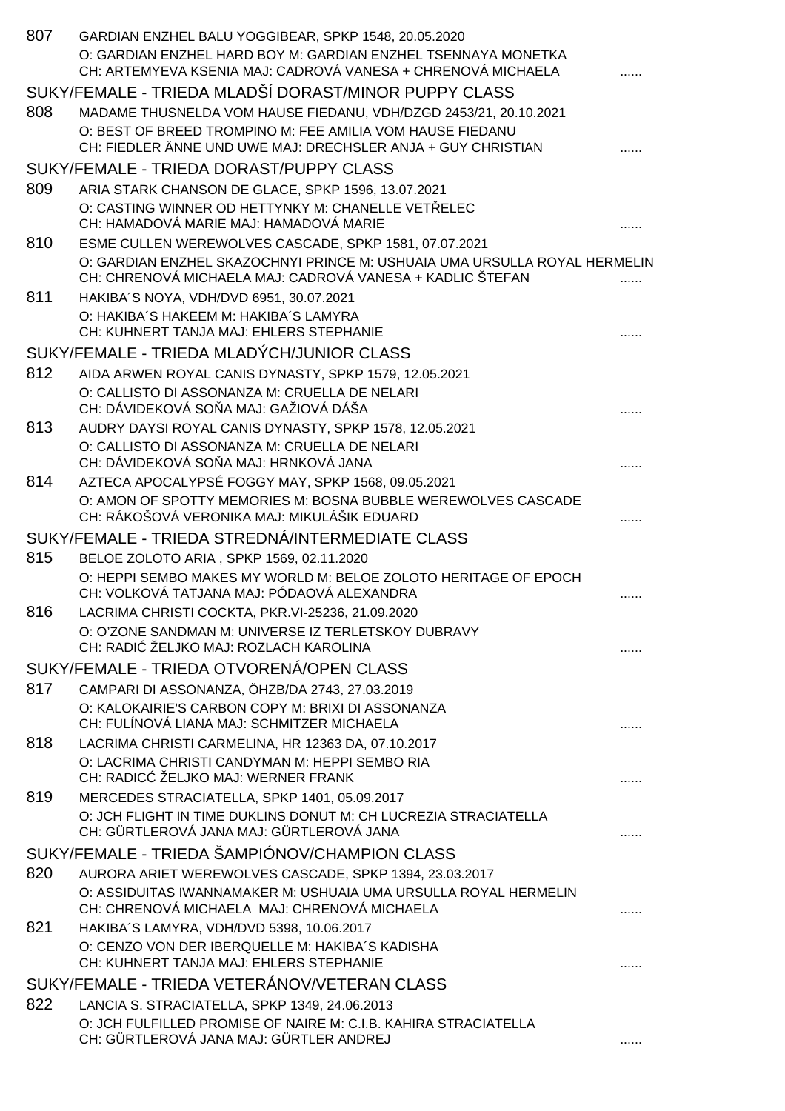| 807 | GARDIAN ENZHEL BALU YOGGIBEAR, SPKP 1548, 20.05.2020                                                                                   |   |
|-----|----------------------------------------------------------------------------------------------------------------------------------------|---|
|     | O: GARDIAN ENZHEL HARD BOY M: GARDIAN ENZHEL TSENNAYA MONETKA<br>CH: ARTEMYEVA KSENIA MAJ: CADROVÁ VANESA + CHRENOVÁ MICHAELA          |   |
|     | SUKY/FEMALE - TRIEDA MLADŠÍ DORAST/MINOR PUPPY CLASS                                                                                   |   |
| 808 | MADAME THUSNELDA VOM HAUSE FIEDANU, VDH/DZGD 2453/21, 20.10.2021                                                                       |   |
|     | O: BEST OF BREED TROMPINO M: FEE AMILIA VOM HAUSE FIEDANU<br>CH: FIEDLER ÄNNE UND UWE MAJ: DRECHSLER ANJA + GUY CHRISTIAN              |   |
|     | SUKY/FEMALE - TRIEDA DORAST/PUPPY CLASS                                                                                                |   |
| 809 | ARIA STARK CHANSON DE GLACE, SPKP 1596, 13.07.2021                                                                                     |   |
|     | O: CASTING WINNER OD HETTYNKY M: CHANELLE VET ELEC<br>CH: HAMADOVÁ MARIE MAJ: HAMADOVÁ MARIE                                           |   |
| 810 | ESME CULLEN WEREWOLVES CASCADE, SPKP 1581, 07.07.2021                                                                                  |   |
|     | O: GARDIAN ENZHEL SKAZOCHNYI PRINCE M: USHUAIA UMA URSULLA ROYAL HERMELIN<br>CH: CHRENOVÁ MICHAELA MAJ: CADROVÁ VANESA + KADLIC ŠTEFAN |   |
| 811 | HAKIBA'S NOYA, VDH/DVD 6951, 30.07.2021                                                                                                |   |
|     | O: HAKIBA'S HAKEEM M: HAKIBA'S LAMYRA<br>CH: KUHNERT TANJA MAJ: EHLERS STEPHANIE                                                       |   |
|     | SUKY/FEMALE - TRIEDA MLADÝCH/JUNIOR CLASS                                                                                              |   |
| 812 | AIDA ARWEN ROYAL CANIS DYNASTY, SPKP 1579, 12.05.2021                                                                                  |   |
|     | O: CALLISTO DI ASSONANZA M: CRUELLA DE NELARI<br>CH: DÁVIDEKOVÁ SO A MAJ: GAŽIOVÁ DÁŠA                                                 |   |
| 813 | AUDRY DAYSI ROYAL CANIS DYNASTY, SPKP 1578, 12.05.2021                                                                                 |   |
|     | O: CALLISTO DI ASSONANZA M: CRUELLA DE NELARI<br>CH: DÁVIDEKOVÁ SO A MAJ: HRNKOVÁ JANA                                                 |   |
| 814 | AZTECA APOCALYPSÉ FOGGY MAY, SPKP 1568, 09.05.2021                                                                                     |   |
|     | O: AMON OF SPOTTY MEMORIES M: BOSNA BUBBLE WEREWOLVES CASCADE<br>CH: RÁKOŠOVÁ VERONIKA MAJ: MIKULÁŠIK EDUARD                           |   |
|     | SUKY/FEMALE - TRIEDA STREDNÁ/INTERMEDIATE CLASS                                                                                        |   |
| 815 | BELOE ZOLOTO ARIA, SPKP 1569, 02.11.2020                                                                                               |   |
|     | O: HEPPI SEMBO MAKES MY WORLD M: BELOE ZOLOTO HERITAGE OF EPOCH<br>CH: VOLKOVÁ TATJANA MAJ: PÓDAOVÁ ALEXANDRA                          |   |
| 816 | LACRIMA CHRISTI COCKTA, PKR.VI-25236, 21.09.2020                                                                                       |   |
|     | O: O'ZONE SANDMAN M: UNIVERSE IZ TERLETSKOY DUBRAVY<br>CH: RADI ŽELJKO MAJ: ROZLACH KAROLINA                                           |   |
|     | SUKY/FEMALE - TRIEDA OTVORENÁ/OPEN CLASS                                                                                               |   |
| 817 | CAMPARI DI ASSONANZA, ÖHZB/DA 2743, 27.03.2019                                                                                         |   |
|     | O: KALOKAIRIE'S CARBON COPY M: BRIXI DI ASSONANZA                                                                                      |   |
|     | CH: FULÍNOVÁ LIANA MAJ: SCHMITZER MICHAELA                                                                                             | . |
| 818 | LACRIMA CHRISTI CARMELINA, HR 12363 DA, 07.10.2017<br>O: LACRIMA CHRISTI CANDYMAN M: HEPPI SEMBO RIA                                   |   |
|     | CH: RADIC ŽELJKO MAJ: WERNER FRANK                                                                                                     |   |
| 819 | MERCEDES STRACIATELLA, SPKP 1401, 05.09.2017                                                                                           |   |
|     | O: JCH FLIGHT IN TIME DUKLINS DONUT M: CH LUCREZIA STRACIATELLA<br>CH: GÜRTLEROVÁ JANA MAJ: GÜRTLEROVÁ JANA                            |   |
|     | SUKY/FEMALE - TRIEDA ŠAMPIÓNOV/CHAMPION CLASS                                                                                          |   |
| 820 | AURORA ARIET WEREWOLVES CASCADE, SPKP 1394, 23.03.2017                                                                                 |   |
|     | O: ASSIDUITAS IWANNAMAKER M: USHUAIA UMA URSULLA ROYAL HERMELIN<br>CH: CHRENOVÁ MICHAELA MAJ: CHRENOVÁ MICHAELA                        |   |
| 821 | HAKIBA'S LAMYRA, VDH/DVD 5398, 10.06.2017                                                                                              |   |
|     | O: CENZO VON DER IBERQUELLE M: HAKIBA'S KADISHA<br>CH: KUHNERT TANJA MAJ: EHLERS STEPHANIE                                             |   |
|     | SUKY/FEMALE - TRIEDA VETERÁNOV/VETERAN CLASS                                                                                           |   |
| 822 | LANCIA S. STRACIATELLA, SPKP 1349, 24.06.2013                                                                                          |   |
|     | O: JCH FULFILLED PROMISE OF NAIRE M: C.I.B. KAHIRA STRACIATELLA<br>CH: GÜRTLEROVÁ JANA MAJ: GÜRTLER ANDREJ                             |   |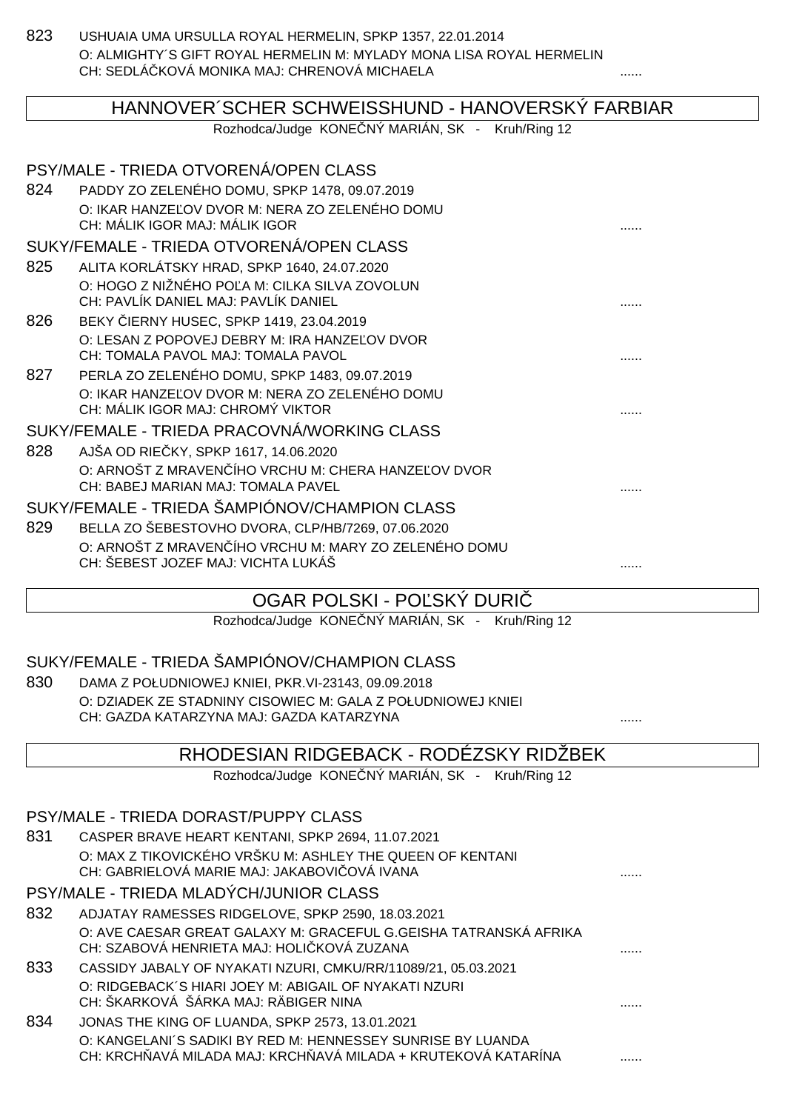823 USHUAIA UMA URSULLA ROYAL HERMELIN, SPKP 1357, 22.01.2014 O: ALMIGHTY´S GIFT ROYAL HERMELIN M: MYLADY MONA LISA ROYAL HERMELIN CH: SEDLÁČKOVÁ MONIKA MAJ: CHRENOVÁ MICHAELA ......

|                                               | HANNOVER SCHER SCHWEISSHUND - HANOVERSKÝ FARBIAR                                          |  |
|-----------------------------------------------|-------------------------------------------------------------------------------------------|--|
|                                               | Rozhodca/Judge KONE NÝ MARIÁN, SK - Kruh/Ring 12                                          |  |
|                                               | PSY/MALE - TRIEDA OTVORENÁ/OPEN CLASS                                                     |  |
| 824                                           | PADDY ZO ZELENÉHO DOMU, SPKP 1478, 09.07.2019                                             |  |
|                                               | O: IKAR HANZE OV DVOR M: NERA ZO ZELENÉHO DOMU<br>CH: MÁLIK IGOR MAJ: MÁLIK IGOR          |  |
|                                               | SUKY/FEMALE - TRIEDA OTVORENÁ/OPEN CLASS                                                  |  |
| 825                                           | ALITA KORLÁTSKY HRAD, SPKP 1640, 24.07.2020                                               |  |
|                                               | O: HOGO Z NIŽNÉHO PO A M: CILKA SILVA ZOVOLUN<br>CH: PAVLÍK DANIEL MAJ: PAVLÍK DANIEL     |  |
| 826                                           | BEKY IERNY HUSEC, SPKP 1419, 23.04.2019                                                   |  |
|                                               | O: LESAN Z POPOVEJ DEBRY M: IRA HANZE OV DVOR<br>CH: TOMALA PAVOL MAJ: TOMALA PAVOL       |  |
| 827                                           | PERLA ZO ZELENÉHO DOMU, SPKP 1483, 09.07.2019                                             |  |
|                                               | O: IKAR HANZE OV DVOR M: NERA ZO ZELENÉHO DOMU<br>CH: MÁLIK IGOR MAJ: CHROMÝ VIKTOR       |  |
|                                               | SUKY/FEMALE - TRIEDA PRACOVNÁ/WORKING CLASS                                               |  |
| 828                                           | AJŠA OD RIE KY, SPKP 1617, 14.06.2020                                                     |  |
|                                               | O: ARNOŠT Z MRAVEN ÍHO VRCHU M: CHERA HANZE OV DVOR<br>CH: BABEJ MARIAN MAJ: TOMALA PAVEL |  |
| SUKY/FEMALE - TRIEDA ŠAMPIÓNOV/CHAMPION CLASS |                                                                                           |  |
| 829                                           | BELLA ZO ŠEBESTOVHO DVORA, CLP/HB/7269, 07.06.2020                                        |  |
|                                               | O: ARNOŠT Z MRAVEN ÍHO VRCHU M: MARY ZO ZELENÉHO DOMU                                     |  |
|                                               | CH: ŠEBEST JOZEF MAJ: VICHTA LUKÁŠ                                                        |  |

## OGAR POLSKI - POĽSKÝ DURI

Rozhodca/Judge KONE NÝ MARIÁN, SK - Kruh/Ring 12

## SUKY/FEMALE - TRIEDA ŠAMPIÓNOV/CHAMPION CLASS

830 DAMA Z POŁUDNIOWEJ KNIEI, PKR.VI-23143, 09.09.2018 O: DZIADEK ZE STADNINY CISOWIEC M: GALA Z POŁUDNIOWEJ KNIEI CH: GAZDA KATARZYNA MAJ: GAZDA KATARZYNA ......

## RHODESIAN RIDGEBACK - RODÉZSKY RIDŽBEK

Rozhodca/Judge KONE NÝ MARIÁN, SK - Kruh/Ring 12

#### PSY/MALE - TRIEDA DORAST/PUPPY CLASS

| 831 | CASPER BRAVE HEART KENTANI, SPKP 2694, 11.07.2021         |  |
|-----|-----------------------------------------------------------|--|
|     | O: MAX Z TIKOVICKÉHO VRŠKU M: ASHLEY THE QUEEN OF KENTANI |  |
|     | CH: GABRIELOVÁ MARIE MAJ: JAKABOVI OVÁ IVANA              |  |
|     |                                                           |  |

## PSY/MALE - TRIEDA MLADÝCH/JUNIOR CLASS

- 832 ADJATAY RAMESSES RIDGELOVE, SPKP 2590, 18.03.2021 O: AVE CAESAR GREAT GALAXY M: GRACEFUL G.GEISHA TATRANSKÁ AFRIKA CH: SZABOVÁ HENRIETA MAJ: HOLIČKOVÁ ZUZANA ......
- 833 CASSIDY JABALY OF NYAKATI NZURI, CMKU/RR/11089/21, 05.03.2021 O: RIDGEBACK´S HIARI JOEY M: ABIGAIL OF NYAKATI NZURI CH: ŠKARKOVÁ ŠÁRKA MAJ: RÄBIGER NINA ......
- 834 JONAS THE KING OF LUANDA, SPKP 2573, 13.01.2021 O: KANGELANI´S SADIKI BY RED M: HENNESSEY SUNRISE BY LUANDA CH: KRCH AVÁ MILADA MAJ: KRCH AVÁ MILADA + KRUTEKOVÁ KATARÍNA ...................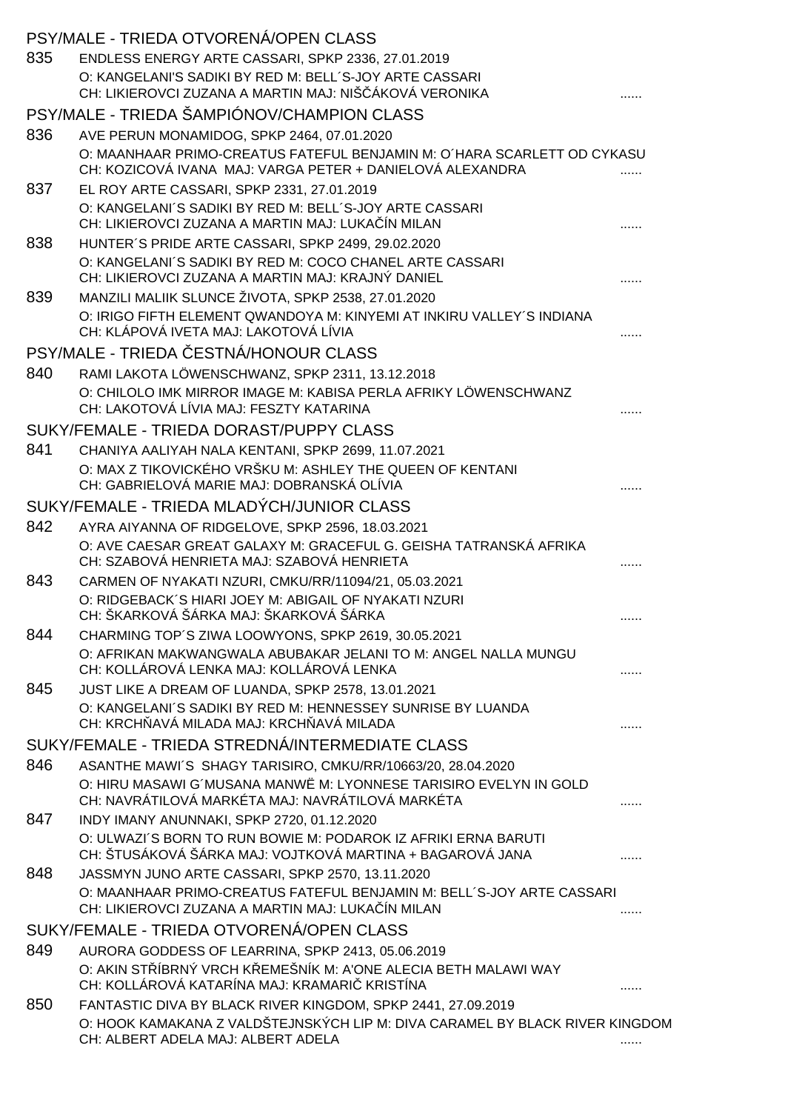|     | PSY/MALE - TRIEDA OTVORENA/OPEN CLASS                                                                                                |  |
|-----|--------------------------------------------------------------------------------------------------------------------------------------|--|
| 835 | ENDLESS ENERGY ARTE CASSARI, SPKP 2336, 27.01.2019                                                                                   |  |
|     | O: KANGELANI'S SADIKI BY RED M: BELL'S-JOY ARTE CASSARI<br>CH: LIKIEROVCI ZUZANA A MARTIN MAJ: NIŠ ÁKOVÁ VERONIKA                    |  |
|     | PSY/MALE - TRIEDA ŠAMPIÓNOV/CHAMPION CLASS                                                                                           |  |
| 836 | AVE PERUN MONAMIDOG, SPKP 2464, 07.01.2020                                                                                           |  |
|     | O: MAANHAAR PRIMO-CREATUS FATEFUL BENJAMIN M: O HARA SCARLETT OD CYKASU<br>CH: KOZICOVÁ IVANA MAJ: VARGA PETER + DANIELOVÁ ALEXANDRA |  |
| 837 | EL ROY ARTE CASSARI, SPKP 2331, 27.01.2019                                                                                           |  |
|     | O: KANGELANI'S SADIKI BY RED M: BELL'S-JOY ARTE CASSARI<br>CH: LIKIEROVCI ZUZANA A MARTIN MAJ: LUKA ÍN MILAN                         |  |
| 838 | HUNTER'S PRIDE ARTE CASSARI, SPKP 2499, 29.02.2020                                                                                   |  |
|     | O: KANGELANI'S SADIKI BY RED M: COCO CHANEL ARTE CASSARI<br>CH: LIKIEROVCI ZUZANA A MARTIN MAJ: KRAJNÝ DANIEL                        |  |
| 839 | MANZILI MALIIK SLUNCE ŽIVOTA, SPKP 2538, 27.01.2020                                                                                  |  |
|     | O: IRIGO FIFTH ELEMENT QWANDOYA M: KINYEMI AT INKIRU VALLEY'S INDIANA<br>CH: KLÁPOVÁ IVETA MAJ: LAKOTOVÁ LÍVIA                       |  |
|     | PSY/MALE - TRIEDA ESTNÁ/HONOUR CLASS                                                                                                 |  |
| 840 | RAMI LAKOTA LÖWENSCHWANZ, SPKP 2311, 13.12.2018                                                                                      |  |
|     | O: CHILOLO IMK MIRROR IMAGE M: KABISA PERLA AFRIKY LÖWENSCHWANZ<br>CH: LAKOTOVÁ LÍVIA MAJ: FESZTY KATARINA                           |  |
|     | SUKY/FEMALE - TRIEDA DORAST/PUPPY CLASS                                                                                              |  |
| 841 | CHANIYA AALIYAH NALA KENTANI, SPKP 2699, 11.07.2021                                                                                  |  |
|     | O: MAX Z TIKOVICKÉHO VRŠKU M: ASHLEY THE QUEEN OF KENTANI<br>CH: GABRIELOVÁ MARIE MAJ: DOBRANSKÁ OLÍVIA                              |  |
|     | SUKY/FEMALE - TRIEDA MLADÝCH/JUNIOR CLASS                                                                                            |  |
| 842 | AYRA AIYANNA OF RIDGELOVE, SPKP 2596, 18.03.2021                                                                                     |  |
|     | O: AVE CAESAR GREAT GALAXY M: GRACEFUL G. GEISHA TATRANSKÁ AFRIKA<br>CH: SZABOVÁ HENRIETA MAJ: SZABOVÁ HENRIETA                      |  |
| 843 | CARMEN OF NYAKATI NZURI, CMKU/RR/11094/21, 05.03.2021                                                                                |  |
|     | O: RIDGEBACK'S HIARI JOEY M: ABIGAIL OF NYAKATI NZURI<br>CH: ŠKARKOVÁ ŠÁRKA MAJ: ŠKARKOVÁ ŠÁRKA                                      |  |
| 844 | CHARMING TOP'S ZIWA LOOWYONS, SPKP 2619, 30.05.2021                                                                                  |  |
|     | O: AFRIKAN MAKWANGWALA ABUBAKAR JELANI TO M: ANGEL NALLA MUNGU<br>CH: KOLLÁROVÁ LENKA MAJ: KOLLÁROVÁ LENKA                           |  |
| 845 | JUST LIKE A DREAM OF LUANDA, SPKP 2578, 13.01.2021                                                                                   |  |
|     | O: KANGELANI'S SADIKI BY RED M: HENNESSEY SUNRISE BY LUANDA<br>CH: KRCH AVÁ MILADA MAJ: KRCH AVÁ MILADA                              |  |
|     | SUKY/FEMALE - TRIEDA STREDNÁ/INTERMEDIATE CLASS                                                                                      |  |
| 846 | ASANTHE MAWI'S SHAGY TARISIRO, CMKU/RR/10663/20, 28.04.2020                                                                          |  |
|     | O: HIRU MASAWI G'MUSANA MANWË M: LYONNESE TARISIRO EVELYN IN GOLD<br>CH: NAVRÁTILOVÁ MARKÉTA MAJ: NAVRÁTILOVÁ MARKÉTA                |  |
| 847 | INDY IMANY ANUNNAKI, SPKP 2720, 01.12.2020                                                                                           |  |
|     | O: ULWAZI'S BORN TO RUN BOWIE M: PODAROK IZ AFRIKI ERNA BARUTI<br>CH: ŠTUSÁKOVÁ ŠÁRKA MAJ: VOJTKOVÁ MARTINA + BAGAROVÁ JANA          |  |
| 848 | JASSMYN JUNO ARTE CASSARI, SPKP 2570, 13.11.2020                                                                                     |  |
|     | O: MAANHAAR PRIMO-CREATUS FATEFUL BENJAMIN M: BELL'S-JOY ARTE CASSARI<br>CH: LIKIEROVCI ZUZANA A MARTIN MAJ: LUKA ÍN MILAN           |  |
|     | SUKY/FEMALE - TRIEDA OTVORENÁ/OPEN CLASS                                                                                             |  |
| 849 | AURORA GODDESS OF LEARRINA, SPKP 2413, 05.06.2019                                                                                    |  |
|     | O: AKIN ST ÍBRNÝ VRCH K EMEŠNÍK M: A'ONE ALECIA BETH MALAWI WAY<br>CH: KOLLÁROVÁ KATARÍNA MAJ: KRAMARI KRISTÍNA                      |  |
| 850 | FANTASTIC DIVA BY BLACK RIVER KINGDOM, SPKP 2441, 27.09.2019                                                                         |  |
|     | O: HOOK KAMAKANA Z VALDŠTEJNSKÝCH LIP M: DIVA CARAMEL BY BLACK RIVER KINGDOM<br>CH: ALBERT ADELA MAJ: ALBERT ADELA                   |  |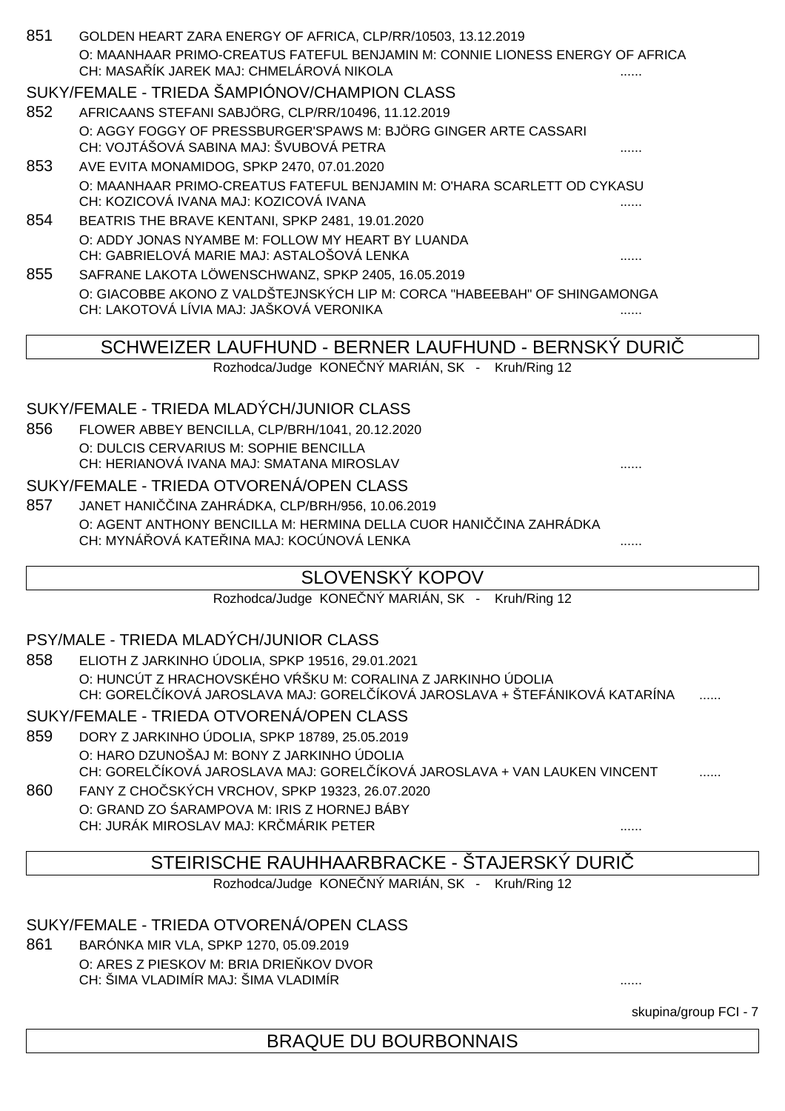| 851 | GOLDEN HEART ZARA ENERGY OF AFRICA, CLP/RR/10503, 13.12.2019                                          |   |
|-----|-------------------------------------------------------------------------------------------------------|---|
|     | O: MAANHAAR PRIMO-CREATUS FATEFUL BENJAMIN M: CONNIE LIONESS ENERGY OF AFRICA                         |   |
|     | CH: MASA ÍK JAREK MAJ: CHMELÁROVÁ NIKOLA                                                              |   |
|     | SUKY/FEMALE - TRIEDA ŠAMPIÓNOV/CHAMPION CLASS                                                         |   |
| 852 | AFRICAANS STEFANI SABJÖRG, CLP/RR/10496, 11.12.2019                                                   |   |
|     | O: AGGY FOGGY OF PRESSBURGER'SPAWS M: BJÖRG GINGER ARTE CASSARI                                       |   |
|     | CH: VOJTÁŠOVÁ SABINA MAJ: ŠVUBOVÁ PETRA                                                               |   |
| 853 | AVE EVITA MONAMIDOG, SPKP 2470, 07.01.2020                                                            |   |
|     | O: MAANHAAR PRIMO-CREATUS FATEFUL BENJAMIN M: O'HARA SCARLETT OD CYKASU                               |   |
|     | CH: KOZICOVÁ IVANA MAJ: KOZICOVÁ IVANA                                                                |   |
| 854 | BEATRIS THE BRAVE KENTANI, SPKP 2481, 19.01.2020<br>O: ADDY JONAS NYAMBE M: FOLLOW MY HEART BY LUANDA |   |
|     | CH: GABRIELOVÁ MARIE MAJ: ASTALOŠOVÁ LENKA                                                            | . |
| 855 | SAFRANE LAKOTA LÖWENSCHWANZ, SPKP 2405, 16.05.2019                                                    |   |
|     | O: GIACOBBE AKONO Z VALDŠTEJNSKÝCH LIP M: CORCA "HABEEBAH" OF SHINGAMONGA                             |   |
|     | CH: LAKOTOVÁ LÍVIA MAJ: JAŠKOVÁ VERONIKA                                                              |   |
|     |                                                                                                       |   |
|     | SCHWEIZER LAUFHUND - BERNER LAUFHUND - BERNSKÝ DURI                                                   |   |
|     | Rozhodca/Judge KONE NÝ MARIÁN, SK - Kruh/Ring 12                                                      |   |
|     |                                                                                                       |   |
|     | SUKY/FEMALE - TRIEDA MLADÝCH/JUNIOR CLASS                                                             |   |
| 856 | FLOWER ABBEY BENCILLA, CLP/BRH/1041, 20.12.2020                                                       |   |
|     | O: DULCIS CERVARIUS M: SOPHIE BENCILLA                                                                |   |
|     | CH: HERIANOVÁ IVANA MAJ: SMATANA MIROSLAV                                                             |   |
|     | SUKY/FEMALE - TRIEDA OTVORENÁ/OPEN CLASS                                                              |   |
| 857 | INA ZAHRÁDKA, CLP/BRH/956, 10.06.2019<br><b>JANET HANI</b>                                            |   |
|     | O: AGENT ANTHONY BENCILLA M: HERMINA DELLA CUOR HANI<br>INA ZAHRÁDKA                                  |   |
|     | CH: MYNÁ OVÁ KATE INA MAJ: KOCÚNOVÁ LENKA                                                             | . |
|     | <b>SLOVENSKÝ KOPOV</b>                                                                                |   |
|     | Rozhodca/Judge KONE NÝ MARIÁN, SK - Kruh/Ring 12                                                      |   |
|     |                                                                                                       |   |
|     | PSY/MALE - TRIEDA MLADÝCH/JUNIOR CLASS                                                                |   |
| 858 | ELIOTH Z JARKINHO ÚDOLIA, SPKP 19516, 29.01.2021                                                      |   |
|     | O: HUNCÚT Z HRACHOVSKÉHO V ŠKU M: CORALINA Z JARKINHO ÚDOLIA                                          |   |
|     | CH: GOREL ÍKOVÁ JAROSLAVA MAJ: GOREL ÍKOVÁ JAROSLAVA + ŠTEFÁNIKOVÁ KATARÍNA                           |   |
|     | SUKY/FEMALE - TRIEDA OTVORENÁ/OPEN CLASS                                                              |   |
| 859 | DORY Z JARKINHO ÚDOLIA, SPKP 18789, 25.05.2019                                                        |   |
|     | O: HARO DZUNOŠAJ M: BONY Z JARKINHO ÚDOLIA                                                            |   |
|     | CH: GOREL ÍKOVÁ JAROSLAVA MAJ: GOREL ÍKOVÁ JAROSLAVA + VAN LAUKEN VINCENT                             |   |
| 860 | FANY Z CHO SKÝCH VRCHOV, SPKP 19323, 26.07.2020                                                       |   |
|     | O: GRAND ZO ARAMPOVA M: IRIS Z HORNEJ BÁBY                                                            |   |
|     | CH: JURÁK MIROSLAV MAJ: KR MÁRIK PETER                                                                |   |
|     | STEIRISCHE RAUHHAARBRACKE - ŠTAJERSKÝ DURI                                                            |   |
|     | Rozhodca/Judge KONE NÝ MARIÁN, SK - Kruh/Ring 12                                                      |   |
|     |                                                                                                       |   |
|     | SUKY/FEMALE - TRIEDA OTVORENÁ/OPEN CLASS                                                              |   |
| 861 | BARÓNKA MIR VLA, SPKP 1270, 05.09.2019                                                                |   |
|     |                                                                                                       |   |

O: ARES Z PIESKOV M: BRIA DRIE KOV DVOR CH: ŠIMA VLADIMÍR MAJ: ŠIMA VLADIMÍR ......

skupina/group FCI - 7

# BRAQUE DU BOURBONNAIS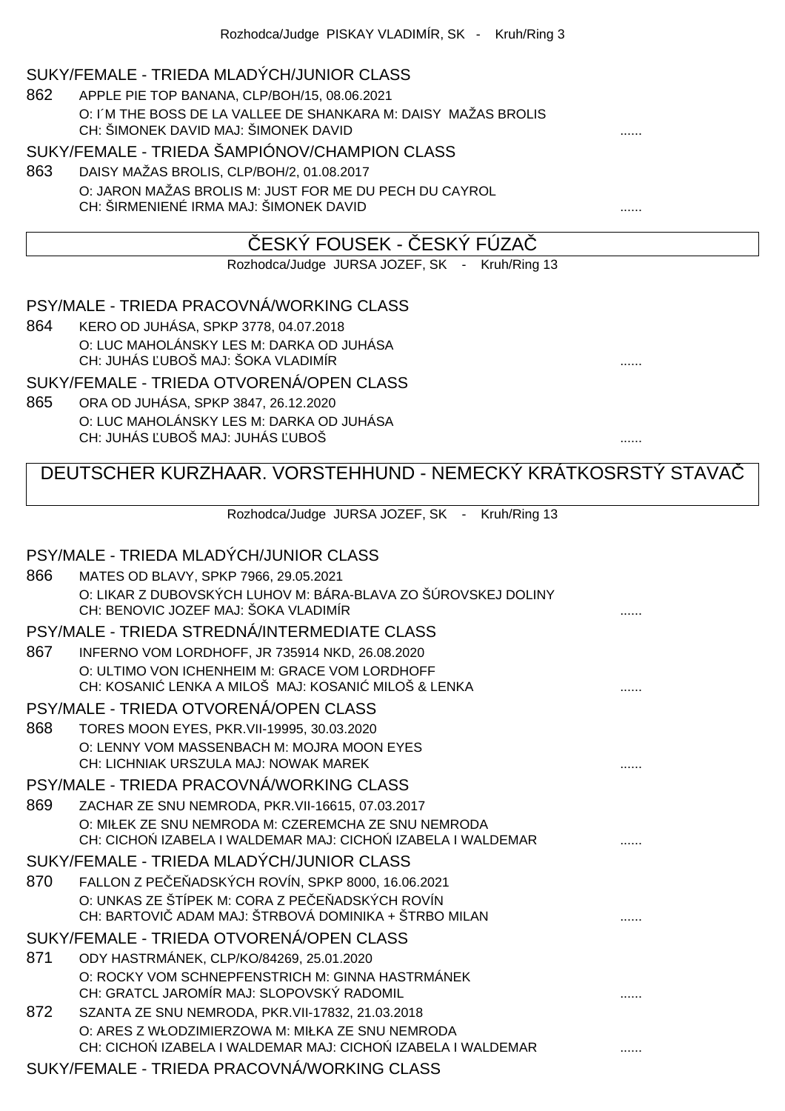#### SUKY/FEMALE - TRIEDA MLADÝCH/JUNIOR CLASS

862 APPLE PIE TOP BANANA, CLP/BOH/15, 08.06.2021 O: I´M THE BOSS DE LA VALLEE DE SHANKARA M: DAISY MAŽAS BROLIS CH: ŠIMONEK DAVID MAJ: ŠIMONEK DAVID

#### SUKY/FEMALE - TRIEDA ŠAMPIÓNOV/CHAMPION CLASS

863 DAISY MAŽAS BROLIS, CLP/BOH/2, 01.08.2017 O: JARON MAŽAS BROLIS M: JUST FOR ME DU PECH DU CAYROL CH: ŠIRMENIENÉ IRMA MAJ: ŠIMONEK DAVID **.......** .......

### ESKÝ FOUSEK - ČESKÝ FÚZA

Rozhodca/Judge JURSA JOZEF, SK - Kruh/Ring 13

PSY/MALE - TRIEDA PRACOVNÁ/WORKING CLASS

864 KERO OD JUHÁSA, SPKP 3778, 04.07.2018 O: LUC MAHOLÁNSKY LES M: DARKA OD JUHÁSA CH: JUHÁS ĽUBOŠ MAJ: ŠOKA VLADIMÍR ......

SUKY/FEMALE - TRIEDA OTVORENÁ/OPEN CLASS

865 ORA OD JUHÁSA, SPKP 3847, 26.12.2020 O: LUC MAHOLÁNSKY LES M: DARKA OD JUHÁSA CH: JUHÁS ĽUBOŠ MAJ: JUHÁS ĽUBOŠ ......

## DEUTSCHER KURZHAAR. VORSTEHHUND - NEMECKÝ KRÁTKOSRSTÝ STAVAČ

Rozhodca/Judge JURSA JOZEF, SK - Kruh/Ring 13

|     | PSY/MALE - TRIEDA MLADÝCH/JUNIOR CLASS                                                                                                                        |  |
|-----|---------------------------------------------------------------------------------------------------------------------------------------------------------------|--|
| 866 | MATES OD BLAVY, SPKP 7966, 29.05.2021                                                                                                                         |  |
|     | O: LIKAR Z DUBOVSKÝCH LUHOV M: BÁRA-BLAVA ZO ŠÚROVSKEJ DOLINY<br>CH: BENOVIC JOZEF MAJ: ŠOKA VLADIMÍR                                                         |  |
|     | PSY/MALE - TRIEDA STREDNÁ/INTERMEDIATE CLASS                                                                                                                  |  |
| 867 | INFERNO VOM LORDHOFF, JR 735914 NKD, 26.08.2020                                                                                                               |  |
|     | O: ULTIMO VON ICHENHEIM M: GRACE VOM LORDHOFF<br>CH: KOSANI LENKA A MILOŠ MAJ: KOSANI MILOŠ & LENKA                                                           |  |
|     | PSY/MALE - TRIEDA OTVORENÁ/OPEN CLASS                                                                                                                         |  |
| 868 | TORES MOON EYES, PKR. VII-19995, 30.03.2020                                                                                                                   |  |
|     | O: LENNY VOM MASSENBACH M: MOJRA MOON EYES<br>CH: LICHNIAK URSZULA MAJ: NOWAK MAREK                                                                           |  |
|     | PSY/MALE - TRIEDA PRACOVNÁ/WORKING CLASS                                                                                                                      |  |
| 869 | ZACHAR ZE SNU NEMRODA, PKR. VII-16615, 07.03.2017                                                                                                             |  |
|     | O: MIŁEK ZE SNU NEMRODA M: CZEREMCHA ZE SNU NEMRODA<br>CH: CICHO IZABELA I WALDEMAR MAJ: CICHO IZABELA I WALDEMAR                                             |  |
|     | SUKY/FEMALE - TRIEDA MLADÝCH/JUNIOR CLASS                                                                                                                     |  |
| 870 | FALLON Z PE E ADSKÝCH ROVÍN, SPKP 8000, 16.06.2021<br>O: UNKAS ZE ŠTÍPEK M: CORA Z PE E ADSKÝCH ROVÍN<br>CH: BARTOVI ADAM MAJ: ŠTRBOVÁ DOMINIKA + ŠTRBO MILAN |  |
|     | SUKY/FEMALE - TRIEDA OTVORENÁ/OPEN CLASS                                                                                                                      |  |
| 871 | ODY HASTRMÁNEK, CLP/KO/84269, 25.01.2020                                                                                                                      |  |
|     | O: ROCKY VOM SCHNEPFENSTRICH M: GINNA HASTRMÁNEK<br>CH: GRATCL JAROMÍR MAJ: SLOPOVSKÝ RADOMIL                                                                 |  |
| 872 | SZANTA ZE SNU NEMRODA, PKR. VII-17832, 21.03.2018                                                                                                             |  |
|     | O: ARES Z WŁODZIMIERZOWA M: MIŁKA ZE SNU NEMRODA<br>CH: CICHO IZABELA I WALDEMAR MAJ: CICHO IZABELA I WALDEMAR                                                |  |
|     | SUKY/FEMALE - TRIEDA PRACOVNÁ/WORKING CLASS                                                                                                                   |  |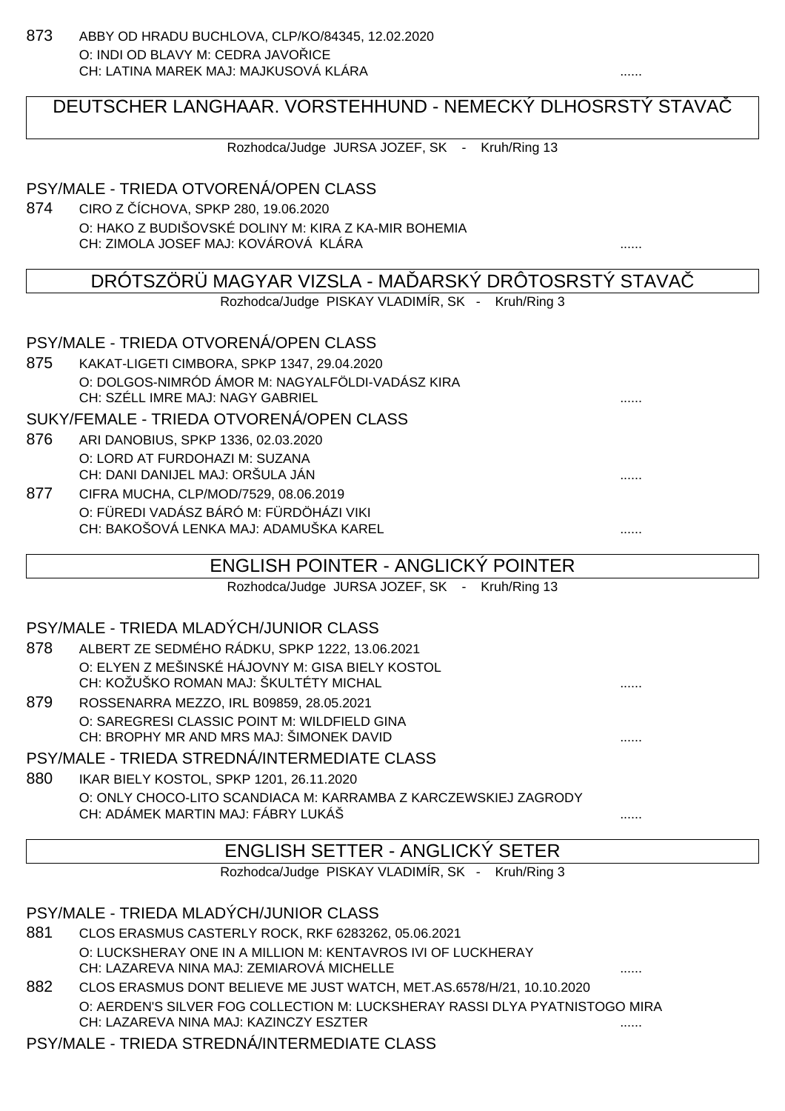## DEUTSCHER LANGHAAR. VORSTEHHUND - NEMECKÝ DLHOSRSTÝ STAVAČ

Rozhodca/Judge JURSA JOZEF, SK - Kruh/Ring 13

#### PSY/MALE - TRIEDA OTVORENÁ/OPEN CLASS

874 CIRO Z ČÍCHOVA, SPKP 280, 19.06.2020 O: HAKO Z BUDIŠOVSKÉ DOLINY M: KIRA Z KA-MIR BOHEMIA CH: ZIMOLA JOSEF MAJ: KOVÁROVÁ KLÁRA ......

## DRÓTSZÖRÜ MAGYAR VIZSLA - MA ARSKÝ DRÔTOSRSTÝ STAVA

Rozhodca/Judge PISKAY VLADIMÍR, SK - Kruh/Ring 3

#### PSY/MALE - TRIEDA OTVORENÁ/OPEN CLASS

875 KAKAT-LIGETI CIMBORA, SPKP 1347, 29.04.2020 O: DOLGOS-NIMRÓD ÁMOR M: NAGYALFÖLDI-VADÁSZ KIRA CH: SZÉLL IMRE MAJ: NAGY GABRIEL ......

#### SUKY/FEMALE - TRIEDA OTVORENÁ/OPEN CLASS

- 876 ARI DANOBIUS, SPKP 1336, 02.03.2020 O: LORD AT FURDOHAZI M: SUZANA CH: DANI DANIJEL MAJ: ORŠULA JÁN
- 877 CIFRA MUCHA, CLP/MOD/7529, 08.06.2019 O: FÜREDI VADÁSZ BÁRÓ M: FÜRDÖHÁZI VIKI CH: BAKOŠOVÁ LENKA MAJ: ADAMUŠKA KAREL ......

## ENGLISH POINTER - ANGLICKÝ POINTER

Rozhodca/Judge JURSA JOZEF, SK - Kruh/Ring 13

#### PSY/MALE - TRIEDA MLADÝCH/JUNIOR CLASS

- 878 ALBERT ZE SEDMÉHO RÁDKU, SPKP 1222, 13.06.2021 O: ELYEN Z MEŠINSKÉ HÁJOVNY M: GISA BIELY KOSTOL CH: KOŽUŠKO ROMAN MAJ: ŠKULTÉTY MICHAL ......
- 879 ROSSENARRA MEZZO, IRL B09859, 28.05.2021 O: SAREGRESI CLASSIC POINT M: WILDFIELD GINA CH: BROPHY MR AND MRS MAJ: ŠIMONEK DAVID

#### PSY/MALE - TRIEDA STREDNÁ/INTERMEDIATE CLASS

880 IKAR BIELY KOSTOL, SPKP 1201, 26.11.2020 O: ONLY CHOCO-LITO SCANDIACA M: KARRAMBA Z KARCZEWSKIEJ ZAGRODY CH: ADÁMEK MARTIN MAJ: FÁBRY LUKÁŠ ......

## ENGLISH SETTER - ANGLICKÝ SETER

Rozhodca/Judge PISKAY VLADIMÍR, SK - Kruh/Ring 3

#### PSY/MALE - TRIEDA MLADÝCH/JUNIOR CLASS

- 881 CLOS ERASMUS CASTERLY ROCK, RKF 6283262, 05.06.2021 O: LUCKSHERAY ONE IN A MILLION M: KENTAVROS IVI OF LUCKHERAY CH: LAZAREVA NINA MAJ: ZEMIAROVÁ MICHELLE
- 882 CLOS ERASMUS DONT BELIEVE ME JUST WATCH, MET.AS.6578/H/21, 10.10.2020 O: AERDEN'S SILVER FOG COLLECTION M: LUCKSHERAY RASSI DLYA PYATNISTOGO MIRA CH: LAZAREVA NINA MAJ: KAZINCZY ESZTER ......

#### PSY/MALE - TRIEDA STREDNÁ/INTERMEDIATE CLASS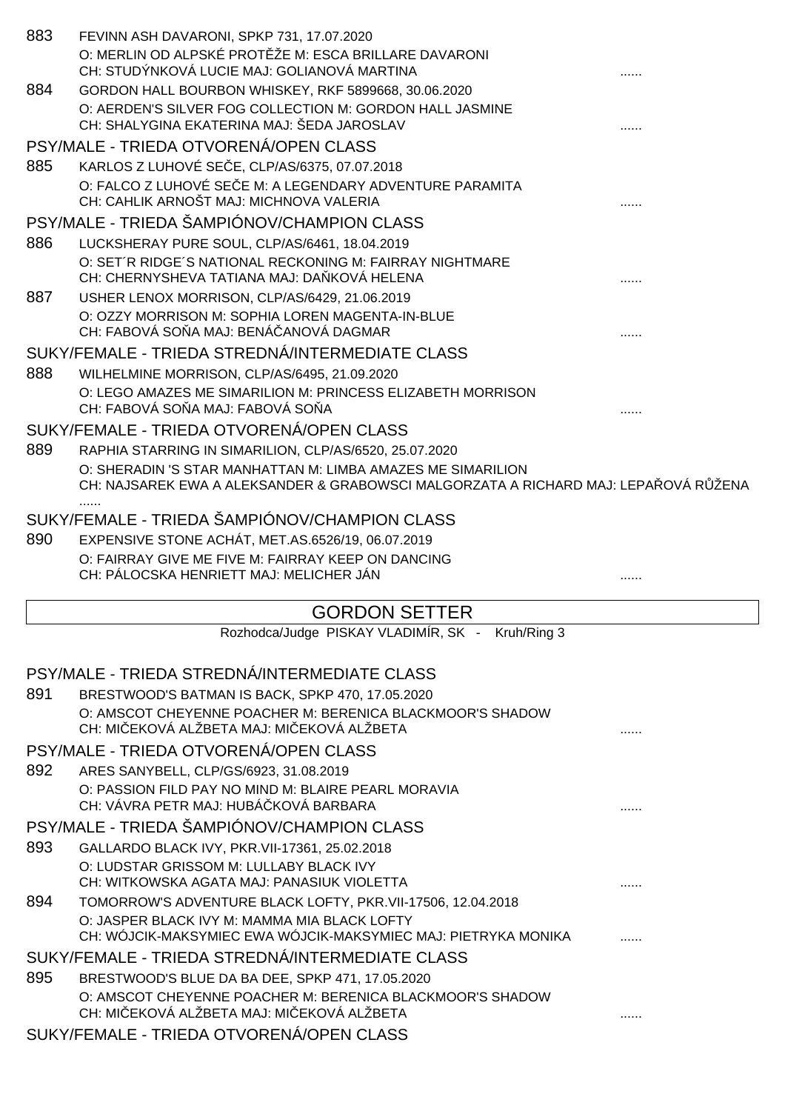|     | FEVINN ASH DAVARONI, SPKP 731, 17.07.2020<br>O: MERLIN OD ALPSKÉ PROT ŽE M: ESCA BRILLARE DAVARONI<br>CH: STUDÝNKOVÁ LUCIE MAJ: GOLIANOVÁ MARTINA                             |   |
|-----|-------------------------------------------------------------------------------------------------------------------------------------------------------------------------------|---|
| 884 | GORDON HALL BOURBON WHISKEY, RKF 5899668, 30.06.2020<br>O: AERDEN'S SILVER FOG COLLECTION M: GORDON HALL JASMINE<br>CH: SHALYGINA EKATERINA MAJ: ŠEDA JAROSLAV                |   |
|     | PSY/MALE - TRIEDA OTVORENÁ/OPEN CLASS                                                                                                                                         |   |
| 885 | KARLOS Z LUHOVÉ SE E, CLP/AS/6375, 07.07.2018<br>O: FALCO Z LUHOVÉ SE E M: A LEGENDARY ADVENTURE PARAMITA<br>CH: CAHLIK ARNOŠT MAJ: MICHNOVA VALERIA                          |   |
|     | PSY/MALE - TRIEDA ŠAMPIÓNOV/CHAMPION CLASS                                                                                                                                    |   |
| 886 | LUCKSHERAY PURE SOUL, CLP/AS/6461, 18.04.2019                                                                                                                                 |   |
|     | O: SET'R RIDGE'S NATIONAL RECKONING M: FAIRRAY NIGHTMARE<br>CH: CHERNYSHEVA TATIANA MAJ: DA KOVÁ HELENA                                                                       |   |
| 887 | USHER LENOX MORRISON, CLP/AS/6429, 21.06.2019                                                                                                                                 |   |
|     | O: OZZY MORRISON M: SOPHIA LOREN MAGENTA-IN-BLUE<br>CH: FABOVÁ SO A MAJ: BENÁ ANOVÁ DAGMAR                                                                                    |   |
|     | SUKY/FEMALE - TRIEDA STREDNÁ/INTERMEDIATE CLASS                                                                                                                               |   |
| 888 | WILHELMINE MORRISON, CLP/AS/6495, 21.09.2020                                                                                                                                  |   |
|     | O: LEGO AMAZES ME SIMARILION M: PRINCESS ELIZABETH MORRISON<br>CH: FABOVÁ SO A MAJ: FABOVÁ SO A                                                                               |   |
|     | SUKY/FEMALE - TRIEDA OTVORENÁ/OPEN CLASS                                                                                                                                      |   |
| 889 | RAPHIA STARRING IN SIMARILION, CLP/AS/6520, 25.07.2020                                                                                                                        |   |
|     | O: SHERADIN 'S STAR MANHATTAN M: LIMBA AMAZES ME SIMARILION<br>CH: NAJSAREK EWA A ALEKSANDER & GRABOWSCI MALGORZATA A RICHARD MAJ: LEPA OVÁ R ŽENA                            |   |
|     | SUKY/FEMALE - TRIEDA ŠAMPIÓNOV/CHAMPION CLASS                                                                                                                                 |   |
| 890 | EXPENSIVE STONE ACHÁT, MET.AS.6526/19, 06.07.2019                                                                                                                             |   |
|     | O: FAIRRAY GIVE ME FIVE M: FAIRRAY KEEP ON DANCING<br>CH: PÁLOCSKA HENRIETT MAJ: MELICHER JÁN                                                                                 |   |
|     |                                                                                                                                                                               | . |
|     | <b>GORDON SETTER</b>                                                                                                                                                          |   |
|     | Rozhodca/Judge PISKAY VLADIMÍR, SK - Kruh/Ring 3                                                                                                                              |   |
|     | PSY/MALE - TRIEDA STREDNÁ/INTERMEDIATE CLASS                                                                                                                                  |   |
| 891 | BRESTWOOD'S BATMAN IS BACK, SPKP 470, 17.05.2020                                                                                                                              |   |
|     | O: AMSCOT CHEYENNE POACHER M: BERENICA BLACKMOOR'S SHADOW<br>CH: MI EKOVÁ ALŽBETA MAJ: MI EKOVÁ ALŽBETA                                                                       |   |
|     | PSY/MALE - TRIEDA OTVORENÁ/OPEN CLASS                                                                                                                                         |   |
| 892 | ARES SANYBELL, CLP/GS/6923, 31.08.2019                                                                                                                                        |   |
|     | O: PASSION FILD PAY NO MIND M: BLAIRE PEARL MORAVIA<br>CH: VÁVRA PETR MAJ: HUBÁ KOVÁ BARBARA                                                                                  |   |
|     | PSY/MALE - TRIEDA ŠAMPIÓNOV/CHAMPION CLASS                                                                                                                                    |   |
| 893 | GALLARDO BLACK IVY, PKR.VII-17361, 25.02.2018<br>O: LUDSTAR GRISSOM M: LULLABY BLACK IVY                                                                                      |   |
|     | CH: WITKOWSKA AGATA MAJ: PANASIUK VIOLETTA                                                                                                                                    |   |
| 894 | TOMORROW'S ADVENTURE BLACK LOFTY, PKR.VII-17506, 12.04.2018<br>O: JASPER BLACK IVY M: MAMMA MIA BLACK LOFTY<br>CH: WÓJCIK-MAKSYMIEC EWA WÓJCIK-MAKSYMIEC MAJ: PIETRYKA MONIKA |   |
|     |                                                                                                                                                                               |   |
| 895 | SUKY/FEMALE - TRIEDA STREDNÁ/INTERMEDIATE CLASS                                                                                                                               |   |
|     | BRESTWOOD'S BLUE DA BA DEE, SPKP 471, 17.05.2020<br>O: AMSCOT CHEYENNE POACHER M: BERENICA BLACKMOOR'S SHADOW                                                                 |   |
|     | CH: MI EKOVÁ ALŽBETA MAJ: MI EKOVÁ ALŽBETA<br>SUKY/FEMALE - TRIEDA OTVORENÁ/OPEN CLASS                                                                                        |   |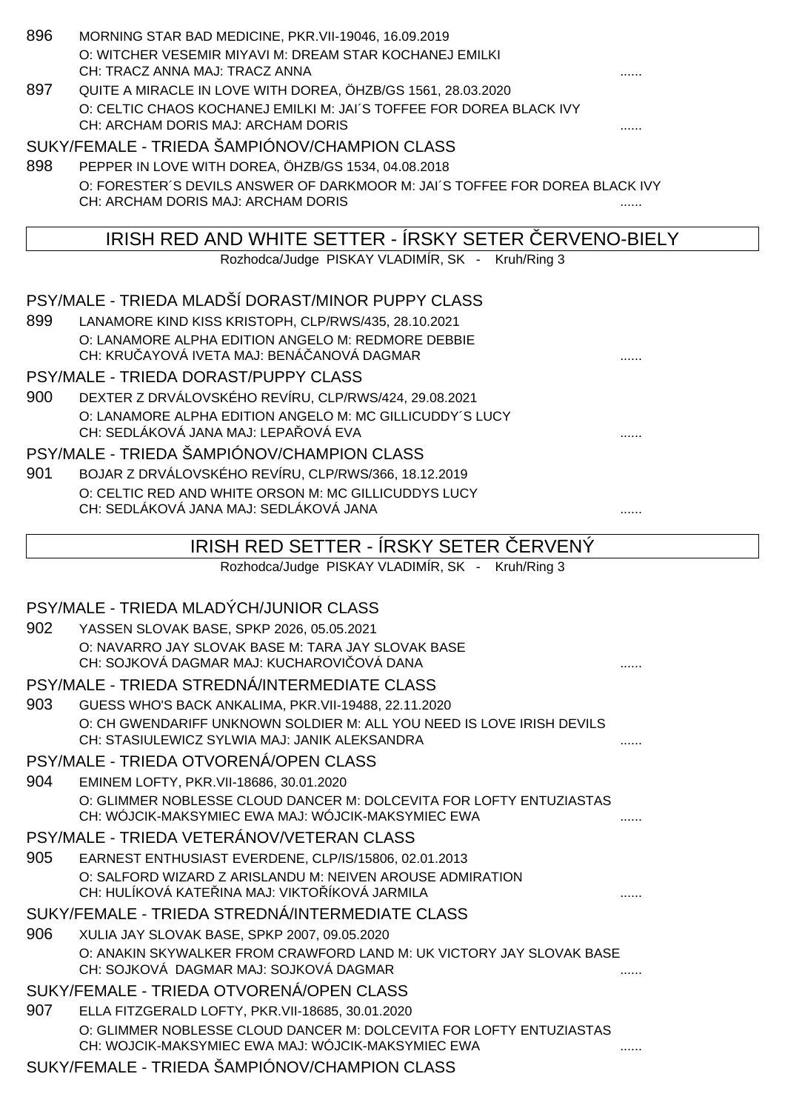| 896 | MORNING STAR BAD MEDICINE, PKR. VII-19046, 16.09.2019<br>O: WITCHER VESEMIR MIYAVI M: DREAM STAR KOCHANEJ EMILKI<br>CH: TRACZ ANNA MAJ: TRACZ ANNA                         |  |
|-----|----------------------------------------------------------------------------------------------------------------------------------------------------------------------------|--|
| 897 | QUITE A MIRACLE IN LOVE WITH DOREA, ÖHZB/GS 1561, 28.03.2020<br>O: CELTIC CHAOS KOCHANEJ EMILKI M: JAI'S TOFFEE FOR DOREA BLACK IVY<br>CH: ARCHAM DORIS MAJ: ARCHAM DORIS  |  |
|     | SUKY/FEMALE - TRIEDA ŠAMPIÓNOV/CHAMPION CLASS                                                                                                                              |  |
| 898 | PEPPER IN LOVE WITH DOREA, ÖHZB/GS 1534, 04.08.2018                                                                                                                        |  |
|     | O: FORESTER'S DEVILS ANSWER OF DARKMOOR M: JAI'S TOFFEE FOR DOREA BLACK IVY                                                                                                |  |
|     | CH: ARCHAM DORIS MAJ: ARCHAM DORIS                                                                                                                                         |  |
|     | IRISH RED AND WHITE SETTER - IRSKY SETER ERVENO-BIELY                                                                                                                      |  |
|     | Rozhodca/Judge PISKAY VLADIMÍR, SK - Kruh/Ring 3                                                                                                                           |  |
|     | PSY/MALE - TRIEDA MLADŠÍ DORAST/MINOR PUPPY CLASS                                                                                                                          |  |
| 899 | LANAMORE KIND KISS KRISTOPH, CLP/RWS/435, 28.10.2021                                                                                                                       |  |
|     | O: LANAMORE ALPHA EDITION ANGELO M: REDMORE DEBBIE                                                                                                                         |  |
|     | CH: KRU AYOVÁ IVETA MAJ: BENÁ ANOVÁ DAGMAR                                                                                                                                 |  |
|     | PSY/MALE - TRIEDA DORAST/PUPPY CLASS                                                                                                                                       |  |
| 900 | DEXTER Z DRVÁLOVSKÉHO REVÍRU, CLP/RWS/424, 29.08.2021                                                                                                                      |  |
|     | O: LANAMORE ALPHA EDITION ANGELO M: MC GILLICUDDY'S LUCY<br>CH: SEDLÁKOVÁ JANA MAJ: LEPA OVÁ EVA                                                                           |  |
|     |                                                                                                                                                                            |  |
|     | PSY/MALE - TRIEDA ŠAMPIÓNOV/CHAMPION CLASS                                                                                                                                 |  |
| 901 | BOJAR Z DRVÁLOVSKÉHO REVÍRU, CLP/RWS/366, 18.12.2019<br>O: CELTIC RED AND WHITE ORSON M: MC GILLICUDDYS LUCY                                                               |  |
|     | CH: SEDLÁKOVÁ JANA MAJ: SEDLÁKOVÁ JANA                                                                                                                                     |  |
|     |                                                                                                                                                                            |  |
|     | IRISH RED SETTER - ÍRSKY SETER<br><b>ERVENY</b>                                                                                                                            |  |
|     |                                                                                                                                                                            |  |
|     | Rozhodca/Judge PISKAY VLADIMÍR, SK - Kruh/Ring 3                                                                                                                           |  |
|     | PSY/MALE - TRIEDA MLADÝCH/JUNIOR CLASS                                                                                                                                     |  |
| 902 | YASSEN SLOVAK BASE, SPKP 2026, 05.05.2021                                                                                                                                  |  |
|     | O: NAVARRO JAY SLOVAK BASE M: TARA JAY SLOVAK BASE<br>CH: SOJKOVÁ DAGMAR MAJ: KUCHAROVI OVÁ DANA                                                                           |  |
|     | PSY/MALE - TRIEDA STREDNÁ/INTERMEDIATE CLASS                                                                                                                               |  |
| 903 | GUESS WHO'S BACK ANKALIMA, PKR. VII-19488, 22.11.2020                                                                                                                      |  |
|     | O: CH GWENDARIFF UNKNOWN SOLDIER M: ALL YOU NEED IS LOVE IRISH DEVILS<br>CH: STASIULEWICZ SYLWIA MAJ: JANIK ALEKSANDRA                                                     |  |
|     | PSY/MALE - TRIEDA OTVORENÁ/OPEN CLASS                                                                                                                                      |  |
| 904 | EMINEM LOFTY, PKR. VII-18686, 30.01.2020                                                                                                                                   |  |
|     | O: GLIMMER NOBLESSE CLOUD DANCER M: DOLCEVITA FOR LOFTY ENTUZIASTAS<br>CH: WÓJCIK-MAKSYMIEC EWA MAJ: WÓJCIK-MAKSYMIEC EWA                                                  |  |
|     | PSY/MALE - TRIEDA VETERÁNOV/VETERAN CLASS                                                                                                                                  |  |
| 905 | EARNEST ENTHUSIAST EVERDENE, CLP/IS/15806, 02.01.2013                                                                                                                      |  |
|     | O: SALFORD WIZARD Z ARISLANDU M: NEIVEN AROUSE ADMIRATION<br>CH: HULÍKOVÁ KATE INA MAJ: VIKTO ÍKOVÁ JARMILA                                                                |  |
|     | SUKY/FEMALE - TRIEDA STREDNÁ/INTERMEDIATE CLASS                                                                                                                            |  |
| 906 | XULIA JAY SLOVAK BASE, SPKP 2007, 09.05.2020                                                                                                                               |  |
|     | O: ANAKIN SKYWALKER FROM CRAWFORD LAND M: UK VICTORY JAY SLOVAK BASE<br>CH: SOJKOVÁ DAGMAR MAJ: SOJKOVÁ DAGMAR                                                             |  |
|     | SUKY/FEMALE - TRIEDA OTVORENÁ/OPEN CLASS                                                                                                                                   |  |
| 907 | ELLA FITZGERALD LOFTY, PKR.VII-18685, 30.01.2020                                                                                                                           |  |
|     | O: GLIMMER NOBLESSE CLOUD DANCER M: DOLCEVITA FOR LOFTY ENTUZIASTAS<br>CH: WOJCIK-MAKSYMIEC EWA MAJ: WÓJCIK-MAKSYMIEC EWA<br>SUKY/FEMALE - TRIEDA ŠAMPIÓNOV/CHAMPION CLASS |  |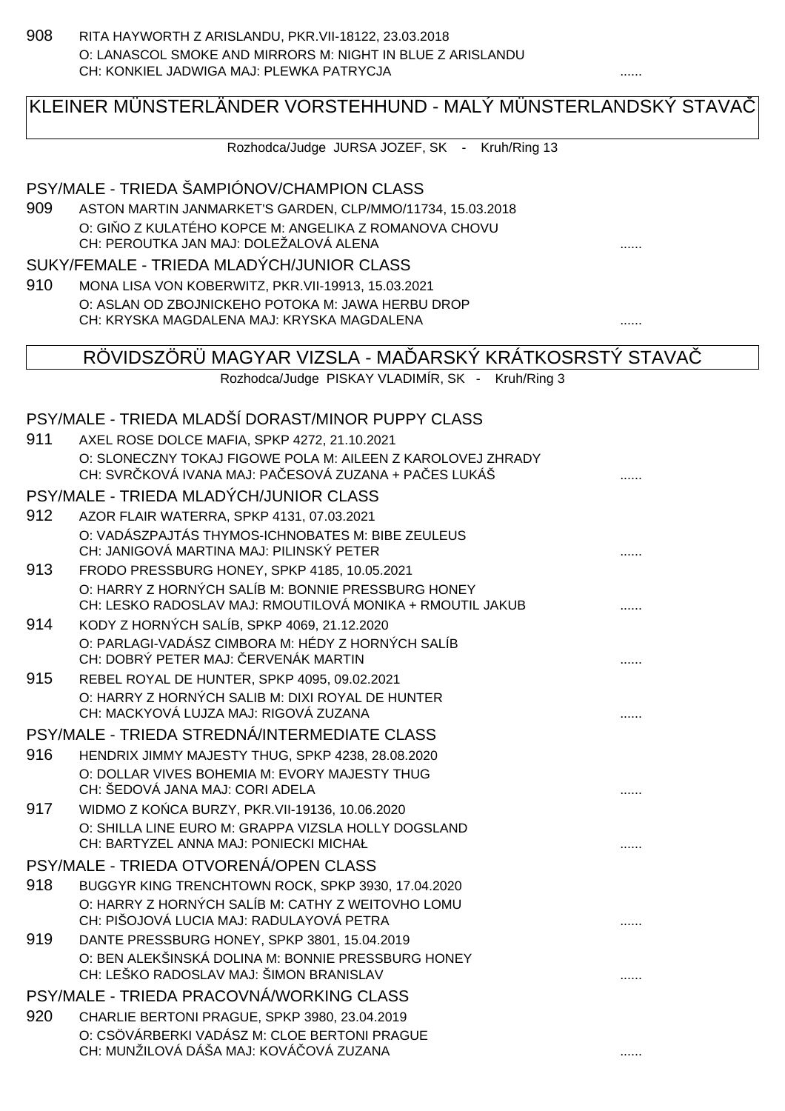908 RITA HAYWORTH Z ARISLANDU, PKR.VII-18122, 23.03.2018 O: LANASCOL SMOKE AND MIRRORS M: NIGHT IN BLUE Z ARISLANDU CH: KONKIEL JADWIGA MAJ: PLEWKA PATRYCJA

# KLEINER MÜNSTERLÄNDER VORSTEHHUND - MALÝ MÜNSTERLANDSKÝ STAVAČ

Rozhodca/Judge JURSA JOZEF, SK - Kruh/Ring 13

### PSY/MALE - TRIEDA ŠAMPIÓNOV/CHAMPION CLASS

909 ASTON MARTIN JANMARKET'S GARDEN, CLP/MMO/11734, 15.03.2018 O: GI O Z KULATÉHO KOPCE M: ANGELIKA Z ROMANOVA CHOVU CH: PEROUTKA JAN MAJ: DOLEŽALOVÁ ALENA ......

#### SUKY/FEMALE - TRIEDA MLADÝCH/JUNIOR CLASS

910 MONA LISA VON KOBERWITZ, PKR.VII-19913, 15.03.2021 O: ASLAN OD ZBOJNICKEHO POTOKA M: JAWA HERBU DROP CH: KRYSKA MAGDALENA MAJ: KRYSKA MAGDALENA ......

### RÖVIDSZÖRÜ MAGYAR VIZSLA - MA ÓARSKÝ KRÁTKOSRSTÝ STAVA

| Rozhodca/Judge PISKAY VLADIMIR, SK |  |  |  |  | Kruh/Ring 3 |
|------------------------------------|--|--|--|--|-------------|
|------------------------------------|--|--|--|--|-------------|

# PSY/MALE - TRIEDA MLADŠÍ DORAST/MINOR PUPPY CLASS

| 911 | AXEL ROSE DOLCE MAFIA, SPKP 4272, 21.10.2021                                                                         |  |
|-----|----------------------------------------------------------------------------------------------------------------------|--|
|     | O: SLONECZNY TOKAJ FIGOWE POLA M: AILEEN Z KAROLOVEJ ZHRADY<br>CH: SVR KOVÁ IVANA MAJ: PA ESOVÁ ZUZANA + PA ES LUKÁŠ |  |
|     | PSY/MALE - TRIEDA MLADÝCH/JUNIOR CLASS                                                                               |  |
| 912 | AZOR FLAIR WATERRA, SPKP 4131, 07.03.2021                                                                            |  |
|     | O: VADÁSZPAJTÁS THYMOS-ICHNOBATES M: BIBE ZEULEUS<br>CH: JANIGOVÁ MARTINA MAJ: PILINSKÝ PETER                        |  |
| 913 | FRODO PRESSBURG HONEY, SPKP 4185, 10.05.2021                                                                         |  |
|     | O: HARRY Z HORNÝCH SALÍB M: BONNIE PRESSBURG HONEY<br>CH: LESKO RADOSLAV MAJ: RMOUTILOVÁ MONIKA + RMOUTIL JAKUB      |  |
| 914 | KODY Z HORNÝCH SALÍB, SPKP 4069, 21.12.2020                                                                          |  |
|     | O: PARLAGI-VADÁSZ CIMBORA M: HÉDY Z HORNÝCH SALÍB<br>CH: DOBRÝ PETER MAJ: ERVENÁK MARTIN                             |  |
| 915 | REBEL ROYAL DE HUNTER, SPKP 4095, 09.02.2021                                                                         |  |
|     | O: HARRY Z HORNÝCH SALIB M: DIXI ROYAL DE HUNTER<br>CH: MACKYOVÁ LUJZA MAJ: RIGOVÁ ZUZANA                            |  |
|     | PSY/MALE - TRIEDA STREDNÁ/INTERMEDIATE CLASS                                                                         |  |
| 916 | HENDRIX JIMMY MAJESTY THUG, SPKP 4238, 28.08.2020                                                                    |  |
|     | O: DOLLAR VIVES BOHEMIA M: EVORY MAJESTY THUG<br>CH: ŠEDOVÁ JANA MAJ: CORI ADELA                                     |  |
| 917 | WIDMO Z KO CA BURZY, PKR. VII-19136, 10.06.2020                                                                      |  |
|     | O: SHILLA LINE EURO M: GRAPPA VIZSLA HOLLY DOGSLAND<br>CH: BARTYZEL ANNA MAJ: PONIECKI MICHAŁ                        |  |
|     | PSY/MALE - TRIEDA OTVORENÁ/OPEN CLASS                                                                                |  |
| 918 | BUGGYR KING TRENCHTOWN ROCK, SPKP 3930, 17.04.2020                                                                   |  |
|     | O: HARRY Z HORNÝCH SALÍB M: CATHY Z WEITOVHO LOMU<br>CH: PIŠOJOVÁ LUCIA MAJ: RADULAYOVÁ PETRA                        |  |
| 919 | DANTE PRESSBURG HONEY, SPKP 3801, 15.04.2019                                                                         |  |
|     | O: BEN ALEKŠINSKÁ DOLINA M: BONNIE PRESSBURG HONEY<br>CH: LEŠKO RADOSLAV MAJ: ŠIMON BRANISLAV                        |  |
|     | PSY/MALE - TRIEDA PRACOVNÁ/WORKING CLASS                                                                             |  |
| 920 | CHARLIE BERTONI PRAGUE, SPKP 3980, 23.04.2019                                                                        |  |
|     | O: CSÖVÁRBERKI VADÁSZ M: CLOE BERTONI PRAGUE<br>CH: MUNŽILOVÁ DÁŠA MAJ: KOVÁ OVÁ ZUZANA                              |  |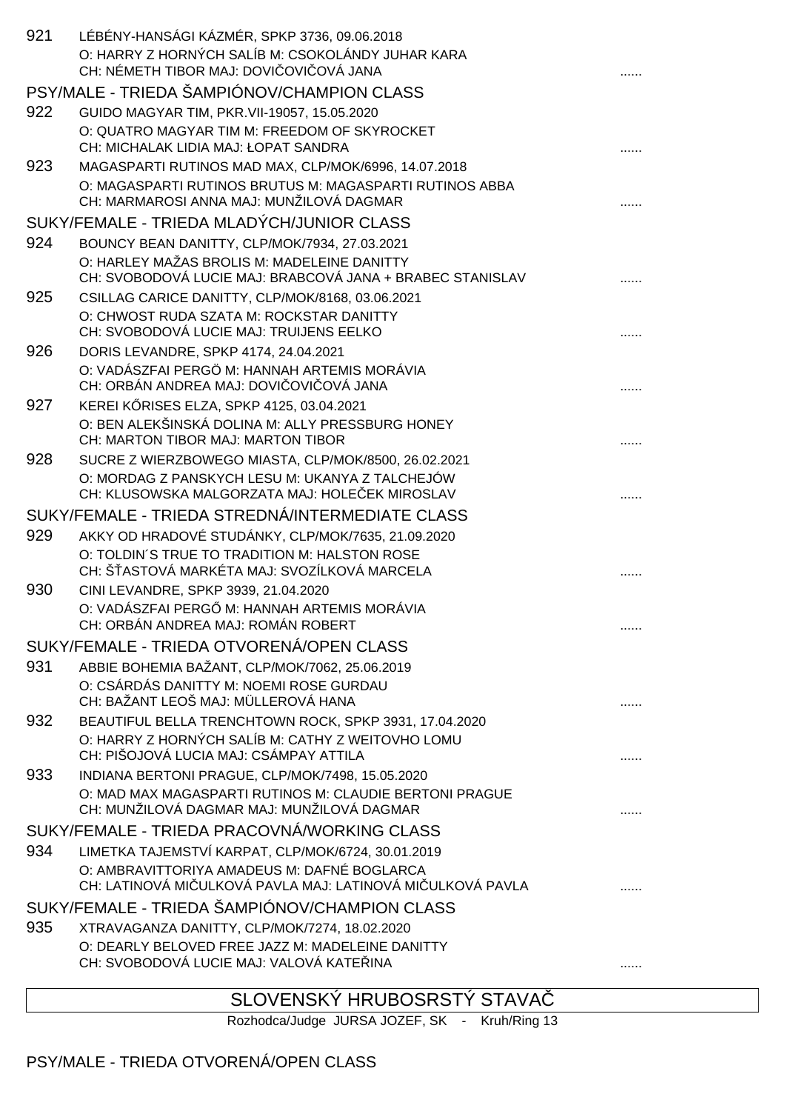| 921 | LÉBÉNY-HANSÁGI KÁZMÉR, SPKP 3736, 09.06.2018<br>O: HARRY Z HORNÝCH SALÍB M: CSOKOLÁNDY JUHAR KARA<br>CH: NÉMETH TIBOR MAJ: DOVI OVI OVÁ JANA |   |
|-----|----------------------------------------------------------------------------------------------------------------------------------------------|---|
|     | PSY/MALE - TRIEDA ŠAMPIÓNOV/CHAMPION CLASS                                                                                                   |   |
| 922 | GUIDO MAGYAR TIM, PKR.VII-19057, 15.05.2020                                                                                                  |   |
|     | O: QUATRO MAGYAR TIM M: FREEDOM OF SKYROCKET                                                                                                 |   |
|     | CH: MICHALAK LIDIA MAJ: ŁOPAT SANDRA                                                                                                         |   |
| 923 | MAGASPARTI RUTINOS MAD MAX, CLP/MOK/6996, 14.07.2018                                                                                         |   |
|     | O: MAGASPARTI RUTINOS BRUTUS M: MAGASPARTI RUTINOS ABBA<br>CH: MARMAROSI ANNA MAJ: MUNŽILOVÁ DAGMAR                                          |   |
|     | SUKY/FEMALE - TRIEDA MLADÝCH/JUNIOR CLASS                                                                                                    |   |
| 924 | BOUNCY BEAN DANITTY, CLP/MOK/7934, 27.03.2021                                                                                                |   |
|     | O: HARLEY MAŽAS BROLIS M: MADELEINE DANITTY                                                                                                  |   |
|     | CH: SVOBODOVÁ LUCIE MAJ: BRABCOVÁ JANA + BRABEC STANISLAV                                                                                    |   |
| 925 | CSILLAG CARICE DANITTY, CLP/MOK/8168, 03.06.2021                                                                                             |   |
|     | O: CHWOST RUDA SZATA M: ROCKSTAR DANITTY                                                                                                     |   |
|     | CH: SVOBODOVÁ LUCIE MAJ: TRUIJENS EELKO                                                                                                      |   |
| 926 | DORIS LEVANDRE, SPKP 4174, 24.04.2021<br>O: VADÁSZFAI PERGÖ M: HANNAH ARTEMIS MORÁVIA                                                        |   |
|     | CH: ORBÁN ANDREA MAJ: DOVI OVI OVÁ JANA                                                                                                      |   |
| 927 | KEREI K RISES ELZA, SPKP 4125, 03.04.2021                                                                                                    |   |
|     | O: BEN ALEKŠINSKÁ DOLINA M: ALLY PRESSBURG HONEY                                                                                             |   |
|     | CH: MARTON TIBOR MAJ: MARTON TIBOR                                                                                                           |   |
| 928 | SUCRE Z WIERZBOWEGO MIASTA, CLP/MOK/8500, 26.02.2021                                                                                         |   |
|     | O: MORDAG Z PANSKYCH LESU M: UKANYA Z TALCHEJÓW<br>CH: KLUSOWSKA MALGORZATA MAJ: HOLE EK MIROSLAV                                            |   |
|     | SUKY/FEMALE - TRIEDA STREDNÁ/INTERMEDIATE CLASS                                                                                              |   |
| 929 | AKKY OD HRADOVÉ STUDÁNKY, CLP/MOK/7635, 21.09.2020                                                                                           |   |
|     | O: TOLDIN'S TRUE TO TRADITION M: HALSTON ROSE                                                                                                |   |
|     | CH: Š ASTOVÁ MARKÉTA MAJ: SVOZÍLKOVÁ MARCELA                                                                                                 |   |
| 930 | CINI LEVANDRE, SPKP 3939, 21.04.2020<br>O: VADÁSZFAI PERG M: HANNAH ARTEMIS MORÁVIA                                                          |   |
|     | CH: ORBÁN ANDREA MAJ: ROMÁN ROBERT                                                                                                           | . |
|     | SUKY/FEMALE - TRIEDA OTVORENÁ/OPEN CLASS                                                                                                     |   |
| 931 | ABBIE BOHEMIA BAŽANT, CLP/MOK/7062, 25.06.2019                                                                                               |   |
|     | O: CSÁRDÁS DANITTY M: NOEMI ROSE GURDAU                                                                                                      |   |
|     | CH: BAŽANT LEOŠ MAJ: MÜLLEROVÁ HANA                                                                                                          |   |
| 932 | BEAUTIFUL BELLA TRENCHTOWN ROCK, SPKP 3931, 17.04.2020<br>O: HARRY Z HORNÝCH SALÍB M: CATHY Z WEITOVHO LOMU                                  |   |
|     | CH: PIŠOJOVÁ LUCIA MAJ: CSÁMPAY ATTILA                                                                                                       |   |
| 933 | INDIANA BERTONI PRAGUE, CLP/MOK/7498, 15.05.2020                                                                                             |   |
|     | O: MAD MAX MAGASPARTI RUTINOS M: CLAUDIE BERTONI PRAGUE                                                                                      |   |
|     | CH: MUNŽILOVÁ DAGMAR MAJ: MUNŽILOVÁ DAGMAR                                                                                                   |   |
|     | SUKY/FEMALE - TRIEDA PRACOVNÁ/WORKING CLASS                                                                                                  |   |
| 934 | LIMETKA TAJEMSTVÍ KARPAT, CLP/MOK/6724, 30.01.2019                                                                                           |   |
|     | O: AMBRAVITTORIYA AMADEUS M: DAFNÉ BOGLARCA<br>CH: LATINOVÁ MI ULKOVÁ PAVLA MAJ: LATINOVÁ MI ULKOVÁ PAVLA                                    |   |
|     | SUKY/FEMALE - TRIEDA ŠAMPIÓNOV/CHAMPION CLASS                                                                                                |   |
| 935 | XTRAVAGANZA DANITTY, CLP/MOK/7274, 18.02.2020                                                                                                |   |
|     | O: DEARLY BELOVED FREE JAZZ M: MADELEINE DANITTY                                                                                             |   |
|     | CH: SVOBODOVÁ LUCIE MAJ: VALOVÁ KATE INA                                                                                                     |   |
|     |                                                                                                                                              |   |

# SLOVENSKÝ HRUBOSRSTÝ STAVA

Rozhodca/Judge JURSA JOZEF, SK - Kruh/Ring 13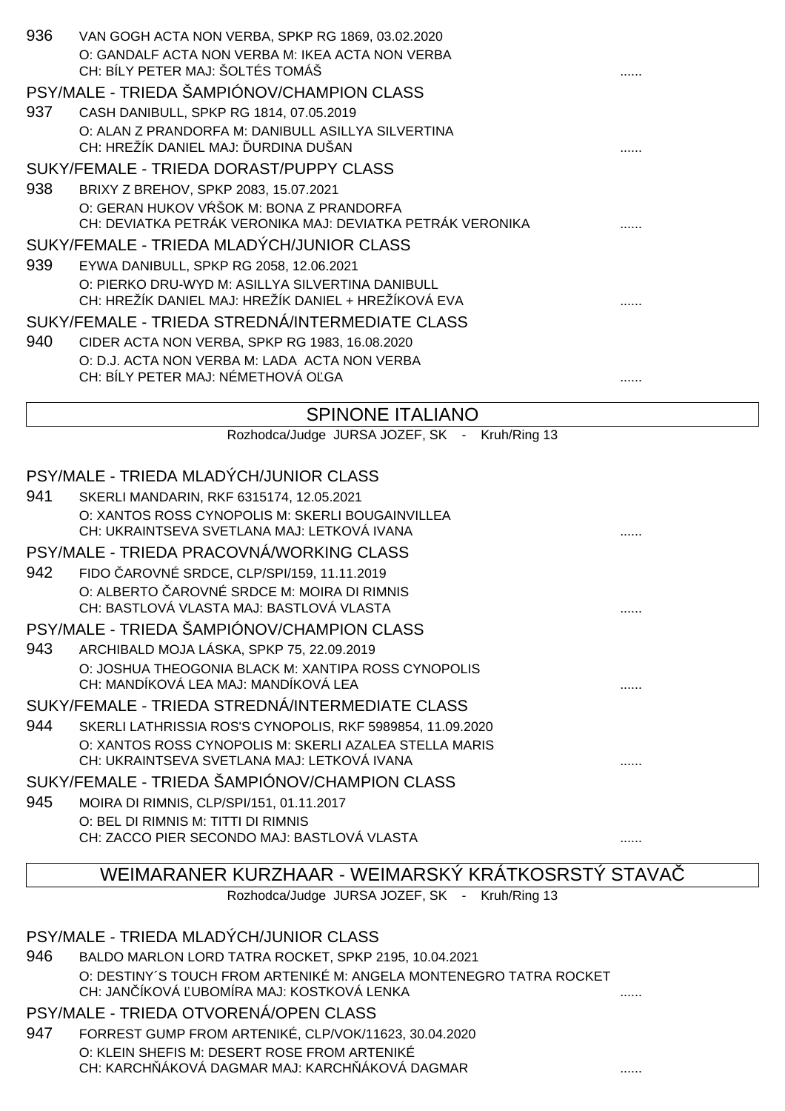| 936 | VAN GOGH ACTA NON VERBA, SPKP RG 1869, 03.02.2020                                                        |   |
|-----|----------------------------------------------------------------------------------------------------------|---|
|     | O: GANDALF ACTA NON VERBA M: IKEA ACTA NON VERBA<br>CH: BÍLY PETER MAJ: ŠOLTÉS TOMÁŠ                     |   |
|     | PSY/MALE - TRIEDA ŠAMPIÓNOV/CHAMPION CLASS                                                               |   |
| 937 | CASH DANIBULL, SPKP RG 1814, 07.05.2019                                                                  |   |
|     | O: ALAN Z PRANDORFA M: DANIBULL ASILLYA SILVERTINA<br>CH: HREŽÍK DANIEL MAJ: URDINA DUŠAN                |   |
|     | SUKY/FEMALE - TRIEDA DORAST/PUPPY CLASS                                                                  |   |
| 938 | BRIXY Z BREHOV, SPKP 2083, 15.07.2021                                                                    |   |
|     | O: GERAN HUKOV V ŠOK M: BONA Z PRANDORFA<br>CH: DEVIATKA PETRÁK VERONIKA MAJ: DEVIATKA PETRÁK VERONIKA   |   |
|     | SUKY/FEMALE - TRIEDA MLADÝCH/JUNIOR CLASS                                                                |   |
| 939 | EYWA DANIBULL, SPKP RG 2058, 12.06.2021                                                                  |   |
|     | O: PIERKO DRU-WYD M: ASILLYA SILVERTINA DANIBULL<br>CH: HREŽÍK DANIEL MAJ: HREŽÍK DANIEL + HREŽÍKOVÁ EVA |   |
|     | SUKY/FEMALE - TRIEDA STREDNÁ/INTERMEDIATE CLASS                                                          |   |
| 940 | CIDER ACTA NON VERBA, SPKP RG 1983, 16.08.2020                                                           |   |
|     | O: D.J. ACTA NON VERBA M: LADA ACTA NON VERBA<br>CH: BÍLY PETER MAJ: NÉMETHOVÁ O GA                      | . |
|     | COINIONIE ITALIANIO                                                                                      |   |

#### SPINONE ITALIANO

Rozhodca/Judge JURSA JOZEF, SK - Kruh/Ring 13

|     | PSY/MALE - TRIEDA MLADÝCH/JUNIOR CLASS                     |  |
|-----|------------------------------------------------------------|--|
| 941 | SKERLI MANDARIN, RKF 6315174, 12.05.2021                   |  |
|     | O: XANTOS ROSS CYNOPOLIS M: SKERLI BOUGAINVILLEA           |  |
|     | CH: UKRAINTSEVA SVETLANA MAJ: LETKOVÁ IVANA                |  |
|     | PSY/MALE - TRIEDA PRACOVNÁ/WORKING CLASS                   |  |
| 942 | FIDO AROVNÉ SRDCE, CLP/SPI/159, 11.11.2019                 |  |
|     | O: ALBERTO AROVNÉ SRDCE M: MOIRA DI RIMNIS                 |  |
|     | CH: BASTLOVÁ VLASTA MAJ: BASTLOVÁ VLASTA                   |  |
|     | PSY/MALE - TRIEDA ŠAMPIÓNOV/CHAMPION CLASS                 |  |
| 943 | ARCHIBALD MOJA LÁSKA, SPKP 75, 22.09.2019                  |  |
|     | O: JOSHUA THEOGONIA BLACK M: XANTIPA ROSS CYNOPOLIS        |  |
|     | CH: MANDÍKOVÁ LEA MAJ: MANDÍKOVÁ LEA                       |  |
|     | SUKY/FEMALE - TRIEDA STREDNÁ/INTERMEDIATE CLASS            |  |
| 944 | SKERLI LATHRISSIA ROS'S CYNOPOLIS, RKF 5989854, 11.09.2020 |  |
|     | O: XANTOS ROSS CYNOPOLIS M: SKERLI AZALEA STELLA MARIS     |  |
|     | CH: UKRAINTSEVA SVETLANA MAJ: LETKOVÁ IVANA                |  |
|     | SUKY/FEMALE - TRIEDA ŠAMPIÓNOV/CHAMPION CLASS              |  |
| 945 | MOIRA DI RIMNIS, CLP/SPI/151, 01.11.2017                   |  |
|     | O: BEL DI RIMNIS M: TITTI DI RIMNIS                        |  |
|     | CH: ZACCO PIER SECONDO MAJ: BASTLOVÁ VLASTA                |  |

#### WEIMARANER KURZHAAR - WEIMARSKÝ KRÁTKOSRSTÝ STAVAČ

Rozhodca/Judge JURSA JOZEF, SK - Kruh/Ring 13

# PSY/MALE - TRIEDA MLADÝCH/JUNIOR CLASS

#### 946 BALDO MARLON LORD TATRA ROCKET, SPKP 2195, 10.04.2021 O: DESTINY´S TOUCH FROM ARTENIKÉ M: ANGELA MONTENEGRO TATRA ROCKET CH: JANČÍKOVÁ ĽUBOMÍRA MAJ: KOSTKOVÁ LENKA ......

# PSY/MALE - TRIEDA OTVORENÁ/OPEN CLASS

947 FORREST GUMP FROM ARTENIKÉ, CLP/VOK/11623, 30.04.2020 O: KLEIN SHEFIS M: DESERT ROSE FROM ARTENIKÉ CH: KARCH ÁKOVÁ DAGMAR MAJ: KARCH ÁKOVÁ DAGMAR  $\ldots$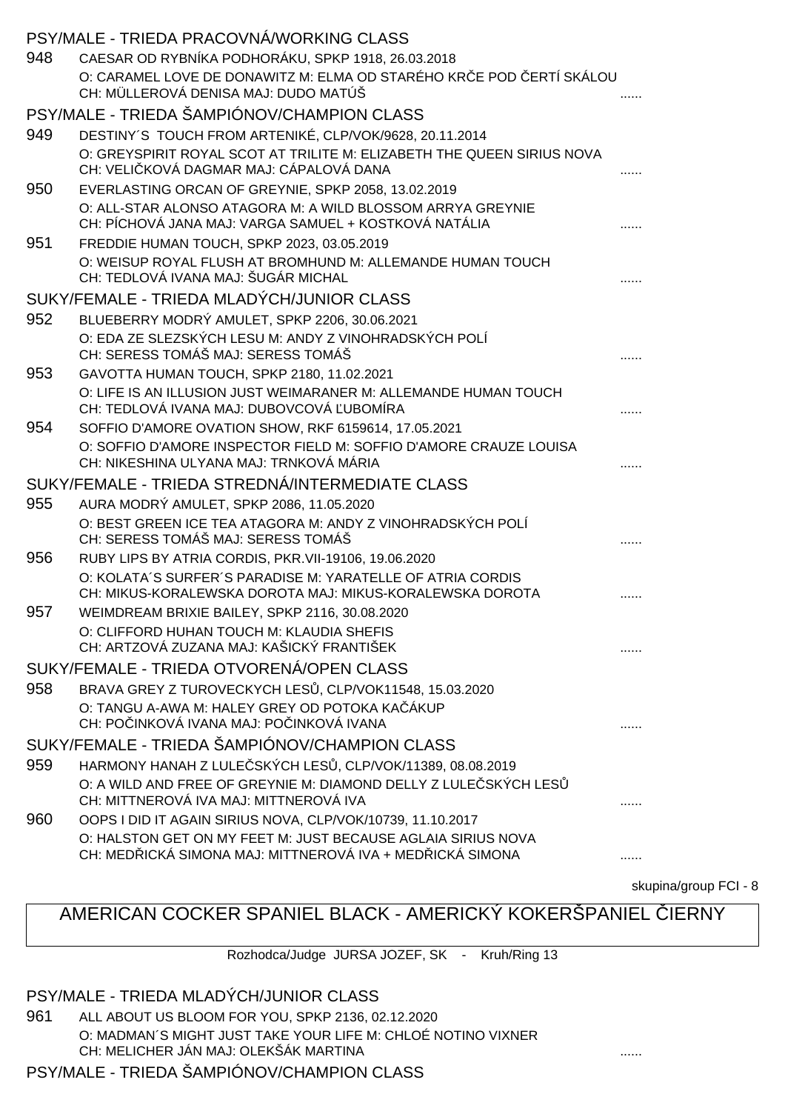|     | PSY/MALE - TRIEDA PRACOVNÁ/WORKING CLASS                                                                                  |   |
|-----|---------------------------------------------------------------------------------------------------------------------------|---|
| 948 | CAESAR OD RYBNÍKA PODHORÁKU, SPKP 1918, 26.03.2018                                                                        |   |
|     | O: CARAMEL LOVE DE DONAWITZ M: ELMA OD STARÉHO KR E POD ERTÍ SKÁLOU<br>CH: MÜLLEROVÁ DENISA MAJ: DUDO MATÚŠ               |   |
|     | PSY/MALE - TRIEDA ŠAMPIÓNOV/CHAMPION CLASS                                                                                |   |
| 949 | DESTINY'S TOUCH FROM ARTENIKÉ, CLP/VOK/9628, 20.11.2014                                                                   |   |
|     | O: GREYSPIRIT ROYAL SCOT AT TRILITE M: ELIZABETH THE QUEEN SIRIUS NOVA<br>CH: VELI KOVÁ DAGMAR MAJ: CÁPALOVÁ DANA         |   |
| 950 | EVERLASTING ORCAN OF GREYNIE, SPKP 2058, 13.02.2019                                                                       |   |
|     | O: ALL-STAR ALONSO ATAGORA M: A WILD BLOSSOM ARRYA GREYNIE<br>CH: PÍCHOVÁ JANA MAJ: VARGA SAMUEL + KOSTKOVÁ NATÁLIA       |   |
| 951 | FREDDIE HUMAN TOUCH, SPKP 2023, 03.05.2019                                                                                |   |
|     | O: WEISUP ROYAL FLUSH AT BROMHUND M: ALLEMANDE HUMAN TOUCH<br>CH: TEDLOVÁ IVANA MAJ: ŠUGÁR MICHAL                         |   |
|     | SUKY/FEMALE - TRIEDA MLADÝCH/JUNIOR CLASS                                                                                 |   |
| 952 | BLUEBERRY MODRÝ AMULET, SPKP 2206, 30.06.2021                                                                             |   |
|     | O: EDA ZE SLEZSKÝCH LESU M: ANDY Z VINOHRADSKÝCH POLÍ<br>CH: SERESS TOMÁŠ MAJ: SERESS TOMÁŠ                               |   |
| 953 | GAVOTTA HUMAN TOUCH, SPKP 2180, 11.02.2021                                                                                |   |
|     | O: LIFE IS AN ILLUSION JUST WEIMARANER M: ALLEMANDE HUMAN TOUCH<br>CH: TEDLOVÁ IVANA MAJ: DUBOVCOVÁ UBOMÍRA               |   |
| 954 | SOFFIO D'AMORE OVATION SHOW, RKF 6159614, 17.05.2021                                                                      |   |
|     | O: SOFFIO D'AMORE INSPECTOR FIELD M: SOFFIO D'AMORE CRAUZE LOUISA<br>CH: NIKESHINA ULYANA MAJ: TRNKOVÁ MÁRIA              |   |
|     | SUKY/FEMALE - TRIEDA STREDNÁ/INTERMEDIATE CLASS                                                                           |   |
| 955 | AURA MODRÝ AMULET, SPKP 2086, 11.05.2020                                                                                  |   |
|     | O: BEST GREEN ICE TEA ATAGORA M: ANDY Z VINOHRADSKÝCH POLÍ<br>CH: SERESS TOMÁŠ MAJ: SERESS TOMÁŠ                          |   |
| 956 | RUBY LIPS BY ATRIA CORDIS, PKR. VII-19106, 19.06.2020                                                                     |   |
|     | O: KOLATA'S SURFER'S PARADISE M: YARATELLE OF ATRIA CORDIS<br>CH: MIKUS-KORALEWSKA DOROTA MAJ: MIKUS-KORALEWSKA DOROTA    |   |
| 957 | WEIMDREAM BRIXIE BAILEY, SPKP 2116, 30.08.2020                                                                            |   |
|     | O: CLIFFORD HUHAN TOUCH M: KLAUDIA SHEFIS<br>CH: ARTZOVÁ ZUZANA MAJ: KAŠICKÝ FRANTIŠEK                                    |   |
|     | SUKY/FEMALE - TRIEDA OTVORENÁ/OPEN CLASS                                                                                  |   |
| 958 | BRAVA GREY Z TUROVECKYCH LES , CLP/VOK11548, 15.03.2020                                                                   |   |
|     | O: TANGU A-AWA M: HALEY GREY OD POTOKA KA ÁKUP<br>CH: PO INKOVÁ IVANA MAJ: PO INKOVÁ IVANA                                |   |
|     | SUKY/FEMALE - TRIEDA ŠAMPIÓNOV/CHAMPION CLASS                                                                             |   |
| 959 | HARMONY HANAH Z LULE SKÝCH LES, CLP/VOK/11389, 08.08.2019                                                                 |   |
|     | O: A WILD AND FREE OF GREYNIE M: DIAMOND DELLY Z LULE SKÝCH LES<br>CH: MITTNEROVÁ IVA MAJ: MITTNEROVÁ IVA                 |   |
| 960 | OOPS I DID IT AGAIN SIRIUS NOVA, CLP/VOK/10739, 11.10.2017                                                                |   |
|     | O: HALSTON GET ON MY FEET M: JUST BECAUSE AGLAIA SIRIUS NOVA<br>CH: MED ICKÁ SIMONA MAJ: MITTNEROVÁ IVA + MED ICKÁ SIMONA | . |

skupina/group FCI - 8

# AMERICAN COCKER SPANIEL BLACK - AMERICKÝ KOKERŠPANIEL IERNY

Rozhodca/Judge JURSA JOZEF, SK - Kruh/Ring 13

PSY/MALE - TRIEDA MLADÝCH/JUNIOR CLASS

961 ALL ABOUT US BLOOM FOR YOU, SPKP 2136, 02.12.2020 O: MADMAN´S MIGHT JUST TAKE YOUR LIFE M: CHLOÉ NOTINO VIXNER CH: MELICHER JÁN MAJ: OLEKŠÁK MARTINA **a matematika a matematika a matematika a matematika a matematika a matematik** 

PSY/MALE - TRIEDA ŠAMPIÓNOV/CHAMPION CLASS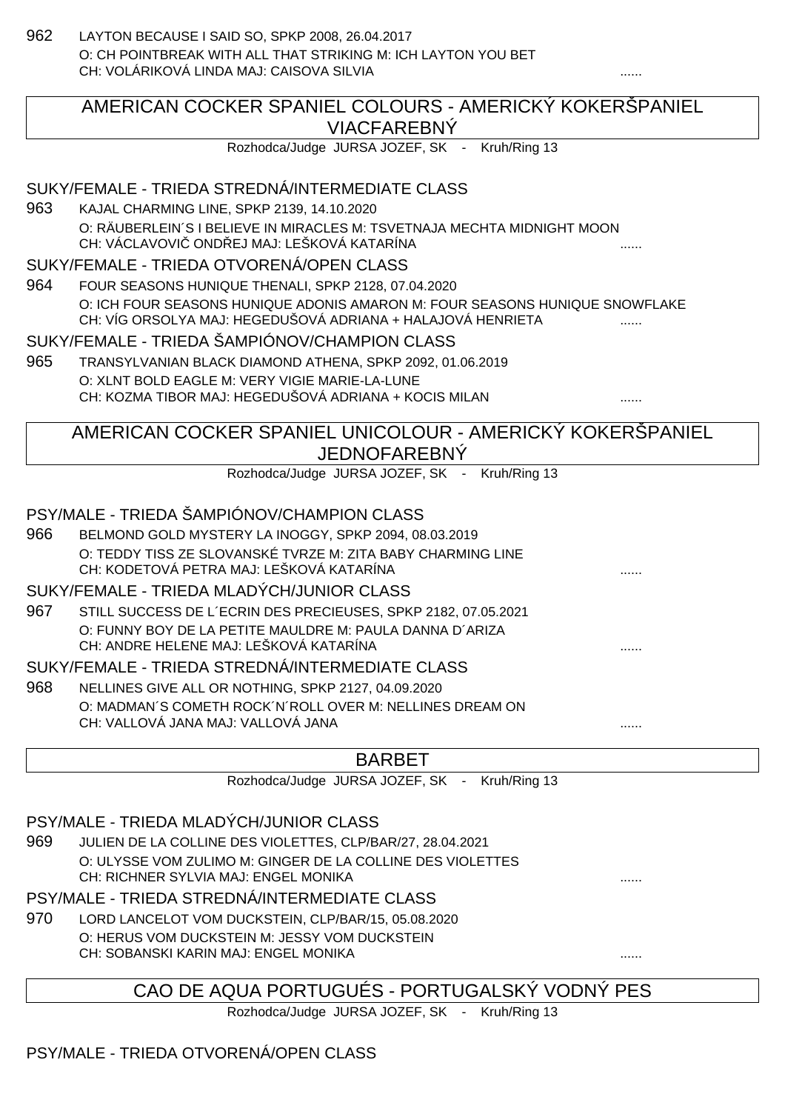962 LAYTON BECAUSE I SAID SO, SPKP 2008, 26.04.2017 O: CH POINTBREAK WITH ALL THAT STRIKING M: ICH LAYTON YOU BET CH: VOLÁRIKOVÁ LINDA MAJ: CAISOVA SILVIA

# AMERICAN COCKER SPANIEL COLOURS - AMERICKÝ KOKERŠPANIEL VIACFAREBNÝ

Rozhodca/Judge JURSA JOZEF, SK - Kruh/Ring 13

### SUKY/FEMALE - TRIEDA STREDNÁ/INTERMEDIATE CLASS

963 KAJAL CHARMING LINE, SPKP 2139, 14.10.2020 O: RÄUBERLEIN´S I BELIEVE IN MIRACLES M: TSVETNAJA MECHTA MIDNIGHT MOON CH: VÁCLAVOVI OND EJ MAJ: LEŠKOVÁ KATARÍNA **KATARÍNA** .......

#### SUKY/FEMALE - TRIEDA OTVORENÁ/OPEN CLASS

964 FOUR SEASONS HUNIQUE THENALI, SPKP 2128, 07.04.2020 O: ICH FOUR SEASONS HUNIQUE ADONIS AMARON M: FOUR SEASONS HUNIQUE SNOWFLAKE CH: VÍG ORSOLYA MAJ: HEGEDUŠOVÁ ADRIANA + HALAJOVÁ HENRIETA

#### SUKY/FEMALE - TRIEDA ŠAMPIÓNOV/CHAMPION CLASS

965 TRANSYLVANIAN BLACK DIAMOND ATHENA, SPKP 2092, 01.06.2019 O: XLNT BOLD EAGLE M: VERY VIGIE MARIE-LA-LUNE CH: KOZMA TIBOR MAJ: HEGEDUŠOVÁ ADRIANA + KOCIS MILAN

# AMERICAN COCKER SPANIEL UNICOLOUR - AMERICKÝ KOKERŠPANIEL JEDNOFAREBNÝ

Rozhodca/Judge JURSA JOZEF, SK - Kruh/Ring 13

# PSY/MALE - TRIEDA ŠAMPIÓNOV/CHAMPION CLASS

966 BELMOND GOLD MYSTERY LA INOGGY, SPKP 2094, 08.03.2019 O: TEDDY TISS ZE SLOVANSKÉ TVRZE M: ZITA BABY CHARMING LINE CH: KODETOVÁ PETRA MAJ: LEŠKOVÁ KATARÍNA ......

#### SUKY/FEMALE - TRIEDA MLADÝCH/JUNIOR CLASS

967 STILL SUCCESS DE L´ECRIN DES PRECIEUSES, SPKP 2182, 07.05.2021 O: FUNNY BOY DE LA PETITE MAULDRE M: PAULA DANNA D´ARIZA CH: ANDRE HELENE MAJ: LEŠKOVÁ KATARÍNA

#### SUKY/FEMALE - TRIEDA STREDNÁ/INTERMEDIATE CLASS

968 NELLINES GIVE ALL OR NOTHING, SPKP 2127, 04.09.2020 O: MADMAN´S COMETH ROCK´N´ROLL OVER M: NELLINES DREAM ON CH: VALLOVÁ JANA MAJ: VALLOVÁ JANA

#### BARBET

Rozhodca/Judge JURSA JOZEF, SK - Kruh/Ring 13

#### PSY/MALE - TRIEDA MLADÝCH/JUNIOR CLASS

969 JULIEN DE LA COLLINE DES VIOLETTES, CLP/BAR/27, 28.04.2021 O: ULYSSE VOM ZULIMO M: GINGER DE LA COLLINE DES VIOLETTES CH: RICHNER SYLVIA MAJ: ENGEL MONIKA ......

#### PSY/MALE - TRIEDA STREDNÁ/INTERMEDIATE CLASS

970 LORD LANCELOT VOM DUCKSTEIN, CLP/BAR/15, 05.08.2020 O: HERUS VOM DUCKSTEIN M: JESSY VOM DUCKSTEIN CH: SOBANSKI KARIN MAJ: ENGEL MONIKA ......

# CAO DE AQUA PORTUGUÉS - PORTUGALSKÝ VODNÝ PES

Rozhodca/Judge JURSA JOZEF, SK - Kruh/Ring 13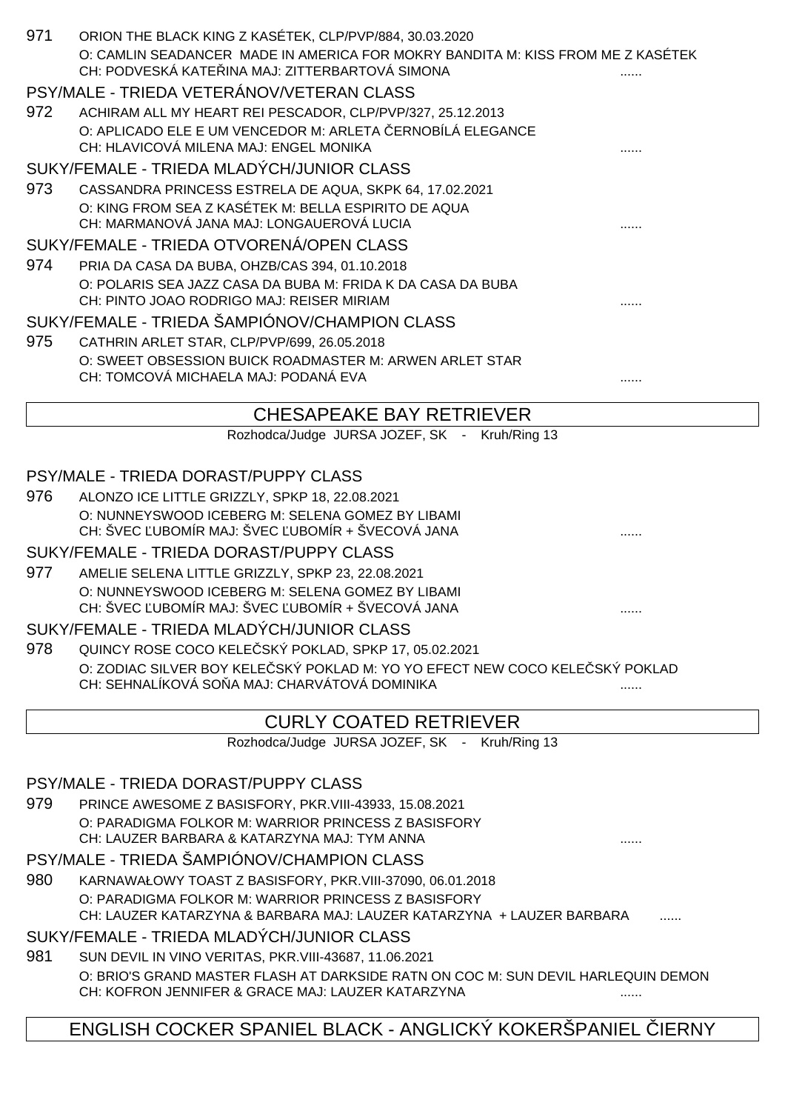| 971 | ORION THE BLACK KING Z KASÉTEK, CLP/PVP/884, 30.03.2020                                                                                |              |
|-----|----------------------------------------------------------------------------------------------------------------------------------------|--------------|
|     | O: CAMLIN SEADANCER MADE IN AMERICA FOR MOKRY BANDITA M: KISS FROM ME Z KASÉTEK<br>CH: PODVESKÁ KATE INA MAJ: ZITTERBARTOVÁ SIMONA     |              |
|     | PSY/MALE - TRIEDA VETERÁNOV/VETERAN CLASS                                                                                              |              |
| 972 | ACHIRAM ALL MY HEART REI PESCADOR, CLP/PVP/327, 25.12.2013                                                                             |              |
|     | O: APLICADO ELE E UM VENCEDOR M: ARLETA ERNOBÍLÁ ELEGANCE                                                                              |              |
|     | CH: HLAVICOVÁ MILENA MAJ: ENGEL MONIKA                                                                                                 |              |
|     | SUKY/FEMALE - TRIEDA MLADÝCH/JUNIOR CLASS                                                                                              |              |
| 973 | CASSANDRA PRINCESS ESTRELA DE AQUA, SKPK 64, 17.02.2021                                                                                |              |
|     | O: KING FROM SEA Z KASÉTEK M: BELLA ESPIRITO DE AQUA<br>CH: MARMANOVÁ JANA MAJ: LONGAUEROVÁ LUCIA                                      |              |
|     | SUKY/FEMALE - TRIEDA OTVORENÁ/OPEN CLASS                                                                                               |              |
| 974 | PRIA DA CASA DA BUBA, OHZB/CAS 394, 01.10.2018                                                                                         |              |
|     | O: POLARIS SEA JAZZ CASA DA BUBA M: FRIDA K DA CASA DA BUBA                                                                            |              |
|     | CH: PINTO JOAO RODRIGO MAJ: REISER MIRIAM                                                                                              |              |
|     | SUKY/FEMALE - TRIEDA ŠAMPIÓNOV/CHAMPION CLASS                                                                                          |              |
| 975 | CATHRIN ARLET STAR, CLP/PVP/699, 26.05.2018<br>O: SWEET OBSESSION BUICK ROADMASTER M: ARWEN ARLET STAR                                 |              |
|     | CH: TOMCOVÁ MICHAELA MAJ: PODANÁ EVA                                                                                                   |              |
|     |                                                                                                                                        |              |
|     | <b>CHESAPEAKE BAY RETRIEVER</b>                                                                                                        |              |
|     | Rozhodca/Judge JURSA JOZEF, SK - Kruh/Ring 13                                                                                          |              |
|     | PSY/MALE - TRIEDA DORAST/PUPPY CLASS                                                                                                   |              |
| 976 | ALONZO ICE LITTLE GRIZZLY, SPKP 18, 22.08.2021                                                                                         |              |
|     | O: NUNNEYSWOOD ICEBERG M: SELENA GOMEZ BY LIBAMI                                                                                       |              |
|     | CH: ŠVEC UBOMÍR MAJ: ŠVEC UBOMÍR + ŠVECOVÁ JANA                                                                                        |              |
| 977 | SUKY/FEMALE - TRIEDA DORAST/PUPPY CLASS                                                                                                |              |
|     | AMELIE SELENA LITTLE GRIZZLY, SPKP 23, 22.08.2021<br>O: NUNNEYSWOOD ICEBERG M: SELENA GOMEZ BY LIBAMI                                  |              |
|     | CH: ŠVEC UBOMÍR MAJ: ŠVEC UBOMÍR + ŠVECOVÁ JANA                                                                                        | .            |
|     | SUKY/FEMALE - TRIEDA MLADYCH/JUNIOR CLASS                                                                                              |              |
| 978 | QUINCY ROSE COCO KELE SKÝ POKLAD, SPKP 17, 05.02.2021                                                                                  |              |
|     | O: ZODIAC SILVER BOY KELE SKÝ POKLAD M: YO YO EFECT NEW COCO KELE SKÝ POKLAD                                                           |              |
|     | CH: SEHNALÍKOVÁ SO A MAJ: CHARVÁTOVÁ DOMINIKA                                                                                          |              |
|     | <b>CURLY COATED RETRIEVER</b>                                                                                                          |              |
|     | Rozhodca/Judge JURSA JOZEF, SK - Kruh/Ring 13                                                                                          |              |
|     | PSY/MALE - TRIEDA DORAST/PUPPY CLASS                                                                                                   |              |
| 979 | PRINCE AWESOME Z BASISFORY, PKR. VIII-43933, 15.08.2021                                                                                |              |
|     | O: PARADIGMA FOLKOR M: WARRIOR PRINCESS Z BASISFORY<br>CH: LAUZER BARBARA & KATARZYNA MAJ: TYM ANNA                                    |              |
|     | PSY/MALE - TRIEDA ŠAMPIÓNOV/CHAMPION CLASS                                                                                             |              |
| 980 | KARNAWAŁOWY TOAST Z BASISFORY, PKR. VIII-37090, 06.01.2018                                                                             |              |
|     | O: PARADIGMA FOLKOR M: WARRIOR PRINCESS Z BASISFORY<br>CH: LAUZER KATARZYNA & BARBARA MAJ: LAUZER KATARZYNA + LAUZER BARBARA           |              |
|     | SUKY/FEMALE - TRIEDA MLADÝCH/JUNIOR CLASS                                                                                              |              |
| 981 | SUN DEVIL IN VINO VERITAS, PKR. VIII-43687, 11.06.2021                                                                                 |              |
|     | O: BRIO'S GRAND MASTER FLASH AT DARKSIDE RATN ON COC M: SUN DEVIL HARLEQUIN DEMON<br>CH: KOFRON JENNIFER & GRACE MAJ: LAUZER KATARZYNA |              |
|     | ENGLISH COCKER SPANIEL BLACK - ANGLICKÝ KOKERŠPANIEL                                                                                   | <b>IERNY</b> |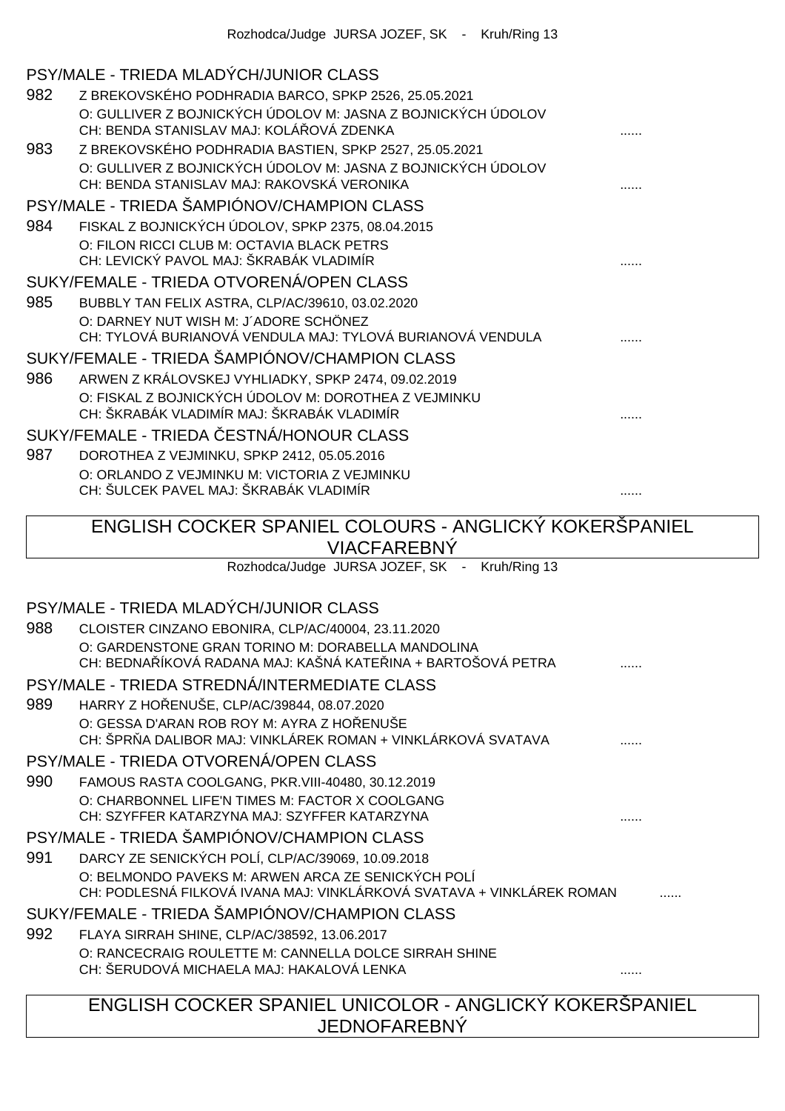|     | PSY/MALE - TRIEDA MLADÝCH/JUNIOR CLASS                                                                                                               |  |
|-----|------------------------------------------------------------------------------------------------------------------------------------------------------|--|
| 982 | Z BREKOVSKÉHO PODHRADIA BARCO, SPKP 2526, 25.05.2021                                                                                                 |  |
|     | O: GULLIVER Z BOJNICKÝCH ÚDOLOV M: JASNA Z BOJNICKÝCH ÚDOLOV<br>CH: BENDA STANISLAV MAJ: KOLÁ OVÁ ZDENKA                                             |  |
| 983 | Z BREKOVSKÉHO PODHRADIA BASTIEN, SPKP 2527, 25.05.2021                                                                                               |  |
|     | O: GULLIVER Z BOJNICKÝCH ÚDOLOV M: JASNA Z BOJNICKÝCH ÚDOLOV<br>CH: BENDA STANISLAV MAJ: RAKOVSKÁ VERONIKA                                           |  |
|     | PSY/MALE - TRIEDA ŠAMPIÓNOV/CHAMPION CLASS                                                                                                           |  |
| 984 | FISKAL Z BOJNICKÝCH ÚDOLOV, SPKP 2375, 08.04.2015                                                                                                    |  |
|     | O: FILON RICCI CLUB M: OCTAVIA BLACK PETRS<br>CH: LEVICKÝ PAVOL MAJ: ŠKRABÁK VLADIMÍR                                                                |  |
|     | SUKY/FEMALE - TRIEDA OTVORENÁ/OPEN CLASS                                                                                                             |  |
| 985 | BUBBLY TAN FELIX ASTRA, CLP/AC/39610, 03.02.2020                                                                                                     |  |
|     | O: DARNEY NUT WISH M: J'ADORE SCHÖNEZ<br>CH: TYLOVÁ BURIANOVÁ VENDULA MAJ: TYLOVÁ BURIANOVÁ VENDULA                                                  |  |
|     | SUKY/FEMALE - TRIEDA ŠAMPIÓNOV/CHAMPION CLASS                                                                                                        |  |
| 986 | ARWEN Z KRÁLOVSKEJ VYHLIADKY, SPKP 2474, 09.02.2019                                                                                                  |  |
|     | O: FISKAL Z BOJNICKÝCH ÚDOLOV M: DOROTHEA Z VEJMINKU<br>CH: ŠKRABÁK VLADIMÍR MAJ: ŠKRABÁK VLADIMÍR                                                   |  |
|     | SUKY/FEMALE - TRIEDA ESTNÁ/HONOUR CLASS                                                                                                              |  |
| 987 | DOROTHEA Z VEJMINKU, SPKP 2412, 05.05.2016                                                                                                           |  |
|     | O: ORLANDO Z VEJMINKU M: VICTORIA Z VEJMINKU                                                                                                         |  |
|     | CH: ŠULCEK PAVEL MAJ: ŠKRABÁK VLADIMÍR                                                                                                               |  |
|     | ENGLISH COCKER SPANIEL COLOURS - ANGLICKY KOKERSPANIEL                                                                                               |  |
|     | <b>VIACFAREBNÝ</b>                                                                                                                                   |  |
|     | Rozhodca/Judge JURSA JOZEF, SK - Kruh/Ring 13                                                                                                        |  |
|     | PSY/MALE - TRIEDA MLADÝCH/JUNIOR CLASS                                                                                                               |  |
| 988 | CLOISTER CINZANO EBONIRA, CLP/AC/40004, 23.11.2020                                                                                                   |  |
|     | O: GARDENSTONE GRAN TORINO M: DORABELLA MANDOLINA<br>CH: BEDNA ÍKOVÁ RADANA MAJ: KAŠNÁ KATE INA + BARTOŠOVÁ PETRA                                    |  |
|     | PSY/MALE - TRIEDA STREDNÁ/INTERMEDIATE CLASS                                                                                                         |  |
| 989 | HARRY Z HO ENUŠE, CLP/AC/39844, 08.07.2020                                                                                                           |  |
|     | O: GESSA D'ARAN ROB ROY M: AYRA Z HO ENUSE<br>CH: ŠPR A DALIBOR MAJ: VINKLÁREK ROMAN + VINKLÁRKOVÁ SVATAVA                                           |  |
|     | PSY/MALE - TRIEDA OTVORENÁ/OPEN CLASS                                                                                                                |  |
| 990 | FAMOUS RASTA COOLGANG, PKR.VIII-40480, 30.12.2019<br>O: CHARBONNEL LIFE'N TIMES M: FACTOR X COOLGANG<br>CH: SZYFFER KATARZYNA MAJ: SZYFFER KATARZYNA |  |
|     | PSY/MALE - TRIEDA ŠAMPIÓNOV/CHAMPION CLASS                                                                                                           |  |
| 991 | DARCY ZE SENICKÝCH POLÍ, CLP/AC/39069, 10.09.2018                                                                                                    |  |
|     | O: BELMONDO PAVEKS M: ARWEN ARCA ZE SENICKÝCH POLÍ<br>CH: PODLESNÁ FILKOVÁ IVANA MAJ: VINKLÁRKOVÁ SVATAVA + VINKLÁREK ROMAN                          |  |
|     | SUKY/FEMALE - TRIEDA ŠAMPIÓNOV/CHAMPION CLASS                                                                                                        |  |
| 992 | FLAYA SIRRAH SHINE, CLP/AC/38592, 13.06.2017                                                                                                         |  |
|     | O: RANCECRAIG ROULETTE M: CANNELLA DOLCE SIRRAH SHINE<br>CH: ŠERUDOVÁ MICHAELA MAJ: HAKALOVÁ LENKA                                                   |  |
|     | ENGLISH COCKER SPANIEL UNICOLOR - ANGLICKÝ KOKERŠPANIEL<br><b>JEDNOFAREBNÝ</b>                                                                       |  |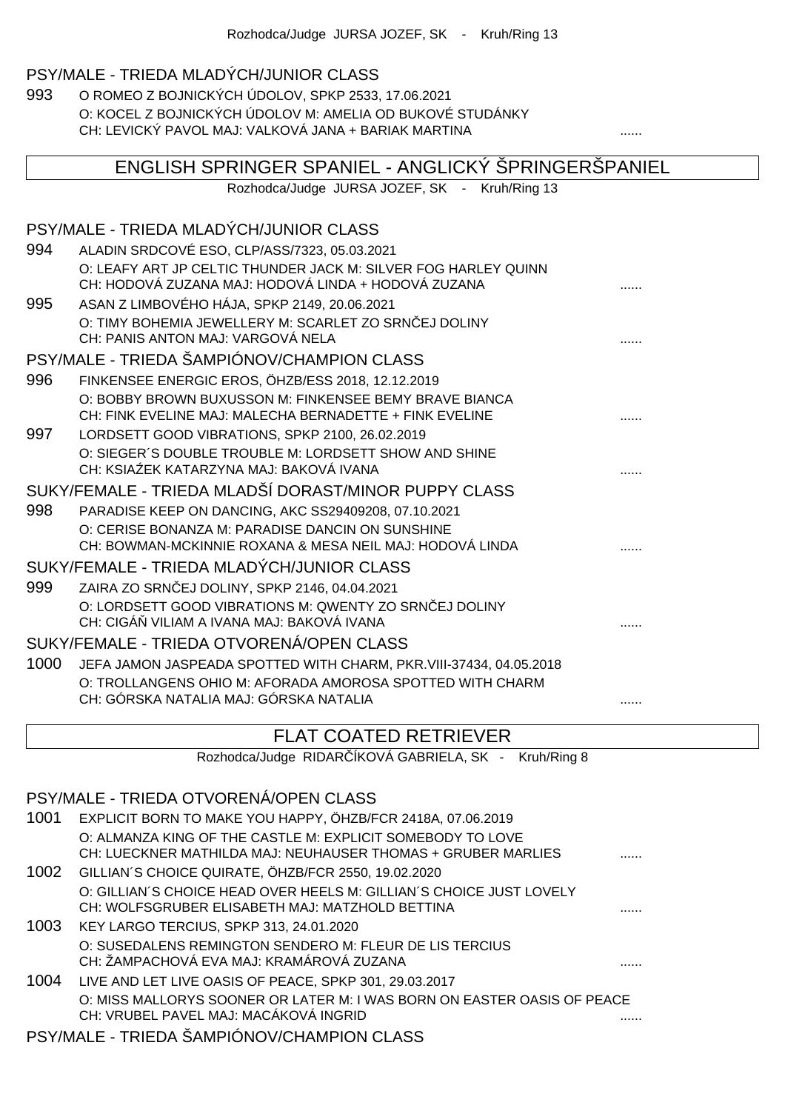# PSY/MALE - TRIEDA MLADÝCH/JUNIOR CLASS

993 O ROMEO Z BOJNICKÝCH ÚDOLOV, SPKP 2533, 17.06.2021 O: KOCEL Z BOJNICKÝCH ÚDOLOV M: AMELIA OD BUKOVÉ STUDÁNKY CH: LEVICKÝ PAVOL MAJ: VALKOVÁ JANA + BARIAK MARTINA ......

| ENGLISH SPRINGER SPANIEL - ANGLICKÝ ŠPRINGERŠPANIEL |                                                                                                                       |  |
|-----------------------------------------------------|-----------------------------------------------------------------------------------------------------------------------|--|
|                                                     | Rozhodca/Judge JURSA JOZEF, SK - Kruh/Ring 13                                                                         |  |
|                                                     | PSY/MALE - TRIEDA MLADÝCH/JUNIOR CLASS                                                                                |  |
| 994                                                 | ALADIN SRDCOVÉ ESO, CLP/ASS/7323, 05.03.2021                                                                          |  |
|                                                     | O: LEAFY ART JP CELTIC THUNDER JACK M: SILVER FOG HARLEY QUINN<br>CH: HODOVÁ ZUZANA MAJ: HODOVÁ LINDA + HODOVÁ ZUZANA |  |
| 995                                                 | ASAN Z LIMBOVÉHO HÁJA, SPKP 2149, 20.06.2021                                                                          |  |
|                                                     | O: TIMY BOHEMIA JEWELLERY M: SCARLET ZO SRN EJ DOLINY                                                                 |  |
|                                                     | CH: PANIS ANTON MAJ: VARGOVÁ NELA                                                                                     |  |
|                                                     | PSY/MALE - TRIEDA ŠAMPIÓNOV/CHAMPION CLASS                                                                            |  |
| 996                                                 | FINKENSEE ENERGIC EROS, ÖHZB/ESS 2018, 12.12.2019                                                                     |  |
|                                                     | O: BOBBY BROWN BUXUSSON M: FINKENSEE BEMY BRAVE BIANCA                                                                |  |
|                                                     | CH: FINK EVELINE MAJ: MALECHA BERNADETTE + FINK EVELINE                                                               |  |
| 997                                                 | LORDSETT GOOD VIBRATIONS, SPKP 2100, 26.02.2019                                                                       |  |
|                                                     | O: SIEGER'S DOUBLE TROUBLE M: LORDSETT SHOW AND SHINE<br>CH: KSIA EK KATARZYNA MAJ: BAKOVÁ IVANA                      |  |
|                                                     | SUKY/FEMALE - TRIEDA MLADŠÍ DORAST/MINOR PUPPY CLASS                                                                  |  |
| 998                                                 | PARADISE KEEP ON DANCING, AKC SS29409208, 07.10.2021                                                                  |  |
|                                                     | O: CERISE BONANZA M: PARADISE DANCIN ON SUNSHINE                                                                      |  |
|                                                     | CH: BOWMAN-MCKINNIE ROXANA & MESA NEIL MAJ: HODOVÁ LINDA                                                              |  |
|                                                     | SUKY/FEMALE - TRIEDA MLADÝCH/JUNIOR CLASS                                                                             |  |
| 999                                                 | ZAIRA ZO SRN EJ DOLINY, SPKP 2146, 04.04.2021                                                                         |  |
|                                                     | O: LORDSETT GOOD VIBRATIONS M: QWENTY ZO SRN EJ DOLINY                                                                |  |
|                                                     | CH: CIGÁ VILIAM A IVANA MAJ: BAKOVÁ IVANA                                                                             |  |
|                                                     | SUKY/FEMALE - TRIEDA OTVORENÁ/OPEN CLASS                                                                              |  |
| 1000                                                | JEFA JAMON JASPEADA SPOTTED WITH CHARM, PKR. VIII-37434, 04.05.2018                                                   |  |
|                                                     | O: TROLLANGENS OHIO M: AFORADA AMOROSA SPOTTED WITH CHARM                                                             |  |
|                                                     | CH: GÓRSKA NATALIA MAJ: GÓRSKA NATALIA                                                                                |  |

# FLAT COATED RETRIEVER

Rozhodca/Judge RIDAR ÍKOVÁ GABRIELA, SK - Kruh/Ring 8

#### PSY/MALE - TRIEDA OTVORENÁ/OPEN CLASS

| 1001 | EXPLICIT BORN TO MAKE YOU HAPPY, ÖHZB/FCR 2418A, 07.06.2019                                                            |  |
|------|------------------------------------------------------------------------------------------------------------------------|--|
|      | O: ALMANZA KING OF THE CASTLE M: EXPLICIT SOMEBODY TO LOVE                                                             |  |
|      | CH: LUECKNER MATHILDA MAJ: NEUHAUSER THOMAS + GRUBER MARLIES                                                           |  |
| 1002 | GILLIAN'S CHOICE QUIRATE, ÖHZB/FCR 2550, 19.02.2020                                                                    |  |
|      | O: GILLIAN'S CHOICE HEAD OVER HEELS M: GILLIAN'S CHOICE JUST LOVELY<br>CH: WOLFSGRUBER ELISABETH MAJ: MATZHOLD BETTINA |  |
| 1003 | KEY LARGO TERCIUS, SPKP 313, 24.01.2020                                                                                |  |
|      | O: SUSEDALENS REMINGTON SENDERO M: FLEUR DE LIS TERCIUS                                                                |  |
|      | CH: ŽAMPACHOVÁ EVA MAJ: KRAMÁROVÁ ZUZANA                                                                               |  |
| 1004 | LIVE AND LET LIVE OASIS OF PEACE, SPKP 301, 29.03.2017                                                                 |  |
|      | O: MISS MALLORYS SOONER OR LATER M: I WAS BORN ON EASTER OASIS OF PEACE<br>CH: VRUBEL PAVEL MAJ: MACÁKOVÁ INGRID       |  |
|      |                                                                                                                        |  |

#### PSY/MALE - TRIEDA ŠAMPIÓNOV/CHAMPION CLASS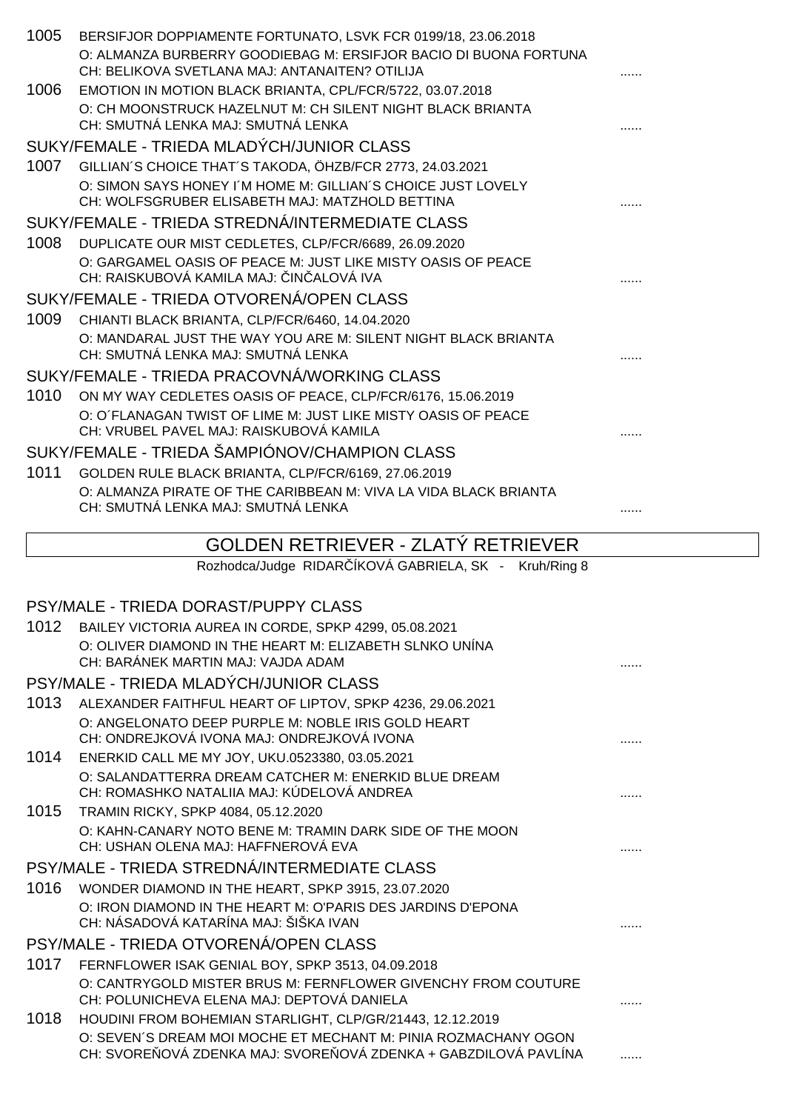| 1005 | BERSIFJOR DOPPIAMENTE FORTUNATO, LSVK FCR 0199/18, 23.06.2018<br>O: ALMANZA BURBERRY GOODIEBAG M: ERSIFJOR BACIO DI BUONA FORTUNA                             |  |
|------|---------------------------------------------------------------------------------------------------------------------------------------------------------------|--|
| 1006 | CH: BELIKOVA SVETLANA MAJ: ANTANAITEN? OTILIJA<br>EMOTION IN MOTION BLACK BRIANTA, CPL/FCR/5722, 03.07.2018                                                   |  |
|      | O: CH MOONSTRUCK HAZELNUT M: CH SILENT NIGHT BLACK BRIANTA<br>CH: SMUTNÁ LENKA MAJ: SMUTNÁ LENKA                                                              |  |
|      | SUKY/FEMALE - TRIEDA MLADÝCH/JUNIOR CLASS                                                                                                                     |  |
| 1007 | GILLIAN'S CHOICE THAT'S TAKODA, ÖHZB/FCR 2773, 24.03.2021                                                                                                     |  |
|      | O: SIMON SAYS HONEY I'M HOME M: GILLIAN'S CHOICE JUST LOVELY<br>CH: WOLFSGRUBER ELISABETH MAJ: MATZHOLD BETTINA                                               |  |
|      | SUKY/FEMALE - TRIEDA STREDNÁ/INTERMEDIATE CLASS                                                                                                               |  |
| 1008 | DUPLICATE OUR MIST CEDLETES, CLP/FCR/6689, 26.09.2020                                                                                                         |  |
|      | O: GARGAMEL OASIS OF PEACE M: JUST LIKE MISTY OASIS OF PEACE<br>CH: RAISKUBOVÁ KAMILA MAJ: IN ALOVÁ IVA                                                       |  |
|      | SUKY/FEMALE - TRIEDA OTVORENÁ/OPEN CLASS                                                                                                                      |  |
| 1009 | CHIANTI BLACK BRIANTA, CLP/FCR/6460, 14.04.2020                                                                                                               |  |
|      | O: MANDARAL JUST THE WAY YOU ARE M: SILENT NIGHT BLACK BRIANTA<br>CH: SMUTNÁ LENKA MAJ: SMUTNÁ LENKA                                                          |  |
|      | SUKY/FEMALE - TRIEDA PRACOVNÁ/WORKING CLASS                                                                                                                   |  |
| 1010 | ON MY WAY CEDLETES OASIS OF PEACE, CLP/FCR/6176, 15.06.2019                                                                                                   |  |
|      | O: O'FLANAGAN TWIST OF LIME M: JUST LIKE MISTY OASIS OF PEACE<br>CH: VRUBEL PAVEL MAJ: RAISKUBOVÁ KAMILA                                                      |  |
|      | SUKY/FEMALE - TRIEDA ŠAMPIÓNOV/CHAMPION CLASS                                                                                                                 |  |
| 1011 | GOLDEN RULE BLACK BRIANTA, CLP/FCR/6169, 27.06.2019                                                                                                           |  |
|      | O: ALMANZA PIRATE OF THE CARIBBEAN M: VIVA LA VIDA BLACK BRIANTA<br>CH: SMUTNÁ LENKA MAJ: SMUTNÁ LENKA                                                        |  |
|      | GOLDEN RETRIEVER - ZLATÝ RETRIEVER                                                                                                                            |  |
|      | Rozhodca/Judge RIDAR ÍKOVÁ GABRIELA, SK - Kruh/Ring 8                                                                                                         |  |
|      |                                                                                                                                                               |  |
|      | PSY/MALE - TRIEDA DORAST/PUPPY CLASS                                                                                                                          |  |
|      | 1012 BAILEY VICTORIA AUREA IN CORDE, SPKP 4299, 05.08.2021                                                                                                    |  |
|      | O: OLIVER DIAMOND IN THE HEART M: ELIZABETH SLNKO UNINA<br>CH: BARÁNEK MARTIN MAJ: VAJDA ADAM                                                                 |  |
|      | PSY/MALE - TRIEDA MLADÝCH/JUNIOR CLASS                                                                                                                        |  |
| 1013 | ALEXANDER FAITHFUL HEART OF LIPTOV, SPKP 4236, 29.06.2021<br>O: ANGELONATO DEEP PURPLE M: NOBLE IRIS GOLD HEART<br>CH: ONDREJKOVÁ IVONA MAJ: ONDREJKOVÁ IVONA |  |
| 1014 | ENERKID CALL ME MY JOY, UKU.0523380, 03.05.2021                                                                                                               |  |
|      | O: SALANDATTERRA DREAM CATCHER M: ENERKID BLUE DREAM<br>CH: ROMASHKO NATALIIA MAJ: KÚDELOVÁ ANDREA                                                            |  |
| 1015 | TRAMIN RICKY, SPKP 4084, 05.12.2020<br>O: KAHN-CANARY NOTO BENE M: TRAMIN DARK SIDE OF THE MOON                                                               |  |
|      | CH: USHAN OLENA MAJ: HAFFNEROVÁ EVA                                                                                                                           |  |
|      |                                                                                                                                                               |  |
| 1016 | PSY/MALE - TRIEDA STREDNÁ/INTERMEDIATE CLASS                                                                                                                  |  |
|      | WONDER DIAMOND IN THE HEART, SPKP 3915, 23.07.2020                                                                                                            |  |
|      | O: IRON DIAMOND IN THE HEART M: O'PARIS DES JARDINS D'EPONA<br>CH: NÁSADOVÁ KATARÍNA MAJ: ŠIŠKA IVAN                                                          |  |
|      | PSY/MALE - TRIEDA OTVORENÁ/OPEN CLASS                                                                                                                         |  |
| 1017 | FERNFLOWER ISAK GENIAL BOY, SPKP 3513, 04.09.2018                                                                                                             |  |
|      | O: CANTRYGOLD MISTER BRUS M: FERNFLOWER GIVENCHY FROM COUTURE<br>CH: POLUNICHEVA ELENA MAJ: DEPTOVÁ DANIELA                                                   |  |
| 1018 | HOUDINI FROM BOHEMIAN STARLIGHT, CLP/GR/21443, 12.12.2019<br>O: SEVEN'S DREAM MOI MOCHE ET MECHANT M: PINIA ROZMACHANY OGON                                   |  |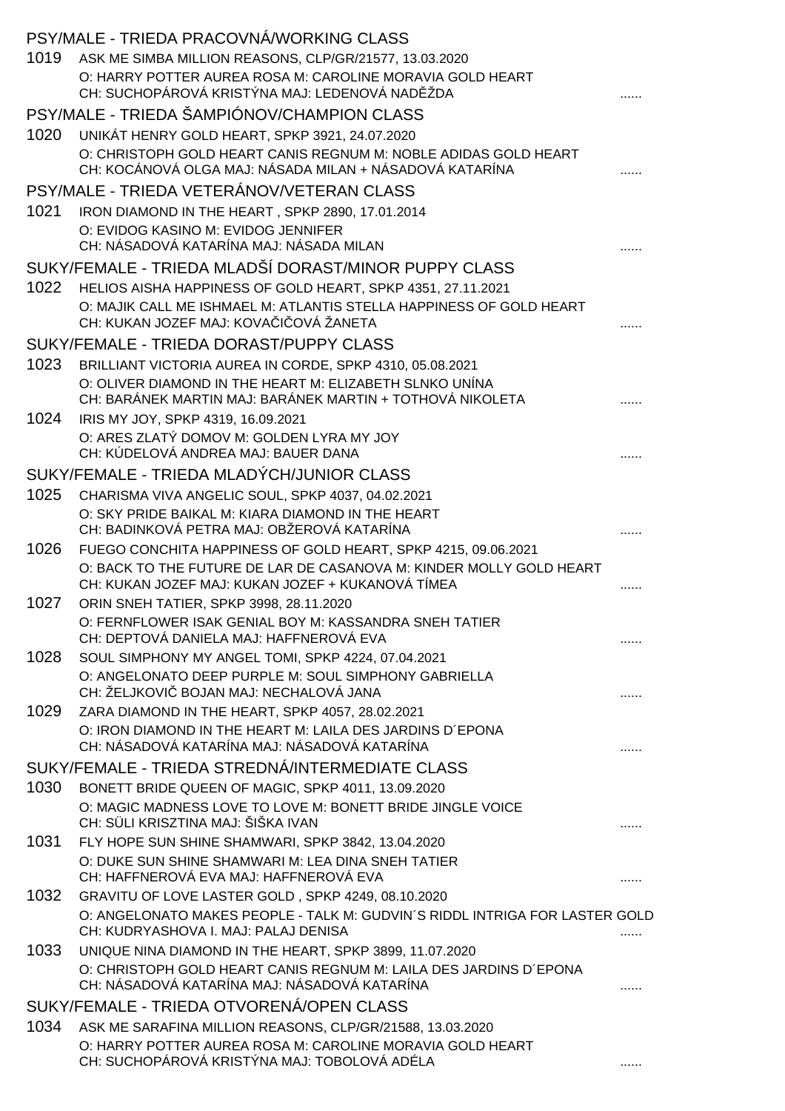|      | PSY/MALE - TRIEDA PRACOVNÁ/WORKING CLASS                                                                                   |  |
|------|----------------------------------------------------------------------------------------------------------------------------|--|
| 1019 | ASK ME SIMBA MILLION REASONS, CLP/GR/21577, 13.03.2020                                                                     |  |
|      | O: HARRY POTTER AUREA ROSA M: CAROLINE MORAVIA GOLD HEART                                                                  |  |
|      | CH: SUCHOPÁROVÁ KRISTÝNA MAJ: LEDENOVÁ NAD ŽDA                                                                             |  |
|      | PSY/MALE - TRIEDA ŠAMPIÓNOV/CHAMPION CLASS                                                                                 |  |
| 1020 | UNIKÁT HENRY GOLD HEART, SPKP 3921, 24.07.2020                                                                             |  |
|      | O: CHRISTOPH GOLD HEART CANIS REGNUM M: NOBLE ADIDAS GOLD HEART<br>CH: KOCÁNOVÁ OLGA MAJ: NÁSADA MILAN + NÁSADOVÁ KATARÍNA |  |
|      | PSY/MALE - TRIEDA VETERÁNOV/VETERAN CLASS                                                                                  |  |
| 1021 | IRON DIAMOND IN THE HEART, SPKP 2890, 17.01.2014                                                                           |  |
|      | O: EVIDOG KASINO M: EVIDOG JENNIFER<br>CH: NÁSADOVÁ KATARÍNA MAJ: NÁSADA MILAN                                             |  |
|      | SUKY/FEMALE - TRIEDA MLADŠÍ DORAST/MINOR PUPPY CLASS                                                                       |  |
| 1022 | HELIOS AISHA HAPPINESS OF GOLD HEART, SPKP 4351, 27.11.2021                                                                |  |
|      | O: MAJIK CALL ME ISHMAEL M: ATLANTIS STELLA HAPPINESS OF GOLD HEART<br>CH: KUKAN JOZEF MAJ: KOVA   OVÁ ŽANETA              |  |
|      | SUKY/FEMALE - TRIEDA DORAST/PUPPY CLASS                                                                                    |  |
| 1023 | BRILLIANT VICTORIA AUREA IN CORDE, SPKP 4310, 05.08.2021                                                                   |  |
|      | O: OLIVER DIAMOND IN THE HEART M: ELIZABETH SLNKO UNÍNA<br>CH: BARÁNEK MARTIN MAJ: BARÁNEK MARTIN + TOTHOVÁ NIKOLETA       |  |
| 1024 |                                                                                                                            |  |
|      | IRIS MY JOY, SPKP 4319, 16.09.2021<br>O: ARES ZLATÝ DOMOV M: GOLDEN LYRA MY JOY                                            |  |
|      | CH: KÚDELOVÁ ANDREA MAJ: BAUER DANA                                                                                        |  |
|      | SUKY/FEMALE - TRIEDA MLADÝCH/JUNIOR CLASS                                                                                  |  |
| 1025 | CHARISMA VIVA ANGELIC SOUL, SPKP 4037, 04.02.2021                                                                          |  |
|      | O: SKY PRIDE BAIKAL M: KIARA DIAMOND IN THE HEART<br>CH: BADINKOVÁ PETRA MAJ: OBŽEROVÁ KATARÍNA                            |  |
| 1026 | FUEGO CONCHITA HAPPINESS OF GOLD HEART, SPKP 4215, 09.06.2021                                                              |  |
|      | O: BACK TO THE FUTURE DE LAR DE CASANOVA M: KINDER MOLLY GOLD HEART<br>CH: KUKAN JOZEF MAJ: KUKAN JOZEF + KUKANOVÁ TÍMEA   |  |
| 1027 | ORIN SNEH TATIER, SPKP 3998, 28.11.2020                                                                                    |  |
|      | O: FERNFLOWER ISAK GENIAL BOY M: KASSANDRA SNEH TATIER<br>CH: DEPTOVÁ DANIELA MAJ: HAFFNEROVÁ EVA                          |  |
| 1028 | SOUL SIMPHONY MY ANGEL TOMI, SPKP 4224, 07.04.2021                                                                         |  |
|      | O: ANGELONATO DEEP PURPLE M: SOUL SIMPHONY GABRIELLA<br>CH: ŽELJKOVI BOJAN MAJ: NECHALOVÁ JANA                             |  |
| 1029 | ZARA DIAMOND IN THE HEART, SPKP 4057, 28.02.2021                                                                           |  |
|      | O: IRON DIAMOND IN THE HEART M: LAILA DES JARDINS D'EPONA<br>CH: NÁSADOVÁ KATARÍNA MAJ: NÁSADOVÁ KATARÍNA                  |  |
|      | SUKY/FEMALE - TRIEDA STREDNÁ/INTERMEDIATE CLASS                                                                            |  |
| 1030 | BONETT BRIDE QUEEN OF MAGIC, SPKP 4011, 13.09.2020                                                                         |  |
|      | O: MAGIC MADNESS LOVE TO LOVE M: BONETT BRIDE JINGLE VOICE<br>CH: SÜLI KRISZTINA MAJ: ŠIŠKA IVAN                           |  |
| 1031 | FLY HOPE SUN SHINE SHAMWARI, SPKP 3842, 13.04.2020                                                                         |  |
|      | O: DUKE SUN SHINE SHAMWARI M: LEA DINA SNEH TATIER<br>CH: HAFFNEROVÁ EVA MAJ: HAFFNEROVÁ EVA                               |  |
| 1032 | GRAVITU OF LOVE LASTER GOLD, SPKP 4249, 08.10.2020                                                                         |  |
|      | O: ANGELONATO MAKES PEOPLE - TALK M: GUDVIN'S RIDDL INTRIGA FOR LASTER GOLD<br>CH: KUDRYASHOVA I. MAJ: PALAJ DENISA        |  |
| 1033 | UNIQUE NINA DIAMOND IN THE HEART, SPKP 3899, 11.07.2020                                                                    |  |
|      | O: CHRISTOPH GOLD HEART CANIS REGNUM M: LAILA DES JARDINS D'EPONA<br>CH: NÁSADOVÁ KATARÍNA MAJ: NÁSADOVÁ KATARÍNA          |  |
|      | SUKY/FEMALE - TRIEDA OTVORENÁ/OPEN CLASS                                                                                   |  |
| 1034 | ASK ME SARAFINA MILLION REASONS, CLP/GR/21588, 13.03.2020                                                                  |  |
|      | O: HARRY POTTER AUREA ROSA M: CAROLINE MORAVIA GOLD HEART<br>CH: SUCHOPÁROVÁ KRISTÝNA MAJ: TOBOLOVÁ ADÉLA                  |  |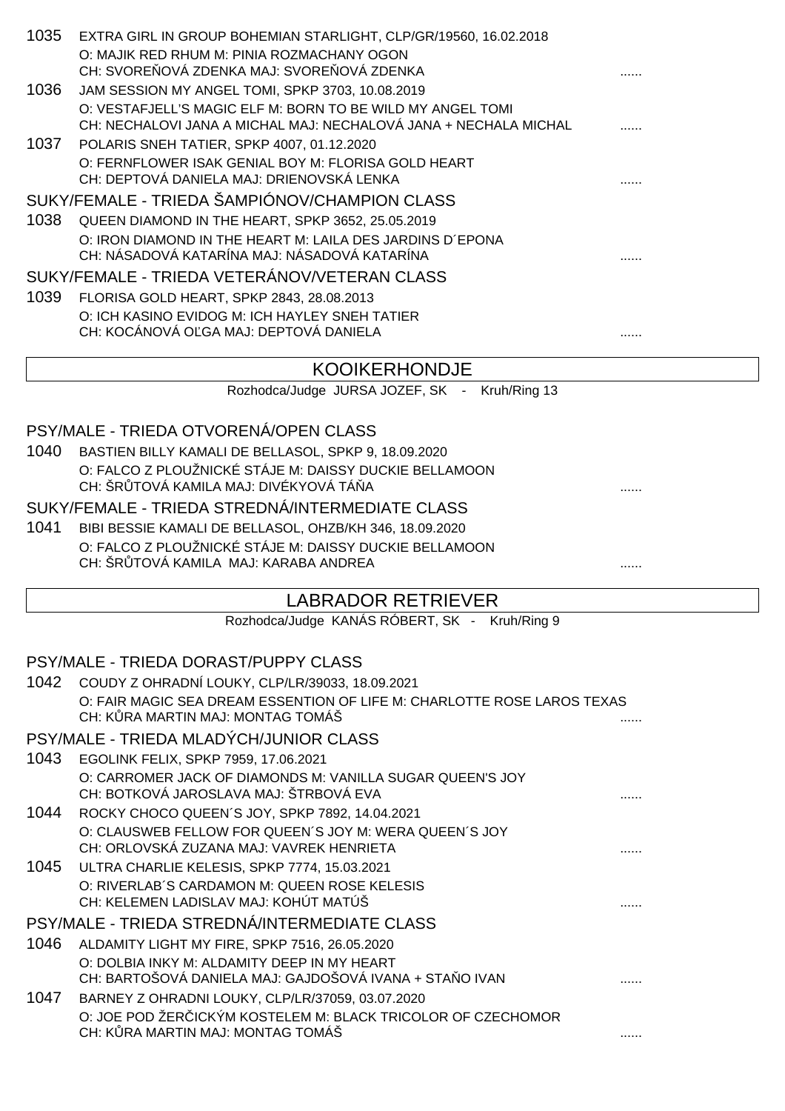| 1035 | EXTRA GIRL IN GROUP BOHEMIAN STARLIGHT, CLP/GR/19560, 16.02.2018<br>O: MAJIK RED RHUM M: PINIA ROZMACHANY OGON                                 |   |
|------|------------------------------------------------------------------------------------------------------------------------------------------------|---|
| 1036 | CH: SVORE OVÁ ZDENKA MAJ: SVORE OVÁ ZDENKA<br>JAM SESSION MY ANGEL TOMI, SPKP 3703, 10.08.2019                                                 |   |
|      | O: VESTAFJELL'S MAGIC ELF M: BORN TO BE WILD MY ANGEL TOMI<br>CH: NECHALOVI JANA A MICHAL MAJ: NECHALOVÁ JANA + NECHALA MICHAL                 |   |
| 1037 | POLARIS SNEH TATIER, SPKP 4007, 01.12.2020<br>O: FERNFLOWER ISAK GENIAL BOY M: FLORISA GOLD HEART<br>CH: DEPTOVÁ DANIELA MAJ: DRIENOVSKÁ LENKA |   |
|      | SUKY/FEMALE - TRIEDA ŠAMPIÓNOV/CHAMPION CLASS                                                                                                  |   |
| 1038 | QUEEN DIAMOND IN THE HEART, SPKP 3652, 25.05.2019                                                                                              |   |
|      | O: IRON DIAMOND IN THE HEART M: LAILA DES JARDINS D'EPONA<br>CH: NÁSADOVÁ KATARÍNA MAJ: NÁSADOVÁ KATARÍNA                                      |   |
|      | SUKY/FEMALE - TRIEDA VETERÁNOV/VETERAN CLASS                                                                                                   |   |
| 1039 | FLORISA GOLD HEART, SPKP 2843, 28.08.2013                                                                                                      |   |
|      | O: ICH KASINO EVIDOG M: ICH HAYLEY SNEH TATIER<br>CH: KOCÁNOVÁ O GA MAJ: DEPTOVÁ DANIELA                                                       |   |
|      | <b>KOOIKERHONDJE</b>                                                                                                                           |   |
|      | Rozhodca/Judge JURSA JOZEF, SK - Kruh/Ring 13                                                                                                  |   |
|      |                                                                                                                                                |   |
|      | PSY/MALE - TRIEDA OTVORENÁ/OPEN CLASS                                                                                                          |   |
| 1040 | BASTIEN BILLY KAMALI DE BELLASOL, SPKP 9, 18.09.2020                                                                                           |   |
|      | O: FALCO Z PLOUŽNICKÉ STÁJE M: DAISSY DUCKIE BELLAMOON                                                                                         |   |
|      | CH: ŠR TOVÁ KAMILA MAJ: DIVÉKYOVÁ TÁ A                                                                                                         |   |
| 1041 | SUKY/FEMALE - TRIEDA STREDNÁ/INTERMEDIATE CLASS                                                                                                |   |
|      | BIBI BESSIE KAMALI DE BELLASOL, OHZB/KH 346, 18.09.2020<br>O: FALCO Z PLOUŽNICKÉ STÁJE M: DAISSY DUCKIE BELLAMOON                              |   |
|      | CH: ŠR TOVÁ KAMILA MAJ: KARABA ANDREA                                                                                                          |   |
|      | <b>LABRADOR RETRIEVER</b>                                                                                                                      |   |
|      | Rozhodca/Judge KANÁS RÓBERT, SK - Kruh/Ring 9                                                                                                  |   |
|      |                                                                                                                                                |   |
|      | PSY/MALE - TRIEDA DORAST/PUPPY CLASS                                                                                                           |   |
|      | 1042 COUDY Z OHRADNÍ LOUKY, CLP/LR/39033, 18.09.2021                                                                                           |   |
|      | O: FAIR MAGIC SEA DREAM ESSENTION OF LIFE M: CHARLOTTE ROSE LAROS TEXAS<br>CH: K RA MARTIN MAJ: MONTAG TOMÁŠ                                   |   |
|      | PSY/MALE - TRIEDA MLADÝCH/JUNIOR CLASS                                                                                                         |   |
| 1043 | EGOLINK FELIX, SPKP 7959, 17.06.2021                                                                                                           |   |
|      | O: CARROMER JACK OF DIAMONDS M: VANILLA SUGAR QUEEN'S JOY<br>CH: BOTKOVÁ JAROSLAVA MAJ: ŠTRBOVÁ EVA                                            |   |
| 1044 | ROCKY CHOCO QUEEN'S JOY, SPKP 7892, 14.04.2021                                                                                                 |   |
|      | O: CLAUSWEB FELLOW FOR QUEEN'S JOY M: WERA QUEEN'S JOY<br>CH: ORLOVSKÁ ZUZANA MAJ: VAVREK HENRIETA                                             |   |
| 1045 | ULTRA CHARLIE KELESIS, SPKP 7774, 15.03.2021                                                                                                   |   |
|      | O: RIVERLAB'S CARDAMON M: QUEEN ROSE KELESIS<br>CH: KELEMEN LADISLAV MAJ: KOHÚT MATÚŠ                                                          | . |
|      | PSY/MALE - TRIEDA STREDNÁ/INTERMEDIATE CLASS                                                                                                   |   |
| 1046 | ALDAMITY LIGHT MY FIRE, SPKP 7516, 26.05.2020                                                                                                  |   |
|      | O: DOLBIA INKY M: ALDAMITY DEEP IN MY HEART                                                                                                    |   |

- CH: BARTOŠOVÁ DANIELA MAJ: GAJDOŠOVÁ IVANA + STAŇO IVAN ......
- 1047 BARNEY Z OHRADNI LOUKY, CLP/LR/37059, 03.07.2020 O: JOE POD ŽER ICKÝM KOSTELEM M: BLACK TRICOLOR OF CZECHOMOR CH: KŮRA MARTIN MAJ: MONTAG TOMÁŠ ......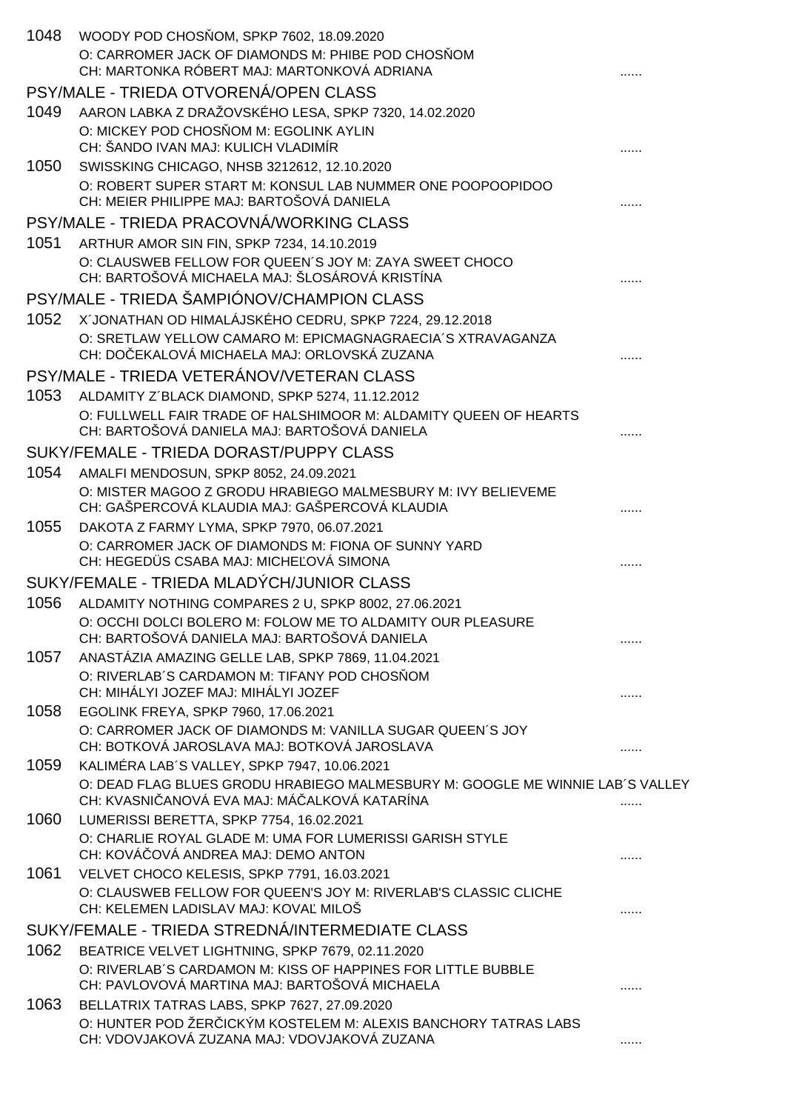| 1048 | WOODY POD CHOS OM, SPKP 7602, 18.09.2020<br>O: CARROMER JACK OF DIAMONDS M: PHIBE POD CHOS OM<br>CH: MARTONKA RÓBERT MAJ: MARTONKOVÁ ADRIANA |  |
|------|----------------------------------------------------------------------------------------------------------------------------------------------|--|
|      | PSY/MALE - TRIEDA OTVORENÁ/OPEN CLASS                                                                                                        |  |
| 1049 | AARON LABKA Z DRAŽOVSKÉHO LESA, SPKP 7320, 14.02.2020                                                                                        |  |
|      | O: MICKEY POD CHOS OM M: EGOLINK AYLIN<br>CH: ŠANDO IVAN MAJ: KULICH VLADIMÍR                                                                |  |
| 1050 | SWISSKING CHICAGO, NHSB 3212612, 12.10.2020                                                                                                  |  |
|      | O: ROBERT SUPER START M: KONSUL LAB NUMMER ONE POOPOOPIDOO<br>CH: MEIER PHILIPPE MAJ: BARTOŠOVÁ DANIELA                                      |  |
|      | PSY/MALE - TRIEDA PRACOVNÁ/WORKING CLASS                                                                                                     |  |
| 1051 | ARTHUR AMOR SIN FIN, SPKP 7234, 14.10.2019                                                                                                   |  |
|      | O: CLAUSWEB FELLOW FOR QUEEN'S JOY M: ZAYA SWEET CHOCO<br>CH: BARTOŠOVÁ MICHAELA MAJ: ŠLOSÁROVÁ KRISTÍNA                                     |  |
|      | PSY/MALE - TRIEDA ŠAMPIÓNOV/CHAMPION CLASS                                                                                                   |  |
| 1052 | X'JONATHAN OD HIMALÁJSKÉHO CEDRU, SPKP 7224, 29.12.2018                                                                                      |  |
|      | O: SRETLAW YELLOW CAMARO M: EPICMAGNAGRAECIA'S XTRAVAGANZA<br>CH: DO EKALOVÁ MICHAELA MAJ: ORLOVSKÁ ZUZANA                                   |  |
|      | PSY/MALE - TRIEDA VETERÁNOV/VETERAN CLASS                                                                                                    |  |
| 1053 | ALDAMITY Z'BLACK DIAMOND, SPKP 5274, 11.12.2012                                                                                              |  |
|      | O: FULLWELL FAIR TRADE OF HALSHIMOOR M: ALDAMITY QUEEN OF HEARTS<br>CH: BARTOŠOVÁ DANIELA MAJ: BARTOŠOVÁ DANIELA                             |  |
|      | SUKY/FEMALE - TRIEDA DORAST/PUPPY CLASS                                                                                                      |  |
| 1054 | AMALFI MENDOSUN, SPKP 8052, 24.09.2021                                                                                                       |  |
|      | O: MISTER MAGOO Z GRODU HRABIEGO MALMESBURY M: IVY BELIEVEME<br>CH: GAŠPERCOVÁ KLAUDIA MAJ: GAŠPERCOVÁ KLAUDIA                               |  |
| 1055 | DAKOTA Z FARMY LYMA, SPKP 7970, 06.07.2021                                                                                                   |  |
|      | O: CARROMER JACK OF DIAMONDS M: FIONA OF SUNNY YARD<br>CH: HEGEDÜS CSABA MAJ: MICHE OVÁ SIMONA                                               |  |
|      | SUKY/FEMALE - TRIEDA MLADÝCH/JUNIOR CLASS                                                                                                    |  |
| 1056 | ALDAMITY NOTHING COMPARES 2 U, SPKP 8002, 27.06.2021                                                                                         |  |
|      | O: OCCHI DOLCI BOLERO M: FOLOW ME TO ALDAMITY OUR PLEASURE<br>CH: BARTOŠOVÁ DANIELA MAJ: BARTOŠOVÁ DANIELA                                   |  |
| 1057 | ANASTÁZIA AMAZING GELLE LAB, SPKP 7869, 11.04.2021                                                                                           |  |
|      | O: RIVERLAB'S CARDAMON M: TIFANY POD CHOS OM<br>CH: MIHÁLYI JOZEF MAJ: MIHÁLYI JOZEF                                                         |  |
| 1058 | EGOLINK FREYA, SPKP 7960, 17.06.2021                                                                                                         |  |
|      | O: CARROMER JACK OF DIAMONDS M: VANILLA SUGAR QUEEN'S JOY<br>CH: BOTKOVÁ JAROSLAVA MAJ: BOTKOVÁ JAROSLAVA                                    |  |
| 1059 | KALIMÉRA LAB'S VALLEY, SPKP 7947, 10.06.2021<br>O: DEAD FLAG BLUES GRODU HRABIEGO MALMESBURY M: GOOGLE ME WINNIE LAB'S VALLEY                |  |
|      | CH: KVASNI ANOVÁ EVA MAJ: MÁ ALKOVÁ KATARÍNA                                                                                                 |  |
| 1060 | LUMERISSI BERETTA, SPKP 7754, 16.02.2021<br>O: CHARLIE ROYAL GLADE M: UMA FOR LUMERISSI GARISH STYLE<br>CH: KOVÁ OVÁ ANDREA MAJ: DEMO ANTON  |  |
| 1061 | VELVET CHOCO KELESIS, SPKP 7791, 16.03.2021                                                                                                  |  |
|      | O: CLAUSWEB FELLOW FOR QUEEN'S JOY M: RIVERLAB'S CLASSIC CLICHE<br>CH: KELEMEN LADISLAV MAJ: KOVA MILOŠ                                      |  |
|      | SUKY/FEMALE - TRIEDA STREDNÁ/INTERMEDIATE CLASS                                                                                              |  |
| 1062 | BEATRICE VELVET LIGHTNING, SPKP 7679, 02.11.2020                                                                                             |  |
|      | O: RIVERLAB'S CARDAMON M: KISS OF HAPPINES FOR LITTLE BUBBLE<br>CH: PAVLOVOVÁ MARTINA MAJ: BARTOŠOVÁ MICHAELA                                |  |
| 1063 | BELLATRIX TATRAS LABS, SPKP 7627, 27.09.2020                                                                                                 |  |
|      | O: HUNTER POD ŽER ICKÝM KOSTELEM M: ALEXIS BANCHORY TATRAS LABS<br>CH: VDOVJAKOVÁ ZUZANA MAJ: VDOVJAKOVÁ ZUZANA                              |  |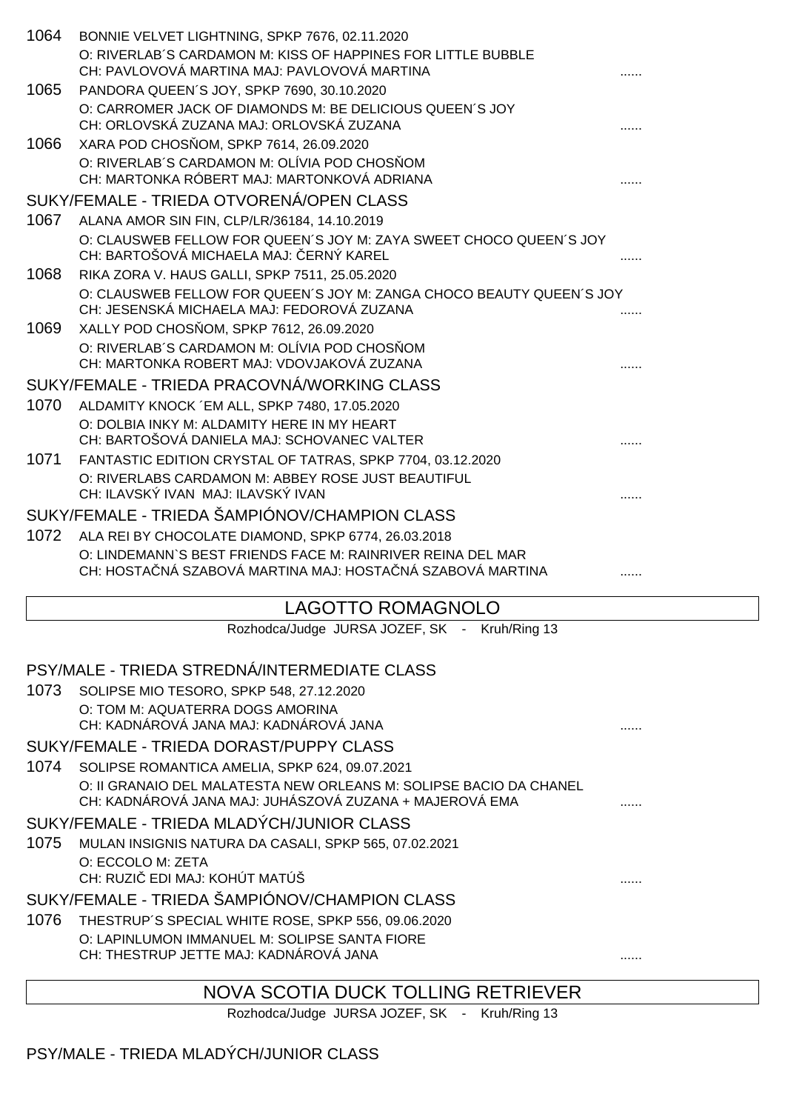| 1064 | BONNIE VELVET LIGHTNING, SPKP 7676, 02.11.2020                                                                            |  |
|------|---------------------------------------------------------------------------------------------------------------------------|--|
|      | O: RIVERLAB'S CARDAMON M: KISS OF HAPPINES FOR LITTLE BUBBLE<br>CH: PAVLOVOVÁ MARTINA MAJ: PAVLOVOVÁ MARTINA              |  |
| 1065 | PANDORA QUEEN'S JOY, SPKP 7690, 30.10.2020                                                                                |  |
|      | O: CARROMER JACK OF DIAMONDS M: BE DELICIOUS QUEEN'S JOY<br>CH: ORLOVSKÁ ZUZANA MAJ: ORLOVSKÁ ZUZANA                      |  |
| 1066 | XARA POD CHOS OM, SPKP 7614, 26.09.2020                                                                                   |  |
|      | O: RIVERLAB'S CARDAMON M: OLÍVIA POD CHOS OM<br>CH: MARTONKA RÓBERT MAJ: MARTONKOVÁ ADRIANA                               |  |
|      | SUKY/FEMALE - TRIEDA OTVORENÁ/OPEN CLASS                                                                                  |  |
| 1067 | ALANA AMOR SIN FIN, CLP/LR/36184, 14.10.2019                                                                              |  |
|      | O: CLAUSWEB FELLOW FOR QUEEN'S JOY M: ZAYA SWEET CHOCO QUEEN'S JOY<br>CH: BARTOŠOVÁ MICHAELA MAJ: ERNÝ KAREL              |  |
| 1068 | RIKA ZORA V. HAUS GALLI, SPKP 7511, 25.05.2020                                                                            |  |
|      | O: CLAUSWEB FELLOW FOR QUEEN'S JOY M: ZANGA CHOCO BEAUTY QUEEN'S JOY<br>CH: JESENSKÁ MICHAELA MAJ: FEDOROVÁ ZUZANA        |  |
| 1069 | XALLY POD CHOS OM, SPKP 7612, 26.09.2020                                                                                  |  |
|      | O: RIVERLAB'S CARDAMON M: OLÍVIA POD CHOS OM<br>CH: MARTONKA ROBERT MAJ: VDOVJAKOVÁ ZUZANA                                |  |
|      | SUKY/FEMALE - TRIEDA PRACOVNÁ/WORKING CLASS                                                                               |  |
| 1070 | ALDAMITY KNOCK 'EM ALL, SPKP 7480, 17.05.2020                                                                             |  |
|      | O: DOLBIA INKY M: ALDAMITY HERE IN MY HEART<br>CH: BARTOŠOVÁ DANIELA MAJ: SCHOVANEC VALTER                                |  |
| 1071 | FANTASTIC EDITION CRYSTAL OF TATRAS, SPKP 7704, 03.12.2020                                                                |  |
|      | O: RIVERLABS CARDAMON M: ABBEY ROSE JUST BEAUTIFUL                                                                        |  |
|      | CH: ILAVSKÝ IVAN MAJ: ILAVSKÝ IVAN                                                                                        |  |
|      | SUKY/FEMALE - TRIEDA ŠAMPIÓNOV/CHAMPION CLASS                                                                             |  |
| 1072 | ALA REI BY CHOCOLATE DIAMOND, SPKP 6774, 26.03.2018                                                                       |  |
|      | O: LINDEMANN'S BEST FRIENDS FACE M: RAINRIVER REINA DEL MAR<br>CH: HOSTA NÁ SZABOVÁ MARTINA MAJ: HOSTA NÁ SZABOVÁ MARTINA |  |
|      |                                                                                                                           |  |

# LAGOTTO ROMAGNOLO

Rozhodca/Judge JURSA JOZEF, SK - Kruh/Ring 13

| PSY/MALE - TRIEDA STREDNÁ/INTERMEDIATE CLASS                       |  |
|--------------------------------------------------------------------|--|
| 1073<br>SOLIPSE MIO TESORO, SPKP 548, 27.12.2020                   |  |
| O: TOM M: AQUATERRA DOGS AMORINA                                   |  |
| CH: KADNÁROVÁ JANA MAJ: KADNÁROVÁ JANA                             |  |
| SUKY/FEMALE - TRIEDA DORAST/PUPPY CLASS                            |  |
| 1074<br>SOLIPSE ROMANTICA AMELIA, SPKP 624, 09.07.2021             |  |
| O: II GRANAIO DEL MALATESTA NEW ORLEANS M: SOLIPSE BACIO DA CHANEL |  |
| CH: KADNÁROVÁ JANA MAJ: JUHÁSZOVÁ ZUZANA + MAJEROVÁ EMA            |  |
| SUKY/FEMALE - TRIEDA MLADÝCH/JUNIOR CLASS                          |  |
| 1075<br>MULAN INSIGNIS NATURA DA CASALI, SPKP 565, 07.02.2021      |  |
| O: ECCOLO M: ZETA                                                  |  |
| CH: RUZI EDI MAJ: KOHÚT MATÚŠ                                      |  |
| SUKY/FEMALE - TRIEDA ŠAMPIÓNOV/CHAMPION CLASS                      |  |
| 1076<br>THESTRUP'S SPECIAL WHITE ROSE, SPKP 556, 09.06.2020        |  |
| O: LAPINLUMON IMMANUEL M: SOLIPSE SANTA FIORE                      |  |
| CH: THESTRUP JETTE MAJ: KADNÁROVÁ JANA                             |  |
| NOVA SCOTIA DUCK TOLLING RETRIEVER                                 |  |

Rozhodca/Judge JURSA JOZEF, SK - Kruh/Ring 13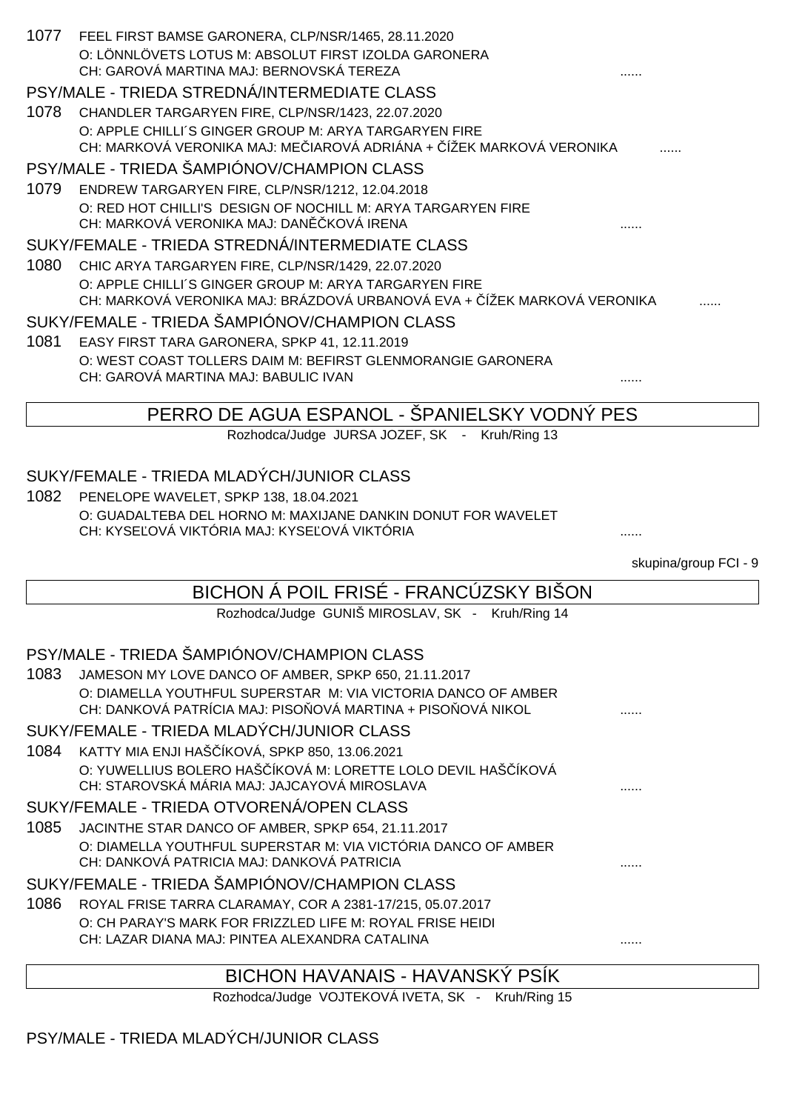|      | 1077 FEEL FIRST BAMSE GARONERA, CLP/NSR/1465, 28.11.2020<br>O: LÖNNLÖVETS LOTUS M: ABSOLUT FIRST IZOLDA GARONERA                 |                       |
|------|----------------------------------------------------------------------------------------------------------------------------------|-----------------------|
|      | CH: GAROVÁ MARTINA MAJ: BERNOVSKÁ TEREZA                                                                                         |                       |
| 1078 | PSY/MALE - TRIEDA STREDNÁ/INTERMEDIATE CLASS<br>CHANDLER TARGARYEN FIRE, CLP/NSR/1423, 22.07.2020                                |                       |
|      | O: APPLE CHILLI'S GINGER GROUP M: ARYA TARGARYEN FIRE                                                                            |                       |
|      | CH: MARKOVÁ VERONIKA MAJ: ME IAROVÁ ADRIÁNA + ÍŽEK MARKOVÁ VERONIKA                                                              |                       |
|      | PSY/MALE - TRIEDA ŠAMPIÓNOV/CHAMPION CLASS                                                                                       |                       |
| 1079 | ENDREW TARGARYEN FIRE, CLP/NSR/1212, 12.04.2018                                                                                  |                       |
|      | O: RED HOT CHILLI'S DESIGN OF NOCHILL M: ARYA TARGARYEN FIRE<br>CH: MARKOVÁ VERONIKA MAJ: DAN KOVÁ IRENA                         |                       |
|      | SUKY/FEMALE - TRIEDA STREDNÁ/INTERMEDIATE CLASS                                                                                  |                       |
| 1080 | CHIC ARYA TARGARYEN FIRE, CLP/NSR/1429, 22.07.2020                                                                               |                       |
|      | O: APPLE CHILLI'S GINGER GROUP M: ARYA TARGARYEN FIRE<br>CH: MARKOVÁ VERONIKA MAJ: BRÁZDOVÁ URBANOVÁ EVA + ÍŽEK MARKOVÁ VERONIKA |                       |
|      | SUKY/FEMALE - TRIEDA ŠAMPIÓNOV/CHAMPION CLASS                                                                                    |                       |
| 1081 | EASY FIRST TARA GARONERA, SPKP 41, 12.11.2019                                                                                    |                       |
|      | O: WEST COAST TOLLERS DAIM M: BEFIRST GLENMORANGIE GARONERA<br>CH: GAROVÁ MARTINA MAJ: BABULIC IVAN                              |                       |
|      |                                                                                                                                  |                       |
|      | PERRO DE AGUA ESPANOL - SPANIELSKY VODNÝ PES                                                                                     |                       |
|      | Rozhodca/Judge JURSA JOZEF, SK - Kruh/Ring 13                                                                                    |                       |
|      |                                                                                                                                  |                       |
|      | SUKY/FEMALE - TRIEDA MLADÝCH/JUNIOR CLASS                                                                                        |                       |
| 1082 | PENELOPE WAVELET, SPKP 138, 18.04.2021                                                                                           |                       |
|      | O: GUADALTEBA DEL HORNO M: MAXIJANE DANKIN DONUT FOR WAVELET<br>CH: KYSE OVÁ VIKTÓRIA MAJ: KYSE OVÁ VIKTÓRIA                     |                       |
|      |                                                                                                                                  |                       |
|      |                                                                                                                                  | skupina/group FCI - 9 |
|      | BICHON Á POIL FRISÉ - FRANCÚZSKY BIŠON                                                                                           |                       |
|      | Rozhodca/Judge GUNIŠ MIROSLAV, SK - Kruh/Ring 14                                                                                 |                       |
|      |                                                                                                                                  |                       |
| 1083 | PSY/MALE - TRIEDA ŠAMPIÓNOV/CHAMPION CLASS                                                                                       |                       |
|      | JAMESON MY LOVE DANCO OF AMBER, SPKP 650, 21.11.2017<br>O: DIAMELLA YOUTHFUL SUPERSTAR M: VIA VICTORIA DANCO OF AMBER            |                       |
|      | CH: DANKOVÁ PATRÍCIA MAJ: PISO OVÁ MARTINA + PISO OVÁ NIKOL                                                                      |                       |
|      | SUKY/FEMALE - TRIEDA MLADÝCH/JUNIOR CLASS                                                                                        |                       |
| 1084 | KATTY MIA ENJI HAŠ ÍKOVÁ, SPKP 850, 13.06.2021                                                                                   |                       |
|      | O: YUWELLIUS BOLERO HAŠ ÍKOVÁ M: LORETTE LOLO DEVIL HAŠ ÍKOVÁ<br>CH: STAROVSKÁ MÁRIA MAJ: JAJCAYOVÁ MIROSLAVA                    |                       |
|      | SUKY/FEMALE - TRIEDA OTVORENÁ/OPEN CLASS                                                                                         |                       |
| 1085 | JACINTHE STAR DANCO OF AMBER, SPKP 654, 21.11.2017                                                                               |                       |
|      | O: DIAMELLA YOUTHFUL SUPERSTAR M: VIA VICTÓRIA DANCO OF AMBER<br>CH: DANKOVÁ PATRICIA MAJ: DANKOVÁ PATRICIA                      |                       |
|      | SUKY/FEMALE - TRIEDA ŠAMPIÓNOV/CHAMPION CLASS                                                                                    |                       |
| 1086 | ROYAL FRISE TARRA CLARAMAY, COR A 2381-17/215, 05.07.2017                                                                        |                       |
|      | O: CH PARAY'S MARK FOR FRIZZLED LIFE M: ROYAL FRISE HEIDI<br>CH: LAZAR DIANA MAJ: PINTEA ALEXANDRA CATALINA                      |                       |
|      |                                                                                                                                  |                       |
|      | BICHON HAVANAIS - HAVANSKÝ PSÍK                                                                                                  |                       |

Rozhodca/Judge VOJTEKOVÁ IVETA, SK - Kruh/Ring 15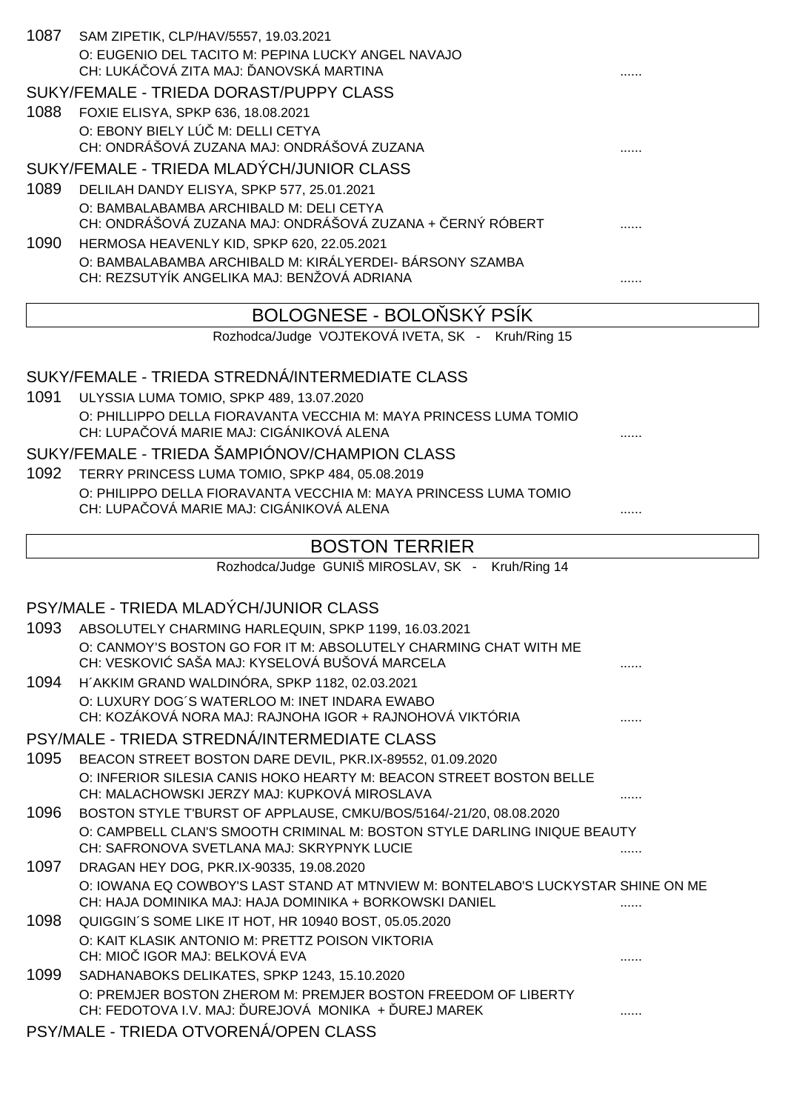| 1087 | SAM ZIPETIK, CLP/HAV/5557, 19.03.2021<br>O: EUGENIO DEL TACITO M: PEPINA LUCKY ANGEL NAVAJO<br>CH: LUKÁ OVÁ ZITA MAJ: ANOVSKÁ MARTINA |   |
|------|---------------------------------------------------------------------------------------------------------------------------------------|---|
|      | SUKY/FEMALE - TRIEDA DORAST/PUPPY CLASS                                                                                               |   |
| 1088 | FOXIE ELISYA, SPKP 636, 18.08.2021                                                                                                    |   |
|      | O: EBONY BIELY LÚ M: DELLI CETYA                                                                                                      |   |
|      | CH: ONDRÁŠOVÁ ZUZANA MAJ: ONDRÁŠOVÁ ZUZANA                                                                                            |   |
|      | SUKY/FEMALE - TRIEDA MLADÝCH/JUNIOR CLASS                                                                                             |   |
| 1089 | DELILAH DANDY ELISYA, SPKP 577, 25.01.2021                                                                                            |   |
|      | O: BAMBALABAMBA ARCHIBALD M: DELI CETYA<br>CH: ONDRÁŠOVÁ ZUZANA MAJ: ONDRÁŠOVÁ ZUZANA + ERNÝ RÓBERT                                   |   |
| 1090 | HERMOSA HEAVENLY KID, SPKP 620, 22.05.2021                                                                                            |   |
|      | O: BAMBALABAMBA ARCHIBALD M: KIRÁLYERDEI- BÁRSONY SZAMBA<br>CH: REZSUTYÍK ANGELIKA MAJ: BENŽOVÁ ADRIANA                               | . |
|      | BOLOGNESE - BOLO SKÝ PSÍK                                                                                                             |   |
|      | Rozhodca/Judge VOJTEKOVÁ IVETA, SK - Kruh/Ring 15                                                                                     |   |
|      |                                                                                                                                       |   |
|      | SUKY/FEMALE - TRIEDA STREDNÁ/INTERMEDIATE CLASS                                                                                       |   |
| 1091 | ULYSSIA LUMA TOMIO, SPKP 489, 13.07.2020                                                                                              |   |
|      | O: PHILLIPPO DELLA FIORAVANTA VECCHIA M: MAYA PRINCESS LUMA TOMIO                                                                     |   |
|      | CH: LUPA OVÁ MARIE MAJ: CIGÁNIKOVÁ ALENA                                                                                              |   |
|      | SUKY/FEMALE - TRIEDA ŠAMPIÓNOV/CHAMPION CLASS                                                                                         |   |
| 1092 | TERRY PRINCESS LUMA TOMIO, SPKP 484, 05.08.2019                                                                                       |   |
|      | O: PHILIPPO DELLA FIORAVANTA VECCHIA M: MAYA PRINCESS LUMA TOMIO<br>CH: LUPA OVÁ MARIE MAJ: CIGÁNIKOVÁ ALENA                          |   |
|      |                                                                                                                                       |   |
|      |                                                                                                                                       |   |
|      | <b>BOSTON TERRIER</b>                                                                                                                 |   |
|      | Rozhodca/Judge GUNIŠ MIROSLAV, SK - Kruh/Ring 14                                                                                      |   |
|      |                                                                                                                                       |   |
|      | PSY/MALE - TRIEDA MLADÝCH/JUNIOR CLASS                                                                                                |   |
| 1093 | ABSOLUTELY CHARMING HARLEQUIN, SPKP 1199, 16.03.2021                                                                                  |   |
|      | O: CANMOY'S BOSTON GO FOR IT M: ABSOLUTELY CHARMING CHAT WITH ME<br>CH: VESKOVI SAŠA MAJ: KYSELOVÁ BUŠOVÁ MARCELA                     |   |
| 1094 | H'AKKIM GRAND WALDINÓRA, SPKP 1182, 02.03.2021                                                                                        |   |
|      | O: LUXURY DOG'S WATERLOO M: INET INDARA EWABO                                                                                         |   |
|      | CH: KOZÁKOVÁ NORA MAJ: RAJNOHA IGOR + RAJNOHOVÁ VIKTÓRIA                                                                              |   |
|      | PSY/MALE - TRIEDA STREDNÁ/INTERMEDIATE CLASS                                                                                          |   |
| 1095 | BEACON STREET BOSTON DARE DEVIL, PKR.IX-89552, 01.09.2020                                                                             |   |
|      | O: INFERIOR SILESIA CANIS HOKO HEARTY M: BEACON STREET BOSTON BELLE<br>CH: MALACHOWSKI JERZY MAJ: KUPKOVÁ MIROSLAVA                   |   |
| 1096 | BOSTON STYLE T'BURST OF APPLAUSE, CMKU/BOS/5164/-21/20, 08.08.2020                                                                    |   |
|      | O: CAMPBELL CLAN'S SMOOTH CRIMINAL M: BOSTON STYLE DARLING INIQUE BEAUTY<br>CH: SAFRONOVA SVETLANA MAJ: SKRYPNYK LUCIE                | . |
| 1097 |                                                                                                                                       |   |
|      | DRAGAN HEY DOG, PKR.IX-90335, 19.08.2020<br>O: IOWANA EQ COWBOY'S LAST STAND AT MTNVIEW M: BONTELABO'S LUCKYSTAR SHINE ON ME          |   |
|      | CH: HAJA DOMINIKA MAJ: HAJA DOMINIKA + BORKOWSKI DANIEL                                                                               |   |
| 1098 | QUIGGIN'S SOME LIKE IT HOT, HR 10940 BOST, 05.05.2020                                                                                 |   |
|      | O: KAIT KLASIK ANTONIO M: PRETTZ POISON VIKTORIA                                                                                      |   |
|      | CH: MIO IGOR MAJ: BELKOVÁ EVA                                                                                                         |   |
| 1099 | SADHANABOKS DELIKATES, SPKP 1243, 15.10.2020                                                                                          |   |
|      | O: PREMJER BOSTON ZHEROM M: PREMJER BOSTON FREEDOM OF LIBERTY<br>CH: FEDOTOVA I.V. MAJ: UREJOVÁ MONIKA + UREJ MAREK                   | . |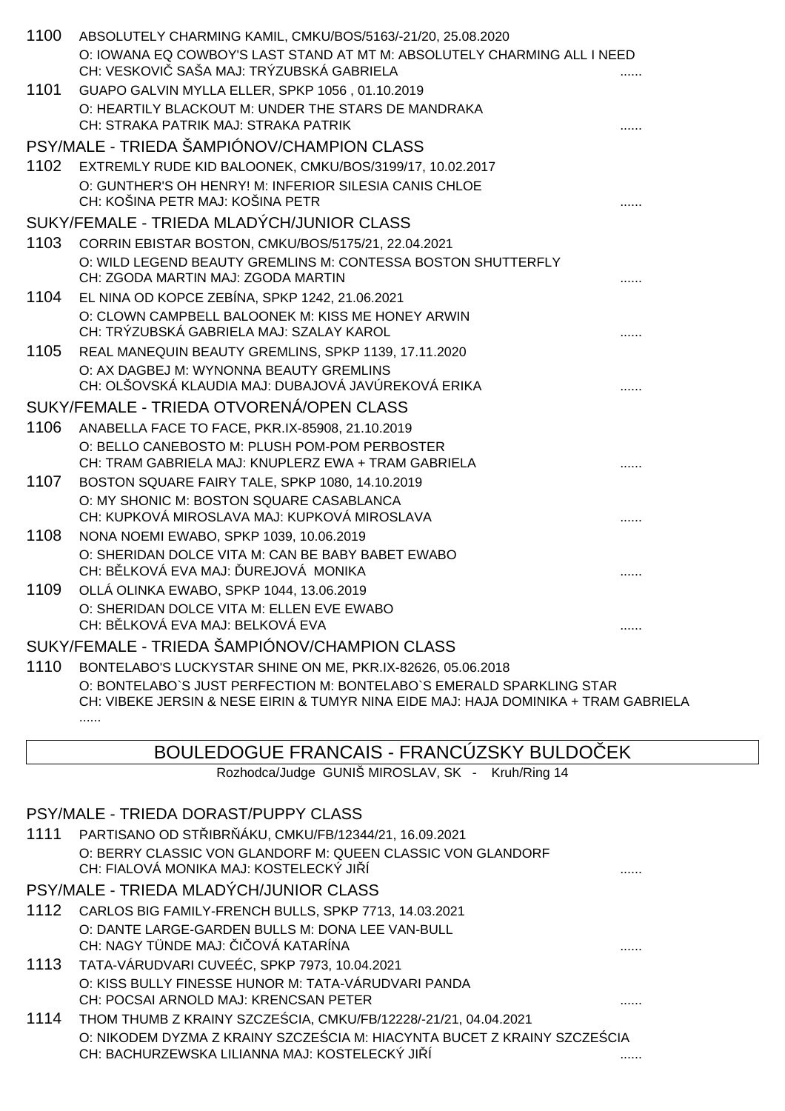| 1100 | ABSOLUTELY CHARMING KAMIL, CMKU/BOS/5163/-21/20, 25.08.2020                                                          |  |
|------|----------------------------------------------------------------------------------------------------------------------|--|
|      | O: IOWANA EQ COWBOY'S LAST STAND AT MT M: ABSOLUTELY CHARMING ALL I NEED<br>CH: VESKOVI SAŠA MAJ: TRÝZUBSKÁ GABRIELA |  |
| 1101 | GUAPO GALVIN MYLLA ELLER, SPKP 1056, 01.10.2019                                                                      |  |
|      | O: HEARTILY BLACKOUT M: UNDER THE STARS DE MANDRAKA                                                                  |  |
|      | CH: STRAKA PATRIK MAJ: STRAKA PATRIK                                                                                 |  |
|      | PSY/MALE - TRIEDA ŠAMPIÓNOV/CHAMPION CLASS                                                                           |  |
| 1102 | EXTREMLY RUDE KID BALOONEK, CMKU/BOS/3199/17, 10.02.2017                                                             |  |
|      | O: GUNTHER'S OH HENRY! M: INFERIOR SILESIA CANIS CHLOE<br>CH: KOŠINA PETR MAJ: KOŠINA PETR                           |  |
|      | SUKY/FEMALE - TRIEDA MLADÝCH/JUNIOR CLASS                                                                            |  |
| 1103 | CORRIN EBISTAR BOSTON, CMKU/BOS/5175/21, 22.04.2021                                                                  |  |
|      | O: WILD LEGEND BEAUTY GREMLINS M: CONTESSA BOSTON SHUTTERFLY                                                         |  |
|      | CH: ZGODA MARTIN MAJ: ZGODA MARTIN                                                                                   |  |
| 1104 | EL NINA OD KOPCE ZEBÍNA, SPKP 1242, 21.06.2021                                                                       |  |
|      | O: CLOWN CAMPBELL BALOONEK M: KISS ME HONEY ARWIN                                                                    |  |
|      | CH: TRÝZUBSKÁ GABRIELA MAJ: SZALAY KAROL                                                                             |  |
| 1105 | REAL MANEQUIN BEAUTY GREMLINS, SPKP 1139, 17.11.2020                                                                 |  |
|      | O: AX DAGBEJ M: WYNONNA BEAUTY GREMLINS                                                                              |  |
|      | CH: OLŠOVSKÁ KLAUDIA MAJ: DUBAJOVÁ JAVÚREKOVÁ ERIKA                                                                  |  |
|      | SUKY/FEMALE - TRIEDA OTVORENÁ/OPEN CLASS                                                                             |  |
| 1106 | ANABELLA FACE TO FACE, PKR.IX-85908, 21.10.2019                                                                      |  |
|      | O: BELLO CANEBOSTO M: PLUSH POM-POM PERBOSTER                                                                        |  |
|      | CH: TRAM GABRIELA MAJ: KNUPLERZ EWA + TRAM GABRIELA                                                                  |  |
| 1107 | BOSTON SQUARE FAIRY TALE, SPKP 1080, 14.10.2019                                                                      |  |
|      | O: MY SHONIC M: BOSTON SQUARE CASABLANCA<br>CH: KUPKOVÁ MIROSLAVA MAJ: KUPKOVÁ MIROSLAVA                             |  |
| 1108 | NONA NOEMI EWABO, SPKP 1039, 10.06.2019                                                                              |  |
|      | O: SHERIDAN DOLCE VITA M: CAN BE BABY BABET EWABO                                                                    |  |
|      | CH: B LKOVÁ EVA MAJ: UREJOVÁ MONIKA                                                                                  |  |
| 1109 | OLLÁ OLINKA EWABO, SPKP 1044, 13.06.2019                                                                             |  |
|      | O: SHERIDAN DOLCE VITA M: ELLEN EVE EWABO                                                                            |  |
|      | CH: B LKOVÁ EVA MAJ: BELKOVÁ EVA                                                                                     |  |
|      | SUKY/FEMALE - TRIEDA ŠAMPIÓNOV/CHAMPION CLASS                                                                        |  |
| 1110 | BONTELABO'S LUCKYSTAR SHINE ON ME, PKR.IX-82626, 05.06.2018                                                          |  |
|      | O: BONTELABO`S JUST PERFECTION M: BONTELABO`S EMERALD SPARKLING STAR                                                 |  |
|      | CH: VIBEKE JERSIN & NESE EIRIN & TUMYR NINA EIDE MAJ: HAJA DOMINIKA + TRAM GABRIELA                                  |  |
|      |                                                                                                                      |  |
|      |                                                                                                                      |  |

# BOULEDOGUE FRANCAIS - FRANCÚZSKY BULDO EK

Rozhodca/Judge GUNIŠ MIROSLAV, SK - Kruh/Ring 14

#### PSY/MALE - TRIEDA DORAST/PUPPY CLASS

1111 PARTISANO OD STŘIBRŇÁKU, CMKU/FB/12344/21, 16.09.2021 O: BERRY CLASSIC VON GLANDORF M: QUEEN CLASSIC VON GLANDORF CH: FIALOVÁ MONIKA MAJ: KOSTELECKÝ JIŘÍ ......

# PSY/MALE - TRIEDA MLADÝCH/JUNIOR CLASS

- 1112 CARLOS BIG FAMILY-FRENCH BULLS, SPKP 7713, 14.03.2021 O: DANTE LARGE-GARDEN BULLS M: DONA LEE VAN-BULL CH: NAGY TÜNDE MAJ: ČIČOVÁ KATARÍNA ......
- 1113 TATA-VÁRUDVARI CUVEÉC, SPKP 7973, 10.04.2021 O: KISS BULLY FINESSE HUNOR M: TATA-VÁRUDVARI PANDA CH: POCSAI ARNOLD MAJ: KRENCSAN PETER ......
- 1114 THOM THUMB Z KRAINY SZCZEŚCIA, CMKU/FB/12228/-21/21, 04.04.2021 O: NIKODEM DYZMA Z KRAINY SZCZE CIA M: HIACYNTA BUCET Z KRAINY SZCZE CIA CH: BACHURZEWSKA LILIANNA MAJ: KOSTELECKÝ JIŘÍ ......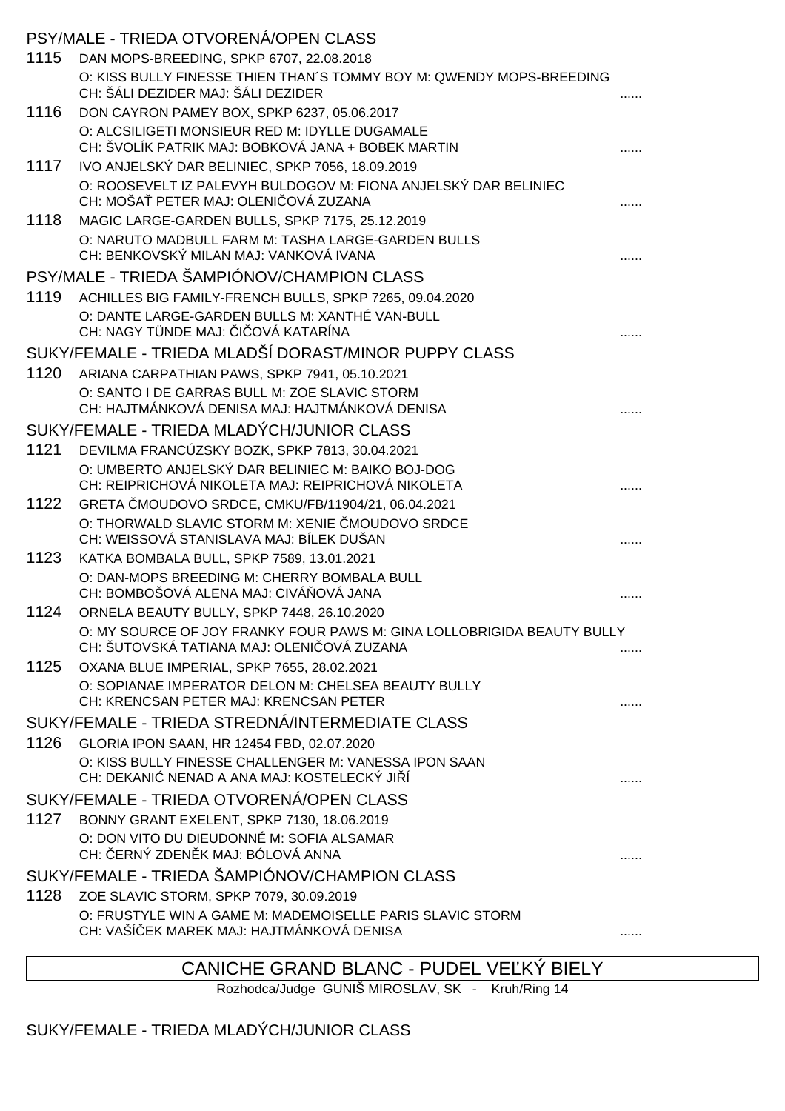|      | PSY/MALE - TRIEDA OTVORENÁ/OPEN CLASS                                                                                |   |
|------|----------------------------------------------------------------------------------------------------------------------|---|
| 1115 | DAN MOPS-BREEDING, SPKP 6707, 22.08.2018                                                                             |   |
|      | O: KISS BULLY FINESSE THIEN THAN'S TOMMY BOY M: QWENDY MOPS-BREEDING<br>CH: ŠÁLI DEZIDER MAJ: ŠÁLI DEZIDER           | . |
| 1116 | DON CAYRON PAMEY BOX, SPKP 6237, 05.06.2017                                                                          |   |
|      | O: ALCSILIGETI MONSIEUR RED M: IDYLLE DUGAMALE<br>CH: ŠVOLÍK PATRIK MAJ: BOBKOVÁ JANA + BOBEK MARTIN                 |   |
| 1117 | IVO ANJELSKÝ DAR BELINIEC, SPKP 7056, 18.09.2019                                                                     |   |
|      | O: ROOSEVELT IZ PALEVYH BULDOGOV M: FIONA ANJELSKÝ DAR BELINIEC<br>CH: MOŠA PETER MAJ: OLENI OVÁ ZUZANA              |   |
| 1118 | MAGIC LARGE-GARDEN BULLS, SPKP 7175, 25.12.2019                                                                      |   |
|      | O: NARUTO MADBULL FARM M: TASHA LARGE-GARDEN BULLS<br>CH: BENKOVSKÝ MILAN MAJ: VANKOVÁ IVANA                         |   |
|      | PSY/MALE - TRIEDA ŠAMPIÓNOV/CHAMPION CLASS                                                                           |   |
| 1119 | ACHILLES BIG FAMILY-FRENCH BULLS, SPKP 7265, 09.04.2020                                                              |   |
|      | O: DANTE LARGE-GARDEN BULLS M: XANTHÉ VAN-BULL<br>CH: NAGY TÜNDE MAJ: 1 OVÁ KATARÍNA                                 |   |
|      | SUKY/FEMALE - TRIEDA MLADŠÍ DORAST/MINOR PUPPY CLASS                                                                 |   |
| 1120 | ARIANA CARPATHIAN PAWS, SPKP 7941, 05.10.2021                                                                        |   |
|      | O: SANTO I DE GARRAS BULL M: ZOE SLAVIC STORM<br>CH: HAJTMÁNKOVÁ DENISA MAJ: HAJTMÁNKOVÁ DENISA                      |   |
|      | SUKY/FEMALE - TRIEDA MLADÝCH/JUNIOR CLASS                                                                            |   |
| 1121 | DEVILMA FRANCÚZSKY BOZK, SPKP 7813, 30.04.2021                                                                       |   |
|      | O: UMBERTO ANJELSKÝ DAR BELINIEC M: BAIKO BOJ-DOG<br>CH: REIPRICHOVÁ NIKOLETA MAJ: REIPRICHOVÁ NIKOLETA              |   |
| 1122 | GRETA MOUDOVO SRDCE, CMKU/FB/11904/21, 06.04.2021                                                                    |   |
|      | O: THORWALD SLAVIC STORM M: XENIE MOUDOVO SRDCE<br>CH: WEISSOVÁ STANISLAVA MAJ: BÍLEK DUŠAN                          |   |
| 1123 | KATKA BOMBALA BULL, SPKP 7589, 13.01.2021                                                                            |   |
|      | O: DAN-MOPS BREEDING M: CHERRY BOMBALA BULL<br>CH: BOMBOŠOVÁ ALENA MAJ: CIVÁ OVÁ JANA                                |   |
| 1124 | ORNELA BEAUTY BULLY, SPKP 7448, 26.10.2020                                                                           |   |
|      | O: MY SOURCE OF JOY FRANKY FOUR PAWS M: GINA LOLLOBRIGIDA BEAUTY BULLY<br>CH: ŠUTOVSKÁ TATIANA MAJ: OLENI OVÁ ZUZANA |   |
| 1125 | OXANA BLUE IMPERIAL, SPKP 7655, 28.02.2021                                                                           |   |
|      | O: SOPIANAE IMPERATOR DELON M: CHELSEA BEAUTY BULLY<br>CH: KRENCSAN PETER MAJ: KRENCSAN PETER                        |   |
|      | SUKY/FEMALE - TRIEDA STREDNÁ/INTERMEDIATE CLASS                                                                      |   |
| 1126 | GLORIA IPON SAAN, HR 12454 FBD, 02.07.2020                                                                           |   |
|      | O: KISS BULLY FINESSE CHALLENGER M: VANESSA IPON SAAN<br>CH: DEKANI NENAD A ANA MAJ: KOSTELECKÝ JI Í                 |   |
|      | SUKY/FEMALE - TRIEDA OTVORENÁ/OPEN CLASS                                                                             |   |
| 1127 | BONNY GRANT EXELENT, SPKP 7130, 18.06.2019                                                                           |   |
|      | O: DON VITO DU DIEUDONNÉ M: SOFIA ALSAMAR<br>CH: ERNÝ ZDEN K MAJ: BÓLOVÁ ANNA                                        |   |
|      | SUKY/FEMALE - TRIEDA ŠAMPIÓNOV/CHAMPION CLASS                                                                        |   |
| 1128 | ZOE SLAVIC STORM, SPKP 7079, 30.09.2019                                                                              |   |
|      | O: FRUSTYLE WIN A GAME M: MADEMOISELLE PARIS SLAVIC STORM<br>CH: VAŠÍ EK MAREK MAJ: HAJTMÁNKOVÁ DENISA               |   |
|      |                                                                                                                      |   |

# CANICHE GRAND BLANC - PUDEL VEĽKÝ BIELY

Rozhodca/Judge GUNIŠ MIROSLAV, SK - Kruh/Ring 14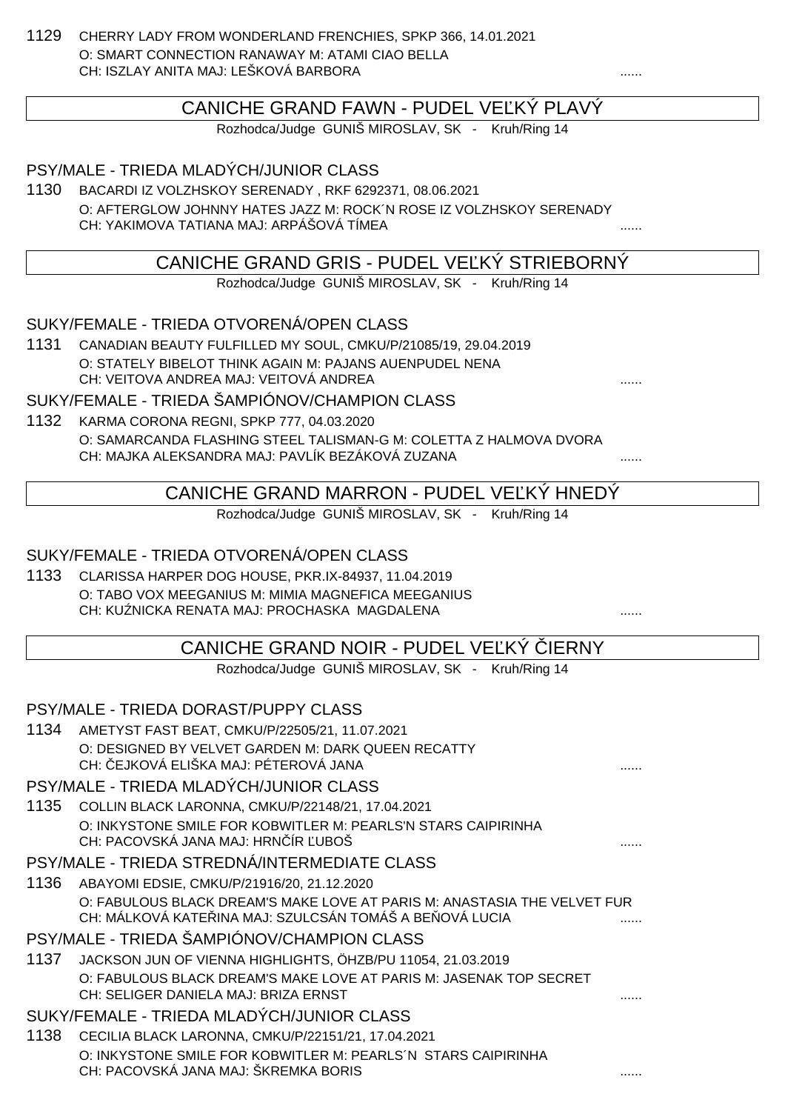1129 CHERRY LADY FROM WONDERLAND FRENCHIES, SPKP 366, 14.01.2021 O: SMART CONNECTION RANAWAY M: ATAMI CIAO BELLA CH: ISZLAY ANITA MAJ: LEŠKOVÁ BARBORA

# CANICHE GRAND FAWN - PUDEL VEĽKÝ PLAVÝ

Rozhodca/Judge GUNIŠ MIROSLAV, SK - Kruh/Ring 14

PSY/MALE - TRIEDA MLADÝCH/JUNIOR CLASS

1130 BACARDI IZ VOLZHSKOY SERENADY , RKF 6292371, 08.06.2021 O: AFTERGLOW JOHNNY HATES JAZZ M: ROCK´N ROSE IZ VOLZHSKOY SERENADY CH: YAKIMOVA TATIANA MAJ: ARPÁŠOVÁ TÍMEA ......

# CANICHE GRAND GRIS - PUDEL VE KÝ STRIEBORNÝ

Rozhodca/Judge GUNIŠ MIROSLAV, SK - Kruh/Ring 14

SUKY/FEMALE - TRIEDA OTVORENÁ/OPEN CLASS

1131 CANADIAN BEAUTY FULFILLED MY SOUL, CMKU/P/21085/19, 29.04.2019 O: STATELY BIBELOT THINK AGAIN M: PAJANS AUENPUDEL NENA CH: VEITOVA ANDREA MAJ: VEITOVÁ ANDREA

SUKY/FEMALE - TRIEDA ŠAMPIÓNOV/CHAMPION CLASS

1132 KARMA CORONA REGNI, SPKP 777, 04.03.2020 O: SAMARCANDA FLASHING STEEL TALISMAN-G M: COLETTA Z HALMOVA DVORA CH: MAJKA ALEKSANDRA MAJ: PAVLÍK BEZÁKOVÁ ZUZANA

CANICHE GRAND MARRON - PUDEL VEĽKÝ HNEDÝ

Rozhodca/Judge GUNIŠ MIROSLAV, SK - Kruh/Ring 14

#### SUKY/FEMALE - TRIEDA OTVORENÁ/OPEN CLASS

1133 CLARISSA HARPER DOG HOUSE, PKR.IX-84937, 11.04.2019 O: TABO VOX MEEGANIUS M: MIMIA MAGNEFICA MEEGANIUS CH: KUŹNICKA RENATA MAJ: PROCHASKA MAGDALENA ......

# CANICHE GRAND NOIR - PUDEL VE KÝ LERNY

Rozhodca/Judge GUNIŠ MIROSLAV, SK - Kruh/Ring 14

#### PSY/MALE - TRIEDA DORAST/PUPPY CLASS

1134 AMETYST FAST BEAT, CMKU/P/22505/21, 11.07.2021 O: DESIGNED BY VELVET GARDEN M: DARK QUEEN RECATTY CH: EJKOVÁ ELIŠKA MAJ: PÉTEROVÁ JANA

#### PSY/MALE - TRIEDA MLADÝCH/JUNIOR CLASS

1135 COLLIN BLACK LARONNA, CMKU/P/22148/21, 17.04.2021 O: INKYSTONE SMILE FOR KOBWITLER M: PEARLS'N STARS CAIPIRINHA CH: PACOVSKÁ JANA MAJ: HRNÍR UBOŠ

#### PSY/MALE - TRIEDA STREDNÁ/INTERMEDIATE CLASS

1136 ABAYOMI EDSIE, CMKU/P/21916/20, 21.12.2020 O: FABULOUS BLACK DREAM'S MAKE LOVE AT PARIS M: ANASTASIA THE VELVET FUR CH: MÁLKOVÁ KATE INA MAJ: SZULCSÁN TOMÁŠ A BE OVÁ LUCIA

#### PSY/MALE - TRIEDA ŠAMPIÓNOV/CHAMPION CLASS

1137 JACKSON JUN OF VIENNA HIGHLIGHTS, ÖHZB/PU 11054, 21.03.2019 O: FABULOUS BLACK DREAM'S MAKE LOVE AT PARIS M: JASENAK TOP SECRET CH: SELIGER DANIELA MAJ: BRIZA ERNST ......

#### SUKY/FEMALE - TRIEDA MLADÝCH/JUNIOR CLASS

1138 CECILIA BLACK LARONNA, CMKU/P/22151/21, 17.04.2021 O: INKYSTONE SMILE FOR KOBWITLER M: PEARLS´N STARS CAIPIRINHA CH: PACOVSKÁ JANA MAJ: ŠKREMKA BORIS ......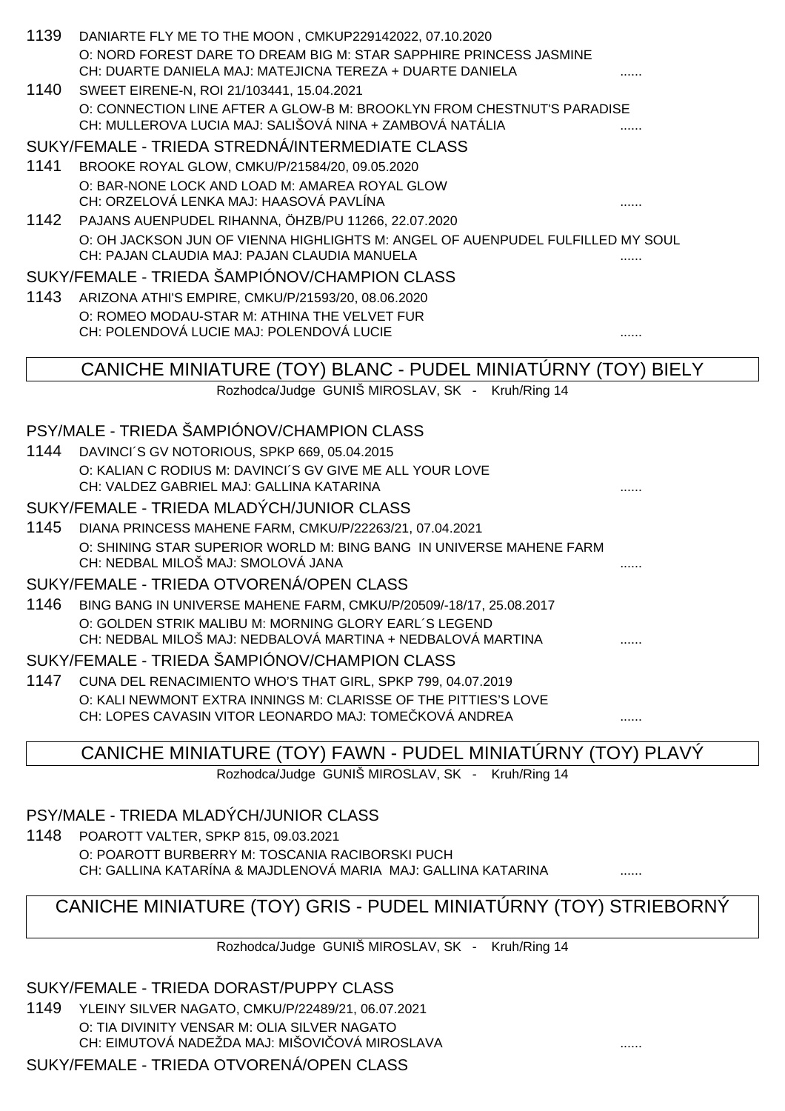|      | 1139 DANIARTE FLY ME TO THE MOON, CMKUP229142022, 07.10.2020                                                                       |   |
|------|------------------------------------------------------------------------------------------------------------------------------------|---|
|      | O: NORD FOREST DARE TO DREAM BIG M: STAR SAPPHIRE PRINCESS JASMINE                                                                 |   |
|      | CH: DUARTE DANIELA MAJ: MATEJICNA TEREZA + DUARTE DANIELA                                                                          |   |
| 1140 | SWEET EIRENE-N, ROI 21/103441, 15.04.2021                                                                                          |   |
|      | O: CONNECTION LINE AFTER A GLOW-B M: BROOKLYN FROM CHESTNUT'S PARADISE<br>CH: MULLEROVA LUCIA MAJ: SALIŠOVÁ NINA + ZAMBOVÁ NATÁLIA |   |
|      | SUKY/FEMALE - TRIEDA STREDNÁ/INTERMEDIATE CLASS                                                                                    |   |
|      |                                                                                                                                    |   |
| 1141 | BROOKE ROYAL GLOW, CMKU/P/21584/20, 09.05.2020<br>O: BAR-NONE LOCK AND LOAD M: AMAREA ROYAL GLOW                                   |   |
|      | CH: ORZELOVÁ LENKA MAJ: HAASOVÁ PAVLÍNA                                                                                            |   |
| 1142 | PAJANS AUENPUDEL RIHANNA, ÖHZB/PU 11266, 22.07.2020                                                                                |   |
|      | O: OH JACKSON JUN OF VIENNA HIGHLIGHTS M: ANGEL OF AUENPUDEL FULFILLED MY SOUL                                                     |   |
|      | CH: PAJAN CLAUDIA MAJ: PAJAN CLAUDIA MANUELA                                                                                       |   |
|      | SUKY/FEMALE - TRIEDA ŠAMPIÓNOV/CHAMPION CLASS                                                                                      |   |
|      | 1143 ARIZONA ATHI'S EMPIRE, CMKU/P/21593/20, 08.06.2020                                                                            |   |
|      | O: ROMEO MODAU-STAR M: ATHINA THE VELVET FUR                                                                                       |   |
|      | CH: POLENDOVÁ LUCIE MAJ: POLENDOVÁ LUCIE                                                                                           |   |
|      | CANICHE MINIATURE (TOY) BLANC - PUDEL MINIATURNY (TOY) BIELY                                                                       |   |
|      |                                                                                                                                    |   |
|      |                                                                                                                                    |   |
|      | Rozhodca/Judge GUNIŠ MIROSLAV, SK - Kruh/Ring 14                                                                                   |   |
|      | PSY/MALE - TRIEDA ŠAMPIÓNOV/CHAMPION CLASS                                                                                         |   |
| 1144 |                                                                                                                                    |   |
|      | DAVINCI'S GV NOTORIOUS, SPKP 669, 05.04.2015<br>O: KALIAN C RODIUS M: DAVINCI'S GV GIVE ME ALL YOUR LOVE                           |   |
|      | CH: VALDEZ GABRIEL MAJ: GALLINA KATARINA                                                                                           |   |
|      | SUKY/FEMALE - TRIEDA MLADÝCH/JUNIOR CLASS                                                                                          |   |
| 1145 | DIANA PRINCESS MAHENE FARM, CMKU/P/22263/21, 07.04.2021                                                                            |   |
|      | O: SHINING STAR SUPERIOR WORLD M: BING BANG IN UNIVERSE MAHENE FARM                                                                |   |
|      | CH: NEDBAL MILOŠ MAJ: SMOLOVÁ JANA                                                                                                 |   |
|      | SUKY/FEMALE - TRIEDA OTVORENÁ/OPEN CLASS                                                                                           |   |
| 1146 | BING BANG IN UNIVERSE MAHENE FARM, CMKU/P/20509/-18/17, 25.08.2017                                                                 |   |
|      | O: GOLDEN STRIK MALIBU M: MORNING GLORY EARL'S LEGEND                                                                              |   |
|      | CH: NEDBAL MILOŠ MAJ: NEDBALOVÁ MARTINA + NEDBALOVÁ MARTINA                                                                        |   |
|      | SUKY/FEMALE - TRIEDA ŠAMPIÓNOV/CHAMPION CLASS                                                                                      |   |
| 1147 | CUNA DEL RENACIMIENTO WHO'S THAT GIRL, SPKP 799, 04.07.2019                                                                        |   |
|      | O: KALI NEWMONT EXTRA INNINGS M: CLARISSE OF THE PITTIES'S LOVE<br>CH: LOPES CAVASIN VITOR LEONARDO MAJ: TOME KOVÁ ANDREA          | . |

CANICHE MINIATURE (TOY) FAWN - PUDEL MINIATÚRNY (TOY) PLAVÝ

Rozhodca/Judge GUNIŠ MIROSLAV, SK - Kruh/Ring 14

# PSY/MALE - TRIEDA MLADÝCH/JUNIOR CLASS

1148 POAROTT VALTER, SPKP 815, 09.03.2021 O: POAROTT BURBERRY M: TOSCANIA RACIBORSKI PUCH CH: GALLINA KATARÍNA & MAJDLENOVÁ MARIA MAJ: GALLINA KATARINA ......

# CANICHE MINIATURE (TOY) GRIS - PUDEL MINIATÚRNY (TOY) STRIEBORNÝ

Rozhodca/Judge GUNIŠ MIROSLAV, SK - Kruh/Ring 14

SUKY/FEMALE - TRIEDA DORAST/PUPPY CLASS

1149 YLEINY SILVER NAGATO, CMKU/P/22489/21, 06.07.2021 O: TIA DIVINITY VENSAR M: OLIA SILVER NAGATO CH: EIMUTOVÁ NADEŽDA MAJ: MIŠOVI OVÁ MIROSLAVA **Alexander Marcoslava** .......

# SUKY/FEMALE - TRIEDA OTVORENÁ/OPEN CLASS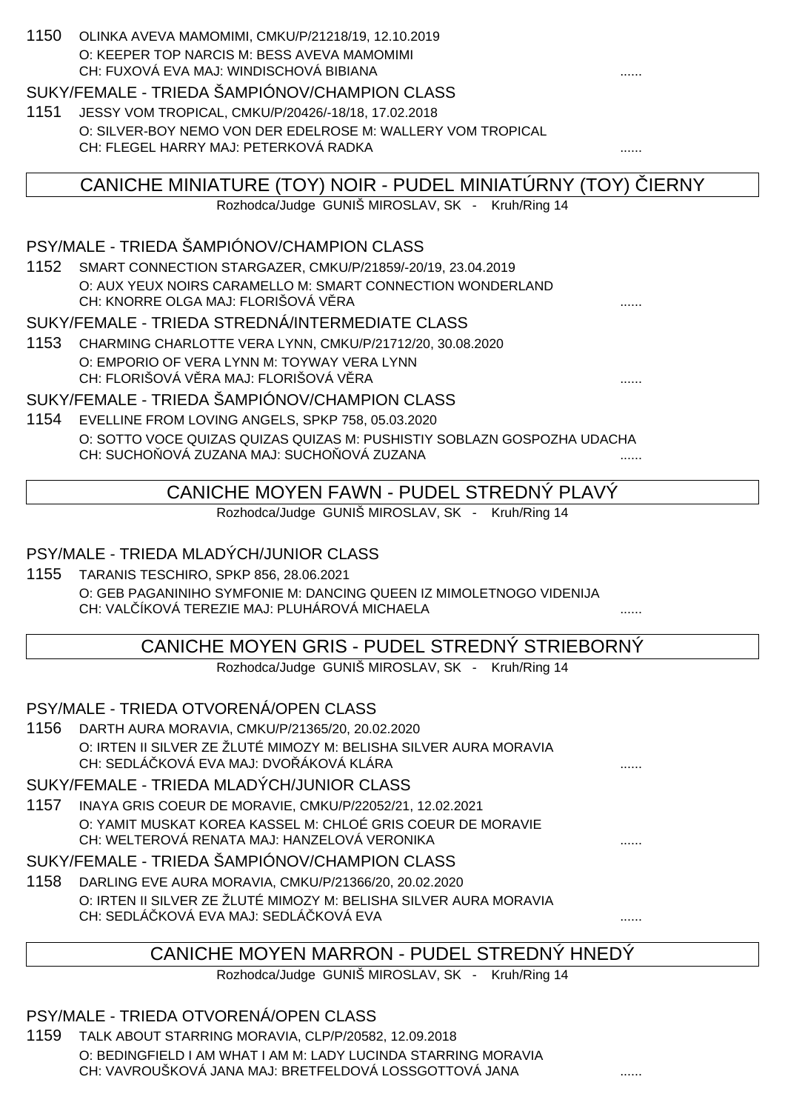| 1150 | OLINKA AVEVA MAMOMIMI, CMKU/P/21218/19, 12.10.2019                                                                        |              |
|------|---------------------------------------------------------------------------------------------------------------------------|--------------|
|      | O: KEEPER TOP NARCIS M: BESS AVEVA MAMOMIMI                                                                               |              |
|      | CH: FUXOVÁ EVA MAJ: WINDISCHOVÁ BIBIANA<br>SUKY/FEMALE - TRIEDA ŠAMPIÓNOV/CHAMPION CLASS                                  |              |
| 1151 |                                                                                                                           |              |
|      | JESSY VOM TROPICAL, CMKU/P/20426/-18/18, 17.02.2018<br>O: SILVER-BOY NEMO VON DER EDELROSE M: WALLERY VOM TROPICAL        |              |
|      | CH: FLEGEL HARRY MAJ: PETERKOVÁ RADKA                                                                                     |              |
|      |                                                                                                                           |              |
|      | CANICHE MINIATURE (TOY) NOIR - PUDEL MINIATURNY (TOY)                                                                     | <b>IERNY</b> |
|      | Rozhodca/Judge GUNIŠ MIROSLAV, SK - Kruh/Ring 14                                                                          |              |
|      |                                                                                                                           |              |
|      | PSY/MALE - TRIEDA ŠAMPIÓNOV/CHAMPION CLASS                                                                                |              |
| 1152 | SMART CONNECTION STARGAZER, CMKU/P/21859/-20/19, 23.04.2019<br>O: AUX YEUX NOIRS CARAMELLO M: SMART CONNECTION WONDERLAND |              |
|      | CH: KNORRE OLGA MAJ: FLORIŠOVÁ V RA                                                                                       |              |
|      | SUKY/FEMALE - TRIEDA STREDNÁ/INTERMEDIATE CLASS                                                                           |              |
| 1153 | CHARMING CHARLOTTE VERA LYNN, CMKU/P/21712/20, 30.08.2020                                                                 |              |
|      | O: EMPORIO OF VERA LYNN M: TOYWAY VERA LYNN                                                                               |              |
|      | CH: FLORIŠOVÁ V RA MAJ: FLORIŠOVÁ V RA                                                                                    |              |
|      | SUKY/FEMALE - TRIEDA ŠAMPIÓNOV/CHAMPION CLASS                                                                             |              |
| 1154 | EVELLINE FROM LOVING ANGELS, SPKP 758, 05.03.2020                                                                         |              |
|      | O: SOTTO VOCE QUIZAS QUIZAS QUIZAS M: PUSHISTIY SOBLAZN GOSPOZHA UDACHA<br>CH: SUCHO OVÁ ZUZANA MAJ: SUCHO OVÁ ZUZANA     |              |
|      |                                                                                                                           |              |
|      | CANICHE MOYEN FAWN - PUDEL STREDNY PLAVY                                                                                  |              |
|      | Rozhodca/Judge GUNIŠ MIROSLAV, SK - Kruh/Ring 14                                                                          |              |
|      |                                                                                                                           |              |
|      | PSY/MALE - TRIEDA MLADÝCH/JUNIOR CLASS                                                                                    |              |
| 1155 | TARANIS TESCHIRO, SPKP 856, 28.06.2021                                                                                    |              |
|      | O: GEB PAGANINIHO SYMFONIE M: DANCING QUEEN IZ MIMOLETNOGO VIDENIJA<br>CH: VAL ÍKOVÁ TEREZIE MAJ: PLUHÁROVÁ MICHAELA      |              |
|      |                                                                                                                           |              |
|      | CANICHE MOYEN GRIS - PUDEL STREDNY STRIEBORNY                                                                             |              |
|      | Rozhodca/Judge GUNIŠ MIROSLAV, SK - Kruh/Ring 14                                                                          |              |
|      |                                                                                                                           |              |
|      | PSY/MALE - TRIEDA OTVORENÁ/OPEN CLASS                                                                                     |              |
| 1156 | DARTH AURA MORAVIA, CMKU/P/21365/20, 20.02.2020                                                                           |              |
|      | O: IRTEN II SILVER ZE ŽLUTÉ MIMOZY M: BELISHA SILVER AURA MORAVIA<br>CH: SEDLÁ KOVÁ EVA MAJ: DVO ÁKOVÁ KLÁRA              |              |
|      | SUKY/FEMALE - TRIEDA MLADÝCH/JUNIOR CLASS                                                                                 |              |
| 1157 | INAYA GRIS COEUR DE MORAVIE, CMKU/P/22052/21, 12.02.2021                                                                  |              |
|      | O: YAMIT MUSKAT KOREA KASSEL M: CHLOÉ GRIS COEUR DE MORAVIE                                                               |              |
|      | CH: WELTEROVÁ RENATA MAJ: HANZELOVÁ VERONIKA                                                                              |              |
|      | SUKY/FEMALE - TRIEDA ŠAMPIÓNOV/CHAMPION CLASS                                                                             |              |
| 1158 | DARLING EVE AURA MORAVIA, CMKU/P/21366/20, 20.02.2020                                                                     |              |
|      | O: IRTEN II SILVER ZE ŽLUTÉ MIMOZY M: BELISHA SILVER AURA MORAVIA                                                         |              |
|      | CH: SEDLÁ KOVÁ EVA MAJ: SEDLÁ KOVÁ EVA                                                                                    |              |
|      | CANICHE MOYEN MARRON - PUDEL STREDNÝ HNEDÝ                                                                                |              |

Rozhodca/Judge GUNIŠ MIROSLAV, SK - Kruh/Ring 14

# PSY/MALE - TRIEDA OTVORENÁ/OPEN CLASS

1159 TALK ABOUT STARRING MORAVIA, CLP/P/20582, 12.09.2018 O: BEDINGFIELD I AM WHAT I AM M: LADY LUCINDA STARRING MORAVIA CH: VAVROUŠKOVÁ JANA MAJ: BRETFELDOVÁ LOSSGOTTOVÁ JANA .......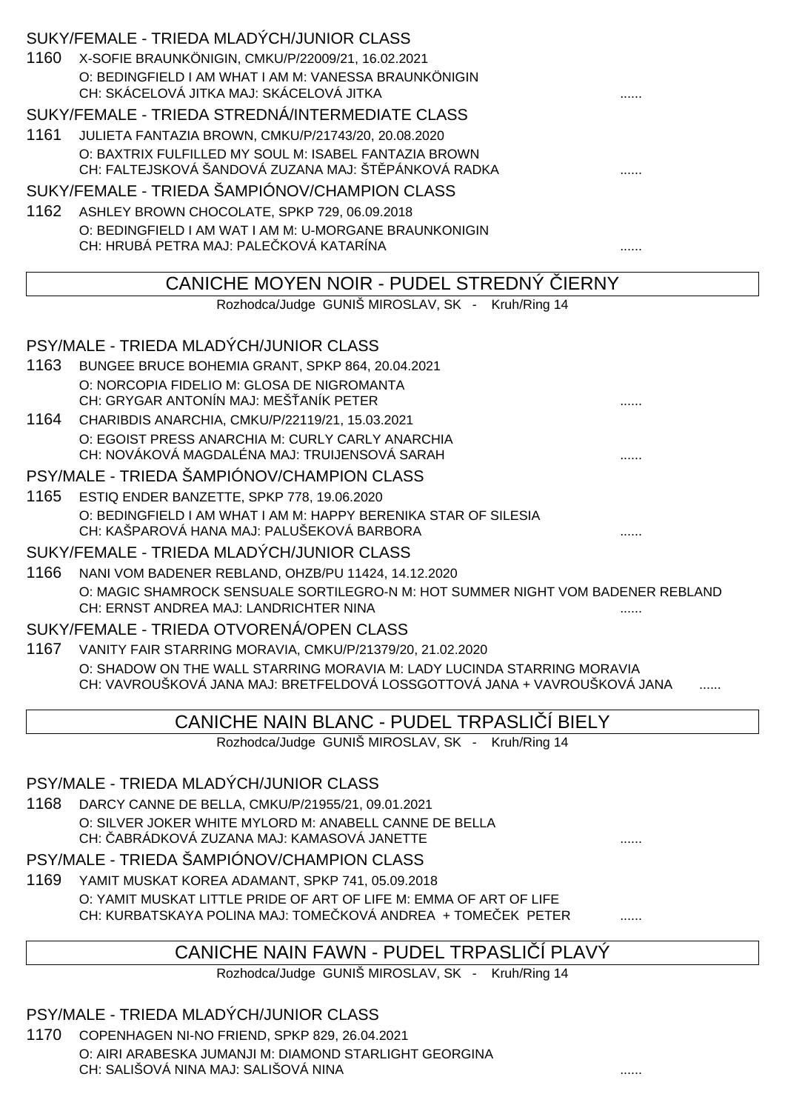|      | SUKY/FEMALE - TRIEDA MLADÝCH/JUNIOR CLASS                                                                                          |  |
|------|------------------------------------------------------------------------------------------------------------------------------------|--|
| 1160 | X-SOFIE BRAUNKÖNIGIN, CMKU/P/22009/21, 16.02.2021                                                                                  |  |
|      | O: BEDINGFIELD I AM WHAT I AM M: VANESSA BRAUNKÖNIGIN                                                                              |  |
|      | CH: SKÁCELOVÁ JITKA MAJ: SKÁCELOVÁ JITKA                                                                                           |  |
|      | SUKY/FEMALE - TRIEDA STREDNÁ/INTERMEDIATE CLASS                                                                                    |  |
| 1161 | JULIETA FANTAZIA BROWN, CMKU/P/21743/20, 20.08.2020                                                                                |  |
|      | O: BAXTRIX FULFILLED MY SOUL M: ISABEL FANTAZIA BROWN                                                                              |  |
|      | CH: FALTEJSKOVÁ ŠANDOVÁ ZUZANA MAJ: ŠT PÁNKOVÁ RADKA                                                                               |  |
|      | SUKY/FEMALE - TRIEDA ŠAMPIÓNOV/CHAMPION CLASS                                                                                      |  |
| 1162 | ASHLEY BROWN CHOCOLATE, SPKP 729, 06.09.2018                                                                                       |  |
|      | O: BEDINGFIELD I AM WAT I AM M: U-MORGANE BRAUNKONIGIN                                                                             |  |
|      | CH: HRUBÁ PETRA MAJ: PALE KOVÁ KATARÍNA                                                                                            |  |
|      | CANICHE MOYEN NOIR - PUDEL STREDNY<br><b>IERNY</b>                                                                                 |  |
|      | Rozhodca/Judge GUNIŠ MIROSLAV, SK - Kruh/Ring 14                                                                                   |  |
|      |                                                                                                                                    |  |
|      | PSY/MALE - TRIEDA MLADÝCH/JUNIOR CLASS                                                                                             |  |
| 1163 | BUNGEE BRUCE BOHEMIA GRANT, SPKP 864, 20.04.2021                                                                                   |  |
|      | O: NORCOPIA FIDELIO M: GLOSA DE NIGROMANTA                                                                                         |  |
|      | CH: GRYGAR ANTONÍN MAJ: MEŠ ANÍK PETER                                                                                             |  |
| 1164 | CHARIBDIS ANARCHIA, CMKU/P/22119/21, 15.03.2021                                                                                    |  |
|      | O: EGOIST PRESS ANARCHIA M: CURLY CARLY ANARCHIA                                                                                   |  |
|      | CH: NOVÁKOVÁ MAGDALÉNA MAJ: TRUIJENSOVÁ SARAH                                                                                      |  |
|      | PSY/MALE - TRIEDA ŠAMPIÓNOV/CHAMPION CLASS                                                                                         |  |
| 1165 | ESTIQ ENDER BANZETTE, SPKP 778, 19.06.2020                                                                                         |  |
|      | O: BEDINGFIELD I AM WHAT I AM M: HAPPY BERENIKA STAR OF SILESIA                                                                    |  |
|      | CH: KAŠPAROVÁ HANA MAJ: PALUŠEKOVÁ BARBORA                                                                                         |  |
|      | SUKY/FEMALE - TRIEDA MLADÝCH/JUNIOR CLASS                                                                                          |  |
| 1166 | NANI VOM BADENER REBLAND, OHZB/PU 11424, 14.12.2020                                                                                |  |
|      | O: MAGIC SHAMROCK SENSUALE SORTILEGRO-N M: HOT SUMMER NIGHT VOM BADENER REBLAND<br>CH: ERNST ANDREA MAJ: LANDRICHTER NINA          |  |
|      | SUKY/FEMALE - TRIEDA OTVORENÁ/OPEN CLASS                                                                                           |  |
|      | 1167 VANITY FAIR STARRING MORAVIA, CMKU/P/21379/20, 21.02.2020                                                                     |  |
|      | O: SHADOW ON THE WALL STARRING MORAVIA M: LADY LUCINDA STARRING MORAVIA                                                            |  |
|      | CH: VAVROUŠKOVÁ JANA MAJ: BRETFELDOVÁ LOSSGOTTOVÁ JANA + VAVROUŠKOVÁ JANA                                                          |  |
|      |                                                                                                                                    |  |
|      | CANICHE NAIN BLANC - PUDEL TRPASLI I BIELY                                                                                         |  |
|      | Rozhodca/Judge GUNIŠ MIROSLAV, SK - Kruh/Ring 14                                                                                   |  |
|      |                                                                                                                                    |  |
|      | PSY/MALE - TRIEDA MLADÝCH/JUNIOR CLASS                                                                                             |  |
| 1168 | DARCY CANNE DE BELLA, CMKU/P/21955/21, 09.01.2021                                                                                  |  |
|      | O: SILVER JOKER WHITE MYLORD M: ANABELL CANNE DE BELLA<br>CH: ABRÁDKOVÁ ZUZANA MAJ: KAMASOVÁ JANETTE                               |  |
|      |                                                                                                                                    |  |
|      | PSY/MALE - TRIEDA ŠAMPIÓNOV/CHAMPION CLASS                                                                                         |  |
| 1169 | YAMIT MUSKAT KOREA ADAMANT, SPKP 741, 05.09.2018                                                                                   |  |
|      | O: YAMIT MUSKAT LITTLE PRIDE OF ART OF LIFE M: EMMA OF ART OF LIFE<br>CH: KURBATSKAYA POLINA MAJ: TOME KOVÁ ANDREA + TOME EK PETER |  |
|      |                                                                                                                                    |  |
|      |                                                                                                                                    |  |

# CANICHE NAIN FAWN - PUDEL TRPASLI Í PLAVÝ

Rozhodca/Judge GUNIŠ MIROSLAV, SK - Kruh/Ring 14

# PSY/MALE - TRIEDA MLADÝCH/JUNIOR CLASS

1170 COPENHAGEN NI-NO FRIEND, SPKP 829, 26.04.2021 O: AIRI ARABESKA JUMANJI M: DIAMOND STARLIGHT GEORGINA CH: SALIŠOVÁ NINA MAJ: SALIŠOVÁ NINA ......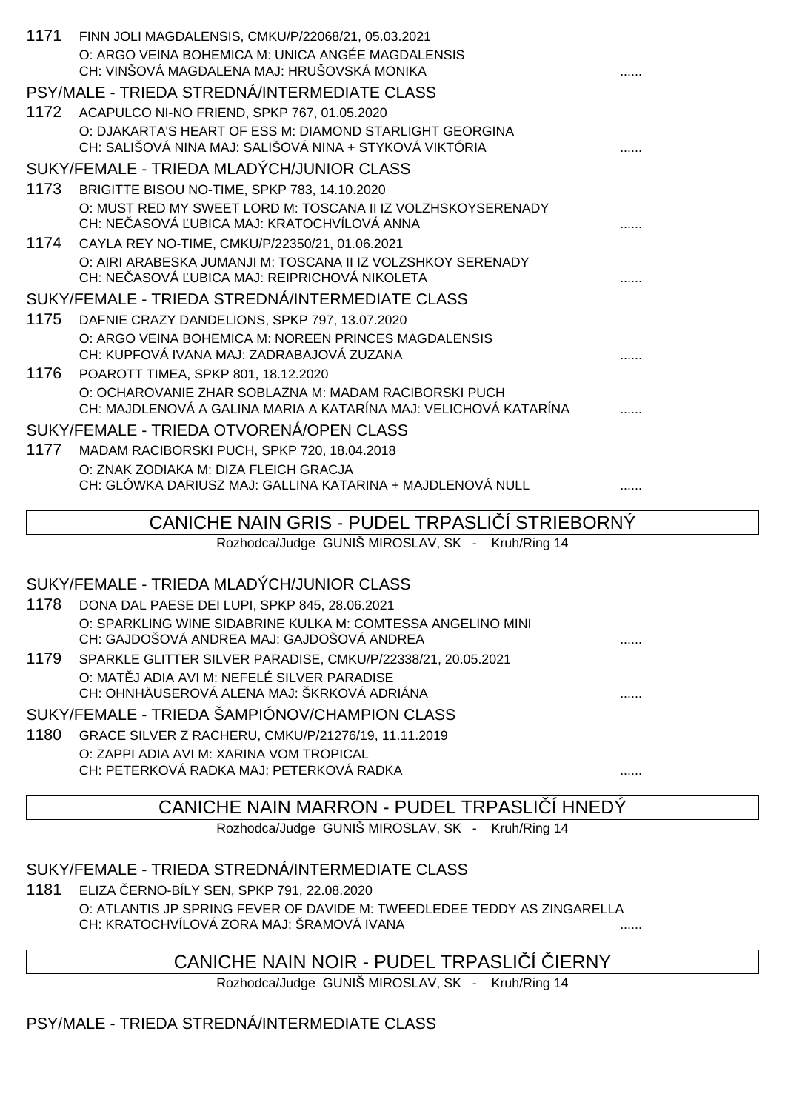| 1171 | FINN JOLI MAGDALENSIS, CMKU/P/22068/21, 05.03.2021               |  |
|------|------------------------------------------------------------------|--|
|      | O: ARGO VEINA BOHEMICA M: UNICA ANGÉE MAGDALENSIS                |  |
|      | CH: VINŠOVÁ MAGDALENA MAJ: HRUŠOVSKÁ MONIKA                      |  |
|      | PSY/MALE - TRIEDA STREDNÁ/INTERMEDIATE CLASS                     |  |
| 1172 | ACAPULCO NI-NO FRIEND, SPKP 767, 01.05.2020                      |  |
|      | O: DJAKARTA'S HEART OF ESS M: DIAMOND STARLIGHT GEORGINA         |  |
|      | CH: SALIŠOVÁ NINA MAJ: SALIŠOVÁ NINA + STYKOVÁ VIKTÓRIA          |  |
|      | SUKY/FEMALE - TRIEDA MLADÝCH/JUNIOR CLASS                        |  |
| 1173 | BRIGITTE BISOU NO-TIME, SPKP 783, 14.10.2020                     |  |
|      | O: MUST RED MY SWEET LORD M: TOSCANA II IZ VOLZHSKOYSERENADY     |  |
|      | CH: NE ASOVÁ UBICA MAJ: KRATOCHVÍLOVÁ ANNA                       |  |
| 1174 | CAYLA REY NO-TIME, CMKU/P/22350/21, 01.06.2021                   |  |
|      | O: AIRI ARABESKA JUMANJI M: TOSCANA II IZ VOLZSHKOY SERENADY     |  |
|      | CH: NE ASOVÁ UBICA MAJ: REIPRICHOVÁ NIKOLETA                     |  |
|      | SUKY/FEMALE - TRIEDA STREDNÁ/INTERMEDIATE CLASS                  |  |
| 1175 | DAFNIE CRAZY DANDELIONS, SPKP 797, 13.07.2020                    |  |
|      | O: ARGO VEINA BOHEMICA M: NOREEN PRINCES MAGDALENSIS             |  |
|      | CH: KUPFOVÁ IVANA MAJ: ZADRABAJOVÁ ZUZANA                        |  |
| 1176 | POAROTT TIMEA, SPKP 801, 18.12.2020                              |  |
|      | O: OCHAROVANIE ZHAR SOBLAZNA M: MADAM RACIBORSKI PUCH            |  |
|      | CH: MAJDLENOVÁ A GALINA MARIA A KATARÍNA MAJ: VELICHOVÁ KATARÍNA |  |
|      | SUKY/FEMALE - TRIEDA OTVORENÁ/OPEN CLASS                         |  |
| 1177 | MADAM RACIBORSKI PUCH, SPKP 720, 18.04.2018                      |  |
|      | O: ZNAK ZODIAKA M: DIZA FLEICH GRACJA                            |  |
|      | CH: GLÓWKA DARIUSZ MAJ: GALLINA KATARINA + MAJDLENOVÁ NULL       |  |

# CANICHE NAIN GRIS - PUDEL TRPASLI I STRIEBORNY

Rozhodca/Judge GUNIŠ MIROSLAV, SK - Kruh/Ring 14

#### SUKY/FEMALE - TRIEDA MLADÝCH/JUNIOR CLASS

- 1178 DONA DAL PAESE DEI LUPI, SPKP 845, 28.06.2021 O: SPARKLING WINE SIDABRINE KULKA M: COMTESSA ANGELINO MINI CH: GAJDOŠOVÁ ANDREA MAJ: GAJDOŠOVÁ ANDREA ......
- 1179 SPARKLE GLITTER SILVER PARADISE, CMKU/P/22338/21, 20.05.2021 O: MAT J ADIA AVI M: NEFELÉ SILVER PARADISE CH: OHNHÄUSEROVÁ ALENA MAJ: ŠKRKOVÁ ADRIÁNA ......
- SUKY/FEMALE TRIEDA ŠAMPIÓNOV/CHAMPION CLASS
- 1180 GRACE SILVER Z RACHERU, CMKU/P/21276/19, 11.11.2019 O: ZAPPI ADIA AVI M: XARINA VOM TROPICAL CH: PETERKOVÁ RADKA MAJ: PETERKOVÁ RADKA ......

# CANICHE NAIN MARRON - PUDEL TRPASLI Í HNEDÝ

Rozhodca/Judge GUNIŠ MIROSLAV, SK - Kruh/Ring 14

#### SUKY/FEMALE - TRIEDA STREDNÁ/INTERMEDIATE CLASS

1181 ELIZA ČERNO-BÍLY SEN, SPKP 791, 22.08.2020 O: ATLANTIS JP SPRING FEVER OF DAVIDE M: TWEEDLEDEE TEDDY AS ZINGARELLA CH: KRATOCHVÍLOVÁ ZORA MAJ: ŠRAMOVÁ IVANA ......

# CANICHE NAIN NOIR - PUDEL TRPASLI Í JERNY

Rozhodca/Judge GUNIŠ MIROSLAV, SK - Kruh/Ring 14

# PSY/MALE - TRIEDA STREDNÁ/INTERMEDIATE CLASS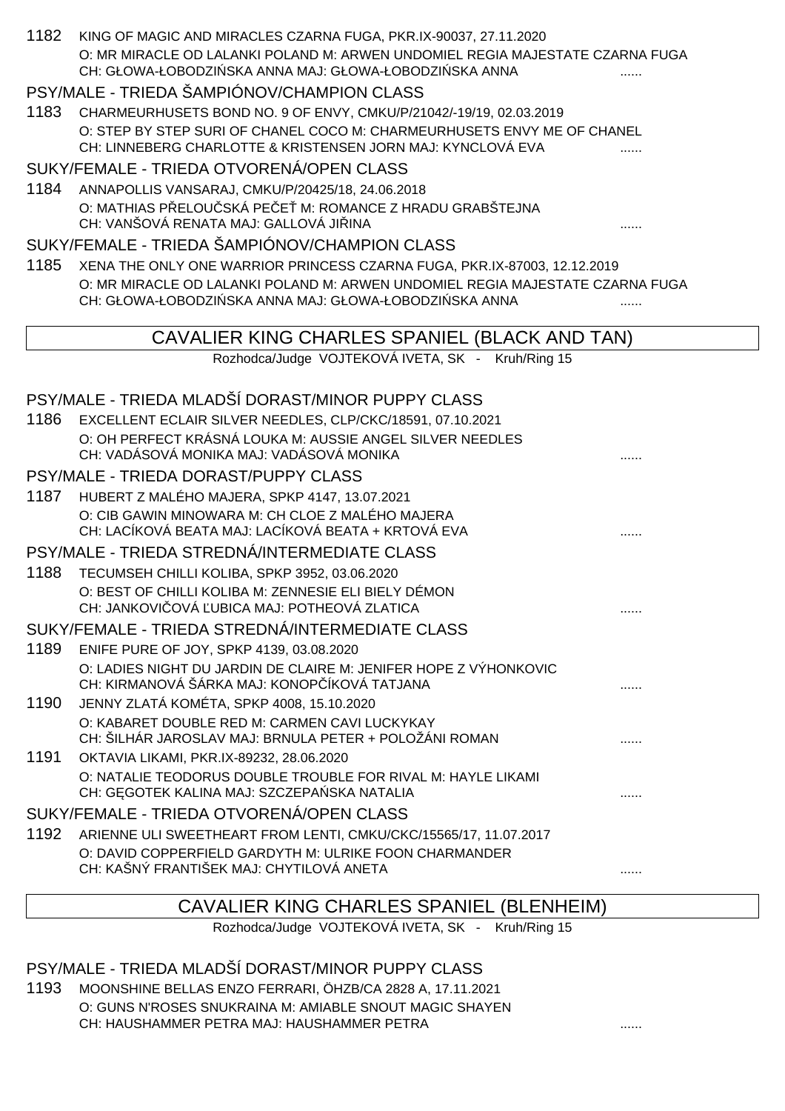|      | 1182 KING OF MAGIC AND MIRACLES CZARNA FUGA, PKR.IX-90037, 27.11.2020<br>O: MR MIRACLE OD LALANKI POLAND M: ARWEN UNDOMIEL REGIA MAJESTATE CZARNA FUGA<br>CH: GŁOWA-ŁOBODZI SKA ANNA MAJ: GŁOWA-ŁOBODZI SKA ANNA |   |
|------|------------------------------------------------------------------------------------------------------------------------------------------------------------------------------------------------------------------|---|
|      | PSY/MALE - TRIEDA ŠAMPIÓNOV/CHAMPION CLASS                                                                                                                                                                       |   |
| 1183 | CHARMEURHUSETS BOND NO. 9 OF ENVY, CMKU/P/21042/-19/19, 02.03.2019                                                                                                                                               |   |
|      | O: STEP BY STEP SURI OF CHANEL COCO M: CHARMEURHUSETS ENVY ME OF CHANEL                                                                                                                                          |   |
|      | CH: LINNEBERG CHARLOTTE & KRISTENSEN JORN MAJ: KYNCLOVÁ EVA                                                                                                                                                      |   |
|      | SUKY/FEMALE - TRIEDA OTVORENÁ/OPEN CLASS                                                                                                                                                                         |   |
| 1184 | ANNAPOLLIS VANSARAJ, CMKU/P/20425/18, 24.06.2018                                                                                                                                                                 |   |
|      | O: MATHIAS P ELOU SKÁ PE E M: ROMANCE Z HRADU GRABŠTEJNA                                                                                                                                                         |   |
|      | CH: VANŠOVÁ RENATA MAJ: GALLOVÁ JI INA                                                                                                                                                                           |   |
|      | SUKY/FEMALE - TRIEDA ŠAMPIÓNOV/CHAMPION CLASS                                                                                                                                                                    |   |
| 1185 | XENA THE ONLY ONE WARRIOR PRINCESS CZARNA FUGA, PKR.IX-87003, 12.12.2019                                                                                                                                         |   |
|      | O: MR MIRACLE OD LALANKI POLAND M: ARWEN UNDOMIEL REGIA MAJESTATE CZARNA FUGA                                                                                                                                    |   |
|      | CH: GŁOWA-ŁOBODZI SKA ANNA MAJ: GŁOWA-ŁOBODZI SKA ANNA                                                                                                                                                           |   |
|      | CAVALIER KING CHARLES SPANIEL (BLACK AND TAN)                                                                                                                                                                    |   |
|      | Rozhodca/Judge VOJTEKOVÁ IVETA, SK - Kruh/Ring 15                                                                                                                                                                |   |
|      | PSY/MALE - TRIEDA MLADŠÍ DORAST/MINOR PUPPY CLASS                                                                                                                                                                |   |
| 1186 | EXCELLENT ECLAIR SILVER NEEDLES, CLP/CKC/18591, 07.10.2021                                                                                                                                                       |   |
|      | O: OH PERFECT KRÁSNÁ LOUKA M: AUSSIE ANGEL SILVER NEEDLES<br>CH: VADÁSOVÁ MONIKA MAJ: VADÁSOVÁ MONIKA                                                                                                            |   |
|      | PSY/MALE - TRIEDA DORAST/PUPPY CLASS                                                                                                                                                                             |   |
|      | 1187 HUBERT Z MALÉHO MAJERA, SPKP 4147, 13.07.2021                                                                                                                                                               |   |
|      | O: CIB GAWIN MINOWARA M: CH CLOE Z MALÉHO MAJERA<br>CH: LACÍKOVÁ BEATA MAJ: LACÍKOVÁ BEATA + KRTOVÁ EVA                                                                                                          |   |
|      | PSY/MALE - TRIEDA STREDNÁ/INTERMEDIATE CLASS                                                                                                                                                                     |   |
| 1188 | TECUMSEH CHILLI KOLIBA, SPKP 3952, 03.06.2020                                                                                                                                                                    |   |
|      | O: BEST OF CHILLI KOLIBA M: ZENNESIE ELI BIELY DÉMON<br>CH: JANKOVI OVÁ UBICA MAJ: POTHEOVÁ ZLATICA                                                                                                              |   |
|      | SUKY/FEMALE - TRIEDA STREDNÁ/INTERMEDIATE CLASS                                                                                                                                                                  |   |
| 1189 | ENIFE PURE OF JOY, SPKP 4139, 03.08.2020                                                                                                                                                                         |   |
|      | O: LADIES NIGHT DU JARDIN DE CLAIRE M: JENIFER HOPE Z VÝHONKOVIC<br>CH: KIRMANOVÁ ŠÁRKA MAJ: KONOP ÍKOVÁ TATJANA                                                                                                 |   |
| 1190 | JENNY ZLATÁ KOMÉTA, SPKP 4008, 15.10.2020                                                                                                                                                                        |   |
|      | O: KABARET DOUBLE RED M: CARMEN CAVI LUCKYKAY<br>CH: ŠILHÁR JAROSLAV MAJ: BRNULA PETER + POLOŽÁNI ROMAN                                                                                                          |   |
| 1191 | OKTAVIA LIKAMI, PKR.IX-89232, 28.06.2020                                                                                                                                                                         |   |
|      | O: NATALIE TEODORUS DOUBLE TROUBLE FOR RIVAL M: HAYLE LIKAMI                                                                                                                                                     |   |
|      | CH: G GOTEK KALINA MAJ: SZCZEPA SKA NATALIA                                                                                                                                                                      |   |
|      | SUKY/FEMALE - TRIEDA OTVORENÁ/OPEN CLASS                                                                                                                                                                         |   |
| 1192 | ARIENNE ULI SWEETHEART FROM LENTI, CMKU/CKC/15565/17, 11.07.2017                                                                                                                                                 |   |
|      | O: DAVID COPPERFIELD GARDYTH M: ULRIKE FOON CHARMANDER<br>CH: KAŠNÝ FRANTIŠEK MAJ: CHYTILOVÁ ANETA                                                                                                               |   |
|      |                                                                                                                                                                                                                  | . |
|      | CAVALIER KING CHARLES SPANIEL (BLENHEIM)                                                                                                                                                                         |   |
|      | Rozhodca/Judge VOJTEKOVÁ IVETA, SK - Kruh/Ring 15                                                                                                                                                                |   |

# PSY/MALE - TRIEDA MLADŠÍ DORAST/MINOR PUPPY CLASS

1193 MOONSHINE BELLAS ENZO FERRARI, ÖHZB/CA 2828 A, 17.11.2021 O: GUNS N'ROSES SNUKRAINA M: AMIABLE SNOUT MAGIC SHAYEN CH: HAUSHAMMER PETRA MAJ: HAUSHAMMER PETRA ......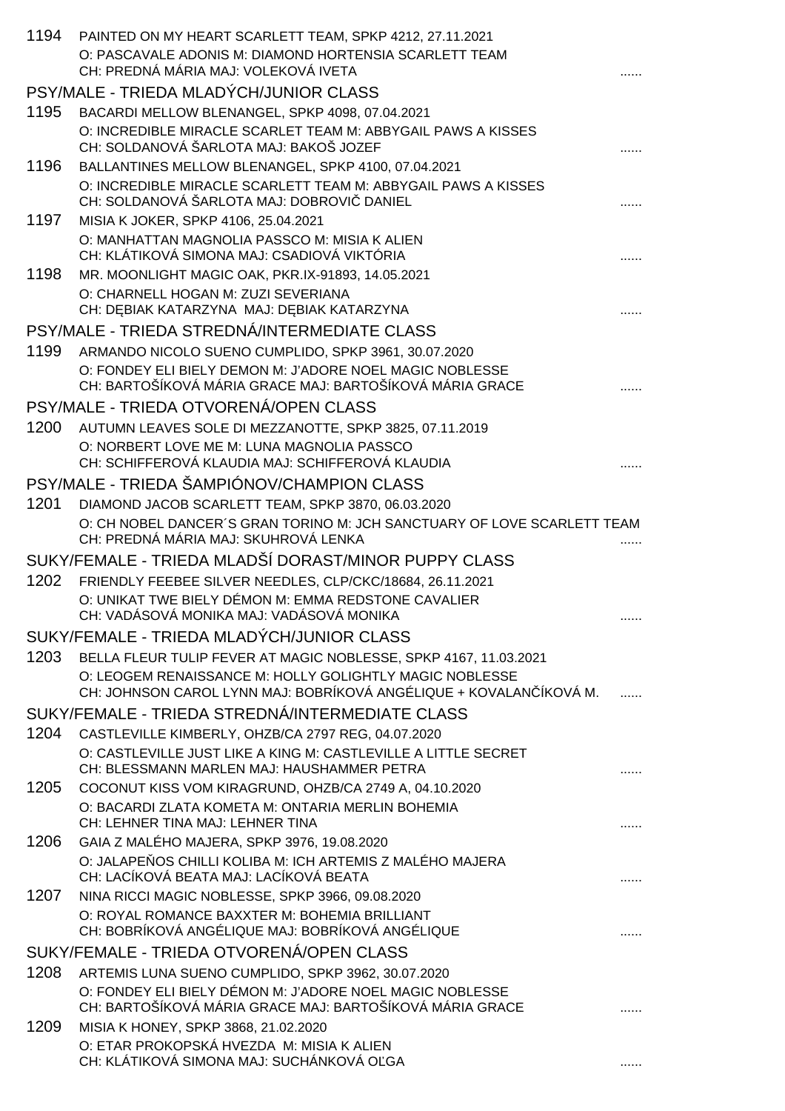| 1194 | PAINTED ON MY HEART SCARLETT TEAM, SPKP 4212, 27.11.2021                                                             |  |
|------|----------------------------------------------------------------------------------------------------------------------|--|
|      | O: PASCAVALE ADONIS M: DIAMOND HORTENSIA SCARLETT TEAM<br>CH: PREDNÁ MÁRIA MAJ: VOLEKOVÁ IVETA                       |  |
|      | PSY/MALE - TRIEDA MLADÝCH/JUNIOR CLASS                                                                               |  |
| 1195 | BACARDI MELLOW BLENANGEL, SPKP 4098, 07.04.2021                                                                      |  |
|      | O: INCREDIBLE MIRACLE SCARLET TEAM M: ABBYGAIL PAWS A KISSES<br>CH: SOLDANOVÁ ŠARLOTA MAJ: BAKOŠ JOZEF               |  |
| 1196 | BALLANTINES MELLOW BLENANGEL, SPKP 4100, 07.04.2021                                                                  |  |
|      | O: INCREDIBLE MIRACLE SCARLETT TEAM M: ABBYGAIL PAWS A KISSES                                                        |  |
|      | CH: SOLDANOVÁ ŠARLOTA MAJ: DOBROVI DANIEL                                                                            |  |
| 1197 | MISIA K JOKER, SPKP 4106, 25.04.2021                                                                                 |  |
|      | O: MANHATTAN MAGNOLIA PASSCO M: MISIA K ALIEN<br>CH: KLÁTIKOVÁ SIMONA MAJ: CSADIOVÁ VIKTÓRIA                         |  |
| 1198 | MR. MOONLIGHT MAGIC OAK, PKR.IX-91893, 14.05.2021                                                                    |  |
|      | O: CHARNELL HOGAN M: ZUZI SEVERIANA                                                                                  |  |
|      | CH: D BIAK KATARZYNA MAJ: D BIAK KATARZYNA                                                                           |  |
|      | PSY/MALE - TRIEDA STREDNÁ/INTERMEDIATE CLASS                                                                         |  |
| 1199 | ARMANDO NICOLO SUENO CUMPLIDO, SPKP 3961, 30.07.2020                                                                 |  |
|      | O: FONDEY ELI BIELY DEMON M: J'ADORE NOEL MAGIC NOBLESSE<br>CH: BARTOŠÍKOVÁ MÁRIA GRACE MAJ: BARTOŠÍKOVÁ MÁRIA GRACE |  |
|      | PSY/MALE - TRIEDA OTVORENÁ/OPEN CLASS                                                                                |  |
| 1200 | AUTUMN LEAVES SOLE DI MEZZANOTTE, SPKP 3825, 07.11.2019                                                              |  |
|      | O: NORBERT LOVE ME M: LUNA MAGNOLIA PASSCO                                                                           |  |
|      | CH: SCHIFFEROVÁ KLAUDIA MAJ: SCHIFFEROVÁ KLAUDIA                                                                     |  |
|      | PSY/MALE - TRIEDA ŠAMPIÓNOV/CHAMPION CLASS                                                                           |  |
| 1201 | DIAMOND JACOB SCARLETT TEAM, SPKP 3870, 06.03.2020                                                                   |  |
|      | O: CH NOBEL DANCER'S GRAN TORINO M: JCH SANCTUARY OF LOVE SCARLETT TEAM<br>CH: PREDNÁ MÁRIA MAJ: SKUHROVÁ LENKA      |  |
|      | SUKY/FEMALE - TRIEDA MLADŠÍ DORAST/MINOR PUPPY CLASS                                                                 |  |
| 1202 | FRIENDLY FEEBEE SILVER NEEDLES, CLP/CKC/18684, 26.11.2021                                                            |  |
|      | O: UNIKAT TWE BIELY DÉMON M: EMMA REDSTONE CAVALIER<br>CH: VADÁSOVÁ MONIKA MAJ: VADÁSOVÁ MONIKA                      |  |
|      | SUKY/FEMALE - TRIEDA MLADÝCH/JUNIOR CLASS                                                                            |  |
| 1203 | BELLA FLEUR TULIP FEVER AT MAGIC NOBLESSE, SPKP 4167, 11.03.2021                                                     |  |
|      | O: LEOGEM RENAISSANCE M: HOLLY GOLIGHTLY MAGIC NOBLESSE                                                              |  |
|      | CH: JOHNSON CAROL LYNN MAJ: BOBRÍKOVÁ ANGÉLIQUE + KOVALAN ÍKOVÁ M.                                                   |  |
| 1204 | SUKY/FEMALE - TRIEDA STREDNÁ/INTERMEDIATE CLASS                                                                      |  |
|      | CASTLEVILLE KIMBERLY, OHZB/CA 2797 REG, 04.07.2020<br>O: CASTLEVILLE JUST LIKE A KING M: CASTLEVILLE A LITTLE SECRET |  |
|      | CH: BLESSMANN MARLEN MAJ: HAUSHAMMER PETRA                                                                           |  |
| 1205 | COCONUT KISS VOM KIRAGRUND, OHZB/CA 2749 A, 04.10.2020                                                               |  |
|      | O: BACARDI ZLATA KOMETA M: ONTARIA MERLIN BOHEMIA<br>CH: LEHNER TINA MAJ: LEHNER TINA                                |  |
| 1206 | GAIA Z MALÉHO MAJERA, SPKP 3976, 19.08.2020                                                                          |  |
|      | O: JALAPE OS CHILLI KOLIBA M: ICH ARTEMIS Z MALÉHO MAJERA<br>CH: LACÍKOVÁ BEATA MAJ: LACÍKOVÁ BEATA                  |  |
| 1207 | NINA RICCI MAGIC NOBLESSE, SPKP 3966, 09.08.2020                                                                     |  |
|      | O: ROYAL ROMANCE BAXXTER M: BOHEMIA BRILLIANT                                                                        |  |
|      | CH: BOBRÍKOVÁ ANGÉLIQUE MAJ: BOBRÍKOVÁ ANGÉLIQUE                                                                     |  |
|      | SUKY/FEMALE - TRIEDA OTVORENÁ/OPEN CLASS                                                                             |  |
| 1208 | ARTEMIS LUNA SUENO CUMPLIDO, SPKP 3962, 30.07.2020                                                                   |  |
|      | O: FONDEY ELI BIELY DÉMON M: J'ADORE NOEL MAGIC NOBLESSE<br>CH: BARTOŠÍKOVÁ MÁRIA GRACE MAJ: BARTOŠÍKOVÁ MÁRIA GRACE |  |
| 1209 | MISIA K HONEY, SPKP 3868, 21.02.2020                                                                                 |  |
|      | O: ETAR PROKOPSKÁ HVEZDA M: MISIA K ALIEN                                                                            |  |
|      | CH: KLÁTIKOVÁ SIMONA MAJ: SUCHÁNKOVÁ O GA                                                                            |  |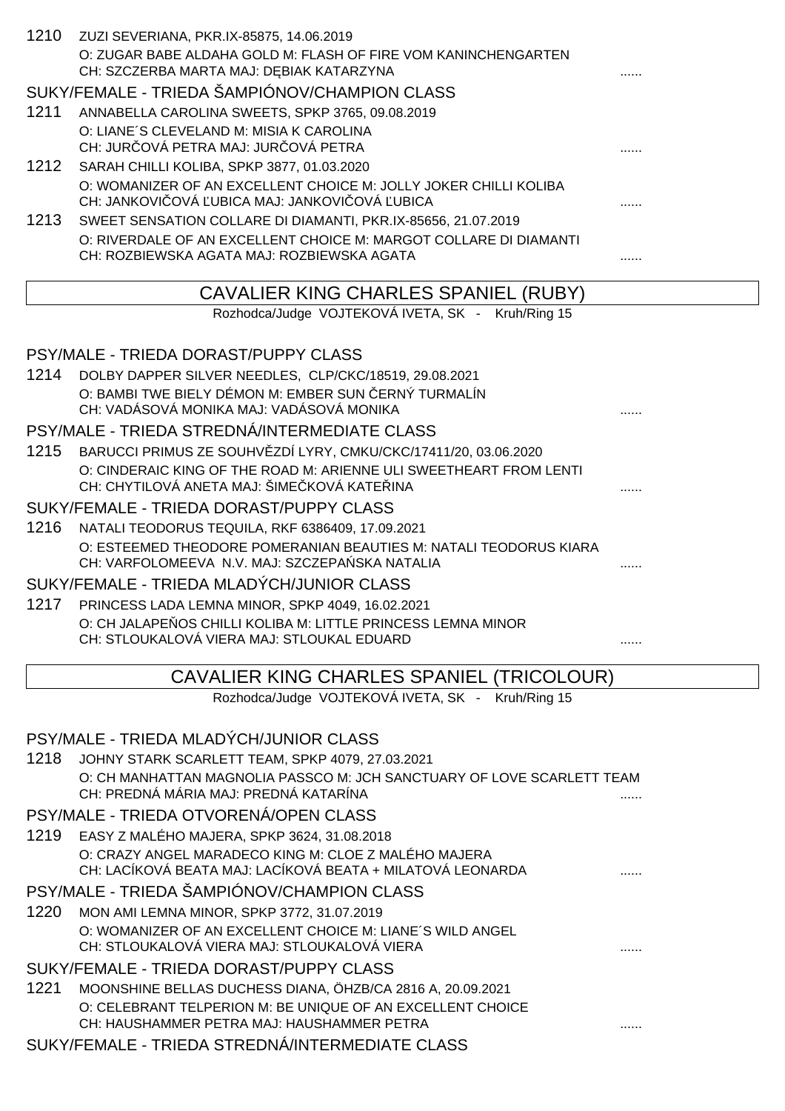|      | 1210 ZUZI SEVERIANA, PKR.IX-85875, 14.06.2019                                                                                                                       |   |
|------|---------------------------------------------------------------------------------------------------------------------------------------------------------------------|---|
|      | O: ZUGAR BABE ALDAHA GOLD M: FLASH OF FIRE VOM KANINCHENGARTEN                                                                                                      |   |
|      | CH: SZCZERBA MARTA MAJ: D BIAK KATARZYNA                                                                                                                            |   |
|      | SUKY/FEMALE - TRIEDA ŠAMPIÓNOV/CHAMPION CLASS                                                                                                                       |   |
| 1211 | ANNABELLA CAROLINA SWEETS, SPKP 3765, 09.08.2019                                                                                                                    |   |
|      | O: LIANE'S CLEVELAND M: MISIA K CAROLINA                                                                                                                            |   |
|      | CH: JUR OVÁ PETRA MAJ: JUR OVÁ PETRA                                                                                                                                |   |
|      | 1212 SARAH CHILLI KOLIBA, SPKP 3877, 01.03.2020                                                                                                                     |   |
|      | O: WOMANIZER OF AN EXCELLENT CHOICE M: JOLLY JOKER CHILLI KOLIBA                                                                                                    |   |
|      | CH: JANKOVI OVÁ UBICA MAJ: JANKOVI OVÁ UBICA                                                                                                                        |   |
| 1213 | SWEET SENSATION COLLARE DI DIAMANTI, PKR.IX-85656, 21.07.2019                                                                                                       |   |
|      | O: RIVERDALE OF AN EXCELLENT CHOICE M: MARGOT COLLARE DI DIAMANTI<br>CH: ROZBIEWSKA AGATA MAJ: ROZBIEWSKA AGATA                                                     |   |
|      |                                                                                                                                                                     | . |
|      | CAVALIER KING CHARLES SPANIEL (RUBY)                                                                                                                                |   |
|      | Rozhodca/Judge VOJTEKOVÁ IVETA, SK - Kruh/Ring 15                                                                                                                   |   |
|      |                                                                                                                                                                     |   |
|      | PSY/MALE - TRIEDA DORAST/PUPPY CLASS                                                                                                                                |   |
|      | 1214 DOLBY DAPPER SILVER NEEDLES, CLP/CKC/18519, 29.08.2021                                                                                                         |   |
|      | O: BAMBI TWE BIELY DÉMON M: EMBER SUN ERNÝ TURMALÍN                                                                                                                 |   |
|      | CH: VADÁSOVÁ MONIKA MAJ: VADÁSOVÁ MONIKA                                                                                                                            |   |
|      | PSY/MALE - TRIEDA STREDNÁ/INTERMEDIATE CLASS                                                                                                                        |   |
|      | 1215 BARUCCI PRIMUS ZE SOUHV ZDÍ LYRY, CMKU/CKC/17411/20, 03.06.2020                                                                                                |   |
|      | O: CINDERAIC KING OF THE ROAD M: ARIENNE ULI SWEETHEART FROM LENTI                                                                                                  |   |
|      | CH: CHYTILOVÁ ANETA MAJ: ŠIME KOVÁ KATE INA                                                                                                                         |   |
|      | SUKY/FEMALE - TRIEDA DORAST/PUPPY CLASS                                                                                                                             |   |
| 1216 | NATALI TEODORUS TEQUILA, RKF 6386409, 17.09.2021                                                                                                                    |   |
|      | O: ESTEEMED THEODORE POMERANIAN BEAUTIES M: NATALI TEODORUS KIARA<br>CH: VARFOLOMEEVA N.V. MAJ: SZCZEPA SKA NATALIA                                                 |   |
|      | SUKY/FEMALE - TRIEDA MLADÝCH/JUNIOR CLASS                                                                                                                           |   |
|      | 1217 PRINCESS LADA LEMNA MINOR, SPKP 4049, 16.02.2021                                                                                                               |   |
|      | O: CH JALAPE OS CHILLI KOLIBA M: LITTLE PRINCESS LEMNA MINOR                                                                                                        |   |
|      | CH: STLOUKALOVÁ VIERA MAJ: STLOUKAL EDUARD                                                                                                                          |   |
|      |                                                                                                                                                                     |   |
|      | <b>CAVALIER KING CHARLES SPANIEL (TRICOLOUR)</b>                                                                                                                    |   |
|      | $D_{\text{eff}}$ is the theory of $\mathbf{L} = \mathbf{L} \mathbf{R}$ in $\mathbf{L} = \mathbf{L} \mathbf{R}$ in $\mathbf{L} = \mathbf{L} \mathbf{R}$ is the state |   |

Rozhodca/Judge VOJTEKOVA IVETA, SK - Kruh/Ring 15

#### PSY/MALE - TRIEDA MLADÝCH/JUNIOR CLASS

1218 JOHNY STARK SCARLETT TEAM, SPKP 4079, 27.03.2021 O: CH MANHATTAN MAGNOLIA PASSCO M: JCH SANCTUARY OF LOVE SCARLETT TEAM CH: PREDNÁ MÁRIA MAJ: PREDNÁ KATARÍNA ......

## PSY/MALE - TRIEDA OTVORENÁ/OPEN CLASS

1219 EASY Z MALÉHO MAJERA, SPKP 3624, 31.08.2018 O: CRAZY ANGEL MARADECO KING M: CLOE Z MALÉHO MAJERA CH: LACÍKOVÁ BEATA MAJ: LACÍKOVÁ BEATA + MILATOVÁ LEONARDA ......

#### PSY/MALE - TRIEDA ŠAMPIÓNOV/CHAMPION CLASS

1220 MON AMI LEMNA MINOR, SPKP 3772, 31.07.2019 O: WOMANIZER OF AN EXCELLENT CHOICE M: LIANE´S WILD ANGEL CH: STLOUKALOVÁ VIERA MAJ: STLOUKALOVÁ VIERA  $\ldots$ 

#### SUKY/FEMALE - TRIEDA DORAST/PUPPY CLASS

1221 MOONSHINE BELLAS DUCHESS DIANA, ÖHZB/CA 2816 A, 20.09.2021 O: CELEBRANT TELPERION M: BE UNIQUE OF AN EXCELLENT CHOICE CH: HAUSHAMMER PETRA MAJ: HAUSHAMMER PETRA ......

SUKY/FEMALE - TRIEDA STREDNÁ/INTERMEDIATE CLASS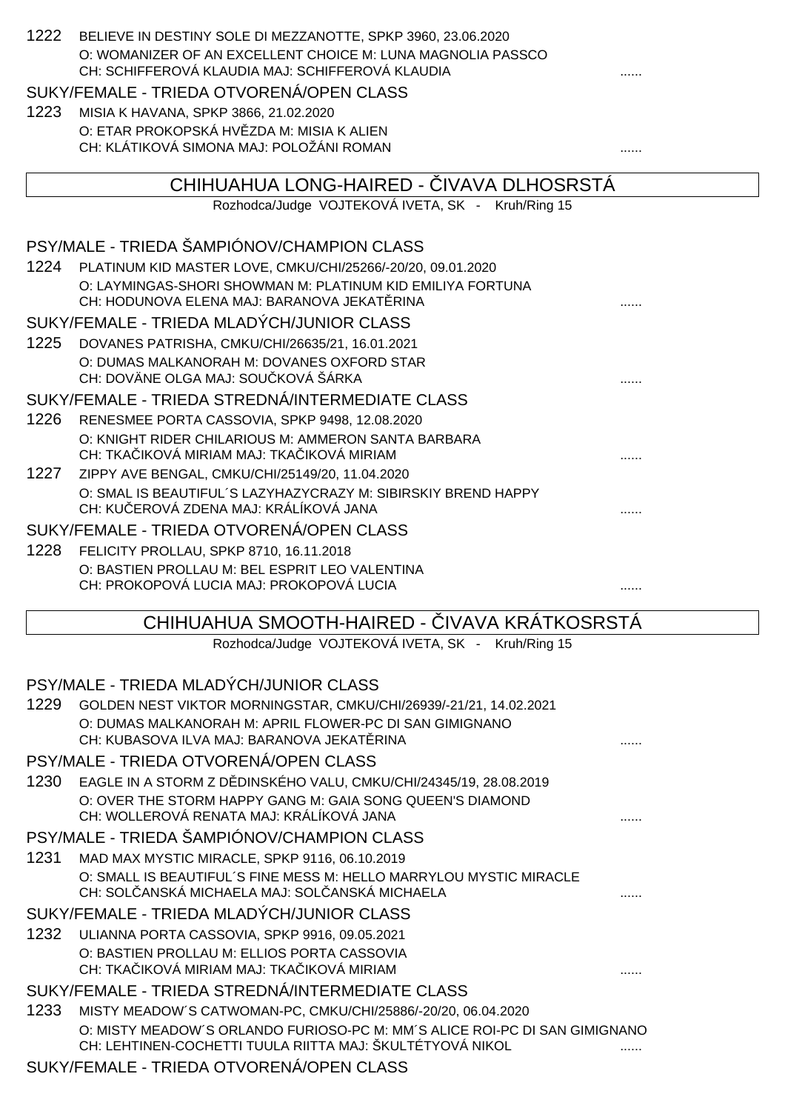| 1222 | BELIEVE IN DESTINY SOLE DI MEZZANOTTE, SPKP 3960, 23.06.2020                                                                            |  |
|------|-----------------------------------------------------------------------------------------------------------------------------------------|--|
|      | O: WOMANIZER OF AN EXCELLENT CHOICE M: LUNA MAGNOLIA PASSCO<br>CH: SCHIFFEROVÁ KLAUDIA MAJ: SCHIFFEROVÁ KLAUDIA                         |  |
|      | SUKY/FEMALE - TRIEDA OTVORENÁ/OPEN CLASS                                                                                                |  |
| 1223 | MISIA K HAVANA, SPKP 3866, 21.02.2020                                                                                                   |  |
|      | O: ETAR PROKOPSKÁ HV ZDA M: MISIA K ALIEN                                                                                               |  |
|      | CH: KLÁTIKOVÁ SIMONA MAJ: POLOŽÁNI ROMAN                                                                                                |  |
|      | CHIHUAHUA LONG-HAIRED - IVAVA DLHOSRSTA                                                                                                 |  |
|      | Rozhodca/Judge VOJTEKOVÁ IVETA, SK - Kruh/Ring 15                                                                                       |  |
|      | PSY/MALE - TRIEDA ŠAMPIÓNOV/CHAMPION CLASS                                                                                              |  |
|      | 1224 PLATINUM KID MASTER LOVE, CMKU/CHI/25266/-20/20, 09.01.2020                                                                        |  |
|      | O: LAYMINGAS-SHORI SHOWMAN M: PLATINUM KID EMILIYA FORTUNA<br>CH: HODUNOVA ELENA MAJ: BARANOVA JEKAT RINA                               |  |
|      | SUKY/FEMALE - TRIEDA MLADÝCH/JUNIOR CLASS                                                                                               |  |
| 1225 | DOVANES PATRISHA, CMKU/CHI/26635/21, 16.01.2021                                                                                         |  |
|      | O: DUMAS MALKANORAH M: DOVANES OXFORD STAR                                                                                              |  |
|      | CH: DOVÄNE OLGA MAJ: SOU KOVÁ ŠÁRKA                                                                                                     |  |
|      | SUKY/FEMALE - TRIEDA STREDNÁ/INTERMEDIATE CLASS                                                                                         |  |
| 1226 | RENESMEE PORTA CASSOVIA, SPKP 9498, 12.08.2020                                                                                          |  |
|      | O: KNIGHT RIDER CHILARIOUS M: AMMERON SANTA BARBARA<br>CH: TKA IKOVÁ MIRIAM MAJ: TKA IKOVÁ MIRIAM                                       |  |
| 1227 | ZIPPY AVE BENGAL, CMKU/CHI/25149/20, 11.04.2020                                                                                         |  |
|      | O: SMAL IS BEAUTIFUL'S LAZYHAZYCRAZY M: SIBIRSKIY BREND HAPPY<br>CH: KU EROVÁ ZDENA MAJ: KRÁLÍKOVÁ JANA                                 |  |
|      | SUKY/FEMALE - TRIEDA OTVORENÁ/OPEN CLASS                                                                                                |  |
|      |                                                                                                                                         |  |
| 1228 | FELICITY PROLLAU, SPKP 8710, 16.11.2018                                                                                                 |  |
|      | O: BASTIEN PROLLAU M: BEL ESPRIT LEO VALENTINA<br>CH: PROKOPOVÁ LUCIA MAJ: PROKOPOVÁ LUCIA                                              |  |
|      |                                                                                                                                         |  |
|      | CHIHUAHUA SMOOTH-HAIRED - IVAVA KRÁTKOSRSTÁ                                                                                             |  |
|      | Rozhodca/Judge VOJTEKOVÁ IVETA, SK - Kruh/Ring 15                                                                                       |  |
|      | PSY/MALE - TRIEDA MLADÝCH/JUNIOR CLASS                                                                                                  |  |
| 1229 | GOLDEN NEST VIKTOR MORNINGSTAR, CMKU/CHI/26939/-21/21, 14.02.2021                                                                       |  |
|      | O: DUMAS MALKANORAH M: APRIL FLOWER-PC DI SAN GIMIGNANO                                                                                 |  |
|      | CH: KUBASOVA ILVA MAJ: BARANOVA JEKAT RINA                                                                                              |  |
|      | PSY/MALE - TRIEDA OTVORENÁ/OPEN CLASS                                                                                                   |  |
| 1230 | EAGLE IN A STORM Z D DINSKÉHO VALU, CMKU/CHI/24345/19, 28.08.2019                                                                       |  |
|      | O: OVER THE STORM HAPPY GANG M: GAIA SONG QUEEN'S DIAMOND<br>CH: WOLLEROVÁ RENATA MAJ: KRÁLÍKOVÁ JANA                                   |  |
|      | PSY/MALE - TRIEDA ŠAMPIÓNOV/CHAMPION CLASS                                                                                              |  |
| 1231 | MAD MAX MYSTIC MIRACLE, SPKP 9116, 06.10.2019                                                                                           |  |
|      | O: SMALL IS BEAUTIFUL'S FINE MESS M: HELLO MARRYLOU MYSTIC MIRACLE<br>CH: SOL ANSKÁ MICHAELA MAJ: SOL ANSKÁ MICHAELA                    |  |
|      | SUKY/FEMALE - TRIEDA MLADÝCH/JUNIOR CLASS                                                                                               |  |
| 1232 | ULIANNA PORTA CASSOVIA, SPKP 9916, 09.05.2021                                                                                           |  |
|      | O: BASTIEN PROLLAU M: ELLIOS PORTA CASSOVIA                                                                                             |  |
|      | CH: TKA IKOVÁ MIRIAM MAJ: TKA IKOVÁ MIRIAM                                                                                              |  |
|      | SUKY/FEMALE - TRIEDA STREDNÁ/INTERMEDIATE CLASS                                                                                         |  |
| 1233 | MISTY MEADOW'S CATWOMAN-PC, CMKU/CHI/25886/-20/20, 06.04.2020                                                                           |  |
|      | O: MISTY MEADOW'S ORLANDO FURIOSO-PC M: MM'S ALICE ROI-PC DI SAN GIMIGNANO<br>CH: LEHTINEN-COCHETTI TUULA RIITTA MAJ: ŠKULTÉTYOVÁ NIKOL |  |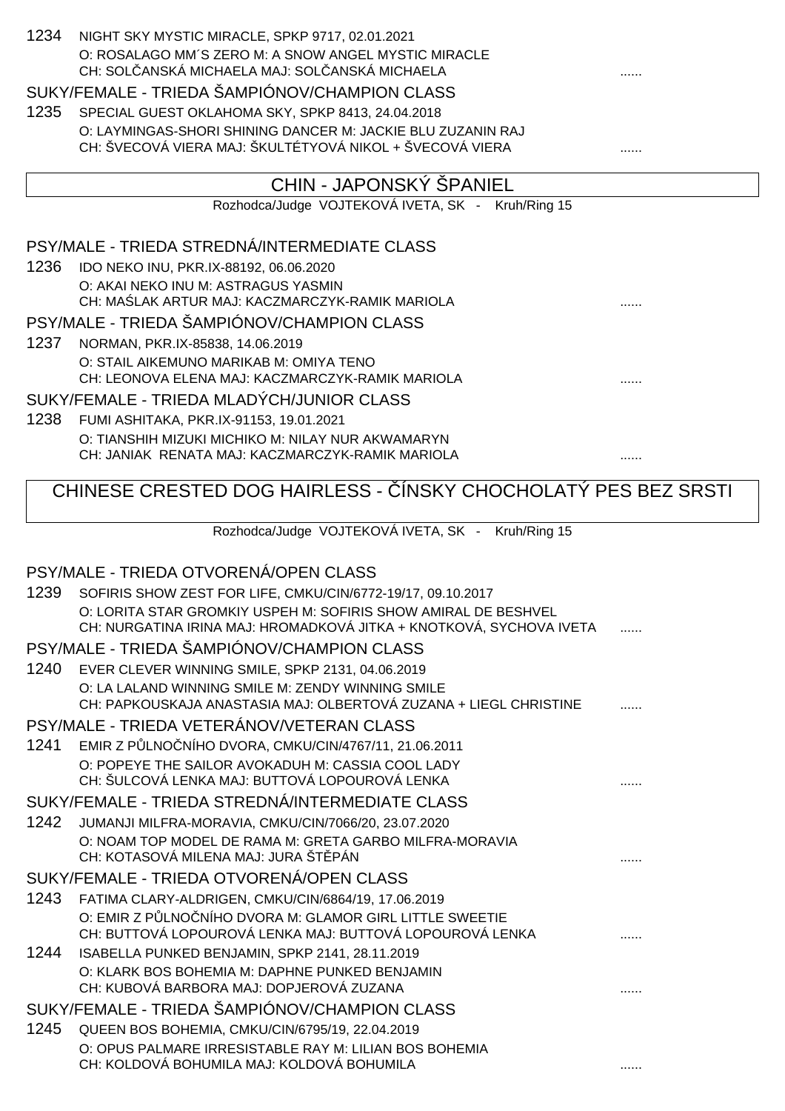| 1234 | NIGHT SKY MYSTIC MIRACLE, SPKP 9717, 02.01.2021<br>O: ROSALAGO MM'S ZERO M: A SNOW ANGEL MYSTIC MIRACLE<br>CH: SOL ANSKÁ MICHAELA MAJ: SOL ANSKÁ MICHAELA |   |
|------|-----------------------------------------------------------------------------------------------------------------------------------------------------------|---|
|      | SUKY/FEMALE - TRIEDA ŠAMPIÓNOV/CHAMPION CLASS                                                                                                             |   |
| 1235 | SPECIAL GUEST OKLAHOMA SKY, SPKP 8413, 24.04.2018                                                                                                         |   |
|      | O: LAYMINGAS-SHORI SHINING DANCER M: JACKIE BLU ZUZANIN RAJ                                                                                               |   |
|      | CH: ŠVECOVÁ VIERA MAJ: ŠKULTÉTYOVÁ NIKOL + ŠVECOVÁ VIERA                                                                                                  |   |
|      |                                                                                                                                                           |   |
|      | CHIN - JAPONSKÝ ŠPANIEL                                                                                                                                   |   |
|      | Rozhodca/Judge VOJTEKOVÁ IVETA, SK - Kruh/Ring 15                                                                                                         |   |
|      | PSY/MALE - TRIEDA STREDNÁ/INTERMEDIATE CLASS                                                                                                              |   |
| 1236 | IDO NEKO INU, PKR.IX-88192, 06.06.2020                                                                                                                    |   |
|      | O: AKAI NEKO INU M: ASTRAGUS YASMIN                                                                                                                       |   |
|      | CH: MA LAK ARTUR MAJ: KACZMARCZYK-RAMIK MARIOLA                                                                                                           |   |
|      | PSY/MALE - TRIEDA ŠAMPIÓNOV/CHAMPION CLASS                                                                                                                |   |
| 1237 | NORMAN, PKR.IX-85838, 14.06.2019                                                                                                                          |   |
|      | O: STAIL AIKEMUNO MARIKAB M: OMIYA TENO<br>CH: LEONOVA ELENA MAJ: KACZMARCZYK-RAMIK MARIOLA                                                               |   |
|      | SUKY/FEMALE - TRIEDA MLADÝCH/JUNIOR CLASS                                                                                                                 |   |
| 1238 | FUMI ASHITAKA, PKR.IX-91153, 19.01.2021                                                                                                                   |   |
|      | O: TIANSHIH MIZUKI MICHIKO M: NILAY NUR AKWAMARYN                                                                                                         |   |
|      | CH: JANIAK RENATA MAJ: KACZMARCZYK-RAMIK MARIOLA                                                                                                          | . |
|      | CHINESE CRESTED DOG HAIRLESS - ÍNSKY CHOCHOLATÝ PES BEZ SRSTI                                                                                             |   |
|      | Rozhodca/Judge VOJTEKOVÁ IVETA, SK - Kruh/Ring 15                                                                                                         |   |
|      |                                                                                                                                                           |   |
|      |                                                                                                                                                           |   |
|      | PSY/MALE - TRIEDA OTVORENÁ/OPEN CLASS                                                                                                                     |   |
| 1239 | SOFIRIS SHOW ZEST FOR LIFE, CMKU/CIN/6772-19/17, 09.10.2017                                                                                               |   |
|      | O: LORITA STAR GROMKIY USPEH M: SOFIRIS SHOW AMIRAL DE BESHVEL<br>CH: NURGATINA IRINA MAJ: HROMADKOVÁ JITKA + KNOTKOVÁ, SYCHOVA IVETA                     |   |
|      | PSY/MALE - TRIEDA ŠAMPIÓNOV/CHAMPION CLASS                                                                                                                |   |
| 1240 | EVER CLEVER WINNING SMILE, SPKP 2131, 04.06.2019                                                                                                          |   |
|      | O: LA LALAND WINNING SMILE M: ZENDY WINNING SMILE                                                                                                         |   |
|      | CH: PAPKOUSKAJA ANASTASIA MAJ: OLBERTOVÁ ZUZANA + LIEGL CHRISTINE                                                                                         |   |
|      | PSY/MALE - TRIEDA VETERÁNOV/VETERAN CLASS                                                                                                                 |   |
| 1241 | EMIR Z P LNO NÍHO DVORA, CMKU/CIN/4767/11, 21.06.2011                                                                                                     |   |
|      | O: POPEYE THE SAILOR AVOKADUH M: CASSIA COOL LADY                                                                                                         |   |
|      | CH: ŠULCOVÁ LENKA MAJ: BUTTOVÁ LOPOUROVÁ LENKA                                                                                                            |   |
|      | SUKY/FEMALE - TRIEDA STREDNÁ/INTERMEDIATE CLASS                                                                                                           |   |
| 1242 | JUMANJI MILFRA-MORAVIA, CMKU/CIN/7066/20, 23.07.2020                                                                                                      |   |
|      | O: NOAM TOP MODEL DE RAMA M: GRETA GARBO MILFRA-MORAVIA<br>CH: KOTASOVÁ MILENA MAJ: JURA ŠT PÁN                                                           |   |
|      | SUKY/FEMALE - TRIEDA OTVORENÁ/OPEN CLASS                                                                                                                  |   |
| 1243 | FATIMA CLARY-ALDRIGEN, CMKU/CIN/6864/19, 17.06.2019                                                                                                       |   |
|      | O: EMIR Z P LNO NÍHO DVORA M: GLAMOR GIRL LITTLE SWEETIE                                                                                                  |   |
|      | CH: BUTTOVÁ LOPOUROVÁ LENKA MAJ: BUTTOVÁ LOPOUROVÁ LENKA                                                                                                  |   |
| 1244 | ISABELLA PUNKED BENJAMIN, SPKP 2141, 28.11.2019                                                                                                           |   |
|      | O: KLARK BOS BOHEMIA M: DAPHNE PUNKED BENJAMIN<br>CH: KUBOVÁ BARBORA MAJ: DOPJEROVÁ ZUZANA                                                                |   |
|      | SUKY/FEMALE - TRIEDA ŠAMPIÓNOV/CHAMPION CLASS                                                                                                             |   |
| 1245 | QUEEN BOS BOHEMIA, CMKU/CIN/6795/19, 22.04.2019                                                                                                           |   |
|      | O: OPUS PALMARE IRRESISTABLE RAY M: LILIAN BOS BOHEMIA<br>CH: KOLDOVÁ BOHUMILA MAJ: KOLDOVÁ BOHUMILA                                                      |   |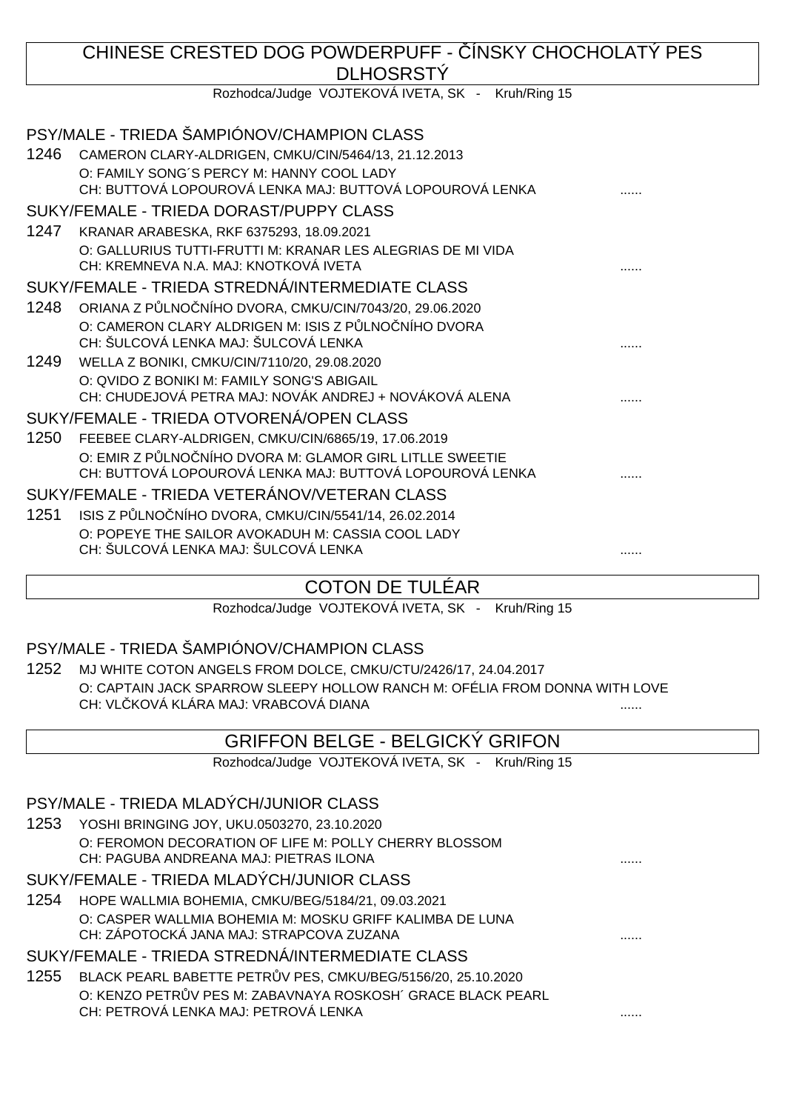# CHINESE CRESTED DOG POWDERPUFF - ÍNSKY CHOCHOLATÝ PES DLHOSRSTÝ

Rozhodca/Judge VOJTEKOVÁ IVETA, SK - Kruh/Ring 15

|      | PSY/MALE - TRIEDA ŠAMPIÓNOV/CHAMPION CLASS                                                            |  |
|------|-------------------------------------------------------------------------------------------------------|--|
| 1246 | CAMERON CLARY-ALDRIGEN, CMKU/CIN/5464/13, 21.12.2013                                                  |  |
|      | O: FAMILY SONG'S PERCY M: HANNY COOL LADY<br>CH: BUTTOVÁ LOPOUROVÁ LENKA MAJ: BUTTOVÁ LOPOUROVÁ LENKA |  |
|      | SUKY/FEMALE - TRIEDA DORAST/PUPPY CLASS                                                               |  |
| 1247 | KRANAR ARABESKA, RKF 6375293, 18.09.2021                                                              |  |
|      | O: GALLURIUS TUTTI-FRUTTI M: KRANAR LES ALEGRIAS DE MI VIDA<br>CH: KREMNEVA N.A. MAJ: KNOTKOVÁ IVETA  |  |
|      | SUKY/FEMALE - TRIEDA STREDNÁ/INTERMEDIATE CLASS                                                       |  |
| 1248 | ORIANA Z P LNO NÍHO DVORA, CMKU/CIN/7043/20, 29.06.2020                                               |  |
|      | O: CAMERON CLARY ALDRIGEN M: ISIS Z P LNO NÍHO DVORA                                                  |  |
|      | CH: ŠULCOVÁ LENKA MAJ: ŠULCOVÁ LENKA                                                                  |  |
| 1249 | WELLA Z BONIKI, CMKU/CIN/7110/20, 29.08.2020                                                          |  |
|      | O: QVIDO Z BONIKI M: FAMILY SONG'S ABIGAIL                                                            |  |
|      | CH: CHUDEJOVÁ PETRA MAJ: NOVÁK ANDREJ + NOVÁKOVÁ ALENA                                                |  |
|      | SUKY/FEMALE - TRIEDA OTVORENÁ/OPEN CLASS                                                              |  |
| 1250 | FEEBEE CLARY-ALDRIGEN, CMKU/CIN/6865/19, 17.06.2019                                                   |  |
|      | O: EMIR Z P LNO NÍHO DVORA M: GLAMOR GIRL LITLLE SWEETIE                                              |  |
|      | CH: BUTTOVÁ LOPOUROVÁ LENKA MAJ: BUTTOVÁ LOPOUROVÁ LENKA                                              |  |
|      | SUKY/FEMALE - TRIEDA VETERÁNOV/VETERAN CLASS                                                          |  |
| 1251 | ISIS Z P LNO NÍHO DVORA, CMKU/CIN/5541/14, 26.02.2014                                                 |  |
|      | O: POPEYE THE SAILOR AVOKADUH M: CASSIA COOL LADY                                                     |  |
|      | CH: ŠULCOVÁ LENKA MAJ: ŠULCOVÁ LENKA                                                                  |  |
|      |                                                                                                       |  |

# COTON DE TULÉAR

Rozhodca/Judge VOJTEKOVÁ IVETA, SK - Kruh/Ring 15

# PSY/MALE - TRIEDA ŠAMPIÓNOV/CHAMPION CLASS

1252 MJ WHITE COTON ANGELS FROM DOLCE, CMKU/CTU/2426/17, 24.04.2017 O: CAPTAIN JACK SPARROW SLEEPY HOLLOW RANCH M: OFÉLIA FROM DONNA WITH LOVE CH: VLČKOVÁ KLÁRA MAJ: VRABCOVÁ DIANA

# GRIFFON BELGE - BELGICKÝ GRIFON

Rozhodca/Judge VOJTEKOVÁ IVETA, SK - Kruh/Ring 15

# PSY/MALE - TRIEDA MLADÝCH/JUNIOR CLASS

1253 YOSHI BRINGING JOY, UKU.0503270, 23.10.2020 O: FEROMON DECORATION OF LIFE M: POLLY CHERRY BLOSSOM CH: PAGUBA ANDREANA MAJ: PIETRAS ILONA ......

# SUKY/FEMALE - TRIEDA MLADÝCH/JUNIOR CLASS

1254 HOPE WALLMIA BOHEMIA, CMKU/BEG/5184/21, 09.03.2021 O: CASPER WALLMIA BOHEMIA M: MOSKU GRIFF KALIMBA DE LUNA CH: ZÁPOTOCKÁ JANA MAJ: STRAPCOVA ZUZANA ......

# SUKY/FEMALE - TRIEDA STREDNÁ/INTERMEDIATE CLASS

1255 BLACK PEARL BABETTE PETR V PES, CMKU/BEG/5156/20, 25.10.2020 O: KENZO PETR V PES M: ZABAVNAYA ROSKOSH´ GRACE BLACK PEARL CH: PETROVÁ LENKA MAJ: PETROVÁ LENKA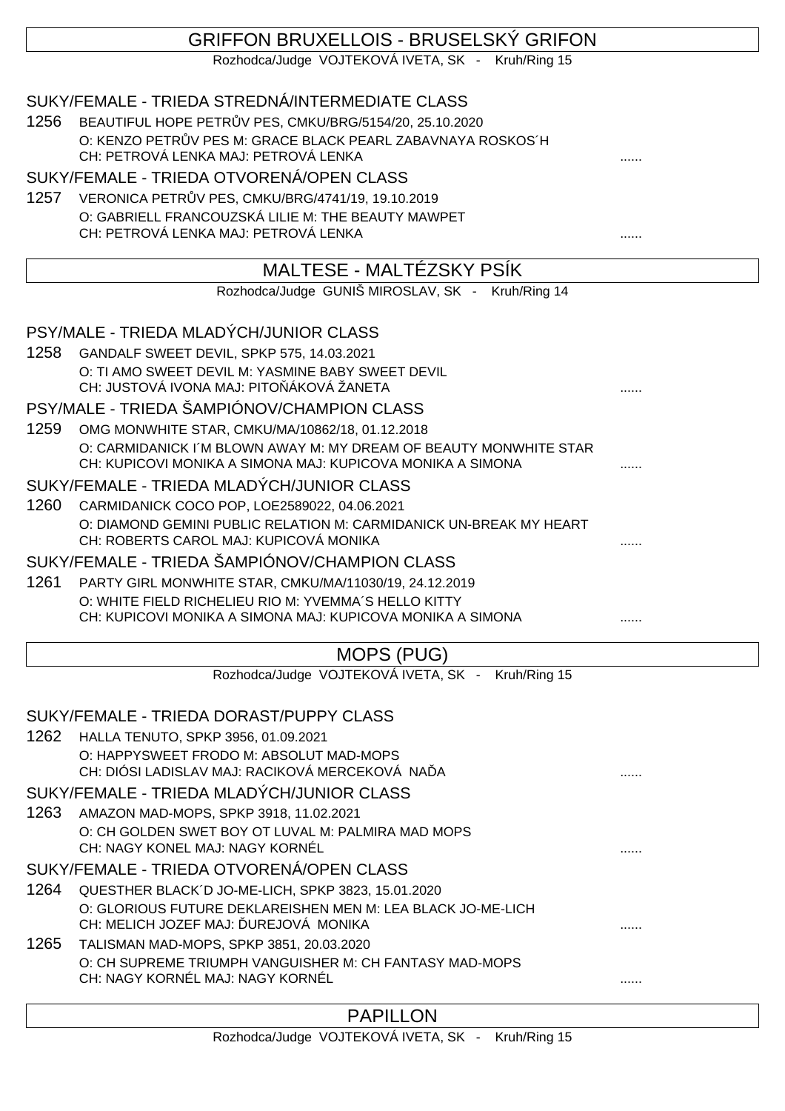# GRIFFON BRUXELLOIS - BRUSELSKÝ GRIFON

Rozhodca/Judge VOJTEKOVÁ IVETA, SK - Kruh/Ring 15

|      | SUKY/FEMALE - TRIEDA STREDNÁ/INTERMEDIATE CLASS                                                                      |   |
|------|----------------------------------------------------------------------------------------------------------------------|---|
| 1256 | BEAUTIFUL HOPE PETR V PES, CMKU/BRG/5154/20, 25.10.2020                                                              |   |
|      | O: KENZO PETR V PES M: GRACE BLACK PEARL ZABAVNAYA ROSKOS 'H<br>CH: PETROVÁ LENKA MAJ: PETROVÁ LENKA                 |   |
|      | SUKY/FEMALE - TRIEDA OTVORENÁ/OPEN CLASS                                                                             |   |
| 1257 | VERONICA PETR V PES, CMKU/BRG/4741/19, 19.10.2019                                                                    |   |
|      | O: GABRIELL FRANCOUZSKÁ LILIE M: THE BEAUTY MAWPET                                                                   |   |
|      | CH: PETROVÁ LENKA MAJ: PETROVÁ LENKA                                                                                 |   |
|      | MALTESE - MALTÉZSKY PSÍK                                                                                             |   |
|      | Rozhodca/Judge GUNIŠ MIROSLAV, SK - Kruh/Ring 14                                                                     |   |
|      |                                                                                                                      |   |
|      | PSY/MALE - TRIEDA MLADÝCH/JUNIOR CLASS                                                                               |   |
| 1258 | GANDALF SWEET DEVIL, SPKP 575, 14.03.2021                                                                            |   |
|      | O: TI AMO SWEET DEVIL M: YASMINE BABY SWEET DEVIL                                                                    |   |
|      | CH: JUSTOVÁ IVONA MAJ: PITO ÁKOVÁ ŽANETA                                                                             |   |
|      | PSY/MALE - TRIEDA ŠAMPIÓNOV/CHAMPION CLASS                                                                           |   |
| 1259 | OMG MONWHITE STAR, CMKU/MA/10862/18, 01.12.2018<br>O: CARMIDANICK I'M BLOWN AWAY M: MY DREAM OF BEAUTY MONWHITE STAR |   |
|      | CH: KUPICOVI MONIKA A SIMONA MAJ: KUPICOVA MONIKA A SIMONA                                                           |   |
|      | SUKY/FEMALE - TRIEDA MLADÝCH/JUNIOR CLASS                                                                            |   |
| 1260 | CARMIDANICK COCO POP, LOE2589022, 04.06.2021                                                                         |   |
|      | O: DIAMOND GEMINI PUBLIC RELATION M: CARMIDANICK UN-BREAK MY HEART                                                   |   |
|      | CH: ROBERTS CAROL MAJ: KUPICOVÁ MONIKA                                                                               |   |
|      | SUKY/FEMALE - TRIEDA ŠAMPIÓNOV/CHAMPION CLASS                                                                        |   |
| 1261 | PARTY GIRL MONWHITE STAR, CMKU/MA/11030/19, 24.12.2019<br>O: WHITE FIELD RICHELIEU RIO M: YVEMMA'S HELLO KITTY       |   |
|      | CH: KUPICOVI MONIKA A SIMONA MAJ: KUPICOVA MONIKA A SIMONA                                                           |   |
|      |                                                                                                                      |   |
|      | MOPS (PUG)                                                                                                           |   |
|      | Rozhodca/Judge VOJTEKOVÁ IVETA, SK - Kruh/Ring 15                                                                    |   |
|      | SUKY/FEMALE - TRIEDA DORAST/PUPPY CLASS                                                                              |   |
|      | 1262 HALLA TENUTO, SPKP 3956, 01.09.2021                                                                             |   |
|      | O: HAPPYSWEET FRODO M: ABSOLUT MAD-MOPS                                                                              |   |
|      | CH: DIÓSI LADISLAV MAJ: RACIKOVÁ MERCEKOVÁ NA A                                                                      |   |
|      | SUKY/FEMALE - TRIEDA MLADÝCH/JUNIOR CLASS                                                                            |   |
| 1263 | AMAZON MAD-MOPS, SPKP 3918, 11.02.2021                                                                               |   |
|      | O: CH GOLDEN SWET BOY OT LUVAL M: PALMIRA MAD MOPS<br>CH: NAGY KONEL MAJ: NAGY KORNÉL                                |   |
|      | SUKY/FEMALE - TRIEDA OTVORENÁ/OPEN CLASS                                                                             |   |
| 1264 | QUESTHER BLACK'D JO-ME-LICH, SPKP 3823, 15.01.2020                                                                   |   |
|      | O: GLORIOUS FUTURE DEKLAREISHEN MEN M: LEA BLACK JO-ME-LICH                                                          |   |
|      | CH: MELICH JOZEF MAJ: UREJOVÁ MONIKA                                                                                 |   |
| 1265 | TALISMAN MAD-MOPS, SPKP 3851, 20.03.2020                                                                             |   |
|      | O: CH SUPREME TRIUMPH VANGUISHER M: CH FANTASY MAD-MOPS<br>CH: NAGY KORNÉL MAJ: NAGY KORNÉL                          |   |
|      |                                                                                                                      | . |
|      |                                                                                                                      |   |

# PAPILLON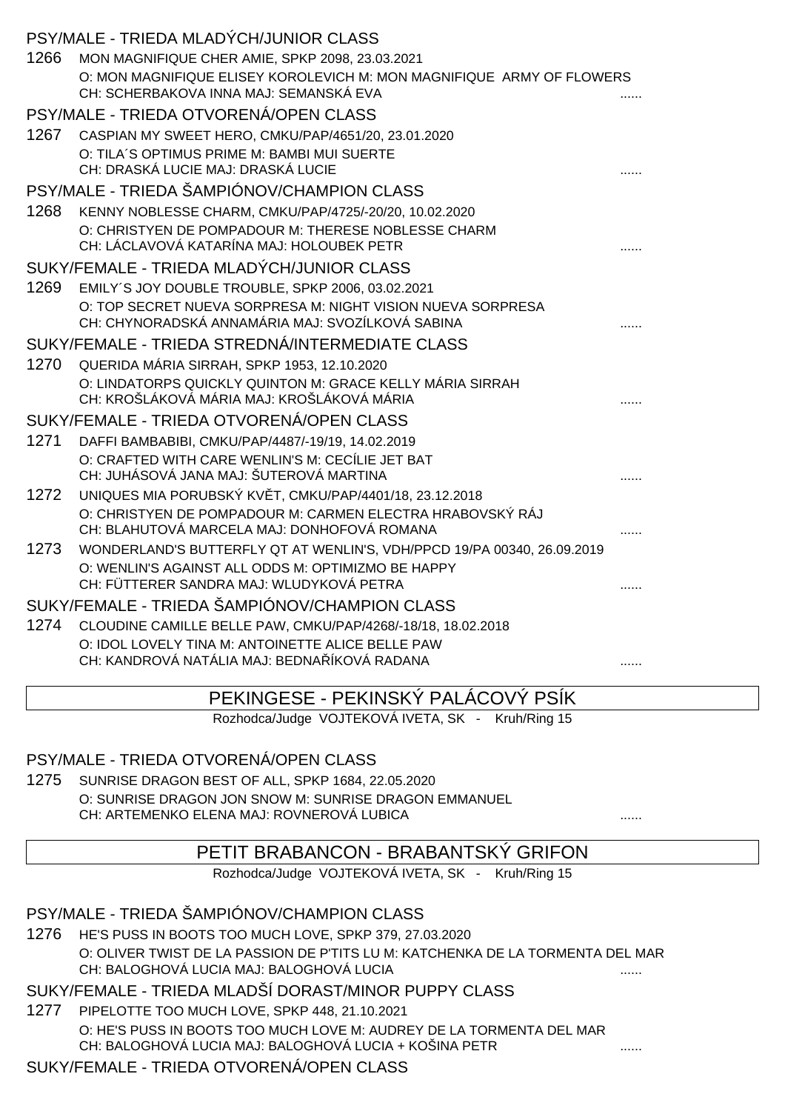|      | PSY/MALE - TRIEDA MLADÝCH/JUNIOR CLASS                                                                          |  |
|------|-----------------------------------------------------------------------------------------------------------------|--|
| 1266 | MON MAGNIFIQUE CHER AMIE, SPKP 2098, 23.03.2021                                                                 |  |
|      | O: MON MAGNIFIQUE ELISEY KOROLEVICH M: MON MAGNIFIQUE ARMY OF FLOWERS<br>CH: SCHERBAKOVA INNA MAJ: SEMANSKÁ EVA |  |
|      | PSY/MALE - TRIEDA OTVORENÁ/OPEN CLASS                                                                           |  |
| 1267 | CASPIAN MY SWEET HERO, CMKU/PAP/4651/20, 23.01.2020                                                             |  |
|      | O: TILA'S OPTIMUS PRIME M: BAMBI MUI SUERTE<br>CH: DRASKÁ LUCIE MAJ: DRASKÁ LUCIE                               |  |
|      | PSY/MALE - TRIEDA ŠAMPIÓNOV/CHAMPION CLASS                                                                      |  |
| 1268 | KENNY NOBLESSE CHARM, CMKU/PAP/4725/-20/20, 10.02.2020                                                          |  |
|      | O: CHRISTYEN DE POMPADOUR M: THERESE NOBLESSE CHARM<br>CH: LÁCLAVOVÁ KATARÍNA MAJ: HOLOUBEK PETR                |  |
|      | SUKY/FEMALE - TRIEDA MLADÝCH/JUNIOR CLASS                                                                       |  |
| 1269 | EMILY'S JOY DOUBLE TROUBLE, SPKP 2006, 03.02.2021                                                               |  |
|      | O: TOP SECRET NUEVA SORPRESA M: NIGHT VISION NUEVA SORPRESA<br>CH: CHYNORADSKÁ ANNAMÁRIA MAJ: SVOZÍLKOVÁ SABINA |  |
|      | SUKY/FEMALE - TRIEDA STREDNÁ/INTERMEDIATE CLASS                                                                 |  |
| 1270 | QUERIDA MÁRIA SIRRAH, SPKP 1953, 12.10.2020                                                                     |  |
|      | O: LINDATORPS QUICKLY QUINTON M: GRACE KELLY MÁRIA SIRRAH<br>CH: KROŠLÁKOVÁ MÁRIA MAJ: KROŠLÁKOVÁ MÁRIA         |  |
|      | SUKY/FEMALE - TRIEDA OTVORENÁ/OPEN CLASS                                                                        |  |
| 1271 | DAFFI BAMBABIBI, CMKU/PAP/4487/-19/19, 14.02.2019                                                               |  |
|      | O: CRAFTED WITH CARE WENLIN'S M: CECÍLIE JET BAT<br>CH: JUHÁSOVÁ JANA MAJ: ŠUTEROVÁ MARTINA                     |  |
| 1272 | UNIQUES MIA PORUBSKÝ KV T, CMKU/PAP/4401/18, 23.12.2018                                                         |  |
|      | O: CHRISTYEN DE POMPADOUR M: CARMEN ELECTRA HRABOVSKÝ RÁJ<br>CH: BLAHUTOVÁ MARCELA MAJ: DONHOFOVÁ ROMANA        |  |
| 1273 | WONDERLAND'S BUTTERFLY QT AT WENLIN'S, VDH/PPCD 19/PA 00340, 26.09.2019                                         |  |
|      | O: WENLIN'S AGAINST ALL ODDS M: OPTIMIZMO BE HAPPY<br>CH: FÜTTERER SANDRA MAJ: WLUDYKOVÁ PETRA                  |  |
|      | SUKY/FEMALE - TRIEDA ŠAMPIÓNOV/CHAMPION CLASS                                                                   |  |
| 1274 | CLOUDINE CAMILLE BELLE PAW, CMKU/PAP/4268/-18/18, 18.02.2018                                                    |  |
|      | O: IDOL LOVELY TINA M: ANTOINETTE ALICE BELLE PAW<br>CH: KANDROVÁ NATÁLIA MAJ: BEDNA ÍKOVÁ RADANA               |  |

# PEKINGESE - PEKINSKÝ PALÁCOVÝ PSÍK

Rozhodca/Judge VOJTEKOVÁ IVETA, SK - Kruh/Ring 15

# PSY/MALE - TRIEDA OTVORENÁ/OPEN CLASS

1275 SUNRISE DRAGON BEST OF ALL, SPKP 1684, 22.05.2020 O: SUNRISE DRAGON JON SNOW M: SUNRISE DRAGON EMMANUEL CH: ARTEMENKO ELENA MAJ: ROVNEROVÁ LUBICA ......

# PETIT BRABANCON - BRABANTSKÝ GRIFON

Rozhodca/Judge VOJTEKOVÁ IVETA, SK - Kruh/Ring 15

# PSY/MALE - TRIEDA ŠAMPIÓNOV/CHAMPION CLASS

1276 HE'S PUSS IN BOOTS TOO MUCH LOVE, SPKP 379, 27.03.2020 O: OLIVER TWIST DE LA PASSION DE P'TITS LU M: KATCHENKA DE LA TORMENTA DEL MAR CH: BALOGHOVÁ LUCIA MAJ: BALOGHOVÁ LUCIA ......

# SUKY/FEMALE - TRIEDA MLADŠÍ DORAST/MINOR PUPPY CLASS

1277 PIPELOTTE TOO MUCH LOVE, SPKP 448, 21.10.2021 O: HE'S PUSS IN BOOTS TOO MUCH LOVE M: AUDREY DE LA TORMENTA DEL MAR CH: BALOGHOVÁ LUCIA MAJ: BALOGHOVÁ LUCIA + KOŠINA PETR .......

# SUKY/FEMALE - TRIEDA OTVORENÁ/OPEN CLASS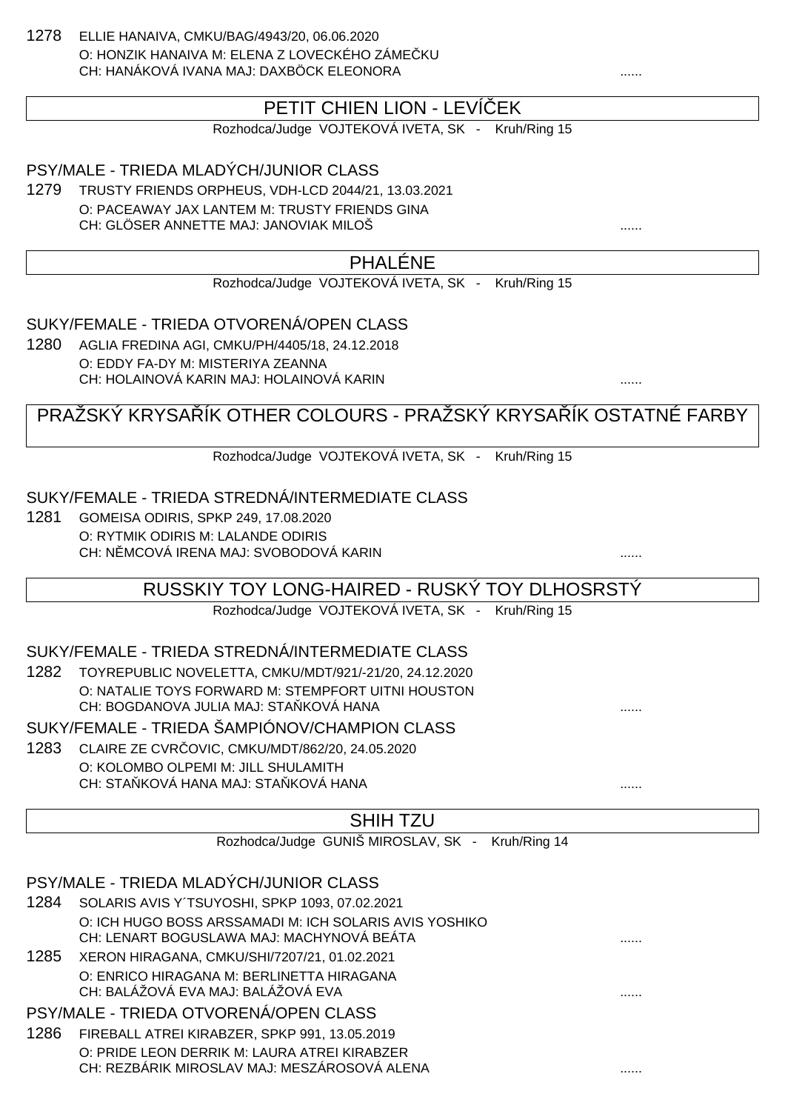1278 ELLIE HANAIVA, CMKU/BAG/4943/20, 06.06.2020 O: HONZIK HANAIVA M: ELENA Z LOVECKÉHO ZÁME KU CH: HANÁKOVÁ IVANA MAJ: DAXBÖCK ELEONORA

# PETIT CHIEN LION - LEVÍ EK

Rozhodca/Judge VOJTEKOVÁ IVETA, SK - Kruh/Ring 15

PSY/MALE - TRIEDA MLADÝCH/JUNIOR CLASS

1279 TRUSTY FRIENDS ORPHEUS, VDH-LCD 2044/21, 13.03.2021 O: PACEAWAY JAX LANTEM M: TRUSTY FRIENDS GINA CH: GLÖSER ANNETTE MAJ: JANOVIAK MILOŠ ......

# PHALÉNE

Rozhodca/Judge VOJTEKOVÁ IVETA, SK - Kruh/Ring 15

SUKY/FEMALE - TRIEDA OTVORENÁ/OPEN CLASS

1280 AGLIA FREDINA AGI, CMKU/PH/4405/18, 24.12.2018 O: EDDY FA-DY M: MISTERIYA ZEANNA CH: HOLAINOVÁ KARIN MAJ: HOLAINOVÁ KARIN ......

# PRAŽSKÝ KRYSA, ÍK OTHER COLOURS - PRAŽSKÝ KRYSA, ÍK OSTATNÉ FARBY

Rozhodca/Judge VOJTEKOVÁ IVETA, SK - Kruh/Ring 15

# SUKY/FEMALE - TRIEDA STREDNÁ/INTERMEDIATE CLASS

1281 GOMEISA ODIRIS, SPKP 249, 17.08.2020 O: RYTMIK ODIRIS M: LALANDE ODIRIS CH: NĚMCOVÁ IRENA MAJ: SVOBODOVÁ KARIN ......

RUSSKIY TOY LONG-HAIRED - RUSKÝ TOY DLHOSRSTÝ

Rozhodca/Judge VOJTEKOVÁ IVETA, SK - Kruh/Ring 15

#### SUKY/FEMALE - TRIEDA STREDNÁ/INTERMEDIATE CLASS

1282 TOYREPUBLIC NOVELETTA, CMKU/MDT/921/-21/20, 24.12.2020 O: NATALIE TOYS FORWARD M: STEMPFORT UITNI HOUSTON CH: BOGDANOVA JULIA MAJ: STAŇKOVÁ HANA ......

SUKY/FEMALE - TRIEDA ŠAMPIÓNOV/CHAMPION CLASS

1283 CLAIRE ZE CVRČOVIC, CMKU/MDT/862/20, 24.05.2020 O: KOLOMBO OLPEMI M: JILL SHULAMITH CH: STAŇKOVÁ HANA MAJ: STAŇKOVÁ HANA ......

# SHIH TZU

Rozhodca/Judge GUNIŠ MIROSLAV, SK - Kruh/Ring 14

|      | PSY/MALE - TRIEDA MLADÝCH/JUNIOR CLASS                                                              |   |
|------|-----------------------------------------------------------------------------------------------------|---|
| 1284 | SOLARIS AVIS Y'TSUYOSHI, SPKP 1093, 07.02.2021                                                      |   |
|      | O: ICH HUGO BOSS ARSSAMADI M: ICH SOLARIS AVIS YOSHIKO<br>CH: LENART BOGUSLAWA MAJ: MACHYNOVÁ BEÁTA | . |
| 1285 | XERON HIRAGANA, CMKU/SHI/7207/21, 01.02.2021                                                        |   |
|      | O: ENRICO HIRAGANA M: BERLINETTA HIRAGANA<br>CH: BALÁŽOVÁ EVA MAJ: BALÁŽOVÁ EVA                     |   |
|      | PSY/MALE - TRIEDA OTVORENÁ/OPEN CLASS                                                               |   |
| 1286 | FIREBALL ATREI KIRABZER, SPKP 991, 13.05.2019                                                       |   |
|      | O: PRIDE LEON DERRIK M: LAURA ATREI KIRABZER<br>CH: REZBÁRIK MIROSLAV MAJ: MESZÁROSOVÁ ALENA        |   |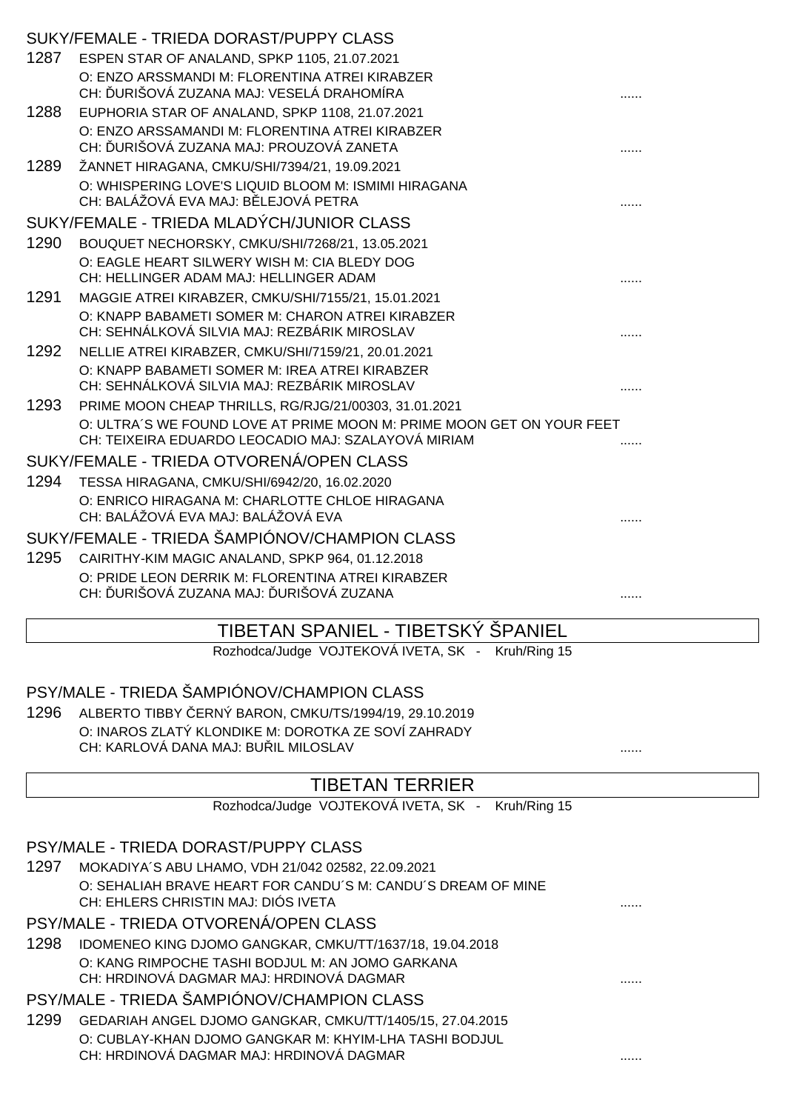|      | SUKY/FEMALE - TRIEDA DORAST/PUPPY CLASS                               |  |
|------|-----------------------------------------------------------------------|--|
| 1287 | ESPEN STAR OF ANALAND, SPKP 1105, 21.07.2021                          |  |
|      | O: ENZO ARSSMANDI M: FLORENTINA ATREI KIRABZER                        |  |
|      | CH: URIŠOVÁ ZUZANA MAJ: VESELÁ DRAHOMÍRA                              |  |
| 1288 | EUPHORIA STAR OF ANALAND, SPKP 1108, 21.07.2021                       |  |
|      | O: ENZO ARSSAMANDI M: FLORENTINA ATREI KIRABZER                       |  |
|      | CH: URIŠOVÁ ZUZANA MAJ: PROUZOVÁ ZANETA                               |  |
| 1289 | ŽANNET HIRAGANA, CMKU/SHI/7394/21, 19.09.2021                         |  |
|      | O: WHISPERING LOVE'S LIQUID BLOOM M: ISMIMI HIRAGANA                  |  |
|      | CH: BALÁŽOVÁ EVA MAJ: B LEJOVÁ PETRA                                  |  |
|      | SUKY/FEMALE - TRIEDA MLADÝCH/JUNIOR CLASS                             |  |
| 1290 | BOUQUET NECHORSKY, CMKU/SHI/7268/21, 13.05.2021                       |  |
|      | O: EAGLE HEART SILWERY WISH M: CIA BLEDY DOG                          |  |
|      | CH: HELLINGER ADAM MAJ: HELLINGER ADAM                                |  |
| 1291 | MAGGIE ATREI KIRABZER, CMKU/SHI/7155/21, 15.01.2021                   |  |
|      | O: KNAPP BABAMETI SOMER M: CHARON ATREI KIRABZER                      |  |
|      | CH: SEHNÁLKOVÁ SILVIA MAJ: REZBÁRIK MIROSLAV                          |  |
| 1292 | NELLIE ATREI KIRABZER, CMKU/SHI/7159/21, 20.01.2021                   |  |
|      | O: KNAPP BABAMETI SOMER M: IREA ATREI KIRABZER                        |  |
|      | CH: SEHNÁLKOVÁ SILVIA MAJ: REZBÁRIK MIROSLAV                          |  |
| 1293 | PRIME MOON CHEAP THRILLS, RG/RJG/21/00303, 31.01.2021                 |  |
|      | O: ULTRA'S WE FOUND LOVE AT PRIME MOON M: PRIME MOON GET ON YOUR FEET |  |
|      | CH: TEIXEIRA EDUARDO LEOCADIO MAJ: SZALAYOVÁ MIRIAM                   |  |
|      | SUKY/FEMALE - TRIEDA OTVORENÁ/OPEN CLASS                              |  |
| 1294 | TESSA HIRAGANA, CMKU/SHI/6942/20, 16.02.2020                          |  |
|      | O: ENRICO HIRAGANA M: CHARLOTTE CHLOE HIRAGANA                        |  |
|      | CH: BALÁŽOVÁ EVA MAJ: BALÁŽOVÁ EVA                                    |  |
|      | SUKY/FEMALE - TRIEDA ŠAMPIÓNOV/CHAMPION CLASS                         |  |
| 1295 | CAIRITHY-KIM MAGIC ANALAND, SPKP 964, 01.12.2018                      |  |
|      | O: PRIDE LEON DERRIK M: FLORENTINA ATREI KIRABZER                     |  |
|      | CH: URIŠOVÁ ZUZANA MAJ: URIŠOVÁ ZUZANA                                |  |
|      |                                                                       |  |

# TIBETAN SPANIEL - TIBETSKÝ ŠPANIEL

Rozhodca/Judge VOJTEKOVÁ IVETA, SK - Kruh/Ring 15

# PSY/MALE - TRIEDA ŠAMPIÓNOV/CHAMPION CLASS

1296 ALBERTO TIBBY ČERNÝ BARON, CMKU/TS/1994/19, 29.10.2019 O: INAROS ZLATÝ KLONDIKE M: DOROTKA ZE SOVÍ ZAHRADY CH: KARLOVÁ DANA MAJ: BUŘIL MILOSLAV ......

# TIBETAN TERRIER

Rozhodca/Judge VOJTEKOVÁ IVETA, SK - Kruh/Ring 15

|                                            | PSY/MALE - TRIEDA DORAST/PUPPY CLASS                                                                |   |  |
|--------------------------------------------|-----------------------------------------------------------------------------------------------------|---|--|
| 1297                                       | MOKADIYA'S ABU LHAMO, VDH 21/042 02582, 22.09.2021                                                  |   |  |
|                                            | O: SEHALIAH BRAVE HEART FOR CANDU'S M: CANDU'S DREAM OF MINE<br>CH: EHLERS CHRISTIN MAJ: DIÓS IVETA |   |  |
|                                            |                                                                                                     | . |  |
|                                            | PSY/MALE - TRIEDA OTVORENÁ/OPEN CLASS                                                               |   |  |
| 1298                                       | IDOMENEO KING DJOMO GANGKAR, CMKU/TT/1637/18, 19.04.2018                                            |   |  |
|                                            | O: KANG RIMPOCHE TASHI BODJUL M: AN JOMO GARKANA                                                    |   |  |
|                                            | CH: HRDINOVÁ DAGMAR MAJ: HRDINOVÁ DAGMAR                                                            | . |  |
| PSY/MALE - TRIEDA ŠAMPIÓNOV/CHAMPION CLASS |                                                                                                     |   |  |
| 1299                                       | GEDARIAH ANGEL DJOMO GANGKAR, CMKU/TT/1405/15, 27.04.2015                                           |   |  |
|                                            | O: CUBLAY-KHAN DJOMO GANGKAR M: KHYIM-LHA TASHI BODJUL                                              |   |  |
|                                            | CH: HRDINOVÁ DAGMAR MAJ: HRDINOVÁ DAGMAR                                                            |   |  |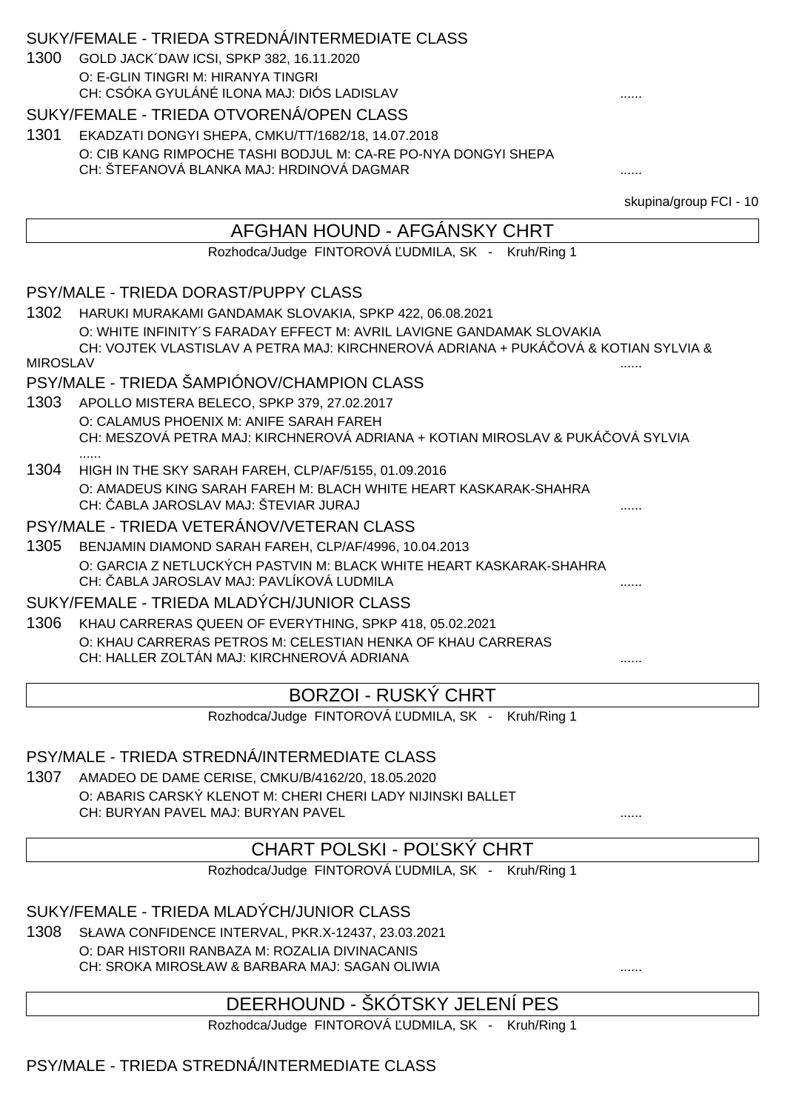#### SUKY/FEMALE - TRIEDA STREDNÁ/INTERMEDIATE CLASS

1300 GOLD JACK´DAW ICSI, SPKP 382, 16.11.2020 O: E-GLIN TINGRI M: HIRANYA TINGRI CH: CSÓKA GYULÁNÉ ILONA MAJ: DIÓS LADISLAV

### SUKY/FEMALE - TRIEDA OTVORENÁ/OPEN CLASS

1301 EKADZATI DONGYI SHEPA, CMKU/TT/1682/18, 14.07.2018 O: CIB KANG RIMPOCHE TASHI BODJUL M: CA-RE PO-NYA DONGYI SHEPA CH: ŠTEFANOVÁ BLANKA MAJ: HRDINOVÁ DAGMAR ......

skupina/group FCI - 10

# AFGHAN HOUND - AFGÁNSKY CHRT Rozhodca/Judge FINTOROVÁ UDMILA, SK - Kruh/Ring 1 PSY/MALE - TRIEDA DORAST/PUPPY CLASS 1302 HARUKI MURAKAMI GANDAMAK SLOVAKIA, SPKP 422, 06.08.2021 O: WHITE INFINITY´S FARADAY EFFECT M: AVRIL LAVIGNE GANDAMAK SLOVAKIA CH: VOJTEK VLASTISLAV A PETRA MAJ: KIRCHNEROVÁ ADRIANA + PUKÁČOVÁ & KOTIAN SYLVIA & MIROSLAV ...... PSY/MALE - TRIEDA ŠAMPIÓNOV/CHAMPION CLASS 1303 APOLLO MISTERA BELECO, SPKP 379, 27.02.2017 O: CALAMUS PHOENIX M: ANIFE SARAH FAREH CH: MESZOVÁ PETRA MAJ: KIRCHNEROVÁ ADRIANA + KOTIAN MIROSLAV & PUKÁČOVÁ SYLVIA ...... 1304 HIGH IN THE SKY SARAH FAREH, CLP/AF/5155, 01.09.2016 O: AMADEUS KING SARAH FAREH M: BLACH WHITE HEART KASKARAK-SHAHRA CH: ABLA JAROSLAV MAJ: ŠTEVIAR JURAJ PSY/MALE - TRIEDA VETERÁNOV/VETERAN CLASS 1305 BENJAMIN DIAMOND SARAH FAREH, CLP/AF/4996, 10.04.2013 O: GARCIA Z NETLUCKÝCH PASTVIN M: BLACK WHITE HEART KASKARAK-SHAHRA CH: ABLA JAROSLAV MAJ: PAVLÍKOVÁ LUDMILA SUKY/FEMALE - TRIEDA MLADÝCH/JUNIOR CLASS 1306 KHAU CARRERAS QUEEN OF EVERYTHING, SPKP 418, 05.02.2021 O: KHAU CARRERAS PETROS M: CELESTIAN HENKA OF KHAU CARRERAS CH: HALLER ZOLTÁN MAJ: KIRCHNEROVÁ ADRIANA ......

# BORZOI - RUSKÝ CHRT

Rozhodca/Judge FINTOROVÁ UDMILA, SK - Kruh/Ring 1

# PSY/MALE - TRIEDA STREDNÁ/INTERMEDIATE CLASS

1307 AMADEO DE DAME CERISE, CMKU/B/4162/20, 18.05.2020 O: ABARIS CARSKÝ KLENOT M: CHERI CHERI LADY NIJINSKI BALLET CH: BURYAN PAVEL MAJ: BURYAN PAVEL

CHART POLSKI - PO SKÝ CHRT

Rozhodca/Judge FINTOROVÁ UDMILA, SK - Kruh/Ring 1

SUKY/FEMALE - TRIEDA MLADÝCH/JUNIOR CLASS

1308 SŁAWA CONFIDENCE INTERVAL, PKR.X-12437, 23.03.2021 O: DAR HISTORII RANBAZA M: ROZALIA DIVINACANIS CH: SROKA MIROSŁAW & BARBARA MAJ: SAGAN OLIWIA

# DEERHOUND - ŠKÓTSKY JELENÍ PES

Rozhodca/Judge FINTOROVÁ UDMILA, SK - Kruh/Ring 1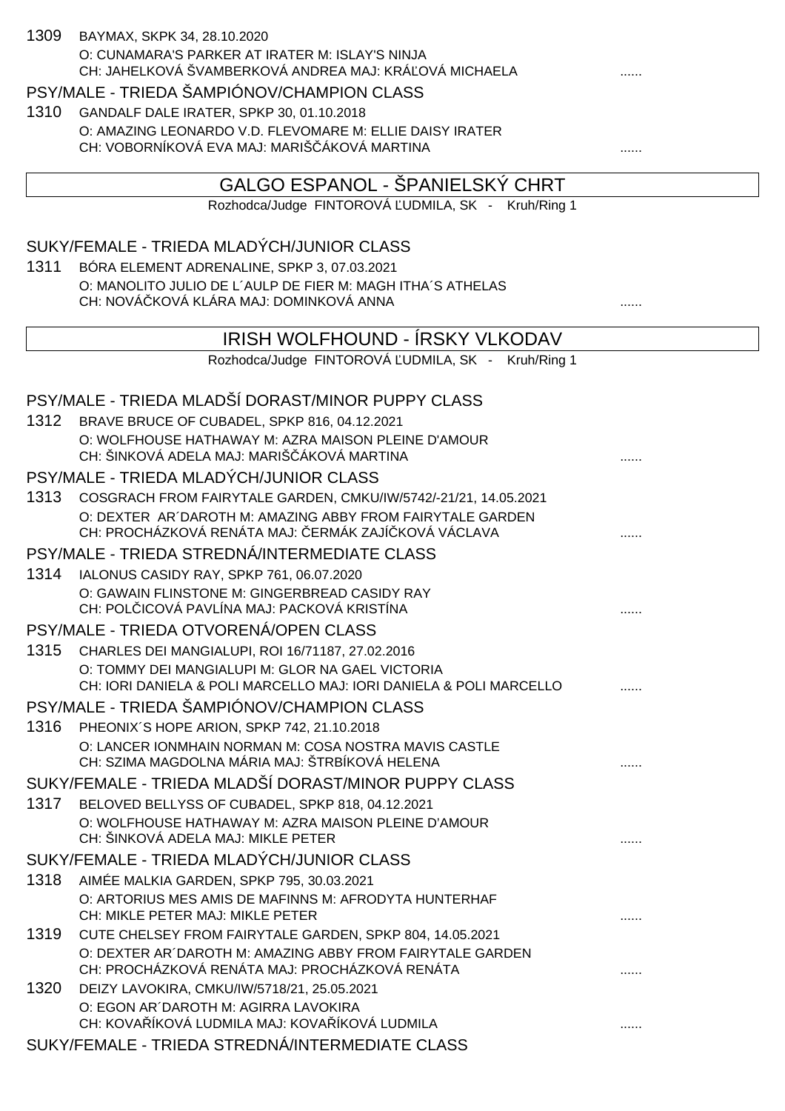| 1309 | BAYMAX, SKPK 34, 28.10.2020                                                                                                  |   |
|------|------------------------------------------------------------------------------------------------------------------------------|---|
|      | O: CUNAMARA'S PARKER AT IRATER M: ISLAY'S NINJA<br>CH: JAHELKOVÁ ŠVAMBERKOVÁ ANDREA MAJ: KRÁ OVÁ MICHAELA                    |   |
|      | PSY/MALE - TRIEDA ŠAMPIÓNOV/CHAMPION CLASS                                                                                   |   |
| 1310 | GANDALF DALE IRATER, SPKP 30, 01.10.2018                                                                                     |   |
|      | O: AMAZING LEONARDO V.D. FLEVOMARE M: ELLIE DAISY IRATER<br>CH: VOBORNÍKOVÁ EVA MAJ: MARIŠ ÁKOVÁ MARTINA                     |   |
|      | GALGO ESPANOL - ŠPANIELSKÝ CHRT                                                                                              |   |
|      | Rozhodca/Judge FINTOROVÁ UDMILA, SK - Kruh/Ring 1                                                                            |   |
|      | SUKY/FEMALE - TRIEDA MLADÝCH/JUNIOR CLASS                                                                                    |   |
| 1311 | BÓRA ELEMENT ADRENALINE, SPKP 3, 07.03.2021                                                                                  |   |
|      | O: MANOLITO JULIO DE L'AULP DE FIER M: MAGH ITHA'S ATHELAS<br>CH: NOVÁ KOVÁ KLÁRA MAJ: DOMINKOVÁ ANNA                        |   |
|      | IRISH WOLFHOUND - IRSKY VLKODAV                                                                                              |   |
|      | Rozhodca/Judge FINTOROVÁ UDMILA, SK - Kruh/Ring 1                                                                            |   |
|      | PSY/MALE - TRIEDA MLADŠÍ DORAST/MINOR PUPPY CLASS                                                                            |   |
|      | 1312 BRAVE BRUCE OF CUBADEL, SPKP 816, 04.12.2021                                                                            |   |
|      | O: WOLFHOUSE HATHAWAY M: AZRA MAISON PLEINE D'AMOUR<br>CH: ŠINKOVÁ ADELA MAJ: MARIŠ ÁKOVÁ MARTINA                            |   |
|      | PSY/MALE - TRIEDA MLADÝCH/JUNIOR CLASS                                                                                       |   |
| 1313 | COSGRACH FROM FAIRYTALE GARDEN, CMKU/IW/5742/-21/21, 14.05.2021<br>O: DEXTER AR'DAROTH M: AMAZING ABBY FROM FAIRYTALE GARDEN |   |
|      | CH: PROCHÁZKOVÁ RENÁTA MAJ: ERMÁK ZAJÍ KOVÁ VÁCLAVA                                                                          |   |
|      | PSY/MALE - TRIEDA STREDNÁ/INTERMEDIATE CLASS                                                                                 |   |
|      | 1314 IALONUS CASIDY RAY, SPKP 761, 06.07.2020                                                                                |   |
|      | O: GAWAIN FLINSTONE M: GINGERBREAD CASIDY RAY<br>CH: POL ICOVÁ PAVLÍNA MAJ: PACKOVÁ KRISTÍNA                                 | . |
|      | PSY/MALE - TRIEDA OTVORENÁ/OPEN CLASS                                                                                        |   |
|      | 1315 CHARLES DEI MANGIALUPI, ROI 16/71187, 27.02.2016                                                                        |   |
|      | O: TOMMY DEI MANGIALUPI M: GLOR NA GAEL VICTORIA<br>CH: IORI DANIELA & POLI MARCELLO MAJ: IORI DANIELA & POLI MARCELLO       |   |
|      | PSY/MALE - TRIEDA ŠAMPIÓNOV/CHAMPION CLASS                                                                                   |   |
|      | 1316 PHEONIX'S HOPE ARION, SPKP 742, 21.10.2018                                                                              |   |
|      | O: LANCER IONMHAIN NORMAN M: COSA NOSTRA MAVIS CASTLE<br>CH: SZIMA MAGDOLNA MÁRIA MAJ: ŠTRBÍKOVÁ HELENA                      |   |
|      | SUKY/FEMALE - TRIEDA MLADŠÍ DORAST/MINOR PUPPY CLASS                                                                         |   |
|      | 1317 BELOVED BELLYSS OF CUBADEL, SPKP 818, 04.12.2021                                                                        |   |
|      | O: WOLFHOUSE HATHAWAY M: AZRA MAISON PLEINE D'AMOUR<br>CH: ŠINKOVÁ ADELA MAJ: MIKLE PETER                                    |   |
|      | SUKY/FEMALE - TRIEDA MLADÝCH/JUNIOR CLASS                                                                                    |   |
| 1318 | AIMÉE MALKIA GARDEN, SPKP 795, 30.03.2021                                                                                    |   |
|      | O: ARTORIUS MES AMIS DE MAFINNS M: AFRODYTA HUNTERHAF<br>CH: MIKLE PETER MAJ: MIKLE PETER                                    |   |
| 1319 | CUTE CHELSEY FROM FAIRYTALE GARDEN, SPKP 804, 14.05.2021                                                                     |   |
|      | O: DEXTER AR'DAROTH M: AMAZING ABBY FROM FAIRYTALE GARDEN<br>CH: PROCHÁZKOVÁ RENÁTA MAJ: PROCHÁZKOVÁ RENÁTA                  |   |
|      | 1320 DEIZY LAVOKIRA, CMKU/IW/5718/21, 25.05.2021                                                                             |   |
|      | O: EGON AR DAROTH M: AGIRRA LAVOKIRA<br>CH: KOVA ÍKOVÁ LUDMILA MAJ: KOVA ÍKOVÁ LUDMILA                                       |   |
|      | SUKY/FEMALE - TRIEDA STREDNÁ/INTERMEDIATE CLASS                                                                              |   |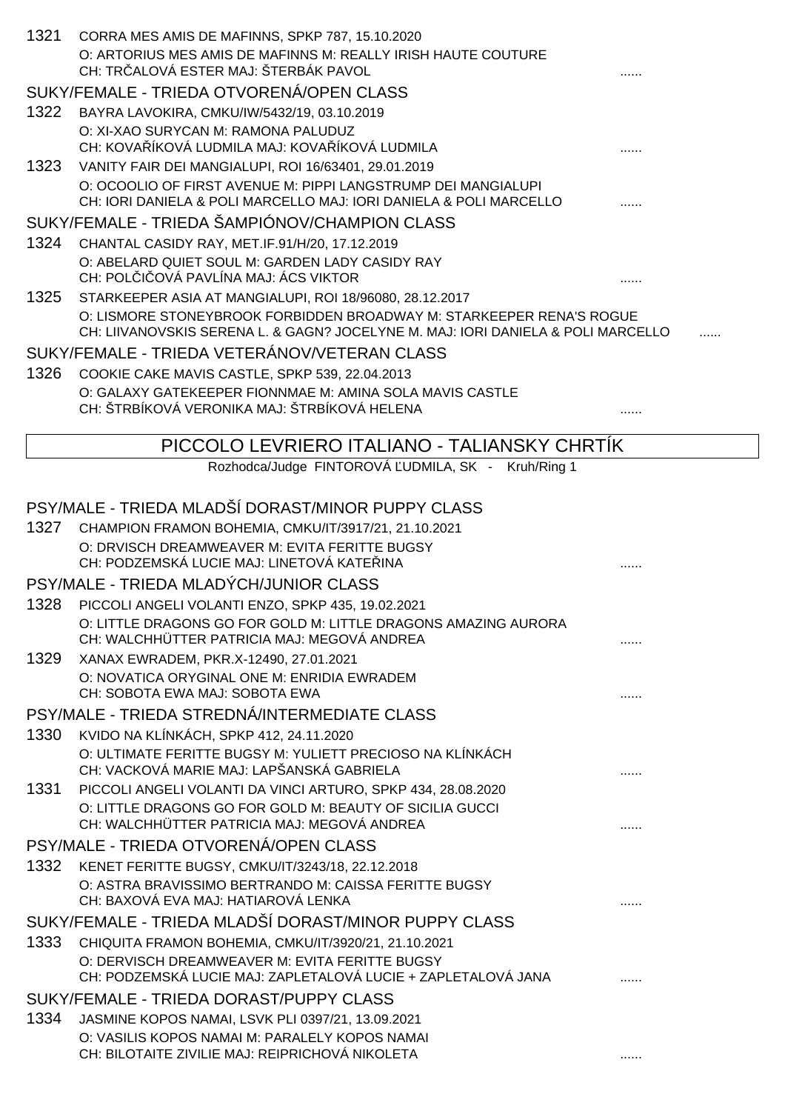| 1321 | CORRA MES AMIS DE MAFINNS, SPKP 787, 15.10.2020<br>O: ARTORIUS MES AMIS DE MAFINNS M: REALLY IRISH HAUTE COUTURE<br>CH: TR ALOVÁ ESTER MAJ: ŠTERBÁK PAVOL |  |
|------|-----------------------------------------------------------------------------------------------------------------------------------------------------------|--|
|      | SUKY/FEMALE - TRIEDA OTVORENÁ/OPEN CLASS                                                                                                                  |  |
| 1322 | BAYRA LAVOKIRA, CMKU/IW/5432/19, 03.10.2019                                                                                                               |  |
|      | O: XI-XAO SURYCAN M: RAMONA PALUDUZ                                                                                                                       |  |
|      | CH: KOVA ÍKOVÁ LUDMILA MAJ: KOVA ÍKOVÁ LUDMILA                                                                                                            |  |
| 1323 | VANITY FAIR DEI MANGIALUPI, ROI 16/63401, 29.01.2019<br>O: OCOOLIO OF FIRST AVENUE M: PIPPI LANGSTRUMP DEI MANGIALUPI                                     |  |
|      | CH: IORI DANIELA & POLI MARCELLO MAJ: IORI DANIELA & POLI MARCELLO                                                                                        |  |
|      | SUKY/FEMALE - TRIEDA ŠAMPIÓNOV/CHAMPION CLASS                                                                                                             |  |
| 1324 | CHANTAL CASIDY RAY, MET.IF.91/H/20, 17.12.2019                                                                                                            |  |
|      | O: ABELARD QUIET SOUL M: GARDEN LADY CASIDY RAY                                                                                                           |  |
|      | CH: POL I OVÁ PAVLÍNA MAJ: ÁCS VIKTOR                                                                                                                     |  |
| 1325 | STARKEEPER ASIA AT MANGIALUPI, ROI 18/96080, 28.12.2017                                                                                                   |  |
|      | O: LISMORE STONEYBROOK FORBIDDEN BROADWAY M: STARKEEPER RENA'S ROGUE<br>CH: LIIVANOVSKIS SERENA L. & GAGN? JOCELYNE M. MAJ: IORI DANIELA & POLI MARCELLO  |  |
|      | SUKY/FEMALE - TRIEDA VETERÁNOV/VETERAN CLASS                                                                                                              |  |
| 1326 | COOKIE CAKE MAVIS CASTLE, SPKP 539, 22.04.2013                                                                                                            |  |
|      | O: GALAXY GATEKEEPER FIONNMAE M: AMINA SOLA MAVIS CASTLE<br>CH: ŠTRBÍKOVÁ VERONIKA MAJ: ŠTRBÍKOVÁ HELENA                                                  |  |
|      | PICCOLO LEVRIERO ITALIANO - TALIANSKY CHRTIK                                                                                                              |  |
|      | Rozhodca/Judge FINTOROVÁ UDMILA, SK - Kruh/Ring 1                                                                                                         |  |
|      |                                                                                                                                                           |  |
|      | PSY/MALE - TRIEDA MLADŠÍ DORAST/MINOR PUPPY CLASS                                                                                                         |  |
| 1327 | CHAMPION FRAMON BOHEMIA, CMKU/IT/3917/21, 21.10.2021                                                                                                      |  |
|      | O: DRVISCH DREAMWEAVER M: EVITA FERITTE BUGSY                                                                                                             |  |
|      | CH: PODZEMSKÁ LUCIE MAJ: LINETOVÁ KATE INA                                                                                                                |  |
|      | PSY/MALE - TRIEDA MLADÝCH/JUNIOR CLASS                                                                                                                    |  |
| 1328 | PICCOLI ANGELI VOLANTI ENZO, SPKP 435, 19.02.2021                                                                                                         |  |
|      | O: LITTLE DRAGONS GO FOR GOLD M: LITTLE DRAGONS AMAZING AURORA<br>CH: WALCHHÜTTER PATRICIA MAJ: MEGOVÁ ANDREA                                             |  |
| 1329 | XANAX EWRADEM, PKR.X-12490, 27.01.2021                                                                                                                    |  |
|      | O: NOVATICA ORYGINAL ONE M: ENRIDIA EWRADEM                                                                                                               |  |
|      | CH: SOBOTA EWA MAJ: SOBOTA EWA                                                                                                                            |  |
|      | PSY/MALE - TRIEDA STREDNÁ/INTERMEDIATE CLASS                                                                                                              |  |
| 1330 | KVIDO NA KLÍNKÁCH, SPKP 412, 24.11.2020                                                                                                                   |  |
|      | O: ULTIMATE FERITTE BUGSY M: YULIETT PRECIOSO NA KLÍNKÁCH<br>CH: VACKOVÁ MARIE MAJ: LAPŠANSKÁ GABRIELA                                                    |  |
| 1331 | PICCOLI ANGELI VOLANTI DA VINCI ARTURO, SPKP 434, 28.08.2020                                                                                              |  |
|      | O: LITTLE DRAGONS GO FOR GOLD M: BEAUTY OF SICILIA GUCCI                                                                                                  |  |
|      | CH: WALCHHÜTTER PATRICIA MAJ: MEGOVÁ ANDREA                                                                                                               |  |
|      | PSY/MALE - TRIEDA OTVORENÁ/OPEN CLASS                                                                                                                     |  |
| 1332 | KENET FERITTE BUGSY, CMKU/IT/3243/18, 22.12.2018                                                                                                          |  |
|      | O: ASTRA BRAVISSIMO BERTRANDO M: CAISSA FERITTE BUGSY<br>CH: BAXOVÁ EVA MAJ: HATIAROVÁ LENKA                                                              |  |
|      | SUKY/FEMALE - TRIEDA MLADŠÍ DORAST/MINOR PUPPY CLASS                                                                                                      |  |
| 1333 | CHIQUITA FRAMON BOHEMIA, CMKU/IT/3920/21, 21.10.2021                                                                                                      |  |
|      | O: DERVISCH DREAMWEAVER M: EVITA FERITTE BUGSY<br>CH: PODZEMSKÁ LUCIE MAJ: ZAPLETALOVÁ LUCIE + ZAPLETALOVÁ JANA                                           |  |
|      | SUKY/FEMALE - TRIEDA DORAST/PUPPY CLASS                                                                                                                   |  |
| 1334 | JASMINE KOPOS NAMAI, LSVK PLI 0397/21, 13.09.2021                                                                                                         |  |
|      | O: VASILIS KOPOS NAMAI M: PARALELY KOPOS NAMAI<br>CH: BILOTAITE ZIVILIE MAJ: REIPRICHOVÁ NIKOLETA                                                         |  |
|      |                                                                                                                                                           |  |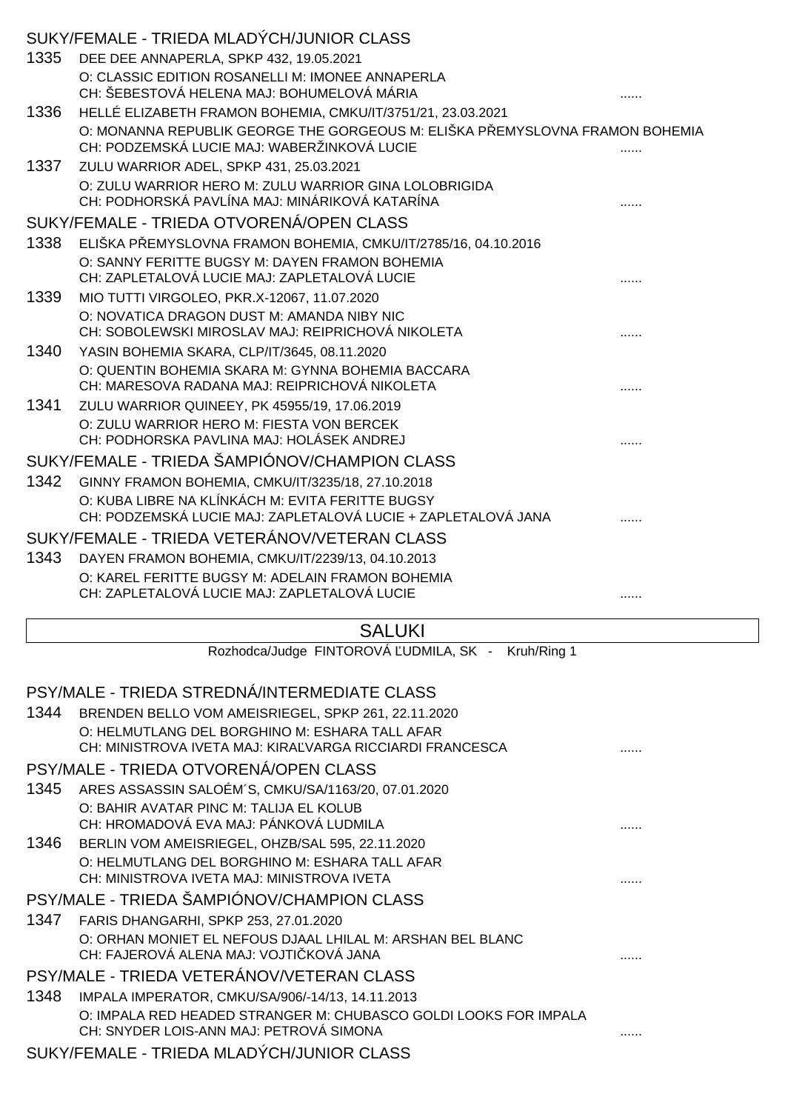|      | SUKY/FEMALE - TRIEDA MLADÝCH/JUNIOR CLASS                                                                         |   |
|------|-------------------------------------------------------------------------------------------------------------------|---|
| 1335 | DEE DEE ANNAPERLA, SPKP 432, 19.05.2021                                                                           |   |
|      | O: CLASSIC EDITION ROSANELLI M: IMONEE ANNAPERLA<br>CH: ŠEBESTOVÁ HELENA MAJ: BOHUMELOVÁ MÁRIA                    |   |
|      | 1336 HELLÉ ELIZABETH FRAMON BOHEMIA, CMKU/IT/3751/21, 23.03.2021                                                  |   |
|      | O: MONANNA REPUBLIK GEORGE THE GORGEOUS M: ELIŠKA P EMYSLOVNA FRAMON BOHEMIA                                      |   |
|      | CH: PODZEMSKÁ LUCIE MAJ: WABERŽINKOVÁ LUCIE                                                                       |   |
| 1337 | ZULU WARRIOR ADEL, SPKP 431, 25.03.2021                                                                           |   |
|      | O: ZULU WARRIOR HERO M: ZULU WARRIOR GINA LOLOBRIGIDA<br>CH: PODHORSKÁ PAVLÍNA MAJ: MINÁRIKOVÁ KATARÍNA           |   |
|      | SUKY/FEMALE - TRIEDA OTVORENÁ/OPEN CLASS                                                                          |   |
| 1338 | ELIŠKA PEMYSLOVNA FRAMON BOHEMIA, CMKU/IT/2785/16, 04.10.2016                                                     |   |
|      | O: SANNY FERITTE BUGSY M: DAYEN FRAMON BOHEMIA<br>CH: ZAPLETALOVÁ LUCIE MAJ: ZAPLETALOVÁ LUCIE                    |   |
| 1339 | MIO TUTTI VIRGOLEO, PKR.X-12067, 11.07.2020                                                                       |   |
|      | O: NOVATICA DRAGON DUST M: AMANDA NIBY NIC<br>CH: SOBOLEWSKI MIROSLAV MAJ: REIPRICHOVÁ NIKOLETA                   |   |
| 1340 | YASIN BOHEMIA SKARA, CLP/IT/3645, 08.11.2020                                                                      |   |
|      | O: QUENTIN BOHEMIA SKARA M: GYNNA BOHEMIA BACCARA<br>CH: MARESOVA RADANA MAJ: REIPRICHOVÁ NIKOLETA                | . |
| 1341 | ZULU WARRIOR QUINEEY, PK 45955/19, 17.06.2019                                                                     |   |
|      | O: ZULU WARRIOR HERO M: FIESTA VON BERCEK<br>CH: PODHORSKA PAVLINA MAJ: HOLÁSEK ANDREJ                            |   |
|      | SUKY/FEMALE - TRIEDA ŠAMPIÓNOV/CHAMPION CLASS                                                                     |   |
| 1342 | GINNY FRAMON BOHEMIA, CMKU/IT/3235/18, 27.10.2018                                                                 |   |
|      | O: KUBA LIBRE NA KLÍNKÁCH M: EVITA FERITTE BUGSY<br>CH: PODZEMSKÁ LUCIE MAJ: ZAPLETALOVÁ LUCIE + ZAPLETALOVÁ JANA |   |
|      | SUKY/FEMALE - TRIEDA VETERÁNOV/VETERAN CLASS                                                                      |   |
| 1343 | DAYEN FRAMON BOHEMIA, CMKU/IT/2239/13, 04.10.2013                                                                 |   |
|      | O: KAREL FERITTE BUGSY M: ADELAIN FRAMON BOHEMIA                                                                  |   |
|      | CH: ZAPLETALOVÁ LUCIE MAJ: ZAPLETALOVÁ LUCIE                                                                      |   |
|      |                                                                                                                   |   |

# **SALUKI**

|      | Rozhodca/Judge FINTOROVÁ UDMILA, SK - Kruh/Ring 1                                                           |  |
|------|-------------------------------------------------------------------------------------------------------------|--|
|      | PSY/MALE - TRIEDA STREDNÁ/INTERMEDIATE CLASS                                                                |  |
| 1344 | BRENDEN BELLO VOM AMEISRIEGEL, SPKP 261, 22.11.2020                                                         |  |
|      | O: HELMUTLANG DEL BORGHINO M: ESHARA TALL AFAR<br>CH: MINISTROVA IVETA MAJ: KIRA VARGA RICCIARDI FRANCESCA  |  |
|      | PSY/MALE - TRIEDA OTVORENÁ/OPEN CLASS                                                                       |  |
| 1345 | ARES ASSASSIN SALOÉM'S, CMKU/SA/1163/20, 07.01.2020                                                         |  |
|      | O: BAHIR AVATAR PINC M: TALIJA EL KOLUB<br>CH: HROMADOVÁ EVA MAJ: PÁNKOVÁ LUDMILA                           |  |
| 1346 | BERLIN VOM AMEISRIEGEL, OHZB/SAL 595, 22.11.2020                                                            |  |
|      | O: HELMUTLANG DEL BORGHINO M: ESHARA TALL AFAR<br>CH: MINISTROVA IVETA MAJ: MINISTROVA IVETA                |  |
|      | PSY/MALE - TRIEDA ŠAMPIÓNOV/CHAMPION CLASS                                                                  |  |
| 1347 | FARIS DHANGARHI, SPKP 253, 27.01.2020                                                                       |  |
|      | O: ORHAN MONIET EL NEFOUS DJAAL LHILAL M: ARSHAN BEL BLANC<br>CH: FAJEROVÁ ALENA MAJ: VOJTI KOVÁ JANA       |  |
|      | PSY/MALE - TRIEDA VETERÁNOV/VETERAN CLASS                                                                   |  |
| 1348 | IMPALA IMPERATOR, CMKU/SA/906/-14/13, 14.11.2013                                                            |  |
|      | O: IMPALA RED HEADED STRANGER M: CHUBASCO GOLDI LOOKS FOR IMPALA<br>CH: SNYDER LOIS-ANN MAJ: PETROVÁ SIMONA |  |
|      | SUKY/FEMALE - TRIEDA MLADÝCH/JUNIOR CLASS                                                                   |  |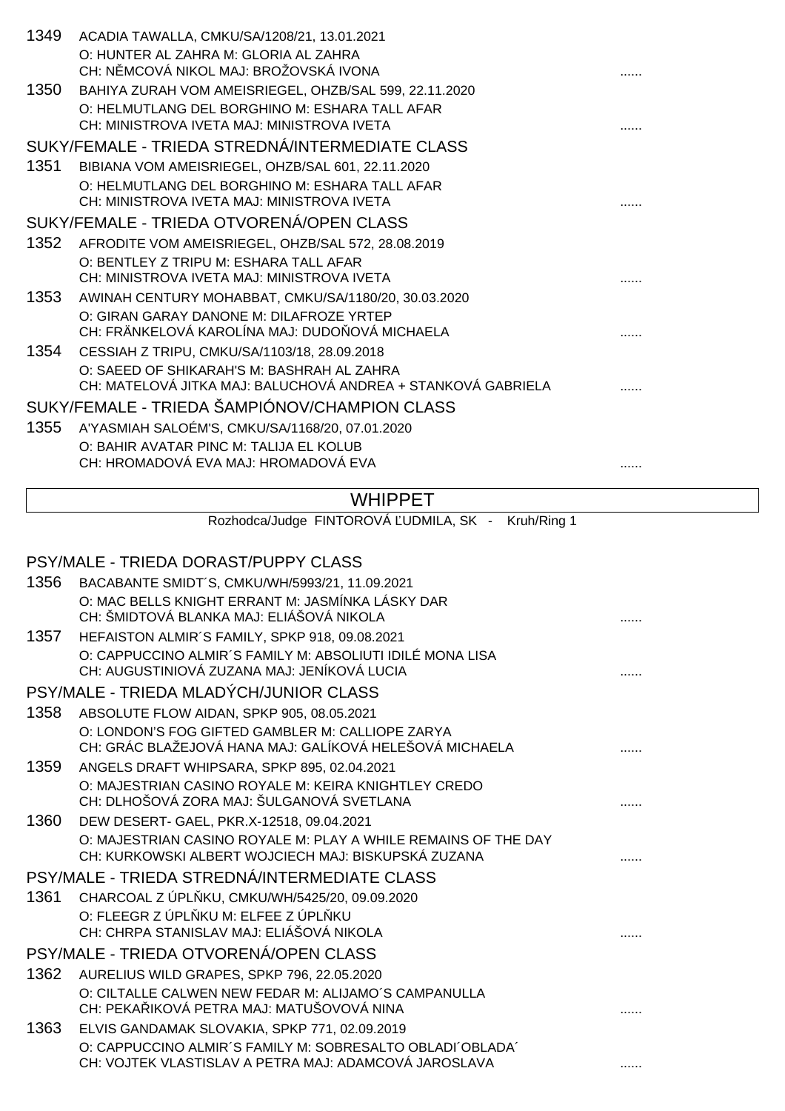| 1349 | ACADIA TAWALLA, CMKU/SA/1208/21, 13.01.2021                  |  |
|------|--------------------------------------------------------------|--|
|      | O: HUNTER AL ZAHRA M: GLORIA AL ZAHRA                        |  |
|      | CH: N MCOVÁ NIKOL MAJ: BROŽOVSKÁ IVONA                       |  |
| 1350 | BAHIYA ZURAH VOM AMEISRIEGEL, OHZB/SAL 599, 22.11.2020       |  |
|      | O: HELMUTLANG DEL BORGHINO M: ESHARA TALL AFAR               |  |
|      | CH: MINISTROVA IVETA MAJ: MINISTROVA IVETA                   |  |
|      | SUKY/FEMALE - TRIEDA STREDNÁ/INTERMEDIATE CLASS              |  |
| 1351 | BIBIANA VOM AMEISRIEGEL, OHZB/SAL 601, 22.11.2020            |  |
|      | O: HELMUTLANG DEL BORGHINO M: ESHARA TALL AFAR               |  |
|      | CH: MINISTROVA IVETA MAJ: MINISTROVA IVETA                   |  |
|      | SUKY/FEMALE - TRIEDA OTVORENÁ/OPEN CLASS                     |  |
| 1352 | AFRODITE VOM AMEISRIEGEL, OHZB/SAL 572, 28.08.2019           |  |
|      | O: BENTLEY Z TRIPU M: ESHARA TALL AFAR                       |  |
|      | CH: MINISTROVA IVETA MAJ: MINISTROVA IVETA                   |  |
| 1353 | AWINAH CENTURY MOHABBAT, CMKU/SA/1180/20, 30.03.2020         |  |
|      | O: GIRAN GARAY DANONE M: DILAFROZE YRTEP                     |  |
|      | CH: FRÄNKELOVÁ KAROLÍNA MAJ: DUDO OVÁ MICHAELA               |  |
| 1354 | CESSIAH Z TRIPU, CMKU/SA/1103/18, 28.09.2018                 |  |
|      | O: SAEED OF SHIKARAH'S M: BASHRAH AL ZAHRA                   |  |
|      | CH: MATELOVÁ JITKA MAJ: BALUCHOVÁ ANDREA + STANKOVÁ GABRIELA |  |
|      | SUKY/FEMALE - TRIEDA ŠAMPIÓNOV/CHAMPION CLASS                |  |
| 1355 | A'YASMIAH SALOÉM'S, CMKU/SA/1168/20, 07.01.2020              |  |
|      | O: BAHIR AVATAR PINC M: TALIJA EL KOLUB                      |  |
|      | CH: HROMADOVÁ EVA MAJ: HROMADOVÁ EVA                         |  |
|      |                                                              |  |

### **WHIPPET**

Rozhodca/Judge FINTOROVÁ UDMILA, SK - Kruh/Ring 1

## PSY/MALE - TRIEDA DORAST/PUPPY CLASS 1356 BACABANTE SMIDT´S, CMKU/WH/5993/21, 11.09.2021

|      | O: MAC BELLS KNIGHT ERRANT M: JASMINKA LASKY DAR<br>CH: ŠMIDTOVÁ BLANKA MAJ: ELIÁŠOVÁ NIKOLA                          |  |
|------|-----------------------------------------------------------------------------------------------------------------------|--|
| 1357 | HEFAISTON ALMIR'S FAMILY, SPKP 918, 09.08.2021                                                                        |  |
|      | O: CAPPUCCINO ALMIR'S FAMILY M: ABSOLIUTI IDILÉ MONA LISA<br>CH: AUGUSTINIOVÁ ZUZANA MAJ: JENÍKOVÁ LUCIA              |  |
|      | PSY/MALE - TRIEDA MLADÝCH/JUNIOR CLASS                                                                                |  |
| 1358 | ABSOLUTE FLOW AIDAN, SPKP 905, 08.05.2021                                                                             |  |
|      | O: LONDON'S FOG GIFTED GAMBLER M: CALLIOPE ZARYA<br>CH: GRÁC BLAŽEJOVÁ HANA MAJ: GALÍKOVÁ HELEŠOVÁ MICHAELA           |  |
| 1359 | ANGELS DRAFT WHIPSARA, SPKP 895, 02.04.2021                                                                           |  |
|      | O: MAJESTRIAN CASINO ROYALE M: KEIRA KNIGHTLEY CREDO<br>CH: DLHOŠOVÁ ZORA MAJ: ŠULGANOVÁ SVETLANA                     |  |
| 1360 | DEW DESERT- GAEL, PKR.X-12518, 09.04.2021                                                                             |  |
|      | O: MAJESTRIAN CASINO ROYALE M: PLAY A WHILE REMAINS OF THE DAY<br>CH: KURKOWSKI ALBERT WOJCIECH MAJ: BISKUPSKÁ ZUZANA |  |
|      | PSY/MALE - TRIEDA STREDNÁ/INTERMEDIATE CLASS                                                                          |  |
| 1361 | CHARCOAL Z ÚPL KU, CMKU/WH/5425/20, 09.09.2020                                                                        |  |
|      | O: FLEEGR Z ÚPL KU M: ELFEE Z ÚPL KU                                                                                  |  |
|      | CH: CHRPA STANISLAV MAJ: ELIÁŠOVÁ NIKOLA                                                                              |  |
|      | PSY/MALE - TRIEDA OTVORENÁ/OPEN CLASS                                                                                 |  |
| 1362 | AURELIUS WILD GRAPES, SPKP 796, 22.05.2020                                                                            |  |
|      | O: CILTALLE CALWEN NEW FEDAR M: ALIJAMO'S CAMPANULLA<br>CH: PEKA IKOVÁ PETRA MAJ: MATUŠOVOVÁ NINA                     |  |
| 1363 | ELVIS GANDAMAK SLOVAKIA, SPKP 771, 02.09.2019                                                                         |  |
|      | O: CAPPUCCINO ALMIR'S FAMILY M: SOBRESALTO OBLADI OBLADA'<br>CH: VOJTEK VLASTISLAV A PETRA MAJ: ADAMCOVÁ JAROSLAVA    |  |
|      |                                                                                                                       |  |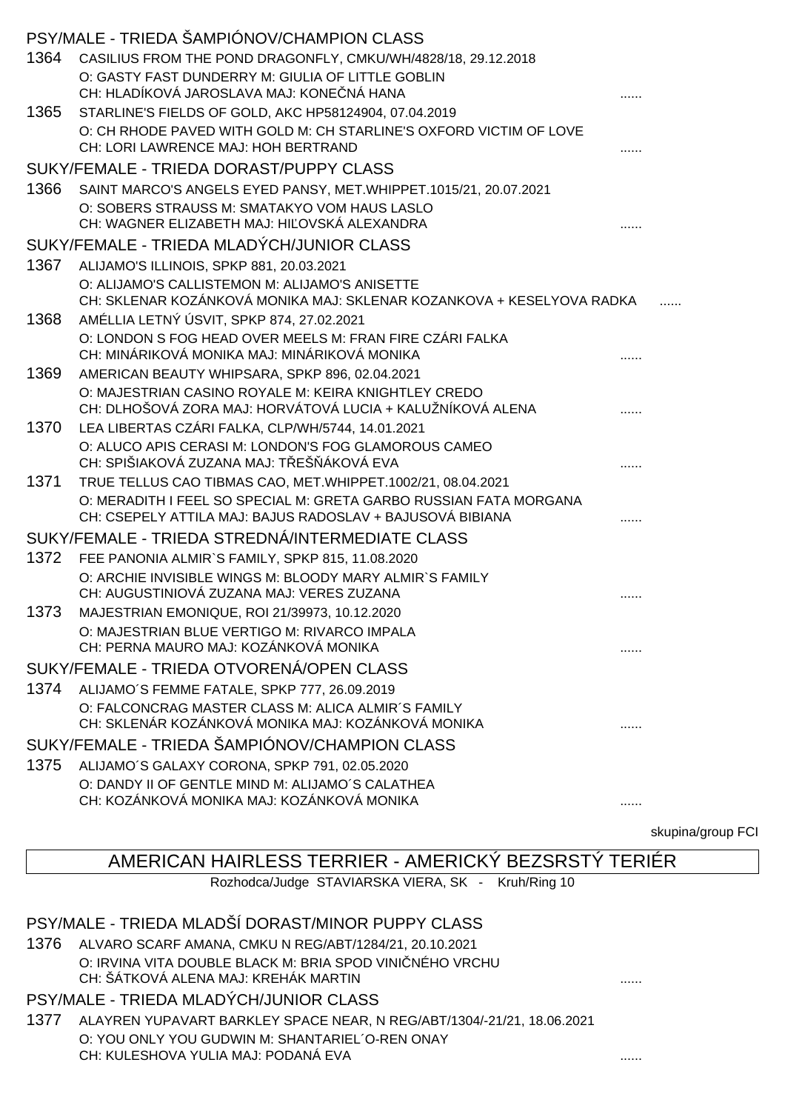|      | PSY/MALE - TRIEDA ŠAMPIÓNOV/CHAMPION CLASS                                                                                     |  |
|------|--------------------------------------------------------------------------------------------------------------------------------|--|
| 1364 | CASILIUS FROM THE POND DRAGONFLY, CMKU/WH/4828/18, 29.12.2018                                                                  |  |
|      | O: GASTY FAST DUNDERRY M: GIULIA OF LITTLE GOBLIN                                                                              |  |
|      | CH: HLADÍKOVÁ JAROSLAVA MAJ: KONE NÁ HANA                                                                                      |  |
| 1365 | STARLINE'S FIELDS OF GOLD, AKC HP58124904, 07.04.2019<br>O: CH RHODE PAVED WITH GOLD M: CH STARLINE'S OXFORD VICTIM OF LOVE    |  |
|      | CH: LORI LAWRENCE MAJ: HOH BERTRAND                                                                                            |  |
|      | SUKY/FEMALE - TRIEDA DORAST/PUPPY CLASS                                                                                        |  |
| 1366 | SAINT MARCO'S ANGELS EYED PANSY, MET.WHIPPET.1015/21, 20.07.2021                                                               |  |
|      | O: SOBERS STRAUSS M: SMATAKYO VOM HAUS LASLO<br>CH: WAGNER ELIZABETH MAJ: HI OVSKÁ ALEXANDRA                                   |  |
|      | SUKY/FEMALE - TRIEDA MLADÝCH/JUNIOR CLASS                                                                                      |  |
| 1367 | ALIJAMO'S ILLINOIS, SPKP 881, 20.03.2021                                                                                       |  |
|      | O: ALIJAMO'S CALLISTEMON M: ALIJAMO'S ANISETTE<br>CH: SKLENAR KOZÁNKOVÁ MONIKA MAJ: SKLENAR KOZANKOVA + KESELYOVA RADKA        |  |
| 1368 | AMÉLLIA LETNÝ ÚSVIT, SPKP 874, 27.02.2021                                                                                      |  |
|      | O: LONDON S FOG HEAD OVER MEELS M: FRAN FIRE CZÁRI FALKA<br>CH: MINÁRIKOVÁ MONIKA MAJ: MINÁRIKOVÁ MONIKA                       |  |
| 1369 | AMERICAN BEAUTY WHIPSARA, SPKP 896, 02.04.2021                                                                                 |  |
|      | O: MAJESTRIAN CASINO ROYALE M: KEIRA KNIGHTLEY CREDO<br>CH: DLHOŠOVÁ ZORA MAJ: HORVÁTOVÁ LUCIA + KALUŽNÍKOVÁ ALENA             |  |
| 1370 | LEA LIBERTAS CZÁRI FALKA, CLP/WH/5744, 14.01.2021                                                                              |  |
|      | O: ALUCO APIS CERASI M: LONDON'S FOG GLAMOROUS CAMEO<br>CH: SPIŠIAKOVÁ ZUZANA MAJ: T EŠ ÁKOVÁ EVA                              |  |
| 1371 | TRUE TELLUS CAO TIBMAS CAO, MET. WHIPPET. 1002/21, 08.04.2021                                                                  |  |
|      | O: MERADITH I FEEL SO SPECIAL M: GRETA GARBO RUSSIAN FATA MORGANA<br>CH: CSEPELY ATTILA MAJ: BAJUS RADOSLAV + BAJUSOVÁ BIBIANA |  |
|      | SUKY/FEMALE - TRIEDA STREDNÁ/INTERMEDIATE CLASS                                                                                |  |
| 1372 | FEE PANONIA ALMIR'S FAMILY, SPKP 815, 11.08.2020                                                                               |  |
|      | O: ARCHIE INVISIBLE WINGS M: BLOODY MARY ALMIR'S FAMILY<br>CH: AUGUSTINIOVÁ ZUZANA MAJ: VERES ZUZANA                           |  |
| 1373 | MAJESTRIAN EMONIQUE, ROI 21/39973, 10.12.2020                                                                                  |  |
|      | O: MAJESTRIAN BLUE VERTIGO M: RIVARCO IMPALA<br>CH: PERNA MAURO MAJ: KOZÁNKOVÁ MONIKA                                          |  |
|      | SUKY/FEMALE - TRIEDA OTVORENÁ/OPEN CLASS                                                                                       |  |
| 1374 | ALIJAMO'S FEMME FATALE, SPKP 777, 26.09.2019                                                                                   |  |
|      | O: FALCONCRAG MASTER CLASS M: ALICA ALMIR'S FAMILY<br>CH: SKLENÁR KOZÁNKOVÁ MONIKA MAJ: KOZÁNKOVÁ MONIKA                       |  |
|      | SUKY/FEMALE - TRIEDA ŠAMPIÓNOV/CHAMPION CLASS                                                                                  |  |
| 1375 | ALIJAMO'S GALAXY CORONA, SPKP 791, 02.05.2020                                                                                  |  |
|      | O: DANDY II OF GENTLE MIND M: ALIJAMO'S CALATHEA                                                                               |  |
|      | CH: KOZÁNKOVÁ MONIKA MAJ: KOZÁNKOVÁ MONIKA                                                                                     |  |

skupina/group FCI

### AMERICAN HAIRLESS TERRIER - AMERICKÝ BEZSRSTÝ TERIÉR

Rozhodca/Judge STAVIARSKA VIERA, SK - Kruh/Ring 10

#### PSY/MALE - TRIEDA MLADŠÍ DORAST/MINOR PUPPY CLASS

1376 ALVARO SCARF AMANA, CMKU N REG/ABT/1284/21, 20.10.2021 O: IRVINA VITA DOUBLE BLACK M: BRIA SPOD VINI NÉHO VRCHU CH: ŠÁTKOVÁ ALENA MAJ: KREHÁK MARTIN **KALENA ALENA MAJ: KREHÁK MARTIN** 

### PSY/MALE - TRIEDA MLADÝCH/JUNIOR CLASS

1377 ALAYREN YUPAVART BARKLEY SPACE NEAR, N REG/ABT/1304/-21/21, 18.06.2021 O: YOU ONLY YOU GUDWIN M: SHANTARIEL´O-REN ONAY CH: KULESHOVA YULIA MAJ: PODANÁ EVA ......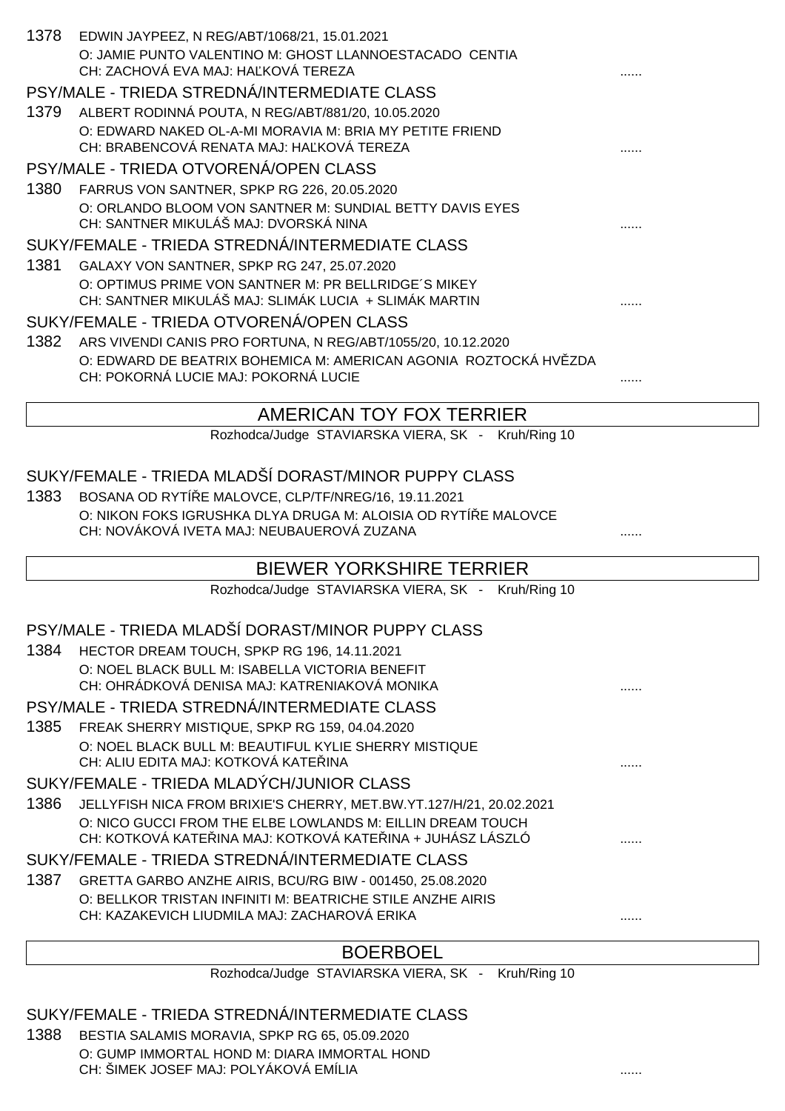| 1378                                      | EDWIN JAYPEEZ, N REG/ABT/1068/21, 15.01.2021                                                                 |   |
|-------------------------------------------|--------------------------------------------------------------------------------------------------------------|---|
|                                           | O: JAMIE PUNTO VALENTINO M: GHOST LLANNOESTACADO CENTIA<br>CH: ZACHOVÁ EVA MAJ: HA KOVÁ TEREZA               |   |
|                                           | PSY/MALE - TRIEDA STREDNÁ/INTERMEDIATE CLASS                                                                 |   |
|                                           | 1379 ALBERT RODINNÁ POUTA, N REG/ABT/881/20, 10.05.2020                                                      |   |
|                                           | O: EDWARD NAKED OL-A-MI MORAVIA M: BRIA MY PETITE FRIEND                                                     |   |
|                                           | CH: BRABENCOVÁ RENATA MAJ: HA KOVÁ TEREZA                                                                    |   |
|                                           | PSY/MALE - TRIEDA OTVORENÁ/OPEN CLASS                                                                        |   |
| 1380                                      | FARRUS VON SANTNER, SPKP RG 226, 20.05.2020                                                                  |   |
|                                           | O: ORLANDO BLOOM VON SANTNER M: SUNDIAL BETTY DAVIS EYES<br>CH: SANTNER MIKULÁŠ MAJ: DVORSKÁ NINA            |   |
|                                           | SUKY/FEMALE - TRIEDA STREDNÁ/INTERMEDIATE CLASS                                                              |   |
| 1381                                      | GALAXY VON SANTNER, SPKP RG 247, 25.07.2020                                                                  |   |
|                                           | O: OPTIMUS PRIME VON SANTNER M: PR BELLRIDGE'S MIKEY                                                         |   |
|                                           | CH: SANTNER MIKULÁŠ MAJ: SLIMÁK LUCIA + SLIMÁK MARTIN                                                        |   |
|                                           | SUKY/FEMALE - TRIEDA OTVORENÁ/OPEN CLASS                                                                     |   |
|                                           | 1382 ARS VIVENDI CANIS PRO FORTUNA, N REG/ABT/1055/20, 10.12.2020                                            |   |
|                                           | O: EDWARD DE BEATRIX BOHEMICA M: AMERICAN AGONIA ROZTOCKÁ HV ZDA<br>CH: POKORNÁ LUCIE MAJ: POKORNÁ LUCIE     |   |
|                                           |                                                                                                              |   |
|                                           | AMERICAN TOY FOX TERRIER                                                                                     |   |
|                                           | Rozhodca/Judge STAVIARSKA VIERA, SK - Kruh/Ring 10                                                           |   |
|                                           |                                                                                                              |   |
|                                           | SUKY/FEMALE - TRIEDA MLADŠÍ DORAST/MINOR PUPPY CLASS                                                         |   |
| 1383                                      | BOSANA OD RYTÍ E MALOVCE, CLP/TF/NREG/16, 19.11.2021                                                         |   |
|                                           | O: NIKON FOKS IGRUSHKA DLYA DRUGA M: ALOISIA OD RYTÍ E MALOVCE<br>CH: NOVÁKOVÁ IVETA MAJ: NEUBAUEROVÁ ZUZANA |   |
|                                           |                                                                                                              |   |
|                                           | <b>BIEWER YORKSHIRE TERRIER</b>                                                                              |   |
|                                           | Rozhodca/Judge STAVIARSKA VIERA, SK - Kruh/Ring 10                                                           |   |
|                                           | PSY/MALE - TRIEDA MLADŠÍ DORAST/MINOR PUPPY CLASS                                                            |   |
|                                           |                                                                                                              |   |
|                                           | 1384 HECTOR DREAM TOUCH, SPKP RG 196, 14.11.2021<br>O: NOEL BLACK BULL M: ISABELLA VICTORIA BENEFIT          |   |
|                                           | CH: OHRÁDKOVÁ DENISA MAJ: KATRENIAKOVÁ MONIKA                                                                |   |
|                                           | PSY/MALE - TRIEDA STREDNÁ/INTERMEDIATE CLASS                                                                 |   |
| 1385                                      | FREAK SHERRY MISTIQUE, SPKP RG 159, 04.04.2020                                                               |   |
|                                           | O: NOEL BLACK BULL M: BEAUTIFUL KYLIE SHERRY MISTIQUE                                                        |   |
|                                           | CH: ALIU EDITA MAJ: KOTKOVÁ KATE INA                                                                         | . |
| SUKY/FEMALE - TRIEDA MLADÝCH/JUNIOR CLASS |                                                                                                              |   |
| 1386                                      | JELLYFISH NICA FROM BRIXIE'S CHERRY, MET.BW.YT.127/H/21, 20.02.2021                                          |   |
|                                           | O: NICO GUCCI FROM THE ELBE LOWLANDS M: EILLIN DREAM TOUCH                                                   |   |
|                                           | CH: KOTKOVÁ KATE INA MAJ: KOTKOVÁ KATE INA + JUHÁSZ LÁSZLÓ                                                   |   |
|                                           | SUKY/FEMALE - TRIEDA STREDNÁ/INTERMEDIATE CLASS                                                              |   |
| 1387                                      | GRETTA GARBO ANZHE AIRIS, BCU/RG BIW - 001450, 25.08.2020                                                    |   |
|                                           | O: BELLKOR TRISTAN INFINITI M: BEATRICHE STILE ANZHE AIRIS                                                   |   |
|                                           | CH: KAZAKEVICH LIUDMILA MAJ: ZACHAROVÁ ERIKA                                                                 |   |
|                                           |                                                                                                              |   |

#### BOERBOEL

Rozhodca/Judge STAVIARSKA VIERA, SK - Kruh/Ring 10

### SUKY/FEMALE - TRIEDA STREDNÁ/INTERMEDIATE CLASS

1388 BESTIA SALAMIS MORAVIA, SPKP RG 65, 05.09.2020 O: GUMP IMMORTAL HOND M: DIARA IMMORTAL HOND CH: ŠIMEK JOSEF MAJ: POLYÁKOVÁ EMÍLIA **a na haditalistického na haditalistického a** malí.....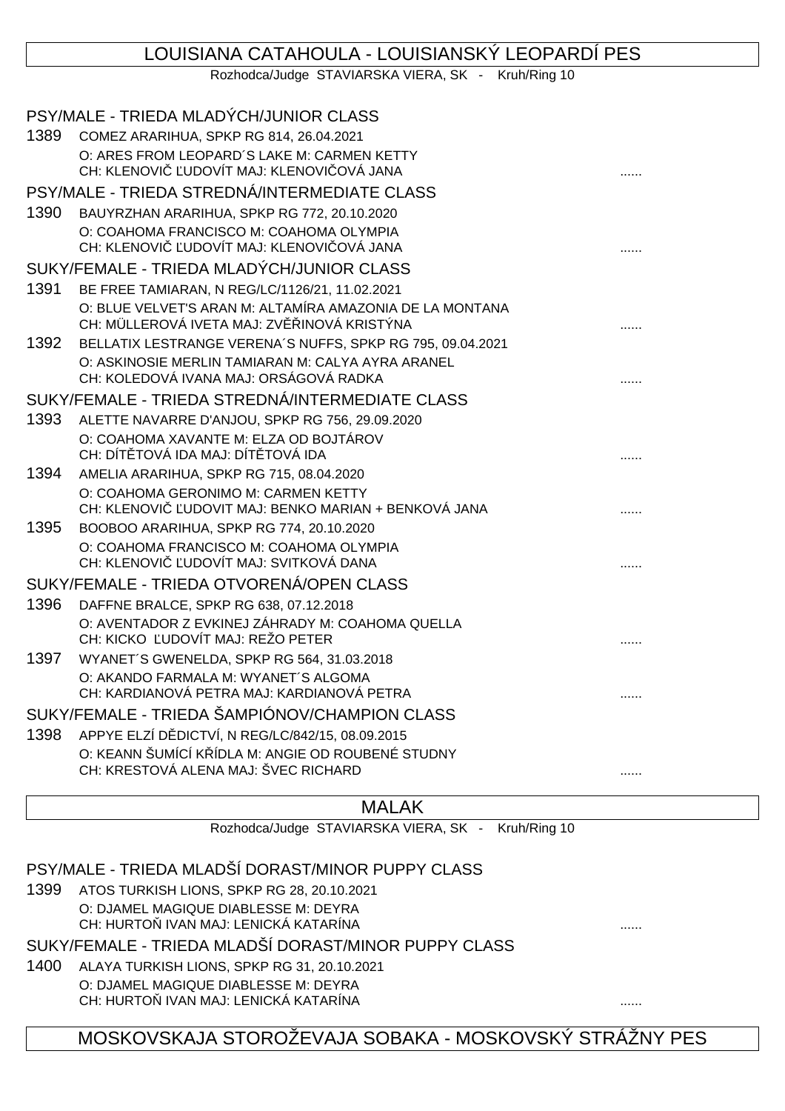### LOUISIANA CATAHOULA - LOUISIANSKÝ LEOPARDÍ PES

Rozhodca/Judge STAVIARSKA VIERA, SK - Kruh/Ring 10

|      | PSY/MALE - TRIEDA MLADÝCH/JUNIOR CLASS                                                                 |  |
|------|--------------------------------------------------------------------------------------------------------|--|
| 1389 | COMEZ ARARIHUA, SPKP RG 814, 26.04.2021                                                                |  |
|      | O: ARES FROM LEOPARD'S LAKE M: CARMEN KETTY<br>CH: KLENOVI UDOVÍT MAJ: KLENOVI OVÁ JANA                |  |
|      | PSY/MALE - TRIEDA STREDNÁ/INTERMEDIATE CLASS                                                           |  |
| 1390 | BAUYRZHAN ARARIHUA, SPKP RG 772, 20.10.2020                                                            |  |
|      | O: COAHOMA FRANCISCO M: COAHOMA OLYMPIA                                                                |  |
|      | CH: KLENOVI UDOVÍT MAJ: KLENOVI OVÁ JANA                                                               |  |
|      | SUKY/FEMALE - TRIEDA MLADÝCH/JUNIOR CLASS                                                              |  |
| 1391 | BE FREE TAMIARAN, N REG/LC/1126/21, 11.02.2021                                                         |  |
|      | O: BLUE VELVET'S ARAN M: ALTAMÍRA AMAZONIA DE LA MONTANA<br>CH: MÜLLEROVÁ IVETA MAJ: ZV INOVÁ KRISTÝNA |  |
| 1392 | BELLATIX LESTRANGE VERENA'S NUFFS, SPKP RG 795, 09.04.2021                                             |  |
|      | O: ASKINOSIE MERLIN TAMIARAN M: CALYA AYRA ARANEL                                                      |  |
|      | CH: KOLEDOVÁ IVANA MAJ: ORSÁGOVÁ RADKA                                                                 |  |
|      | SUKY/FEMALE - TRIEDA STREDNÁ/INTERMEDIATE CLASS                                                        |  |
| 1393 | ALETTE NAVARRE D'ANJOU, SPKP RG 756, 29.09.2020                                                        |  |
|      | O: COAHOMA XAVANTE M: ELZA OD BOJTÁROV                                                                 |  |
|      | CH: DÍT TOVÁ IDA MAJ: DÍT TOVÁ IDA                                                                     |  |
| 1394 | AMELIA ARARIHUA, SPKP RG 715, 08.04.2020                                                               |  |
|      | O: COAHOMA GERONIMO M: CARMEN KETTY<br>UDOVIT MAJ: BENKO MARIAN + BENKOVÁ JANA<br>CH: KLENOVI          |  |
| 1395 | BOOBOO ARARIHUA, SPKP RG 774, 20.10.2020                                                               |  |
|      | O: COAHOMA FRANCISCO M: COAHOMA OLYMPIA                                                                |  |
|      | CH: KLENOVI UDOVÍT MAJ: SVITKOVÁ DANA                                                                  |  |
|      | SUKY/FEMALE - TRIEDA OTVORENÁ/OPEN CLASS                                                               |  |
| 1396 | DAFFNE BRALCE, SPKP RG 638, 07.12.2018                                                                 |  |
|      | O: AVENTADOR Z EVKINEJ ZÁHRADY M: COAHOMA QUELLA<br>CH: KICKO UDOVÍT MAJ: REŽO PETER                   |  |
| 1397 | WYANET'S GWENELDA, SPKP RG 564, 31.03.2018                                                             |  |
|      | O: AKANDO FARMALA M: WYANET'S ALGOMA                                                                   |  |
|      | CH: KARDIANOVÁ PETRA MAJ: KARDIANOVÁ PETRA                                                             |  |
|      | SUKY/FEMALE - TRIEDA ŠAMPIÓNOV/CHAMPION CLASS                                                          |  |
| 1398 | APPYE ELZÍ D DICTVÍ, N REG/LC/842/15, 08.09.2015                                                       |  |
|      | O: KEANN ŠUMÍCÍ K ÍDLA M: ANGIE OD ROUBENÉ STUDNY                                                      |  |
|      | CH: KRESTOVÁ ALENA MAJ: ŠVEC RICHARD                                                                   |  |
|      |                                                                                                        |  |

#### MALAK

Rozhodca/Judge STAVIARSKA VIERA, SK - Kruh/Ring 10

### PSY/MALE - TRIEDA MLADŠÍ DORAST/MINOR PUPPY CLASS

1399 ATOS TURKISH LIONS, SPKP RG 28, 20.10.2021 O: DJAMEL MAGIQUE DIABLESSE M: DEYRA CH: HURTOŇ IVAN MAJ: LENICKÁ KATARÍNA ......

#### SUKY/FEMALE - TRIEDA MLADŠÍ DORAST/MINOR PUPPY CLASS

- 1400 ALAYA TURKISH LIONS, SPKP RG 31, 20.10.2021 O: DJAMEL MAGIQUE DIABLESSE M: DEYRA
	- CH: HURTOŇ IVAN MAJ: LENICKÁ KATARÍNA ......

### MOSKOVSKAJA STOROŽEVAJA SOBAKA - MOSKOVSKÝ STRÁŽNY PES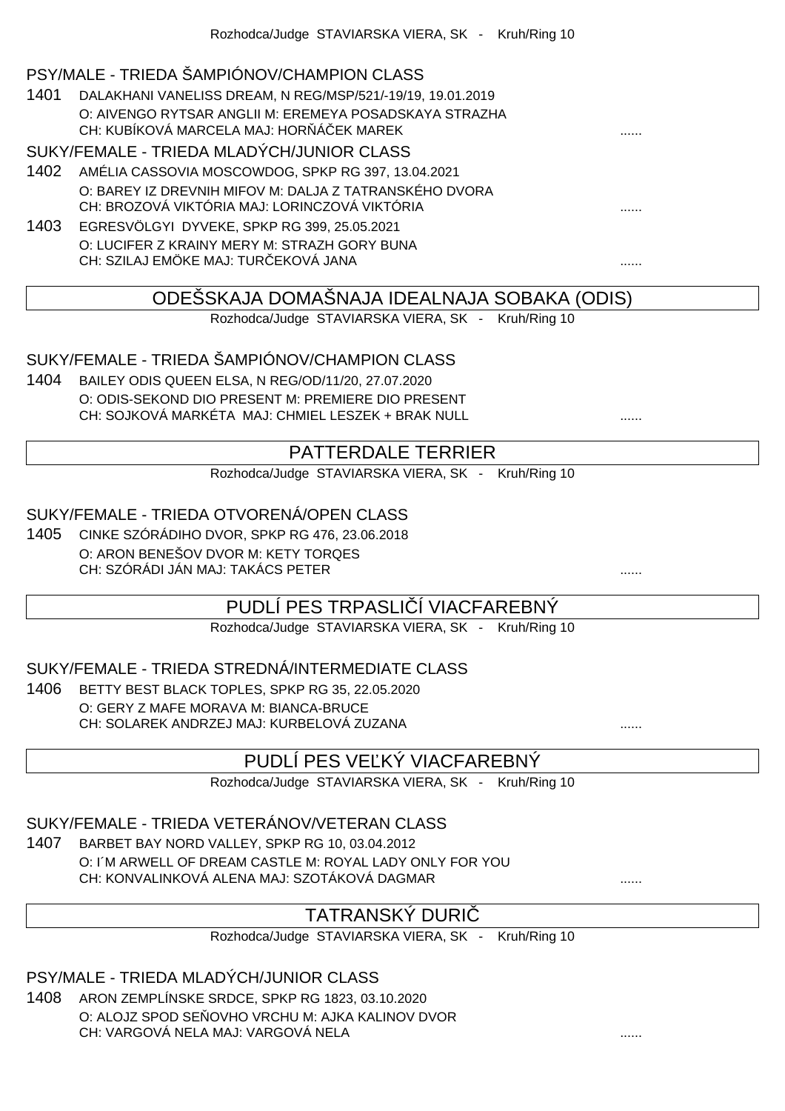#### PSY/MALE - TRIEDA ŠAMPIÓNOV/CHAMPION CLASS

1401 DALAKHANI VANELISS DREAM, N REG/MSP/521/-19/19, 19.01.2019 O: AIVENGO RYTSAR ANGLII M: EREMEYA POSADSKAYA STRAZHA CH: KUBÍKOVÁ MARCELA MAJ: HOR Á EK MAREK

#### SUKY/FEMALE - TRIEDA MLADÝCH/JUNIOR CLASS

- 1402 AMÉLIA CASSOVIA MOSCOWDOG, SPKP RG 397, 13.04.2021 O: BAREY IZ DREVNIH MIFOV M: DALJA Z TATRANSKÉHO DVORA CH: BROZOVÁ VIKTÓRIA MAJ: LORINCZOVÁ VIKTÓRIA ......
- 1403 EGRESVÖLGYI DYVEKE, SPKP RG 399, 25.05.2021 O: LUCIFER Z KRAINY MERY M: STRAZH GORY BUNA CH: SZILAJ EMÖKE MAJ: TURČEKOVÁ JANA ......

### ODEŠSKAJA DOMAŠNAJA IDEALNAJA SOBAKA (ODIS)

Rozhodca/Judge STAVIARSKA VIERA, SK - Kruh/Ring 10

### SUKY/FEMALE - TRIEDA ŠAMPIÓNOV/CHAMPION CLASS

1404 BAILEY ODIS QUEEN ELSA, N REG/OD/11/20, 27.07.2020 O: ODIS-SEKOND DIO PRESENT M: PREMIERE DIO PRESENT CH: SOJKOVÁ MARKÉTA MAJ: CHMIEL LESZEK + BRAK NULL ......

### PATTERDALE TERRIER

Rozhodca/Judge STAVIARSKA VIERA, SK - Kruh/Ring 10

#### SUKY/FEMALE - TRIEDA OTVORENÁ/OPEN CLASS

1405 CINKE SZÓRÁDIHO DVOR, SPKP RG 476, 23.06.2018 O: ARON BENEŠOV DVOR M: KETY TORQES CH: SZÓRÁDI JÁN MAJ: TAKÁCS PETER ......

### PUDLÍ PES TRPASLI Í VIACFAREBNÝ

Rozhodca/Judge STAVIARSKA VIERA, SK - Kruh/Ring 10

#### SUKY/FEMALE - TRIEDA STREDNÁ/INTERMEDIATE CLASS

1406 BETTY BEST BLACK TOPLES, SPKP RG 35, 22.05.2020 O: GERY Z MAFE MORAVA M: BIANCA-BRUCE CH: SOLAREK ANDRZEJ MAJ: KURBELOVÁ ZUZANA ......

### PUDLÍ PES VE KÝ VIACFAREBNÝ

Rozhodca/Judge STAVIARSKA VIERA, SK - Kruh/Ring 10

#### SUKY/FEMALE - TRIEDA VETERÁNOV/VETERAN CLASS

1407 BARBET BAY NORD VALLEY, SPKP RG 10, 03.04.2012 O: I´M ARWELL OF DREAM CASTLE M: ROYAL LADY ONLY FOR YOU CH: KONVALINKOVÁ ALENA MAJ: SZOTÁKOVÁ DAGMAR

#### TATRANSKÝ DURIČ

Rozhodca/Judge STAVIARSKA VIERA, SK - Kruh/Ring 10

PSY/MALE - TRIEDA MLADÝCH/JUNIOR CLASS

1408 ARON ZEMPLÍNSKE SRDCE, SPKP RG 1823, 03.10.2020 O: ALOJZ SPOD SE OVHO VRCHU M: AJKA KALINOV DVOR CH: VARGOVÁ NELA MAJ: VARGOVÁ NELA ......